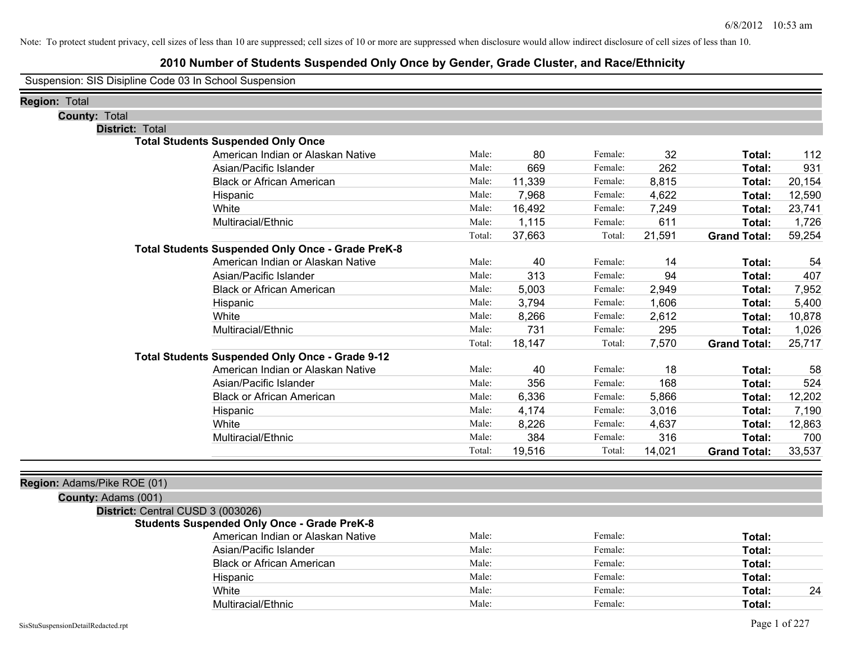## **2010 Number of Students Suspended Only Once by Gender, Grade Cluster, and Race/Ethnicity**

Suspension: SIS Disipline Code 03 In School Suspension

| Region: Total                                            |        |        |         |        |                     |        |
|----------------------------------------------------------|--------|--------|---------|--------|---------------------|--------|
| <b>County: Total</b>                                     |        |        |         |        |                     |        |
| <b>District: Total</b>                                   |        |        |         |        |                     |        |
| <b>Total Students Suspended Only Once</b>                |        |        |         |        |                     |        |
| American Indian or Alaskan Native                        | Male:  | 80     | Female: | 32     | Total:              | 112    |
| Asian/Pacific Islander                                   | Male:  | 669    | Female: | 262    | Total:              | 931    |
| <b>Black or African American</b>                         | Male:  | 11,339 | Female: | 8,815  | Total:              | 20,154 |
| Hispanic                                                 | Male:  | 7,968  | Female: | 4,622  | Total:              | 12,590 |
| White                                                    | Male:  | 16,492 | Female: | 7,249  | Total:              | 23,741 |
| Multiracial/Ethnic                                       | Male:  | 1,115  | Female: | 611    | Total:              | 1,726  |
|                                                          | Total: | 37,663 | Total:  | 21,591 | <b>Grand Total:</b> | 59,254 |
| <b>Total Students Suspended Only Once - Grade PreK-8</b> |        |        |         |        |                     |        |
| American Indian or Alaskan Native                        | Male:  | 40     | Female: | 14     | Total:              | 54     |
| Asian/Pacific Islander                                   | Male:  | 313    | Female: | 94     | Total:              | 407    |
| <b>Black or African American</b>                         | Male:  | 5,003  | Female: | 2,949  | Total:              | 7,952  |
| Hispanic                                                 | Male:  | 3,794  | Female: | 1,606  | Total:              | 5,400  |
| White                                                    | Male:  | 8,266  | Female: | 2,612  | Total:              | 10,878 |
| Multiracial/Ethnic                                       | Male:  | 731    | Female: | 295    | Total:              | 1,026  |
|                                                          | Total: | 18,147 | Total:  | 7,570  | <b>Grand Total:</b> | 25,717 |
| Total Students Suspended Only Once - Grade 9-12          |        |        |         |        |                     |        |
| American Indian or Alaskan Native                        | Male:  | 40     | Female: | 18     | Total:              | 58     |
| Asian/Pacific Islander                                   | Male:  | 356    | Female: | 168    | Total:              | 524    |
| <b>Black or African American</b>                         | Male:  | 6,336  | Female: | 5,866  | Total:              | 12,202 |
| Hispanic                                                 | Male:  | 4,174  | Female: | 3,016  | Total:              | 7,190  |
| White                                                    | Male:  | 8,226  | Female: | 4,637  | Total:              | 12,863 |
| Multiracial/Ethnic                                       | Male:  | 384    | Female: | 316    | Total:              | 700    |
|                                                          | Total: | 19,516 | Total:  | 14,021 | <b>Grand Total:</b> | 33,537 |
|                                                          |        |        |         |        |                     |        |
| Region: Adams/Pike ROE (01)                              |        |        |         |        |                     |        |
| County: Adams (001)                                      |        |        |         |        |                     |        |
| District: Central CUSD 3 (003026)                        |        |        |         |        |                     |        |
| <b>Students Suspended Only Once - Grade PreK-8</b>       |        |        |         |        |                     |        |

| American Indian or Alaskan Native | Male: | Female: | Total:       |
|-----------------------------------|-------|---------|--------------|
| Asian/Pacific Islander            | Male: | Female: | Total:       |
| <b>Black or African American</b>  | Male: | Female: | Total:       |
| Hispanic                          | Male: | Female: | Total:       |
| White                             | Male: | Female: | 24<br>Total: |
| Multiracial/Ethnic                | Male: | Female: | Total:       |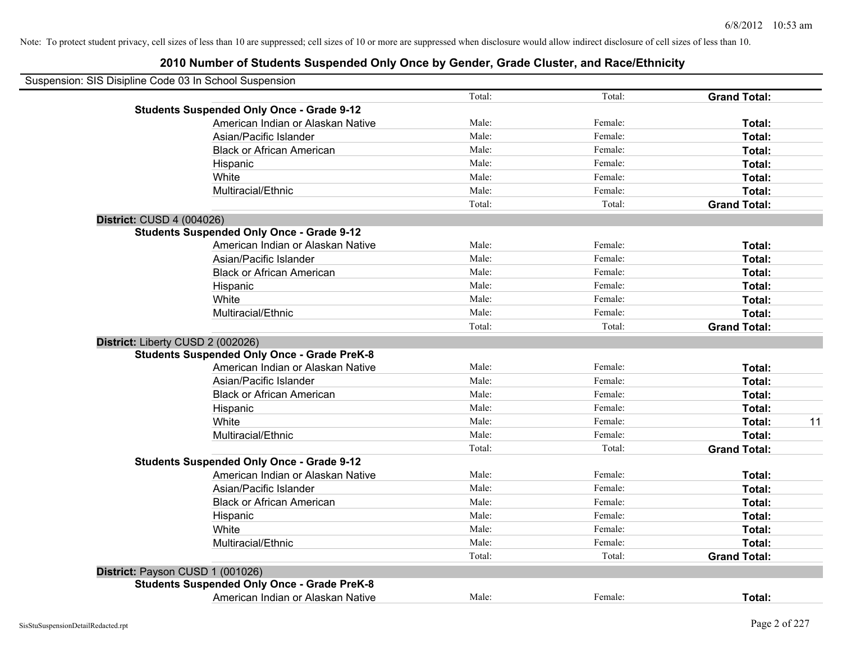## **2010 Number of Students Suspended Only Once by Gender, Grade Cluster, and Race/Ethnicity**

| Suspension: SIS Disipline Code 03 In School Suspension |        |         |                     |
|--------------------------------------------------------|--------|---------|---------------------|
|                                                        | Total: | Total:  | <b>Grand Total:</b> |
| <b>Students Suspended Only Once - Grade 9-12</b>       |        |         |                     |
| American Indian or Alaskan Native                      | Male:  | Female: | Total:              |
| Asian/Pacific Islander                                 | Male:  | Female: | Total:              |
| <b>Black or African American</b>                       | Male:  | Female: | Total:              |
| Hispanic                                               | Male:  | Female: | Total:              |
| White                                                  | Male:  | Female: | Total:              |
| Multiracial/Ethnic                                     | Male:  | Female: | Total:              |
|                                                        | Total: | Total:  | <b>Grand Total:</b> |
| District: CUSD 4 (004026)                              |        |         |                     |
| <b>Students Suspended Only Once - Grade 9-12</b>       |        |         |                     |
| American Indian or Alaskan Native                      | Male:  | Female: | Total:              |
| Asian/Pacific Islander                                 | Male:  | Female: | Total:              |
| <b>Black or African American</b>                       | Male:  | Female: | Total:              |
| Hispanic                                               | Male:  | Female: | Total:              |
| White                                                  | Male:  | Female: | Total:              |
| Multiracial/Ethnic                                     | Male:  | Female: | Total:              |
|                                                        | Total: | Total:  | <b>Grand Total:</b> |
| District: Liberty CUSD 2 (002026)                      |        |         |                     |
| <b>Students Suspended Only Once - Grade PreK-8</b>     |        |         |                     |
| American Indian or Alaskan Native                      | Male:  | Female: | Total:              |
| Asian/Pacific Islander                                 | Male:  | Female: | Total:              |
| <b>Black or African American</b>                       | Male:  | Female: | Total:              |
| Hispanic                                               | Male:  | Female: | Total:              |
| White                                                  | Male:  | Female: | Total:<br>11        |
| Multiracial/Ethnic                                     | Male:  | Female: | Total:              |
|                                                        | Total: | Total:  | <b>Grand Total:</b> |
| <b>Students Suspended Only Once - Grade 9-12</b>       |        |         |                     |
| American Indian or Alaskan Native                      | Male:  | Female: | Total:              |
| Asian/Pacific Islander                                 | Male:  | Female: | Total:              |
| <b>Black or African American</b>                       | Male:  | Female: | Total:              |
| Hispanic                                               | Male:  | Female: | Total:              |
| White                                                  | Male:  | Female: | Total:              |
| Multiracial/Ethnic                                     | Male:  | Female: | Total:              |
|                                                        | Total: | Total:  | <b>Grand Total:</b> |
| District: Payson CUSD 1 (001026)                       |        |         |                     |
| <b>Students Suspended Only Once - Grade PreK-8</b>     |        |         |                     |
| American Indian or Alaskan Native                      | Male:  | Female: | Total:              |

 $\overline{\phantom{0}}$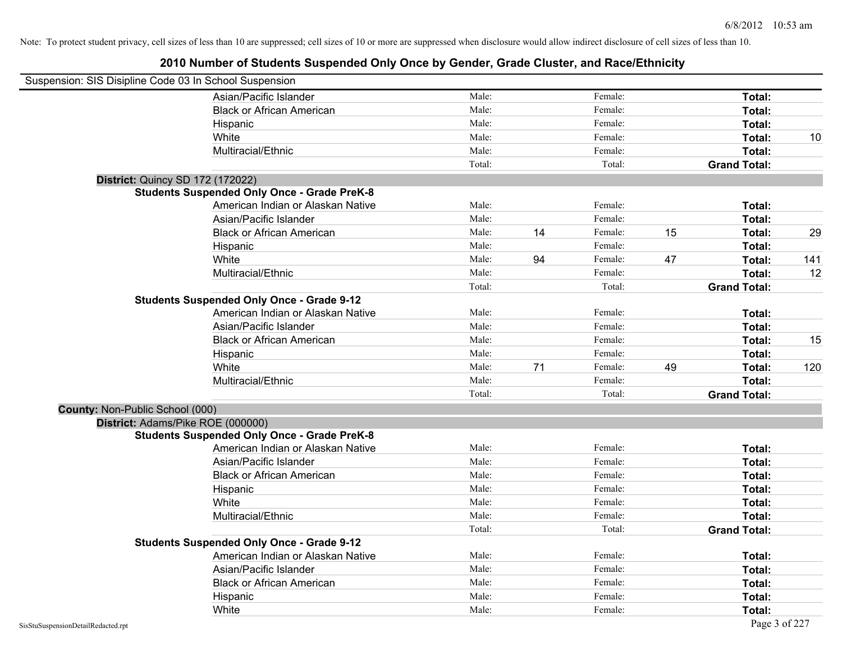| Suspension: SIS Disipline Code 03 In School Suspension |                                                    |        |    |         |    |                     |                   |
|--------------------------------------------------------|----------------------------------------------------|--------|----|---------|----|---------------------|-------------------|
|                                                        | Asian/Pacific Islander                             | Male:  |    | Female: |    | Total:              |                   |
|                                                        | <b>Black or African American</b>                   | Male:  |    | Female: |    | Total:              |                   |
|                                                        | Hispanic                                           | Male:  |    | Female: |    | Total:              |                   |
|                                                        | White                                              | Male:  |    | Female: |    | Total:              | 10                |
|                                                        | Multiracial/Ethnic                                 | Male:  |    | Female: |    | Total:              |                   |
|                                                        |                                                    | Total: |    | Total:  |    | <b>Grand Total:</b> |                   |
|                                                        | <b>District: Quincy SD 172 (172022)</b>            |        |    |         |    |                     |                   |
|                                                        | <b>Students Suspended Only Once - Grade PreK-8</b> |        |    |         |    |                     |                   |
|                                                        | American Indian or Alaskan Native                  | Male:  |    | Female: |    | Total:              |                   |
|                                                        | Asian/Pacific Islander                             | Male:  |    | Female: |    | Total:              |                   |
|                                                        | <b>Black or African American</b>                   | Male:  | 14 | Female: | 15 | Total:              | 29                |
|                                                        | Hispanic                                           | Male:  |    | Female: |    | Total:              |                   |
|                                                        | White                                              | Male:  | 94 | Female: | 47 | Total:              | 141               |
|                                                        | Multiracial/Ethnic                                 | Male:  |    | Female: |    | Total:              | $12 \overline{ }$ |
|                                                        |                                                    | Total: |    | Total:  |    | <b>Grand Total:</b> |                   |
|                                                        | <b>Students Suspended Only Once - Grade 9-12</b>   |        |    |         |    |                     |                   |
|                                                        | American Indian or Alaskan Native                  | Male:  |    | Female: |    | Total:              |                   |
|                                                        | Asian/Pacific Islander                             | Male:  |    | Female: |    | Total:              |                   |
|                                                        | <b>Black or African American</b>                   | Male:  |    | Female: |    | Total:              | 15                |
|                                                        | Hispanic                                           | Male:  |    | Female: |    | Total:              |                   |
|                                                        | White                                              | Male:  | 71 | Female: | 49 | Total:              | 120               |
|                                                        | Multiracial/Ethnic                                 | Male:  |    | Female: |    | Total:              |                   |
|                                                        |                                                    | Total: |    | Total:  |    | <b>Grand Total:</b> |                   |
| County: Non-Public School (000)                        |                                                    |        |    |         |    |                     |                   |
|                                                        | District: Adams/Pike ROE (000000)                  |        |    |         |    |                     |                   |
|                                                        | <b>Students Suspended Only Once - Grade PreK-8</b> |        |    |         |    |                     |                   |
|                                                        | American Indian or Alaskan Native                  | Male:  |    | Female: |    | Total:              |                   |
|                                                        | Asian/Pacific Islander                             | Male:  |    | Female: |    | Total:              |                   |
|                                                        | <b>Black or African American</b>                   | Male:  |    | Female: |    | Total:              |                   |
|                                                        | Hispanic                                           | Male:  |    | Female: |    | Total:              |                   |
|                                                        | White                                              | Male:  |    | Female: |    | Total:              |                   |
|                                                        | Multiracial/Ethnic                                 | Male:  |    | Female: |    | Total:              |                   |
|                                                        |                                                    | Total: |    | Total:  |    | <b>Grand Total:</b> |                   |
|                                                        | <b>Students Suspended Only Once - Grade 9-12</b>   |        |    |         |    |                     |                   |
|                                                        | American Indian or Alaskan Native                  | Male:  |    | Female: |    | Total:              |                   |
|                                                        | Asian/Pacific Islander                             | Male:  |    | Female: |    | Total:              |                   |
|                                                        | <b>Black or African American</b>                   | Male:  |    | Female: |    | Total:              |                   |
|                                                        | Hispanic                                           | Male:  |    | Female: |    | Total:              |                   |
|                                                        | White                                              | Male:  |    | Female: |    | Total:              |                   |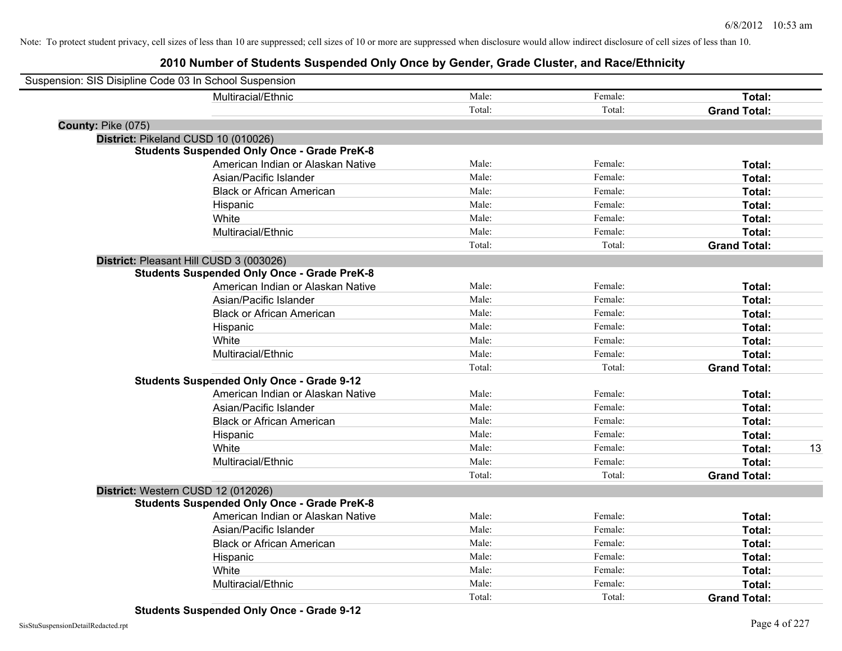| Suspension: SIS Disipline Code 03 In School Suspension |                                                    |        |         |                     |    |
|--------------------------------------------------------|----------------------------------------------------|--------|---------|---------------------|----|
|                                                        | Multiracial/Ethnic                                 | Male:  | Female: | Total:              |    |
|                                                        |                                                    | Total: | Total:  | <b>Grand Total:</b> |    |
| County: Pike (075)                                     |                                                    |        |         |                     |    |
| District: Pikeland CUSD 10 (010026)                    |                                                    |        |         |                     |    |
|                                                        | <b>Students Suspended Only Once - Grade PreK-8</b> |        |         |                     |    |
|                                                        | American Indian or Alaskan Native                  | Male:  | Female: | Total:              |    |
|                                                        | Asian/Pacific Islander                             | Male:  | Female: | Total:              |    |
|                                                        | <b>Black or African American</b>                   | Male:  | Female: | Total:              |    |
|                                                        | Hispanic                                           | Male:  | Female: | Total:              |    |
|                                                        | White                                              | Male:  | Female: | Total:              |    |
|                                                        | Multiracial/Ethnic                                 | Male:  | Female: | Total:              |    |
|                                                        |                                                    | Total: | Total:  | <b>Grand Total:</b> |    |
|                                                        | District: Pleasant Hill CUSD 3 (003026)            |        |         |                     |    |
|                                                        | <b>Students Suspended Only Once - Grade PreK-8</b> |        |         |                     |    |
|                                                        | American Indian or Alaskan Native                  | Male:  | Female: | Total:              |    |
|                                                        | Asian/Pacific Islander                             | Male:  | Female: | Total:              |    |
|                                                        | <b>Black or African American</b>                   | Male:  | Female: | Total:              |    |
|                                                        | Hispanic                                           | Male:  | Female: | Total:              |    |
|                                                        | White                                              | Male:  | Female: | Total:              |    |
|                                                        | Multiracial/Ethnic                                 | Male:  | Female: | Total:              |    |
|                                                        |                                                    | Total: | Total:  | <b>Grand Total:</b> |    |
|                                                        | <b>Students Suspended Only Once - Grade 9-12</b>   |        |         |                     |    |
|                                                        | American Indian or Alaskan Native                  | Male:  | Female: | Total:              |    |
|                                                        | Asian/Pacific Islander                             | Male:  | Female: | Total:              |    |
|                                                        | <b>Black or African American</b>                   | Male:  | Female: | Total:              |    |
|                                                        | Hispanic                                           | Male:  | Female: | Total:              |    |
|                                                        | White                                              | Male:  | Female: | Total:              | 13 |
|                                                        | Multiracial/Ethnic                                 | Male:  | Female: | Total:              |    |
|                                                        |                                                    | Total: | Total:  | <b>Grand Total:</b> |    |
| District: Western CUSD 12 (012026)                     |                                                    |        |         |                     |    |
|                                                        | <b>Students Suspended Only Once - Grade PreK-8</b> |        |         |                     |    |
|                                                        | American Indian or Alaskan Native                  | Male:  | Female: | Total:              |    |
|                                                        | Asian/Pacific Islander                             | Male:  | Female: | Total:              |    |
|                                                        | <b>Black or African American</b>                   | Male:  | Female: | Total:              |    |
|                                                        | Hispanic                                           | Male:  | Female: | Total:              |    |
|                                                        | White                                              | Male:  | Female: | Total:              |    |
|                                                        | Multiracial/Ethnic                                 | Male:  | Female: | Total:              |    |
|                                                        |                                                    | Total: | Total:  | <b>Grand Total:</b> |    |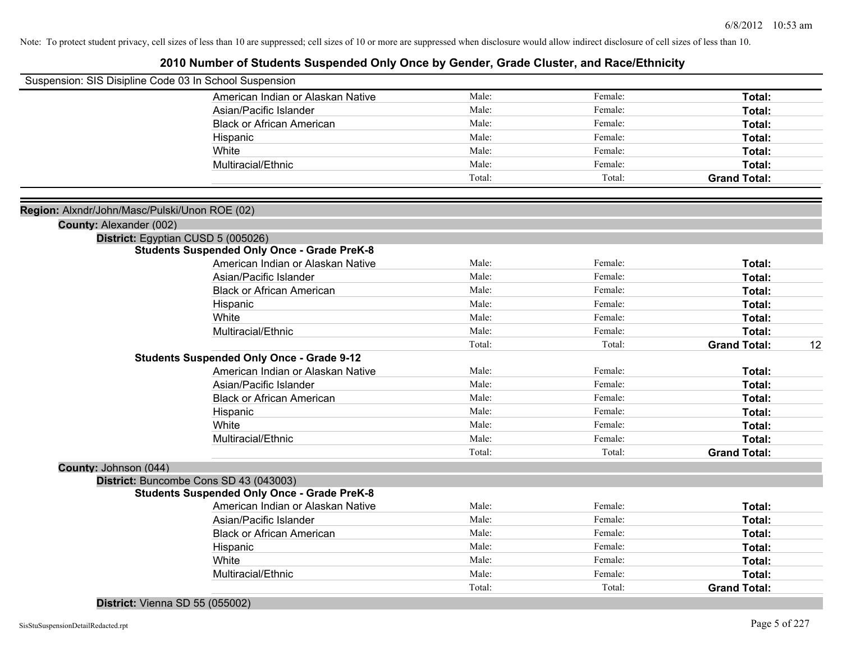## **2010 Number of Students Suspended Only Once by Gender, Grade Cluster, and Race/Ethnicity**

| Suspension: SIS Disipline Code 03 In School Suspension |                                                    |        |         |                           |
|--------------------------------------------------------|----------------------------------------------------|--------|---------|---------------------------|
|                                                        | American Indian or Alaskan Native                  | Male:  | Female: | Total:                    |
|                                                        | Asian/Pacific Islander                             | Male:  | Female: | Total:                    |
|                                                        | <b>Black or African American</b>                   | Male:  | Female: | Total:                    |
|                                                        | Hispanic                                           | Male:  | Female: | Total:                    |
|                                                        | White                                              | Male:  | Female: | <b>Total:</b>             |
|                                                        | Multiracial/Ethnic                                 | Male:  | Female: | Total:                    |
|                                                        |                                                    | Total: | Total:  | <b>Grand Total:</b>       |
|                                                        |                                                    |        |         |                           |
| Region: Alxndr/John/Masc/Pulski/Unon ROE (02)          |                                                    |        |         |                           |
| County: Alexander (002)                                |                                                    |        |         |                           |
|                                                        | District: Egyptian CUSD 5 (005026)                 |        |         |                           |
|                                                        | <b>Students Suspended Only Once - Grade PreK-8</b> |        |         |                           |
|                                                        | American Indian or Alaskan Native                  | Male:  | Female: | Total:                    |
|                                                        | Asian/Pacific Islander                             | Male:  | Female: | <b>Total:</b>             |
|                                                        | <b>Black or African American</b>                   | Male:  | Female: | Total:                    |
|                                                        | Hispanic                                           | Male:  | Female: | <b>Total:</b>             |
|                                                        | White                                              | Male:  | Female: | <b>Total:</b>             |
|                                                        | Multiracial/Ethnic                                 | Male:  | Female: | Total:                    |
|                                                        |                                                    | Total: | Total:  | <b>Grand Total:</b><br>12 |
|                                                        | <b>Students Suspended Only Once - Grade 9-12</b>   |        |         |                           |
|                                                        | American Indian or Alaskan Native                  | Male:  | Female: | Total:                    |
|                                                        | Asian/Pacific Islander                             | Male:  | Female: | Total:                    |
|                                                        | <b>Black or African American</b>                   | Male:  | Female: | Total:                    |
|                                                        | Hispanic                                           | Male:  | Female: | Total:                    |
|                                                        | White                                              | Male:  | Female: | Total:                    |
|                                                        | Multiracial/Ethnic                                 | Male:  | Female: | Total:                    |
|                                                        |                                                    | Total: | Total:  | <b>Grand Total:</b>       |
| County: Johnson (044)                                  |                                                    |        |         |                           |
|                                                        | District: Buncombe Cons SD 43 (043003)             |        |         |                           |
|                                                        | <b>Students Suspended Only Once - Grade PreK-8</b> |        |         |                           |
|                                                        | American Indian or Alaskan Native                  | Male:  | Female: | Total:                    |
|                                                        | Asian/Pacific Islander                             | Male:  | Female: | Total:                    |
|                                                        | <b>Black or African American</b>                   | Male:  | Female: | Total:                    |
|                                                        | Hispanic                                           | Male:  | Female: | Total:                    |
|                                                        | White                                              | Male:  | Female: | Total:                    |
|                                                        | Multiracial/Ethnic                                 | Male:  | Female: | Total:                    |
|                                                        |                                                    | Total: | Total:  | <b>Grand Total:</b>       |

#### **District:** Vienna SD 55 (055002)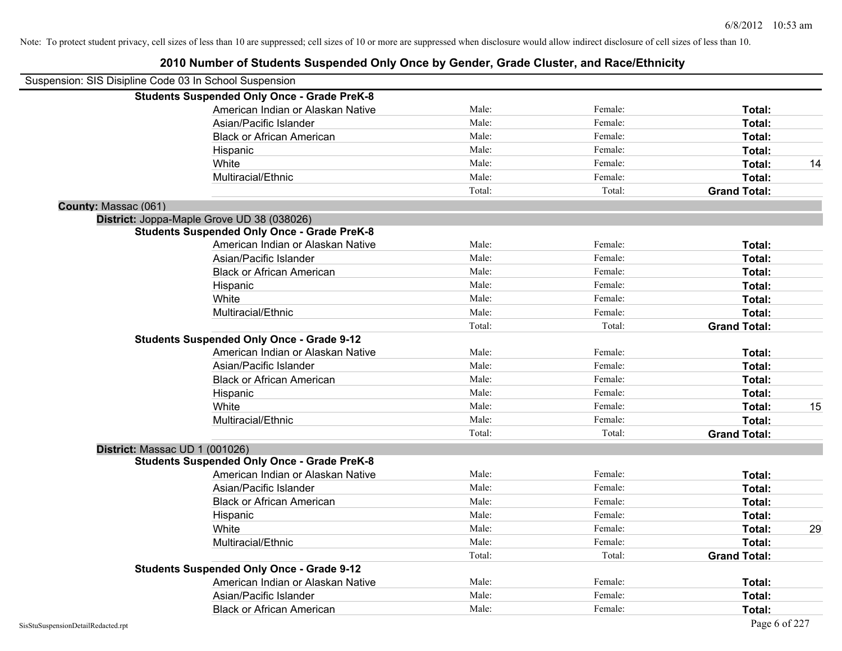|                      | Suspension: SIS Disipline Code 03 In School Suspension |        |         |                     |    |
|----------------------|--------------------------------------------------------|--------|---------|---------------------|----|
|                      | <b>Students Suspended Only Once - Grade PreK-8</b>     |        |         |                     |    |
|                      | American Indian or Alaskan Native                      | Male:  | Female: | Total:              |    |
|                      | Asian/Pacific Islander                                 | Male:  | Female: | Total:              |    |
|                      | <b>Black or African American</b>                       | Male:  | Female: | Total:              |    |
|                      | Hispanic                                               | Male:  | Female: | Total:              |    |
|                      | White                                                  | Male:  | Female: | Total:              | 14 |
|                      | Multiracial/Ethnic                                     | Male:  | Female: | Total:              |    |
|                      |                                                        | Total: | Total:  | <b>Grand Total:</b> |    |
| County: Massac (061) |                                                        |        |         |                     |    |
|                      | District: Joppa-Maple Grove UD 38 (038026)             |        |         |                     |    |
|                      | <b>Students Suspended Only Once - Grade PreK-8</b>     |        |         |                     |    |
|                      | American Indian or Alaskan Native                      | Male:  | Female: | Total:              |    |
|                      | Asian/Pacific Islander                                 | Male:  | Female: | Total:              |    |
|                      | <b>Black or African American</b>                       | Male:  | Female: | Total:              |    |
|                      | Hispanic                                               | Male:  | Female: | Total:              |    |
|                      | White                                                  | Male:  | Female: | Total:              |    |
|                      | Multiracial/Ethnic                                     | Male:  | Female: | Total:              |    |
|                      |                                                        | Total: | Total:  | <b>Grand Total:</b> |    |
|                      | <b>Students Suspended Only Once - Grade 9-12</b>       |        |         |                     |    |
|                      | American Indian or Alaskan Native                      | Male:  | Female: | Total:              |    |
|                      | Asian/Pacific Islander                                 | Male:  | Female: | Total:              |    |
|                      | <b>Black or African American</b>                       | Male:  | Female: | Total:              |    |
|                      | Hispanic                                               | Male:  | Female: | Total:              |    |
|                      | White                                                  | Male:  | Female: | Total:              | 15 |
|                      | Multiracial/Ethnic                                     | Male:  | Female: | Total:              |    |
|                      |                                                        | Total: | Total:  | <b>Grand Total:</b> |    |
|                      | District: Massac UD 1 (001026)                         |        |         |                     |    |
|                      | <b>Students Suspended Only Once - Grade PreK-8</b>     |        |         |                     |    |
|                      | American Indian or Alaskan Native                      | Male:  | Female: | Total:              |    |
|                      | Asian/Pacific Islander                                 | Male:  | Female: | Total:              |    |
|                      | <b>Black or African American</b>                       | Male:  | Female: | Total:              |    |
|                      | Hispanic                                               | Male:  | Female: | Total:              |    |
|                      | White                                                  | Male:  | Female: | Total:              | 29 |
|                      | Multiracial/Ethnic                                     | Male:  | Female: | Total:              |    |
|                      |                                                        | Total: | Total:  | <b>Grand Total:</b> |    |
|                      | <b>Students Suspended Only Once - Grade 9-12</b>       |        |         |                     |    |
|                      | American Indian or Alaskan Native                      | Male:  | Female: | Total:              |    |
|                      | Asian/Pacific Islander                                 | Male:  | Female: | Total:              |    |
|                      | <b>Black or African American</b>                       | Male:  | Female: | Total:              |    |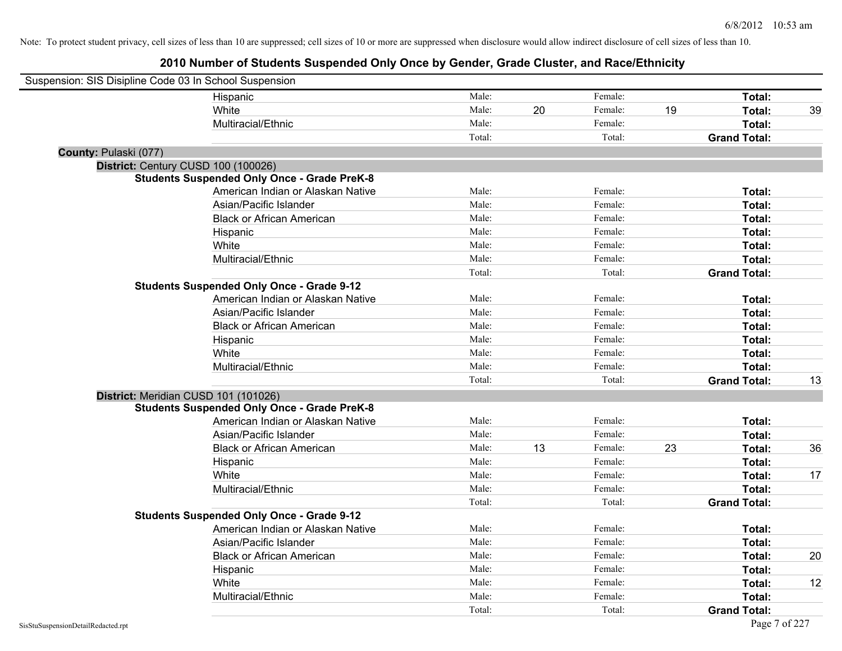| Suspension: SIS Disipline Code 03 In School Suspension |                                                    |        |    |         |    |                     |    |
|--------------------------------------------------------|----------------------------------------------------|--------|----|---------|----|---------------------|----|
|                                                        | Hispanic                                           | Male:  |    | Female: |    | Total:              |    |
|                                                        | White                                              | Male:  | 20 | Female: | 19 | Total:              | 39 |
|                                                        | Multiracial/Ethnic                                 | Male:  |    | Female: |    | Total:              |    |
|                                                        |                                                    | Total: |    | Total:  |    | <b>Grand Total:</b> |    |
| County: Pulaski (077)                                  |                                                    |        |    |         |    |                     |    |
| District: Century CUSD 100 (100026)                    |                                                    |        |    |         |    |                     |    |
|                                                        | <b>Students Suspended Only Once - Grade PreK-8</b> |        |    |         |    |                     |    |
|                                                        | American Indian or Alaskan Native                  | Male:  |    | Female: |    | Total:              |    |
|                                                        | Asian/Pacific Islander                             | Male:  |    | Female: |    | Total:              |    |
|                                                        | <b>Black or African American</b>                   | Male:  |    | Female: |    | Total:              |    |
|                                                        | Hispanic                                           | Male:  |    | Female: |    | Total:              |    |
|                                                        | White                                              | Male:  |    | Female: |    | Total:              |    |
|                                                        | Multiracial/Ethnic                                 | Male:  |    | Female: |    | Total:              |    |
|                                                        |                                                    | Total: |    | Total:  |    | <b>Grand Total:</b> |    |
|                                                        | <b>Students Suspended Only Once - Grade 9-12</b>   |        |    |         |    |                     |    |
|                                                        | American Indian or Alaskan Native                  | Male:  |    | Female: |    | Total:              |    |
|                                                        | Asian/Pacific Islander                             | Male:  |    | Female: |    | Total:              |    |
|                                                        | <b>Black or African American</b>                   | Male:  |    | Female: |    | Total:              |    |
|                                                        | Hispanic                                           | Male:  |    | Female: |    | Total:              |    |
|                                                        | White                                              | Male:  |    | Female: |    | Total:              |    |
|                                                        | Multiracial/Ethnic                                 | Male:  |    | Female: |    | Total:              |    |
|                                                        |                                                    | Total: |    | Total:  |    | <b>Grand Total:</b> | 13 |
| District: Meridian CUSD 101 (101026)                   |                                                    |        |    |         |    |                     |    |
|                                                        | <b>Students Suspended Only Once - Grade PreK-8</b> |        |    |         |    |                     |    |
|                                                        | American Indian or Alaskan Native                  | Male:  |    | Female: |    | Total:              |    |
|                                                        | Asian/Pacific Islander                             | Male:  |    | Female: |    | Total:              |    |
|                                                        | <b>Black or African American</b>                   | Male:  | 13 | Female: | 23 | Total:              | 36 |
|                                                        | Hispanic                                           | Male:  |    | Female: |    | Total:              |    |
|                                                        | White                                              | Male:  |    | Female: |    | Total:              | 17 |
|                                                        | Multiracial/Ethnic                                 | Male:  |    | Female: |    | Total:              |    |
|                                                        |                                                    | Total: |    | Total:  |    | <b>Grand Total:</b> |    |
|                                                        | <b>Students Suspended Only Once - Grade 9-12</b>   |        |    |         |    |                     |    |
|                                                        | American Indian or Alaskan Native                  | Male:  |    | Female: |    | Total:              |    |
|                                                        | Asian/Pacific Islander                             | Male:  |    | Female: |    | Total:              |    |
|                                                        | <b>Black or African American</b>                   | Male:  |    | Female: |    | Total:              | 20 |
|                                                        | Hispanic                                           | Male:  |    | Female: |    | Total:              |    |
|                                                        | White                                              | Male:  |    | Female: |    | Total:              | 12 |
|                                                        | Multiracial/Ethnic                                 | Male:  |    | Female: |    | Total:              |    |
|                                                        |                                                    | Total: |    | Total:  |    | <b>Grand Total:</b> |    |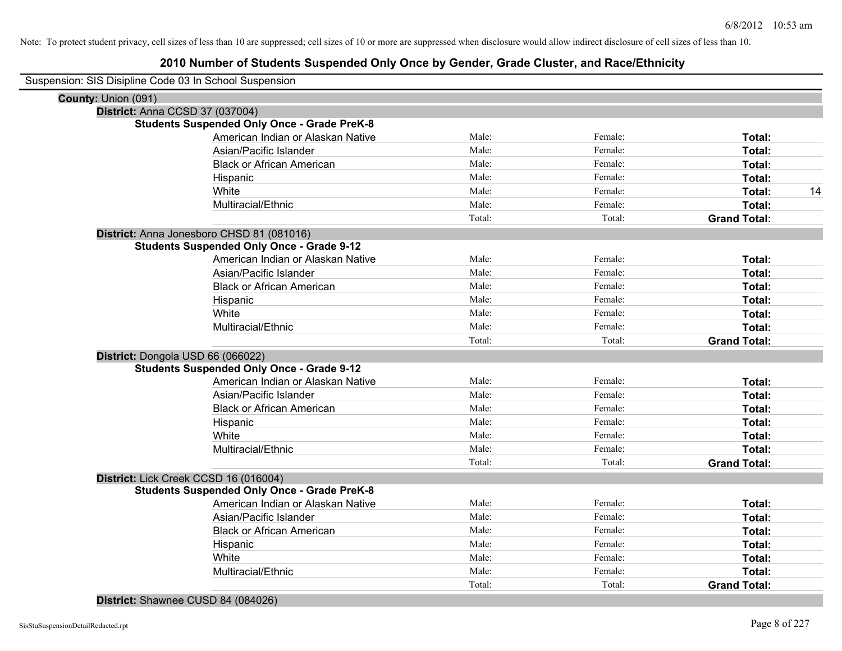## **2010 Number of Students Suspended Only Once by Gender, Grade Cluster, and Race/Ethnicity**

| Suspension: SIS Disipline Code 03 In School Suspension |                                                    |        |         |                     |
|--------------------------------------------------------|----------------------------------------------------|--------|---------|---------------------|
| County: Union (091)                                    |                                                    |        |         |                     |
| District: Anna CCSD 37 (037004)                        |                                                    |        |         |                     |
|                                                        | <b>Students Suspended Only Once - Grade PreK-8</b> |        |         |                     |
|                                                        | American Indian or Alaskan Native                  | Male:  | Female: | Total:              |
|                                                        | Asian/Pacific Islander                             | Male:  | Female: | Total:              |
|                                                        | <b>Black or African American</b>                   | Male:  | Female: | Total:              |
|                                                        | Hispanic                                           | Male:  | Female: | Total:              |
|                                                        | White                                              | Male:  | Female: | Total:<br>14        |
|                                                        | Multiracial/Ethnic                                 | Male:  | Female: | Total:              |
|                                                        |                                                    | Total: | Total:  | <b>Grand Total:</b> |
|                                                        | District: Anna Jonesboro CHSD 81 (081016)          |        |         |                     |
|                                                        | <b>Students Suspended Only Once - Grade 9-12</b>   |        |         |                     |
|                                                        | American Indian or Alaskan Native                  | Male:  | Female: | Total:              |
|                                                        | Asian/Pacific Islander                             | Male:  | Female: | Total:              |
|                                                        | <b>Black or African American</b>                   | Male:  | Female: | Total:              |
|                                                        | Hispanic                                           | Male:  | Female: | Total:              |
|                                                        | White                                              | Male:  | Female: | Total:              |
|                                                        | Multiracial/Ethnic                                 | Male:  | Female: | Total:              |
|                                                        |                                                    | Total: | Total:  | <b>Grand Total:</b> |
| District: Dongola USD 66 (066022)                      |                                                    |        |         |                     |
|                                                        | <b>Students Suspended Only Once - Grade 9-12</b>   |        |         |                     |
|                                                        | American Indian or Alaskan Native                  | Male:  | Female: | Total:              |
|                                                        | Asian/Pacific Islander                             | Male:  | Female: | Total:              |
|                                                        | <b>Black or African American</b>                   | Male:  | Female: | Total:              |
|                                                        | Hispanic                                           | Male:  | Female: | Total:              |
|                                                        | White                                              | Male:  | Female: | Total:              |
|                                                        | Multiracial/Ethnic                                 | Male:  | Female: | Total:              |
|                                                        |                                                    | Total: | Total:  | <b>Grand Total:</b> |
|                                                        | District: Lick Creek CCSD 16 (016004)              |        |         |                     |
|                                                        | <b>Students Suspended Only Once - Grade PreK-8</b> |        |         |                     |
|                                                        | American Indian or Alaskan Native                  | Male:  | Female: | Total:              |
|                                                        | Asian/Pacific Islander                             | Male:  | Female: | Total:              |
|                                                        | <b>Black or African American</b>                   | Male:  | Female: | Total:              |
|                                                        | Hispanic                                           | Male:  | Female: | Total:              |
|                                                        | White                                              | Male:  | Female: | Total:              |
|                                                        | Multiracial/Ethnic                                 | Male:  | Female: | Total:              |
|                                                        |                                                    | Total: | Total:  | <b>Grand Total:</b> |

#### **District:** Shawnee CUSD 84 (084026)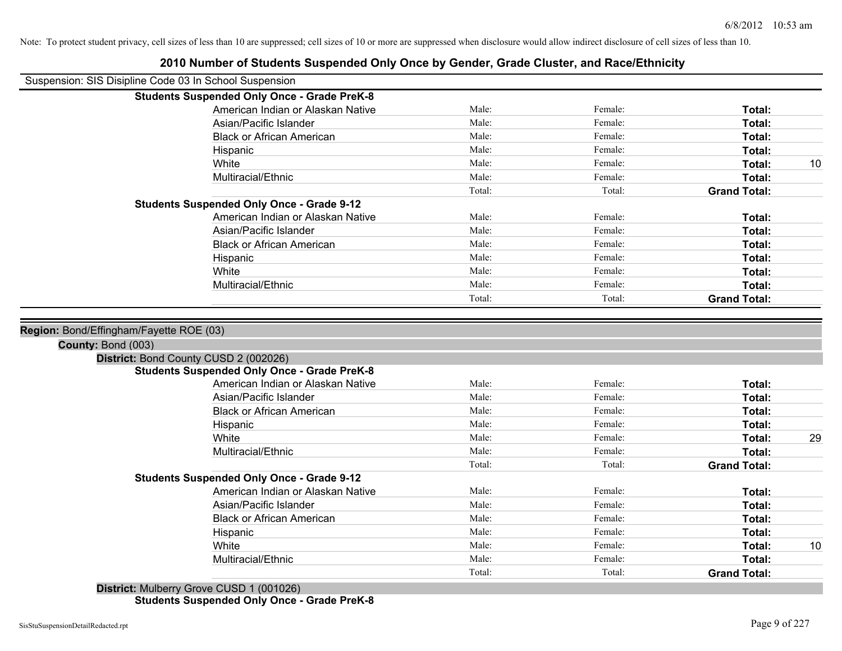| Suspension: SIS Disipline Code 03 In School Suspension      |        |         |                     |    |
|-------------------------------------------------------------|--------|---------|---------------------|----|
| <b>Students Suspended Only Once - Grade PreK-8</b>          |        |         |                     |    |
| American Indian or Alaskan Native                           | Male:  | Female: | Total:              |    |
| Asian/Pacific Islander                                      | Male:  | Female: | Total:              |    |
| <b>Black or African American</b>                            | Male:  | Female: | Total:              |    |
| Hispanic                                                    | Male:  | Female: | Total:              |    |
| White                                                       | Male:  | Female: | Total:              | 10 |
| Multiracial/Ethnic                                          | Male:  | Female: | Total:              |    |
|                                                             | Total: | Total:  | <b>Grand Total:</b> |    |
| <b>Students Suspended Only Once - Grade 9-12</b>            |        |         |                     |    |
| American Indian or Alaskan Native                           | Male:  | Female: | Total:              |    |
| Asian/Pacific Islander                                      | Male:  | Female: | Total:              |    |
| <b>Black or African American</b>                            | Male:  | Female: | Total:              |    |
| Hispanic                                                    | Male:  | Female: | Total:              |    |
| White                                                       | Male:  | Female: | Total:              |    |
| Multiracial/Ethnic                                          | Male:  | Female: | Total:              |    |
|                                                             | Total: | Total:  | <b>Grand Total:</b> |    |
| County: Bond (003)<br>District: Bond County CUSD 2 (002026) |        |         |                     |    |
| <b>Students Suspended Only Once - Grade PreK-8</b>          |        |         |                     |    |
| American Indian or Alaskan Native                           | Male:  | Female: | Total:              |    |
| Asian/Pacific Islander                                      | Male:  | Female: | Total:              |    |
| <b>Black or African American</b>                            | Male:  | Female: | Total:              |    |
| Hispanic                                                    | Male:  | Female: | Total:              |    |
| White                                                       | Male:  | Female: | Total:              | 29 |
| Multiracial/Ethnic                                          | Male:  | Female: | Total:              |    |
|                                                             | Total: | Total:  | <b>Grand Total:</b> |    |
| <b>Students Suspended Only Once - Grade 9-12</b>            |        |         |                     |    |
| American Indian or Alaskan Native                           | Male:  | Female: | Total:              |    |
| Asian/Pacific Islander                                      | Male:  | Female: | Total:              |    |
| <b>Black or African American</b>                            | Male:  | Female: | Total:              |    |
| Hispanic                                                    | Male:  | Female: | Total:              |    |
| White                                                       | Male:  | Female: | Total:              | 10 |
| Multiracial/Ethnic                                          | Male:  | Female: | Total:              |    |
|                                                             | Total: | Total:  | <b>Grand Total:</b> |    |
| $Dio$ triet: Mulberni Crove CLISD 1 (001026)                |        |         |                     |    |

## **2010 Number of Students Suspended Only Once by Gender, Grade Cluster, and Race/Ethnicity**

**District:** Mulberry Grove CUSD 1 (001026) **Students Suspended Only Once - Grade PreK-8**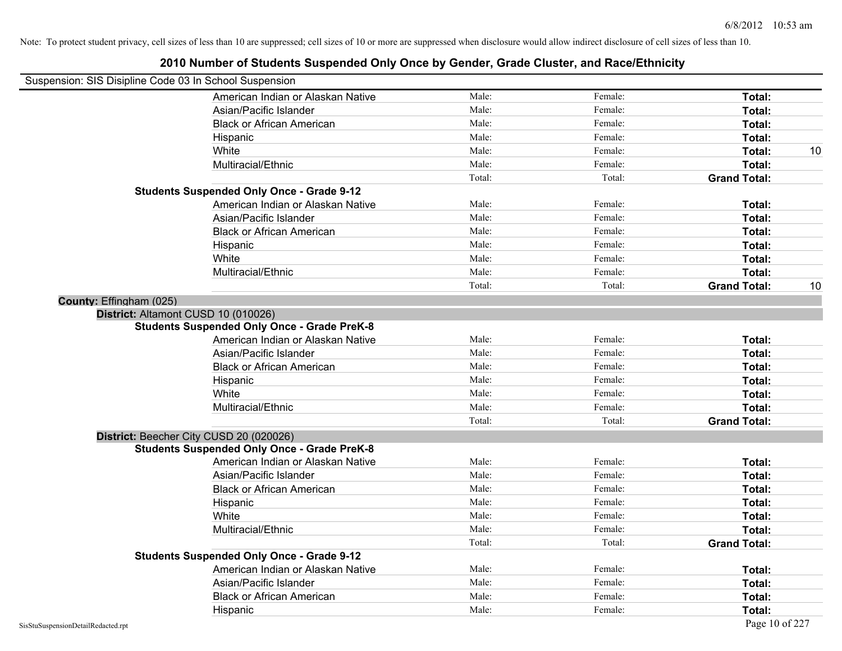| Suspension: SIS Disipline Code 03 In School Suspension |                                                    |        |         |                     |    |
|--------------------------------------------------------|----------------------------------------------------|--------|---------|---------------------|----|
|                                                        | American Indian or Alaskan Native                  | Male:  | Female: | Total:              |    |
|                                                        | Asian/Pacific Islander                             | Male:  | Female: | Total:              |    |
|                                                        | <b>Black or African American</b>                   | Male:  | Female: | Total:              |    |
|                                                        | Hispanic                                           | Male:  | Female: | Total:              |    |
|                                                        | White                                              | Male:  | Female: | Total:              | 10 |
|                                                        | Multiracial/Ethnic                                 | Male:  | Female: | Total:              |    |
|                                                        |                                                    | Total: | Total:  | <b>Grand Total:</b> |    |
|                                                        | <b>Students Suspended Only Once - Grade 9-12</b>   |        |         |                     |    |
|                                                        | American Indian or Alaskan Native                  | Male:  | Female: | Total:              |    |
|                                                        | Asian/Pacific Islander                             | Male:  | Female: | Total:              |    |
|                                                        | <b>Black or African American</b>                   | Male:  | Female: | Total:              |    |
|                                                        | Hispanic                                           | Male:  | Female: | Total:              |    |
|                                                        | White                                              | Male:  | Female: | Total:              |    |
|                                                        | Multiracial/Ethnic                                 | Male:  | Female: | Total:              |    |
|                                                        |                                                    | Total: | Total:  | <b>Grand Total:</b> | 10 |
| County: Effingham (025)                                |                                                    |        |         |                     |    |
|                                                        | District: Altamont CUSD 10 (010026)                |        |         |                     |    |
|                                                        | <b>Students Suspended Only Once - Grade PreK-8</b> |        |         |                     |    |
|                                                        | American Indian or Alaskan Native                  | Male:  | Female: | Total:              |    |
|                                                        | Asian/Pacific Islander                             | Male:  | Female: | Total:              |    |
|                                                        | <b>Black or African American</b>                   | Male:  | Female: | Total:              |    |
|                                                        | Hispanic                                           | Male:  | Female: | Total:              |    |
|                                                        | White                                              | Male:  | Female: | Total:              |    |
|                                                        | Multiracial/Ethnic                                 | Male:  | Female: | Total:              |    |
|                                                        |                                                    | Total: | Total:  | <b>Grand Total:</b> |    |
|                                                        | District: Beecher City CUSD 20 (020026)            |        |         |                     |    |
|                                                        | <b>Students Suspended Only Once - Grade PreK-8</b> |        |         |                     |    |
|                                                        | American Indian or Alaskan Native                  | Male:  | Female: | Total:              |    |
|                                                        | Asian/Pacific Islander                             | Male:  | Female: | Total:              |    |
|                                                        | <b>Black or African American</b>                   | Male:  | Female: | Total:              |    |
|                                                        | Hispanic                                           | Male:  | Female: | Total:              |    |
|                                                        | White                                              | Male:  | Female: | Total:              |    |
|                                                        | Multiracial/Ethnic                                 | Male:  | Female: | Total:              |    |
|                                                        |                                                    | Total: | Total:  | <b>Grand Total:</b> |    |
|                                                        | <b>Students Suspended Only Once - Grade 9-12</b>   |        |         |                     |    |
|                                                        | American Indian or Alaskan Native                  | Male:  | Female: | Total:              |    |
|                                                        | Asian/Pacific Islander                             | Male:  | Female: | Total:              |    |
|                                                        | <b>Black or African American</b>                   | Male:  | Female: | Total:              |    |
|                                                        | Hispanic                                           | Male:  | Female: | Total:              |    |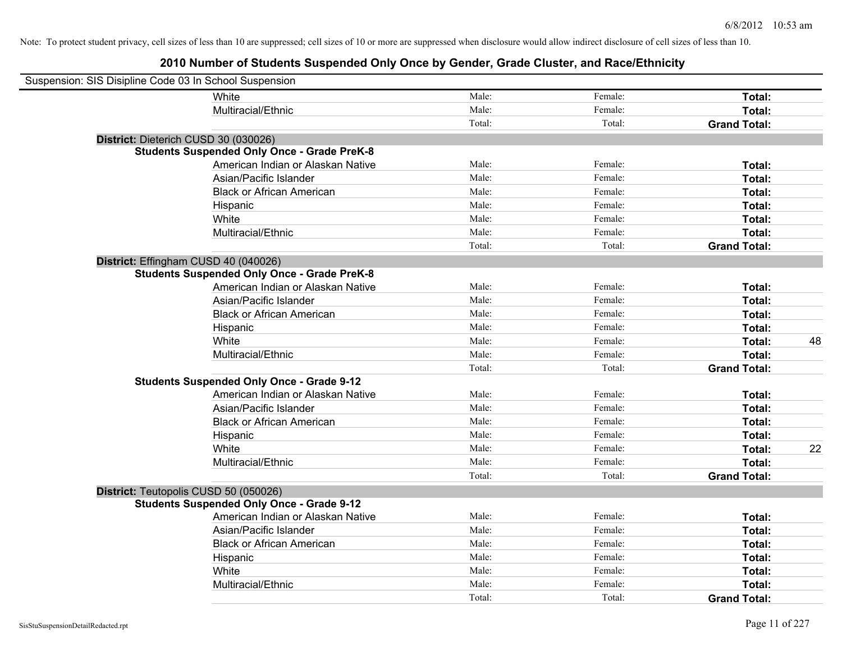| Suspension: SIS Disipline Code 03 In School Suspension |                                                    |        |         |                     |    |
|--------------------------------------------------------|----------------------------------------------------|--------|---------|---------------------|----|
|                                                        | White                                              | Male:  | Female: | Total:              |    |
|                                                        | Multiracial/Ethnic                                 | Male:  | Female: | Total:              |    |
|                                                        |                                                    | Total: | Total:  | <b>Grand Total:</b> |    |
| District: Dieterich CUSD 30 (030026)                   |                                                    |        |         |                     |    |
|                                                        | <b>Students Suspended Only Once - Grade PreK-8</b> |        |         |                     |    |
|                                                        | American Indian or Alaskan Native                  | Male:  | Female: | Total:              |    |
|                                                        | Asian/Pacific Islander                             | Male:  | Female: | Total:              |    |
|                                                        | <b>Black or African American</b>                   | Male:  | Female: | Total:              |    |
|                                                        | Hispanic                                           | Male:  | Female: | Total:              |    |
|                                                        | White                                              | Male:  | Female: | Total:              |    |
|                                                        | Multiracial/Ethnic                                 | Male:  | Female: | Total:              |    |
|                                                        |                                                    | Total: | Total:  | <b>Grand Total:</b> |    |
| District: Effingham CUSD 40 (040026)                   |                                                    |        |         |                     |    |
|                                                        | <b>Students Suspended Only Once - Grade PreK-8</b> |        |         |                     |    |
|                                                        | American Indian or Alaskan Native                  | Male:  | Female: | Total:              |    |
|                                                        | Asian/Pacific Islander                             | Male:  | Female: | Total:              |    |
|                                                        | <b>Black or African American</b>                   | Male:  | Female: | Total:              |    |
|                                                        | Hispanic                                           | Male:  | Female: | Total:              |    |
|                                                        | White                                              | Male:  | Female: | Total:              | 48 |
|                                                        | Multiracial/Ethnic                                 | Male:  | Female: | Total:              |    |
|                                                        |                                                    | Total: | Total:  | <b>Grand Total:</b> |    |
|                                                        | <b>Students Suspended Only Once - Grade 9-12</b>   |        |         |                     |    |
|                                                        | American Indian or Alaskan Native                  | Male:  | Female: | Total:              |    |
|                                                        | Asian/Pacific Islander                             | Male:  | Female: | Total:              |    |
|                                                        | <b>Black or African American</b>                   | Male:  | Female: | Total:              |    |
|                                                        | Hispanic                                           | Male:  | Female: | Total:              |    |
|                                                        | White                                              | Male:  | Female: | Total:              | 22 |
|                                                        | Multiracial/Ethnic                                 | Male:  | Female: | Total:              |    |
|                                                        |                                                    | Total: | Total:  | <b>Grand Total:</b> |    |
| District: Teutopolis CUSD 50 (050026)                  |                                                    |        |         |                     |    |
|                                                        | <b>Students Suspended Only Once - Grade 9-12</b>   |        |         |                     |    |
|                                                        | American Indian or Alaskan Native                  | Male:  | Female: | Total:              |    |
|                                                        | Asian/Pacific Islander                             | Male:  | Female: | Total:              |    |
|                                                        | <b>Black or African American</b>                   | Male:  | Female: | Total:              |    |
|                                                        | Hispanic                                           | Male:  | Female: | Total:              |    |
|                                                        | White                                              | Male:  | Female: | Total:              |    |
|                                                        | Multiracial/Ethnic                                 | Male:  | Female: | Total:              |    |
|                                                        |                                                    | Total: | Total:  | <b>Grand Total:</b> |    |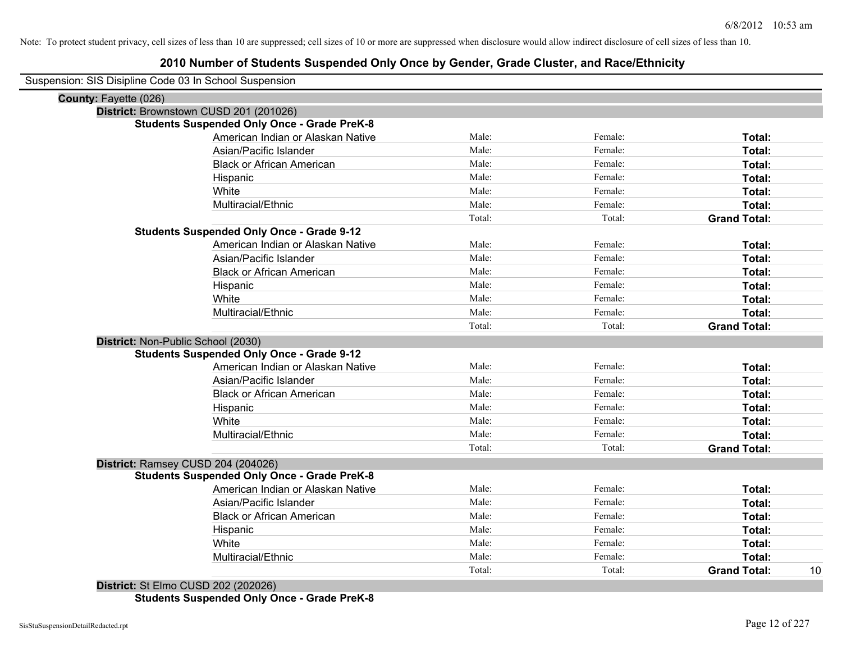## **2010 Number of Students Suspended Only Once by Gender, Grade Cluster, and Race/Ethnicity**

Suspension: SIS Disipline Code 03 In School Suspension

| <b>County: Fayette (026)</b>       |                                                    |        |         |                     |    |
|------------------------------------|----------------------------------------------------|--------|---------|---------------------|----|
|                                    | District: Brownstown CUSD 201 (201026)             |        |         |                     |    |
|                                    | <b>Students Suspended Only Once - Grade PreK-8</b> |        |         |                     |    |
|                                    | American Indian or Alaskan Native                  | Male:  | Female: | Total:              |    |
|                                    | Asian/Pacific Islander                             | Male:  | Female: | Total:              |    |
|                                    | <b>Black or African American</b>                   | Male:  | Female: | Total:              |    |
|                                    | Hispanic                                           | Male:  | Female: | Total:              |    |
|                                    | White                                              | Male:  | Female: | Total:              |    |
|                                    | Multiracial/Ethnic                                 | Male:  | Female: | Total:              |    |
|                                    |                                                    | Total: | Total:  | <b>Grand Total:</b> |    |
|                                    | <b>Students Suspended Only Once - Grade 9-12</b>   |        |         |                     |    |
|                                    | American Indian or Alaskan Native                  | Male:  | Female: | Total:              |    |
|                                    | Asian/Pacific Islander                             | Male:  | Female: | Total:              |    |
|                                    | <b>Black or African American</b>                   | Male:  | Female: | Total:              |    |
|                                    | Hispanic                                           | Male:  | Female: | Total:              |    |
|                                    | White                                              | Male:  | Female: | Total:              |    |
|                                    | Multiracial/Ethnic                                 | Male:  | Female: | Total:              |    |
|                                    |                                                    | Total: | Total:  | <b>Grand Total:</b> |    |
| District: Non-Public School (2030) |                                                    |        |         |                     |    |
|                                    | <b>Students Suspended Only Once - Grade 9-12</b>   |        |         |                     |    |
|                                    | American Indian or Alaskan Native                  | Male:  | Female: | Total:              |    |
|                                    | Asian/Pacific Islander                             | Male:  | Female: | Total:              |    |
|                                    | <b>Black or African American</b>                   | Male:  | Female: | Total:              |    |
|                                    | Hispanic                                           | Male:  | Female: | Total:              |    |
|                                    | White                                              | Male:  | Female: | Total:              |    |
|                                    | Multiracial/Ethnic                                 | Male:  | Female: | Total:              |    |
|                                    |                                                    | Total: | Total:  | <b>Grand Total:</b> |    |
|                                    | District: Ramsey CUSD 204 (204026)                 |        |         |                     |    |
|                                    | <b>Students Suspended Only Once - Grade PreK-8</b> |        |         |                     |    |
|                                    | American Indian or Alaskan Native                  | Male:  | Female: | Total:              |    |
|                                    | Asian/Pacific Islander                             | Male:  | Female: | Total:              |    |
|                                    | <b>Black or African American</b>                   | Male:  | Female: | Total:              |    |
|                                    | Hispanic                                           | Male:  | Female: | Total:              |    |
|                                    | White                                              | Male:  | Female: | Total:              |    |
|                                    | Multiracial/Ethnic                                 | Male:  | Female: | Total:              |    |
|                                    |                                                    | Total: | Total:  | <b>Grand Total:</b> | 10 |
|                                    |                                                    |        |         |                     |    |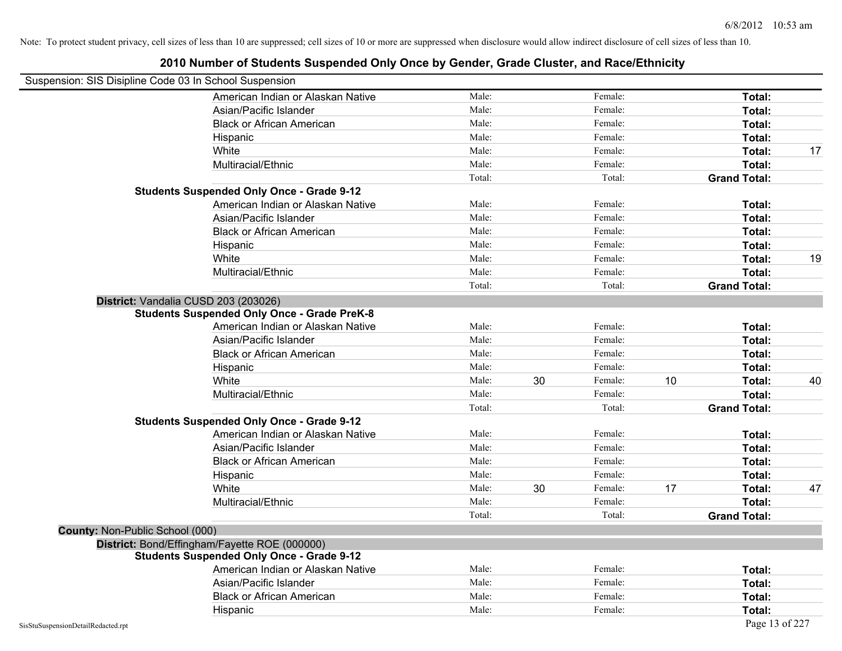## **2010 Number of Students Suspended Only Once by Gender, Grade Cluster, and Race/Ethnicity** Suspension: SIS Disipline Code 03 In School Suspension American Indian or Alaskan Native **Male:** Male: Female: Female: **Total:** Total: Asian/Pacific Islander **Figure 1.1 Contained Asian** Male: Female: **Female: Total: Total: Total: Total: Total: Total: Total: Total: Total: Total: Total: Total: Total: Total: Total: Total: T** Black or African American **American** Male: Male: Female: **Female: Total: Total: Total: Female: Total: Total: Total: Total: Total: Total: Total: Total: Total: Total: Total: Total: Total:** Hispanic **Total:** Male: Female: **Total:** Female: **Total:** Total: White **Male:** Male: **Total: 17** Male: **Total: 17** Male: **Total: 17** Male: 17 Multiracial/Ethnic **Total:** Male: Female: **Total:** Female: **Total:** Female: **Total:** Female: **Total:** Female: **Total:** Female: **Total:** Female: **Total:** Female: **Total:** Female: **Total:** Female: **Total:** Female: **Total:** F Total: Total: Total: **Grand Total: Students Suspended Only Once - Grade 9-12** American Indian or Alaskan Native **Male:** Male: Female: Female: **Total:** Total: Asian/Pacific Islander **Figure 1.1 Contact Contact Contact Contact Contact Contact Contact Contact Total: Total:** Black or African American **Figure 1.1 and Total:** Male: Female: Female: **Total: Total:** Total: Hispanic **Total:** Male: Female: **Total:** Female: **Total:** Total: White **Male:** Male: **Total: 19** Male: **Total: 19** Male: **Total: 19** Male: **Total:** 19 Multiracial/Ethnic **Total:** Male: **Male:** Female: **Total: Total:** Female: **Total:** Female: **Total:** Female: **Total:** Total: Total: Total: **Grand Total: District:** Vandalia CUSD 203 (203026) **Students Suspended Only Once - Grade PreK-8** American Indian or Alaskan Native **Male:** Male: Female: Female: **Total:** Total: Asian/Pacific Islander **Figure 1.1 Contact Contact Contact Contact Contact Contact Contact Contact Contact Conta** Black or African American **American** Male: Male: Female: **Female: Total: Total: Total: Female: Total: Total: Total: Total: Total: Total: Total: Total: Total: Total: Total: Total: Total:** Hispanic **Total:** Male: Female: **Total:** Female: **Total:** Total: White **Male:** 30 Female: 10 Total: 40 Male: 30 Female: 10 Total: 40 Multiracial/Ethnic **Total:** Male: **Male:** Female: **Total: Total:** Female: **Total:** Total: Total: **Grand Total: Students Suspended Only Once - Grade 9-12** American Indian or Alaskan Native **Male:** Male: Female: Female: **Total:** Total: Asian/Pacific Islander **Figure 1.1 Contained Asian/Pacific Islander Female:** Female: **Total: Total:** Total: Black or African American **Figure 1.1 and Total:** Male: Female: Female: **Total: Total:** Total: Hispanic **Total:** Male: Female: **Total:** Female: **Total:** Total: White **Male:** 17 **Total:** 47 Male: 30 **Female: 17** Total: 47 Multiracial/Ethnic **Total:** Male: Female: **Total:** Female: **Total:** Female: **Total:** Total: Total: Total: **Grand Total: County:** Non-Public School (000) **District:** Bond/Effingham/Fayette ROE (000000) **Students Suspended Only Once - Grade 9-12** American Indian or Alaskan Native **Male:** Male: Female: Female: **Total:** Total: Asian/Pacific Islander **Figure 1.1 Contained Asian/Pacific Islander Female:** Female: **Total:** Total: Black or African American **American** Male: Male: **Female:** Female: **Total:** Total: Hispanic **Total:** Male: Female: **Total:** Female: **Total:** Total: Female: **Total:** Total: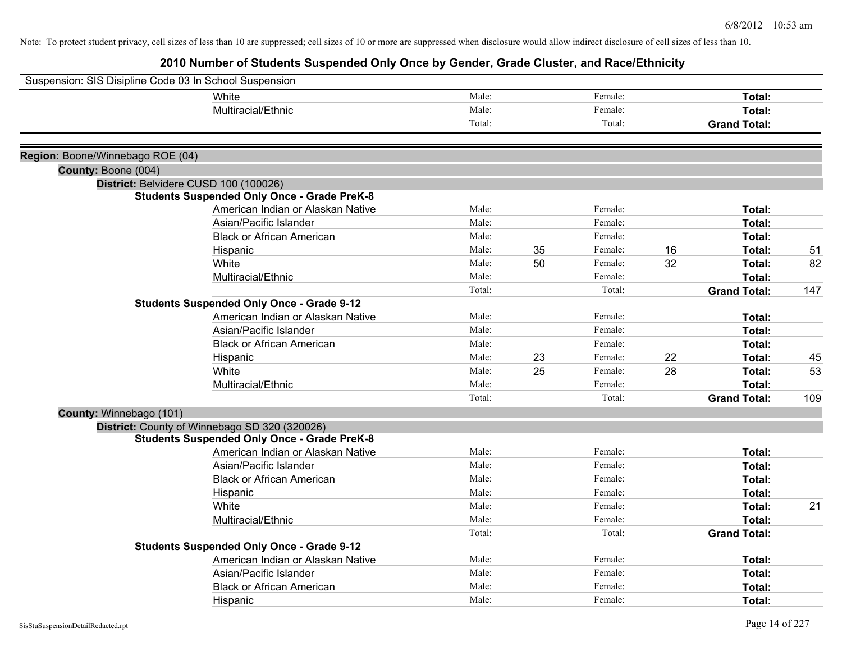|                                  | Suspension: SIS Disipline Code 03 In School Suspension |        |    |         |    |                     |     |
|----------------------------------|--------------------------------------------------------|--------|----|---------|----|---------------------|-----|
|                                  | White                                                  | Male:  |    | Female: |    | Total:              |     |
|                                  | Multiracial/Ethnic                                     | Male:  |    | Female: |    | Total:              |     |
|                                  |                                                        | Total: |    | Total:  |    | <b>Grand Total:</b> |     |
| Region: Boone/Winnebago ROE (04) |                                                        |        |    |         |    |                     |     |
| County: Boone (004)              |                                                        |        |    |         |    |                     |     |
|                                  | District: Belvidere CUSD 100 (100026)                  |        |    |         |    |                     |     |
|                                  | <b>Students Suspended Only Once - Grade PreK-8</b>     |        |    |         |    |                     |     |
|                                  | American Indian or Alaskan Native                      | Male:  |    | Female: |    | Total:              |     |
|                                  | Asian/Pacific Islander                                 | Male:  |    | Female: |    | Total:              |     |
|                                  | <b>Black or African American</b>                       | Male:  |    | Female: |    | Total:              |     |
|                                  | Hispanic                                               | Male:  | 35 | Female: | 16 | Total:              | 51  |
|                                  | White                                                  | Male:  | 50 | Female: | 32 | Total:              | 82  |
|                                  | Multiracial/Ethnic                                     | Male:  |    | Female: |    | Total:              |     |
|                                  |                                                        | Total: |    | Total:  |    | <b>Grand Total:</b> | 147 |
|                                  | <b>Students Suspended Only Once - Grade 9-12</b>       |        |    |         |    |                     |     |
|                                  | American Indian or Alaskan Native                      | Male:  |    | Female: |    | Total:              |     |
|                                  | Asian/Pacific Islander                                 | Male:  |    | Female: |    | Total:              |     |
|                                  | <b>Black or African American</b>                       | Male:  |    | Female: |    | Total:              |     |
|                                  | Hispanic                                               | Male:  | 23 | Female: | 22 | Total:              | 45  |
|                                  | White                                                  | Male:  | 25 | Female: | 28 | Total:              | 53  |
|                                  | Multiracial/Ethnic                                     | Male:  |    | Female: |    | Total:              |     |
|                                  |                                                        | Total: |    | Total:  |    | <b>Grand Total:</b> | 109 |
| County: Winnebago (101)          |                                                        |        |    |         |    |                     |     |
|                                  | District: County of Winnebago SD 320 (320026)          |        |    |         |    |                     |     |
|                                  | <b>Students Suspended Only Once - Grade PreK-8</b>     |        |    |         |    |                     |     |
|                                  | American Indian or Alaskan Native                      | Male:  |    | Female: |    | Total:              |     |
|                                  | Asian/Pacific Islander                                 | Male:  |    | Female: |    | Total:              |     |
|                                  | <b>Black or African American</b>                       | Male:  |    | Female: |    | Total:              |     |
|                                  | Hispanic                                               | Male:  |    | Female: |    | Total:              |     |
|                                  | White                                                  | Male:  |    | Female: |    | Total:              | 21  |
|                                  | Multiracial/Ethnic                                     | Male:  |    | Female: |    | Total:              |     |
|                                  |                                                        | Total: |    | Total:  |    | <b>Grand Total:</b> |     |
|                                  | <b>Students Suspended Only Once - Grade 9-12</b>       |        |    |         |    |                     |     |
|                                  | American Indian or Alaskan Native                      | Male:  |    | Female: |    | Total:              |     |
|                                  | Asian/Pacific Islander                                 | Male:  |    | Female: |    | Total:              |     |
|                                  | <b>Black or African American</b>                       | Male:  |    | Female: |    | Total:              |     |
|                                  | Hispanic                                               | Male:  |    | Female: |    | Total:              |     |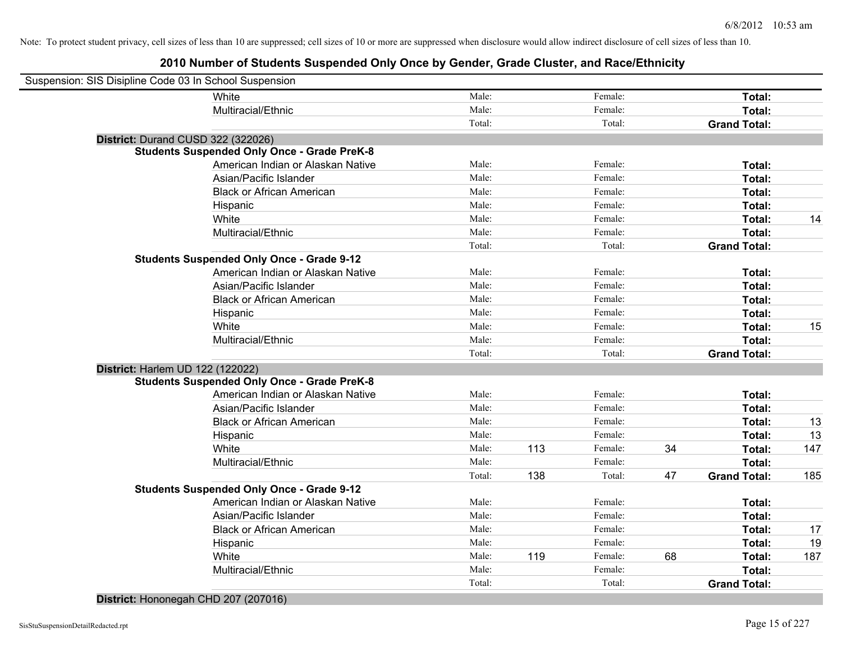## **2010 Number of Students Suspended Only Once by Gender, Grade Cluster, and Race/Ethnicity**

| Suspension: SIS Disipline Code 03 In School Suspension |                                                    |        |     |         |    |                     |     |
|--------------------------------------------------------|----------------------------------------------------|--------|-----|---------|----|---------------------|-----|
|                                                        | White                                              | Male:  |     | Female: |    | Total:              |     |
|                                                        | Multiracial/Ethnic                                 | Male:  |     | Female: |    | Total:              |     |
|                                                        |                                                    | Total: |     | Total:  |    | <b>Grand Total:</b> |     |
|                                                        | District: Durand CUSD 322 (322026)                 |        |     |         |    |                     |     |
|                                                        | <b>Students Suspended Only Once - Grade PreK-8</b> |        |     |         |    |                     |     |
|                                                        | American Indian or Alaskan Native                  | Male:  |     | Female: |    | Total:              |     |
|                                                        | Asian/Pacific Islander                             | Male:  |     | Female: |    | Total:              |     |
|                                                        | <b>Black or African American</b>                   | Male:  |     | Female: |    | Total:              |     |
|                                                        | Hispanic                                           | Male:  |     | Female: |    | Total:              |     |
|                                                        | White                                              | Male:  |     | Female: |    | Total:              | 14  |
|                                                        | Multiracial/Ethnic                                 | Male:  |     | Female: |    | Total:              |     |
|                                                        |                                                    | Total: |     | Total:  |    | <b>Grand Total:</b> |     |
|                                                        | <b>Students Suspended Only Once - Grade 9-12</b>   |        |     |         |    |                     |     |
|                                                        | American Indian or Alaskan Native                  | Male:  |     | Female: |    | Total:              |     |
|                                                        | Asian/Pacific Islander                             | Male:  |     | Female: |    | Total:              |     |
|                                                        | <b>Black or African American</b>                   | Male:  |     | Female: |    | Total:              |     |
|                                                        | Hispanic                                           | Male:  |     | Female: |    | Total:              |     |
|                                                        | White                                              | Male:  |     | Female: |    | Total:              | 15  |
|                                                        | Multiracial/Ethnic                                 | Male:  |     | Female: |    | Total:              |     |
|                                                        |                                                    | Total: |     | Total:  |    | <b>Grand Total:</b> |     |
| <b>District: Harlem UD 122 (122022)</b>                |                                                    |        |     |         |    |                     |     |
|                                                        | <b>Students Suspended Only Once - Grade PreK-8</b> |        |     |         |    |                     |     |
|                                                        | American Indian or Alaskan Native                  | Male:  |     | Female: |    | Total:              |     |
|                                                        | Asian/Pacific Islander                             | Male:  |     | Female: |    | Total:              |     |
|                                                        | <b>Black or African American</b>                   | Male:  |     | Female: |    | Total:              | 13  |
|                                                        | Hispanic                                           | Male:  |     | Female: |    | Total:              | 13  |
|                                                        | White                                              | Male:  | 113 | Female: | 34 | Total:              | 147 |
|                                                        | Multiracial/Ethnic                                 | Male:  |     | Female: |    | Total:              |     |
|                                                        |                                                    | Total: | 138 | Total:  | 47 | <b>Grand Total:</b> | 185 |
|                                                        | <b>Students Suspended Only Once - Grade 9-12</b>   |        |     |         |    |                     |     |
|                                                        | American Indian or Alaskan Native                  | Male:  |     | Female: |    | Total:              |     |
|                                                        | Asian/Pacific Islander                             | Male:  |     | Female: |    | Total:              |     |
|                                                        | <b>Black or African American</b>                   | Male:  |     | Female: |    | Total:              | 17  |
|                                                        | Hispanic                                           | Male:  |     | Female: |    | Total:              | 19  |
|                                                        | White                                              | Male:  | 119 | Female: | 68 | Total:              | 187 |
|                                                        | Multiracial/Ethnic                                 | Male:  |     | Female: |    | Total:              |     |
|                                                        |                                                    | Total: |     | Total:  |    | <b>Grand Total:</b> |     |
|                                                        |                                                    |        |     |         |    |                     |     |

#### **District:** Hononegah CHD 207 (207016)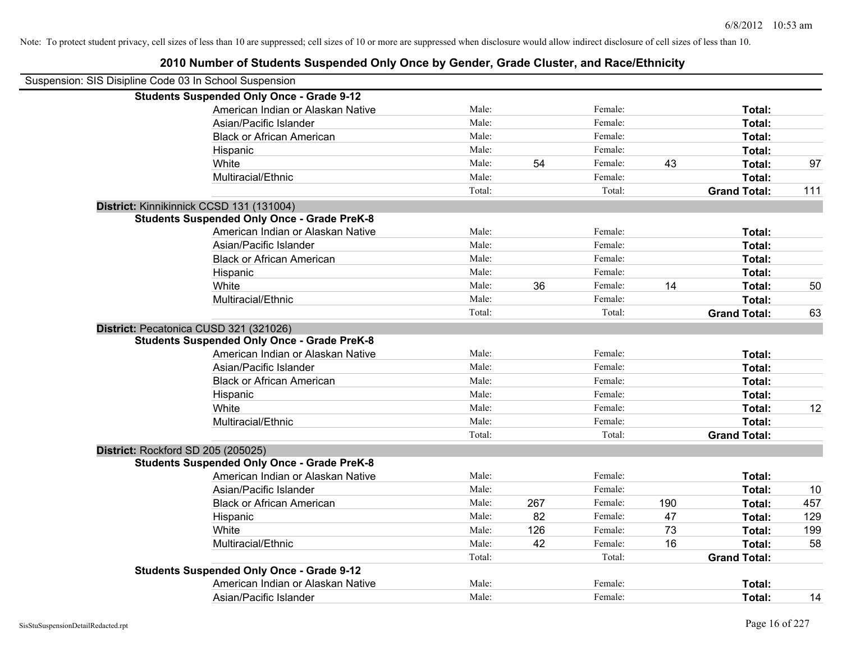| Suspension: SIS Disipline Code 03 In School Suspension |                                                    |        |     |         |     |                     |     |
|--------------------------------------------------------|----------------------------------------------------|--------|-----|---------|-----|---------------------|-----|
|                                                        | <b>Students Suspended Only Once - Grade 9-12</b>   |        |     |         |     |                     |     |
|                                                        | American Indian or Alaskan Native                  | Male:  |     | Female: |     | Total:              |     |
|                                                        | Asian/Pacific Islander                             | Male:  |     | Female: |     | <b>Total:</b>       |     |
|                                                        | <b>Black or African American</b>                   | Male:  |     | Female: |     | <b>Total:</b>       |     |
|                                                        | Hispanic                                           | Male:  |     | Female: |     | <b>Total:</b>       |     |
|                                                        | White                                              | Male:  | 54  | Female: | 43  | <b>Total:</b>       | 97  |
|                                                        | Multiracial/Ethnic                                 | Male:  |     | Female: |     | <b>Total:</b>       |     |
|                                                        |                                                    | Total: |     | Total:  |     | <b>Grand Total:</b> | 111 |
|                                                        | District: Kinnikinnick CCSD 131 (131004)           |        |     |         |     |                     |     |
|                                                        | <b>Students Suspended Only Once - Grade PreK-8</b> |        |     |         |     |                     |     |
|                                                        | American Indian or Alaskan Native                  | Male:  |     | Female: |     | Total:              |     |
|                                                        | Asian/Pacific Islander                             | Male:  |     | Female: |     | <b>Total:</b>       |     |
|                                                        | <b>Black or African American</b>                   | Male:  |     | Female: |     | Total:              |     |
|                                                        | Hispanic                                           | Male:  |     | Female: |     | Total:              |     |
|                                                        | White                                              | Male:  | 36  | Female: | 14  | <b>Total:</b>       | 50  |
|                                                        | Multiracial/Ethnic                                 | Male:  |     | Female: |     | <b>Total:</b>       |     |
|                                                        |                                                    | Total: |     | Total:  |     | <b>Grand Total:</b> | 63  |
|                                                        | District: Pecatonica CUSD 321 (321026)             |        |     |         |     |                     |     |
|                                                        | <b>Students Suspended Only Once - Grade PreK-8</b> |        |     |         |     |                     |     |
|                                                        | American Indian or Alaskan Native                  | Male:  |     | Female: |     | Total:              |     |
|                                                        | Asian/Pacific Islander                             | Male:  |     | Female: |     | <b>Total:</b>       |     |
|                                                        | <b>Black or African American</b>                   | Male:  |     | Female: |     | <b>Total:</b>       |     |
|                                                        | Hispanic                                           | Male:  |     | Female: |     | <b>Total:</b>       |     |
|                                                        | White                                              | Male:  |     | Female: |     | <b>Total:</b>       | 12  |
|                                                        | Multiracial/Ethnic                                 | Male:  |     | Female: |     | <b>Total:</b>       |     |
|                                                        |                                                    | Total: |     | Total:  |     | <b>Grand Total:</b> |     |
| District: Rockford SD 205 (205025)                     |                                                    |        |     |         |     |                     |     |
|                                                        | <b>Students Suspended Only Once - Grade PreK-8</b> |        |     |         |     |                     |     |
|                                                        | American Indian or Alaskan Native                  | Male:  |     | Female: |     | <b>Total:</b>       |     |
|                                                        | Asian/Pacific Islander                             | Male:  |     | Female: |     | <b>Total:</b>       | 10  |
|                                                        | <b>Black or African American</b>                   | Male:  | 267 | Female: | 190 | <b>Total:</b>       | 457 |
|                                                        | Hispanic                                           | Male:  | 82  | Female: | 47  | <b>Total:</b>       | 129 |
|                                                        | White                                              | Male:  | 126 | Female: | 73  | <b>Total:</b>       | 199 |
|                                                        | Multiracial/Ethnic                                 | Male:  | 42  | Female: | 16  | <b>Total:</b>       | 58  |
|                                                        |                                                    | Total: |     | Total:  |     | <b>Grand Total:</b> |     |
|                                                        | <b>Students Suspended Only Once - Grade 9-12</b>   |        |     |         |     |                     |     |
|                                                        | American Indian or Alaskan Native                  | Male:  |     | Female: |     | <b>Total:</b>       |     |
|                                                        | Asian/Pacific Islander                             | Male:  |     | Female: |     | Total:              | 14  |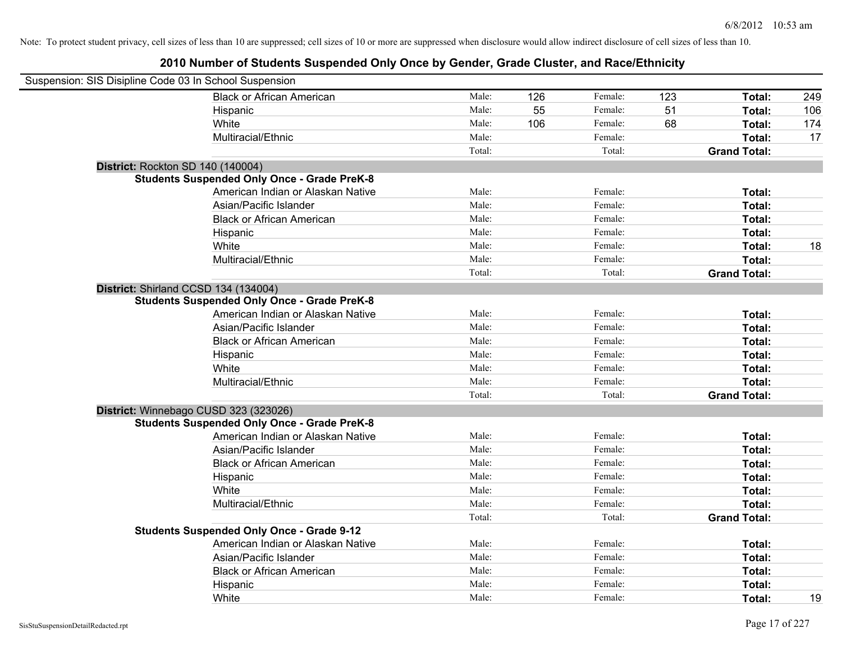| Suspension: SIS Disipline Code 03 In School Suspension |                                                    |        |     |         |     |                     |     |
|--------------------------------------------------------|----------------------------------------------------|--------|-----|---------|-----|---------------------|-----|
|                                                        | <b>Black or African American</b>                   | Male:  | 126 | Female: | 123 | Total:              | 249 |
|                                                        | Hispanic                                           | Male:  | 55  | Female: | 51  | Total:              | 106 |
|                                                        | White                                              | Male:  | 106 | Female: | 68  | Total:              | 174 |
|                                                        | Multiracial/Ethnic                                 | Male:  |     | Female: |     | Total:              | 17  |
|                                                        |                                                    | Total: |     | Total:  |     | <b>Grand Total:</b> |     |
| <b>District: Rockton SD 140 (140004)</b>               |                                                    |        |     |         |     |                     |     |
|                                                        | <b>Students Suspended Only Once - Grade PreK-8</b> |        |     |         |     |                     |     |
|                                                        | American Indian or Alaskan Native                  | Male:  |     | Female: |     | Total:              |     |
|                                                        | Asian/Pacific Islander                             | Male:  |     | Female: |     | Total:              |     |
|                                                        | <b>Black or African American</b>                   | Male:  |     | Female: |     | Total:              |     |
|                                                        | Hispanic                                           | Male:  |     | Female: |     | Total:              |     |
|                                                        | White                                              | Male:  |     | Female: |     | Total:              | 18  |
|                                                        | Multiracial/Ethnic                                 | Male:  |     | Female: |     | Total:              |     |
|                                                        |                                                    | Total: |     | Total:  |     | <b>Grand Total:</b> |     |
| District: Shirland CCSD 134 (134004)                   |                                                    |        |     |         |     |                     |     |
|                                                        | <b>Students Suspended Only Once - Grade PreK-8</b> |        |     |         |     |                     |     |
|                                                        | American Indian or Alaskan Native                  | Male:  |     | Female: |     | Total:              |     |
|                                                        | Asian/Pacific Islander                             | Male:  |     | Female: |     | Total:              |     |
|                                                        | <b>Black or African American</b>                   | Male:  |     | Female: |     | Total:              |     |
|                                                        | Hispanic                                           | Male:  |     | Female: |     | Total:              |     |
|                                                        | White                                              | Male:  |     | Female: |     | Total:              |     |
|                                                        | Multiracial/Ethnic                                 | Male:  |     | Female: |     | Total:              |     |
|                                                        |                                                    | Total: |     | Total:  |     | <b>Grand Total:</b> |     |
|                                                        | District: Winnebago CUSD 323 (323026)              |        |     |         |     |                     |     |
|                                                        | <b>Students Suspended Only Once - Grade PreK-8</b> |        |     |         |     |                     |     |
|                                                        | American Indian or Alaskan Native                  | Male:  |     | Female: |     | Total:              |     |
|                                                        | Asian/Pacific Islander                             | Male:  |     | Female: |     | Total:              |     |
|                                                        | <b>Black or African American</b>                   | Male:  |     | Female: |     | Total:              |     |
|                                                        | Hispanic                                           | Male:  |     | Female: |     | Total:              |     |
|                                                        | White                                              | Male:  |     | Female: |     | Total:              |     |
|                                                        | Multiracial/Ethnic                                 | Male:  |     | Female: |     | Total:              |     |
|                                                        |                                                    | Total: |     | Total:  |     | <b>Grand Total:</b> |     |
|                                                        | <b>Students Suspended Only Once - Grade 9-12</b>   |        |     |         |     |                     |     |
|                                                        | American Indian or Alaskan Native                  | Male:  |     | Female: |     | Total:              |     |
|                                                        | Asian/Pacific Islander                             | Male:  |     | Female: |     | Total:              |     |
|                                                        | <b>Black or African American</b>                   | Male:  |     | Female: |     | Total:              |     |
|                                                        | Hispanic                                           | Male:  |     | Female: |     | Total:              |     |
|                                                        | White                                              | Male:  |     | Female: |     | Total:              | 19  |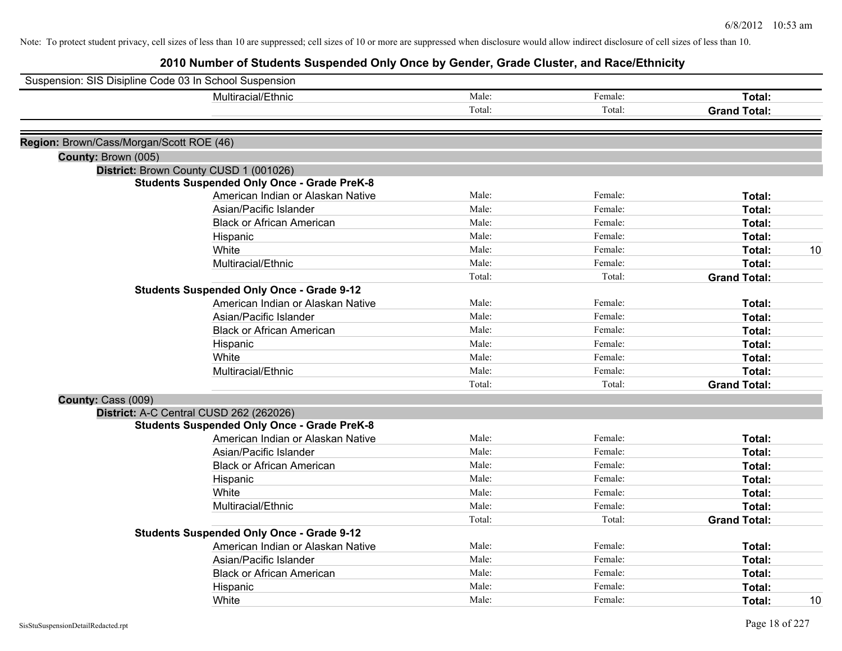| Suspension: SIS Disipline Code 03 In School Suspension        |                                                             |        |         |                     |    |
|---------------------------------------------------------------|-------------------------------------------------------------|--------|---------|---------------------|----|
|                                                               | Multiracial/Ethnic                                          | Male:  | Female: | Total:              |    |
|                                                               |                                                             | Total: | Total:  | <b>Grand Total:</b> |    |
|                                                               |                                                             |        |         |                     |    |
| Region: Brown/Cass/Morgan/Scott ROE (46)                      |                                                             |        |         |                     |    |
| County: Brown (005)                                           |                                                             |        |         |                     |    |
| District: Brown County CUSD 1 (001026)                        |                                                             |        |         |                     |    |
|                                                               | <b>Students Suspended Only Once - Grade PreK-8</b>          | Male:  | Female: |                     |    |
|                                                               | American Indian or Alaskan Native<br>Asian/Pacific Islander | Male:  | Female: | Total:<br>Total:    |    |
|                                                               | <b>Black or African American</b>                            | Male:  | Female: | Total:              |    |
|                                                               |                                                             | Male:  | Female: | Total:              |    |
| Hispanic                                                      |                                                             | Male:  | Female: |                     |    |
| White                                                         | Multiracial/Ethnic                                          | Male:  | Female: | Total:<br>Total:    | 10 |
|                                                               |                                                             | Total: | Total:  | <b>Grand Total:</b> |    |
|                                                               | <b>Students Suspended Only Once - Grade 9-12</b>            |        |         |                     |    |
|                                                               | American Indian or Alaskan Native                           | Male:  | Female: | Total:              |    |
|                                                               | Asian/Pacific Islander                                      | Male:  | Female: | Total:              |    |
|                                                               | <b>Black or African American</b>                            | Male:  | Female: | Total:              |    |
| Hispanic                                                      |                                                             | Male:  | Female: | Total:              |    |
| White                                                         |                                                             | Male:  | Female: | Total:              |    |
|                                                               | Multiracial/Ethnic                                          | Male:  | Female: | Total:              |    |
|                                                               |                                                             | Total: | Total:  | <b>Grand Total:</b> |    |
|                                                               |                                                             |        |         |                     |    |
| County: Cass (009)<br>District: A-C Central CUSD 262 (262026) |                                                             |        |         |                     |    |
|                                                               | <b>Students Suspended Only Once - Grade PreK-8</b>          |        |         |                     |    |
|                                                               | American Indian or Alaskan Native                           | Male:  | Female: | Total:              |    |
|                                                               | Asian/Pacific Islander                                      | Male:  | Female: | Total:              |    |
|                                                               | <b>Black or African American</b>                            | Male:  | Female: | Total:              |    |
| Hispanic                                                      |                                                             | Male:  | Female: | Total:              |    |
| White                                                         |                                                             | Male:  | Female: | Total:              |    |
|                                                               | Multiracial/Ethnic                                          | Male:  | Female: | Total:              |    |
|                                                               |                                                             | Total: | Total:  | <b>Grand Total:</b> |    |
|                                                               | <b>Students Suspended Only Once - Grade 9-12</b>            |        |         |                     |    |
|                                                               | American Indian or Alaskan Native                           | Male:  | Female: | Total:              |    |
|                                                               | Asian/Pacific Islander                                      | Male:  | Female: | Total:              |    |
|                                                               | <b>Black or African American</b>                            | Male:  | Female: | Total:              |    |
| Hispanic                                                      |                                                             | Male:  | Female: | Total:              |    |
| White                                                         |                                                             | Male:  | Female: | Total:              | 10 |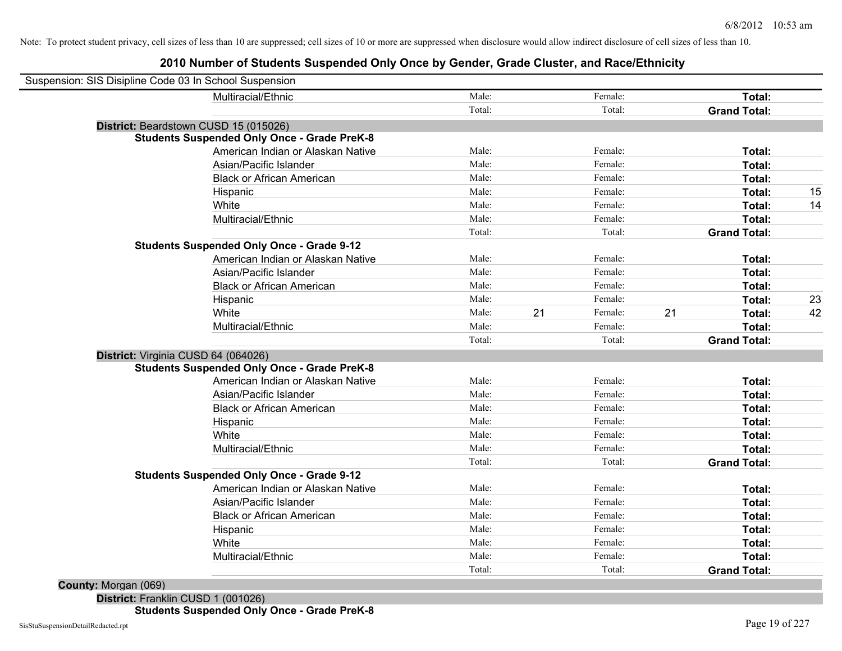## **2010 Number of Students Suspended Only Once by Gender, Grade Cluster, and Race/Ethnicity**

| Suspension: SIS Disipline Code 03 In School Suspension |                                                    |        |    |         |    |                     |    |
|--------------------------------------------------------|----------------------------------------------------|--------|----|---------|----|---------------------|----|
|                                                        | Multiracial/Ethnic                                 | Male:  |    | Female: |    | Total:              |    |
|                                                        |                                                    | Total: |    | Total:  |    | <b>Grand Total:</b> |    |
|                                                        | District: Beardstown CUSD 15 (015026)              |        |    |         |    |                     |    |
|                                                        | <b>Students Suspended Only Once - Grade PreK-8</b> |        |    |         |    |                     |    |
|                                                        | American Indian or Alaskan Native                  | Male:  |    | Female: |    | Total:              |    |
|                                                        | Asian/Pacific Islander                             | Male:  |    | Female: |    | Total:              |    |
|                                                        | <b>Black or African American</b>                   | Male:  |    | Female: |    | Total:              |    |
|                                                        | Hispanic                                           | Male:  |    | Female: |    | Total:              | 15 |
|                                                        | White                                              | Male:  |    | Female: |    | Total:              | 14 |
|                                                        | Multiracial/Ethnic                                 | Male:  |    | Female: |    | Total:              |    |
|                                                        |                                                    | Total: |    | Total:  |    | <b>Grand Total:</b> |    |
|                                                        | <b>Students Suspended Only Once - Grade 9-12</b>   |        |    |         |    |                     |    |
|                                                        | American Indian or Alaskan Native                  | Male:  |    | Female: |    | Total:              |    |
|                                                        | Asian/Pacific Islander                             | Male:  |    | Female: |    | Total:              |    |
|                                                        | <b>Black or African American</b>                   | Male:  |    | Female: |    | Total:              |    |
|                                                        | Hispanic                                           | Male:  |    | Female: |    | Total:              | 23 |
|                                                        | White                                              | Male:  | 21 | Female: | 21 | Total:              | 42 |
|                                                        | Multiracial/Ethnic                                 | Male:  |    | Female: |    | Total:              |    |
|                                                        |                                                    | Total: |    | Total:  |    | <b>Grand Total:</b> |    |
| District: Virginia CUSD 64 (064026)                    |                                                    |        |    |         |    |                     |    |
|                                                        | <b>Students Suspended Only Once - Grade PreK-8</b> |        |    |         |    |                     |    |
|                                                        | American Indian or Alaskan Native                  | Male:  |    | Female: |    | Total:              |    |
|                                                        | Asian/Pacific Islander                             | Male:  |    | Female: |    | Total:              |    |
|                                                        | <b>Black or African American</b>                   | Male:  |    | Female: |    | Total:              |    |
|                                                        | Hispanic                                           | Male:  |    | Female: |    | Total:              |    |
|                                                        | White                                              | Male:  |    | Female: |    | Total:              |    |
|                                                        | Multiracial/Ethnic                                 | Male:  |    | Female: |    | Total:              |    |
|                                                        |                                                    | Total: |    | Total:  |    | <b>Grand Total:</b> |    |
|                                                        | <b>Students Suspended Only Once - Grade 9-12</b>   |        |    |         |    |                     |    |
|                                                        | American Indian or Alaskan Native                  | Male:  |    | Female: |    | Total:              |    |
|                                                        | Asian/Pacific Islander                             | Male:  |    | Female: |    | Total:              |    |
|                                                        | <b>Black or African American</b>                   | Male:  |    | Female: |    | Total:              |    |
|                                                        | Hispanic                                           | Male:  |    | Female: |    | Total:              |    |
|                                                        | White                                              | Male:  |    | Female: |    | Total:              |    |
|                                                        | Multiracial/Ethnic                                 | Male:  |    | Female: |    | <b>Total:</b>       |    |
|                                                        |                                                    | Total: |    | Total:  |    | <b>Grand Total:</b> |    |
|                                                        |                                                    |        |    |         |    |                     |    |

**County:** Morgan (069)

**District:** Franklin CUSD 1 (001026) **Students Suspended Only Once - Grade PreK-8**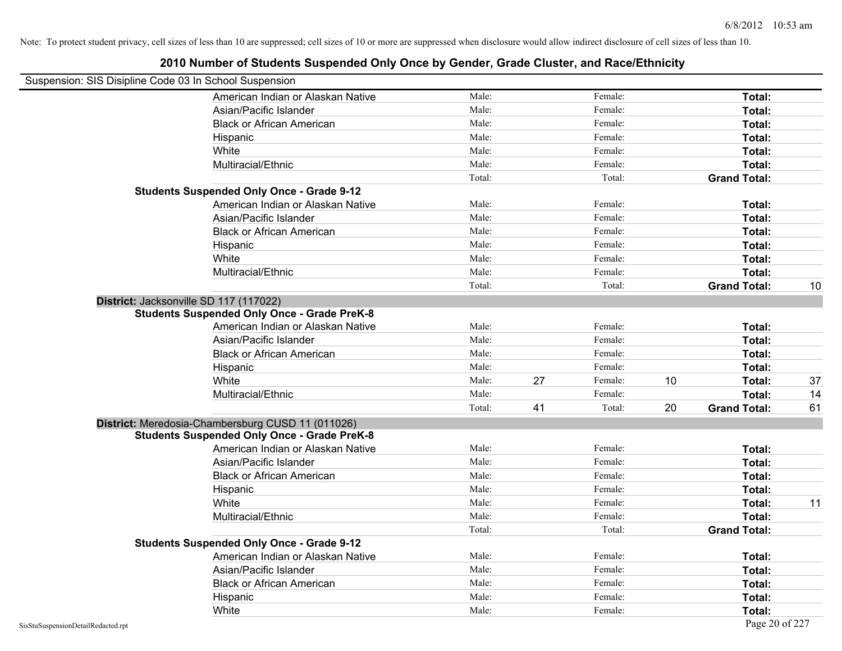## Suspension: SIS Disipline Code 03 In School Suspension American Indian or Alaskan Native **Male:** Male: Female: Female: **Total:** Total: Asian/Pacific Islander **Figure 1.1 Contained Asian** Male: Female: **Female: Total: Total: Total: Total: Total: Total: Total: Total: Total: Total: Total: Total: Total: Total: Total: Total: T** Black or African American **American** Male: Male: Female: **Female: Total: Total: Total: Female: Total: Total: Total: Total: Total: Total: Total: Total: Total: Total: Total: Total: Total:** Hispanic **Total:** Male: Female: **Total:** Female: **Total:** Total: **Total:** Female: **Total:** Total: **Total:** Total: **Total:** Total: **Total:** Total: **Total:** Total: **Total:** Total: **Total:** Total: **Total:** Total: **Total:** Tot White **Total:** Male: Female: **Total:** Female: **Total:** Total: Multiracial/Ethnic **Total:** Male: Female: **Total:** Female: **Total:** Female: **Total:** Female: **Total:** Female: **Total:** Female: **Total:** Female: **Total:** Female: **Total:** Female: **Total:** Female: **Total:** Female: **Total:** F Total: Total: Total: **Grand Total: Students Suspended Only Once - Grade 9-12** American Indian or Alaskan Native **Male:** Male: Female: Female: **Total:** Total: Asian/Pacific Islander **Figure 1.1 Contact Contact Contact Contact Contact Contact Contact Contact Total: Total:** Black or African American **Figure 1.1 and Total:** Male: Female: Female: **Total: Total:** Total: Hispanic **Total:** Male: Female: **Total:** Female: **Total:** Total: **Total:** Female: **Total:** Total: **Total:** Total: **Total:** Total: **Total:** Total: **Total:** Total: **Total:** Total: **Total:** Total: **Total:** Total: **Total:** Tot White **Total:** Male: Female: **Total:** Female: **Total:** Total: Multiracial/Ethnic **Total:** Male: **Male:** Female: **Total: Total:** Female: **Total:** Female: **Total:** Female: **Total:** Total: Total: Total: **Grand Total:** 10 **District:** Jacksonville SD 117 (117022) **Students Suspended Only Once - Grade PreK-8** American Indian or Alaskan Native **Male:** Male: Female: Female: **Total:** Total: Asian/Pacific Islander **Figure 1.1 Contact Contact Contact Contact Contact Contact Contact Contact Contact Conta** Black or African American **American** Male: Male: Female: **Female: Total: Total: Total: Female: Total: Total: Total: Total: Total: Total: Total: Total: Total: Total: Total: Total: Total:** Hispanic **Total:** Male: Female: **Total:** Female: **Total:** Total: White **Male:** 27 Female: 10 Total: 37 Server 37 Multiracial/Ethnic **Male:** Male: Female: **Total: 14** and the Male: **Total:** 14 Total: 41 Total: 20 **Grand Total:** 61 **District:** Meredosia-Chambersburg CUSD 11 (011026) **Students Suspended Only Once - Grade PreK-8** American Indian or Alaskan Native **Male:** Male: Female: Female: **Total:** Total: Asian/Pacific Islander **Figure 1.1 Contact Contact Contact Contact Contact Contact Contact Contact Contact Contact Contact Contact Contact Contact Contact Contact Contact Contact Contact Contact Contact Contact Contact Con** Black or African American **Male:** Male: Female: Female: **Total:** Total: **Total:** Female: **Female:** Total: Total: **Female:** Total: Total: Total: Total: Total: Total: Total: Total: Total: Total: Total: Total: Total: Total: T Hispanic **Total:** Male: Female: **Total:** Female: **Total:** Total: **Total:** Female: **Total:** Total: **Total:** Total: **Total:** Total: **Total:** Total: **Total:** Total: **Total:** Total: **Total:** Total: **Total:** Total: **Total:** Tot White **Male:** Male: **Total: 11** Male: **Total: 11** Male: **Total: 11** Male: 11 Multiracial/Ethnic **Total:** Male: Male: Female: **Total:** Total: Total: Total: **Grand Total: Students Suspended Only Once - Grade 9-12** American Indian or Alaskan Native **Male:** Male: Female: Female: **Total:** Total: Asian/Pacific Islander **Figure 1.1 Contained Asian** Male: Female: **Female: Total: Total: Total: Total: Total: Total: Total: Total: Total: Total: Total: Total: Total: Total: Total: Total: T** Black or African American **Figure 1.1 and Total:** Male: Female: Female: **Total:** Total: Hispanic **Total:** Male: Female: **Total:** Female: **Total:** Total: **Total:** Female: **Total:** Total: **Total:** Total: **Total:** Total: **Total:** Total: **Total:** Total: **Total:** Total: **Total:** Total: **Total:** Total: **Total:** Tot White **Total:** Male: Female: **Total:** Female: **Total:** Total: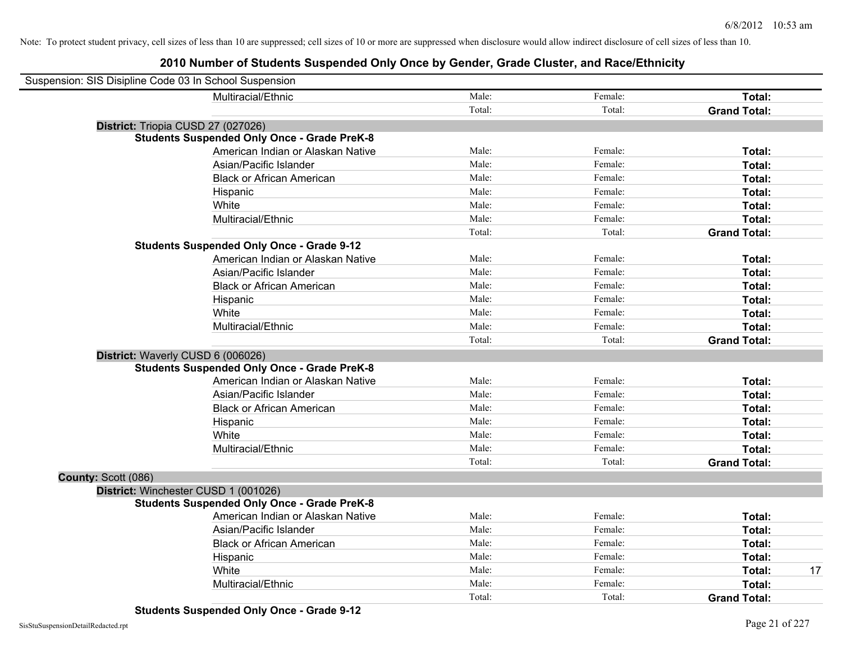| Suspension: SIS Disipline Code 03 In School Suspension |        |         |                     |
|--------------------------------------------------------|--------|---------|---------------------|
| Multiracial/Ethnic                                     | Male:  | Female: | Total:              |
|                                                        | Total: | Total:  | <b>Grand Total:</b> |
| District: Triopia CUSD 27 (027026)                     |        |         |                     |
| <b>Students Suspended Only Once - Grade PreK-8</b>     |        |         |                     |
| American Indian or Alaskan Native                      | Male:  | Female: | Total:              |
| Asian/Pacific Islander                                 | Male:  | Female: | Total:              |
| <b>Black or African American</b>                       | Male:  | Female: | Total:              |
| Hispanic                                               | Male:  | Female: | Total:              |
| White                                                  | Male:  | Female: | Total:              |
| Multiracial/Ethnic                                     | Male:  | Female: | Total:              |
|                                                        | Total: | Total:  | <b>Grand Total:</b> |
| <b>Students Suspended Only Once - Grade 9-12</b>       |        |         |                     |
| American Indian or Alaskan Native                      | Male:  | Female: | Total:              |
| Asian/Pacific Islander                                 | Male:  | Female: | Total:              |
| <b>Black or African American</b>                       | Male:  | Female: | Total:              |
| Hispanic                                               | Male:  | Female: | Total:              |
| White                                                  | Male:  | Female: | Total:              |
| Multiracial/Ethnic                                     | Male:  | Female: | Total:              |
|                                                        | Total: | Total:  | <b>Grand Total:</b> |
| District: Waverly CUSD 6 (006026)                      |        |         |                     |
| <b>Students Suspended Only Once - Grade PreK-8</b>     |        |         |                     |
| American Indian or Alaskan Native                      | Male:  | Female: | Total:              |
| Asian/Pacific Islander                                 | Male:  | Female: | Total:              |
| <b>Black or African American</b>                       | Male:  | Female: | Total:              |
| Hispanic                                               | Male:  | Female: | Total:              |
| White                                                  | Male:  | Female: | Total:              |
| Multiracial/Ethnic                                     | Male:  | Female: | Total:              |
|                                                        | Total: | Total:  | <b>Grand Total:</b> |
| County: Scott (086)                                    |        |         |                     |
| District: Winchester CUSD 1 (001026)                   |        |         |                     |
| <b>Students Suspended Only Once - Grade PreK-8</b>     |        |         |                     |
| American Indian or Alaskan Native                      | Male:  | Female: | Total:              |
| Asian/Pacific Islander                                 | Male:  | Female: | Total:              |
| <b>Black or African American</b>                       | Male:  | Female: | Total:              |
| Hispanic                                               | Male:  | Female: | Total:              |
| White                                                  | Male:  | Female: | 17<br>Total:        |
| Multiracial/Ethnic                                     | Male:  | Female: | Total:              |
|                                                        | Total: | Total:  | <b>Grand Total:</b> |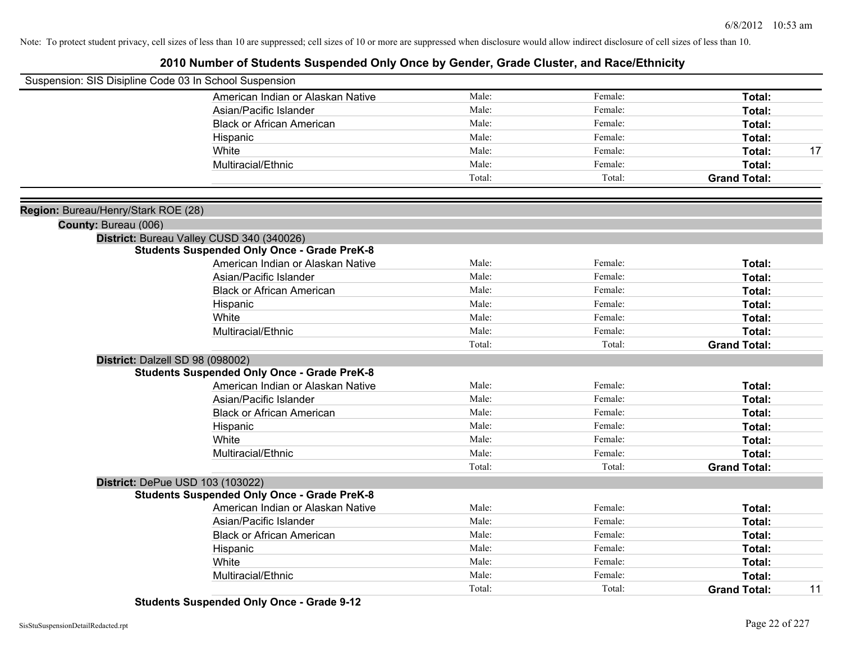| Suspension: SIS Disipline Code 03 In School Suspension |                                                    |        |         |                     |    |
|--------------------------------------------------------|----------------------------------------------------|--------|---------|---------------------|----|
|                                                        | American Indian or Alaskan Native                  | Male:  | Female: | Total:              |    |
|                                                        | Asian/Pacific Islander                             | Male:  | Female: | Total:              |    |
|                                                        | <b>Black or African American</b>                   | Male:  | Female: | Total:              |    |
|                                                        | Hispanic                                           | Male:  | Female: | Total:              |    |
|                                                        | White                                              | Male:  | Female: | Total:              | 17 |
|                                                        | Multiracial/Ethnic                                 | Male:  | Female: | Total:              |    |
|                                                        |                                                    | Total: | Total:  | <b>Grand Total:</b> |    |
|                                                        |                                                    |        |         |                     |    |
| Region: Bureau/Henry/Stark ROE (28)                    |                                                    |        |         |                     |    |
| County: Bureau (006)                                   |                                                    |        |         |                     |    |
|                                                        | District: Bureau Valley CUSD 340 (340026)          |        |         |                     |    |
|                                                        | <b>Students Suspended Only Once - Grade PreK-8</b> |        |         |                     |    |
|                                                        | American Indian or Alaskan Native                  | Male:  | Female: | Total:              |    |
|                                                        | Asian/Pacific Islander                             | Male:  | Female: | Total:              |    |
|                                                        | <b>Black or African American</b>                   | Male:  | Female: | Total:              |    |
|                                                        | Hispanic                                           | Male:  | Female: | Total:              |    |
|                                                        | White                                              | Male:  | Female: | Total:              |    |
|                                                        | Multiracial/Ethnic                                 | Male:  | Female: | Total:              |    |
|                                                        |                                                    | Total: | Total:  | <b>Grand Total:</b> |    |
| District: Dalzell SD 98 (098002)                       |                                                    |        |         |                     |    |
|                                                        | <b>Students Suspended Only Once - Grade PreK-8</b> |        |         |                     |    |
|                                                        | American Indian or Alaskan Native                  | Male:  | Female: | Total:              |    |
|                                                        | Asian/Pacific Islander                             | Male:  | Female: | Total:              |    |
|                                                        | <b>Black or African American</b>                   | Male:  | Female: | Total:              |    |
|                                                        | Hispanic                                           | Male:  | Female: | Total:              |    |
|                                                        | White                                              | Male:  | Female: | Total:              |    |
|                                                        | Multiracial/Ethnic                                 | Male:  | Female: | Total:              |    |
|                                                        |                                                    | Total: | Total:  | <b>Grand Total:</b> |    |
|                                                        | District: DePue USD 103 (103022)                   |        |         |                     |    |
|                                                        | <b>Students Suspended Only Once - Grade PreK-8</b> |        |         |                     |    |
|                                                        | American Indian or Alaskan Native                  | Male:  | Female: | Total:              |    |
|                                                        | Asian/Pacific Islander                             | Male:  | Female: | Total:              |    |
|                                                        | <b>Black or African American</b>                   | Male:  | Female: | Total:              |    |
|                                                        | Hispanic                                           | Male:  | Female: | Total:              |    |
|                                                        | White                                              | Male:  | Female: | Total:              |    |
|                                                        | Multiracial/Ethnic                                 | Male:  | Female: | Total:              |    |
|                                                        |                                                    | Total: | Total:  | <b>Grand Total:</b> | 11 |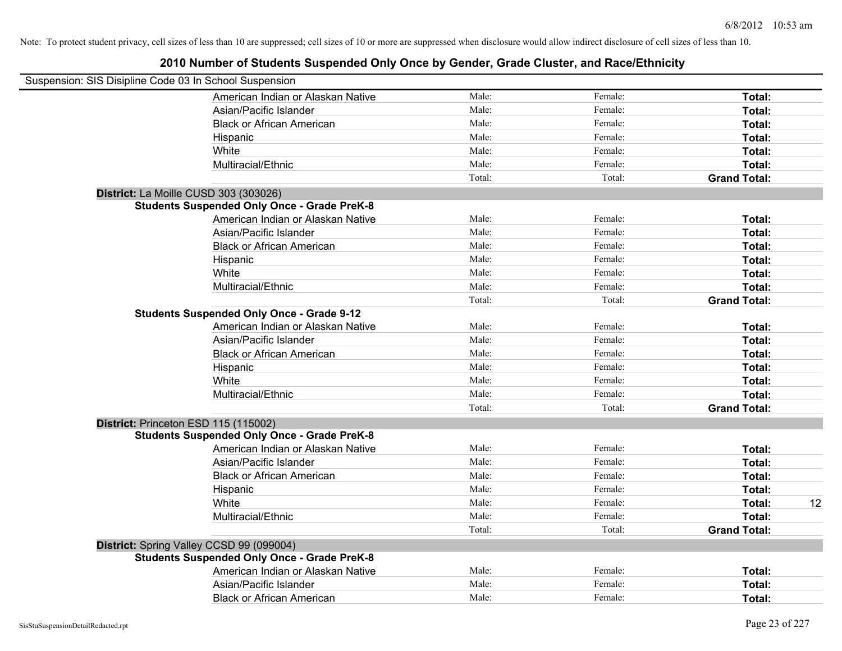| Suspension: SIS Disipline Code 03 In School Suspension |        |         |                     |    |
|--------------------------------------------------------|--------|---------|---------------------|----|
| American Indian or Alaskan Native                      | Male:  | Female: | Total:              |    |
| Asian/Pacific Islander                                 | Male:  | Female: | Total:              |    |
| <b>Black or African American</b>                       | Male:  | Female: | Total:              |    |
| Hispanic                                               | Male:  | Female: | Total:              |    |
| White                                                  | Male:  | Female: | Total:              |    |
| Multiracial/Ethnic                                     | Male:  | Female: | Total:              |    |
|                                                        | Total: | Total:  | <b>Grand Total:</b> |    |
| District: La Moille CUSD 303 (303026)                  |        |         |                     |    |
| <b>Students Suspended Only Once - Grade PreK-8</b>     |        |         |                     |    |
| American Indian or Alaskan Native                      | Male:  | Female: | Total:              |    |
| Asian/Pacific Islander                                 | Male:  | Female: | Total:              |    |
| <b>Black or African American</b>                       | Male:  | Female: | Total:              |    |
| Hispanic                                               | Male:  | Female: | Total:              |    |
| White                                                  | Male:  | Female: | Total:              |    |
| Multiracial/Ethnic                                     | Male:  | Female: | Total:              |    |
|                                                        | Total: | Total:  | <b>Grand Total:</b> |    |
| <b>Students Suspended Only Once - Grade 9-12</b>       |        |         |                     |    |
| American Indian or Alaskan Native                      | Male:  | Female: | Total:              |    |
| Asian/Pacific Islander                                 | Male:  | Female: | Total:              |    |
| <b>Black or African American</b>                       | Male:  | Female: | Total:              |    |
| Hispanic                                               | Male:  | Female: | Total:              |    |
| White                                                  | Male:  | Female: | Total:              |    |
| Multiracial/Ethnic                                     | Male:  | Female: | Total:              |    |
|                                                        | Total: | Total:  | <b>Grand Total:</b> |    |
| District: Princeton ESD 115 (115002)                   |        |         |                     |    |
| <b>Students Suspended Only Once - Grade PreK-8</b>     |        |         |                     |    |
| American Indian or Alaskan Native                      | Male:  | Female: | Total:              |    |
| Asian/Pacific Islander                                 | Male:  | Female: | Total:              |    |
| <b>Black or African American</b>                       | Male:  | Female: | Total:              |    |
| Hispanic                                               | Male:  | Female: | Total:              |    |
| White                                                  | Male:  | Female: | Total:              | 12 |
| Multiracial/Ethnic                                     | Male:  | Female: | Total:              |    |
|                                                        | Total: | Total:  | <b>Grand Total:</b> |    |
| District: Spring Valley CCSD 99 (099004)               |        |         |                     |    |
| <b>Students Suspended Only Once - Grade PreK-8</b>     |        |         |                     |    |
| American Indian or Alaskan Native                      | Male:  | Female: | Total:              |    |
| Asian/Pacific Islander                                 | Male:  | Female: | Total:              |    |
| <b>Black or African American</b>                       | Male:  | Female: | Total:              |    |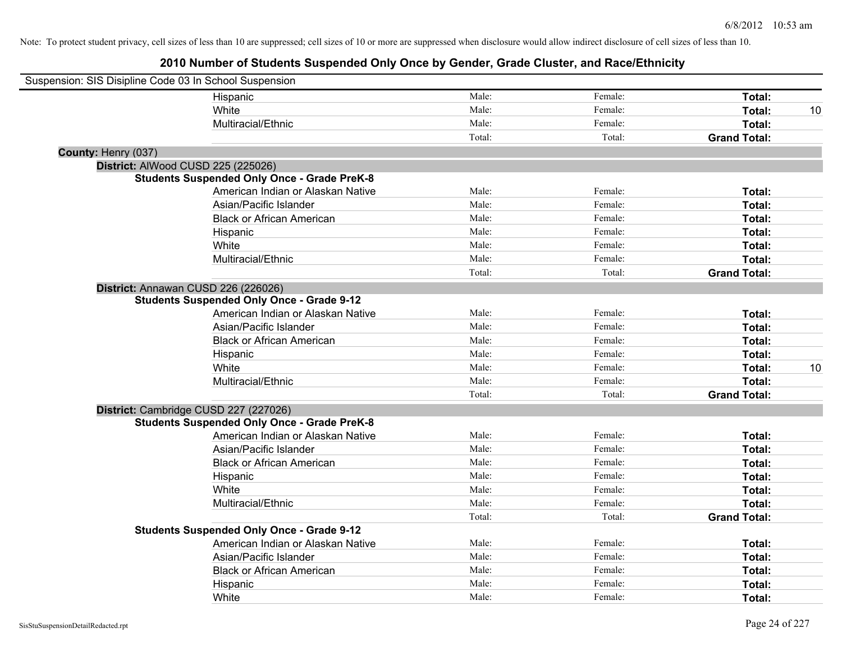| Suspension: SIS Disipline Code 03 In School Suspension |                                                    |        |         |                     |    |
|--------------------------------------------------------|----------------------------------------------------|--------|---------|---------------------|----|
|                                                        | Hispanic                                           | Male:  | Female: | Total:              |    |
|                                                        | White                                              | Male:  | Female: | Total:              | 10 |
|                                                        | Multiracial/Ethnic                                 | Male:  | Female: | Total:              |    |
|                                                        |                                                    | Total: | Total:  | <b>Grand Total:</b> |    |
| County: Henry (037)                                    |                                                    |        |         |                     |    |
| District: AlWood CUSD 225 (225026)                     |                                                    |        |         |                     |    |
|                                                        | <b>Students Suspended Only Once - Grade PreK-8</b> |        |         |                     |    |
|                                                        | American Indian or Alaskan Native                  | Male:  | Female: | Total:              |    |
|                                                        | Asian/Pacific Islander                             | Male:  | Female: | Total:              |    |
|                                                        | <b>Black or African American</b>                   | Male:  | Female: | Total:              |    |
|                                                        | Hispanic                                           | Male:  | Female: | Total:              |    |
|                                                        | White                                              | Male:  | Female: | Total:              |    |
|                                                        | Multiracial/Ethnic                                 | Male:  | Female: | Total:              |    |
|                                                        |                                                    | Total: | Total:  | <b>Grand Total:</b> |    |
|                                                        | District: Annawan CUSD 226 (226026)                |        |         |                     |    |
|                                                        | <b>Students Suspended Only Once - Grade 9-12</b>   |        |         |                     |    |
|                                                        | American Indian or Alaskan Native                  | Male:  | Female: | Total:              |    |
|                                                        | Asian/Pacific Islander                             | Male:  | Female: | Total:              |    |
|                                                        | <b>Black or African American</b>                   | Male:  | Female: | Total:              |    |
|                                                        | Hispanic                                           | Male:  | Female: | Total:              |    |
|                                                        | White                                              | Male:  | Female: | Total:              | 10 |
|                                                        | Multiracial/Ethnic                                 | Male:  | Female: | Total:              |    |
|                                                        |                                                    | Total: | Total:  | <b>Grand Total:</b> |    |
|                                                        | District: Cambridge CUSD 227 (227026)              |        |         |                     |    |
|                                                        | <b>Students Suspended Only Once - Grade PreK-8</b> |        |         |                     |    |
|                                                        | American Indian or Alaskan Native                  | Male:  | Female: | Total:              |    |
|                                                        | Asian/Pacific Islander                             | Male:  | Female: | Total:              |    |
|                                                        | <b>Black or African American</b>                   | Male:  | Female: | Total:              |    |
|                                                        | Hispanic                                           | Male:  | Female: | Total:              |    |
|                                                        | White                                              | Male:  | Female: | Total:              |    |
|                                                        | Multiracial/Ethnic                                 | Male:  | Female: | Total:              |    |
|                                                        |                                                    | Total: | Total:  | <b>Grand Total:</b> |    |
|                                                        | <b>Students Suspended Only Once - Grade 9-12</b>   |        |         |                     |    |
|                                                        | American Indian or Alaskan Native                  | Male:  | Female: | Total:              |    |
|                                                        | Asian/Pacific Islander                             | Male:  | Female: | Total:              |    |
|                                                        | <b>Black or African American</b>                   | Male:  | Female: | Total:              |    |
|                                                        | Hispanic                                           | Male:  | Female: | Total:              |    |
|                                                        | White                                              | Male:  | Female: | Total:              |    |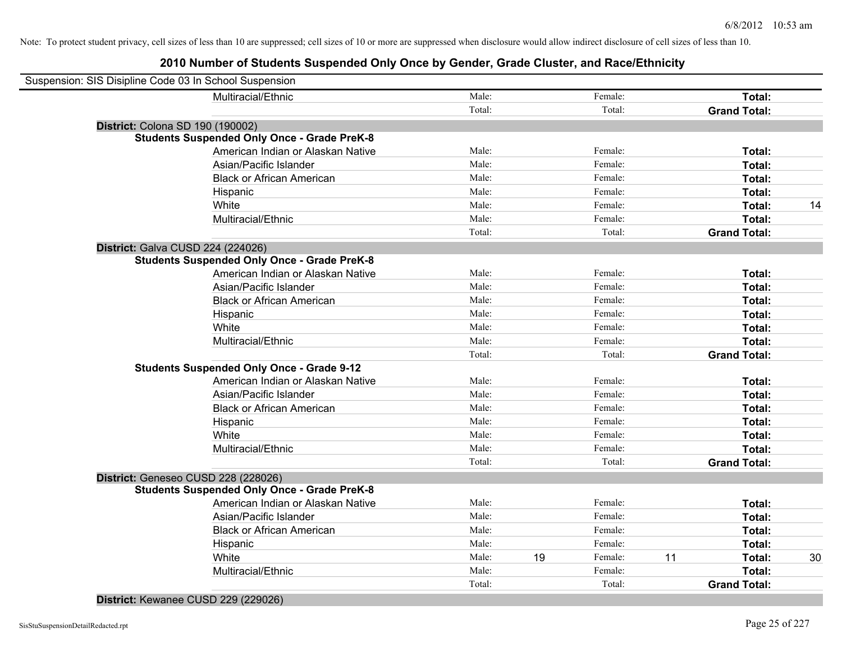## **2010 Number of Students Suspended Only Once by Gender, Grade Cluster, and Race/Ethnicity**

| Suspension: SIS Disipline Code 03 In School Suspension |                                                    |        |               |                     |    |
|--------------------------------------------------------|----------------------------------------------------|--------|---------------|---------------------|----|
|                                                        | Multiracial/Ethnic                                 | Male:  | Female:       | Total:              |    |
|                                                        |                                                    | Total: | Total:        | <b>Grand Total:</b> |    |
|                                                        | District: Colona SD 190 (190002)                   |        |               |                     |    |
|                                                        | <b>Students Suspended Only Once - Grade PreK-8</b> |        |               |                     |    |
|                                                        | American Indian or Alaskan Native                  | Male:  | Female:       | Total:              |    |
|                                                        | Asian/Pacific Islander                             | Male:  | Female:       | Total:              |    |
|                                                        | <b>Black or African American</b>                   | Male:  | Female:       | Total:              |    |
|                                                        | Hispanic                                           | Male:  | Female:       | Total:              |    |
|                                                        | White                                              | Male:  | Female:       | Total:              | 14 |
|                                                        | Multiracial/Ethnic                                 | Male:  | Female:       | Total:              |    |
|                                                        |                                                    | Total: | Total:        | <b>Grand Total:</b> |    |
|                                                        | District: Galva CUSD 224 (224026)                  |        |               |                     |    |
|                                                        | <b>Students Suspended Only Once - Grade PreK-8</b> |        |               |                     |    |
|                                                        | American Indian or Alaskan Native                  | Male:  | Female:       | Total:              |    |
|                                                        | Asian/Pacific Islander                             | Male:  | Female:       | Total:              |    |
|                                                        | <b>Black or African American</b>                   | Male:  | Female:       | Total:              |    |
|                                                        | Hispanic                                           | Male:  | Female:       | Total:              |    |
|                                                        | White                                              | Male:  | Female:       | Total:              |    |
|                                                        | Multiracial/Ethnic                                 | Male:  | Female:       | Total:              |    |
|                                                        |                                                    | Total: | Total:        | <b>Grand Total:</b> |    |
|                                                        | <b>Students Suspended Only Once - Grade 9-12</b>   |        |               |                     |    |
|                                                        | American Indian or Alaskan Native                  | Male:  | Female:       | Total:              |    |
|                                                        | Asian/Pacific Islander                             | Male:  | Female:       | Total:              |    |
|                                                        | <b>Black or African American</b>                   | Male:  | Female:       | Total:              |    |
|                                                        | Hispanic                                           | Male:  | Female:       | Total:              |    |
|                                                        | White                                              | Male:  | Female:       | Total:              |    |
|                                                        | Multiracial/Ethnic                                 | Male:  | Female:       | Total:              |    |
|                                                        |                                                    | Total: | Total:        | <b>Grand Total:</b> |    |
|                                                        | District: Geneseo CUSD 228 (228026)                |        |               |                     |    |
|                                                        | <b>Students Suspended Only Once - Grade PreK-8</b> |        |               |                     |    |
|                                                        | American Indian or Alaskan Native                  | Male:  | Female:       | Total:              |    |
|                                                        | Asian/Pacific Islander                             | Male:  | Female:       | Total:              |    |
|                                                        | <b>Black or African American</b>                   | Male:  | Female:       | Total:              |    |
|                                                        | Hispanic                                           | Male:  | Female:       | Total:              |    |
|                                                        | White                                              | Male:  | 19<br>Female: | 11<br>Total:        | 30 |
|                                                        | Multiracial/Ethnic                                 | Male:  | Female:       | Total:              |    |
|                                                        |                                                    | Total: | Total:        | <b>Grand Total:</b> |    |
|                                                        |                                                    |        |               |                     |    |

**District:** Kewanee CUSD 229 (229026)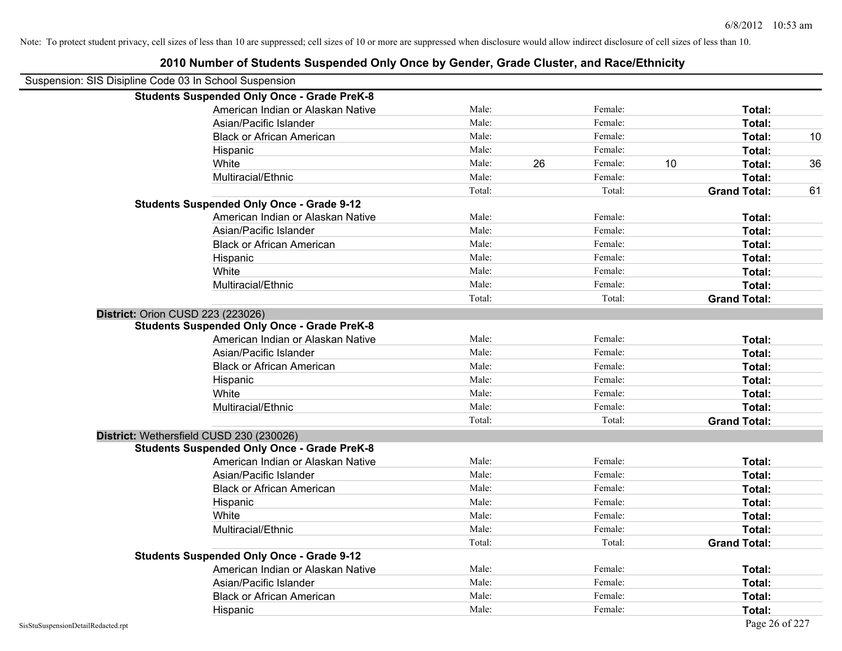| Suspension: SIS Disipline Code 03 In School Suspension |                                                    |        |    |         |    |                     |    |
|--------------------------------------------------------|----------------------------------------------------|--------|----|---------|----|---------------------|----|
|                                                        | <b>Students Suspended Only Once - Grade PreK-8</b> |        |    |         |    |                     |    |
|                                                        | American Indian or Alaskan Native                  | Male:  |    | Female: |    | Total:              |    |
|                                                        | Asian/Pacific Islander                             | Male:  |    | Female: |    | Total:              |    |
|                                                        | <b>Black or African American</b>                   | Male:  |    | Female: |    | Total:              | 10 |
|                                                        | Hispanic                                           | Male:  |    | Female: |    | Total:              |    |
|                                                        | White                                              | Male:  | 26 | Female: | 10 | Total:              | 36 |
|                                                        | Multiracial/Ethnic                                 | Male:  |    | Female: |    | Total:              |    |
|                                                        |                                                    | Total: |    | Total:  |    | <b>Grand Total:</b> | 61 |
|                                                        | <b>Students Suspended Only Once - Grade 9-12</b>   |        |    |         |    |                     |    |
|                                                        | American Indian or Alaskan Native                  | Male:  |    | Female: |    | Total:              |    |
|                                                        | Asian/Pacific Islander                             | Male:  |    | Female: |    | Total:              |    |
|                                                        | <b>Black or African American</b>                   | Male:  |    | Female: |    | Total:              |    |
|                                                        | Hispanic                                           | Male:  |    | Female: |    | Total:              |    |
|                                                        | White                                              | Male:  |    | Female: |    | Total:              |    |
|                                                        | Multiracial/Ethnic                                 | Male:  |    | Female: |    | Total:              |    |
|                                                        |                                                    | Total: |    | Total:  |    | <b>Grand Total:</b> |    |
| District: Orion CUSD 223 (223026)                      |                                                    |        |    |         |    |                     |    |
|                                                        | <b>Students Suspended Only Once - Grade PreK-8</b> |        |    |         |    |                     |    |
|                                                        | American Indian or Alaskan Native                  | Male:  |    | Female: |    | Total:              |    |
|                                                        | Asian/Pacific Islander                             | Male:  |    | Female: |    | Total:              |    |
|                                                        | <b>Black or African American</b>                   | Male:  |    | Female: |    | Total:              |    |
|                                                        | Hispanic                                           | Male:  |    | Female: |    | Total:              |    |
|                                                        | White                                              | Male:  |    | Female: |    | Total:              |    |
|                                                        | Multiracial/Ethnic                                 | Male:  |    | Female: |    | Total:              |    |
|                                                        |                                                    | Total: |    | Total:  |    | <b>Grand Total:</b> |    |
|                                                        | District: Wethersfield CUSD 230 (230026)           |        |    |         |    |                     |    |
|                                                        | <b>Students Suspended Only Once - Grade PreK-8</b> |        |    |         |    |                     |    |
|                                                        | American Indian or Alaskan Native                  | Male:  |    | Female: |    | Total:              |    |
|                                                        | Asian/Pacific Islander                             | Male:  |    | Female: |    | Total:              |    |
|                                                        | <b>Black or African American</b>                   | Male:  |    | Female: |    | Total:              |    |
|                                                        | Hispanic                                           | Male:  |    | Female: |    | Total:              |    |
|                                                        | White                                              | Male:  |    | Female: |    | Total:              |    |
|                                                        | Multiracial/Ethnic                                 | Male:  |    | Female: |    | Total:              |    |
|                                                        |                                                    | Total: |    | Total:  |    | <b>Grand Total:</b> |    |
|                                                        | <b>Students Suspended Only Once - Grade 9-12</b>   |        |    |         |    |                     |    |
|                                                        | American Indian or Alaskan Native                  | Male:  |    | Female: |    | Total:              |    |
|                                                        | Asian/Pacific Islander                             | Male:  |    | Female: |    | Total:              |    |
|                                                        | <b>Black or African American</b>                   | Male:  |    | Female: |    | Total:              |    |
|                                                        | Hispanic                                           | Male:  |    | Female: |    | Total:              |    |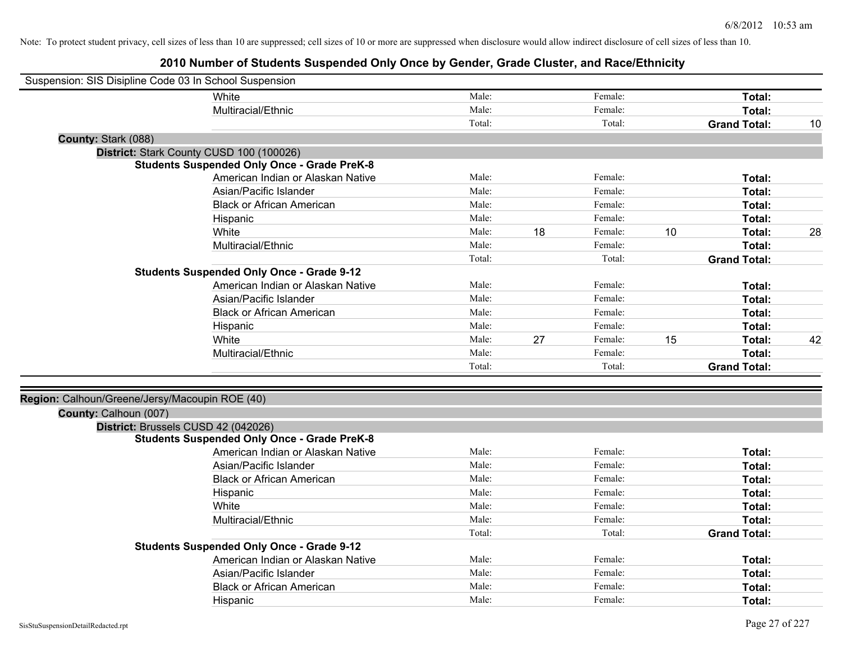| Suspension: SIS Disipline Code 03 In School Suspension |                                                    |        |    |         |    |                     |    |
|--------------------------------------------------------|----------------------------------------------------|--------|----|---------|----|---------------------|----|
|                                                        | White                                              | Male:  |    | Female: |    | Total:              |    |
|                                                        | Multiracial/Ethnic                                 | Male:  |    | Female: |    | Total:              |    |
|                                                        |                                                    | Total: |    | Total:  |    | <b>Grand Total:</b> | 10 |
| County: Stark (088)                                    |                                                    |        |    |         |    |                     |    |
|                                                        | District: Stark County CUSD 100 (100026)           |        |    |         |    |                     |    |
|                                                        | <b>Students Suspended Only Once - Grade PreK-8</b> |        |    |         |    |                     |    |
|                                                        | American Indian or Alaskan Native                  | Male:  |    | Female: |    | Total:              |    |
|                                                        | Asian/Pacific Islander                             | Male:  |    | Female: |    | Total:              |    |
|                                                        | <b>Black or African American</b>                   | Male:  |    | Female: |    | Total:              |    |
|                                                        | Hispanic                                           | Male:  |    | Female: |    | Total:              |    |
|                                                        | White                                              | Male:  | 18 | Female: | 10 | Total:              | 28 |
|                                                        | Multiracial/Ethnic                                 | Male:  |    | Female: |    | Total:              |    |
|                                                        |                                                    | Total: |    | Total:  |    | <b>Grand Total:</b> |    |
|                                                        | <b>Students Suspended Only Once - Grade 9-12</b>   |        |    |         |    |                     |    |
|                                                        | American Indian or Alaskan Native                  | Male:  |    | Female: |    | Total:              |    |
|                                                        | Asian/Pacific Islander                             | Male:  |    | Female: |    | Total:              |    |
|                                                        | <b>Black or African American</b>                   | Male:  |    | Female: |    | Total:              |    |
|                                                        | Hispanic                                           | Male:  |    | Female: |    | Total:              |    |
|                                                        | White                                              | Male:  | 27 | Female: | 15 | Total:              | 42 |
|                                                        | Multiracial/Ethnic                                 | Male:  |    | Female: |    | Total:              |    |
|                                                        |                                                    | Total: |    | Total:  |    | <b>Grand Total:</b> |    |
|                                                        |                                                    |        |    |         |    |                     |    |
| Region: Calhoun/Greene/Jersy/Macoupin ROE (40)         |                                                    |        |    |         |    |                     |    |
| County: Calhoun (007)                                  |                                                    |        |    |         |    |                     |    |
|                                                        | District: Brussels CUSD 42 (042026)                |        |    |         |    |                     |    |
|                                                        | <b>Students Suspended Only Once - Grade PreK-8</b> |        |    |         |    |                     |    |
|                                                        | American Indian or Alaskan Native                  | Male:  |    | Female: |    | Total:              |    |
|                                                        | Asian/Pacific Islander                             | Male:  |    | Female: |    | Total:              |    |
|                                                        | <b>Black or African American</b>                   | Male:  |    | Female: |    | Total:              |    |
|                                                        | Hispanic                                           | Male:  |    | Female: |    | Total:              |    |
|                                                        | White                                              | Male:  |    | Female: |    | Total:              |    |
|                                                        | Multiracial/Ethnic                                 | Male:  |    | Female: |    | Total:              |    |
|                                                        |                                                    | Total: |    | Total:  |    | <b>Grand Total:</b> |    |
|                                                        | <b>Students Suspended Only Once - Grade 9-12</b>   |        |    |         |    |                     |    |
|                                                        | American Indian or Alaskan Native                  | Male:  |    | Female: |    | Total:              |    |
|                                                        | Asian/Pacific Islander                             | Male:  |    | Female: |    | Total:              |    |
|                                                        | <b>Black or African American</b>                   | Male:  |    | Female: |    | <b>Total:</b>       |    |
|                                                        | Hispanic                                           | Male:  |    | Female: |    | Total:              |    |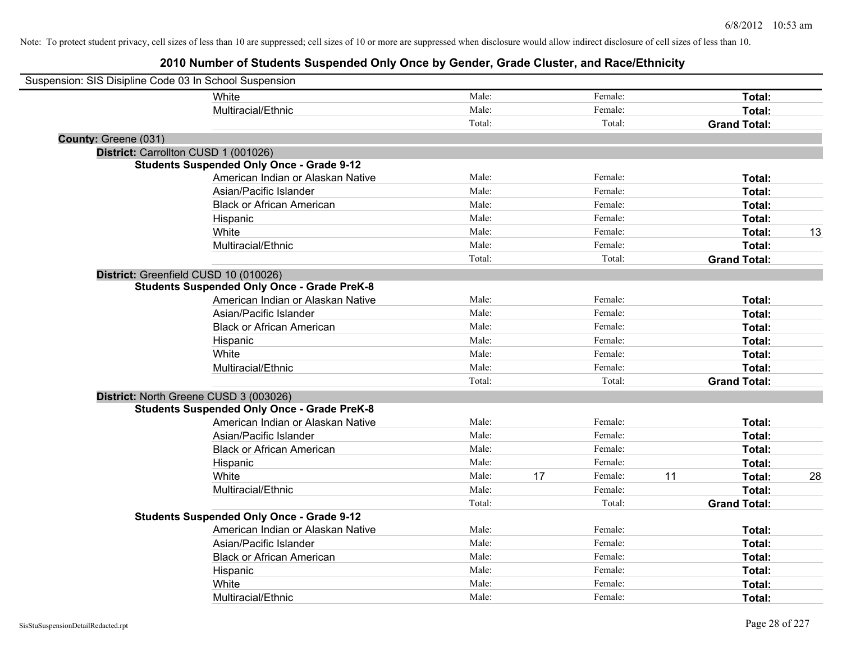| Suspension: SIS Disipline Code 03 In School Suspension |                                                    |        |    |         |    |                     |    |
|--------------------------------------------------------|----------------------------------------------------|--------|----|---------|----|---------------------|----|
|                                                        | White                                              | Male:  |    | Female: |    | Total:              |    |
|                                                        | Multiracial/Ethnic                                 | Male:  |    | Female: |    | Total:              |    |
|                                                        |                                                    | Total: |    | Total:  |    | <b>Grand Total:</b> |    |
| County: Greene (031)                                   |                                                    |        |    |         |    |                     |    |
| District: Carrollton CUSD 1 (001026)                   |                                                    |        |    |         |    |                     |    |
|                                                        | <b>Students Suspended Only Once - Grade 9-12</b>   |        |    |         |    |                     |    |
|                                                        | American Indian or Alaskan Native                  | Male:  |    | Female: |    | Total:              |    |
|                                                        | Asian/Pacific Islander                             | Male:  |    | Female: |    | Total:              |    |
|                                                        | <b>Black or African American</b>                   | Male:  |    | Female: |    | Total:              |    |
|                                                        | Hispanic                                           | Male:  |    | Female: |    | Total:              |    |
|                                                        | White                                              | Male:  |    | Female: |    | Total:              | 13 |
|                                                        | Multiracial/Ethnic                                 | Male:  |    | Female: |    | Total:              |    |
|                                                        |                                                    | Total: |    | Total:  |    | <b>Grand Total:</b> |    |
| District: Greenfield CUSD 10 (010026)                  |                                                    |        |    |         |    |                     |    |
|                                                        | <b>Students Suspended Only Once - Grade PreK-8</b> |        |    |         |    |                     |    |
|                                                        | American Indian or Alaskan Native                  | Male:  |    | Female: |    | Total:              |    |
|                                                        | Asian/Pacific Islander                             | Male:  |    | Female: |    | Total:              |    |
|                                                        | <b>Black or African American</b>                   | Male:  |    | Female: |    | Total:              |    |
|                                                        | Hispanic                                           | Male:  |    | Female: |    | Total:              |    |
|                                                        | White                                              | Male:  |    | Female: |    | Total:              |    |
|                                                        | Multiracial/Ethnic                                 | Male:  |    | Female: |    | <b>Total:</b>       |    |
|                                                        |                                                    | Total: |    | Total:  |    | <b>Grand Total:</b> |    |
|                                                        | District: North Greene CUSD 3 (003026)             |        |    |         |    |                     |    |
|                                                        | <b>Students Suspended Only Once - Grade PreK-8</b> |        |    |         |    |                     |    |
|                                                        | American Indian or Alaskan Native                  | Male:  |    | Female: |    | Total:              |    |
|                                                        | Asian/Pacific Islander                             | Male:  |    | Female: |    | Total:              |    |
|                                                        | <b>Black or African American</b>                   | Male:  |    | Female: |    | Total:              |    |
|                                                        | Hispanic                                           | Male:  |    | Female: |    | Total:              |    |
|                                                        | White                                              | Male:  | 17 | Female: | 11 | Total:              | 28 |
|                                                        | Multiracial/Ethnic                                 | Male:  |    | Female: |    | <b>Total:</b>       |    |
|                                                        |                                                    | Total: |    | Total:  |    | <b>Grand Total:</b> |    |
|                                                        | <b>Students Suspended Only Once - Grade 9-12</b>   |        |    |         |    |                     |    |
|                                                        | American Indian or Alaskan Native                  | Male:  |    | Female: |    | Total:              |    |
|                                                        | Asian/Pacific Islander                             | Male:  |    | Female: |    | Total:              |    |
|                                                        | <b>Black or African American</b>                   | Male:  |    | Female: |    | Total:              |    |
|                                                        | Hispanic                                           | Male:  |    | Female: |    | Total:              |    |
|                                                        | White                                              | Male:  |    | Female: |    | Total:              |    |
|                                                        | Multiracial/Ethnic                                 | Male:  |    | Female: |    | Total:              |    |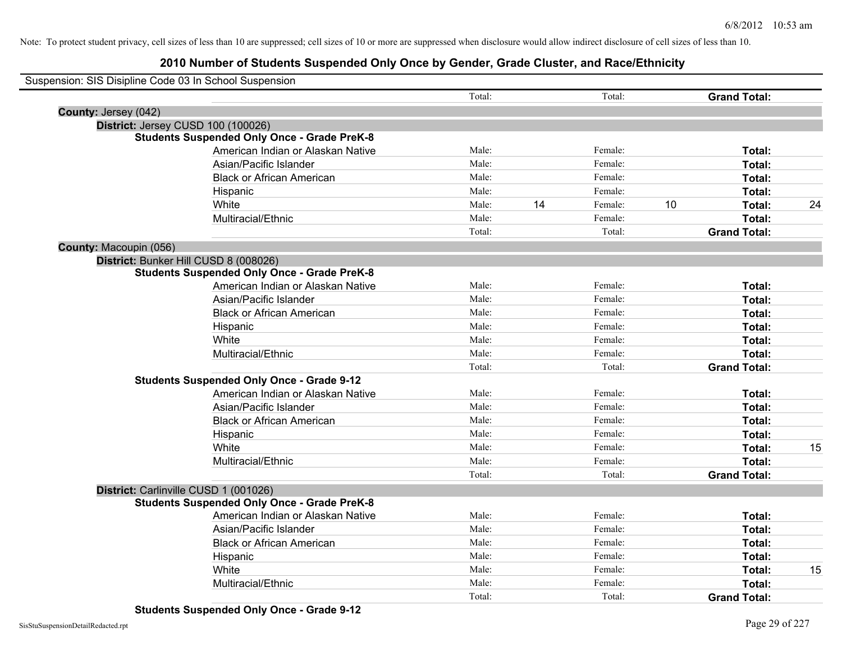## **2010 Number of Students Suspended Only Once by Gender, Grade Cluster, and Race/Ethnicity**

| Suspension: SIS Disipline Code 03 In School Suspension |                                                    |        |    |         |    |                     |    |
|--------------------------------------------------------|----------------------------------------------------|--------|----|---------|----|---------------------|----|
|                                                        |                                                    | Total: |    | Total:  |    | <b>Grand Total:</b> |    |
| County: Jersey (042)                                   |                                                    |        |    |         |    |                     |    |
|                                                        | District: Jersey CUSD 100 (100026)                 |        |    |         |    |                     |    |
|                                                        | <b>Students Suspended Only Once - Grade PreK-8</b> |        |    |         |    |                     |    |
|                                                        | American Indian or Alaskan Native                  | Male:  |    | Female: |    | Total:              |    |
|                                                        | Asian/Pacific Islander                             | Male:  |    | Female: |    | Total:              |    |
|                                                        | <b>Black or African American</b>                   | Male:  |    | Female: |    | Total:              |    |
|                                                        | Hispanic                                           | Male:  |    | Female: |    | Total:              |    |
|                                                        | White                                              | Male:  | 14 | Female: | 10 | Total:              | 24 |
|                                                        | Multiracial/Ethnic                                 | Male:  |    | Female: |    | Total:              |    |
|                                                        |                                                    | Total: |    | Total:  |    | <b>Grand Total:</b> |    |
| County: Macoupin (056)                                 |                                                    |        |    |         |    |                     |    |
|                                                        | District: Bunker Hill CUSD 8 (008026)              |        |    |         |    |                     |    |
|                                                        | <b>Students Suspended Only Once - Grade PreK-8</b> |        |    |         |    |                     |    |
|                                                        | American Indian or Alaskan Native                  | Male:  |    | Female: |    | Total:              |    |
|                                                        | Asian/Pacific Islander                             | Male:  |    | Female: |    | Total:              |    |
|                                                        | <b>Black or African American</b>                   | Male:  |    | Female: |    | Total:              |    |
|                                                        | Hispanic                                           | Male:  |    | Female: |    | Total:              |    |
|                                                        | White                                              | Male:  |    | Female: |    | Total:              |    |
|                                                        | Multiracial/Ethnic                                 | Male:  |    | Female: |    | Total:              |    |
|                                                        |                                                    | Total: |    | Total:  |    | <b>Grand Total:</b> |    |
|                                                        | <b>Students Suspended Only Once - Grade 9-12</b>   |        |    |         |    |                     |    |
|                                                        | American Indian or Alaskan Native                  | Male:  |    | Female: |    | Total:              |    |
|                                                        | Asian/Pacific Islander                             | Male:  |    | Female: |    | Total:              |    |
|                                                        | <b>Black or African American</b>                   | Male:  |    | Female: |    | Total:              |    |
|                                                        | Hispanic                                           | Male:  |    | Female: |    | Total:              |    |
|                                                        | White                                              | Male:  |    | Female: |    | Total:              | 15 |
|                                                        | Multiracial/Ethnic                                 | Male:  |    | Female: |    | Total:              |    |
|                                                        |                                                    | Total: |    | Total:  |    | <b>Grand Total:</b> |    |
|                                                        | District: Carlinville CUSD 1 (001026)              |        |    |         |    |                     |    |
|                                                        | <b>Students Suspended Only Once - Grade PreK-8</b> |        |    |         |    |                     |    |
|                                                        | American Indian or Alaskan Native                  | Male:  |    | Female: |    | Total:              |    |
|                                                        | Asian/Pacific Islander                             | Male:  |    | Female: |    | Total:              |    |
|                                                        | <b>Black or African American</b>                   | Male:  |    | Female: |    | Total:              |    |
|                                                        | Hispanic                                           | Male:  |    | Female: |    | Total:              |    |
|                                                        | White                                              | Male:  |    | Female: |    | Total:              | 15 |
|                                                        | Multiracial/Ethnic                                 | Male:  |    | Female: |    | Total:              |    |
|                                                        |                                                    | Total: |    | Total:  |    | <b>Grand Total:</b> |    |

**Students Suspended Only Once - Grade 9-12**

 $\overline{\phantom{0}}$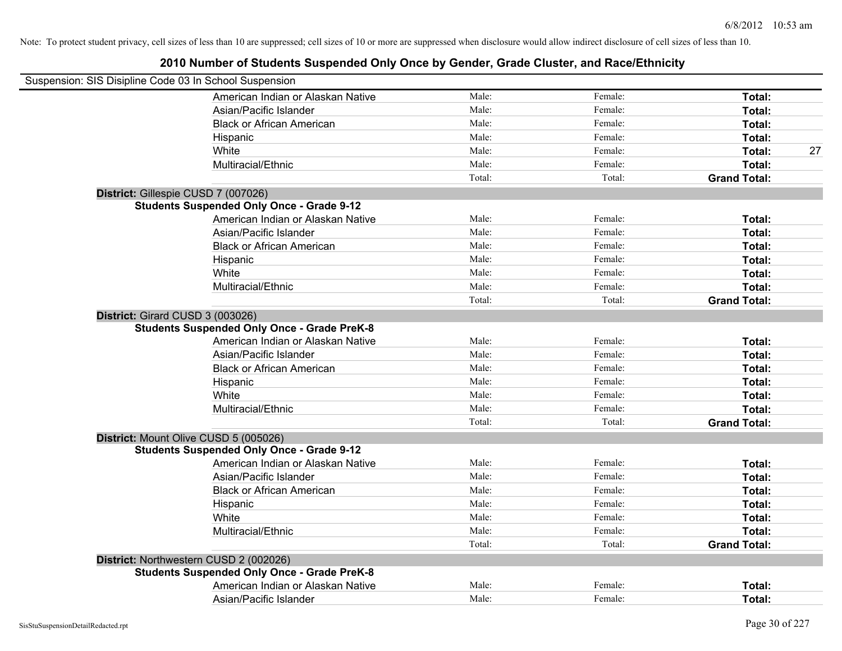| Suspension: SIS Disipline Code 03 In School Suspension |                                                    |                |                    |                     |
|--------------------------------------------------------|----------------------------------------------------|----------------|--------------------|---------------------|
|                                                        | American Indian or Alaskan Native                  | Male:          | Female:            | Total:              |
|                                                        | Asian/Pacific Islander                             | Male:          | Female:            | Total:              |
|                                                        | <b>Black or African American</b>                   | Male:          | Female:            | Total:              |
|                                                        | Hispanic                                           | Male:          | Female:            | Total:              |
|                                                        | White                                              | Male:          | Female:            | Total:<br>27        |
|                                                        | Multiracial/Ethnic                                 | Male:          | Female:            | Total:              |
|                                                        |                                                    | Total:         | Total:             | <b>Grand Total:</b> |
| District: Gillespie CUSD 7 (007026)                    |                                                    |                |                    |                     |
|                                                        | <b>Students Suspended Only Once - Grade 9-12</b>   |                |                    |                     |
|                                                        | American Indian or Alaskan Native                  | Male:          | Female:            | Total:              |
|                                                        | Asian/Pacific Islander                             | Male:          | Female:            | Total:              |
|                                                        | <b>Black or African American</b>                   | Male:          | Female:            | Total:              |
|                                                        | Hispanic                                           | Male:          | Female:            | Total:              |
|                                                        | White                                              | Male:          | Female:            | Total:              |
|                                                        | Multiracial/Ethnic                                 | Male:          | Female:            | Total:              |
|                                                        |                                                    | Total:         | Total:             | <b>Grand Total:</b> |
| District: Girard CUSD 3 (003026)                       | <b>Students Suspended Only Once - Grade PreK-8</b> |                |                    |                     |
|                                                        | American Indian or Alaskan Native                  | Male:<br>Male: | Female:<br>Female: | Total:              |
|                                                        | Asian/Pacific Islander                             | Male:          | Female:            | Total:              |
|                                                        | <b>Black or African American</b>                   | Male:          | Female:            | Total:<br>Total:    |
|                                                        | Hispanic                                           | Male:          | Female:            |                     |
|                                                        | White<br>Multiracial/Ethnic                        | Male:          | Female:            | Total:<br>Total:    |
|                                                        |                                                    | Total:         | Total:             |                     |
|                                                        |                                                    |                |                    | <b>Grand Total:</b> |
| District: Mount Olive CUSD 5 (005026)                  | <b>Students Suspended Only Once - Grade 9-12</b>   |                |                    |                     |
|                                                        | American Indian or Alaskan Native                  | Male:          | Female:            | Total:              |
|                                                        | Asian/Pacific Islander                             | Male:          | Female:            | Total:              |
|                                                        | <b>Black or African American</b>                   | Male:          | Female:            | Total:              |
|                                                        | Hispanic                                           | Male:          | Female:            | Total:              |
|                                                        | White                                              | Male:          | Female:            | Total:              |
|                                                        | Multiracial/Ethnic                                 | Male:          | Female:            | Total:              |
|                                                        |                                                    | Total:         | Total:             | <b>Grand Total:</b> |
| District: Northwestern CUSD 2 (002026)                 |                                                    |                |                    |                     |
|                                                        | <b>Students Suspended Only Once - Grade PreK-8</b> |                |                    |                     |
|                                                        | American Indian or Alaskan Native                  | Male:          | Female:            | Total:              |
|                                                        | Asian/Pacific Islander                             | Male:          | Female:            | Total:              |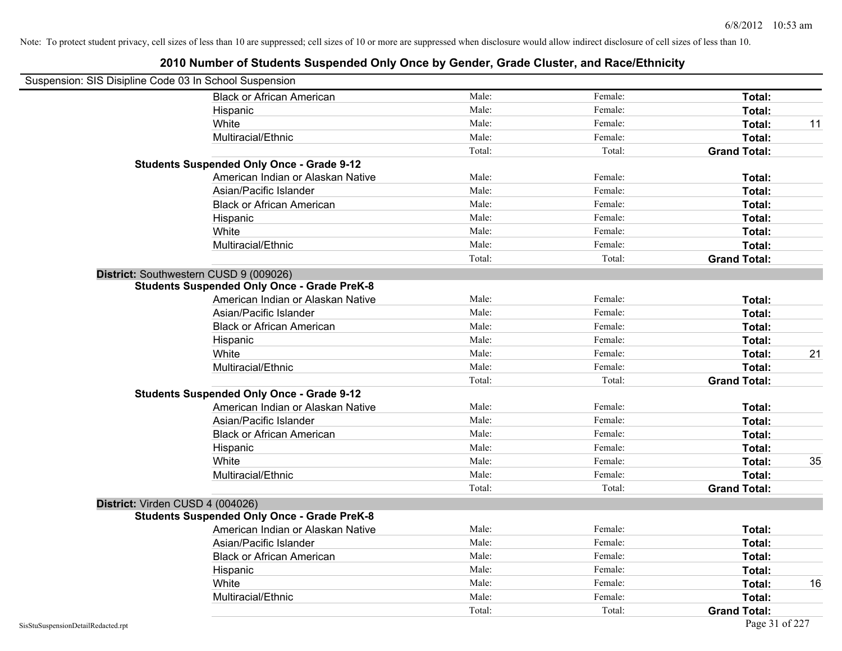| Suspension: SIS Disipline Code 03 In School Suspension |                                                    |        |         |                     |    |
|--------------------------------------------------------|----------------------------------------------------|--------|---------|---------------------|----|
|                                                        | <b>Black or African American</b>                   | Male:  | Female: | Total:              |    |
|                                                        | Hispanic                                           | Male:  | Female: | Total:              |    |
|                                                        | White                                              | Male:  | Female: | Total:              | 11 |
|                                                        | Multiracial/Ethnic                                 | Male:  | Female: | Total:              |    |
|                                                        |                                                    | Total: | Total:  | <b>Grand Total:</b> |    |
|                                                        | <b>Students Suspended Only Once - Grade 9-12</b>   |        |         |                     |    |
|                                                        | American Indian or Alaskan Native                  | Male:  | Female: | Total:              |    |
|                                                        | Asian/Pacific Islander                             | Male:  | Female: | Total:              |    |
|                                                        | <b>Black or African American</b>                   | Male:  | Female: | Total:              |    |
|                                                        | Hispanic                                           | Male:  | Female: | Total:              |    |
|                                                        | White                                              | Male:  | Female: | Total:              |    |
|                                                        | Multiracial/Ethnic                                 | Male:  | Female: | Total:              |    |
|                                                        |                                                    | Total: | Total:  | <b>Grand Total:</b> |    |
| District: Southwestern CUSD 9 (009026)                 |                                                    |        |         |                     |    |
|                                                        | <b>Students Suspended Only Once - Grade PreK-8</b> |        |         |                     |    |
|                                                        | American Indian or Alaskan Native                  | Male:  | Female: | Total:              |    |
|                                                        | Asian/Pacific Islander                             | Male:  | Female: | Total:              |    |
|                                                        | <b>Black or African American</b>                   | Male:  | Female: | Total:              |    |
|                                                        | Hispanic                                           | Male:  | Female: | Total:              |    |
|                                                        | White                                              | Male:  | Female: | Total:              | 21 |
|                                                        | Multiracial/Ethnic                                 | Male:  | Female: | Total:              |    |
|                                                        |                                                    | Total: | Total:  | <b>Grand Total:</b> |    |
|                                                        | <b>Students Suspended Only Once - Grade 9-12</b>   |        |         |                     |    |
|                                                        | American Indian or Alaskan Native                  | Male:  | Female: | Total:              |    |
|                                                        | Asian/Pacific Islander                             | Male:  | Female: | Total:              |    |
|                                                        | <b>Black or African American</b>                   | Male:  | Female: | Total:              |    |
|                                                        | Hispanic                                           | Male:  | Female: | Total:              |    |
|                                                        | White                                              | Male:  | Female: | Total:              | 35 |
|                                                        | Multiracial/Ethnic                                 | Male:  | Female: | Total:              |    |
|                                                        |                                                    | Total: | Total:  | <b>Grand Total:</b> |    |
| District: Virden CUSD 4 (004026)                       |                                                    |        |         |                     |    |
|                                                        | <b>Students Suspended Only Once - Grade PreK-8</b> |        |         |                     |    |
|                                                        | American Indian or Alaskan Native                  | Male:  | Female: | Total:              |    |
|                                                        | Asian/Pacific Islander                             | Male:  | Female: | Total:              |    |
|                                                        | <b>Black or African American</b>                   | Male:  | Female: | Total:              |    |
|                                                        | Hispanic                                           | Male:  | Female: | Total:              |    |
|                                                        | White                                              | Male:  | Female: | Total:              | 16 |
|                                                        | Multiracial/Ethnic                                 | Male:  | Female: | Total:              |    |
|                                                        |                                                    | Total: | Total:  | <b>Grand Total:</b> |    |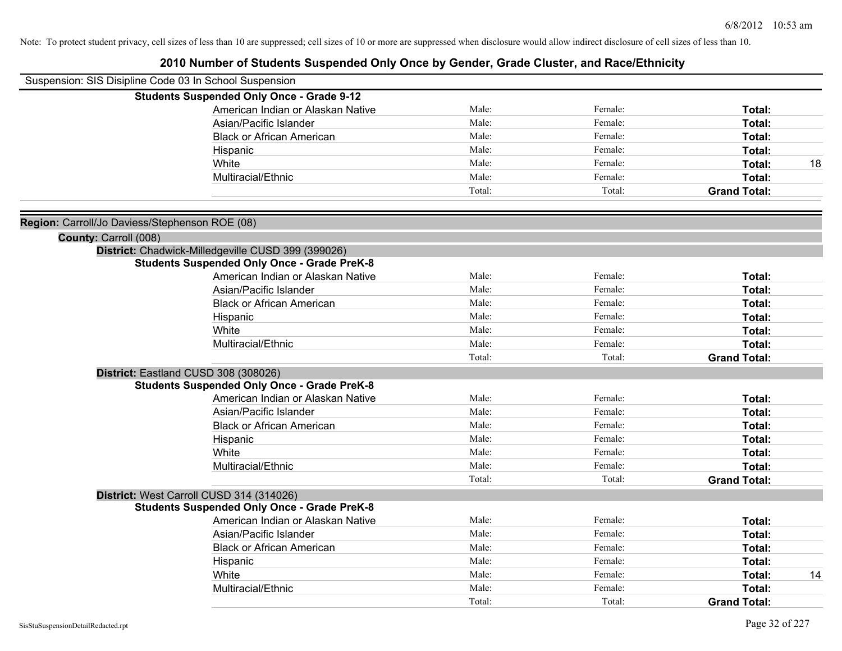| Suspension: SIS Disipline Code 03 In School Suspension |                                                    |        |         |                     |    |
|--------------------------------------------------------|----------------------------------------------------|--------|---------|---------------------|----|
|                                                        | <b>Students Suspended Only Once - Grade 9-12</b>   |        |         |                     |    |
|                                                        | American Indian or Alaskan Native                  | Male:  | Female: | Total:              |    |
|                                                        | Asian/Pacific Islander                             | Male:  | Female: | <b>Total:</b>       |    |
|                                                        | <b>Black or African American</b>                   | Male:  | Female: | Total:              |    |
|                                                        | Hispanic                                           | Male:  | Female: | Total:              |    |
|                                                        | White                                              | Male:  | Female: | Total:              | 18 |
|                                                        | Multiracial/Ethnic                                 | Male:  | Female: | Total:              |    |
|                                                        |                                                    | Total: | Total:  | <b>Grand Total:</b> |    |
| Region: Carroll/Jo Daviess/Stephenson ROE (08)         |                                                    |        |         |                     |    |
| County: Carroll (008)                                  |                                                    |        |         |                     |    |
|                                                        | District: Chadwick-Milledgeville CUSD 399 (399026) |        |         |                     |    |
|                                                        | <b>Students Suspended Only Once - Grade PreK-8</b> |        |         |                     |    |
|                                                        | American Indian or Alaskan Native                  | Male:  | Female: | Total:              |    |
|                                                        | Asian/Pacific Islander                             | Male:  | Female: | Total:              |    |
|                                                        | <b>Black or African American</b>                   | Male:  | Female: | Total:              |    |
|                                                        | Hispanic                                           | Male:  | Female: | Total:              |    |
|                                                        | White                                              | Male:  | Female: | Total:              |    |
|                                                        | Multiracial/Ethnic                                 | Male:  | Female: | Total:              |    |
|                                                        |                                                    | Total: | Total:  | <b>Grand Total:</b> |    |
|                                                        | District: Eastland CUSD 308 (308026)               |        |         |                     |    |
|                                                        | <b>Students Suspended Only Once - Grade PreK-8</b> |        |         |                     |    |
|                                                        | American Indian or Alaskan Native                  | Male:  | Female: | Total:              |    |
|                                                        | Asian/Pacific Islander                             | Male:  | Female: | Total:              |    |
|                                                        | <b>Black or African American</b>                   | Male:  | Female: | Total:              |    |
|                                                        | Hispanic                                           | Male:  | Female: | Total:              |    |
|                                                        | White                                              | Male:  | Female: | <b>Total:</b>       |    |
|                                                        | Multiracial/Ethnic                                 | Male:  | Female: | Total:              |    |
|                                                        |                                                    | Total: | Total:  | <b>Grand Total:</b> |    |
|                                                        | District: West Carroll CUSD 314 (314026)           |        |         |                     |    |
|                                                        | <b>Students Suspended Only Once - Grade PreK-8</b> |        |         |                     |    |
|                                                        | American Indian or Alaskan Native                  | Male:  | Female: | Total:              |    |
|                                                        | Asian/Pacific Islander                             | Male:  | Female: | Total:              |    |
|                                                        | <b>Black or African American</b>                   | Male:  | Female: | Total:              |    |
|                                                        | Hispanic                                           | Male:  | Female: | Total:              |    |
|                                                        | White                                              | Male:  | Female: | Total:              | 14 |
|                                                        | Multiracial/Ethnic                                 | Male:  | Female: | <b>Total:</b>       |    |
|                                                        |                                                    | Total: | Total:  | <b>Grand Total:</b> |    |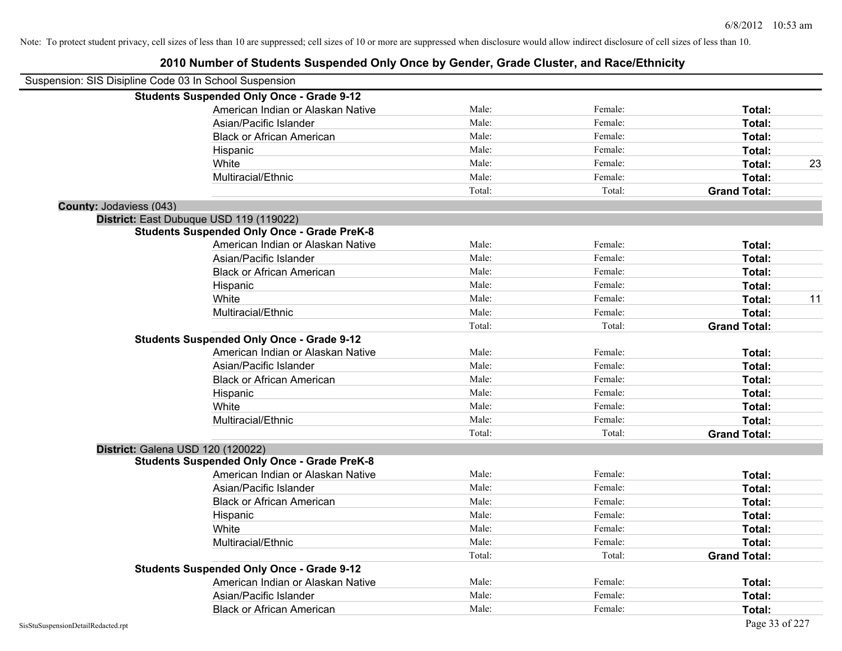| Suspension: SIS Disipline Code 03 In School Suspension |                                                    |        |         |                     |    |
|--------------------------------------------------------|----------------------------------------------------|--------|---------|---------------------|----|
|                                                        | <b>Students Suspended Only Once - Grade 9-12</b>   |        |         |                     |    |
|                                                        | American Indian or Alaskan Native                  | Male:  | Female: | Total:              |    |
|                                                        | Asian/Pacific Islander                             | Male:  | Female: | Total:              |    |
|                                                        | <b>Black or African American</b>                   | Male:  | Female: | Total:              |    |
|                                                        | Hispanic                                           | Male:  | Female: | Total:              |    |
|                                                        | White                                              | Male:  | Female: | Total:              | 23 |
|                                                        | Multiracial/Ethnic                                 | Male:  | Female: | Total:              |    |
|                                                        |                                                    | Total: | Total:  | <b>Grand Total:</b> |    |
| <b>County: Jodaviess (043)</b>                         |                                                    |        |         |                     |    |
|                                                        | District: East Dubuque USD 119 (119022)            |        |         |                     |    |
|                                                        | <b>Students Suspended Only Once - Grade PreK-8</b> |        |         |                     |    |
|                                                        | American Indian or Alaskan Native                  | Male:  | Female: | Total:              |    |
|                                                        | Asian/Pacific Islander                             | Male:  | Female: | Total:              |    |
|                                                        | <b>Black or African American</b>                   | Male:  | Female: | Total:              |    |
|                                                        | Hispanic                                           | Male:  | Female: | Total:              |    |
|                                                        | White                                              | Male:  | Female: | Total:              | 11 |
|                                                        | Multiracial/Ethnic                                 | Male:  | Female: | Total:              |    |
|                                                        |                                                    | Total: | Total:  | <b>Grand Total:</b> |    |
|                                                        | <b>Students Suspended Only Once - Grade 9-12</b>   |        |         |                     |    |
|                                                        | American Indian or Alaskan Native                  | Male:  | Female: | Total:              |    |
|                                                        | Asian/Pacific Islander                             | Male:  | Female: | Total:              |    |
|                                                        | <b>Black or African American</b>                   | Male:  | Female: | Total:              |    |
|                                                        | Hispanic                                           | Male:  | Female: | Total:              |    |
|                                                        | White                                              | Male:  | Female: | Total:              |    |
|                                                        | Multiracial/Ethnic                                 | Male:  | Female: | Total:              |    |
|                                                        |                                                    | Total: | Total:  | <b>Grand Total:</b> |    |
|                                                        | District: Galena USD 120 (120022)                  |        |         |                     |    |
|                                                        | <b>Students Suspended Only Once - Grade PreK-8</b> |        |         |                     |    |
|                                                        | American Indian or Alaskan Native                  | Male:  | Female: | Total:              |    |
|                                                        | Asian/Pacific Islander                             | Male:  | Female: | Total:              |    |
|                                                        | <b>Black or African American</b>                   | Male:  | Female: | Total:              |    |
|                                                        | Hispanic                                           | Male:  | Female: | Total:              |    |
|                                                        | White                                              | Male:  | Female: | Total:              |    |
|                                                        | Multiracial/Ethnic                                 | Male:  | Female: | Total:              |    |
|                                                        |                                                    | Total: | Total:  | <b>Grand Total:</b> |    |
|                                                        | <b>Students Suspended Only Once - Grade 9-12</b>   |        |         |                     |    |
|                                                        | American Indian or Alaskan Native                  | Male:  | Female: | Total:              |    |
|                                                        | Asian/Pacific Islander                             | Male:  | Female: | Total:              |    |
|                                                        | <b>Black or African American</b>                   | Male:  | Female: | Total:              |    |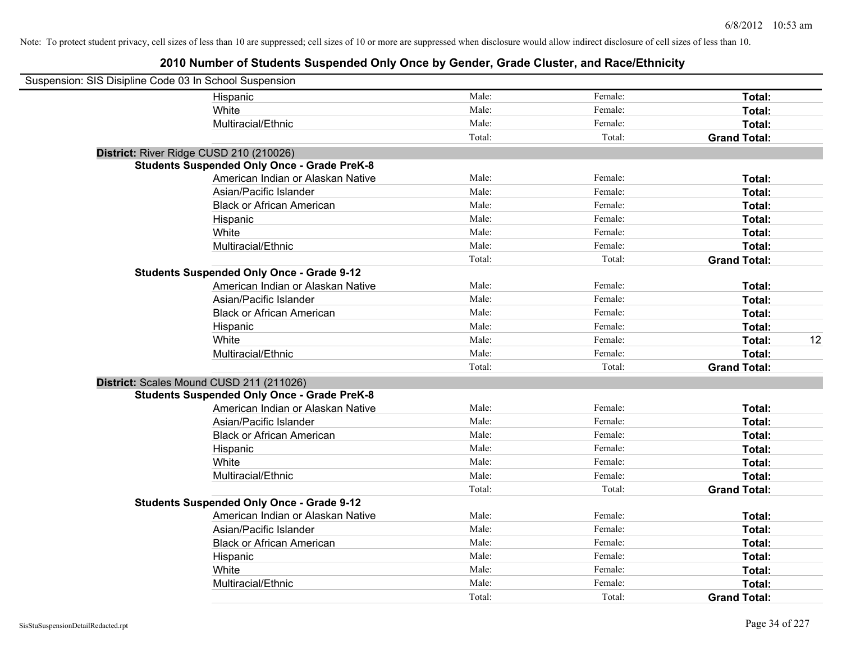| Suspension: SIS Disipline Code 03 In School Suspension |                                                    |        |         |                     |    |
|--------------------------------------------------------|----------------------------------------------------|--------|---------|---------------------|----|
|                                                        | Hispanic                                           | Male:  | Female: | Total:              |    |
|                                                        | White                                              | Male:  | Female: | Total:              |    |
|                                                        | Multiracial/Ethnic                                 | Male:  | Female: | Total:              |    |
|                                                        |                                                    | Total: | Total:  | <b>Grand Total:</b> |    |
| District: River Ridge CUSD 210 (210026)                |                                                    |        |         |                     |    |
|                                                        | <b>Students Suspended Only Once - Grade PreK-8</b> |        |         |                     |    |
|                                                        | American Indian or Alaskan Native                  | Male:  | Female: | Total:              |    |
|                                                        | Asian/Pacific Islander                             | Male:  | Female: | Total:              |    |
|                                                        | <b>Black or African American</b>                   | Male:  | Female: | Total:              |    |
|                                                        | Hispanic                                           | Male:  | Female: | Total:              |    |
|                                                        | White                                              | Male:  | Female: | Total:              |    |
|                                                        | Multiracial/Ethnic                                 | Male:  | Female: | Total:              |    |
|                                                        |                                                    | Total: | Total:  | <b>Grand Total:</b> |    |
|                                                        | <b>Students Suspended Only Once - Grade 9-12</b>   |        |         |                     |    |
|                                                        | American Indian or Alaskan Native                  | Male:  | Female: | Total:              |    |
|                                                        | Asian/Pacific Islander                             | Male:  | Female: | Total:              |    |
|                                                        | <b>Black or African American</b>                   | Male:  | Female: | Total:              |    |
|                                                        | Hispanic                                           | Male:  | Female: | Total:              |    |
|                                                        | White                                              | Male:  | Female: | Total:              | 12 |
|                                                        | Multiracial/Ethnic                                 | Male:  | Female: | Total:              |    |
|                                                        |                                                    | Total: | Total:  | <b>Grand Total:</b> |    |
| District: Scales Mound CUSD 211 (211026)               |                                                    |        |         |                     |    |
|                                                        | <b>Students Suspended Only Once - Grade PreK-8</b> |        |         |                     |    |
|                                                        | American Indian or Alaskan Native                  | Male:  | Female: | Total:              |    |
|                                                        | Asian/Pacific Islander                             | Male:  | Female: | Total:              |    |
|                                                        | <b>Black or African American</b>                   | Male:  | Female: | Total:              |    |
|                                                        | Hispanic                                           | Male:  | Female: | Total:              |    |
|                                                        | White                                              | Male:  | Female: | Total:              |    |
|                                                        | Multiracial/Ethnic                                 | Male:  | Female: | Total:              |    |
|                                                        |                                                    | Total: | Total:  | <b>Grand Total:</b> |    |
|                                                        | <b>Students Suspended Only Once - Grade 9-12</b>   |        |         |                     |    |
|                                                        | American Indian or Alaskan Native                  | Male:  | Female: | Total:              |    |
|                                                        | Asian/Pacific Islander                             | Male:  | Female: | Total:              |    |
|                                                        | <b>Black or African American</b>                   | Male:  | Female: | Total:              |    |
|                                                        | Hispanic                                           | Male:  | Female: | Total:              |    |
|                                                        | White                                              | Male:  | Female: | Total:              |    |
|                                                        | Multiracial/Ethnic                                 | Male:  | Female: | Total:              |    |
|                                                        |                                                    | Total: | Total:  | <b>Grand Total:</b> |    |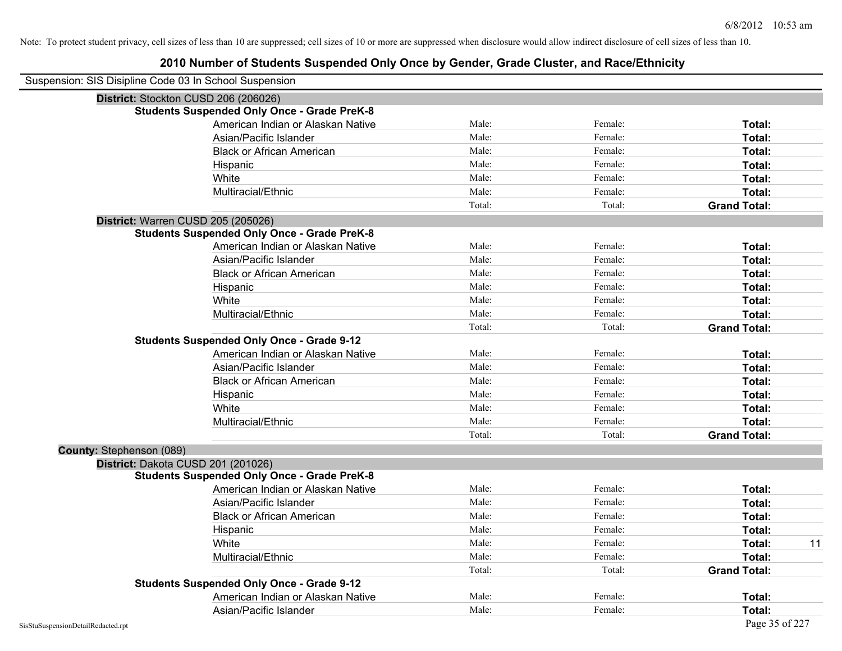| Suspension: SIS Disipline Code 03 In School Suspension |                                                    |        |         |                     |
|--------------------------------------------------------|----------------------------------------------------|--------|---------|---------------------|
| District: Stockton CUSD 206 (206026)                   |                                                    |        |         |                     |
|                                                        | <b>Students Suspended Only Once - Grade PreK-8</b> |        |         |                     |
|                                                        | American Indian or Alaskan Native                  | Male:  | Female: | Total:              |
|                                                        | Asian/Pacific Islander                             | Male:  | Female: | Total:              |
|                                                        | <b>Black or African American</b>                   | Male:  | Female: | Total:              |
|                                                        | Hispanic                                           | Male:  | Female: | Total:              |
|                                                        | White                                              | Male:  | Female: | Total:              |
|                                                        | Multiracial/Ethnic                                 | Male:  | Female: | Total:              |
|                                                        |                                                    | Total: | Total:  | <b>Grand Total:</b> |
| District: Warren CUSD 205 (205026)                     |                                                    |        |         |                     |
|                                                        | <b>Students Suspended Only Once - Grade PreK-8</b> |        |         |                     |
|                                                        | American Indian or Alaskan Native                  | Male:  | Female: | Total:              |
|                                                        | Asian/Pacific Islander                             | Male:  | Female: | Total:              |
|                                                        | <b>Black or African American</b>                   | Male:  | Female: | Total:              |
|                                                        | Hispanic                                           | Male:  | Female: | Total:              |
|                                                        | White                                              | Male:  | Female: | Total:              |
|                                                        | Multiracial/Ethnic                                 | Male:  | Female: | Total:              |
|                                                        |                                                    | Total: | Total:  | <b>Grand Total:</b> |
|                                                        | <b>Students Suspended Only Once - Grade 9-12</b>   |        |         |                     |
|                                                        | American Indian or Alaskan Native                  | Male:  | Female: | Total:              |
|                                                        | Asian/Pacific Islander                             | Male:  | Female: | Total:              |
|                                                        | <b>Black or African American</b>                   | Male:  | Female: | Total:              |
|                                                        | Hispanic                                           | Male:  | Female: | Total:              |
|                                                        | White                                              | Male:  | Female: | Total:              |
|                                                        | Multiracial/Ethnic                                 | Male:  | Female: | Total:              |
|                                                        |                                                    | Total: | Total:  | <b>Grand Total:</b> |
| County: Stephenson (089)                               |                                                    |        |         |                     |
| District: Dakota CUSD 201 (201026)                     |                                                    |        |         |                     |
|                                                        | <b>Students Suspended Only Once - Grade PreK-8</b> |        |         |                     |
|                                                        | American Indian or Alaskan Native                  | Male:  | Female: | Total:              |
|                                                        | Asian/Pacific Islander                             | Male:  | Female: | Total:              |
|                                                        | <b>Black or African American</b>                   | Male:  | Female: | Total:              |
|                                                        | Hispanic                                           | Male:  | Female: | Total:              |
|                                                        | White                                              | Male:  | Female: | 11<br>Total:        |
|                                                        | Multiracial/Ethnic                                 | Male:  | Female: | Total:              |
|                                                        |                                                    | Total: | Total:  | <b>Grand Total:</b> |
|                                                        | <b>Students Suspended Only Once - Grade 9-12</b>   |        |         |                     |
|                                                        | American Indian or Alaskan Native                  | Male:  | Female: | <b>Total:</b>       |
|                                                        | Asian/Pacific Islander                             | Male:  | Female: | Total:              |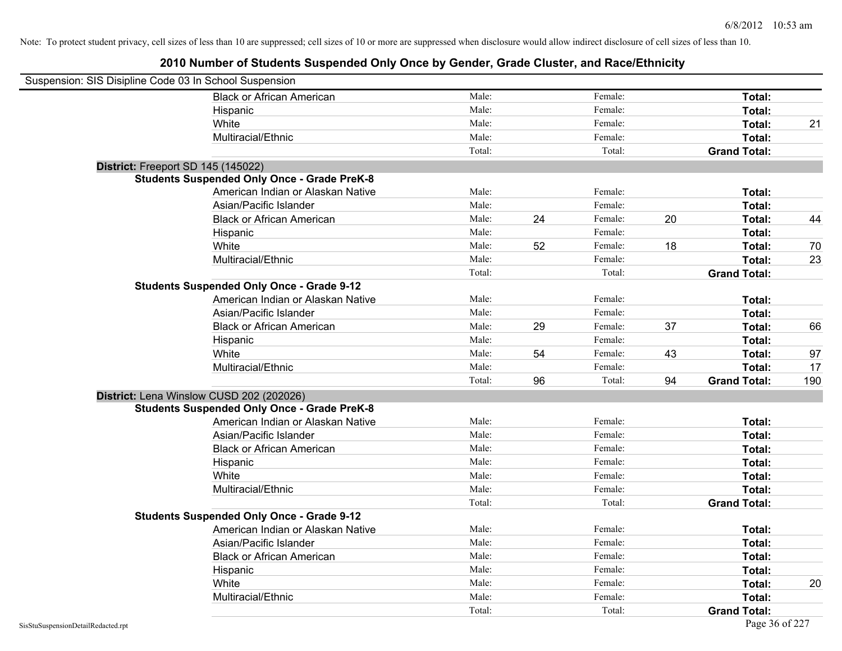| Suspension: SIS Disipline Code 03 In School Suspension |                                                    |        |    |         |    |                     |     |
|--------------------------------------------------------|----------------------------------------------------|--------|----|---------|----|---------------------|-----|
|                                                        | <b>Black or African American</b>                   | Male:  |    | Female: |    | Total:              |     |
|                                                        | Hispanic                                           | Male:  |    | Female: |    | Total:              |     |
|                                                        | White                                              | Male:  |    | Female: |    | Total:              | 21  |
|                                                        | Multiracial/Ethnic                                 | Male:  |    | Female: |    | Total:              |     |
|                                                        |                                                    | Total: |    | Total:  |    | <b>Grand Total:</b> |     |
| District: Freeport SD 145 (145022)                     |                                                    |        |    |         |    |                     |     |
|                                                        | <b>Students Suspended Only Once - Grade PreK-8</b> |        |    |         |    |                     |     |
|                                                        | American Indian or Alaskan Native                  | Male:  |    | Female: |    | Total:              |     |
|                                                        | Asian/Pacific Islander                             | Male:  |    | Female: |    | Total:              |     |
|                                                        | <b>Black or African American</b>                   | Male:  | 24 | Female: | 20 | Total:              | 44  |
|                                                        | Hispanic                                           | Male:  |    | Female: |    | Total:              |     |
|                                                        | White                                              | Male:  | 52 | Female: | 18 | Total:              | 70  |
|                                                        | Multiracial/Ethnic                                 | Male:  |    | Female: |    | Total:              | 23  |
|                                                        |                                                    | Total: |    | Total:  |    | <b>Grand Total:</b> |     |
|                                                        | <b>Students Suspended Only Once - Grade 9-12</b>   |        |    |         |    |                     |     |
|                                                        | American Indian or Alaskan Native                  | Male:  |    | Female: |    | Total:              |     |
|                                                        | Asian/Pacific Islander                             | Male:  |    | Female: |    | Total:              |     |
|                                                        | <b>Black or African American</b>                   | Male:  | 29 | Female: | 37 | Total:              | 66  |
|                                                        | Hispanic                                           | Male:  |    | Female: |    | Total:              |     |
|                                                        | White                                              | Male:  | 54 | Female: | 43 | Total:              | 97  |
|                                                        | Multiracial/Ethnic                                 | Male:  |    | Female: |    | Total:              | 17  |
|                                                        |                                                    | Total: | 96 | Total:  | 94 | <b>Grand Total:</b> | 190 |
| District: Lena Winslow CUSD 202 (202026)               |                                                    |        |    |         |    |                     |     |
|                                                        | <b>Students Suspended Only Once - Grade PreK-8</b> |        |    |         |    |                     |     |
|                                                        | American Indian or Alaskan Native                  | Male:  |    | Female: |    | Total:              |     |
|                                                        | Asian/Pacific Islander                             | Male:  |    | Female: |    | Total:              |     |
|                                                        | <b>Black or African American</b>                   | Male:  |    | Female: |    | Total:              |     |
|                                                        | Hispanic                                           | Male:  |    | Female: |    | Total:              |     |
|                                                        | White                                              | Male:  |    | Female: |    | Total:              |     |
|                                                        | Multiracial/Ethnic                                 | Male:  |    | Female: |    | Total:              |     |
|                                                        |                                                    | Total: |    | Total:  |    | <b>Grand Total:</b> |     |
|                                                        | <b>Students Suspended Only Once - Grade 9-12</b>   |        |    |         |    |                     |     |
|                                                        | American Indian or Alaskan Native                  | Male:  |    | Female: |    | Total:              |     |
|                                                        | Asian/Pacific Islander                             | Male:  |    | Female: |    | Total:              |     |
|                                                        | <b>Black or African American</b>                   | Male:  |    | Female: |    | Total:              |     |
|                                                        | Hispanic                                           | Male:  |    | Female: |    | Total:              |     |
|                                                        | White                                              | Male:  |    | Female: |    | Total:              | 20  |
|                                                        | Multiracial/Ethnic                                 | Male:  |    | Female: |    | Total:              |     |
|                                                        |                                                    | Total: |    | Total:  |    | <b>Grand Total:</b> |     |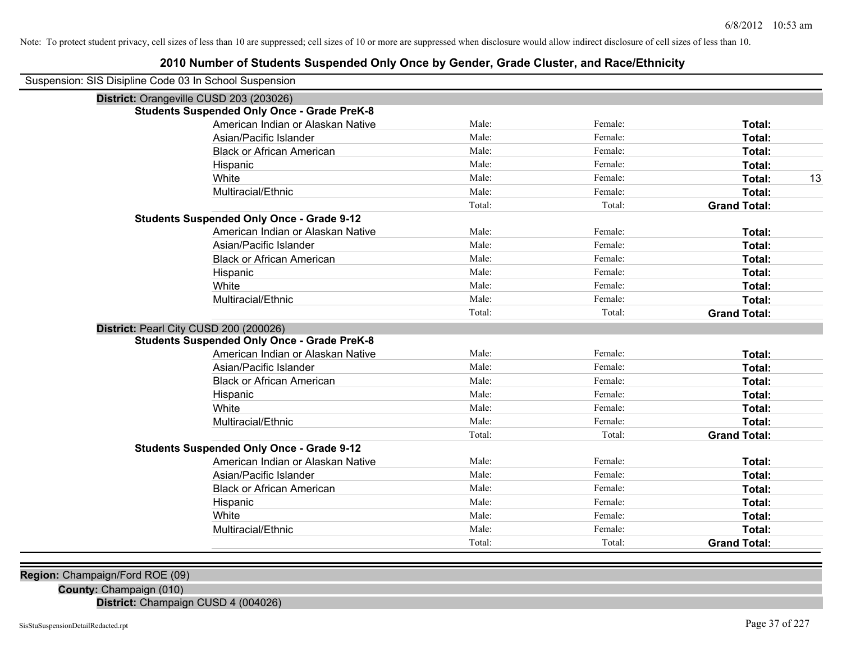## **2010 Number of Students Suspended Only Once by Gender, Grade Cluster, and Race/Ethnicity**

| Suspension: SIS Disipline Code 03 In School Suspension |                                                    |        |         |                     |    |
|--------------------------------------------------------|----------------------------------------------------|--------|---------|---------------------|----|
| District: Orangeville CUSD 203 (203026)                |                                                    |        |         |                     |    |
|                                                        | <b>Students Suspended Only Once - Grade PreK-8</b> |        |         |                     |    |
|                                                        | American Indian or Alaskan Native                  | Male:  | Female: | Total:              |    |
|                                                        | Asian/Pacific Islander                             | Male:  | Female: | Total:              |    |
|                                                        | <b>Black or African American</b>                   | Male:  | Female: | Total:              |    |
|                                                        | Hispanic                                           | Male:  | Female: | Total:              |    |
|                                                        | White                                              | Male:  | Female: | Total:              | 13 |
|                                                        | Multiracial/Ethnic                                 | Male:  | Female: | Total:              |    |
|                                                        |                                                    | Total: | Total:  | <b>Grand Total:</b> |    |
|                                                        | <b>Students Suspended Only Once - Grade 9-12</b>   |        |         |                     |    |
|                                                        | American Indian or Alaskan Native                  | Male:  | Female: | Total:              |    |
|                                                        | Asian/Pacific Islander                             | Male:  | Female: | Total:              |    |
|                                                        | <b>Black or African American</b>                   | Male:  | Female: | Total:              |    |
|                                                        | Hispanic                                           | Male:  | Female: | Total:              |    |
|                                                        | White                                              | Male:  | Female: | Total:              |    |
|                                                        | Multiracial/Ethnic                                 | Male:  | Female: | Total:              |    |
|                                                        |                                                    | Total: | Total:  | <b>Grand Total:</b> |    |
| District: Pearl City CUSD 200 (200026)                 |                                                    |        |         |                     |    |
|                                                        | <b>Students Suspended Only Once - Grade PreK-8</b> |        |         |                     |    |
|                                                        | American Indian or Alaskan Native                  | Male:  | Female: | Total:              |    |
|                                                        | Asian/Pacific Islander                             | Male:  | Female: | Total:              |    |
|                                                        | <b>Black or African American</b>                   | Male:  | Female: | Total:              |    |
|                                                        | Hispanic                                           | Male:  | Female: | Total:              |    |
|                                                        | White                                              | Male:  | Female: | Total:              |    |
|                                                        | Multiracial/Ethnic                                 | Male:  | Female: | Total:              |    |
|                                                        |                                                    | Total: | Total:  | <b>Grand Total:</b> |    |
|                                                        | <b>Students Suspended Only Once - Grade 9-12</b>   |        |         |                     |    |
|                                                        | American Indian or Alaskan Native                  | Male:  | Female: | Total:              |    |
|                                                        | Asian/Pacific Islander                             | Male:  | Female: | Total:              |    |
|                                                        | <b>Black or African American</b>                   | Male:  | Female: | Total:              |    |
|                                                        | Hispanic                                           | Male:  | Female: | Total:              |    |
|                                                        | White                                              | Male:  | Female: | Total:              |    |
|                                                        | Multiracial/Ethnic                                 | Male:  | Female: | Total:              |    |
|                                                        |                                                    | Total: | Total:  | <b>Grand Total:</b> |    |

**Region:** Champaign/Ford ROE (09)

**County:** Champaign (010)

**District:** Champaign CUSD 4 (004026)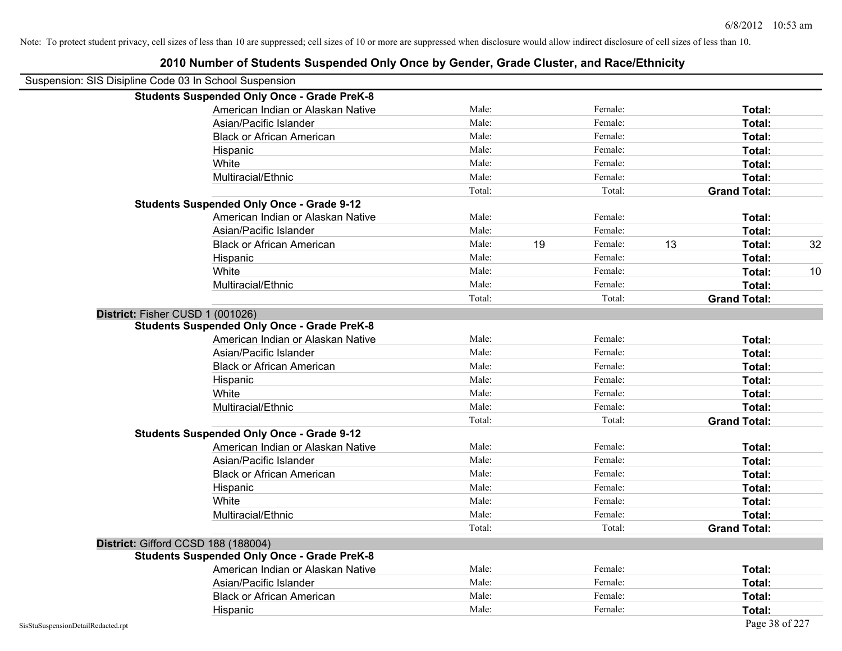|                                                        | 2010 Number of Students Suspended Only Once by Gender, Grade Cluster, and Race/Ethnicity |        |    |         |    |                     |    |
|--------------------------------------------------------|------------------------------------------------------------------------------------------|--------|----|---------|----|---------------------|----|
| Suspension: SIS Disipline Code 03 In School Suspension |                                                                                          |        |    |         |    |                     |    |
|                                                        | <b>Students Suspended Only Once - Grade PreK-8</b>                                       |        |    |         |    |                     |    |
|                                                        | American Indian or Alaskan Native                                                        | Male:  |    | Female: |    | Total:              |    |
|                                                        | Asian/Pacific Islander                                                                   | Male:  |    | Female: |    | Total:              |    |
|                                                        | <b>Black or African American</b>                                                         | Male:  |    | Female: |    | Total:              |    |
|                                                        | Hispanic                                                                                 | Male:  |    | Female: |    | Total:              |    |
|                                                        | White                                                                                    | Male:  |    | Female: |    | Total:              |    |
|                                                        | Multiracial/Ethnic                                                                       | Male:  |    | Female: |    | Total:              |    |
|                                                        |                                                                                          | Total: |    | Total:  |    | <b>Grand Total:</b> |    |
|                                                        | <b>Students Suspended Only Once - Grade 9-12</b>                                         |        |    |         |    |                     |    |
|                                                        | American Indian or Alaskan Native                                                        | Male:  |    | Female: |    | Total:              |    |
|                                                        | Asian/Pacific Islander                                                                   | Male:  |    | Female: |    | Total:              |    |
|                                                        | <b>Black or African American</b>                                                         | Male:  | 19 | Female: | 13 | Total:              | 32 |
|                                                        | Hispanic                                                                                 | Male:  |    | Female: |    | Total:              |    |
|                                                        | White                                                                                    | Male:  |    | Female: |    | Total:              | 10 |
|                                                        | Multiracial/Ethnic                                                                       | Male:  |    | Female: |    | Total:              |    |
|                                                        |                                                                                          | Total: |    | Total:  |    | <b>Grand Total:</b> |    |
| District: Fisher CUSD 1 (001026)                       |                                                                                          |        |    |         |    |                     |    |
|                                                        | <b>Students Suspended Only Once - Grade PreK-8</b>                                       |        |    |         |    |                     |    |
|                                                        | American Indian or Alaskan Native                                                        | Male:  |    | Female: |    | Total:              |    |
|                                                        | Asian/Pacific Islander                                                                   | Male:  |    | Female: |    | Total:              |    |
|                                                        | <b>Black or African American</b>                                                         | Male:  |    | Female: |    | Total:              |    |
|                                                        | Hispanic                                                                                 | Male:  |    | Female: |    | Total:              |    |
|                                                        | White                                                                                    | Male:  |    | Female: |    | Total:              |    |
|                                                        | Multiracial/Ethnic                                                                       | Male:  |    | Female: |    | Total:              |    |
|                                                        |                                                                                          | Total: |    | Total:  |    | <b>Grand Total:</b> |    |
|                                                        | <b>Students Suspended Only Once - Grade 9-12</b>                                         |        |    |         |    |                     |    |
|                                                        | American Indian or Alaskan Native                                                        | Male:  |    | Female: |    | Total:              |    |
|                                                        | Asian/Pacific Islander                                                                   | Male:  |    | Female: |    | Total:              |    |
|                                                        | <b>Black or African American</b>                                                         | Male:  |    | Female: |    | Total:              |    |
|                                                        | Hispanic                                                                                 | Male:  |    | Female: |    | Total:              |    |
|                                                        | White                                                                                    | Male:  |    | Female: |    | Total:              |    |
|                                                        | Multiracial/Ethnic                                                                       | Male:  |    | Female: |    | Total:              |    |
|                                                        |                                                                                          | Total: |    | Total:  |    | <b>Grand Total:</b> |    |
|                                                        | District: Gifford CCSD 188 (188004)                                                      |        |    |         |    |                     |    |
|                                                        | <b>Students Suspended Only Once - Grade PreK-8</b>                                       |        |    |         |    |                     |    |
|                                                        | American Indian or Alaskan Native                                                        | Male:  |    | Female: |    | Total:              |    |
|                                                        | Asian/Pacific Islander                                                                   | Male:  |    | Female: |    | Total:              |    |
|                                                        | <b>Black or African American</b>                                                         | Male:  |    | Female: |    | Total:              |    |
|                                                        | Hispanic                                                                                 | Male:  |    | Female: |    | Total:              |    |
| SisStuSuspensionDetailRedacted.rpt                     |                                                                                          |        |    |         |    | Page 38 of 227      |    |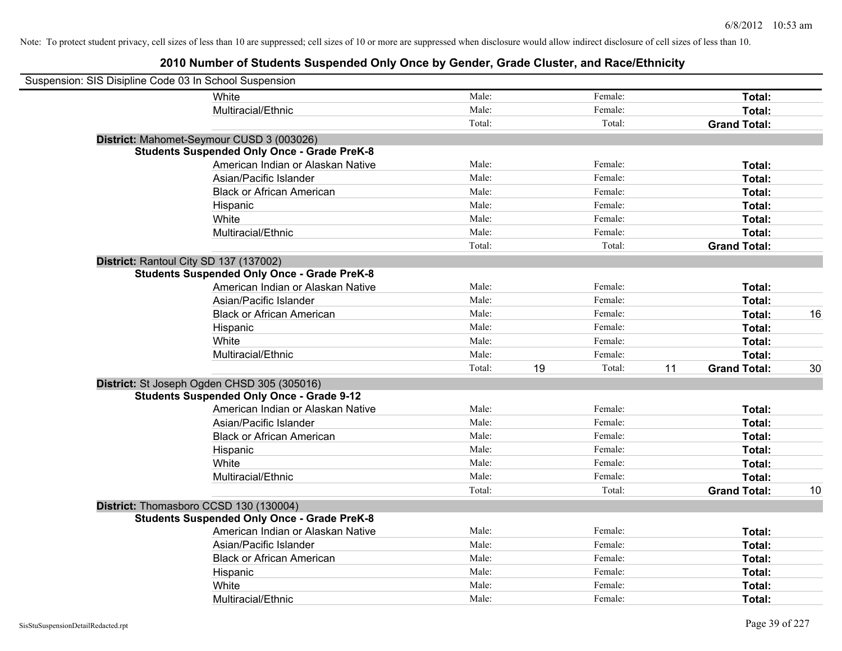| Suspension: SIS Disipline Code 03 In School Suspension |                                                    |        |              |                           |    |
|--------------------------------------------------------|----------------------------------------------------|--------|--------------|---------------------------|----|
|                                                        | White                                              | Male:  | Female:      | Total:                    |    |
|                                                        | Multiracial/Ethnic                                 | Male:  | Female:      | Total:                    |    |
|                                                        |                                                    | Total: | Total:       | <b>Grand Total:</b>       |    |
|                                                        | District: Mahomet-Seymour CUSD 3 (003026)          |        |              |                           |    |
|                                                        | <b>Students Suspended Only Once - Grade PreK-8</b> |        |              |                           |    |
|                                                        | American Indian or Alaskan Native                  | Male:  | Female:      | Total:                    |    |
|                                                        | Asian/Pacific Islander                             | Male:  | Female:      | Total:                    |    |
|                                                        | <b>Black or African American</b>                   | Male:  | Female:      | Total:                    |    |
|                                                        | Hispanic                                           | Male:  | Female:      | Total:                    |    |
|                                                        | White                                              | Male:  | Female:      | Total:                    |    |
|                                                        | Multiracial/Ethnic                                 | Male:  | Female:      | Total:                    |    |
|                                                        |                                                    | Total: | Total:       | <b>Grand Total:</b>       |    |
| District: Rantoul City SD 137 (137002)                 |                                                    |        |              |                           |    |
|                                                        | <b>Students Suspended Only Once - Grade PreK-8</b> |        |              |                           |    |
|                                                        | American Indian or Alaskan Native                  | Male:  | Female:      | Total:                    |    |
|                                                        | Asian/Pacific Islander                             | Male:  | Female:      | Total:                    |    |
|                                                        | <b>Black or African American</b>                   | Male:  | Female:      | Total:                    | 16 |
|                                                        | Hispanic                                           | Male:  | Female:      | Total:                    |    |
|                                                        | White                                              | Male:  | Female:      | Total:                    |    |
|                                                        | Multiracial/Ethnic                                 | Male:  | Female:      | Total:                    |    |
|                                                        |                                                    | Total: | Total:<br>19 | 11<br><b>Grand Total:</b> | 30 |
|                                                        | District: St Joseph Ogden CHSD 305 (305016)        |        |              |                           |    |
|                                                        | <b>Students Suspended Only Once - Grade 9-12</b>   |        |              |                           |    |
|                                                        | American Indian or Alaskan Native                  | Male:  | Female:      | Total:                    |    |
|                                                        | Asian/Pacific Islander                             | Male:  | Female:      | Total:                    |    |
|                                                        | <b>Black or African American</b>                   | Male:  | Female:      | Total:                    |    |
|                                                        | Hispanic                                           | Male:  | Female:      | Total:                    |    |
|                                                        | White                                              | Male:  | Female:      | Total:                    |    |
|                                                        | Multiracial/Ethnic                                 | Male:  | Female:      | Total:                    |    |
|                                                        |                                                    | Total: | Total:       | <b>Grand Total:</b>       | 10 |
| District: Thomasboro CCSD 130 (130004)                 |                                                    |        |              |                           |    |
|                                                        | <b>Students Suspended Only Once - Grade PreK-8</b> |        |              |                           |    |
|                                                        | American Indian or Alaskan Native                  | Male:  | Female:      | Total:                    |    |
|                                                        | Asian/Pacific Islander                             | Male:  | Female:      | Total:                    |    |
|                                                        | <b>Black or African American</b>                   | Male:  | Female:      | Total:                    |    |
|                                                        | Hispanic                                           | Male:  | Female:      | Total:                    |    |
|                                                        | White                                              | Male:  | Female:      | Total:                    |    |
|                                                        | Multiracial/Ethnic                                 | Male:  | Female:      | Total:                    |    |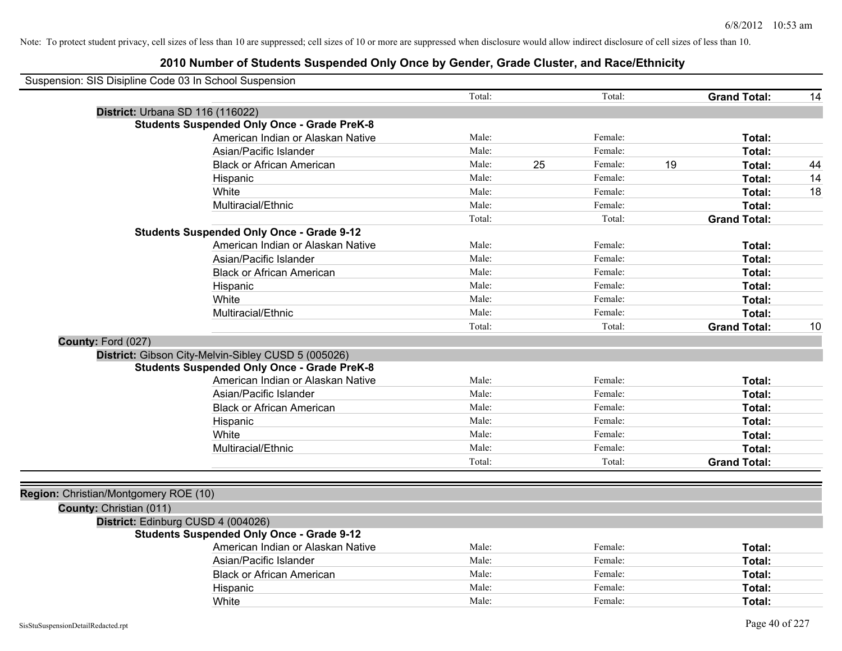| Suspension: SIS Disipline Code 03 In School Suspension                                                    |        |    |         |    |                     |    |
|-----------------------------------------------------------------------------------------------------------|--------|----|---------|----|---------------------|----|
|                                                                                                           | Total: |    | Total:  |    | <b>Grand Total:</b> | 14 |
| District: Urbana SD 116 (116022)                                                                          |        |    |         |    |                     |    |
| <b>Students Suspended Only Once - Grade PreK-8</b>                                                        |        |    |         |    |                     |    |
| American Indian or Alaskan Native                                                                         | Male:  |    | Female: |    | Total:              |    |
| Asian/Pacific Islander                                                                                    | Male:  |    | Female: |    | Total:              |    |
| <b>Black or African American</b>                                                                          | Male:  | 25 | Female: | 19 | Total:              | 44 |
| Hispanic                                                                                                  | Male:  |    | Female: |    | Total:              | 14 |
| White                                                                                                     | Male:  |    | Female: |    | Total:              | 18 |
| Multiracial/Ethnic                                                                                        | Male:  |    | Female: |    | Total:              |    |
|                                                                                                           | Total: |    | Total:  |    | <b>Grand Total:</b> |    |
| <b>Students Suspended Only Once - Grade 9-12</b>                                                          |        |    |         |    |                     |    |
| American Indian or Alaskan Native                                                                         | Male:  |    | Female: |    | Total:              |    |
| Asian/Pacific Islander                                                                                    | Male:  |    | Female: |    | Total:              |    |
| <b>Black or African American</b>                                                                          | Male:  |    | Female: |    | Total:              |    |
| Hispanic                                                                                                  | Male:  |    | Female: |    | Total:              |    |
| White                                                                                                     | Male:  |    | Female: |    | Total:              |    |
| Multiracial/Ethnic                                                                                        | Male:  |    | Female: |    | Total:              |    |
|                                                                                                           | Total: |    | Total:  |    | <b>Grand Total:</b> | 10 |
| County: Ford (027)                                                                                        |        |    |         |    |                     |    |
| District: Gibson City-Melvin-Sibley CUSD 5 (005026)<br><b>Students Suspended Only Once - Grade PreK-8</b> |        |    |         |    |                     |    |
| American Indian or Alaskan Native                                                                         | Male:  |    | Female: |    | Total:              |    |
| Asian/Pacific Islander                                                                                    | Male:  |    | Female: |    | Total:              |    |
| <b>Black or African American</b>                                                                          | Male:  |    | Female: |    | Total:              |    |
| Hispanic                                                                                                  | Male:  |    | Female: |    | Total:              |    |
| White                                                                                                     | Male:  |    | Female: |    | Total:              |    |
| Multiracial/Ethnic                                                                                        | Male:  |    | Female: |    | Total:              |    |
|                                                                                                           | Total: |    | Total:  |    | <b>Grand Total:</b> |    |
| Region: Christian/Montgomery ROE (10)                                                                     |        |    |         |    |                     |    |
| County: Christian (011)                                                                                   |        |    |         |    |                     |    |
| District: Edinburg CUSD 4 (004026)                                                                        |        |    |         |    |                     |    |
| <b>Students Suspended Only Once - Grade 9-12</b>                                                          |        |    |         |    |                     |    |
| American Indian or Alaskan Native                                                                         | Male:  |    | Female: |    | Total:              |    |
| Asian/Pacific Islander                                                                                    | Male:  |    | Female: |    | Total:              |    |
| <b>Black or African American</b>                                                                          | Male:  |    | Female: |    | Total:              |    |
| Hispanic                                                                                                  | Male:  |    | Female: |    | Total:              |    |
| White                                                                                                     | Male:  |    | Female: |    | Total:              |    |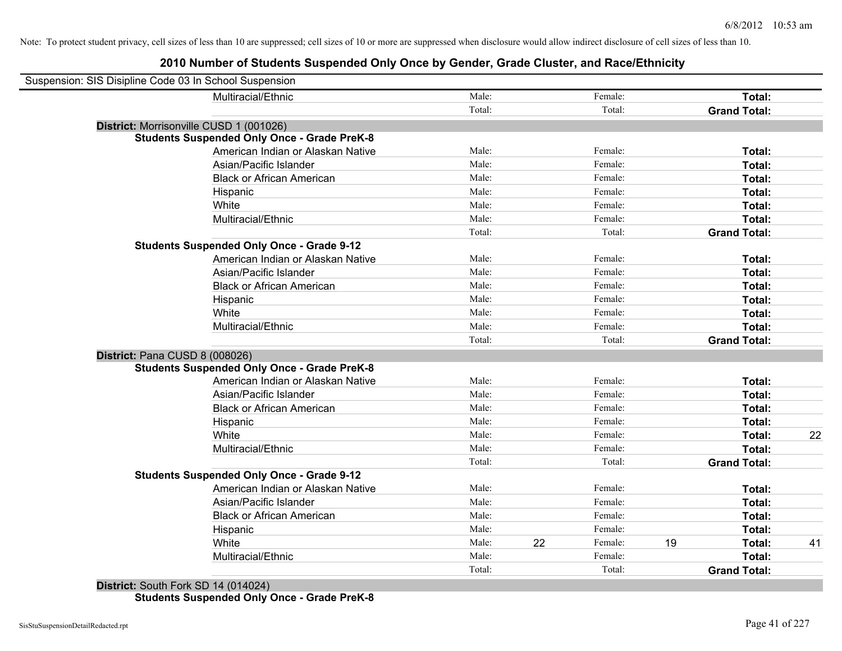| Suspension: SIS Disipline Code 03 In School Suspension |                                                    |        |               |                     |    |
|--------------------------------------------------------|----------------------------------------------------|--------|---------------|---------------------|----|
|                                                        | Multiracial/Ethnic                                 | Male:  | Female:       | Total:              |    |
|                                                        |                                                    | Total: | Total:        | <b>Grand Total:</b> |    |
| District: Morrisonville CUSD 1 (001026)                |                                                    |        |               |                     |    |
|                                                        | <b>Students Suspended Only Once - Grade PreK-8</b> |        |               |                     |    |
|                                                        | American Indian or Alaskan Native                  | Male:  | Female:       | Total:              |    |
|                                                        | Asian/Pacific Islander                             | Male:  | Female:       | Total:              |    |
|                                                        | <b>Black or African American</b>                   | Male:  | Female:       | Total:              |    |
|                                                        | Hispanic                                           | Male:  | Female:       | Total:              |    |
|                                                        | White                                              | Male:  | Female:       | Total:              |    |
|                                                        | Multiracial/Ethnic                                 | Male:  | Female:       | Total:              |    |
|                                                        |                                                    | Total: | Total:        | <b>Grand Total:</b> |    |
|                                                        | <b>Students Suspended Only Once - Grade 9-12</b>   |        |               |                     |    |
|                                                        | American Indian or Alaskan Native                  | Male:  | Female:       | Total:              |    |
|                                                        | Asian/Pacific Islander                             | Male:  | Female:       | Total:              |    |
|                                                        | <b>Black or African American</b>                   | Male:  | Female:       | Total:              |    |
|                                                        | Hispanic                                           | Male:  | Female:       | Total:              |    |
|                                                        | White                                              | Male:  | Female:       | Total:              |    |
|                                                        | Multiracial/Ethnic                                 | Male:  | Female:       | Total:              |    |
|                                                        |                                                    | Total: | Total:        | <b>Grand Total:</b> |    |
| District: Pana CUSD 8 (008026)                         |                                                    |        |               |                     |    |
|                                                        | <b>Students Suspended Only Once - Grade PreK-8</b> |        |               |                     |    |
|                                                        | American Indian or Alaskan Native                  | Male:  | Female:       | Total:              |    |
|                                                        | Asian/Pacific Islander                             | Male:  | Female:       | Total:              |    |
|                                                        | <b>Black or African American</b>                   | Male:  | Female:       | Total:              |    |
|                                                        | Hispanic                                           | Male:  | Female:       | Total:              |    |
|                                                        | White                                              | Male:  | Female:       | Total:              | 22 |
|                                                        | Multiracial/Ethnic                                 | Male:  | Female:       | Total:              |    |
|                                                        |                                                    | Total: | Total:        | <b>Grand Total:</b> |    |
|                                                        | <b>Students Suspended Only Once - Grade 9-12</b>   |        |               |                     |    |
|                                                        | American Indian or Alaskan Native                  | Male:  | Female:       | Total:              |    |
|                                                        | Asian/Pacific Islander                             | Male:  | Female:       | Total:              |    |
|                                                        | <b>Black or African American</b>                   | Male:  | Female:       | Total:              |    |
|                                                        | Hispanic                                           | Male:  | Female:       | Total:              |    |
|                                                        | White                                              | Male:  | 22<br>Female: | 19<br>Total:        | 41 |
|                                                        | Multiracial/Ethnic                                 | Male:  | Female:       | Total:              |    |
|                                                        |                                                    | Total: | Total:        | <b>Grand Total:</b> |    |
|                                                        |                                                    |        |               |                     |    |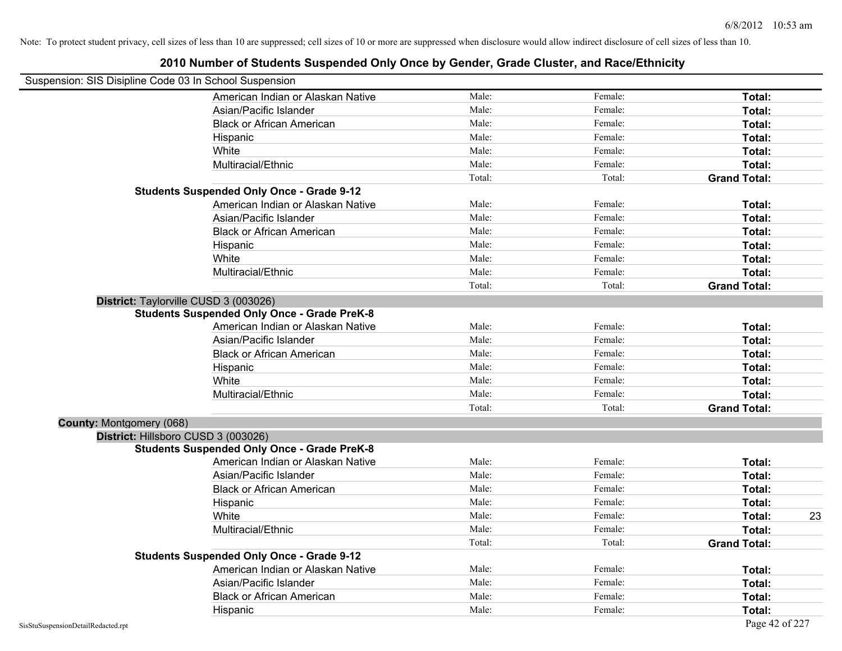| Late Namber of Olduchts Odsponded Omy Once by Ochuci, Olduc Oldster, and Nace/Lumbit)<br>Suspension: SIS Disipline Code 03 In School Suspension |        |         |                     |
|-------------------------------------------------------------------------------------------------------------------------------------------------|--------|---------|---------------------|
| American Indian or Alaskan Native                                                                                                               | Male:  | Female: | Total:              |
| Asian/Pacific Islander                                                                                                                          | Male:  | Female: | Total:              |
|                                                                                                                                                 | Male:  |         |                     |
| <b>Black or African American</b>                                                                                                                |        | Female: | Total:              |
| Hispanic                                                                                                                                        | Male:  | Female: | Total:              |
| White                                                                                                                                           | Male:  | Female: | Total:              |
| Multiracial/Ethnic                                                                                                                              | Male:  | Female: | Total:              |
|                                                                                                                                                 | Total: | Total:  | <b>Grand Total:</b> |
| <b>Students Suspended Only Once - Grade 9-12</b>                                                                                                |        |         |                     |
| American Indian or Alaskan Native                                                                                                               | Male:  | Female: | Total:              |
| Asian/Pacific Islander                                                                                                                          | Male:  | Female: | Total:              |
| <b>Black or African American</b>                                                                                                                | Male:  | Female: | Total:              |
| Hispanic                                                                                                                                        | Male:  | Female: | Total:              |
| White                                                                                                                                           | Male:  | Female: | Total:              |
| Multiracial/Ethnic                                                                                                                              | Male:  | Female: | Total:              |
|                                                                                                                                                 | Total: | Total:  | <b>Grand Total:</b> |
| District: Taylorville CUSD 3 (003026)                                                                                                           |        |         |                     |
| <b>Students Suspended Only Once - Grade PreK-8</b>                                                                                              |        |         |                     |
| American Indian or Alaskan Native                                                                                                               | Male:  | Female: | Total:              |
| Asian/Pacific Islander                                                                                                                          | Male:  | Female: | Total:              |
| <b>Black or African American</b>                                                                                                                | Male:  | Female: | Total:              |
| Hispanic                                                                                                                                        | Male:  | Female: | Total:              |
| White                                                                                                                                           | Male:  | Female: | Total:              |
| Multiracial/Ethnic                                                                                                                              | Male:  | Female: | Total:              |
|                                                                                                                                                 | Total: | Total:  | <b>Grand Total:</b> |
| County: Montgomery (068)                                                                                                                        |        |         |                     |
| District: Hillsboro CUSD 3 (003026)                                                                                                             |        |         |                     |
| <b>Students Suspended Only Once - Grade PreK-8</b>                                                                                              |        |         |                     |
| American Indian or Alaskan Native                                                                                                               | Male:  | Female: | Total:              |
| Asian/Pacific Islander                                                                                                                          | Male:  | Female: | Total:              |
| <b>Black or African American</b>                                                                                                                | Male:  | Female: | Total:              |
| Hispanic                                                                                                                                        | Male:  | Female: | Total:              |
| White                                                                                                                                           | Male:  | Female: | 23<br>Total:        |
| Multiracial/Ethnic                                                                                                                              | Male:  | Female: | Total:              |
|                                                                                                                                                 | Total: | Total:  | <b>Grand Total:</b> |
| <b>Students Suspended Only Once - Grade 9-12</b>                                                                                                |        |         |                     |
| American Indian or Alaskan Native                                                                                                               | Male:  | Female: | Total:              |
| Asian/Pacific Islander                                                                                                                          | Male:  | Female: | Total:              |
| <b>Black or African American</b>                                                                                                                | Male:  | Female: | Total:              |
| Hispanic                                                                                                                                        | Male:  | Female: | Total:              |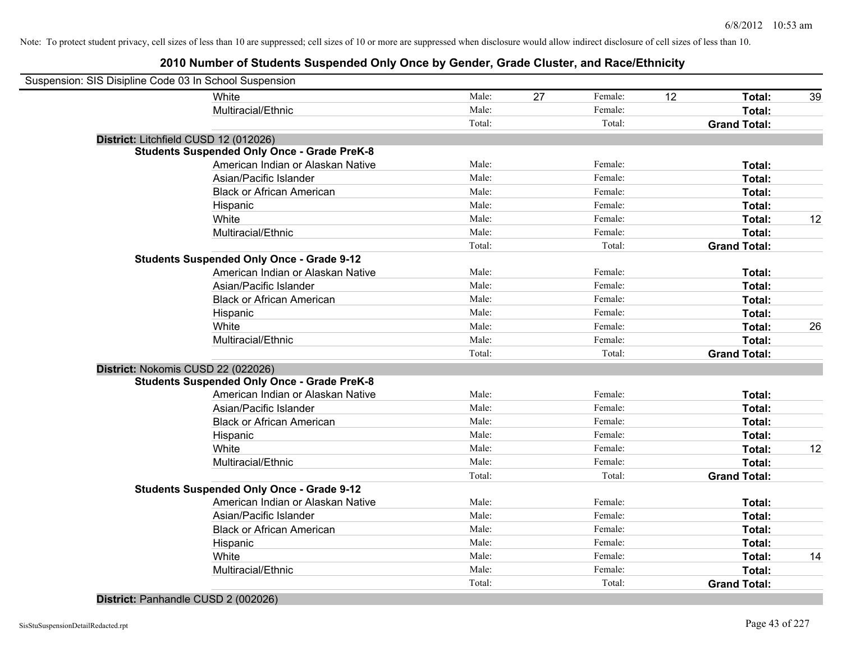## **2010 Number of Students Suspended Only Once by Gender, Grade Cluster, and Race/Ethnicity**

| Suspension: SIS Disipline Code 03 In School Suspension |                                                    |        |    |         |    |                     |    |
|--------------------------------------------------------|----------------------------------------------------|--------|----|---------|----|---------------------|----|
|                                                        | White                                              | Male:  | 27 | Female: | 12 | Total:              | 39 |
|                                                        | Multiracial/Ethnic                                 | Male:  |    | Female: |    | Total:              |    |
|                                                        |                                                    | Total: |    | Total:  |    | <b>Grand Total:</b> |    |
| District: Litchfield CUSD 12 (012026)                  |                                                    |        |    |         |    |                     |    |
|                                                        | <b>Students Suspended Only Once - Grade PreK-8</b> |        |    |         |    |                     |    |
|                                                        | American Indian or Alaskan Native                  | Male:  |    | Female: |    | Total:              |    |
|                                                        | Asian/Pacific Islander                             | Male:  |    | Female: |    | Total:              |    |
|                                                        | <b>Black or African American</b>                   | Male:  |    | Female: |    | Total:              |    |
|                                                        | Hispanic                                           | Male:  |    | Female: |    | Total:              |    |
|                                                        | White                                              | Male:  |    | Female: |    | Total:              | 12 |
|                                                        | Multiracial/Ethnic                                 | Male:  |    | Female: |    | Total:              |    |
|                                                        |                                                    | Total: |    | Total:  |    | <b>Grand Total:</b> |    |
|                                                        | <b>Students Suspended Only Once - Grade 9-12</b>   |        |    |         |    |                     |    |
|                                                        | American Indian or Alaskan Native                  | Male:  |    | Female: |    | Total:              |    |
|                                                        | Asian/Pacific Islander                             | Male:  |    | Female: |    | Total:              |    |
|                                                        | <b>Black or African American</b>                   | Male:  |    | Female: |    | Total:              |    |
|                                                        | Hispanic                                           | Male:  |    | Female: |    | Total:              |    |
|                                                        | White                                              | Male:  |    | Female: |    | Total:              | 26 |
|                                                        | Multiracial/Ethnic                                 | Male:  |    | Female: |    | Total:              |    |
|                                                        |                                                    | Total: |    | Total:  |    | <b>Grand Total:</b> |    |
| District: Nokomis CUSD 22 (022026)                     |                                                    |        |    |         |    |                     |    |
|                                                        | <b>Students Suspended Only Once - Grade PreK-8</b> |        |    |         |    |                     |    |
|                                                        | American Indian or Alaskan Native                  | Male:  |    | Female: |    | Total:              |    |
|                                                        | Asian/Pacific Islander                             | Male:  |    | Female: |    | Total:              |    |
|                                                        | <b>Black or African American</b>                   | Male:  |    | Female: |    | Total:              |    |
|                                                        | Hispanic                                           | Male:  |    | Female: |    | Total:              |    |
|                                                        | White                                              | Male:  |    | Female: |    | Total:              | 12 |
|                                                        | Multiracial/Ethnic                                 | Male:  |    | Female: |    | Total:              |    |
|                                                        |                                                    | Total: |    | Total:  |    | <b>Grand Total:</b> |    |
|                                                        | <b>Students Suspended Only Once - Grade 9-12</b>   |        |    |         |    |                     |    |
|                                                        | American Indian or Alaskan Native                  | Male:  |    | Female: |    | Total:              |    |
|                                                        | Asian/Pacific Islander                             | Male:  |    | Female: |    | Total:              |    |
|                                                        | <b>Black or African American</b>                   | Male:  |    | Female: |    | Total:              |    |
|                                                        | Hispanic                                           | Male:  |    | Female: |    | Total:              |    |
|                                                        | White                                              | Male:  |    | Female: |    | Total:              | 14 |
|                                                        | Multiracial/Ethnic                                 | Male:  |    | Female: |    | <b>Total:</b>       |    |
|                                                        |                                                    | Total: |    | Total:  |    | <b>Grand Total:</b> |    |
|                                                        |                                                    |        |    |         |    |                     |    |

#### **District:** Panhandle CUSD 2 (002026)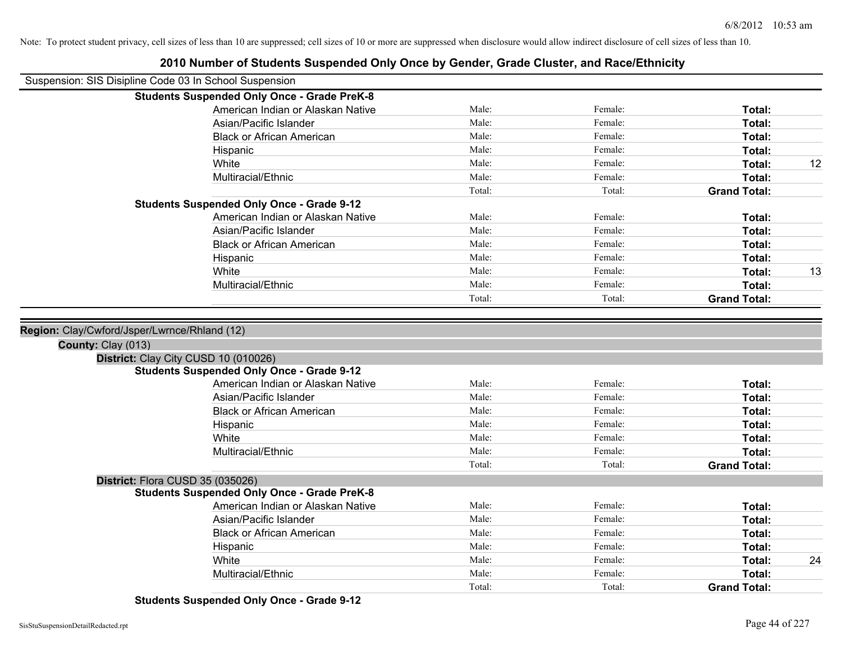| Suspension: SIS Disipline Code 03 In School Suspension             |                |                    |                     |    |
|--------------------------------------------------------------------|----------------|--------------------|---------------------|----|
| <b>Students Suspended Only Once - Grade PreK-8</b>                 |                |                    |                     |    |
| American Indian or Alaskan Native                                  | Male:          | Female:            | Total:              |    |
| Asian/Pacific Islander                                             | Male:          | Female:            | Total:              |    |
| <b>Black or African American</b>                                   | Male:          | Female:            | Total:              |    |
| Hispanic                                                           | Male:          | Female:            | Total:              |    |
| White                                                              | Male:          | Female:            | Total:              | 12 |
| Multiracial/Ethnic                                                 | Male:          | Female:            | Total:              |    |
|                                                                    | Total:         | Total:             | <b>Grand Total:</b> |    |
| <b>Students Suspended Only Once - Grade 9-12</b>                   |                |                    |                     |    |
| American Indian or Alaskan Native                                  | Male:          | Female:            | Total:              |    |
| Asian/Pacific Islander                                             | Male:          | Female:            | Total:              |    |
| <b>Black or African American</b>                                   | Male:          | Female:            | Total:              |    |
| Hispanic                                                           | Male:          | Female:            | Total:              |    |
| White                                                              | Male:          | Female:            | Total:              | 13 |
| Multiracial/Ethnic                                                 | Male:          | Female:            | Total:              |    |
|                                                                    | Total:         | Total:             | <b>Grand Total:</b> |    |
| Region: Clay/Cwford/Jsper/Lwrnce/Rhland (12)<br>County: Clay (013) |                |                    |                     |    |
| District: Clay City CUSD 10 (010026)                               |                |                    |                     |    |
| <b>Students Suspended Only Once - Grade 9-12</b>                   |                |                    |                     |    |
| American Indian or Alaskan Native                                  | Male:          | Female:            | Total:              |    |
| Asian/Pacific Islander                                             | Male:          | Female:            | Total:              |    |
| <b>Black or African American</b>                                   | Male:          | Female:            | Total:              |    |
| Hispanic                                                           | Male:          | Female:            | Total:              |    |
| White                                                              | Male:          | Female:            | Total:              |    |
| Multiracial/Ethnic                                                 | Male:          | Female:            | Total:              |    |
|                                                                    | Total:         | Total:             | <b>Grand Total:</b> |    |
| District: Flora CUSD 35 (035026)                                   |                |                    |                     |    |
| <b>Students Suspended Only Once - Grade PreK-8</b>                 |                |                    |                     |    |
| American Indian or Alaskan Native                                  | Male:          | Female:            | Total:              |    |
| Asian/Pacific Islander                                             | Male:          | Female:            | Total:              |    |
| <b>Black or African American</b>                                   | Male:          | Female:            | Total:              |    |
| Hispanic                                                           | Male:<br>Male: | Female:<br>Female: | Total:              |    |
| White<br>Multiracial/Ethnic                                        | Male:          |                    | Total:<br>Total:    | 24 |
|                                                                    | Total:         | Female:            |                     |    |
|                                                                    |                | Total:             | <b>Grand Total:</b> |    |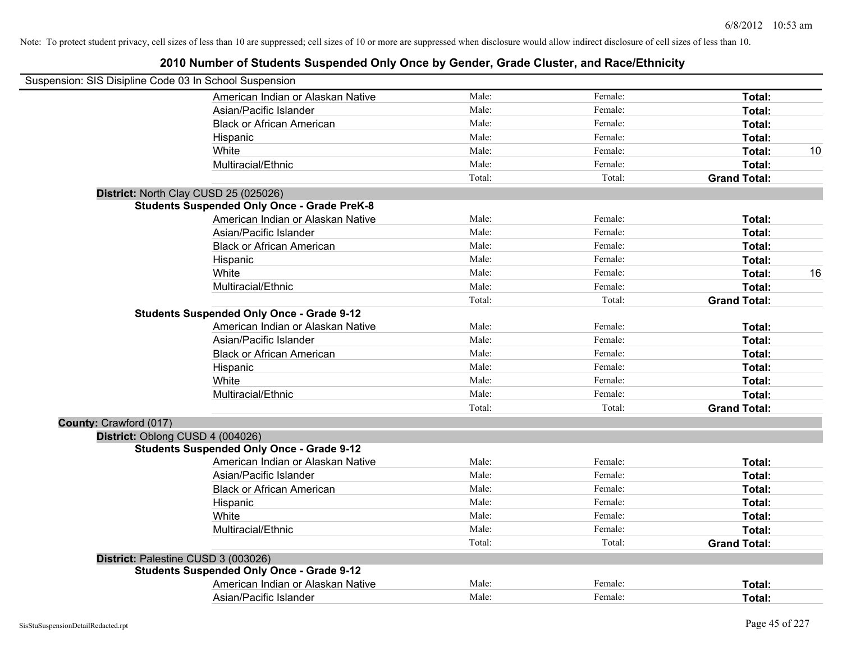| Suspension: SIS Disipline Code 03 In School Suspension |                                                    |        |         |                     |    |
|--------------------------------------------------------|----------------------------------------------------|--------|---------|---------------------|----|
|                                                        | American Indian or Alaskan Native                  | Male:  | Female: | Total:              |    |
|                                                        | Asian/Pacific Islander                             | Male:  | Female: | Total:              |    |
|                                                        | <b>Black or African American</b>                   | Male:  | Female: | Total:              |    |
|                                                        | Hispanic                                           | Male:  | Female: | Total:              |    |
|                                                        | White                                              | Male:  | Female: | Total:              | 10 |
|                                                        | Multiracial/Ethnic                                 | Male:  | Female: | Total:              |    |
|                                                        |                                                    | Total: | Total:  | <b>Grand Total:</b> |    |
|                                                        | District: North Clay CUSD 25 (025026)              |        |         |                     |    |
|                                                        | <b>Students Suspended Only Once - Grade PreK-8</b> |        |         |                     |    |
|                                                        | American Indian or Alaskan Native                  | Male:  | Female: | Total:              |    |
|                                                        | Asian/Pacific Islander                             | Male:  | Female: | Total:              |    |
|                                                        | <b>Black or African American</b>                   | Male:  | Female: | Total:              |    |
|                                                        | Hispanic                                           | Male:  | Female: | Total:              |    |
|                                                        | White                                              | Male:  | Female: | Total:              | 16 |
|                                                        | Multiracial/Ethnic                                 | Male:  | Female: | Total:              |    |
|                                                        |                                                    | Total: | Total:  | <b>Grand Total:</b> |    |
|                                                        | <b>Students Suspended Only Once - Grade 9-12</b>   |        |         |                     |    |
|                                                        | American Indian or Alaskan Native                  | Male:  | Female: | Total:              |    |
|                                                        | Asian/Pacific Islander                             | Male:  | Female: | Total:              |    |
|                                                        | <b>Black or African American</b>                   | Male:  | Female: | Total:              |    |
|                                                        | Hispanic                                           | Male:  | Female: | Total:              |    |
|                                                        | White                                              | Male:  | Female: | Total:              |    |
|                                                        | Multiracial/Ethnic                                 | Male:  | Female: | Total:              |    |
|                                                        |                                                    | Total: | Total:  | <b>Grand Total:</b> |    |
| County: Crawford (017)                                 |                                                    |        |         |                     |    |
|                                                        | District: Oblong CUSD 4 (004026)                   |        |         |                     |    |
|                                                        | <b>Students Suspended Only Once - Grade 9-12</b>   |        |         |                     |    |
|                                                        | American Indian or Alaskan Native                  | Male:  | Female: | Total:              |    |
|                                                        | Asian/Pacific Islander                             | Male:  | Female: | Total:              |    |
|                                                        | <b>Black or African American</b>                   | Male:  | Female: | Total:              |    |
|                                                        | Hispanic                                           | Male:  | Female: | Total:              |    |
|                                                        | White                                              | Male:  | Female: | Total:              |    |
|                                                        | Multiracial/Ethnic                                 | Male:  | Female: | Total:              |    |
|                                                        |                                                    | Total: | Total:  | <b>Grand Total:</b> |    |
|                                                        | District: Palestine CUSD 3 (003026)                |        |         |                     |    |
|                                                        | <b>Students Suspended Only Once - Grade 9-12</b>   |        |         |                     |    |
|                                                        | American Indian or Alaskan Native                  | Male:  | Female: | Total:              |    |
|                                                        | Asian/Pacific Islander                             | Male:  | Female: | Total:              |    |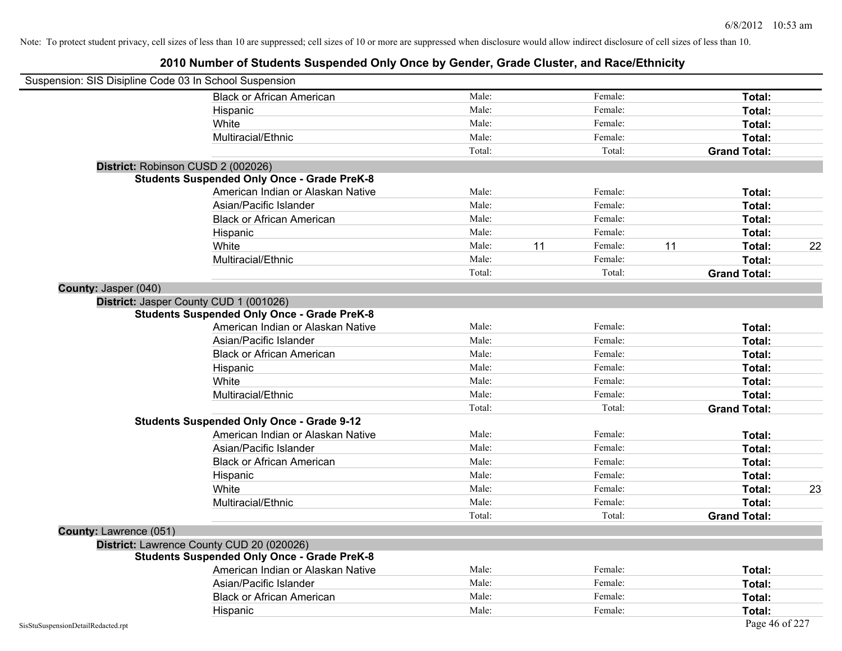| Suspension: SIS Disipline Code 03 In School Suspension |                                                    |        |    |         |    |                     |    |
|--------------------------------------------------------|----------------------------------------------------|--------|----|---------|----|---------------------|----|
|                                                        | <b>Black or African American</b>                   | Male:  |    | Female: |    | Total:              |    |
|                                                        | Hispanic                                           | Male:  |    | Female: |    | Total:              |    |
|                                                        | White                                              | Male:  |    | Female: |    | Total:              |    |
|                                                        | Multiracial/Ethnic                                 | Male:  |    | Female: |    | Total:              |    |
|                                                        |                                                    | Total: |    | Total:  |    | <b>Grand Total:</b> |    |
|                                                        | District: Robinson CUSD 2 (002026)                 |        |    |         |    |                     |    |
|                                                        | <b>Students Suspended Only Once - Grade PreK-8</b> |        |    |         |    |                     |    |
|                                                        | American Indian or Alaskan Native                  | Male:  |    | Female: |    | Total:              |    |
|                                                        | Asian/Pacific Islander                             | Male:  |    | Female: |    | Total:              |    |
|                                                        | <b>Black or African American</b>                   | Male:  |    | Female: |    | Total:              |    |
|                                                        | Hispanic                                           | Male:  |    | Female: |    | Total:              |    |
|                                                        | White                                              | Male:  | 11 | Female: | 11 | Total:              | 22 |
|                                                        | Multiracial/Ethnic                                 | Male:  |    | Female: |    | Total:              |    |
|                                                        |                                                    | Total: |    | Total:  |    | <b>Grand Total:</b> |    |
| County: Jasper (040)                                   |                                                    |        |    |         |    |                     |    |
|                                                        | District: Jasper County CUD 1 (001026)             |        |    |         |    |                     |    |
|                                                        | <b>Students Suspended Only Once - Grade PreK-8</b> |        |    |         |    |                     |    |
|                                                        | American Indian or Alaskan Native                  | Male:  |    | Female: |    | Total:              |    |
|                                                        | Asian/Pacific Islander                             | Male:  |    | Female: |    | Total:              |    |
|                                                        | <b>Black or African American</b>                   | Male:  |    | Female: |    | Total:              |    |
|                                                        | Hispanic                                           | Male:  |    | Female: |    | Total:              |    |
|                                                        | White                                              | Male:  |    | Female: |    | Total:              |    |
|                                                        | Multiracial/Ethnic                                 | Male:  |    | Female: |    | Total:              |    |
|                                                        |                                                    | Total: |    | Total:  |    | <b>Grand Total:</b> |    |
|                                                        | <b>Students Suspended Only Once - Grade 9-12</b>   |        |    |         |    |                     |    |
|                                                        | American Indian or Alaskan Native                  | Male:  |    | Female: |    | Total:              |    |
|                                                        | Asian/Pacific Islander                             | Male:  |    | Female: |    | Total:              |    |
|                                                        | <b>Black or African American</b>                   | Male:  |    | Female: |    | Total:              |    |
|                                                        | Hispanic                                           | Male:  |    | Female: |    | Total:              |    |
|                                                        | White                                              | Male:  |    | Female: |    | Total:              | 23 |
|                                                        | Multiracial/Ethnic                                 | Male:  |    | Female: |    | Total:              |    |
|                                                        |                                                    | Total: |    | Total:  |    | <b>Grand Total:</b> |    |
| County: Lawrence (051)                                 |                                                    |        |    |         |    |                     |    |
|                                                        | District: Lawrence County CUD 20 (020026)          |        |    |         |    |                     |    |
|                                                        | <b>Students Suspended Only Once - Grade PreK-8</b> |        |    |         |    |                     |    |
|                                                        | American Indian or Alaskan Native                  | Male:  |    | Female: |    | Total:              |    |
|                                                        | Asian/Pacific Islander                             | Male:  |    | Female: |    | Total:              |    |
|                                                        | <b>Black or African American</b>                   | Male:  |    | Female: |    | Total:              |    |
|                                                        | Hispanic                                           | Male:  |    | Female: |    | Total:              |    |
| SisStuSuspensionDetailRedacted.rpt                     |                                                    |        |    |         |    | Page 46 of 227      |    |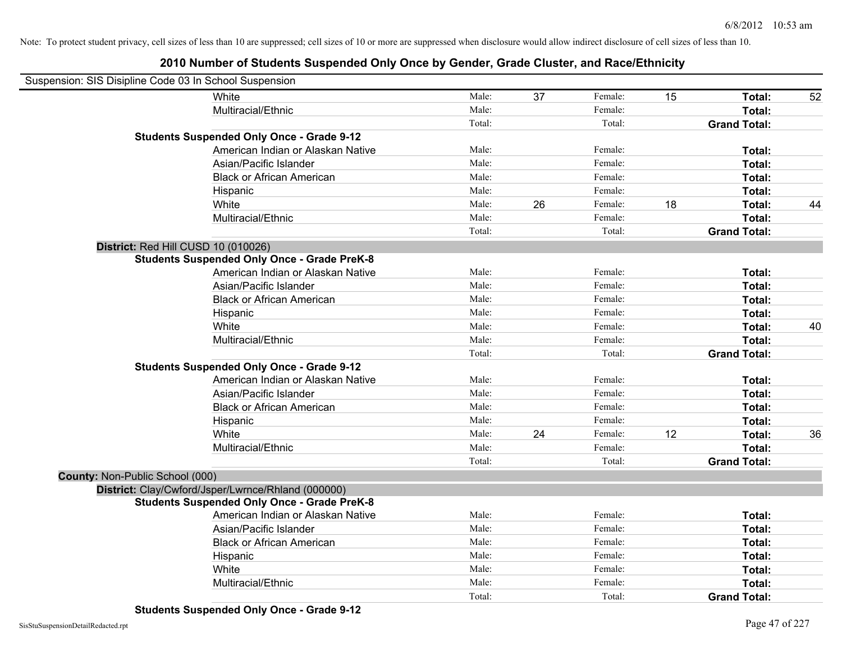| Suspension: SIS Disipline Code 03 In School Suspension |                                                    |        |    |         |    |                     |    |
|--------------------------------------------------------|----------------------------------------------------|--------|----|---------|----|---------------------|----|
|                                                        | White                                              | Male:  | 37 | Female: | 15 | Total:              | 52 |
|                                                        | Multiracial/Ethnic                                 | Male:  |    | Female: |    | Total:              |    |
|                                                        |                                                    | Total: |    | Total:  |    | <b>Grand Total:</b> |    |
|                                                        | <b>Students Suspended Only Once - Grade 9-12</b>   |        |    |         |    |                     |    |
|                                                        | American Indian or Alaskan Native                  | Male:  |    | Female: |    | Total:              |    |
|                                                        | Asian/Pacific Islander                             | Male:  |    | Female: |    | Total:              |    |
|                                                        | <b>Black or African American</b>                   | Male:  |    | Female: |    | Total:              |    |
|                                                        | Hispanic                                           | Male:  |    | Female: |    | Total:              |    |
|                                                        | White                                              | Male:  | 26 | Female: | 18 | Total:              | 44 |
|                                                        | Multiracial/Ethnic                                 | Male:  |    | Female: |    | Total:              |    |
|                                                        |                                                    | Total: |    | Total:  |    | <b>Grand Total:</b> |    |
| District: Red Hill CUSD 10 (010026)                    |                                                    |        |    |         |    |                     |    |
|                                                        | <b>Students Suspended Only Once - Grade PreK-8</b> |        |    |         |    |                     |    |
|                                                        | American Indian or Alaskan Native                  | Male:  |    | Female: |    | Total:              |    |
|                                                        | Asian/Pacific Islander                             | Male:  |    | Female: |    | Total:              |    |
|                                                        | <b>Black or African American</b>                   | Male:  |    | Female: |    | Total:              |    |
|                                                        | Hispanic                                           | Male:  |    | Female: |    | Total:              |    |
|                                                        | White                                              | Male:  |    | Female: |    | Total:              | 40 |
|                                                        | Multiracial/Ethnic                                 | Male:  |    | Female: |    | Total:              |    |
|                                                        |                                                    | Total: |    | Total:  |    | <b>Grand Total:</b> |    |
|                                                        | <b>Students Suspended Only Once - Grade 9-12</b>   |        |    |         |    |                     |    |
|                                                        | American Indian or Alaskan Native                  | Male:  |    | Female: |    | Total:              |    |
|                                                        | Asian/Pacific Islander                             | Male:  |    | Female: |    | Total:              |    |
|                                                        | <b>Black or African American</b>                   | Male:  |    | Female: |    | Total:              |    |
|                                                        | Hispanic                                           | Male:  |    | Female: |    | Total:              |    |
|                                                        | White                                              | Male:  | 24 | Female: | 12 | Total:              | 36 |
|                                                        | Multiracial/Ethnic                                 | Male:  |    | Female: |    | Total:              |    |
|                                                        |                                                    | Total: |    | Total:  |    | <b>Grand Total:</b> |    |
| County: Non-Public School (000)                        |                                                    |        |    |         |    |                     |    |
|                                                        | District: Clay/Cwford/Jsper/Lwrnce/Rhland (000000) |        |    |         |    |                     |    |
|                                                        | <b>Students Suspended Only Once - Grade PreK-8</b> |        |    |         |    |                     |    |
|                                                        | American Indian or Alaskan Native                  | Male:  |    | Female: |    | Total:              |    |
|                                                        | Asian/Pacific Islander                             | Male:  |    | Female: |    | Total:              |    |
|                                                        | <b>Black or African American</b>                   | Male:  |    | Female: |    | Total:              |    |
|                                                        | Hispanic                                           | Male:  |    | Female: |    | Total:              |    |
|                                                        | White                                              | Male:  |    | Female: |    | Total:              |    |
|                                                        | Multiracial/Ethnic                                 | Male:  |    | Female: |    | Total:              |    |
|                                                        |                                                    | Total: |    | Total:  |    | <b>Grand Total:</b> |    |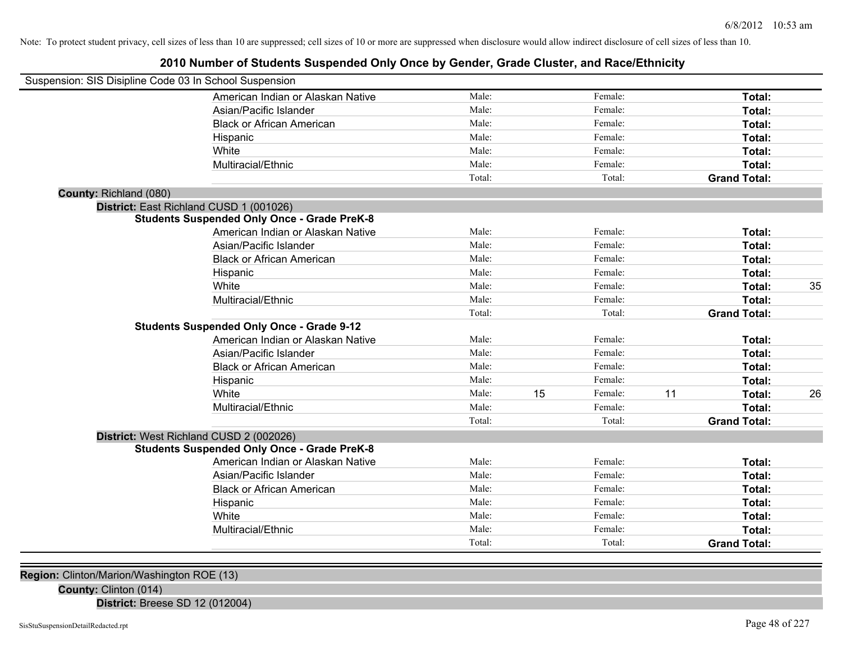# **2010 Number of Students Suspended Only Once by Gender, Grade Cluster, and Race/Ethnicity**

| Suspension: SIS Disipline Code 03 In School Suspension |                                                    |        |    |         |    |                     |    |
|--------------------------------------------------------|----------------------------------------------------|--------|----|---------|----|---------------------|----|
|                                                        | American Indian or Alaskan Native                  | Male:  |    | Female: |    | Total:              |    |
|                                                        | Asian/Pacific Islander                             | Male:  |    | Female: |    | Total:              |    |
|                                                        | <b>Black or African American</b>                   | Male:  |    | Female: |    | Total:              |    |
|                                                        | Hispanic                                           | Male:  |    | Female: |    | Total:              |    |
|                                                        | White                                              | Male:  |    | Female: |    | Total:              |    |
|                                                        | Multiracial/Ethnic                                 | Male:  |    | Female: |    | Total:              |    |
|                                                        |                                                    | Total: |    | Total:  |    | <b>Grand Total:</b> |    |
| County: Richland (080)                                 |                                                    |        |    |         |    |                     |    |
|                                                        | District: East Richland CUSD 1 (001026)            |        |    |         |    |                     |    |
|                                                        | <b>Students Suspended Only Once - Grade PreK-8</b> |        |    |         |    |                     |    |
|                                                        | American Indian or Alaskan Native                  | Male:  |    | Female: |    | Total:              |    |
|                                                        | Asian/Pacific Islander                             | Male:  |    | Female: |    | Total:              |    |
|                                                        | <b>Black or African American</b>                   | Male:  |    | Female: |    | Total:              |    |
|                                                        | Hispanic                                           | Male:  |    | Female: |    | Total:              |    |
|                                                        | White                                              | Male:  |    | Female: |    | Total:              | 35 |
|                                                        | Multiracial/Ethnic                                 | Male:  |    | Female: |    | Total:              |    |
|                                                        |                                                    | Total: |    | Total:  |    | <b>Grand Total:</b> |    |
|                                                        | <b>Students Suspended Only Once - Grade 9-12</b>   |        |    |         |    |                     |    |
|                                                        | American Indian or Alaskan Native                  | Male:  |    | Female: |    | Total:              |    |
|                                                        | Asian/Pacific Islander                             | Male:  |    | Female: |    | Total:              |    |
|                                                        | <b>Black or African American</b>                   | Male:  |    | Female: |    | Total:              |    |
|                                                        | Hispanic                                           | Male:  |    | Female: |    | Total:              |    |
|                                                        | White                                              | Male:  | 15 | Female: | 11 | Total:              | 26 |
|                                                        | Multiracial/Ethnic                                 | Male:  |    | Female: |    | Total:              |    |
|                                                        |                                                    | Total: |    | Total:  |    | <b>Grand Total:</b> |    |
|                                                        | District: West Richland CUSD 2 (002026)            |        |    |         |    |                     |    |
|                                                        | <b>Students Suspended Only Once - Grade PreK-8</b> |        |    |         |    |                     |    |
|                                                        | American Indian or Alaskan Native                  | Male:  |    | Female: |    | Total:              |    |
|                                                        | Asian/Pacific Islander                             | Male:  |    | Female: |    | Total:              |    |
|                                                        | <b>Black or African American</b>                   | Male:  |    | Female: |    | Total:              |    |
|                                                        | Hispanic                                           | Male:  |    | Female: |    | Total:              |    |
|                                                        | White                                              | Male:  |    | Female: |    | Total:              |    |
|                                                        | Multiracial/Ethnic                                 | Male:  |    | Female: |    | Total:              |    |
|                                                        |                                                    | Total: |    | Total:  |    | <b>Grand Total:</b> |    |
|                                                        |                                                    |        |    |         |    |                     |    |

**Region:** Clinton/Marion/Washington ROE (13)

**County:** Clinton (014)

**District:** Breese SD 12 (012004)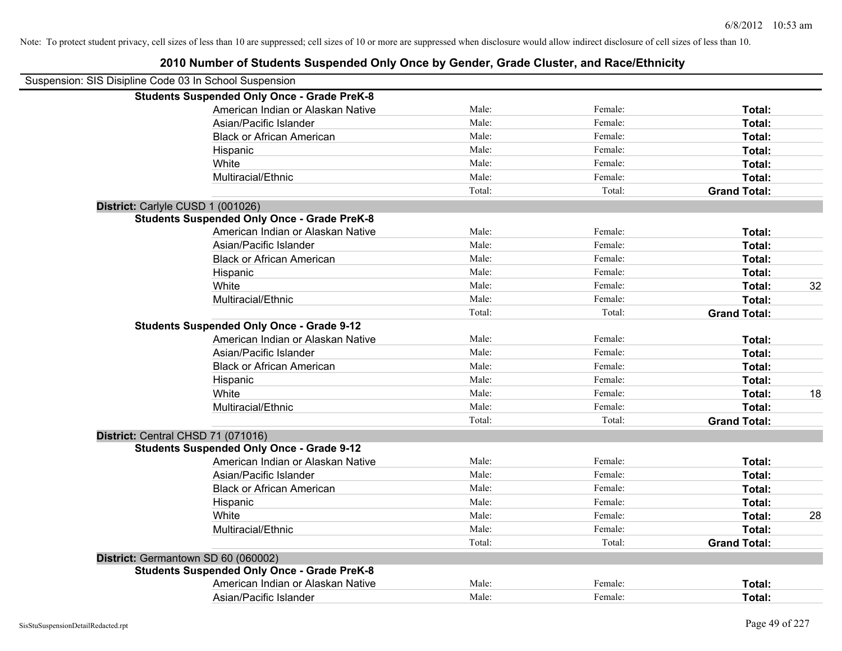|                                   | Suspension: SIS Disipline Code 03 In School Suspension |        |         |                     |    |
|-----------------------------------|--------------------------------------------------------|--------|---------|---------------------|----|
|                                   | <b>Students Suspended Only Once - Grade PreK-8</b>     |        |         |                     |    |
|                                   | American Indian or Alaskan Native                      | Male:  | Female: | Total:              |    |
|                                   | Asian/Pacific Islander                                 | Male:  | Female: | Total:              |    |
|                                   | <b>Black or African American</b>                       | Male:  | Female: | Total:              |    |
|                                   | Hispanic                                               | Male:  | Female: | Total:              |    |
|                                   | White                                                  | Male:  | Female: | Total:              |    |
|                                   | Multiracial/Ethnic                                     | Male:  | Female: | Total:              |    |
|                                   |                                                        | Total: | Total:  | <b>Grand Total:</b> |    |
| District: Carlyle CUSD 1 (001026) |                                                        |        |         |                     |    |
|                                   | <b>Students Suspended Only Once - Grade PreK-8</b>     |        |         |                     |    |
|                                   | American Indian or Alaskan Native                      | Male:  | Female: | Total:              |    |
|                                   | Asian/Pacific Islander                                 | Male:  | Female: | Total:              |    |
|                                   | <b>Black or African American</b>                       | Male:  | Female: | Total:              |    |
|                                   | Hispanic                                               | Male:  | Female: | Total:              |    |
|                                   | White                                                  | Male:  | Female: | Total:              | 32 |
|                                   | Multiracial/Ethnic                                     | Male:  | Female: | Total:              |    |
|                                   |                                                        | Total: | Total:  | <b>Grand Total:</b> |    |
|                                   | <b>Students Suspended Only Once - Grade 9-12</b>       |        |         |                     |    |
|                                   | American Indian or Alaskan Native                      | Male:  | Female: | Total:              |    |
|                                   | Asian/Pacific Islander                                 | Male:  | Female: | Total:              |    |
|                                   | <b>Black or African American</b>                       | Male:  | Female: | Total:              |    |
|                                   | Hispanic                                               | Male:  | Female: | Total:              |    |
|                                   | White                                                  | Male:  | Female: | Total:              | 18 |
|                                   | Multiracial/Ethnic                                     | Male:  | Female: | Total:              |    |
|                                   |                                                        | Total: | Total:  | <b>Grand Total:</b> |    |
|                                   | District: Central CHSD 71 (071016)                     |        |         |                     |    |
|                                   | <b>Students Suspended Only Once - Grade 9-12</b>       |        |         |                     |    |
|                                   | American Indian or Alaskan Native                      | Male:  | Female: | Total:              |    |
|                                   | Asian/Pacific Islander                                 | Male:  | Female: | Total:              |    |
|                                   | <b>Black or African American</b>                       | Male:  | Female: | Total:              |    |
|                                   | Hispanic                                               | Male:  | Female: | Total:              |    |
|                                   | White                                                  | Male:  | Female: | Total:              | 28 |
|                                   | Multiracial/Ethnic                                     | Male:  | Female: | Total:              |    |
|                                   |                                                        | Total: | Total:  | <b>Grand Total:</b> |    |
|                                   | District: Germantown SD 60 (060002)                    |        |         |                     |    |
|                                   | <b>Students Suspended Only Once - Grade PreK-8</b>     |        |         |                     |    |
|                                   | American Indian or Alaskan Native                      | Male:  | Female: | Total:              |    |
|                                   | Asian/Pacific Islander                                 | Male:  | Female: | Total:              |    |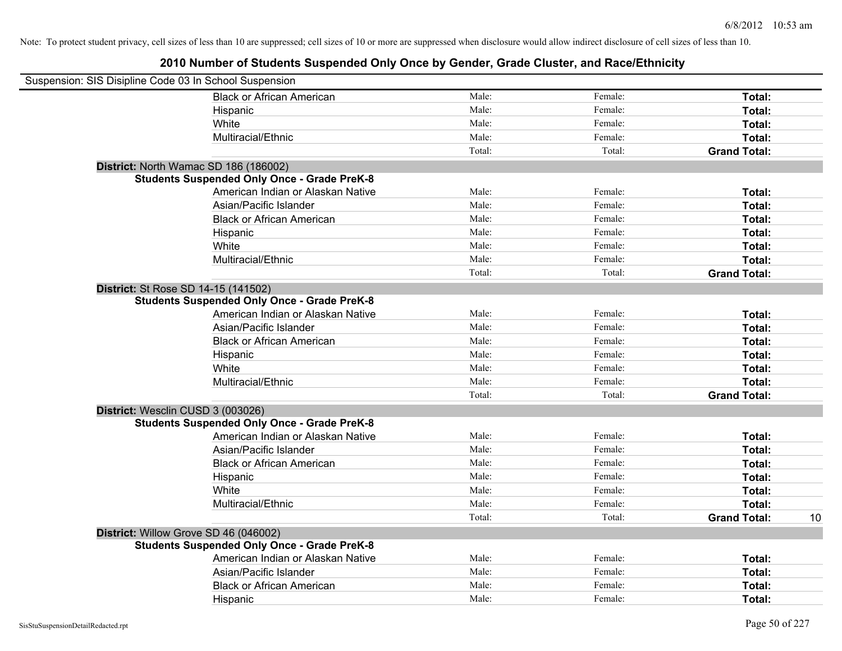| Suspension: SIS Disipline Code 03 In School Suspension |        |         |                     |    |
|--------------------------------------------------------|--------|---------|---------------------|----|
| <b>Black or African American</b>                       | Male:  | Female: | Total:              |    |
| Hispanic                                               | Male:  | Female: | Total:              |    |
| White                                                  | Male:  | Female: | Total:              |    |
| Multiracial/Ethnic                                     | Male:  | Female: | Total:              |    |
|                                                        | Total: | Total:  | <b>Grand Total:</b> |    |
| District: North Wamac SD 186 (186002)                  |        |         |                     |    |
| <b>Students Suspended Only Once - Grade PreK-8</b>     |        |         |                     |    |
| American Indian or Alaskan Native                      | Male:  | Female: | Total:              |    |
| Asian/Pacific Islander                                 | Male:  | Female: | Total:              |    |
| <b>Black or African American</b>                       | Male:  | Female: | Total:              |    |
| Hispanic                                               | Male:  | Female: | Total:              |    |
| White                                                  | Male:  | Female: | Total:              |    |
| Multiracial/Ethnic                                     | Male:  | Female: | Total:              |    |
|                                                        | Total: | Total:  | <b>Grand Total:</b> |    |
| District: St Rose SD 14-15 (141502)                    |        |         |                     |    |
| <b>Students Suspended Only Once - Grade PreK-8</b>     |        |         |                     |    |
| American Indian or Alaskan Native                      | Male:  | Female: | Total:              |    |
| Asian/Pacific Islander                                 | Male:  | Female: | Total:              |    |
| <b>Black or African American</b>                       | Male:  | Female: | Total:              |    |
| Hispanic                                               | Male:  | Female: | Total:              |    |
| White                                                  | Male:  | Female: | Total:              |    |
| Multiracial/Ethnic                                     | Male:  | Female: | Total:              |    |
|                                                        | Total: | Total:  | <b>Grand Total:</b> |    |
| District: Wesclin CUSD 3 (003026)                      |        |         |                     |    |
| <b>Students Suspended Only Once - Grade PreK-8</b>     |        |         |                     |    |
| American Indian or Alaskan Native                      | Male:  | Female: | Total:              |    |
| Asian/Pacific Islander                                 | Male:  | Female: | Total:              |    |
| <b>Black or African American</b>                       | Male:  | Female: | Total:              |    |
| Hispanic                                               | Male:  | Female: | Total:              |    |
| White                                                  | Male:  | Female: | Total:              |    |
| Multiracial/Ethnic                                     | Male:  | Female: | Total:              |    |
|                                                        | Total: | Total:  | <b>Grand Total:</b> | 10 |
| District: Willow Grove SD 46 (046002)                  |        |         |                     |    |
| <b>Students Suspended Only Once - Grade PreK-8</b>     |        |         |                     |    |
| American Indian or Alaskan Native                      | Male:  | Female: | Total:              |    |
| Asian/Pacific Islander                                 | Male:  | Female: | Total:              |    |
| <b>Black or African American</b>                       | Male:  | Female: | Total:              |    |
| Hispanic                                               | Male:  | Female: | Total:              |    |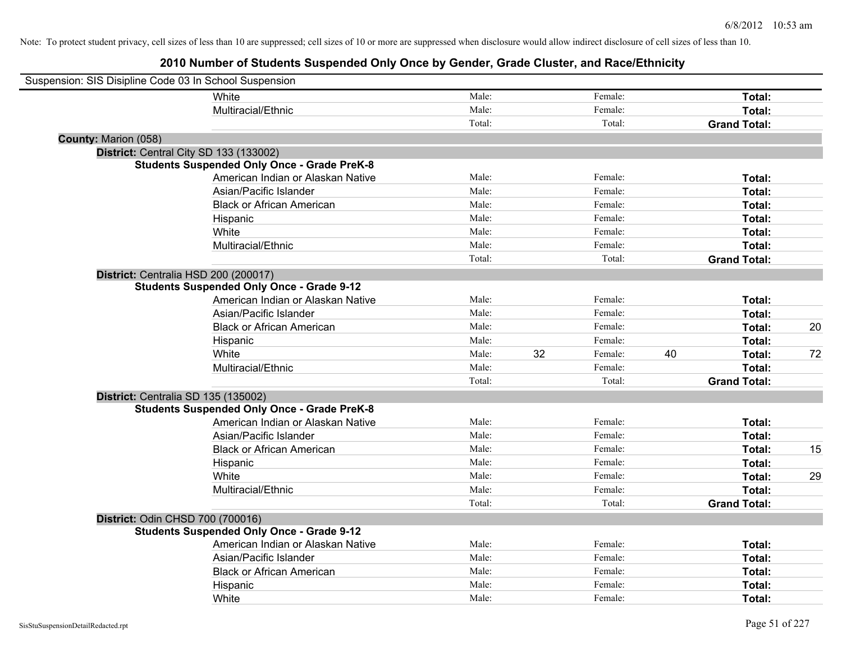| Suspension: SIS Disipline Code 03 In School Suspension |                                                    |        |    |         |    |                     |    |
|--------------------------------------------------------|----------------------------------------------------|--------|----|---------|----|---------------------|----|
|                                                        | White                                              | Male:  |    | Female: |    | Total:              |    |
|                                                        | Multiracial/Ethnic                                 | Male:  |    | Female: |    | Total:              |    |
|                                                        |                                                    | Total: |    | Total:  |    | <b>Grand Total:</b> |    |
| <b>County: Marion (058)</b>                            |                                                    |        |    |         |    |                     |    |
| District: Central City SD 133 (133002)                 |                                                    |        |    |         |    |                     |    |
|                                                        | <b>Students Suspended Only Once - Grade PreK-8</b> |        |    |         |    |                     |    |
|                                                        | American Indian or Alaskan Native                  | Male:  |    | Female: |    | Total:              |    |
|                                                        | Asian/Pacific Islander                             | Male:  |    | Female: |    | Total:              |    |
|                                                        | <b>Black or African American</b>                   | Male:  |    | Female: |    | Total:              |    |
|                                                        | Hispanic                                           | Male:  |    | Female: |    | Total:              |    |
|                                                        | White                                              | Male:  |    | Female: |    | Total:              |    |
|                                                        | Multiracial/Ethnic                                 | Male:  |    | Female: |    | Total:              |    |
|                                                        |                                                    | Total: |    | Total:  |    | <b>Grand Total:</b> |    |
| District: Centralia HSD 200 (200017)                   |                                                    |        |    |         |    |                     |    |
|                                                        | <b>Students Suspended Only Once - Grade 9-12</b>   |        |    |         |    |                     |    |
|                                                        | American Indian or Alaskan Native                  | Male:  |    | Female: |    | Total:              |    |
|                                                        | Asian/Pacific Islander                             | Male:  |    | Female: |    | Total:              |    |
|                                                        | <b>Black or African American</b>                   | Male:  |    | Female: |    | Total:              | 20 |
|                                                        | Hispanic                                           | Male:  |    | Female: |    | Total:              |    |
|                                                        | White                                              | Male:  | 32 | Female: | 40 | Total:              | 72 |
|                                                        | Multiracial/Ethnic                                 | Male:  |    | Female: |    | Total:              |    |
|                                                        |                                                    | Total: |    | Total:  |    | <b>Grand Total:</b> |    |
| District: Centralia SD 135 (135002)                    |                                                    |        |    |         |    |                     |    |
|                                                        | <b>Students Suspended Only Once - Grade PreK-8</b> |        |    |         |    |                     |    |
|                                                        | American Indian or Alaskan Native                  | Male:  |    | Female: |    | Total:              |    |
|                                                        | Asian/Pacific Islander                             | Male:  |    | Female: |    | Total:              |    |
|                                                        | <b>Black or African American</b>                   | Male:  |    | Female: |    | Total:              | 15 |
|                                                        | Hispanic                                           | Male:  |    | Female: |    | Total:              |    |
|                                                        | White                                              | Male:  |    | Female: |    | Total:              | 29 |
|                                                        | Multiracial/Ethnic                                 | Male:  |    | Female: |    | Total:              |    |
|                                                        |                                                    | Total: |    | Total:  |    | <b>Grand Total:</b> |    |
| District: Odin CHSD 700 (700016)                       |                                                    |        |    |         |    |                     |    |
|                                                        | <b>Students Suspended Only Once - Grade 9-12</b>   |        |    |         |    |                     |    |
|                                                        | American Indian or Alaskan Native                  | Male:  |    | Female: |    | Total:              |    |
|                                                        | Asian/Pacific Islander                             | Male:  |    | Female: |    | Total:              |    |
|                                                        | <b>Black or African American</b>                   | Male:  |    | Female: |    | Total:              |    |
|                                                        | Hispanic                                           | Male:  |    | Female: |    | Total:              |    |
|                                                        | White                                              | Male:  |    | Female: |    | Total:              |    |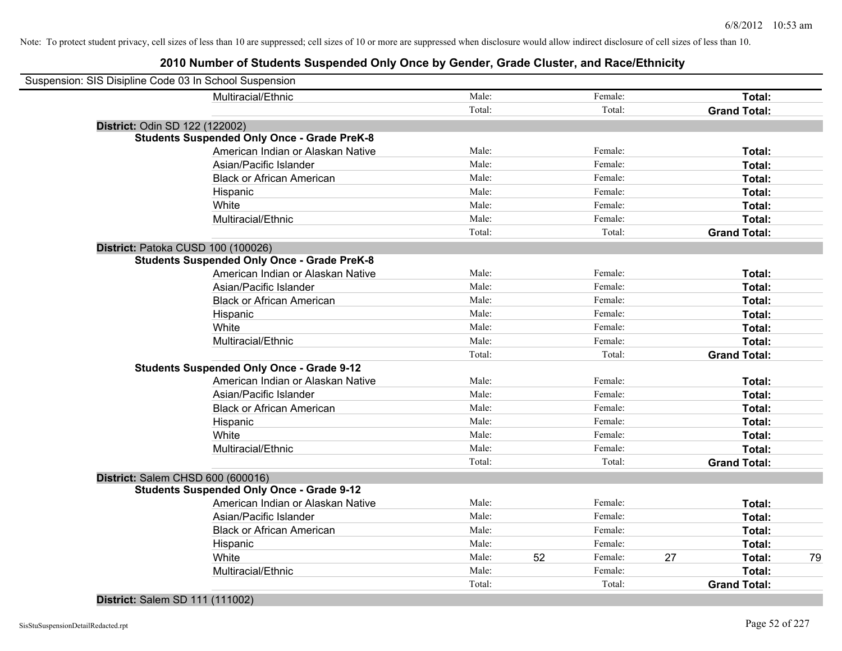## **2010 Number of Students Suspended Only Once by Gender, Grade Cluster, and Race/Ethnicity**

| Male:<br>Multiracial/Ethnic<br>Female:<br>Total:<br>Total:<br>Total:<br><b>Grand Total:</b><br>District: Odin SD 122 (122002)<br><b>Students Suspended Only Once - Grade PreK-8</b><br>American Indian or Alaskan Native<br>Male:<br>Female:<br>Total:<br>Male:<br>Female:<br>Asian/Pacific Islander<br>Total:<br>Male:<br>Female:<br><b>Black or African American</b><br>Total:<br>Male:<br>Female:<br>Hispanic<br>Total:<br>Male:<br>White<br>Female:<br>Total:<br>Male:<br>Multiracial/Ethnic<br>Female:<br>Total:<br>Total:<br>Total:<br><b>Grand Total:</b> |    |
|------------------------------------------------------------------------------------------------------------------------------------------------------------------------------------------------------------------------------------------------------------------------------------------------------------------------------------------------------------------------------------------------------------------------------------------------------------------------------------------------------------------------------------------------------------------|----|
|                                                                                                                                                                                                                                                                                                                                                                                                                                                                                                                                                                  |    |
|                                                                                                                                                                                                                                                                                                                                                                                                                                                                                                                                                                  |    |
|                                                                                                                                                                                                                                                                                                                                                                                                                                                                                                                                                                  |    |
|                                                                                                                                                                                                                                                                                                                                                                                                                                                                                                                                                                  |    |
|                                                                                                                                                                                                                                                                                                                                                                                                                                                                                                                                                                  |    |
|                                                                                                                                                                                                                                                                                                                                                                                                                                                                                                                                                                  |    |
|                                                                                                                                                                                                                                                                                                                                                                                                                                                                                                                                                                  |    |
|                                                                                                                                                                                                                                                                                                                                                                                                                                                                                                                                                                  |    |
|                                                                                                                                                                                                                                                                                                                                                                                                                                                                                                                                                                  |    |
|                                                                                                                                                                                                                                                                                                                                                                                                                                                                                                                                                                  |    |
|                                                                                                                                                                                                                                                                                                                                                                                                                                                                                                                                                                  |    |
| District: Patoka CUSD 100 (100026)                                                                                                                                                                                                                                                                                                                                                                                                                                                                                                                               |    |
| <b>Students Suspended Only Once - Grade PreK-8</b>                                                                                                                                                                                                                                                                                                                                                                                                                                                                                                               |    |
| American Indian or Alaskan Native<br>Male:<br>Female:<br>Total:                                                                                                                                                                                                                                                                                                                                                                                                                                                                                                  |    |
| Male:<br>Female:<br>Asian/Pacific Islander<br>Total:                                                                                                                                                                                                                                                                                                                                                                                                                                                                                                             |    |
| Male:<br>Female:<br><b>Black or African American</b><br>Total:                                                                                                                                                                                                                                                                                                                                                                                                                                                                                                   |    |
| Male:<br>Female:<br>Total:<br>Hispanic                                                                                                                                                                                                                                                                                                                                                                                                                                                                                                                           |    |
| Male:<br>White<br>Female:<br>Total:                                                                                                                                                                                                                                                                                                                                                                                                                                                                                                                              |    |
| Multiracial/Ethnic<br>Male:<br>Female:<br>Total:                                                                                                                                                                                                                                                                                                                                                                                                                                                                                                                 |    |
| Total:<br>Total:<br><b>Grand Total:</b>                                                                                                                                                                                                                                                                                                                                                                                                                                                                                                                          |    |
| <b>Students Suspended Only Once - Grade 9-12</b>                                                                                                                                                                                                                                                                                                                                                                                                                                                                                                                 |    |
| American Indian or Alaskan Native<br>Male:<br>Female:<br>Total:                                                                                                                                                                                                                                                                                                                                                                                                                                                                                                  |    |
| Male:<br>Female:<br>Asian/Pacific Islander<br>Total:                                                                                                                                                                                                                                                                                                                                                                                                                                                                                                             |    |
| Male:<br>Female:<br>Total:<br><b>Black or African American</b>                                                                                                                                                                                                                                                                                                                                                                                                                                                                                                   |    |
| Male:<br>Female:<br>Total:<br>Hispanic                                                                                                                                                                                                                                                                                                                                                                                                                                                                                                                           |    |
| Male:<br>White<br>Female:<br>Total:                                                                                                                                                                                                                                                                                                                                                                                                                                                                                                                              |    |
| Male:<br>Female:<br><b>Total:</b><br>Multiracial/Ethnic                                                                                                                                                                                                                                                                                                                                                                                                                                                                                                          |    |
| Total:<br>Total:<br><b>Grand Total:</b>                                                                                                                                                                                                                                                                                                                                                                                                                                                                                                                          |    |
| District: Salem CHSD 600 (600016)                                                                                                                                                                                                                                                                                                                                                                                                                                                                                                                                |    |
| <b>Students Suspended Only Once - Grade 9-12</b>                                                                                                                                                                                                                                                                                                                                                                                                                                                                                                                 |    |
| American Indian or Alaskan Native<br>Male:<br>Female:<br>Total:                                                                                                                                                                                                                                                                                                                                                                                                                                                                                                  |    |
| Asian/Pacific Islander<br>Male:<br>Female:<br>Total:                                                                                                                                                                                                                                                                                                                                                                                                                                                                                                             |    |
| <b>Black or African American</b><br>Male:<br>Female:<br>Total:                                                                                                                                                                                                                                                                                                                                                                                                                                                                                                   |    |
| Male:<br>Female:<br>Hispanic<br>Total:                                                                                                                                                                                                                                                                                                                                                                                                                                                                                                                           |    |
| White<br>52<br>27<br>Male:<br>Female:<br>Total:                                                                                                                                                                                                                                                                                                                                                                                                                                                                                                                  | 79 |
| Multiracial/Ethnic<br>Male:<br>Female:<br>Total:                                                                                                                                                                                                                                                                                                                                                                                                                                                                                                                 |    |
| Total:<br>Total:<br><b>Grand Total:</b>                                                                                                                                                                                                                                                                                                                                                                                                                                                                                                                          |    |

**District:** Salem SD 111 (111002)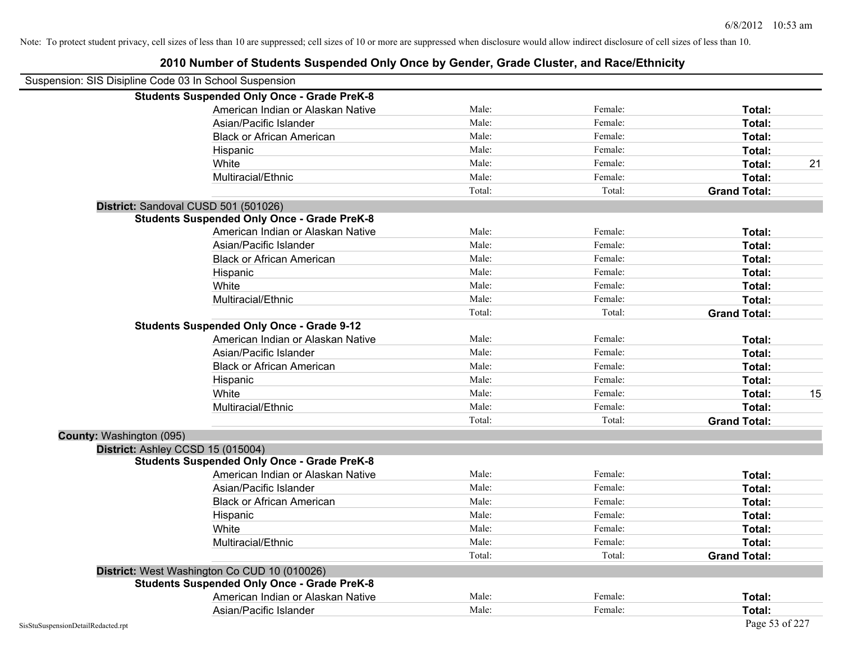| Suspension: SIS Disipline Code 03 In School Suspension |                                                    |        |         |                     |    |
|--------------------------------------------------------|----------------------------------------------------|--------|---------|---------------------|----|
|                                                        | <b>Students Suspended Only Once - Grade PreK-8</b> |        |         |                     |    |
|                                                        | American Indian or Alaskan Native                  | Male:  | Female: | Total:              |    |
|                                                        | Asian/Pacific Islander                             | Male:  | Female: | Total:              |    |
|                                                        | <b>Black or African American</b>                   | Male:  | Female: | Total:              |    |
|                                                        | Hispanic                                           | Male:  | Female: | Total:              |    |
|                                                        | White                                              | Male:  | Female: | Total:              | 21 |
|                                                        | Multiracial/Ethnic                                 | Male:  | Female: | Total:              |    |
|                                                        |                                                    | Total: | Total:  | <b>Grand Total:</b> |    |
|                                                        | District: Sandoval CUSD 501 (501026)               |        |         |                     |    |
|                                                        | <b>Students Suspended Only Once - Grade PreK-8</b> |        |         |                     |    |
|                                                        | American Indian or Alaskan Native                  | Male:  | Female: | Total:              |    |
|                                                        | Asian/Pacific Islander                             | Male:  | Female: | Total:              |    |
|                                                        | <b>Black or African American</b>                   | Male:  | Female: | Total:              |    |
|                                                        | Hispanic                                           | Male:  | Female: | Total:              |    |
|                                                        | White                                              | Male:  | Female: | Total:              |    |
|                                                        | Multiracial/Ethnic                                 | Male:  | Female: | Total:              |    |
|                                                        |                                                    | Total: | Total:  | <b>Grand Total:</b> |    |
|                                                        | <b>Students Suspended Only Once - Grade 9-12</b>   |        |         |                     |    |
|                                                        | American Indian or Alaskan Native                  | Male:  | Female: | Total:              |    |
|                                                        | Asian/Pacific Islander                             | Male:  | Female: | Total:              |    |
|                                                        | <b>Black or African American</b>                   | Male:  | Female: | Total:              |    |
|                                                        | Hispanic                                           | Male:  | Female: | Total:              |    |
|                                                        | White                                              | Male:  | Female: | Total:              | 15 |
|                                                        | Multiracial/Ethnic                                 | Male:  | Female: | Total:              |    |
|                                                        |                                                    | Total: | Total:  | <b>Grand Total:</b> |    |
| County: Washington (095)                               |                                                    |        |         |                     |    |
| District: Ashley CCSD 15 (015004)                      |                                                    |        |         |                     |    |
|                                                        | <b>Students Suspended Only Once - Grade PreK-8</b> |        |         |                     |    |
|                                                        | American Indian or Alaskan Native                  | Male:  | Female: | Total:              |    |
|                                                        | Asian/Pacific Islander                             | Male:  | Female: | Total:              |    |
|                                                        | <b>Black or African American</b>                   | Male:  | Female: | Total:              |    |
|                                                        | Hispanic                                           | Male:  | Female: | Total:              |    |
|                                                        | White                                              | Male:  | Female: | Total:              |    |
|                                                        | Multiracial/Ethnic                                 | Male:  | Female: | Total:              |    |
|                                                        |                                                    | Total: | Total:  | <b>Grand Total:</b> |    |
|                                                        | District: West Washington Co CUD 10 (010026)       |        |         |                     |    |
|                                                        | <b>Students Suspended Only Once - Grade PreK-8</b> |        |         |                     |    |
|                                                        | American Indian or Alaskan Native                  | Male:  | Female: | Total:              |    |
|                                                        | Asian/Pacific Islander                             | Male:  | Female: | Total:              |    |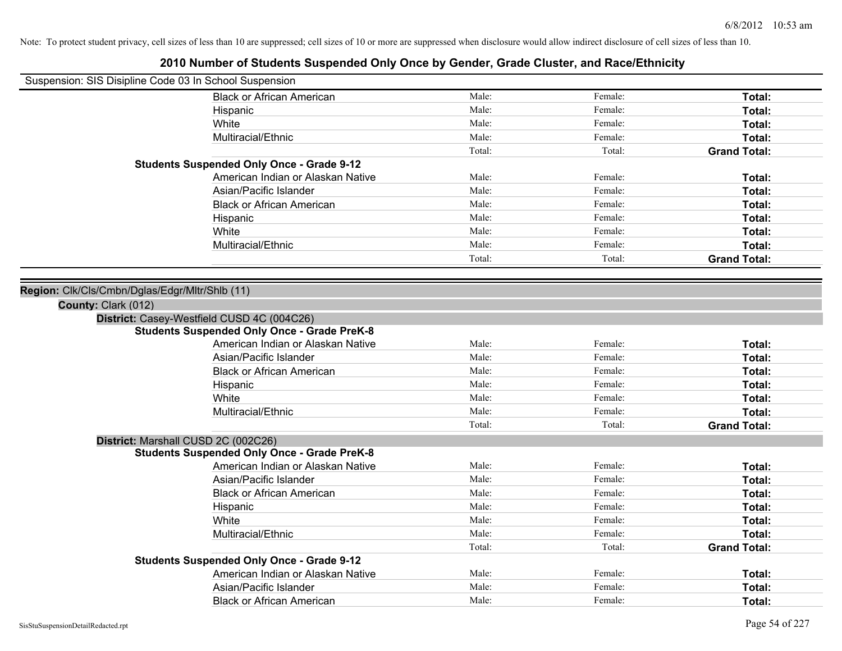| Suspension: SIS Disipline Code 03 In School Suspension |                                                    |        |         |                     |
|--------------------------------------------------------|----------------------------------------------------|--------|---------|---------------------|
|                                                        | <b>Black or African American</b>                   | Male:  | Female: | Total:              |
|                                                        | Hispanic                                           | Male:  | Female: | Total:              |
|                                                        | White                                              | Male:  | Female: | <b>Total:</b>       |
|                                                        | Multiracial/Ethnic                                 | Male:  | Female: | <b>Total:</b>       |
|                                                        |                                                    | Total: | Total:  | <b>Grand Total:</b> |
|                                                        | <b>Students Suspended Only Once - Grade 9-12</b>   |        |         |                     |
|                                                        | American Indian or Alaskan Native                  | Male:  | Female: | Total:              |
|                                                        | Asian/Pacific Islander                             | Male:  | Female: | Total:              |
|                                                        | <b>Black or African American</b>                   | Male:  | Female: | Total:              |
|                                                        | Hispanic                                           | Male:  | Female: | <b>Total:</b>       |
|                                                        | White                                              | Male:  | Female: | <b>Total:</b>       |
|                                                        | Multiracial/Ethnic                                 | Male:  | Female: | <b>Total:</b>       |
|                                                        |                                                    | Total: | Total:  | <b>Grand Total:</b> |
|                                                        |                                                    |        |         |                     |
| Region: Clk/Cls/Cmbn/Dglas/Edgr/Mltr/Shlb (11)         |                                                    |        |         |                     |
| County: Clark (012)                                    |                                                    |        |         |                     |
|                                                        | District: Casey-Westfield CUSD 4C (004C26)         |        |         |                     |
|                                                        | <b>Students Suspended Only Once - Grade PreK-8</b> |        |         |                     |
|                                                        | American Indian or Alaskan Native                  | Male:  | Female: | <b>Total:</b>       |
|                                                        | Asian/Pacific Islander                             | Male:  | Female: | <b>Total:</b>       |
|                                                        | <b>Black or African American</b>                   | Male:  | Female: | <b>Total:</b>       |
|                                                        | Hispanic                                           | Male:  | Female: | Total:              |
|                                                        | White                                              | Male:  | Female: | Total:              |
|                                                        | Multiracial/Ethnic                                 | Male:  | Female: | Total:              |
|                                                        |                                                    | Total: | Total:  | <b>Grand Total:</b> |
| District: Marshall CUSD 2C (002C26)                    |                                                    |        |         |                     |
|                                                        | <b>Students Suspended Only Once - Grade PreK-8</b> |        |         |                     |
|                                                        | American Indian or Alaskan Native                  | Male:  | Female: | Total:              |
|                                                        | Asian/Pacific Islander                             | Male:  | Female: | Total:              |
|                                                        | <b>Black or African American</b>                   | Male:  | Female: | <b>Total:</b>       |
|                                                        | Hispanic                                           | Male:  | Female: | Total:              |
|                                                        | White                                              | Male:  | Female: | <b>Total:</b>       |
|                                                        | Multiracial/Ethnic                                 | Male:  | Female: | Total:              |
|                                                        |                                                    | Total: | Total:  | <b>Grand Total:</b> |
|                                                        | <b>Students Suspended Only Once - Grade 9-12</b>   |        |         |                     |
|                                                        | American Indian or Alaskan Native                  | Male:  | Female: | <b>Total:</b>       |
|                                                        | Asian/Pacific Islander                             | Male:  | Female: | <b>Total:</b>       |
|                                                        | <b>Black or African American</b>                   | Male:  | Female: | Total:              |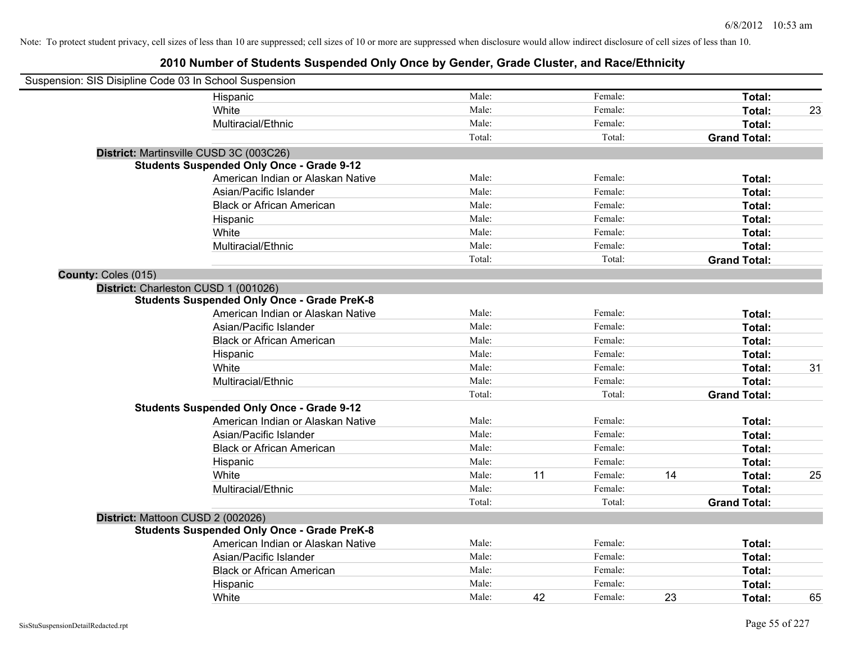| Suspension: SIS Disipline Code 03 In School Suspension |                                                    |        |    |         |    |                     |    |
|--------------------------------------------------------|----------------------------------------------------|--------|----|---------|----|---------------------|----|
|                                                        | Hispanic                                           | Male:  |    | Female: |    | Total:              |    |
|                                                        | White                                              | Male:  |    | Female: |    | Total:              | 23 |
|                                                        | Multiracial/Ethnic                                 | Male:  |    | Female: |    | Total:              |    |
|                                                        |                                                    | Total: |    | Total:  |    | <b>Grand Total:</b> |    |
|                                                        | District: Martinsville CUSD 3C (003C26)            |        |    |         |    |                     |    |
|                                                        | <b>Students Suspended Only Once - Grade 9-12</b>   |        |    |         |    |                     |    |
|                                                        | American Indian or Alaskan Native                  | Male:  |    | Female: |    | Total:              |    |
|                                                        | Asian/Pacific Islander                             | Male:  |    | Female: |    | Total:              |    |
|                                                        | <b>Black or African American</b>                   | Male:  |    | Female: |    | Total:              |    |
|                                                        | Hispanic                                           | Male:  |    | Female: |    | Total:              |    |
|                                                        | White                                              | Male:  |    | Female: |    | Total:              |    |
|                                                        | Multiracial/Ethnic                                 | Male:  |    | Female: |    | Total:              |    |
|                                                        |                                                    | Total: |    | Total:  |    | <b>Grand Total:</b> |    |
| County: Coles (015)                                    |                                                    |        |    |         |    |                     |    |
|                                                        | District: Charleston CUSD 1 (001026)               |        |    |         |    |                     |    |
|                                                        | <b>Students Suspended Only Once - Grade PreK-8</b> |        |    |         |    |                     |    |
|                                                        | American Indian or Alaskan Native                  | Male:  |    | Female: |    | Total:              |    |
|                                                        | Asian/Pacific Islander                             | Male:  |    | Female: |    | Total:              |    |
|                                                        | <b>Black or African American</b>                   | Male:  |    | Female: |    | Total:              |    |
|                                                        | Hispanic                                           | Male:  |    | Female: |    | Total:              |    |
|                                                        | White                                              | Male:  |    | Female: |    | Total:              | 31 |
|                                                        | Multiracial/Ethnic                                 | Male:  |    | Female: |    | Total:              |    |
|                                                        |                                                    | Total: |    | Total:  |    | <b>Grand Total:</b> |    |
|                                                        | <b>Students Suspended Only Once - Grade 9-12</b>   |        |    |         |    |                     |    |
|                                                        | American Indian or Alaskan Native                  | Male:  |    | Female: |    | Total:              |    |
|                                                        | Asian/Pacific Islander                             | Male:  |    | Female: |    | Total:              |    |
|                                                        | <b>Black or African American</b>                   | Male:  |    | Female: |    | Total:              |    |
|                                                        | Hispanic                                           | Male:  |    | Female: |    | Total:              |    |
|                                                        | White                                              | Male:  | 11 | Female: | 14 | Total:              | 25 |
|                                                        | Multiracial/Ethnic                                 | Male:  |    | Female: |    | Total:              |    |
|                                                        |                                                    | Total: |    | Total:  |    | <b>Grand Total:</b> |    |
|                                                        | District: Mattoon CUSD 2 (002026)                  |        |    |         |    |                     |    |
|                                                        | <b>Students Suspended Only Once - Grade PreK-8</b> |        |    |         |    |                     |    |
|                                                        | American Indian or Alaskan Native                  | Male:  |    | Female: |    | Total:              |    |
|                                                        | Asian/Pacific Islander                             | Male:  |    | Female: |    | Total:              |    |
|                                                        | <b>Black or African American</b>                   | Male:  |    | Female: |    | Total:              |    |
|                                                        | Hispanic                                           | Male:  |    | Female: |    | Total:              |    |
|                                                        | White                                              | Male:  | 42 | Female: | 23 | Total:              | 65 |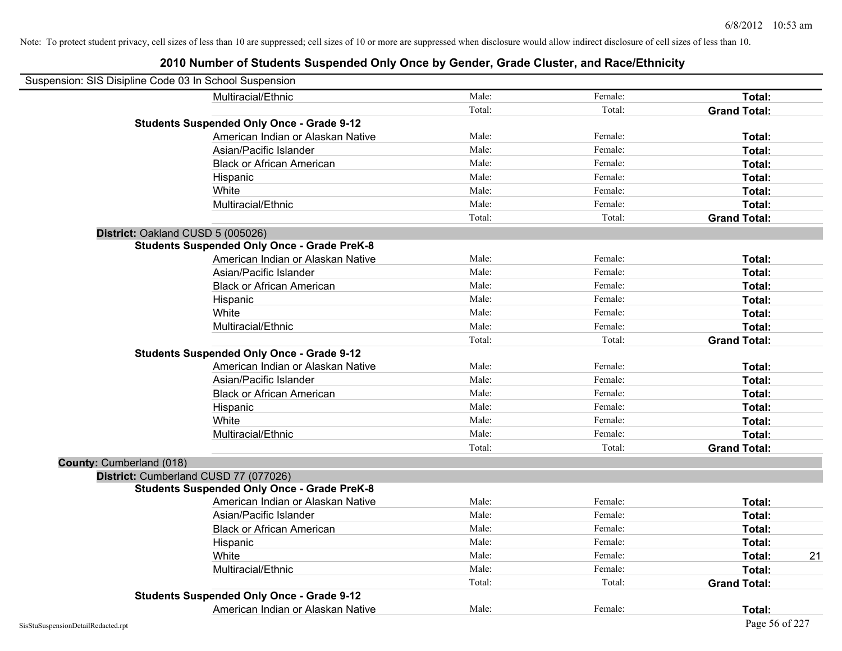| Suspension: SIS Disipline Code 03 In School Suspension |                                                    |        |         |                     |    |
|--------------------------------------------------------|----------------------------------------------------|--------|---------|---------------------|----|
|                                                        | Multiracial/Ethnic                                 | Male:  | Female: | Total:              |    |
|                                                        |                                                    | Total: | Total:  | <b>Grand Total:</b> |    |
|                                                        | <b>Students Suspended Only Once - Grade 9-12</b>   |        |         |                     |    |
|                                                        | American Indian or Alaskan Native                  | Male:  | Female: | Total:              |    |
|                                                        | Asian/Pacific Islander                             | Male:  | Female: | Total:              |    |
|                                                        | <b>Black or African American</b>                   | Male:  | Female: | Total:              |    |
|                                                        | Hispanic                                           | Male:  | Female: | Total:              |    |
|                                                        | White                                              | Male:  | Female: | Total:              |    |
|                                                        | Multiracial/Ethnic                                 | Male:  | Female: | Total:              |    |
|                                                        |                                                    | Total: | Total:  | <b>Grand Total:</b> |    |
| District: Oakland CUSD 5 (005026)                      |                                                    |        |         |                     |    |
|                                                        | <b>Students Suspended Only Once - Grade PreK-8</b> |        |         |                     |    |
|                                                        | American Indian or Alaskan Native                  | Male:  | Female: | Total:              |    |
|                                                        | Asian/Pacific Islander                             | Male:  | Female: | Total:              |    |
|                                                        | <b>Black or African American</b>                   | Male:  | Female: | Total:              |    |
|                                                        | Hispanic                                           | Male:  | Female: | Total:              |    |
|                                                        | White                                              | Male:  | Female: | Total:              |    |
|                                                        | Multiracial/Ethnic                                 | Male:  | Female: | Total:              |    |
|                                                        |                                                    | Total: | Total:  | <b>Grand Total:</b> |    |
|                                                        | <b>Students Suspended Only Once - Grade 9-12</b>   |        |         |                     |    |
|                                                        | American Indian or Alaskan Native                  | Male:  | Female: | Total:              |    |
|                                                        | Asian/Pacific Islander                             | Male:  | Female: | Total:              |    |
|                                                        | <b>Black or African American</b>                   | Male:  | Female: | Total:              |    |
|                                                        | Hispanic                                           | Male:  | Female: | Total:              |    |
|                                                        | White                                              | Male:  | Female: | Total:              |    |
|                                                        | Multiracial/Ethnic                                 | Male:  | Female: | Total:              |    |
|                                                        |                                                    | Total: | Total:  | <b>Grand Total:</b> |    |
| County: Cumberland (018)                               |                                                    |        |         |                     |    |
| District: Cumberland CUSD 77 (077026)                  |                                                    |        |         |                     |    |
|                                                        | <b>Students Suspended Only Once - Grade PreK-8</b> |        |         |                     |    |
|                                                        | American Indian or Alaskan Native                  | Male:  | Female: | Total:              |    |
|                                                        | Asian/Pacific Islander                             | Male:  | Female: | Total:              |    |
|                                                        | <b>Black or African American</b>                   | Male:  | Female: | Total:              |    |
|                                                        | Hispanic                                           | Male:  | Female: | Total:              |    |
|                                                        | White                                              | Male:  | Female: | Total:              | 21 |
|                                                        | Multiracial/Ethnic                                 | Male:  | Female: | Total:              |    |
|                                                        |                                                    | Total: | Total:  | <b>Grand Total:</b> |    |
|                                                        | <b>Students Suspended Only Once - Grade 9-12</b>   |        |         |                     |    |
|                                                        | American Indian or Alaskan Native                  | Male:  | Female: | Total:              |    |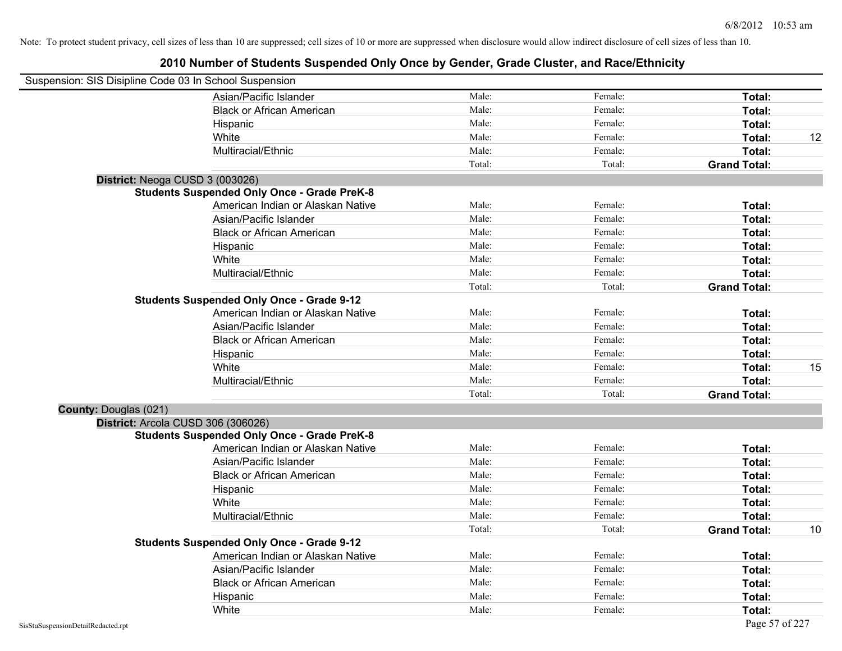| Suspension: SIS Disipline Code 03 In School Suspension |                                                    |        |         |                     |    |
|--------------------------------------------------------|----------------------------------------------------|--------|---------|---------------------|----|
|                                                        | Asian/Pacific Islander                             | Male:  | Female: | Total:              |    |
|                                                        | <b>Black or African American</b>                   | Male:  | Female: | Total:              |    |
|                                                        | Hispanic                                           | Male:  | Female: | Total:              |    |
|                                                        | White                                              | Male:  | Female: | Total:              | 12 |
|                                                        | Multiracial/Ethnic                                 | Male:  | Female: | Total:              |    |
|                                                        |                                                    | Total: | Total:  | <b>Grand Total:</b> |    |
| District: Neoga CUSD 3 (003026)                        |                                                    |        |         |                     |    |
|                                                        | <b>Students Suspended Only Once - Grade PreK-8</b> |        |         |                     |    |
|                                                        | American Indian or Alaskan Native                  | Male:  | Female: | Total:              |    |
|                                                        | Asian/Pacific Islander                             | Male:  | Female: | Total:              |    |
|                                                        | <b>Black or African American</b>                   | Male:  | Female: | Total:              |    |
|                                                        | Hispanic                                           | Male:  | Female: | Total:              |    |
|                                                        | White                                              | Male:  | Female: | Total:              |    |
|                                                        | Multiracial/Ethnic                                 | Male:  | Female: | Total:              |    |
|                                                        |                                                    | Total: | Total:  | <b>Grand Total:</b> |    |
|                                                        | <b>Students Suspended Only Once - Grade 9-12</b>   |        |         |                     |    |
|                                                        | American Indian or Alaskan Native                  | Male:  | Female: | Total:              |    |
|                                                        | Asian/Pacific Islander                             | Male:  | Female: | Total:              |    |
|                                                        | <b>Black or African American</b>                   | Male:  | Female: | Total:              |    |
|                                                        | Hispanic                                           | Male:  | Female: | Total:              |    |
|                                                        | White                                              | Male:  | Female: | Total:              | 15 |
|                                                        | Multiracial/Ethnic                                 | Male:  | Female: | Total:              |    |
|                                                        |                                                    | Total: | Total:  | <b>Grand Total:</b> |    |
| County: Douglas (021)                                  |                                                    |        |         |                     |    |
|                                                        | District: Arcola CUSD 306 (306026)                 |        |         |                     |    |
|                                                        | <b>Students Suspended Only Once - Grade PreK-8</b> |        |         |                     |    |
|                                                        | American Indian or Alaskan Native                  | Male:  | Female: | Total:              |    |
|                                                        | Asian/Pacific Islander                             | Male:  | Female: | Total:              |    |
|                                                        | <b>Black or African American</b>                   | Male:  | Female: | Total:              |    |
|                                                        | Hispanic                                           | Male:  | Female: | Total:              |    |
|                                                        | White                                              | Male:  | Female: | <b>Total:</b>       |    |
|                                                        | Multiracial/Ethnic                                 | Male:  | Female: | Total:              |    |
|                                                        |                                                    | Total: | Total:  | <b>Grand Total:</b> | 10 |
|                                                        | <b>Students Suspended Only Once - Grade 9-12</b>   |        |         |                     |    |
|                                                        | American Indian or Alaskan Native                  | Male:  | Female: | Total:              |    |
|                                                        | Asian/Pacific Islander                             | Male:  | Female: | Total:              |    |
|                                                        | <b>Black or African American</b>                   | Male:  | Female: | Total:              |    |
|                                                        | Hispanic                                           | Male:  | Female: | <b>Total:</b>       |    |
|                                                        | White                                              | Male:  | Female: | Total:              |    |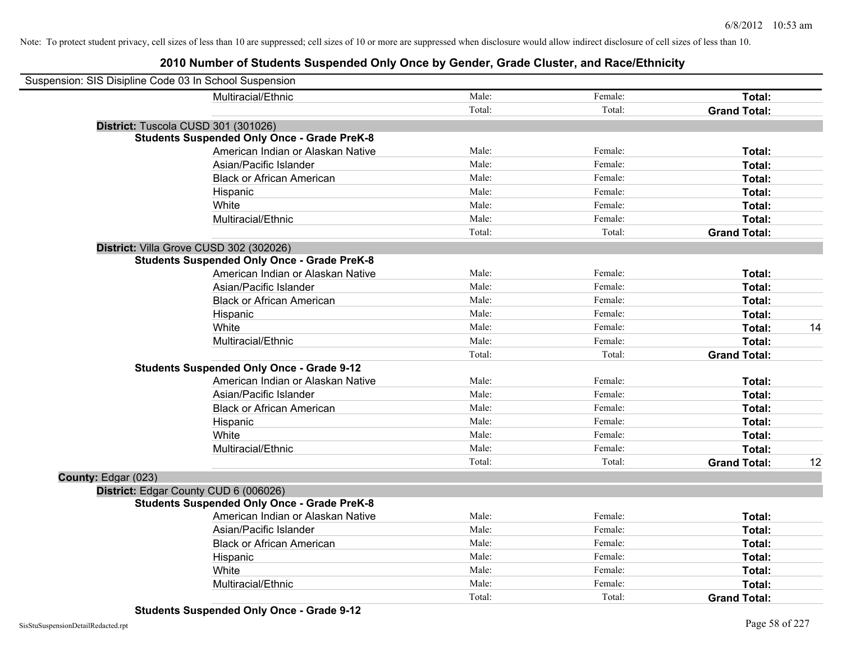| Suspension: SIS Disipline Code 03 In School Suspension |                                                    |        |         |                     |    |
|--------------------------------------------------------|----------------------------------------------------|--------|---------|---------------------|----|
|                                                        | Multiracial/Ethnic                                 | Male:  | Female: | Total:              |    |
|                                                        |                                                    | Total: | Total:  | <b>Grand Total:</b> |    |
| District: Tuscola CUSD 301 (301026)                    |                                                    |        |         |                     |    |
|                                                        | <b>Students Suspended Only Once - Grade PreK-8</b> |        |         |                     |    |
|                                                        | American Indian or Alaskan Native                  | Male:  | Female: | Total:              |    |
|                                                        | Asian/Pacific Islander                             | Male:  | Female: | Total:              |    |
|                                                        | <b>Black or African American</b>                   | Male:  | Female: | Total:              |    |
|                                                        | Hispanic                                           | Male:  | Female: | Total:              |    |
|                                                        | White                                              | Male:  | Female: | Total:              |    |
|                                                        | Multiracial/Ethnic                                 | Male:  | Female: | Total:              |    |
|                                                        |                                                    | Total: | Total:  | <b>Grand Total:</b> |    |
|                                                        | District: Villa Grove CUSD 302 (302026)            |        |         |                     |    |
|                                                        | <b>Students Suspended Only Once - Grade PreK-8</b> |        |         |                     |    |
|                                                        | American Indian or Alaskan Native                  | Male:  | Female: | Total:              |    |
|                                                        | Asian/Pacific Islander                             | Male:  | Female: | Total:              |    |
|                                                        | <b>Black or African American</b>                   | Male:  | Female: | Total:              |    |
|                                                        | Hispanic                                           | Male:  | Female: | Total:              |    |
|                                                        | White                                              | Male:  | Female: | Total:              | 14 |
|                                                        | Multiracial/Ethnic                                 | Male:  | Female: | Total:              |    |
|                                                        |                                                    | Total: | Total:  | <b>Grand Total:</b> |    |
|                                                        | <b>Students Suspended Only Once - Grade 9-12</b>   |        |         |                     |    |
|                                                        | American Indian or Alaskan Native                  | Male:  | Female: | Total:              |    |
|                                                        | Asian/Pacific Islander                             | Male:  | Female: | Total:              |    |
|                                                        | <b>Black or African American</b>                   | Male:  | Female: | Total:              |    |
|                                                        | Hispanic                                           | Male:  | Female: | Total:              |    |
|                                                        | White                                              | Male:  | Female: | Total:              |    |
|                                                        | Multiracial/Ethnic                                 | Male:  | Female: | Total:              |    |
|                                                        |                                                    | Total: | Total:  | <b>Grand Total:</b> | 12 |
| County: Edgar (023)                                    |                                                    |        |         |                     |    |
| District: Edgar County CUD 6 (006026)                  |                                                    |        |         |                     |    |
|                                                        | <b>Students Suspended Only Once - Grade PreK-8</b> |        |         |                     |    |
|                                                        | American Indian or Alaskan Native                  | Male:  | Female: | Total:              |    |
|                                                        | Asian/Pacific Islander                             | Male:  | Female: | Total:              |    |
|                                                        | <b>Black or African American</b>                   | Male:  | Female: | Total:              |    |
|                                                        | Hispanic                                           | Male:  | Female: | Total:              |    |
|                                                        | White                                              | Male:  | Female: | Total:              |    |
|                                                        | Multiracial/Ethnic                                 | Male:  | Female: | Total:              |    |
|                                                        |                                                    | Total: | Total:  | <b>Grand Total:</b> |    |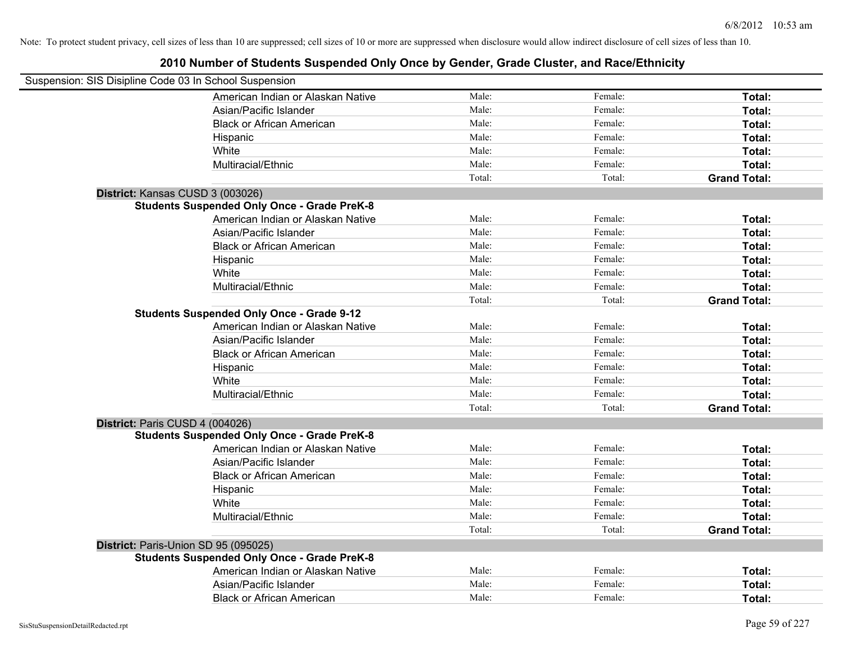| Suspension: SIS Disipline Code 03 In School Suspension |                                                    |        |         |                     |
|--------------------------------------------------------|----------------------------------------------------|--------|---------|---------------------|
|                                                        | American Indian or Alaskan Native                  | Male:  | Female: | Total:              |
|                                                        | Asian/Pacific Islander                             | Male:  | Female: | Total:              |
|                                                        | <b>Black or African American</b>                   | Male:  | Female: | Total:              |
|                                                        | Hispanic                                           | Male:  | Female: | Total:              |
|                                                        | White                                              | Male:  | Female: | Total:              |
|                                                        | Multiracial/Ethnic                                 | Male:  | Female: | Total:              |
|                                                        |                                                    | Total: | Total:  | <b>Grand Total:</b> |
|                                                        | District: Kansas CUSD 3 (003026)                   |        |         |                     |
|                                                        | <b>Students Suspended Only Once - Grade PreK-8</b> |        |         |                     |
|                                                        | American Indian or Alaskan Native                  | Male:  | Female: | Total:              |
|                                                        | Asian/Pacific Islander                             | Male:  | Female: | Total:              |
|                                                        | <b>Black or African American</b>                   | Male:  | Female: | Total:              |
|                                                        | Hispanic                                           | Male:  | Female: | Total:              |
|                                                        | White                                              | Male:  | Female: | Total:              |
|                                                        | Multiracial/Ethnic                                 | Male:  | Female: | Total:              |
|                                                        |                                                    | Total: | Total:  | <b>Grand Total:</b> |
|                                                        | <b>Students Suspended Only Once - Grade 9-12</b>   |        |         |                     |
|                                                        | American Indian or Alaskan Native                  | Male:  | Female: | Total:              |
|                                                        | Asian/Pacific Islander                             | Male:  | Female: | Total:              |
|                                                        | <b>Black or African American</b>                   | Male:  | Female: | Total:              |
|                                                        | Hispanic                                           | Male:  | Female: | Total:              |
|                                                        | White                                              | Male:  | Female: | Total:              |
|                                                        | Multiracial/Ethnic                                 | Male:  | Female: | Total:              |
|                                                        |                                                    | Total: | Total:  | <b>Grand Total:</b> |
|                                                        | District: Paris CUSD 4 (004026)                    |        |         |                     |
|                                                        | <b>Students Suspended Only Once - Grade PreK-8</b> |        |         |                     |
|                                                        | American Indian or Alaskan Native                  | Male:  | Female: | Total:              |
|                                                        | Asian/Pacific Islander                             | Male:  | Female: | Total:              |
|                                                        | <b>Black or African American</b>                   | Male:  | Female: | Total:              |
|                                                        | Hispanic                                           | Male:  | Female: | Total:              |
|                                                        | White                                              | Male:  | Female: | Total:              |
|                                                        | Multiracial/Ethnic                                 | Male:  | Female: | Total:              |
|                                                        |                                                    | Total: | Total:  | <b>Grand Total:</b> |
|                                                        | District: Paris-Union SD 95 (095025)               |        |         |                     |
|                                                        | <b>Students Suspended Only Once - Grade PreK-8</b> |        |         |                     |
|                                                        | American Indian or Alaskan Native                  | Male:  | Female: | Total:              |
|                                                        | Asian/Pacific Islander                             | Male:  | Female: | Total:              |
|                                                        | <b>Black or African American</b>                   | Male:  | Female: | Total:              |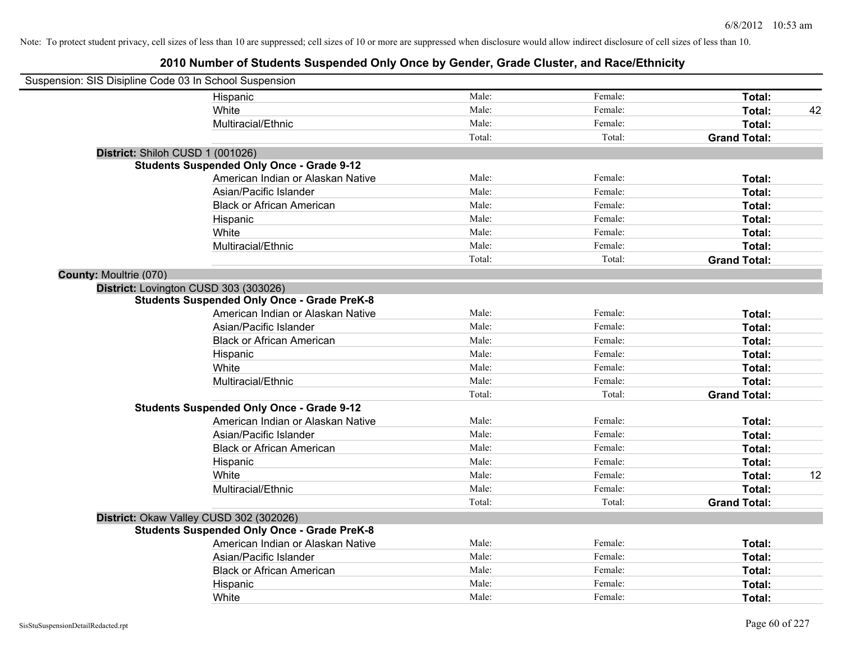| Suspension: SIS Disipline Code 03 In School Suspension |                                                    |        |         |                     |    |
|--------------------------------------------------------|----------------------------------------------------|--------|---------|---------------------|----|
|                                                        | Hispanic                                           | Male:  | Female: | Total:              |    |
|                                                        | White                                              | Male:  | Female: | Total:              | 42 |
|                                                        | Multiracial/Ethnic                                 | Male:  | Female: | Total:              |    |
|                                                        |                                                    | Total: | Total:  | <b>Grand Total:</b> |    |
| District: Shiloh CUSD 1 (001026)                       |                                                    |        |         |                     |    |
|                                                        | <b>Students Suspended Only Once - Grade 9-12</b>   |        |         |                     |    |
|                                                        | American Indian or Alaskan Native                  | Male:  | Female: | Total:              |    |
|                                                        | Asian/Pacific Islander                             | Male:  | Female: | Total:              |    |
|                                                        | <b>Black or African American</b>                   | Male:  | Female: | Total:              |    |
|                                                        | Hispanic                                           | Male:  | Female: | Total:              |    |
|                                                        | White                                              | Male:  | Female: | Total:              |    |
|                                                        | Multiracial/Ethnic                                 | Male:  | Female: | Total:              |    |
|                                                        |                                                    | Total: | Total:  | <b>Grand Total:</b> |    |
| <b>County: Moultrie (070)</b>                          |                                                    |        |         |                     |    |
| District: Lovington CUSD 303 (303026)                  |                                                    |        |         |                     |    |
|                                                        | <b>Students Suspended Only Once - Grade PreK-8</b> |        |         |                     |    |
|                                                        | American Indian or Alaskan Native                  | Male:  | Female: | Total:              |    |
|                                                        | Asian/Pacific Islander                             | Male:  | Female: | Total:              |    |
|                                                        | <b>Black or African American</b>                   | Male:  | Female: | Total:              |    |
|                                                        | Hispanic                                           | Male:  | Female: | Total:              |    |
|                                                        | White                                              | Male:  | Female: | Total:              |    |
|                                                        | Multiracial/Ethnic                                 | Male:  | Female: | Total:              |    |
|                                                        |                                                    | Total: | Total:  | <b>Grand Total:</b> |    |
|                                                        | <b>Students Suspended Only Once - Grade 9-12</b>   |        |         |                     |    |
|                                                        | American Indian or Alaskan Native                  | Male:  | Female: | Total:              |    |
|                                                        | Asian/Pacific Islander                             | Male:  | Female: | Total:              |    |
|                                                        | <b>Black or African American</b>                   | Male:  | Female: | Total:              |    |
|                                                        | Hispanic                                           | Male:  | Female: | Total:              |    |
|                                                        | White                                              | Male:  | Female: | Total:              | 12 |
|                                                        | Multiracial/Ethnic                                 | Male:  | Female: | Total:              |    |
|                                                        |                                                    | Total: | Total:  | <b>Grand Total:</b> |    |
|                                                        | District: Okaw Valley CUSD 302 (302026)            |        |         |                     |    |
|                                                        | <b>Students Suspended Only Once - Grade PreK-8</b> |        |         |                     |    |
|                                                        | American Indian or Alaskan Native                  | Male:  | Female: | Total:              |    |
|                                                        | Asian/Pacific Islander                             | Male:  | Female: | Total:              |    |
|                                                        | <b>Black or African American</b>                   | Male:  | Female: | Total:              |    |
|                                                        | Hispanic                                           | Male:  | Female: | Total:              |    |
|                                                        | White                                              | Male:  | Female: | Total:              |    |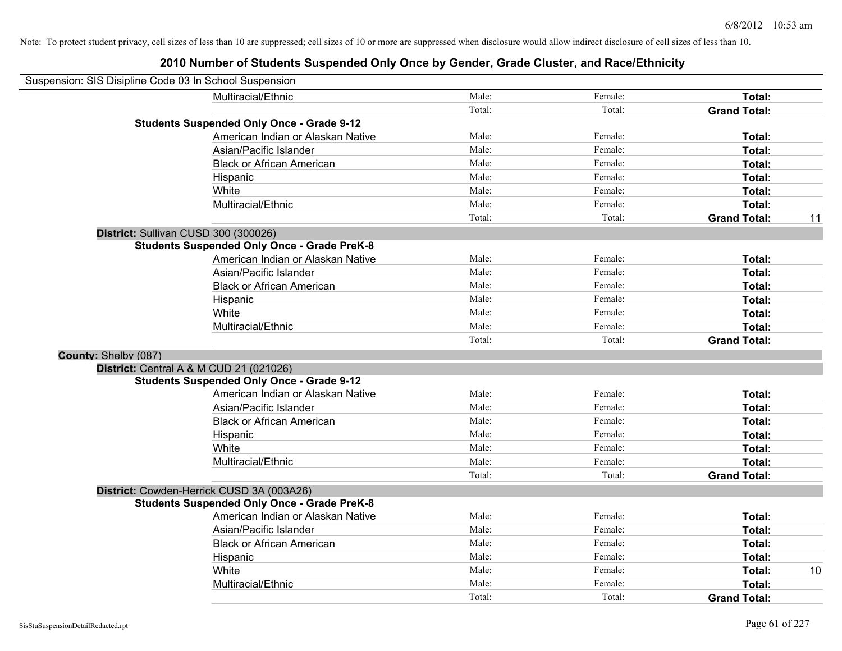| Suspension: SIS Disipline Code 03 In School Suspension |                                                    |        |         |                     |    |
|--------------------------------------------------------|----------------------------------------------------|--------|---------|---------------------|----|
|                                                        | Multiracial/Ethnic                                 | Male:  | Female: | Total:              |    |
|                                                        |                                                    | Total: | Total:  | <b>Grand Total:</b> |    |
|                                                        | <b>Students Suspended Only Once - Grade 9-12</b>   |        |         |                     |    |
|                                                        | American Indian or Alaskan Native                  | Male:  | Female: | Total:              |    |
|                                                        | Asian/Pacific Islander                             | Male:  | Female: | Total:              |    |
|                                                        | <b>Black or African American</b>                   | Male:  | Female: | Total:              |    |
|                                                        | Hispanic                                           | Male:  | Female: | Total:              |    |
|                                                        | White                                              | Male:  | Female: | Total:              |    |
|                                                        | Multiracial/Ethnic                                 | Male:  | Female: | Total:              |    |
|                                                        |                                                    | Total: | Total:  | <b>Grand Total:</b> | 11 |
|                                                        | District: Sullivan CUSD 300 (300026)               |        |         |                     |    |
|                                                        | <b>Students Suspended Only Once - Grade PreK-8</b> |        |         |                     |    |
|                                                        | American Indian or Alaskan Native                  | Male:  | Female: | Total:              |    |
|                                                        | Asian/Pacific Islander                             | Male:  | Female: | Total:              |    |
|                                                        | <b>Black or African American</b>                   | Male:  | Female: | Total:              |    |
|                                                        | Hispanic                                           | Male:  | Female: | Total:              |    |
|                                                        | White                                              | Male:  | Female: | Total:              |    |
|                                                        | Multiracial/Ethnic                                 | Male:  | Female: | Total:              |    |
|                                                        |                                                    | Total: | Total:  | <b>Grand Total:</b> |    |
| County: Shelby (087)                                   |                                                    |        |         |                     |    |
|                                                        | District: Central A & M CUD 21 (021026)            |        |         |                     |    |
|                                                        | <b>Students Suspended Only Once - Grade 9-12</b>   |        |         |                     |    |
|                                                        | American Indian or Alaskan Native                  | Male:  | Female: | Total:              |    |
|                                                        | Asian/Pacific Islander                             | Male:  | Female: | Total:              |    |
|                                                        | <b>Black or African American</b>                   | Male:  | Female: | Total:              |    |
|                                                        | Hispanic                                           | Male:  | Female: | Total:              |    |
|                                                        | White                                              | Male:  | Female: | Total:              |    |
|                                                        | Multiracial/Ethnic                                 | Male:  | Female: | Total:              |    |
|                                                        |                                                    | Total: | Total:  | <b>Grand Total:</b> |    |
|                                                        | District: Cowden-Herrick CUSD 3A (003A26)          |        |         |                     |    |
|                                                        | <b>Students Suspended Only Once - Grade PreK-8</b> |        |         |                     |    |
|                                                        | American Indian or Alaskan Native                  | Male:  | Female: | Total:              |    |
|                                                        | Asian/Pacific Islander                             | Male:  | Female: | Total:              |    |
|                                                        | <b>Black or African American</b>                   | Male:  | Female: | Total:              |    |
|                                                        | Hispanic                                           | Male:  | Female: | Total:              |    |
|                                                        | White                                              | Male:  | Female: | Total:              | 10 |
|                                                        | Multiracial/Ethnic                                 | Male:  | Female: | Total:              |    |
|                                                        |                                                    | Total: | Total:  | <b>Grand Total:</b> |    |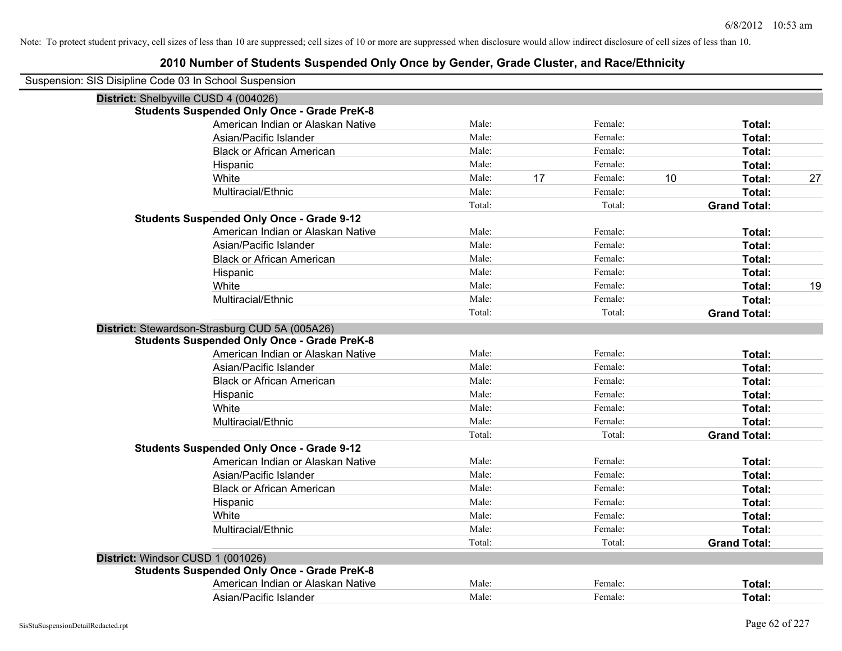| Suspension: SIS Disipline Code 03 In School Suspension |                                                    |        |    |         |    |                     |    |
|--------------------------------------------------------|----------------------------------------------------|--------|----|---------|----|---------------------|----|
|                                                        | District: Shelbyville CUSD 4 (004026)              |        |    |         |    |                     |    |
|                                                        | <b>Students Suspended Only Once - Grade PreK-8</b> |        |    |         |    |                     |    |
|                                                        | American Indian or Alaskan Native                  | Male:  |    | Female: |    | Total:              |    |
|                                                        | Asian/Pacific Islander                             | Male:  |    | Female: |    | Total:              |    |
|                                                        | <b>Black or African American</b>                   | Male:  |    | Female: |    | Total:              |    |
|                                                        | Hispanic                                           | Male:  |    | Female: |    | Total:              |    |
|                                                        | White                                              | Male:  | 17 | Female: | 10 | Total:              | 27 |
|                                                        | Multiracial/Ethnic                                 | Male:  |    | Female: |    | Total:              |    |
|                                                        |                                                    | Total: |    | Total:  |    | <b>Grand Total:</b> |    |
|                                                        | <b>Students Suspended Only Once - Grade 9-12</b>   |        |    |         |    |                     |    |
|                                                        | American Indian or Alaskan Native                  | Male:  |    | Female: |    | Total:              |    |
|                                                        | Asian/Pacific Islander                             | Male:  |    | Female: |    | Total:              |    |
|                                                        | <b>Black or African American</b>                   | Male:  |    | Female: |    | Total:              |    |
|                                                        | Hispanic                                           | Male:  |    | Female: |    | Total:              |    |
|                                                        | White                                              | Male:  |    | Female: |    | Total:              | 19 |
|                                                        | Multiracial/Ethnic                                 | Male:  |    | Female: |    | Total:              |    |
|                                                        |                                                    | Total: |    | Total:  |    | <b>Grand Total:</b> |    |
|                                                        | District: Stewardson-Strasburg CUD 5A (005A26)     |        |    |         |    |                     |    |
|                                                        | <b>Students Suspended Only Once - Grade PreK-8</b> |        |    |         |    |                     |    |
|                                                        | American Indian or Alaskan Native                  | Male:  |    | Female: |    | Total:              |    |
|                                                        | Asian/Pacific Islander                             | Male:  |    | Female: |    | Total:              |    |
|                                                        | <b>Black or African American</b>                   | Male:  |    | Female: |    | Total:              |    |
|                                                        | Hispanic                                           | Male:  |    | Female: |    | Total:              |    |
|                                                        | White                                              | Male:  |    | Female: |    | Total:              |    |
|                                                        | Multiracial/Ethnic                                 | Male:  |    | Female: |    | Total:              |    |
|                                                        |                                                    | Total: |    | Total:  |    | <b>Grand Total:</b> |    |
|                                                        | <b>Students Suspended Only Once - Grade 9-12</b>   |        |    |         |    |                     |    |
|                                                        | American Indian or Alaskan Native                  | Male:  |    | Female: |    | Total:              |    |
|                                                        | Asian/Pacific Islander                             | Male:  |    | Female: |    | Total:              |    |
|                                                        | <b>Black or African American</b>                   | Male:  |    | Female: |    | Total:              |    |
|                                                        | Hispanic                                           | Male:  |    | Female: |    | Total:              |    |
|                                                        | White                                              | Male:  |    | Female: |    | Total:              |    |
|                                                        | Multiracial/Ethnic                                 | Male:  |    | Female: |    | Total:              |    |
|                                                        |                                                    | Total: |    | Total:  |    | <b>Grand Total:</b> |    |
|                                                        | District: Windsor CUSD 1 (001026)                  |        |    |         |    |                     |    |
|                                                        | <b>Students Suspended Only Once - Grade PreK-8</b> |        |    |         |    |                     |    |
|                                                        | American Indian or Alaskan Native                  | Male:  |    | Female: |    | Total:              |    |
|                                                        | Asian/Pacific Islander                             | Male:  |    | Female: |    | Total:              |    |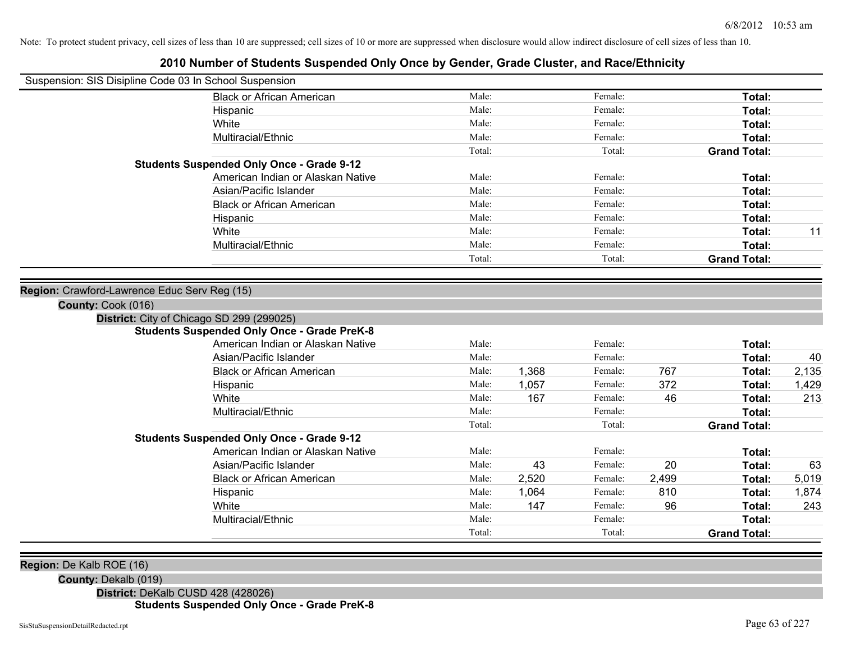## **2010 Number of Students Suspended Only Once by Gender, Grade Cluster, and Race/Ethnicity**

| Suspension: SIS Disipline Code 03 In School Suspension |                                                    |        |       |         |       |                     |       |
|--------------------------------------------------------|----------------------------------------------------|--------|-------|---------|-------|---------------------|-------|
|                                                        | <b>Black or African American</b>                   | Male:  |       | Female: |       | Total:              |       |
|                                                        | Hispanic                                           | Male:  |       | Female: |       | Total:              |       |
|                                                        | White                                              | Male:  |       | Female: |       | Total:              |       |
|                                                        | Multiracial/Ethnic                                 | Male:  |       | Female: |       | Total:              |       |
|                                                        |                                                    | Total: |       | Total:  |       | <b>Grand Total:</b> |       |
|                                                        | <b>Students Suspended Only Once - Grade 9-12</b>   |        |       |         |       |                     |       |
|                                                        | American Indian or Alaskan Native                  | Male:  |       | Female: |       | Total:              |       |
|                                                        | Asian/Pacific Islander                             | Male:  |       | Female: |       | <b>Total:</b>       |       |
|                                                        | <b>Black or African American</b>                   | Male:  |       | Female: |       | <b>Total:</b>       |       |
|                                                        | Hispanic                                           | Male:  |       | Female: |       | <b>Total:</b>       |       |
|                                                        | White                                              | Male:  |       | Female: |       | Total:              | 11    |
|                                                        | Multiracial/Ethnic                                 | Male:  |       | Female: |       | Total:              |       |
|                                                        |                                                    | Total: |       | Total:  |       | <b>Grand Total:</b> |       |
|                                                        |                                                    |        |       |         |       |                     |       |
| Region: Crawford-Lawrence Educ Serv Reg (15)           |                                                    |        |       |         |       |                     |       |
| County: Cook (016)                                     |                                                    |        |       |         |       |                     |       |
| District: City of Chicago SD 299 (299025)              |                                                    |        |       |         |       |                     |       |
|                                                        | <b>Students Suspended Only Once - Grade PreK-8</b> |        |       |         |       |                     |       |
|                                                        | American Indian or Alaskan Native                  | Male:  |       | Female: |       | Total:              |       |
|                                                        | Asian/Pacific Islander                             | Male:  |       | Female: |       | Total:              | 40    |
|                                                        | <b>Black or African American</b>                   | Male:  | 1,368 | Female: | 767   | Total:              | 2,135 |
|                                                        | Hispanic                                           | Male:  | 1,057 | Female: | 372   | Total:              | 1,429 |
|                                                        | White                                              | Male:  | 167   | Female: | 46    | Total:              | 213   |
|                                                        | Multiracial/Ethnic                                 | Male:  |       | Female: |       | Total:              |       |
|                                                        |                                                    | Total: |       | Total:  |       | <b>Grand Total:</b> |       |
|                                                        | <b>Students Suspended Only Once - Grade 9-12</b>   |        |       |         |       |                     |       |
|                                                        | American Indian or Alaskan Native                  | Male:  |       | Female: |       | Total:              |       |
|                                                        | Asian/Pacific Islander                             | Male:  | 43    | Female: | 20    | Total:              | 63    |
|                                                        | <b>Black or African American</b>                   | Male:  | 2,520 | Female: | 2,499 | Total:              | 5,019 |
|                                                        | Hispanic                                           | Male:  | 1,064 | Female: | 810   | Total:              | 1,874 |
|                                                        | White                                              | Male:  | 147   | Female: | 96    | Total:              | 243   |
|                                                        | Multiracial/Ethnic                                 | Male:  |       | Female: |       | Total:              |       |
|                                                        |                                                    | Total: |       | Total:  |       | <b>Grand Total:</b> |       |
|                                                        |                                                    |        |       |         |       |                     |       |
| Region: De Kalb ROE (16)                               |                                                    |        |       |         |       |                     |       |

**County:** Dekalb (019)

**District:** DeKalb CUSD 428 (428026)

**Students Suspended Only Once - Grade PreK-8**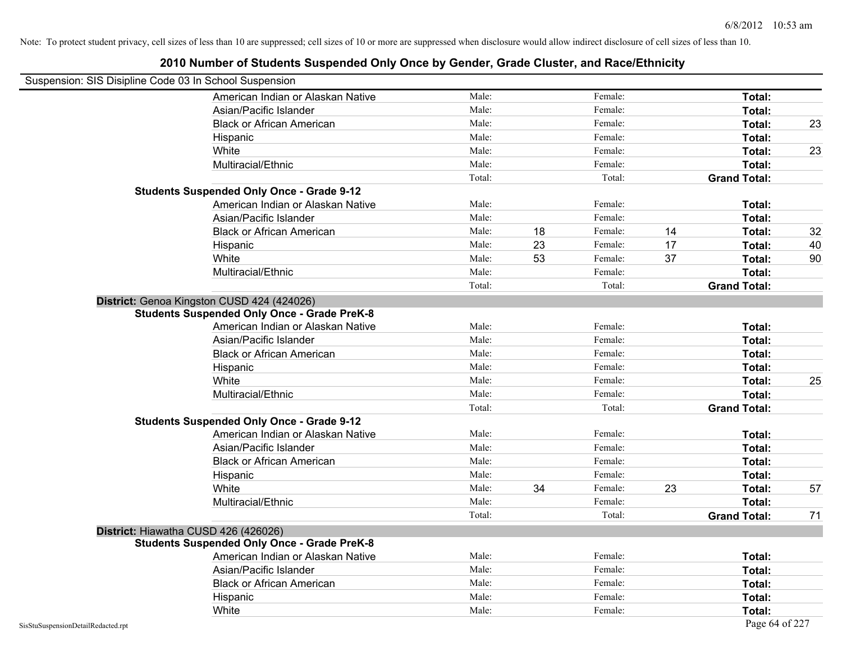| Suspension: SIS Disipline Code 03 In School Suspension |                                                    |        |    |         |    |                     |    |
|--------------------------------------------------------|----------------------------------------------------|--------|----|---------|----|---------------------|----|
|                                                        | American Indian or Alaskan Native                  | Male:  |    | Female: |    | Total:              |    |
|                                                        | Asian/Pacific Islander                             | Male:  |    | Female: |    | Total:              |    |
|                                                        | <b>Black or African American</b>                   | Male:  |    | Female: |    | Total:              | 23 |
|                                                        | Hispanic                                           | Male:  |    | Female: |    | Total:              |    |
|                                                        | White                                              | Male:  |    | Female: |    | Total:              | 23 |
|                                                        | Multiracial/Ethnic                                 | Male:  |    | Female: |    | Total:              |    |
|                                                        |                                                    | Total: |    | Total:  |    | <b>Grand Total:</b> |    |
|                                                        | <b>Students Suspended Only Once - Grade 9-12</b>   |        |    |         |    |                     |    |
|                                                        | American Indian or Alaskan Native                  | Male:  |    | Female: |    | Total:              |    |
|                                                        | Asian/Pacific Islander                             | Male:  |    | Female: |    | Total:              |    |
|                                                        | <b>Black or African American</b>                   | Male:  | 18 | Female: | 14 | Total:              | 32 |
|                                                        | Hispanic                                           | Male:  | 23 | Female: | 17 | Total:              | 40 |
|                                                        | White                                              | Male:  | 53 | Female: | 37 | Total:              | 90 |
|                                                        | Multiracial/Ethnic                                 | Male:  |    | Female: |    | Total:              |    |
|                                                        |                                                    | Total: |    | Total:  |    | <b>Grand Total:</b> |    |
|                                                        | District: Genoa Kingston CUSD 424 (424026)         |        |    |         |    |                     |    |
|                                                        | <b>Students Suspended Only Once - Grade PreK-8</b> |        |    |         |    |                     |    |
|                                                        | American Indian or Alaskan Native                  | Male:  |    | Female: |    | Total:              |    |
|                                                        | Asian/Pacific Islander                             | Male:  |    | Female: |    | Total:              |    |
|                                                        | <b>Black or African American</b>                   | Male:  |    | Female: |    | Total:              |    |
|                                                        | Hispanic                                           | Male:  |    | Female: |    | Total:              |    |
|                                                        | White                                              | Male:  |    | Female: |    | Total:              | 25 |
|                                                        | Multiracial/Ethnic                                 | Male:  |    | Female: |    | Total:              |    |
|                                                        |                                                    | Total: |    | Total:  |    | <b>Grand Total:</b> |    |
|                                                        | <b>Students Suspended Only Once - Grade 9-12</b>   |        |    |         |    |                     |    |
|                                                        | American Indian or Alaskan Native                  | Male:  |    | Female: |    | Total:              |    |
|                                                        | Asian/Pacific Islander                             | Male:  |    | Female: |    | Total:              |    |
|                                                        | <b>Black or African American</b>                   | Male:  |    | Female: |    | Total:              |    |
|                                                        | Hispanic                                           | Male:  |    | Female: |    | Total:              |    |
|                                                        | White                                              | Male:  | 34 | Female: | 23 | Total:              | 57 |
|                                                        | Multiracial/Ethnic                                 | Male:  |    | Female: |    | Total:              |    |
|                                                        |                                                    | Total: |    | Total:  |    | <b>Grand Total:</b> | 71 |
| District: Hiawatha CUSD 426 (426026)                   |                                                    |        |    |         |    |                     |    |
|                                                        | <b>Students Suspended Only Once - Grade PreK-8</b> |        |    |         |    |                     |    |
|                                                        | American Indian or Alaskan Native                  | Male:  |    | Female: |    | Total:              |    |
|                                                        | Asian/Pacific Islander                             | Male:  |    | Female: |    | Total:              |    |
|                                                        | <b>Black or African American</b>                   | Male:  |    | Female: |    | Total:              |    |
|                                                        | Hispanic                                           | Male:  |    | Female: |    | Total:              |    |
|                                                        | White                                              | Male:  |    | Female: |    | Total:              |    |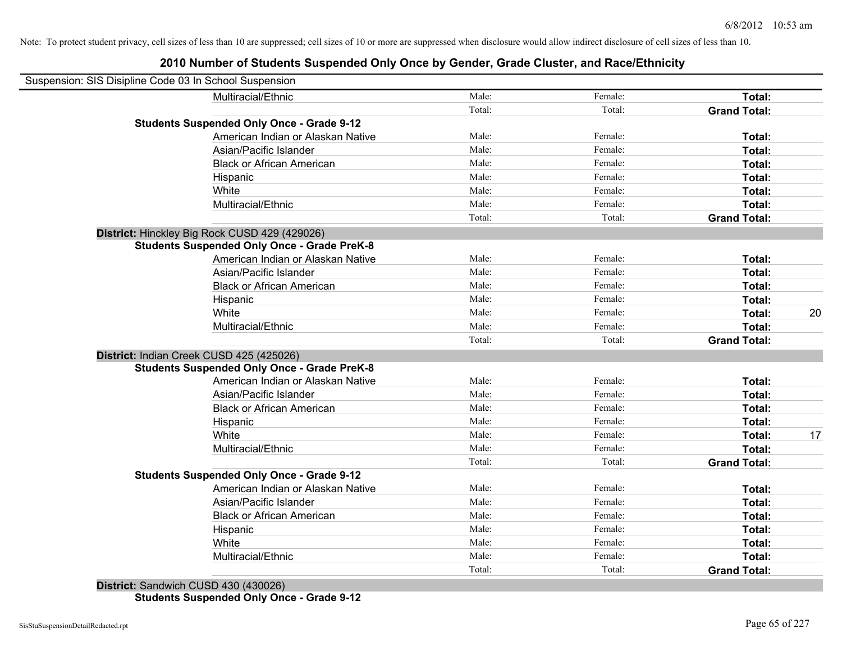## **2010 Number of Students Suspended Only Once by Gender, Grade Cluster, and Race/Ethnicity**

| Suspension: SIS Disipline Code 03 In School Suspension |                                                    |        |         |                     |    |
|--------------------------------------------------------|----------------------------------------------------|--------|---------|---------------------|----|
|                                                        | Multiracial/Ethnic                                 | Male:  | Female: | Total:              |    |
|                                                        |                                                    | Total: | Total:  | <b>Grand Total:</b> |    |
|                                                        | <b>Students Suspended Only Once - Grade 9-12</b>   |        |         |                     |    |
|                                                        | American Indian or Alaskan Native                  | Male:  | Female: | Total:              |    |
|                                                        | Asian/Pacific Islander                             | Male:  | Female: | Total:              |    |
|                                                        | <b>Black or African American</b>                   | Male:  | Female: | Total:              |    |
|                                                        | Hispanic                                           | Male:  | Female: | Total:              |    |
|                                                        | White                                              | Male:  | Female: | Total:              |    |
|                                                        | Multiracial/Ethnic                                 | Male:  | Female: | Total:              |    |
|                                                        |                                                    | Total: | Total:  | <b>Grand Total:</b> |    |
|                                                        | District: Hinckley Big Rock CUSD 429 (429026)      |        |         |                     |    |
|                                                        | <b>Students Suspended Only Once - Grade PreK-8</b> |        |         |                     |    |
|                                                        | American Indian or Alaskan Native                  | Male:  | Female: | Total:              |    |
|                                                        | Asian/Pacific Islander                             | Male:  | Female: | Total:              |    |
|                                                        | <b>Black or African American</b>                   | Male:  | Female: | Total:              |    |
|                                                        | Hispanic                                           | Male:  | Female: | Total:              |    |
|                                                        | White                                              | Male:  | Female: | Total:              | 20 |
|                                                        | Multiracial/Ethnic                                 | Male:  | Female: | Total:              |    |
|                                                        |                                                    | Total: | Total:  | <b>Grand Total:</b> |    |
| District: Indian Creek CUSD 425 (425026)               |                                                    |        |         |                     |    |
|                                                        | <b>Students Suspended Only Once - Grade PreK-8</b> |        |         |                     |    |
|                                                        | American Indian or Alaskan Native                  | Male:  | Female: | Total:              |    |
|                                                        | Asian/Pacific Islander                             | Male:  | Female: | Total:              |    |
|                                                        | <b>Black or African American</b>                   | Male:  | Female: | Total:              |    |
|                                                        | Hispanic                                           | Male:  | Female: | Total:              |    |
|                                                        | White                                              | Male:  | Female: | Total:              | 17 |
|                                                        | Multiracial/Ethnic                                 | Male:  | Female: | Total:              |    |
|                                                        |                                                    | Total: | Total:  | <b>Grand Total:</b> |    |
|                                                        | <b>Students Suspended Only Once - Grade 9-12</b>   |        |         |                     |    |
|                                                        | American Indian or Alaskan Native                  | Male:  | Female: | Total:              |    |
|                                                        | Asian/Pacific Islander                             | Male:  | Female: | Total:              |    |
|                                                        | <b>Black or African American</b>                   | Male:  | Female: | Total:              |    |
|                                                        | Hispanic                                           | Male:  | Female: | Total:              |    |
|                                                        | White                                              | Male:  | Female: | Total:              |    |
|                                                        | Multiracial/Ethnic                                 | Male:  | Female: | Total:              |    |
|                                                        |                                                    | Total: | Total:  | <b>Grand Total:</b> |    |

**District:** Sandwich CUSD 430 (430026) **Students Suspended Only Once - Grade 9-12**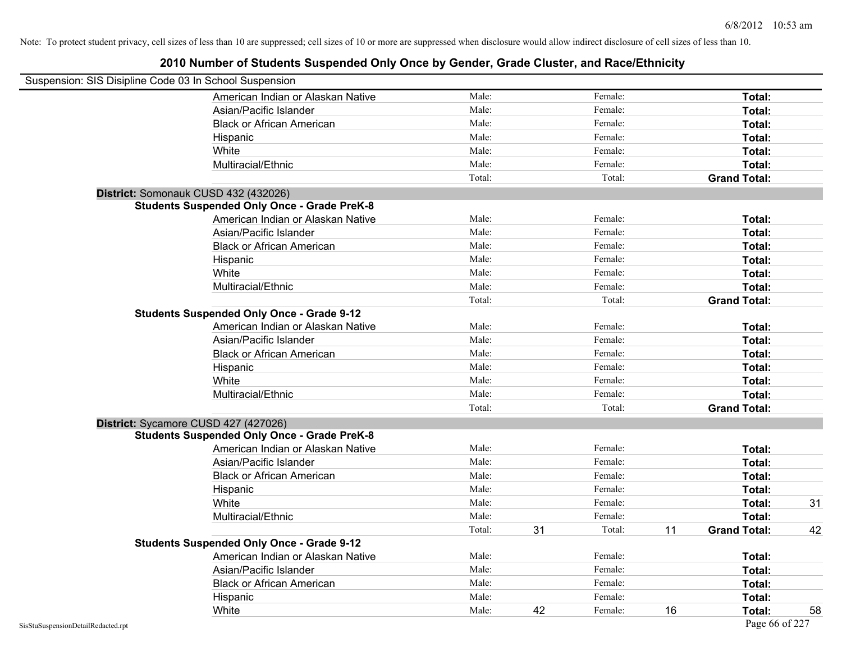| Suspension: SIS Disipline Code 03 In School Suspension |                                                    |        |    |         |    |                     |    |
|--------------------------------------------------------|----------------------------------------------------|--------|----|---------|----|---------------------|----|
|                                                        | American Indian or Alaskan Native                  | Male:  |    | Female: |    | Total:              |    |
|                                                        | Asian/Pacific Islander                             | Male:  |    | Female: |    | Total:              |    |
|                                                        | <b>Black or African American</b>                   | Male:  |    | Female: |    | Total:              |    |
|                                                        | Hispanic                                           | Male:  |    | Female: |    | Total:              |    |
|                                                        | White                                              | Male:  |    | Female: |    | Total:              |    |
|                                                        | Multiracial/Ethnic                                 | Male:  |    | Female: |    | Total:              |    |
|                                                        |                                                    | Total: |    | Total:  |    | <b>Grand Total:</b> |    |
|                                                        | District: Somonauk CUSD 432 (432026)               |        |    |         |    |                     |    |
|                                                        | <b>Students Suspended Only Once - Grade PreK-8</b> |        |    |         |    |                     |    |
|                                                        | American Indian or Alaskan Native                  | Male:  |    | Female: |    | Total:              |    |
|                                                        | Asian/Pacific Islander                             | Male:  |    | Female: |    | Total:              |    |
|                                                        | <b>Black or African American</b>                   | Male:  |    | Female: |    | Total:              |    |
|                                                        | Hispanic                                           | Male:  |    | Female: |    | Total:              |    |
|                                                        | White                                              | Male:  |    | Female: |    | Total:              |    |
|                                                        | Multiracial/Ethnic                                 | Male:  |    | Female: |    | Total:              |    |
|                                                        |                                                    | Total: |    | Total:  |    | <b>Grand Total:</b> |    |
|                                                        | <b>Students Suspended Only Once - Grade 9-12</b>   |        |    |         |    |                     |    |
|                                                        | American Indian or Alaskan Native                  | Male:  |    | Female: |    | Total:              |    |
|                                                        | Asian/Pacific Islander                             | Male:  |    | Female: |    | Total:              |    |
|                                                        | <b>Black or African American</b>                   | Male:  |    | Female: |    | Total:              |    |
|                                                        | Hispanic                                           | Male:  |    | Female: |    | Total:              |    |
|                                                        | White                                              | Male:  |    | Female: |    | Total:              |    |
|                                                        | Multiracial/Ethnic                                 | Male:  |    | Female: |    | Total:              |    |
|                                                        |                                                    | Total: |    | Total:  |    | <b>Grand Total:</b> |    |
|                                                        | District: Sycamore CUSD 427 (427026)               |        |    |         |    |                     |    |
|                                                        | <b>Students Suspended Only Once - Grade PreK-8</b> |        |    |         |    |                     |    |
|                                                        | American Indian or Alaskan Native                  | Male:  |    | Female: |    | Total:              |    |
|                                                        | Asian/Pacific Islander                             | Male:  |    | Female: |    | Total:              |    |
|                                                        | <b>Black or African American</b>                   | Male:  |    | Female: |    | Total:              |    |
|                                                        | Hispanic                                           | Male:  |    | Female: |    | Total:              |    |
|                                                        | White                                              | Male:  |    | Female: |    | Total:              | 31 |
|                                                        | Multiracial/Ethnic                                 | Male:  |    | Female: |    | Total:              |    |
|                                                        |                                                    | Total: | 31 | Total:  | 11 | <b>Grand Total:</b> | 42 |
|                                                        | <b>Students Suspended Only Once - Grade 9-12</b>   |        |    |         |    |                     |    |
|                                                        | American Indian or Alaskan Native                  | Male:  |    | Female: |    | Total:              |    |
|                                                        | Asian/Pacific Islander                             | Male:  |    | Female: |    | Total:              |    |
|                                                        | <b>Black or African American</b>                   | Male:  |    | Female: |    | Total:              |    |
|                                                        | Hispanic                                           | Male:  |    | Female: |    | <b>Total:</b>       |    |
|                                                        | White                                              | Male:  | 42 | Female: | 16 | Total:              | 58 |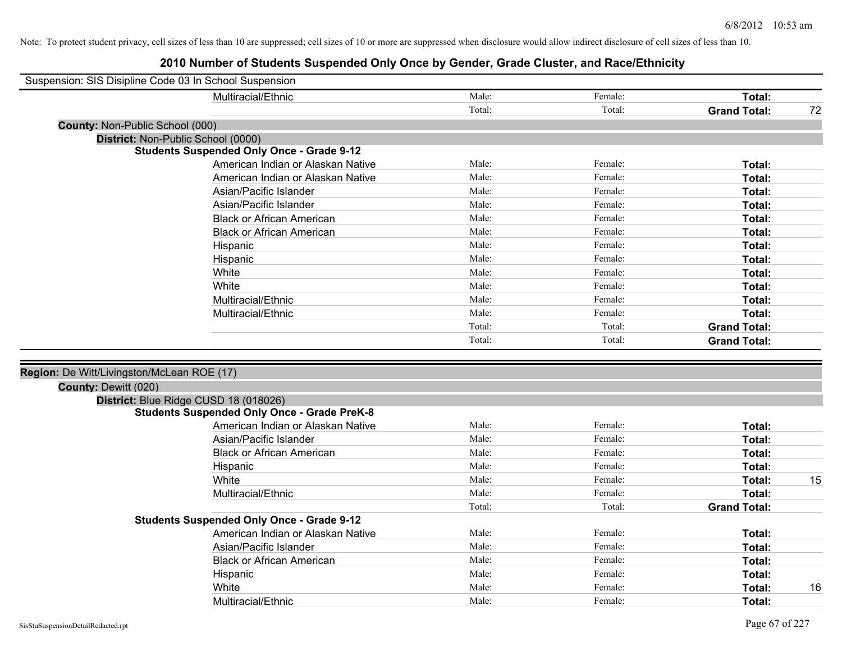| Suspension: SIS Disipline Code 03 In School Suspension |                                                    |        |         |                     |    |
|--------------------------------------------------------|----------------------------------------------------|--------|---------|---------------------|----|
|                                                        | Multiracial/Ethnic                                 | Male:  | Female: | Total:              |    |
|                                                        |                                                    | Total: | Total:  | <b>Grand Total:</b> | 72 |
| <b>County: Non-Public School (000)</b>                 |                                                    |        |         |                     |    |
|                                                        | District: Non-Public School (0000)                 |        |         |                     |    |
|                                                        | <b>Students Suspended Only Once - Grade 9-12</b>   |        |         |                     |    |
|                                                        | American Indian or Alaskan Native                  | Male:  | Female: | Total:              |    |
|                                                        | American Indian or Alaskan Native                  | Male:  | Female: | Total:              |    |
|                                                        | Asian/Pacific Islander                             | Male:  | Female: | Total:              |    |
|                                                        | Asian/Pacific Islander                             | Male:  | Female: | Total:              |    |
|                                                        | <b>Black or African American</b>                   | Male:  | Female: | Total:              |    |
|                                                        | <b>Black or African American</b>                   | Male:  | Female: | Total:              |    |
|                                                        | Hispanic                                           | Male:  | Female: | Total:              |    |
|                                                        | Hispanic                                           | Male:  | Female: | Total:              |    |
|                                                        | White                                              | Male:  | Female: | Total:              |    |
|                                                        | White                                              | Male:  | Female: | Total:              |    |
|                                                        | Multiracial/Ethnic                                 | Male:  | Female: | Total:              |    |
|                                                        | Multiracial/Ethnic                                 | Male:  | Female: | Total:              |    |
|                                                        |                                                    | Total: | Total:  | <b>Grand Total:</b> |    |
|                                                        |                                                    | Total: | Total:  | <b>Grand Total:</b> |    |
|                                                        |                                                    |        |         |                     |    |
| Region: De Witt/Livingston/McLean ROE (17)             |                                                    |        |         |                     |    |
| County: Dewitt (020)                                   |                                                    |        |         |                     |    |
|                                                        | District: Blue Ridge CUSD 18 (018026)              |        |         |                     |    |
|                                                        | <b>Students Suspended Only Once - Grade PreK-8</b> |        |         |                     |    |
|                                                        | American Indian or Alaskan Native                  | Male:  | Female: | Total:              |    |
|                                                        | Asian/Pacific Islander                             | Male:  | Female: | Total:              |    |
|                                                        | <b>Black or African American</b>                   | Male:  | Female: | Total:              |    |
|                                                        | Hispanic                                           | Male:  | Female: | Total:              |    |
|                                                        | White                                              | Male:  | Female: | Total:              | 15 |
|                                                        | Multiracial/Ethnic                                 | Male:  | Female: | Total:              |    |
|                                                        |                                                    | Total: | Total:  | <b>Grand Total:</b> |    |
|                                                        | <b>Students Suspended Only Once - Grade 9-12</b>   |        |         |                     |    |
|                                                        | American Indian or Alaskan Native                  | Male:  | Female: | Total:              |    |
|                                                        | Asian/Pacific Islander                             | Male:  | Female: | Total:              |    |
|                                                        | <b>Black or African American</b>                   | Male:  | Female: | Total:              |    |
|                                                        | Hispanic                                           | Male:  | Female: | Total:              |    |
|                                                        | White                                              | Male:  | Female: | Total:              | 16 |
|                                                        | Multiracial/Ethnic                                 | Male:  | Female: | Total:              |    |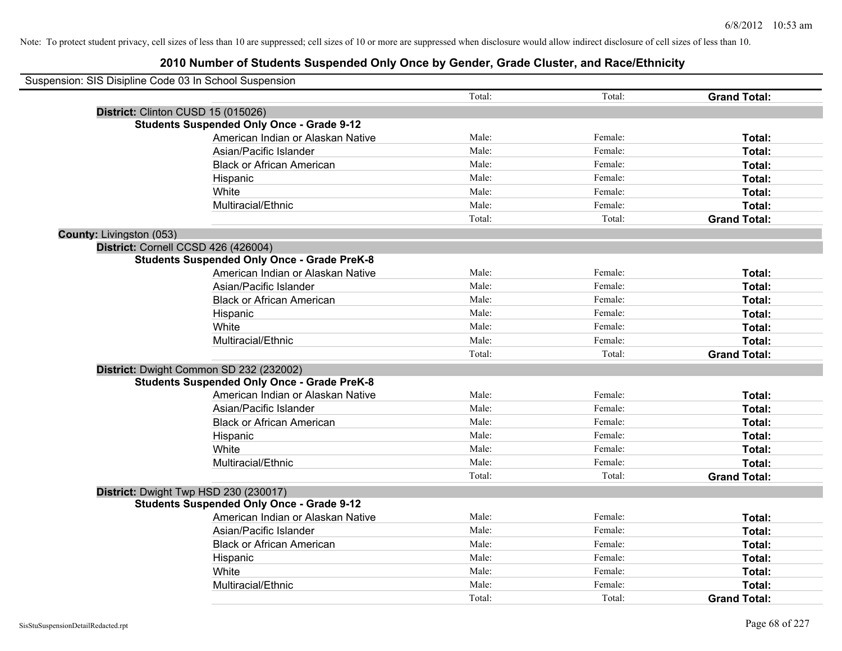| Suspension: SIS Disipline Code 03 In School Suspension |                                                    |        |         |                     |
|--------------------------------------------------------|----------------------------------------------------|--------|---------|---------------------|
|                                                        |                                                    | Total: | Total:  | <b>Grand Total:</b> |
| District: Clinton CUSD 15 (015026)                     |                                                    |        |         |                     |
|                                                        | <b>Students Suspended Only Once - Grade 9-12</b>   |        |         |                     |
|                                                        | American Indian or Alaskan Native                  | Male:  | Female: | Total:              |
|                                                        | Asian/Pacific Islander                             | Male:  | Female: | Total:              |
|                                                        | <b>Black or African American</b>                   | Male:  | Female: | Total:              |
|                                                        | Hispanic                                           | Male:  | Female: | Total:              |
|                                                        | White                                              | Male:  | Female: | Total:              |
|                                                        | Multiracial/Ethnic                                 | Male:  | Female: | Total:              |
|                                                        |                                                    | Total: | Total:  | <b>Grand Total:</b> |
| County: Livingston (053)                               |                                                    |        |         |                     |
| District: Cornell CCSD 426 (426004)                    |                                                    |        |         |                     |
|                                                        | <b>Students Suspended Only Once - Grade PreK-8</b> |        |         |                     |
|                                                        | American Indian or Alaskan Native                  | Male:  | Female: | Total:              |
|                                                        | Asian/Pacific Islander                             | Male:  | Female: | Total:              |
|                                                        | <b>Black or African American</b>                   | Male:  | Female: | Total:              |
|                                                        | Hispanic                                           | Male:  | Female: | Total:              |
|                                                        | White                                              | Male:  | Female: | Total:              |
|                                                        | Multiracial/Ethnic                                 | Male:  | Female: | Total:              |
|                                                        |                                                    | Total: | Total:  | <b>Grand Total:</b> |
|                                                        | District: Dwight Common SD 232 (232002)            |        |         |                     |
|                                                        | <b>Students Suspended Only Once - Grade PreK-8</b> |        |         |                     |
|                                                        | American Indian or Alaskan Native                  | Male:  | Female: | Total:              |
|                                                        | Asian/Pacific Islander                             | Male:  | Female: | Total:              |
|                                                        | <b>Black or African American</b>                   | Male:  | Female: | Total:              |
|                                                        | Hispanic                                           | Male:  | Female: | Total:              |
|                                                        | White                                              | Male:  | Female: | Total:              |
|                                                        | Multiracial/Ethnic                                 | Male:  | Female: | Total:              |
|                                                        |                                                    | Total: | Total:  | <b>Grand Total:</b> |
|                                                        | District: Dwight Twp HSD 230 (230017)              |        |         |                     |
|                                                        | <b>Students Suspended Only Once - Grade 9-12</b>   |        |         |                     |
|                                                        | American Indian or Alaskan Native                  | Male:  | Female: | Total:              |
|                                                        | Asian/Pacific Islander                             | Male:  | Female: | Total:              |
|                                                        | <b>Black or African American</b>                   | Male:  | Female: | Total:              |
|                                                        | Hispanic                                           | Male:  | Female: | Total:              |
|                                                        | White                                              | Male:  | Female: | Total:              |
|                                                        | Multiracial/Ethnic                                 | Male:  | Female: | Total:              |
|                                                        |                                                    | Total: | Total:  | <b>Grand Total:</b> |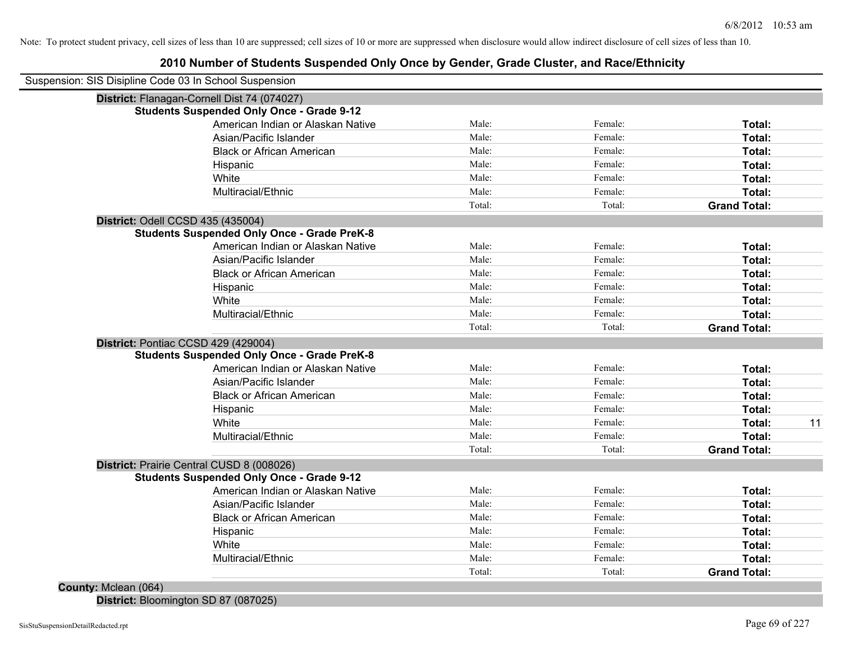## **2010 Number of Students Suspended Only Once by Gender, Grade Cluster, and Race/Ethnicity**

| Suspension: SIS Disipline Code 03 In School Suspension |        |         |                     |
|--------------------------------------------------------|--------|---------|---------------------|
| District: Flanagan-Cornell Dist 74 (074027)            |        |         |                     |
| <b>Students Suspended Only Once - Grade 9-12</b>       |        |         |                     |
| American Indian or Alaskan Native                      | Male:  | Female: | Total:              |
| Asian/Pacific Islander                                 | Male:  | Female: | Total:              |
| <b>Black or African American</b>                       | Male:  | Female: | Total:              |
| Hispanic                                               | Male:  | Female: | Total:              |
| White                                                  | Male:  | Female: | Total:              |
| Multiracial/Ethnic                                     | Male:  | Female: | Total:              |
|                                                        | Total: | Total:  | <b>Grand Total:</b> |
| District: Odell CCSD 435 (435004)                      |        |         |                     |
| <b>Students Suspended Only Once - Grade PreK-8</b>     |        |         |                     |
| American Indian or Alaskan Native                      | Male:  | Female: | Total:              |
| Asian/Pacific Islander                                 | Male:  | Female: | <b>Total:</b>       |
| <b>Black or African American</b>                       | Male:  | Female: | Total:              |
| Hispanic                                               | Male:  | Female: | Total:              |
| White                                                  | Male:  | Female: | Total:              |
| Multiracial/Ethnic                                     | Male:  | Female: | Total:              |
|                                                        | Total: | Total:  | <b>Grand Total:</b> |
| District: Pontiac CCSD 429 (429004)                    |        |         |                     |
| <b>Students Suspended Only Once - Grade PreK-8</b>     |        |         |                     |
| American Indian or Alaskan Native                      | Male:  | Female: | Total:              |
| Asian/Pacific Islander                                 | Male:  | Female: | Total:              |
| <b>Black or African American</b>                       | Male:  | Female: | Total:              |
| Hispanic                                               | Male:  | Female: | Total:              |
| White                                                  | Male:  | Female: | Total:              |
| Multiracial/Ethnic                                     | Male:  | Female: | Total:              |
|                                                        | Total: | Total:  | <b>Grand Total:</b> |
| District: Prairie Central CUSD 8 (008026)              |        |         |                     |
| <b>Students Suspended Only Once - Grade 9-12</b>       |        |         |                     |
| American Indian or Alaskan Native                      | Male:  | Female: | Total:              |
| Asian/Pacific Islander                                 | Male:  | Female: | Total:              |
| <b>Black or African American</b>                       | Male:  | Female: | Total:              |
| Hispanic                                               | Male:  | Female: | Total:              |
| White                                                  | Male:  | Female: | Total:              |
| Multiracial/Ethnic                                     | Male:  | Female: | Total:              |
|                                                        | Total: | Total:  | <b>Grand Total:</b> |

**District:** Bloomington SD 87 (087025)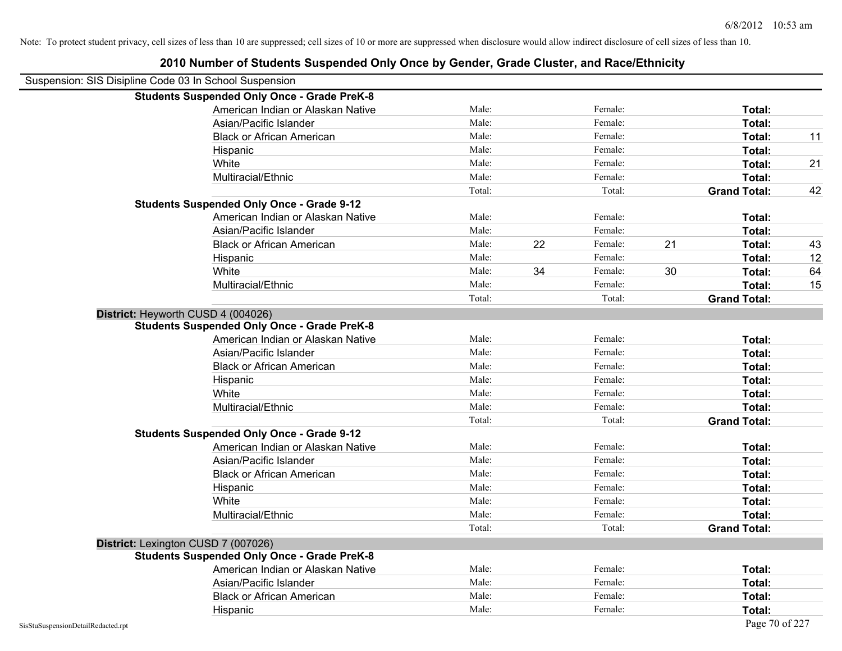|                                    | 2010 Number of Students Suspended Only Once by Gender, Grade Cluster, and Race/Ethnicity |        |    |         |    |                     |    |
|------------------------------------|------------------------------------------------------------------------------------------|--------|----|---------|----|---------------------|----|
|                                    | Suspension: SIS Disipline Code 03 In School Suspension                                   |        |    |         |    |                     |    |
|                                    | <b>Students Suspended Only Once - Grade PreK-8</b>                                       |        |    |         |    |                     |    |
|                                    | American Indian or Alaskan Native                                                        | Male:  |    | Female: |    | Total:              |    |
|                                    | Asian/Pacific Islander                                                                   | Male:  |    | Female: |    | Total:              |    |
|                                    | <b>Black or African American</b>                                                         | Male:  |    | Female: |    | Total:              | 11 |
|                                    | Hispanic                                                                                 | Male:  |    | Female: |    | Total:              |    |
|                                    | White                                                                                    | Male:  |    | Female: |    | Total:              | 21 |
|                                    | Multiracial/Ethnic                                                                       | Male:  |    | Female: |    | Total:              |    |
|                                    |                                                                                          | Total: |    | Total:  |    | <b>Grand Total:</b> | 42 |
|                                    | <b>Students Suspended Only Once - Grade 9-12</b>                                         |        |    |         |    |                     |    |
|                                    | American Indian or Alaskan Native                                                        | Male:  |    | Female: |    | Total:              |    |
|                                    | Asian/Pacific Islander                                                                   | Male:  |    | Female: |    | Total:              |    |
|                                    | <b>Black or African American</b>                                                         | Male:  | 22 | Female: | 21 | Total:              | 43 |
|                                    | Hispanic                                                                                 | Male:  |    | Female: |    | Total:              | 12 |
|                                    | White                                                                                    | Male:  | 34 | Female: | 30 | Total:              | 64 |
|                                    | Multiracial/Ethnic                                                                       | Male:  |    | Female: |    | Total:              | 15 |
|                                    |                                                                                          | Total: |    | Total:  |    | <b>Grand Total:</b> |    |
|                                    | District: Heyworth CUSD 4 (004026)                                                       |        |    |         |    |                     |    |
|                                    | <b>Students Suspended Only Once - Grade PreK-8</b>                                       |        |    |         |    |                     |    |
|                                    | American Indian or Alaskan Native                                                        | Male:  |    | Female: |    | Total:              |    |
|                                    | Asian/Pacific Islander                                                                   | Male:  |    | Female: |    | Total:              |    |
|                                    | <b>Black or African American</b>                                                         | Male:  |    | Female: |    | Total:              |    |
|                                    | Hispanic                                                                                 | Male:  |    | Female: |    | Total:              |    |
|                                    | White                                                                                    | Male:  |    | Female: |    | Total:              |    |
|                                    | Multiracial/Ethnic                                                                       | Male:  |    | Female: |    | Total:              |    |
|                                    |                                                                                          | Total: |    | Total:  |    | <b>Grand Total:</b> |    |
|                                    | <b>Students Suspended Only Once - Grade 9-12</b>                                         |        |    |         |    |                     |    |
|                                    | American Indian or Alaskan Native                                                        | Male:  |    | Female: |    | Total:              |    |
|                                    | Asian/Pacific Islander                                                                   | Male:  |    | Female: |    | Total:              |    |
|                                    | <b>Black or African American</b>                                                         | Male:  |    | Female: |    | Total:              |    |
|                                    | Hispanic                                                                                 | Male:  |    | Female: |    | Total:              |    |
|                                    | White                                                                                    | Male:  |    | Female: |    | Total:              |    |
|                                    | Multiracial/Ethnic                                                                       | Male:  |    | Female: |    | Total:              |    |
|                                    |                                                                                          | Total: |    | Total:  |    | <b>Grand Total:</b> |    |
|                                    | District: Lexington CUSD 7 (007026)                                                      |        |    |         |    |                     |    |
|                                    | <b>Students Suspended Only Once - Grade PreK-8</b>                                       |        |    |         |    |                     |    |
|                                    | American Indian or Alaskan Native                                                        | Male:  |    | Female: |    | Total:              |    |
|                                    | Asian/Pacific Islander                                                                   | Male:  |    | Female: |    | Total:              |    |
|                                    | <b>Black or African American</b>                                                         | Male:  |    | Female: |    | Total:              |    |
|                                    | Hispanic                                                                                 | Male:  |    | Female: |    | Total:              |    |
| SisStuSuspensionDetailRedacted.rpt |                                                                                          |        |    |         |    | Page 70 of 227      |    |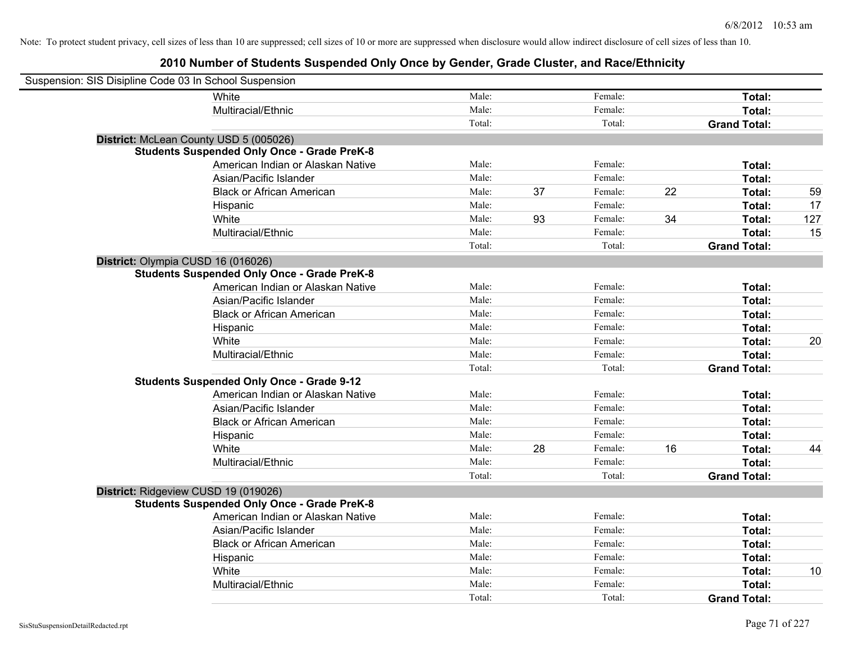| Suspension: SIS Disipline Code 03 In School Suspension |                                                    |        |    |         |    |                     |     |
|--------------------------------------------------------|----------------------------------------------------|--------|----|---------|----|---------------------|-----|
|                                                        | White                                              | Male:  |    | Female: |    | Total:              |     |
|                                                        | Multiracial/Ethnic                                 | Male:  |    | Female: |    | Total:              |     |
|                                                        |                                                    | Total: |    | Total:  |    | <b>Grand Total:</b> |     |
| District: McLean County USD 5 (005026)                 |                                                    |        |    |         |    |                     |     |
|                                                        | <b>Students Suspended Only Once - Grade PreK-8</b> |        |    |         |    |                     |     |
|                                                        | American Indian or Alaskan Native                  | Male:  |    | Female: |    | Total:              |     |
|                                                        | Asian/Pacific Islander                             | Male:  |    | Female: |    | Total:              |     |
|                                                        | <b>Black or African American</b>                   | Male:  | 37 | Female: | 22 | Total:              | 59  |
|                                                        | Hispanic                                           | Male:  |    | Female: |    | Total:              | 17  |
|                                                        | White                                              | Male:  | 93 | Female: | 34 | Total:              | 127 |
|                                                        | Multiracial/Ethnic                                 | Male:  |    | Female: |    | Total:              | 15  |
|                                                        |                                                    | Total: |    | Total:  |    | <b>Grand Total:</b> |     |
| District: Olympia CUSD 16 (016026)                     |                                                    |        |    |         |    |                     |     |
|                                                        | <b>Students Suspended Only Once - Grade PreK-8</b> |        |    |         |    |                     |     |
|                                                        | American Indian or Alaskan Native                  | Male:  |    | Female: |    | Total:              |     |
|                                                        | Asian/Pacific Islander                             | Male:  |    | Female: |    | Total:              |     |
|                                                        | <b>Black or African American</b>                   | Male:  |    | Female: |    | Total:              |     |
|                                                        | Hispanic                                           | Male:  |    | Female: |    | Total:              |     |
|                                                        | White                                              | Male:  |    | Female: |    | Total:              | 20  |
|                                                        | Multiracial/Ethnic                                 | Male:  |    | Female: |    | Total:              |     |
|                                                        |                                                    | Total: |    | Total:  |    | <b>Grand Total:</b> |     |
|                                                        | <b>Students Suspended Only Once - Grade 9-12</b>   |        |    |         |    |                     |     |
|                                                        | American Indian or Alaskan Native                  | Male:  |    | Female: |    | Total:              |     |
|                                                        | Asian/Pacific Islander                             | Male:  |    | Female: |    | Total:              |     |
|                                                        | <b>Black or African American</b>                   | Male:  |    | Female: |    | Total:              |     |
|                                                        | Hispanic                                           | Male:  |    | Female: |    | Total:              |     |
|                                                        | White                                              | Male:  | 28 | Female: | 16 | Total:              | 44  |
|                                                        | Multiracial/Ethnic                                 | Male:  |    | Female: |    | Total:              |     |
|                                                        |                                                    | Total: |    | Total:  |    | <b>Grand Total:</b> |     |
| District: Ridgeview CUSD 19 (019026)                   |                                                    |        |    |         |    |                     |     |
|                                                        | <b>Students Suspended Only Once - Grade PreK-8</b> |        |    |         |    |                     |     |
|                                                        | American Indian or Alaskan Native                  | Male:  |    | Female: |    | Total:              |     |
|                                                        | Asian/Pacific Islander                             | Male:  |    | Female: |    | Total:              |     |
|                                                        | <b>Black or African American</b>                   | Male:  |    | Female: |    | Total:              |     |
|                                                        | Hispanic                                           | Male:  |    | Female: |    | Total:              |     |
|                                                        | White                                              | Male:  |    | Female: |    | Total:              | 10  |
|                                                        | Multiracial/Ethnic                                 | Male:  |    | Female: |    | Total:              |     |
|                                                        |                                                    | Total: |    | Total:  |    | <b>Grand Total:</b> |     |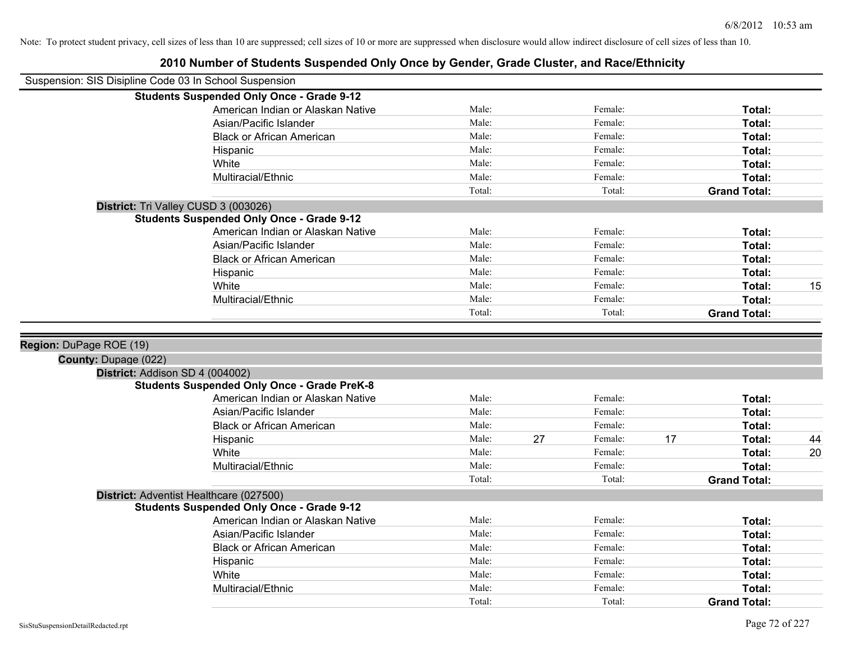| Suspension: SIS Disipline Code 03 In School Suspension |                                                    |        |    |         |    |                     |    |
|--------------------------------------------------------|----------------------------------------------------|--------|----|---------|----|---------------------|----|
|                                                        | <b>Students Suspended Only Once - Grade 9-12</b>   |        |    |         |    |                     |    |
|                                                        | American Indian or Alaskan Native                  | Male:  |    | Female: |    | Total:              |    |
|                                                        | Asian/Pacific Islander                             | Male:  |    | Female: |    | Total:              |    |
|                                                        | <b>Black or African American</b>                   | Male:  |    | Female: |    | Total:              |    |
|                                                        | Hispanic                                           | Male:  |    | Female: |    | Total:              |    |
|                                                        | White                                              | Male:  |    | Female: |    | Total:              |    |
|                                                        | Multiracial/Ethnic                                 | Male:  |    | Female: |    | Total:              |    |
|                                                        |                                                    | Total: |    | Total:  |    | <b>Grand Total:</b> |    |
|                                                        | District: Tri Valley CUSD 3 (003026)               |        |    |         |    |                     |    |
|                                                        | <b>Students Suspended Only Once - Grade 9-12</b>   |        |    |         |    |                     |    |
|                                                        | American Indian or Alaskan Native                  | Male:  |    | Female: |    | Total:              |    |
|                                                        | Asian/Pacific Islander                             | Male:  |    | Female: |    | Total:              |    |
|                                                        | <b>Black or African American</b>                   | Male:  |    | Female: |    | Total:              |    |
|                                                        | Hispanic                                           | Male:  |    | Female: |    | Total:              |    |
|                                                        | White                                              | Male:  |    | Female: |    | Total:              | 15 |
|                                                        | Multiracial/Ethnic                                 | Male:  |    | Female: |    | Total:              |    |
|                                                        |                                                    | Total: |    | Total:  |    | <b>Grand Total:</b> |    |
|                                                        |                                                    |        |    |         |    |                     |    |
| Region: DuPage ROE (19)                                |                                                    |        |    |         |    |                     |    |
| County: Dupage (022)                                   |                                                    |        |    |         |    |                     |    |
|                                                        | District: Addison SD 4 (004002)                    |        |    |         |    |                     |    |
|                                                        | <b>Students Suspended Only Once - Grade PreK-8</b> |        |    |         |    |                     |    |
|                                                        | American Indian or Alaskan Native                  | Male:  |    | Female: |    | Total:              |    |
|                                                        | Asian/Pacific Islander                             | Male:  |    | Female: |    | Total:              |    |
|                                                        | <b>Black or African American</b>                   | Male:  |    | Female: |    | Total:              |    |
|                                                        | Hispanic                                           | Male:  | 27 | Female: | 17 | Total:              | 44 |
|                                                        | White                                              | Male:  |    | Female: |    | Total:              | 20 |
|                                                        | Multiracial/Ethnic                                 | Male:  |    | Female: |    | <b>Total:</b>       |    |
|                                                        |                                                    | Total: |    | Total:  |    | <b>Grand Total:</b> |    |
|                                                        | District: Adventist Healthcare (027500)            |        |    |         |    |                     |    |
|                                                        | <b>Students Suspended Only Once - Grade 9-12</b>   |        |    |         |    |                     |    |
|                                                        | American Indian or Alaskan Native                  | Male:  |    | Female: |    | <b>Total:</b>       |    |
|                                                        | Asian/Pacific Islander                             | Male:  |    | Female: |    | Total:              |    |
|                                                        | <b>Black or African American</b>                   | Male:  |    | Female: |    | Total:              |    |
|                                                        | Hispanic                                           | Male:  |    | Female: |    | Total:              |    |
|                                                        | White                                              | Male:  |    | Female: |    | Total:              |    |
|                                                        | Multiracial/Ethnic                                 | Male:  |    | Female: |    | <b>Total:</b>       |    |
|                                                        |                                                    | Total: |    | Total:  |    | <b>Grand Total:</b> |    |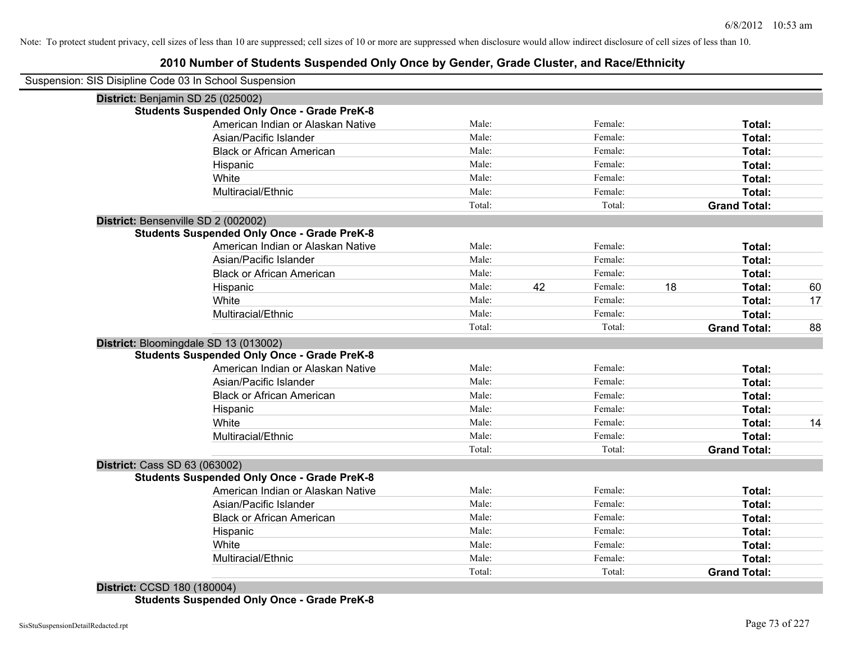#### **2010 Number of Students Suspended Only Once by Gender, Grade Cluster, and Race/Ethnicity**

| Suspension: SIS Disipline Code 03 In School Suspension |        |               |                     |    |
|--------------------------------------------------------|--------|---------------|---------------------|----|
| District: Benjamin SD 25 (025002)                      |        |               |                     |    |
| <b>Students Suspended Only Once - Grade PreK-8</b>     |        |               |                     |    |
| American Indian or Alaskan Native                      | Male:  | Female:       | Total:              |    |
| Asian/Pacific Islander                                 | Male:  | Female:       | Total:              |    |
| <b>Black or African American</b>                       | Male:  | Female:       | Total:              |    |
| Hispanic                                               | Male:  | Female:       | Total:              |    |
| White                                                  | Male:  | Female:       | Total:              |    |
| Multiracial/Ethnic                                     | Male:  | Female:       | Total:              |    |
|                                                        | Total: | Total:        | <b>Grand Total:</b> |    |
| District: Bensenville SD 2 (002002)                    |        |               |                     |    |
| <b>Students Suspended Only Once - Grade PreK-8</b>     |        |               |                     |    |
| American Indian or Alaskan Native                      | Male:  | Female:       | Total:              |    |
| Asian/Pacific Islander                                 | Male:  | Female:       | Total:              |    |
| <b>Black or African American</b>                       | Male:  | Female:       | Total:              |    |
| Hispanic                                               | Male:  | Female:<br>42 | 18<br>Total:        | 60 |
| White                                                  | Male:  | Female:       | Total:              | 17 |
| Multiracial/Ethnic                                     | Male:  | Female:       | Total:              |    |
|                                                        | Total: | Total:        | <b>Grand Total:</b> | 88 |
| District: Bloomingdale SD 13 (013002)                  |        |               |                     |    |
| <b>Students Suspended Only Once - Grade PreK-8</b>     |        |               |                     |    |
| American Indian or Alaskan Native                      | Male:  | Female:       | Total:              |    |
| Asian/Pacific Islander                                 | Male:  | Female:       | Total:              |    |
| <b>Black or African American</b>                       | Male:  | Female:       | Total:              |    |
| Hispanic                                               | Male:  | Female:       | Total:              |    |
| White                                                  | Male:  | Female:       | Total:              | 14 |
| Multiracial/Ethnic                                     | Male:  | Female:       | Total:              |    |
|                                                        | Total: | Total:        | <b>Grand Total:</b> |    |
| District: Cass SD 63 (063002)                          |        |               |                     |    |
| <b>Students Suspended Only Once - Grade PreK-8</b>     |        |               |                     |    |
| American Indian or Alaskan Native                      | Male:  | Female:       | Total:              |    |
| Asian/Pacific Islander                                 | Male:  | Female:       | Total:              |    |
| <b>Black or African American</b>                       | Male:  | Female:       | Total:              |    |
| Hispanic                                               | Male:  | Female:       | Total:              |    |
| White                                                  | Male:  | Female:       | Total:              |    |
| Multiracial/Ethnic                                     | Male:  | Female:       | <b>Total:</b>       |    |
|                                                        | Total: | Total:        | <b>Grand Total:</b> |    |

**District:** CCSD 180 (180004) **Students Suspended Only Once - Grade PreK-8**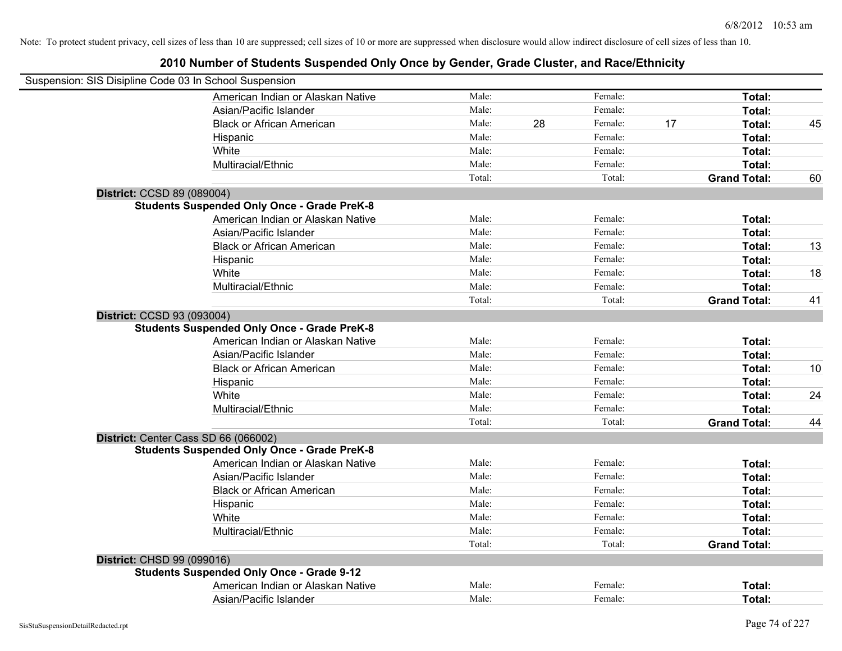|                            | Suspension: SIS Disipline Code 03 In School Suspension |        |    |         |    |                     |    |
|----------------------------|--------------------------------------------------------|--------|----|---------|----|---------------------|----|
|                            | American Indian or Alaskan Native                      | Male:  |    | Female: |    | Total:              |    |
|                            | Asian/Pacific Islander                                 | Male:  |    | Female: |    | Total:              |    |
|                            | <b>Black or African American</b>                       | Male:  | 28 | Female: | 17 | Total:              | 45 |
|                            | Hispanic                                               | Male:  |    | Female: |    | Total:              |    |
|                            | White                                                  | Male:  |    | Female: |    | Total:              |    |
|                            | Multiracial/Ethnic                                     | Male:  |    | Female: |    | Total:              |    |
|                            |                                                        | Total: |    | Total:  |    | <b>Grand Total:</b> | 60 |
| District: CCSD 89 (089004) |                                                        |        |    |         |    |                     |    |
|                            | <b>Students Suspended Only Once - Grade PreK-8</b>     |        |    |         |    |                     |    |
|                            | American Indian or Alaskan Native                      | Male:  |    | Female: |    | Total:              |    |
|                            | Asian/Pacific Islander                                 | Male:  |    | Female: |    | Total:              |    |
|                            | <b>Black or African American</b>                       | Male:  |    | Female: |    | Total:              | 13 |
|                            | Hispanic                                               | Male:  |    | Female: |    | Total:              |    |
|                            | White                                                  | Male:  |    | Female: |    | Total:              | 18 |
|                            | Multiracial/Ethnic                                     | Male:  |    | Female: |    | Total:              |    |
|                            |                                                        | Total: |    | Total:  |    | <b>Grand Total:</b> | 41 |
| District: CCSD 93 (093004) |                                                        |        |    |         |    |                     |    |
|                            | <b>Students Suspended Only Once - Grade PreK-8</b>     |        |    |         |    |                     |    |
|                            | American Indian or Alaskan Native                      | Male:  |    | Female: |    | Total:              |    |
|                            | Asian/Pacific Islander                                 | Male:  |    | Female: |    | Total:              |    |
|                            | <b>Black or African American</b>                       | Male:  |    | Female: |    | Total:              | 10 |
|                            | Hispanic                                               | Male:  |    | Female: |    | Total:              |    |
|                            | White                                                  | Male:  |    | Female: |    | Total:              | 24 |
|                            | Multiracial/Ethnic                                     | Male:  |    | Female: |    | Total:              |    |
|                            |                                                        | Total: |    | Total:  |    | <b>Grand Total:</b> | 44 |
|                            | District: Center Cass SD 66 (066002)                   |        |    |         |    |                     |    |
|                            | <b>Students Suspended Only Once - Grade PreK-8</b>     |        |    |         |    |                     |    |
|                            | American Indian or Alaskan Native                      | Male:  |    | Female: |    | Total:              |    |
|                            | Asian/Pacific Islander                                 | Male:  |    | Female: |    | Total:              |    |
|                            | <b>Black or African American</b>                       | Male:  |    | Female: |    | Total:              |    |
|                            | Hispanic                                               | Male:  |    | Female: |    | Total:              |    |
|                            | White                                                  | Male:  |    | Female: |    | Total:              |    |
|                            | Multiracial/Ethnic                                     | Male:  |    | Female: |    | Total:              |    |
|                            |                                                        | Total: |    | Total:  |    | <b>Grand Total:</b> |    |
| District: CHSD 99 (099016) |                                                        |        |    |         |    |                     |    |
|                            | <b>Students Suspended Only Once - Grade 9-12</b>       |        |    |         |    |                     |    |
|                            | American Indian or Alaskan Native                      | Male:  |    | Female: |    | Total:              |    |
|                            | Asian/Pacific Islander                                 | Male:  |    | Female: |    | Total:              |    |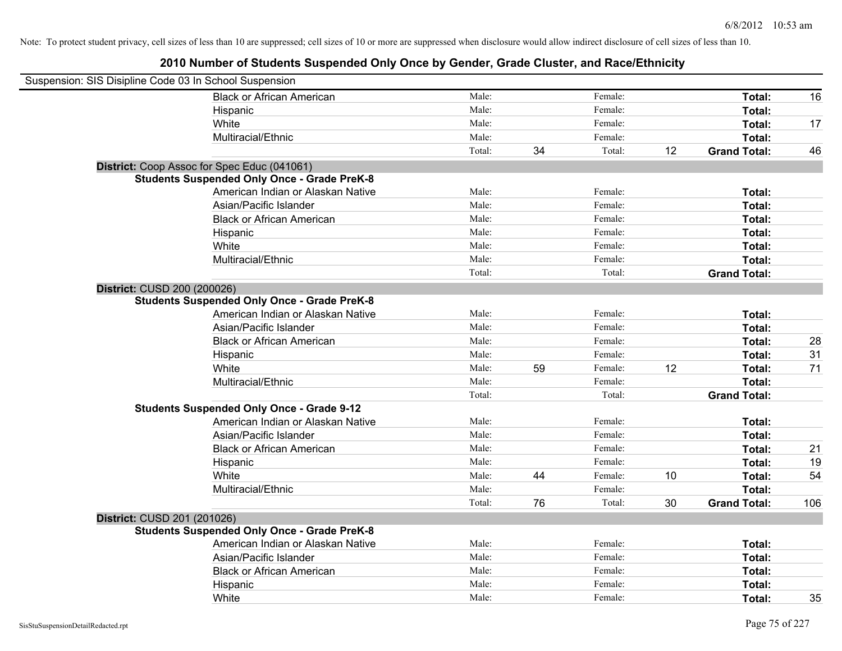| Suspension: SIS Disipline Code 03 In School Suspension |                                                    |        |    |         |    |                     |     |
|--------------------------------------------------------|----------------------------------------------------|--------|----|---------|----|---------------------|-----|
|                                                        | <b>Black or African American</b>                   | Male:  |    | Female: |    | Total:              | 16  |
|                                                        | Hispanic                                           | Male:  |    | Female: |    | Total:              |     |
|                                                        | White                                              | Male:  |    | Female: |    | Total:              | 17  |
|                                                        | Multiracial/Ethnic                                 | Male:  |    | Female: |    | Total:              |     |
|                                                        |                                                    | Total: | 34 | Total:  | 12 | <b>Grand Total:</b> | 46  |
|                                                        | District: Coop Assoc for Spec Educ (041061)        |        |    |         |    |                     |     |
|                                                        | <b>Students Suspended Only Once - Grade PreK-8</b> |        |    |         |    |                     |     |
|                                                        | American Indian or Alaskan Native                  | Male:  |    | Female: |    | Total:              |     |
|                                                        | Asian/Pacific Islander                             | Male:  |    | Female: |    | Total:              |     |
|                                                        | <b>Black or African American</b>                   | Male:  |    | Female: |    | Total:              |     |
|                                                        | Hispanic                                           | Male:  |    | Female: |    | Total:              |     |
|                                                        | White                                              | Male:  |    | Female: |    | Total:              |     |
|                                                        | Multiracial/Ethnic                                 | Male:  |    | Female: |    | Total:              |     |
|                                                        |                                                    | Total: |    | Total:  |    | <b>Grand Total:</b> |     |
| District: CUSD 200 (200026)                            |                                                    |        |    |         |    |                     |     |
|                                                        | <b>Students Suspended Only Once - Grade PreK-8</b> |        |    |         |    |                     |     |
|                                                        | American Indian or Alaskan Native                  | Male:  |    | Female: |    | <b>Total:</b>       |     |
|                                                        | Asian/Pacific Islander                             | Male:  |    | Female: |    | Total:              |     |
|                                                        | <b>Black or African American</b>                   | Male:  |    | Female: |    | Total:              | 28  |
|                                                        | Hispanic                                           | Male:  |    | Female: |    | Total:              | 31  |
|                                                        | White                                              | Male:  | 59 | Female: | 12 | Total:              | 71  |
|                                                        | Multiracial/Ethnic                                 | Male:  |    | Female: |    | Total:              |     |
|                                                        |                                                    | Total: |    | Total:  |    | <b>Grand Total:</b> |     |
|                                                        | <b>Students Suspended Only Once - Grade 9-12</b>   |        |    |         |    |                     |     |
|                                                        | American Indian or Alaskan Native                  | Male:  |    | Female: |    | Total:              |     |
|                                                        | Asian/Pacific Islander                             | Male:  |    | Female: |    | Total:              |     |
|                                                        | <b>Black or African American</b>                   | Male:  |    | Female: |    | Total:              | 21  |
|                                                        | Hispanic                                           | Male:  |    | Female: |    | Total:              | 19  |
|                                                        | White                                              | Male:  | 44 | Female: | 10 | Total:              | 54  |
|                                                        | Multiracial/Ethnic                                 | Male:  |    | Female: |    | Total:              |     |
|                                                        |                                                    | Total: | 76 | Total:  | 30 | <b>Grand Total:</b> | 106 |
| District: CUSD 201 (201026)                            |                                                    |        |    |         |    |                     |     |
|                                                        | <b>Students Suspended Only Once - Grade PreK-8</b> |        |    |         |    |                     |     |
|                                                        | American Indian or Alaskan Native                  | Male:  |    | Female: |    | Total:              |     |
|                                                        | Asian/Pacific Islander                             | Male:  |    | Female: |    | Total:              |     |
|                                                        | <b>Black or African American</b>                   | Male:  |    | Female: |    | Total:              |     |
|                                                        | Hispanic                                           | Male:  |    | Female: |    | Total:              |     |
|                                                        | White                                              | Male:  |    | Female: |    | Total:              | 35  |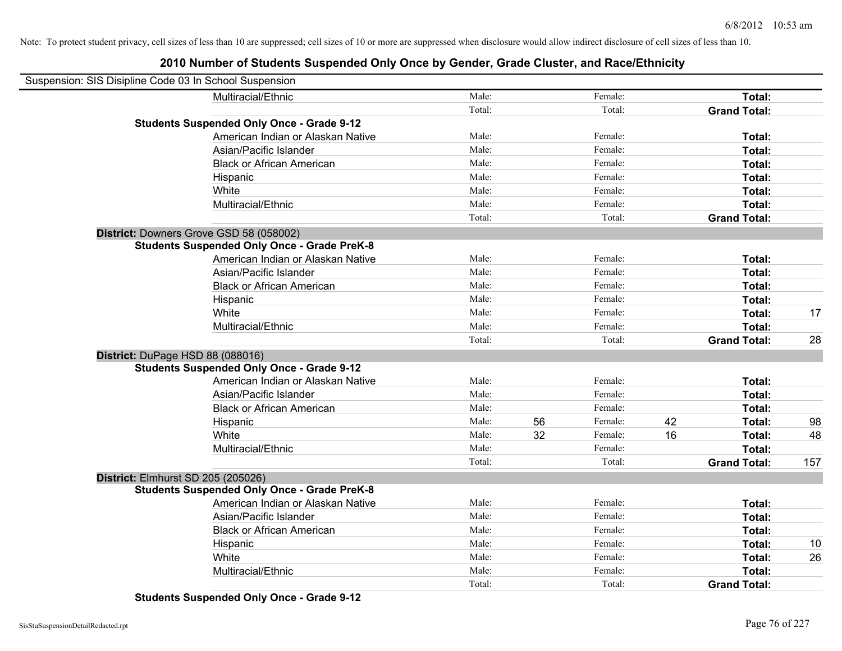## **2010 Number of Students Suspended Only Once by Gender, Grade Cluster, and Race/Ethnicity**

| Suspension: SIS Disipline Code 03 In School Suspension |                                                    |        |    |         |    |                     |     |
|--------------------------------------------------------|----------------------------------------------------|--------|----|---------|----|---------------------|-----|
|                                                        | Multiracial/Ethnic                                 | Male:  |    | Female: |    | Total:              |     |
|                                                        |                                                    | Total: |    | Total:  |    | <b>Grand Total:</b> |     |
|                                                        | <b>Students Suspended Only Once - Grade 9-12</b>   |        |    |         |    |                     |     |
|                                                        | American Indian or Alaskan Native                  | Male:  |    | Female: |    | Total:              |     |
|                                                        | Asian/Pacific Islander                             | Male:  |    | Female: |    | Total:              |     |
|                                                        | <b>Black or African American</b>                   | Male:  |    | Female: |    | Total:              |     |
|                                                        | Hispanic                                           | Male:  |    | Female: |    | Total:              |     |
|                                                        | White                                              | Male:  |    | Female: |    | Total:              |     |
|                                                        | Multiracial/Ethnic                                 | Male:  |    | Female: |    | Total:              |     |
|                                                        |                                                    | Total: |    | Total:  |    | <b>Grand Total:</b> |     |
| District: Downers Grove GSD 58 (058002)                |                                                    |        |    |         |    |                     |     |
|                                                        | <b>Students Suspended Only Once - Grade PreK-8</b> |        |    |         |    |                     |     |
|                                                        | American Indian or Alaskan Native                  | Male:  |    | Female: |    | Total:              |     |
|                                                        | Asian/Pacific Islander                             | Male:  |    | Female: |    | Total:              |     |
|                                                        | <b>Black or African American</b>                   | Male:  |    | Female: |    | Total:              |     |
|                                                        | Hispanic                                           | Male:  |    | Female: |    | Total:              |     |
|                                                        | White                                              | Male:  |    | Female: |    | Total:              | 17  |
|                                                        | Multiracial/Ethnic                                 | Male:  |    | Female: |    | Total:              |     |
|                                                        |                                                    | Total: |    | Total:  |    | <b>Grand Total:</b> | 28  |
| District: DuPage HSD 88 (088016)                       |                                                    |        |    |         |    |                     |     |
|                                                        | <b>Students Suspended Only Once - Grade 9-12</b>   |        |    |         |    |                     |     |
|                                                        | American Indian or Alaskan Native                  | Male:  |    | Female: |    | Total:              |     |
|                                                        | Asian/Pacific Islander                             | Male:  |    | Female: |    | Total:              |     |
|                                                        | <b>Black or African American</b>                   | Male:  |    | Female: |    | Total:              |     |
|                                                        | Hispanic                                           | Male:  | 56 | Female: | 42 | Total:              | 98  |
|                                                        | White                                              | Male:  | 32 | Female: | 16 | Total:              | 48  |
|                                                        | Multiracial/Ethnic                                 | Male:  |    | Female: |    | Total:              |     |
|                                                        |                                                    | Total: |    | Total:  |    | <b>Grand Total:</b> | 157 |
| District: Elmhurst SD 205 (205026)                     |                                                    |        |    |         |    |                     |     |
|                                                        | <b>Students Suspended Only Once - Grade PreK-8</b> |        |    |         |    |                     |     |
|                                                        | American Indian or Alaskan Native                  | Male:  |    | Female: |    | Total:              |     |
|                                                        | Asian/Pacific Islander                             | Male:  |    | Female: |    | Total:              |     |
|                                                        | <b>Black or African American</b>                   | Male:  |    | Female: |    | Total:              |     |
|                                                        | Hispanic                                           | Male:  |    | Female: |    | Total:              | 10  |
|                                                        | White                                              | Male:  |    | Female: |    | Total:              | 26  |
|                                                        | Multiracial/Ethnic                                 | Male:  |    | Female: |    | Total:              |     |
|                                                        |                                                    | Total: |    | Total:  |    | <b>Grand Total:</b> |     |

**Students Suspended Only Once - Grade 9-12**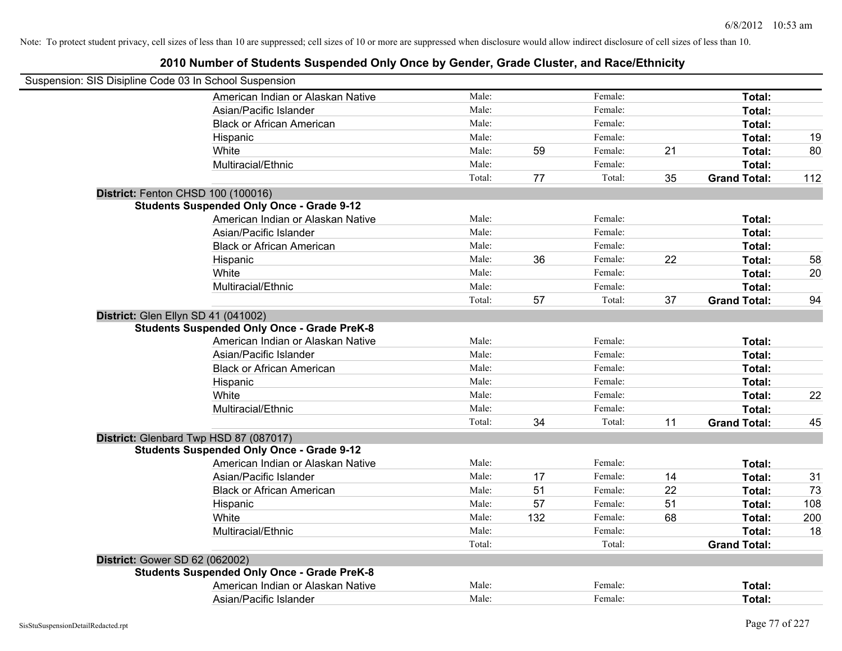| Suspension: SIS Disipline Code 03 In School Suspension                                    |        |     |         |    |                     |     |
|-------------------------------------------------------------------------------------------|--------|-----|---------|----|---------------------|-----|
| American Indian or Alaskan Native                                                         | Male:  |     | Female: |    | Total:              |     |
| Asian/Pacific Islander                                                                    | Male:  |     | Female: |    | Total:              |     |
| <b>Black or African American</b>                                                          | Male:  |     | Female: |    | Total:              |     |
| Hispanic                                                                                  | Male:  |     | Female: |    | Total:              | 19  |
| White                                                                                     | Male:  | 59  | Female: | 21 | Total:              | 80  |
| Multiracial/Ethnic                                                                        | Male:  |     | Female: |    | Total:              |     |
|                                                                                           | Total: | 77  | Total:  | 35 | <b>Grand Total:</b> | 112 |
| District: Fenton CHSD 100 (100016)                                                        |        |     |         |    |                     |     |
| <b>Students Suspended Only Once - Grade 9-12</b>                                          |        |     |         |    |                     |     |
| American Indian or Alaskan Native                                                         | Male:  |     | Female: |    | Total:              |     |
| Asian/Pacific Islander                                                                    | Male:  |     | Female: |    | Total:              |     |
| <b>Black or African American</b>                                                          | Male:  |     | Female: |    | Total:              |     |
| Hispanic                                                                                  | Male:  | 36  | Female: | 22 | Total:              | 58  |
| White                                                                                     | Male:  |     | Female: |    | Total:              | 20  |
| Multiracial/Ethnic                                                                        | Male:  |     | Female: |    | Total:              |     |
|                                                                                           | Total: | 57  | Total:  | 37 | <b>Grand Total:</b> | 94  |
| District: Glen Ellyn SD 41 (041002)<br><b>Students Suspended Only Once - Grade PreK-8</b> |        |     |         |    |                     |     |
| American Indian or Alaskan Native                                                         | Male:  |     | Female: |    | Total:              |     |
| Asian/Pacific Islander                                                                    | Male:  |     | Female: |    | Total:              |     |
| <b>Black or African American</b>                                                          | Male:  |     | Female: |    | Total:              |     |
| Hispanic                                                                                  | Male:  |     | Female: |    | Total:              |     |
| White                                                                                     | Male:  |     | Female: |    | Total:              | 22  |
| Multiracial/Ethnic                                                                        | Male:  |     | Female: |    | Total:              |     |
|                                                                                           | Total: | 34  | Total:  | 11 | <b>Grand Total:</b> | 45  |
| District: Glenbard Twp HSD 87 (087017)                                                    |        |     |         |    |                     |     |
| <b>Students Suspended Only Once - Grade 9-12</b>                                          |        |     |         |    |                     |     |
| American Indian or Alaskan Native                                                         | Male:  |     | Female: |    | Total:              |     |
| Asian/Pacific Islander                                                                    | Male:  | 17  | Female: | 14 | Total:              | 31  |
| <b>Black or African American</b>                                                          | Male:  | 51  | Female: | 22 | Total:              | 73  |
| Hispanic                                                                                  | Male:  | 57  | Female: | 51 | Total:              | 108 |
| White                                                                                     | Male:  | 132 | Female: | 68 | Total:              | 200 |
| Multiracial/Ethnic                                                                        | Male:  |     | Female: |    | Total:              | 18  |
|                                                                                           | Total: |     | Total:  |    | <b>Grand Total:</b> |     |
| District: Gower SD 62 (062002)                                                            |        |     |         |    |                     |     |
| <b>Students Suspended Only Once - Grade PreK-8</b>                                        |        |     |         |    |                     |     |
| American Indian or Alaskan Native                                                         | Male:  |     | Female: |    | Total:              |     |
| Asian/Pacific Islander                                                                    | Male:  |     | Female: |    | Total:              |     |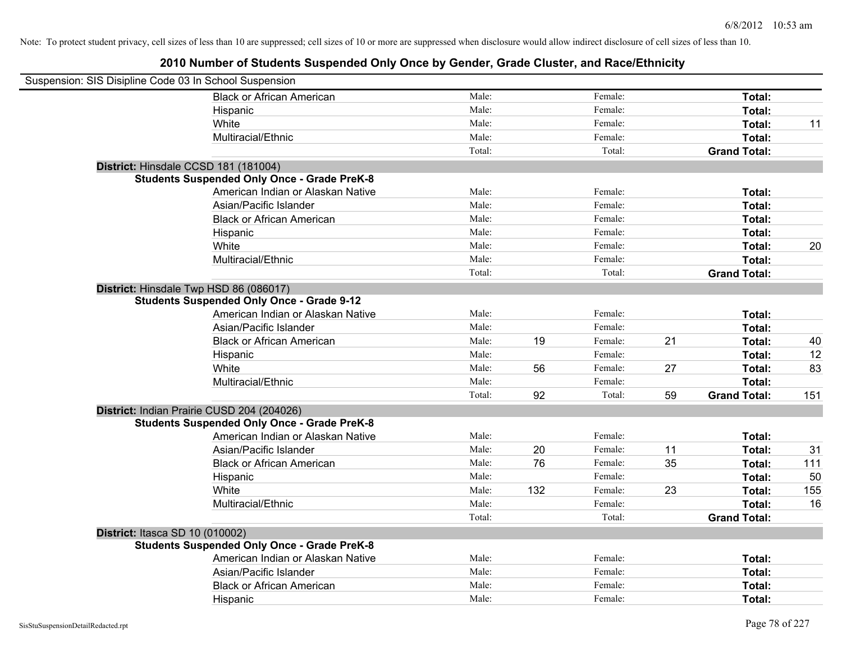| Suspension: SIS Disipline Code 03 In School Suspension |        |     |         |    |                     |     |
|--------------------------------------------------------|--------|-----|---------|----|---------------------|-----|
| <b>Black or African American</b>                       | Male:  |     | Female: |    | Total:              |     |
| Hispanic                                               | Male:  |     | Female: |    | Total:              |     |
| White                                                  | Male:  |     | Female: |    | Total:              | 11  |
| Multiracial/Ethnic                                     | Male:  |     | Female: |    | Total:              |     |
|                                                        | Total: |     | Total:  |    | <b>Grand Total:</b> |     |
| District: Hinsdale CCSD 181 (181004)                   |        |     |         |    |                     |     |
| <b>Students Suspended Only Once - Grade PreK-8</b>     |        |     |         |    |                     |     |
| American Indian or Alaskan Native                      | Male:  |     | Female: |    | Total:              |     |
| Asian/Pacific Islander                                 | Male:  |     | Female: |    | Total:              |     |
| <b>Black or African American</b>                       | Male:  |     | Female: |    | Total:              |     |
| Hispanic                                               | Male:  |     | Female: |    | Total:              |     |
| White                                                  | Male:  |     | Female: |    | Total:              | 20  |
| Multiracial/Ethnic                                     | Male:  |     | Female: |    | Total:              |     |
|                                                        | Total: |     | Total:  |    | <b>Grand Total:</b> |     |
| District: Hinsdale Twp HSD 86 (086017)                 |        |     |         |    |                     |     |
| <b>Students Suspended Only Once - Grade 9-12</b>       |        |     |         |    |                     |     |
| American Indian or Alaskan Native                      | Male:  |     | Female: |    | Total:              |     |
| Asian/Pacific Islander                                 | Male:  |     | Female: |    | Total:              |     |
| <b>Black or African American</b>                       | Male:  | 19  | Female: | 21 | Total:              | 40  |
| Hispanic                                               | Male:  |     | Female: |    | Total:              | 12  |
| White                                                  | Male:  | 56  | Female: | 27 | Total:              | 83  |
| Multiracial/Ethnic                                     | Male:  |     | Female: |    | Total:              |     |
|                                                        | Total: | 92  | Total:  | 59 | <b>Grand Total:</b> | 151 |
| District: Indian Prairie CUSD 204 (204026)             |        |     |         |    |                     |     |
| <b>Students Suspended Only Once - Grade PreK-8</b>     |        |     |         |    |                     |     |
| American Indian or Alaskan Native                      | Male:  |     | Female: |    | Total:              |     |
| Asian/Pacific Islander                                 | Male:  | 20  | Female: | 11 | Total:              | 31  |
| <b>Black or African American</b>                       | Male:  | 76  | Female: | 35 | Total:              | 111 |
| Hispanic                                               | Male:  |     | Female: |    | Total:              | 50  |
| White                                                  | Male:  | 132 | Female: | 23 | Total:              | 155 |
| Multiracial/Ethnic                                     | Male:  |     | Female: |    | Total:              | 16  |
|                                                        | Total: |     | Total:  |    | <b>Grand Total:</b> |     |
| District: Itasca SD 10 (010002)                        |        |     |         |    |                     |     |
| <b>Students Suspended Only Once - Grade PreK-8</b>     |        |     |         |    |                     |     |
| American Indian or Alaskan Native                      | Male:  |     | Female: |    | Total:              |     |
| Asian/Pacific Islander                                 | Male:  |     | Female: |    | Total:              |     |
| <b>Black or African American</b>                       | Male:  |     | Female: |    | Total:              |     |
| Hispanic                                               | Male:  |     | Female: |    | Total:              |     |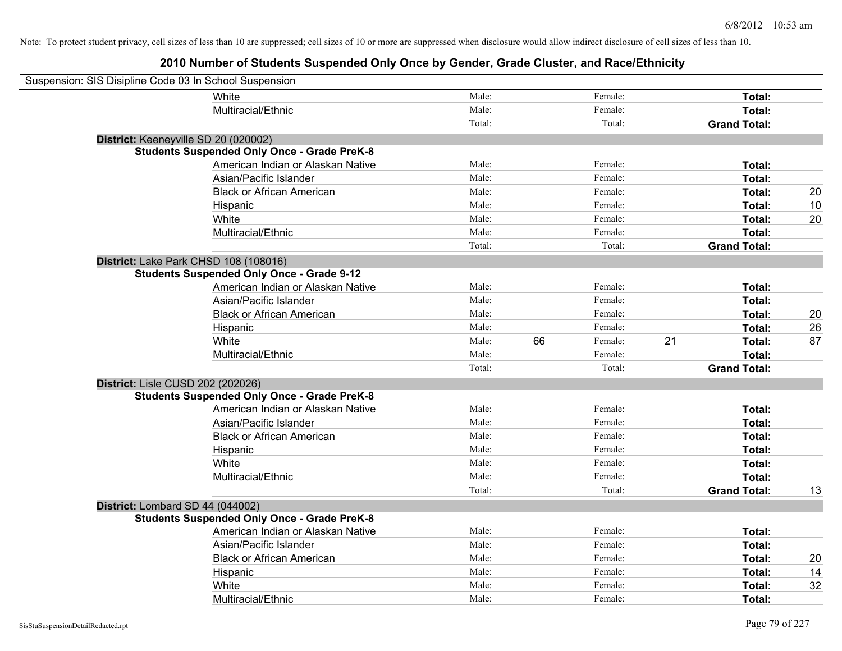| Suspension: SIS Disipline Code 03 In School Suspension |                                                    |        |    |         |                     |               |    |
|--------------------------------------------------------|----------------------------------------------------|--------|----|---------|---------------------|---------------|----|
|                                                        | White                                              | Male:  |    | Female: |                     | Total:        |    |
|                                                        | Multiracial/Ethnic                                 | Male:  |    | Female: |                     | Total:        |    |
|                                                        |                                                    | Total: |    | Total:  | <b>Grand Total:</b> |               |    |
| District: Keeneyville SD 20 (020002)                   |                                                    |        |    |         |                     |               |    |
|                                                        | <b>Students Suspended Only Once - Grade PreK-8</b> |        |    |         |                     |               |    |
|                                                        | American Indian or Alaskan Native                  | Male:  |    | Female: |                     | Total:        |    |
|                                                        | Asian/Pacific Islander                             | Male:  |    | Female: |                     | Total:        |    |
|                                                        | <b>Black or African American</b>                   | Male:  |    | Female: |                     | Total:        | 20 |
|                                                        | Hispanic                                           | Male:  |    | Female: |                     | Total:        | 10 |
|                                                        | White                                              | Male:  |    | Female: |                     | Total:        | 20 |
|                                                        | Multiracial/Ethnic                                 | Male:  |    | Female: |                     | Total:        |    |
|                                                        |                                                    | Total: |    | Total:  | <b>Grand Total:</b> |               |    |
| District: Lake Park CHSD 108 (108016)                  |                                                    |        |    |         |                     |               |    |
|                                                        | <b>Students Suspended Only Once - Grade 9-12</b>   |        |    |         |                     |               |    |
|                                                        | American Indian or Alaskan Native                  | Male:  |    | Female: |                     | Total:        |    |
|                                                        | Asian/Pacific Islander                             | Male:  |    | Female: |                     | Total:        |    |
|                                                        | <b>Black or African American</b>                   | Male:  |    | Female: |                     | Total:        | 20 |
|                                                        | Hispanic                                           | Male:  |    | Female: |                     | Total:        | 26 |
|                                                        | White                                              | Male:  | 66 | Female: | 21                  | Total:        | 87 |
|                                                        | Multiracial/Ethnic                                 | Male:  |    | Female: |                     | Total:        |    |
|                                                        |                                                    | Total: |    | Total:  | <b>Grand Total:</b> |               |    |
| District: Lisle CUSD 202 (202026)                      |                                                    |        |    |         |                     |               |    |
|                                                        | <b>Students Suspended Only Once - Grade PreK-8</b> |        |    |         |                     |               |    |
|                                                        | American Indian or Alaskan Native                  | Male:  |    | Female: |                     | Total:        |    |
|                                                        | Asian/Pacific Islander                             | Male:  |    | Female: |                     | Total:        |    |
|                                                        | <b>Black or African American</b>                   | Male:  |    | Female: |                     | Total:        |    |
|                                                        | Hispanic                                           | Male:  |    | Female: |                     | Total:        |    |
|                                                        | White                                              | Male:  |    | Female: |                     | Total:        |    |
|                                                        | Multiracial/Ethnic                                 | Male:  |    | Female: |                     | Total:        |    |
|                                                        |                                                    | Total: |    | Total:  | <b>Grand Total:</b> |               | 13 |
| District: Lombard SD 44 (044002)                       |                                                    |        |    |         |                     |               |    |
|                                                        | <b>Students Suspended Only Once - Grade PreK-8</b> |        |    |         |                     |               |    |
|                                                        | American Indian or Alaskan Native                  | Male:  |    | Female: |                     | Total:        |    |
|                                                        | Asian/Pacific Islander                             | Male:  |    | Female: |                     | Total:        |    |
|                                                        | <b>Black or African American</b>                   | Male:  |    | Female: |                     | <b>Total:</b> | 20 |
|                                                        | Hispanic                                           | Male:  |    | Female: |                     | Total:        | 14 |
|                                                        | White                                              | Male:  |    | Female: |                     | Total:        | 32 |
|                                                        | Multiracial/Ethnic                                 | Male:  |    | Female: |                     | Total:        |    |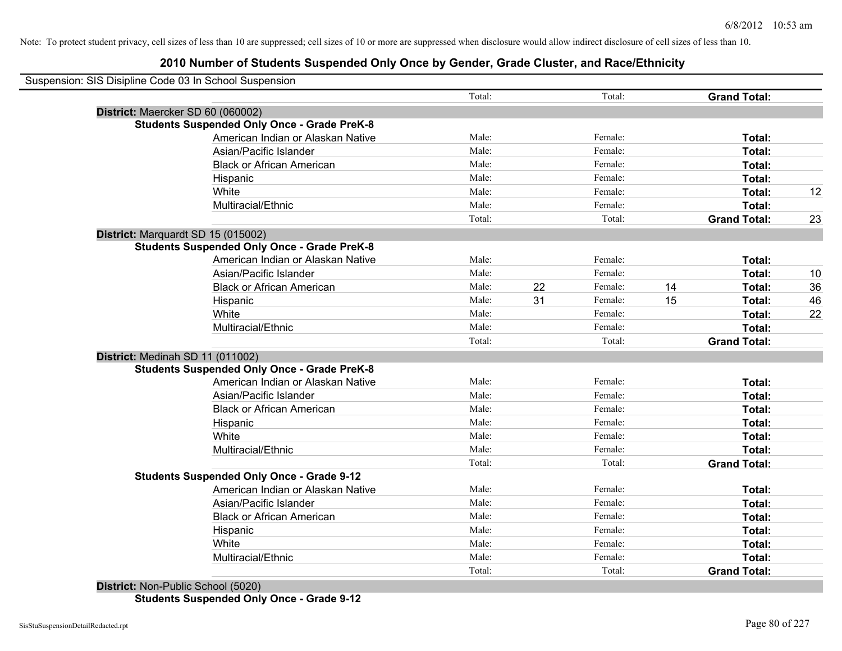| Suspension: SIS Disipline Code 03 In School Suspension |                                                    |        |    |         |    |                     |    |
|--------------------------------------------------------|----------------------------------------------------|--------|----|---------|----|---------------------|----|
|                                                        |                                                    | Total: |    | Total:  |    | <b>Grand Total:</b> |    |
| District: Maercker SD 60 (060002)                      |                                                    |        |    |         |    |                     |    |
|                                                        | <b>Students Suspended Only Once - Grade PreK-8</b> |        |    |         |    |                     |    |
|                                                        | American Indian or Alaskan Native                  | Male:  |    | Female: |    | Total:              |    |
|                                                        | Asian/Pacific Islander                             | Male:  |    | Female: |    | Total:              |    |
|                                                        | <b>Black or African American</b>                   | Male:  |    | Female: |    | Total:              |    |
|                                                        | Hispanic                                           | Male:  |    | Female: |    | Total:              |    |
|                                                        | White                                              | Male:  |    | Female: |    | Total:              | 12 |
|                                                        | Multiracial/Ethnic                                 | Male:  |    | Female: |    | Total:              |    |
|                                                        |                                                    | Total: |    | Total:  |    | <b>Grand Total:</b> | 23 |
| District: Marquardt SD 15 (015002)                     |                                                    |        |    |         |    |                     |    |
|                                                        | <b>Students Suspended Only Once - Grade PreK-8</b> |        |    |         |    |                     |    |
|                                                        | American Indian or Alaskan Native                  | Male:  |    | Female: |    | Total:              |    |
|                                                        | Asian/Pacific Islander                             | Male:  |    | Female: |    | Total:              | 10 |
|                                                        | <b>Black or African American</b>                   | Male:  | 22 | Female: | 14 | Total:              | 36 |
|                                                        | Hispanic                                           | Male:  | 31 | Female: | 15 | Total:              | 46 |
|                                                        | White                                              | Male:  |    | Female: |    | Total:              | 22 |
|                                                        | Multiracial/Ethnic                                 | Male:  |    | Female: |    | Total:              |    |
|                                                        |                                                    | Total: |    | Total:  |    | <b>Grand Total:</b> |    |
| District: Medinah SD 11 (011002)                       |                                                    |        |    |         |    |                     |    |
|                                                        | <b>Students Suspended Only Once - Grade PreK-8</b> |        |    |         |    |                     |    |
|                                                        | American Indian or Alaskan Native                  | Male:  |    | Female: |    | Total:              |    |
|                                                        | Asian/Pacific Islander                             | Male:  |    | Female: |    | Total:              |    |
|                                                        | <b>Black or African American</b>                   | Male:  |    | Female: |    | Total:              |    |
|                                                        | Hispanic                                           | Male:  |    | Female: |    | Total:              |    |
|                                                        | White                                              | Male:  |    | Female: |    | Total:              |    |
|                                                        | Multiracial/Ethnic                                 | Male:  |    | Female: |    | Total:              |    |
|                                                        |                                                    | Total: |    | Total:  |    | <b>Grand Total:</b> |    |
|                                                        | <b>Students Suspended Only Once - Grade 9-12</b>   |        |    |         |    |                     |    |
|                                                        | American Indian or Alaskan Native                  | Male:  |    | Female: |    | Total:              |    |
|                                                        | Asian/Pacific Islander                             | Male:  |    | Female: |    | Total:              |    |
|                                                        | <b>Black or African American</b>                   | Male:  |    | Female: |    | Total:              |    |
|                                                        | Hispanic                                           | Male:  |    | Female: |    | Total:              |    |
|                                                        | White                                              | Male:  |    | Female: |    | Total:              |    |
|                                                        | Multiracial/Ethnic                                 | Male:  |    | Female: |    | Total:              |    |
|                                                        |                                                    | Total: |    | Total:  |    | <b>Grand Total:</b> |    |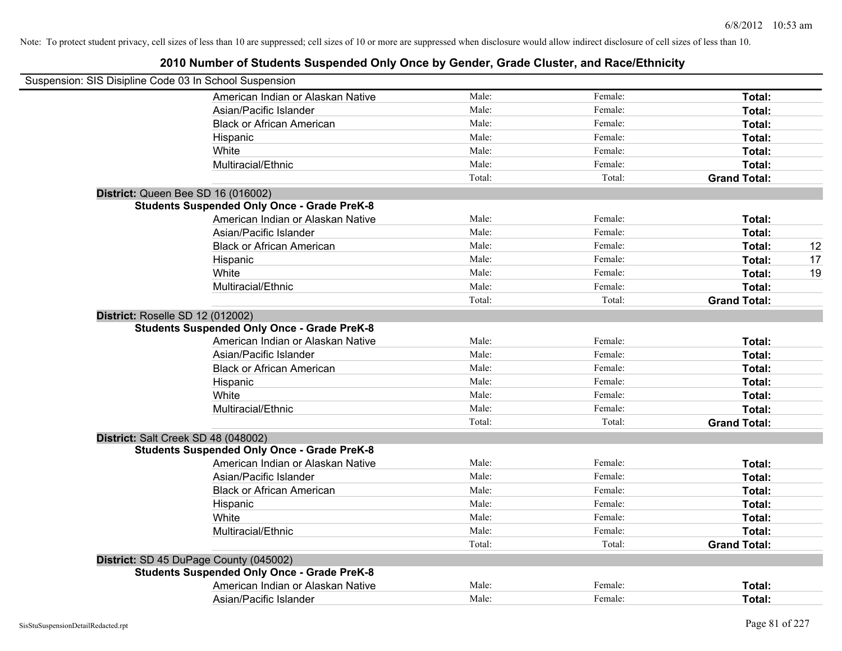| Suspension: SIS Disipline Code 03 In School Suspension |        |         |                     |    |
|--------------------------------------------------------|--------|---------|---------------------|----|
| American Indian or Alaskan Native                      | Male:  | Female: | Total:              |    |
| Asian/Pacific Islander                                 | Male:  | Female: | Total:              |    |
| <b>Black or African American</b>                       | Male:  | Female: | Total:              |    |
| Hispanic                                               | Male:  | Female: | Total:              |    |
| White                                                  | Male:  | Female: | Total:              |    |
| Multiracial/Ethnic                                     | Male:  | Female: | Total:              |    |
|                                                        | Total: | Total:  | <b>Grand Total:</b> |    |
| District: Queen Bee SD 16 (016002)                     |        |         |                     |    |
| <b>Students Suspended Only Once - Grade PreK-8</b>     |        |         |                     |    |
| American Indian or Alaskan Native                      | Male:  | Female: | Total:              |    |
| Asian/Pacific Islander                                 | Male:  | Female: | Total:              |    |
| <b>Black or African American</b>                       | Male:  | Female: | Total:              | 12 |
| Hispanic                                               | Male:  | Female: | Total:              | 17 |
| White                                                  | Male:  | Female: | Total:              | 19 |
| Multiracial/Ethnic                                     | Male:  | Female: | Total:              |    |
|                                                        | Total: | Total:  | <b>Grand Total:</b> |    |
| District: Roselle SD 12 (012002)                       |        |         |                     |    |
| <b>Students Suspended Only Once - Grade PreK-8</b>     |        |         |                     |    |
| American Indian or Alaskan Native                      | Male:  | Female: | Total:              |    |
| Asian/Pacific Islander                                 | Male:  | Female: | Total:              |    |
| <b>Black or African American</b>                       | Male:  | Female: | Total:              |    |
| Hispanic                                               | Male:  | Female: | Total:              |    |
| White                                                  | Male:  | Female: | Total:              |    |
| Multiracial/Ethnic                                     | Male:  | Female: | Total:              |    |
|                                                        | Total: | Total:  | <b>Grand Total:</b> |    |
| District: Salt Creek SD 48 (048002)                    |        |         |                     |    |
| <b>Students Suspended Only Once - Grade PreK-8</b>     |        |         |                     |    |
| American Indian or Alaskan Native                      | Male:  | Female: | Total:              |    |
| Asian/Pacific Islander                                 | Male:  | Female: | Total:              |    |
| <b>Black or African American</b>                       | Male:  | Female: | Total:              |    |
| Hispanic                                               | Male:  | Female: | Total:              |    |
| White                                                  | Male:  | Female: | Total:              |    |
| Multiracial/Ethnic                                     | Male:  | Female: | Total:              |    |
|                                                        | Total: | Total:  | <b>Grand Total:</b> |    |
| District: SD 45 DuPage County (045002)                 |        |         |                     |    |
| <b>Students Suspended Only Once - Grade PreK-8</b>     |        |         |                     |    |
| American Indian or Alaskan Native                      | Male:  | Female: | <b>Total:</b>       |    |
| Asian/Pacific Islander                                 | Male:  | Female: | Total:              |    |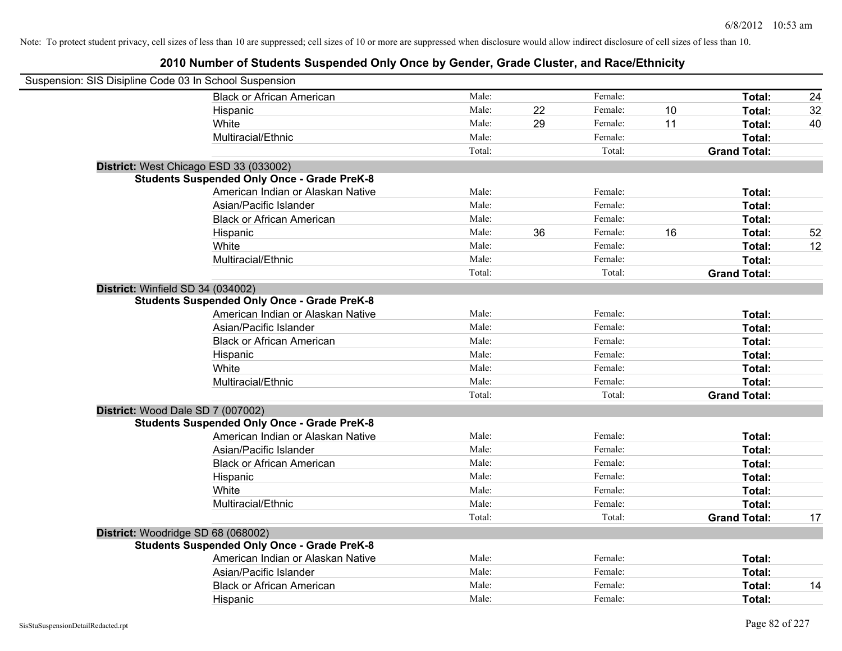| Suspension: SIS Disipline Code 03 In School Suspension |        |    |         |    |                     |    |
|--------------------------------------------------------|--------|----|---------|----|---------------------|----|
| <b>Black or African American</b>                       | Male:  |    | Female: |    | Total:              | 24 |
| Hispanic                                               | Male:  | 22 | Female: | 10 | Total:              | 32 |
| White                                                  | Male:  | 29 | Female: | 11 | Total:              | 40 |
| Multiracial/Ethnic                                     | Male:  |    | Female: |    | Total:              |    |
|                                                        | Total: |    | Total:  |    | <b>Grand Total:</b> |    |
| District: West Chicago ESD 33 (033002)                 |        |    |         |    |                     |    |
| <b>Students Suspended Only Once - Grade PreK-8</b>     |        |    |         |    |                     |    |
| American Indian or Alaskan Native                      | Male:  |    | Female: |    | Total:              |    |
| Asian/Pacific Islander                                 | Male:  |    | Female: |    | Total:              |    |
| <b>Black or African American</b>                       | Male:  |    | Female: |    | Total:              |    |
| Hispanic                                               | Male:  | 36 | Female: | 16 | Total:              | 52 |
| White                                                  | Male:  |    | Female: |    | Total:              | 12 |
| Multiracial/Ethnic                                     | Male:  |    | Female: |    | Total:              |    |
|                                                        | Total: |    | Total:  |    | <b>Grand Total:</b> |    |
| District: Winfield SD 34 (034002)                      |        |    |         |    |                     |    |
| <b>Students Suspended Only Once - Grade PreK-8</b>     |        |    |         |    |                     |    |
| American Indian or Alaskan Native                      | Male:  |    | Female: |    | Total:              |    |
| Asian/Pacific Islander                                 | Male:  |    | Female: |    | Total:              |    |
| <b>Black or African American</b>                       | Male:  |    | Female: |    | Total:              |    |
| Hispanic                                               | Male:  |    | Female: |    | Total:              |    |
| White                                                  | Male:  |    | Female: |    | Total:              |    |
| Multiracial/Ethnic                                     | Male:  |    | Female: |    | Total:              |    |
|                                                        | Total: |    | Total:  |    | <b>Grand Total:</b> |    |
| District: Wood Dale SD 7 (007002)                      |        |    |         |    |                     |    |
| <b>Students Suspended Only Once - Grade PreK-8</b>     |        |    |         |    |                     |    |
| American Indian or Alaskan Native                      | Male:  |    | Female: |    | Total:              |    |
| Asian/Pacific Islander                                 | Male:  |    | Female: |    | Total:              |    |
| <b>Black or African American</b>                       | Male:  |    | Female: |    | Total:              |    |
| Hispanic                                               | Male:  |    | Female: |    | Total:              |    |
| White                                                  | Male:  |    | Female: |    | Total:              |    |
| Multiracial/Ethnic                                     | Male:  |    | Female: |    | Total:              |    |
|                                                        | Total: |    | Total:  |    | <b>Grand Total:</b> | 17 |
| District: Woodridge SD 68 (068002)                     |        |    |         |    |                     |    |
| <b>Students Suspended Only Once - Grade PreK-8</b>     |        |    |         |    |                     |    |
| American Indian or Alaskan Native                      | Male:  |    | Female: |    | Total:              |    |
| Asian/Pacific Islander                                 | Male:  |    | Female: |    | Total:              |    |
| <b>Black or African American</b>                       | Male:  |    | Female: |    | Total:              | 14 |
| Hispanic                                               | Male:  |    | Female: |    | Total:              |    |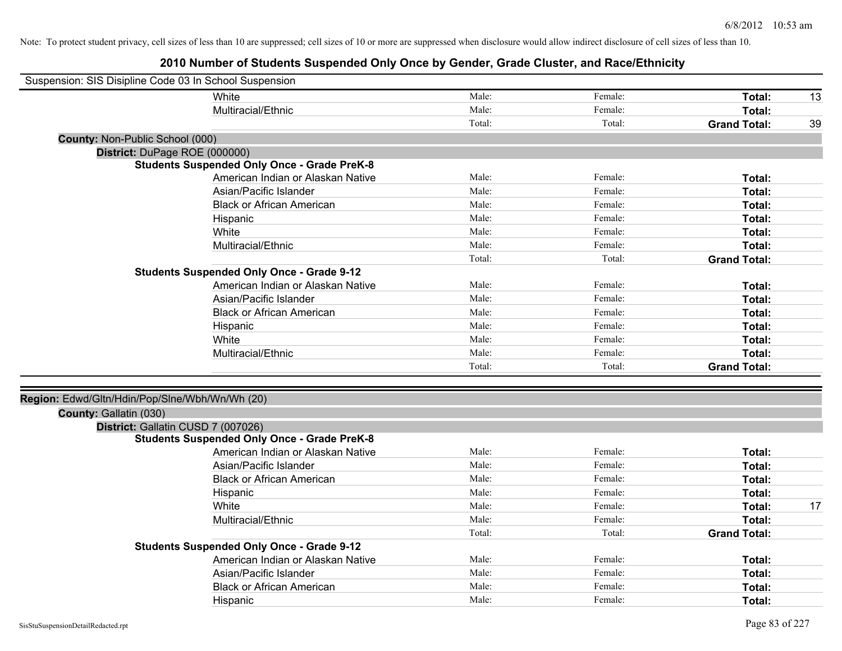| Suspension: SIS Disipline Code 03 In School Suspension |        |         |                     |    |
|--------------------------------------------------------|--------|---------|---------------------|----|
| White                                                  | Male:  | Female: | Total:              | 13 |
| Multiracial/Ethnic                                     | Male:  | Female: | Total:              |    |
|                                                        | Total: | Total:  | <b>Grand Total:</b> | 39 |
| County: Non-Public School (000)                        |        |         |                     |    |
| District: DuPage ROE (000000)                          |        |         |                     |    |
| <b>Students Suspended Only Once - Grade PreK-8</b>     |        |         |                     |    |
| American Indian or Alaskan Native                      | Male:  | Female: | Total:              |    |
| Asian/Pacific Islander                                 | Male:  | Female: | Total:              |    |
| <b>Black or African American</b>                       | Male:  | Female: | Total:              |    |
| Hispanic                                               | Male:  | Female: | Total:              |    |
| White                                                  | Male:  | Female: | Total:              |    |
| Multiracial/Ethnic                                     | Male:  | Female: | Total:              |    |
|                                                        | Total: | Total:  | <b>Grand Total:</b> |    |
| <b>Students Suspended Only Once - Grade 9-12</b>       |        |         |                     |    |
| American Indian or Alaskan Native                      | Male:  | Female: | Total:              |    |
| Asian/Pacific Islander                                 | Male:  | Female: | Total:              |    |
| <b>Black or African American</b>                       | Male:  | Female: | Total:              |    |
| Hispanic                                               | Male:  | Female: | Total:              |    |
| White                                                  | Male:  | Female: | Total:              |    |
| Multiracial/Ethnic                                     | Male:  | Female: | Total:              |    |
|                                                        | Total: | Total:  | <b>Grand Total:</b> |    |
| Region: Edwd/Gltn/Hdin/Pop/Slne/Wbh/Wn/Wh (20)         |        |         |                     |    |
| County: Gallatin (030)                                 |        |         |                     |    |
| District: Gallatin CUSD 7 (007026)                     |        |         |                     |    |
| <b>Students Suspended Only Once - Grade PreK-8</b>     |        |         |                     |    |
| American Indian or Alaskan Native                      | Male:  | Female: | Total:              |    |
| Asian/Pacific Islander                                 | Male:  | Female: | Total:              |    |
| <b>Black or African American</b>                       | Male:  | Female: | Total:              |    |
| Hispanic                                               | Male:  | Female: | Total:              |    |
| White                                                  | Male:  | Female: | Total:              | 17 |
| Multiracial/Ethnic                                     | Male:  | Female: | Total:              |    |
|                                                        | Total: | Total:  | <b>Grand Total:</b> |    |
| <b>Students Suspended Only Once - Grade 9-12</b>       |        |         |                     |    |
| American Indian or Alaskan Native                      | Male:  | Female: | Total:              |    |
| Asian/Pacific Islander                                 | Male:  | Female: | Total:              |    |
| <b>Black or African American</b>                       | Male:  | Female: | Total:              |    |
| Hispanic                                               | Male:  | Female: | Total:              |    |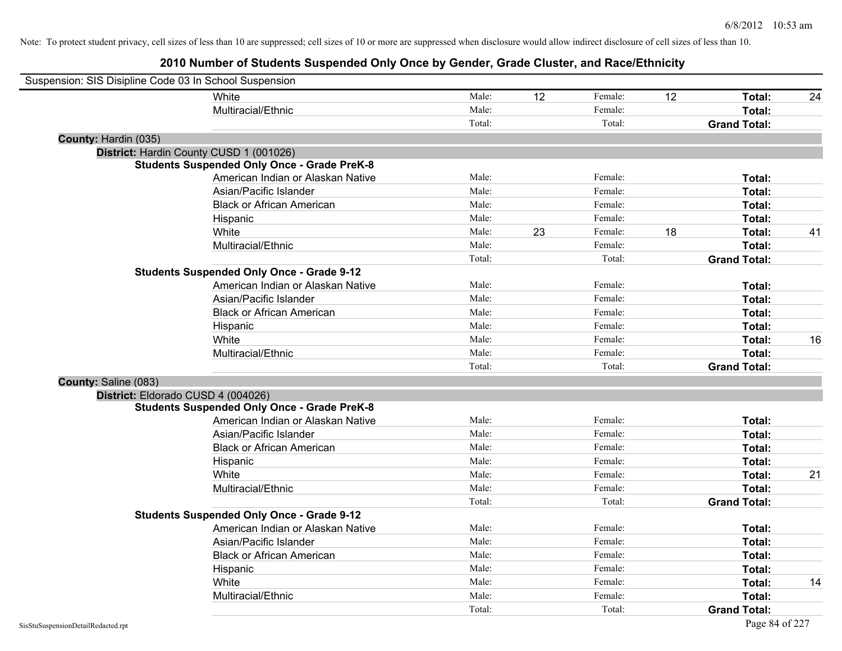| Suspension: SIS Disipline Code 03 In School Suspension |                                                    |        |    |         |    |                     |    |
|--------------------------------------------------------|----------------------------------------------------|--------|----|---------|----|---------------------|----|
|                                                        | White                                              | Male:  | 12 | Female: | 12 | Total:              | 24 |
|                                                        | Multiracial/Ethnic                                 | Male:  |    | Female: |    | Total:              |    |
|                                                        |                                                    | Total: |    | Total:  |    | <b>Grand Total:</b> |    |
| County: Hardin (035)                                   |                                                    |        |    |         |    |                     |    |
|                                                        | District: Hardin County CUSD 1 (001026)            |        |    |         |    |                     |    |
|                                                        | <b>Students Suspended Only Once - Grade PreK-8</b> |        |    |         |    |                     |    |
|                                                        | American Indian or Alaskan Native                  | Male:  |    | Female: |    | Total:              |    |
|                                                        | Asian/Pacific Islander                             | Male:  |    | Female: |    | Total:              |    |
|                                                        | <b>Black or African American</b>                   | Male:  |    | Female: |    | Total:              |    |
|                                                        | Hispanic                                           | Male:  |    | Female: |    | Total:              |    |
|                                                        | White                                              | Male:  | 23 | Female: | 18 | Total:              | 41 |
|                                                        | Multiracial/Ethnic                                 | Male:  |    | Female: |    | Total:              |    |
|                                                        |                                                    | Total: |    | Total:  |    | <b>Grand Total:</b> |    |
|                                                        | <b>Students Suspended Only Once - Grade 9-12</b>   |        |    |         |    |                     |    |
|                                                        | American Indian or Alaskan Native                  | Male:  |    | Female: |    | Total:              |    |
|                                                        | Asian/Pacific Islander                             | Male:  |    | Female: |    | Total:              |    |
|                                                        | <b>Black or African American</b>                   | Male:  |    | Female: |    | Total:              |    |
|                                                        | Hispanic                                           | Male:  |    | Female: |    | Total:              |    |
|                                                        | White                                              | Male:  |    | Female: |    | Total:              | 16 |
|                                                        | Multiracial/Ethnic                                 | Male:  |    | Female: |    | Total:              |    |
|                                                        |                                                    | Total: |    | Total:  |    | <b>Grand Total:</b> |    |
| County: Saline (083)                                   |                                                    |        |    |         |    |                     |    |
| District: Eldorado CUSD 4 (004026)                     |                                                    |        |    |         |    |                     |    |
|                                                        | <b>Students Suspended Only Once - Grade PreK-8</b> |        |    |         |    |                     |    |
|                                                        | American Indian or Alaskan Native                  | Male:  |    | Female: |    | Total:              |    |
|                                                        | Asian/Pacific Islander                             | Male:  |    | Female: |    | Total:              |    |
|                                                        | <b>Black or African American</b>                   | Male:  |    | Female: |    | Total:              |    |
|                                                        | Hispanic                                           | Male:  |    | Female: |    | Total:              |    |
|                                                        | White                                              | Male:  |    | Female: |    | Total:              | 21 |
|                                                        | Multiracial/Ethnic                                 | Male:  |    | Female: |    | Total:              |    |
|                                                        |                                                    | Total: |    | Total:  |    | <b>Grand Total:</b> |    |
|                                                        | <b>Students Suspended Only Once - Grade 9-12</b>   |        |    |         |    |                     |    |
|                                                        | American Indian or Alaskan Native                  | Male:  |    | Female: |    | Total:              |    |
|                                                        | Asian/Pacific Islander                             | Male:  |    | Female: |    | Total:              |    |
|                                                        | <b>Black or African American</b>                   | Male:  |    | Female: |    | Total:              |    |
|                                                        | Hispanic                                           | Male:  |    | Female: |    | Total:              |    |
|                                                        | White                                              | Male:  |    | Female: |    | Total:              | 14 |
|                                                        | Multiracial/Ethnic                                 | Male:  |    | Female: |    | Total:              |    |
|                                                        |                                                    | Total: |    | Total:  |    | <b>Grand Total:</b> |    |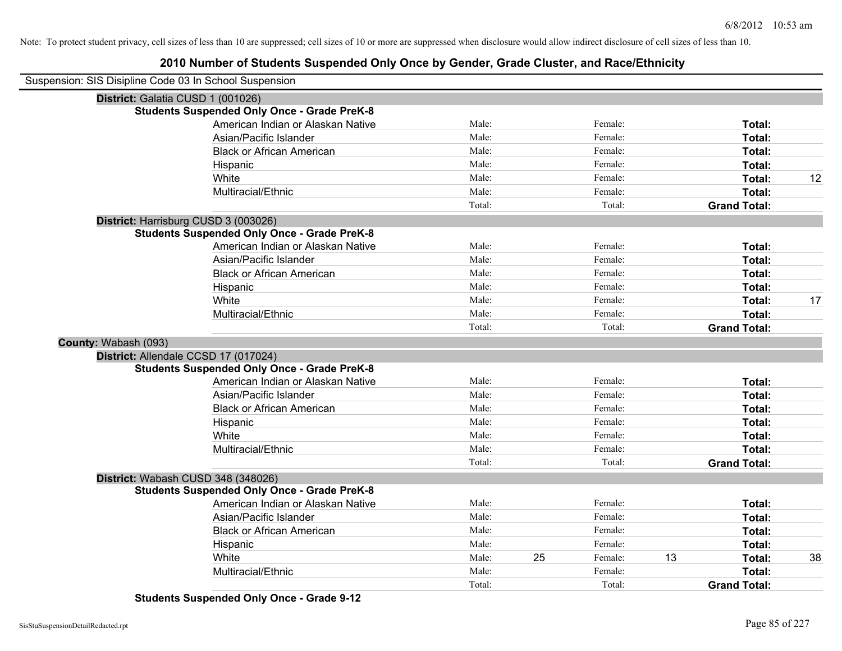## **2010 Number of Students Suspended Only Once by Gender, Grade Cluster, and Race/Ethnicity**

| Suspension: SIS Disipline Code 03 In School Suspension |                                                    |        |    |         |    |                     |    |
|--------------------------------------------------------|----------------------------------------------------|--------|----|---------|----|---------------------|----|
|                                                        | District: Galatia CUSD 1 (001026)                  |        |    |         |    |                     |    |
|                                                        | <b>Students Suspended Only Once - Grade PreK-8</b> |        |    |         |    |                     |    |
|                                                        | American Indian or Alaskan Native                  | Male:  |    | Female: |    | Total:              |    |
|                                                        | Asian/Pacific Islander                             | Male:  |    | Female: |    | Total:              |    |
|                                                        | <b>Black or African American</b>                   | Male:  |    | Female: |    | Total:              |    |
|                                                        | Hispanic                                           | Male:  |    | Female: |    | Total:              |    |
|                                                        | White                                              | Male:  |    | Female: |    | Total:              | 12 |
|                                                        | Multiracial/Ethnic                                 | Male:  |    | Female: |    | Total:              |    |
|                                                        |                                                    | Total: |    | Total:  |    | <b>Grand Total:</b> |    |
|                                                        | District: Harrisburg CUSD 3 (003026)               |        |    |         |    |                     |    |
|                                                        | <b>Students Suspended Only Once - Grade PreK-8</b> |        |    |         |    |                     |    |
|                                                        | American Indian or Alaskan Native                  | Male:  |    | Female: |    | Total:              |    |
|                                                        | Asian/Pacific Islander                             | Male:  |    | Female: |    | Total:              |    |
|                                                        | <b>Black or African American</b>                   | Male:  |    | Female: |    | Total:              |    |
|                                                        | Hispanic                                           | Male:  |    | Female: |    | Total:              |    |
|                                                        | White                                              | Male:  |    | Female: |    | <b>Total:</b>       | 17 |
|                                                        | Multiracial/Ethnic                                 | Male:  |    | Female: |    | Total:              |    |
|                                                        |                                                    | Total: |    | Total:  |    | <b>Grand Total:</b> |    |
| County: Wabash (093)                                   |                                                    |        |    |         |    |                     |    |
|                                                        | District: Allendale CCSD 17 (017024)               |        |    |         |    |                     |    |
|                                                        | <b>Students Suspended Only Once - Grade PreK-8</b> |        |    |         |    |                     |    |
|                                                        | American Indian or Alaskan Native                  | Male:  |    | Female: |    | Total:              |    |
|                                                        | Asian/Pacific Islander                             | Male:  |    | Female: |    | Total:              |    |
|                                                        | <b>Black or African American</b>                   | Male:  |    | Female: |    | Total:              |    |
|                                                        | Hispanic                                           | Male:  |    | Female: |    | Total:              |    |
|                                                        | White                                              | Male:  |    | Female: |    | Total:              |    |
|                                                        | Multiracial/Ethnic                                 | Male:  |    | Female: |    | Total:              |    |
|                                                        |                                                    | Total: |    | Total:  |    | <b>Grand Total:</b> |    |
|                                                        | District: Wabash CUSD 348 (348026)                 |        |    |         |    |                     |    |
|                                                        | <b>Students Suspended Only Once - Grade PreK-8</b> |        |    |         |    |                     |    |
|                                                        | American Indian or Alaskan Native                  | Male:  |    | Female: |    | Total:              |    |
|                                                        | Asian/Pacific Islander                             | Male:  |    | Female: |    | Total:              |    |
|                                                        | <b>Black or African American</b>                   | Male:  |    | Female: |    | Total:              |    |
|                                                        | Hispanic                                           | Male:  |    | Female: |    | Total:              |    |
|                                                        | White                                              | Male:  | 25 | Female: | 13 | Total:              | 38 |
|                                                        | Multiracial/Ethnic                                 | Male:  |    | Female: |    | Total:              |    |
|                                                        |                                                    | Total: |    | Total:  |    | <b>Grand Total:</b> |    |

**Students Suspended Only Once - Grade 9-12**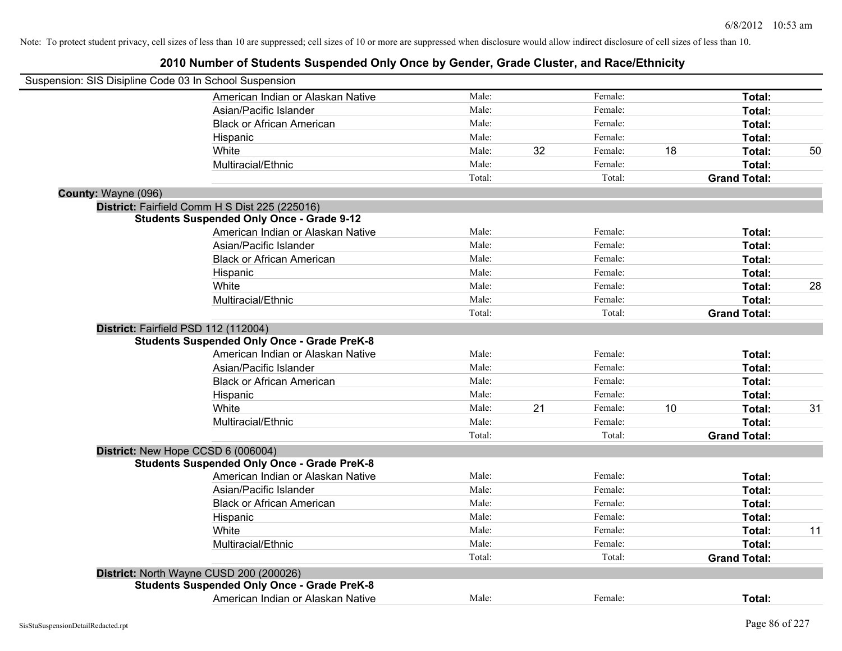| Suspension: SIS Disipline Code 03 In School Suspension |                                                    |        |    |         |    |                     |    |
|--------------------------------------------------------|----------------------------------------------------|--------|----|---------|----|---------------------|----|
|                                                        | American Indian or Alaskan Native                  | Male:  |    | Female: |    | Total:              |    |
|                                                        | Asian/Pacific Islander                             | Male:  |    | Female: |    | Total:              |    |
|                                                        | <b>Black or African American</b>                   | Male:  |    | Female: |    | Total:              |    |
|                                                        | Hispanic                                           | Male:  |    | Female: |    | Total:              |    |
|                                                        | White                                              | Male:  | 32 | Female: | 18 | Total:              | 50 |
|                                                        | Multiracial/Ethnic                                 | Male:  |    | Female: |    | Total:              |    |
|                                                        |                                                    | Total: |    | Total:  |    | <b>Grand Total:</b> |    |
| County: Wayne (096)                                    |                                                    |        |    |         |    |                     |    |
|                                                        | District: Fairfield Comm H S Dist 225 (225016)     |        |    |         |    |                     |    |
|                                                        | <b>Students Suspended Only Once - Grade 9-12</b>   |        |    |         |    |                     |    |
|                                                        | American Indian or Alaskan Native                  | Male:  |    | Female: |    | Total:              |    |
|                                                        | Asian/Pacific Islander                             | Male:  |    | Female: |    | Total:              |    |
|                                                        | <b>Black or African American</b>                   | Male:  |    | Female: |    | Total:              |    |
|                                                        | Hispanic                                           | Male:  |    | Female: |    | Total:              |    |
|                                                        | White                                              | Male:  |    | Female: |    | Total:              | 28 |
|                                                        | Multiracial/Ethnic                                 | Male:  |    | Female: |    | Total:              |    |
|                                                        |                                                    | Total: |    | Total:  |    | <b>Grand Total:</b> |    |
|                                                        | District: Fairfield PSD 112 (112004)               |        |    |         |    |                     |    |
|                                                        | <b>Students Suspended Only Once - Grade PreK-8</b> |        |    |         |    |                     |    |
|                                                        | American Indian or Alaskan Native                  | Male:  |    | Female: |    | Total:              |    |
|                                                        | Asian/Pacific Islander                             | Male:  |    | Female: |    | Total:              |    |
|                                                        | <b>Black or African American</b>                   | Male:  |    | Female: |    | Total:              |    |
|                                                        | Hispanic                                           | Male:  |    | Female: |    | Total:              |    |
|                                                        | White                                              | Male:  | 21 | Female: | 10 | Total:              | 31 |
|                                                        | Multiracial/Ethnic                                 | Male:  |    | Female: |    | Total:              |    |
|                                                        |                                                    | Total: |    | Total:  |    | <b>Grand Total:</b> |    |
|                                                        | District: New Hope CCSD 6 (006004)                 |        |    |         |    |                     |    |
|                                                        | <b>Students Suspended Only Once - Grade PreK-8</b> |        |    |         |    |                     |    |
|                                                        | American Indian or Alaskan Native                  | Male:  |    | Female: |    | Total:              |    |
|                                                        | Asian/Pacific Islander                             | Male:  |    | Female: |    | Total:              |    |
|                                                        | <b>Black or African American</b>                   | Male:  |    | Female: |    | Total:              |    |
|                                                        | Hispanic                                           | Male:  |    | Female: |    | Total:              |    |
|                                                        | White                                              | Male:  |    | Female: |    | Total:              | 11 |
|                                                        | Multiracial/Ethnic                                 | Male:  |    | Female: |    | Total:              |    |
|                                                        |                                                    | Total: |    | Total:  |    | <b>Grand Total:</b> |    |
|                                                        | District: North Wayne CUSD 200 (200026)            |        |    |         |    |                     |    |
|                                                        | <b>Students Suspended Only Once - Grade PreK-8</b> |        |    |         |    |                     |    |
|                                                        | American Indian or Alaskan Native                  | Male:  |    | Female: |    | Total:              |    |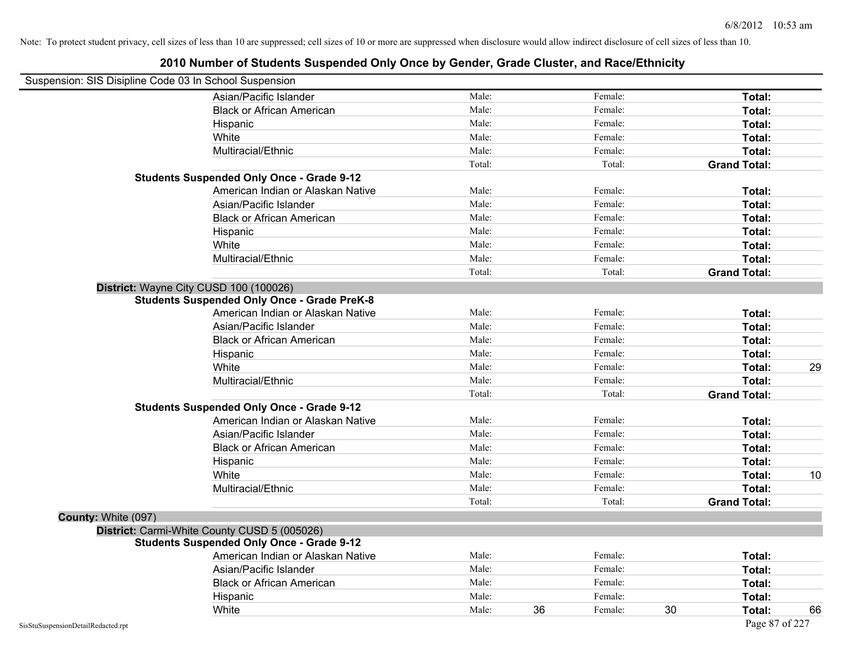| Suspension: SIS Disipline Code 03 In School Suspension |                                                    |        |    |         |    |                     |    |
|--------------------------------------------------------|----------------------------------------------------|--------|----|---------|----|---------------------|----|
|                                                        | Asian/Pacific Islander                             | Male:  |    | Female: |    | Total:              |    |
|                                                        | <b>Black or African American</b>                   | Male:  |    | Female: |    | Total:              |    |
|                                                        | Hispanic                                           | Male:  |    | Female: |    | Total:              |    |
|                                                        | White                                              | Male:  |    | Female: |    | Total:              |    |
|                                                        | Multiracial/Ethnic                                 | Male:  |    | Female: |    | Total:              |    |
|                                                        |                                                    | Total: |    | Total:  |    | <b>Grand Total:</b> |    |
|                                                        | <b>Students Suspended Only Once - Grade 9-12</b>   |        |    |         |    |                     |    |
|                                                        | American Indian or Alaskan Native                  | Male:  |    | Female: |    | Total:              |    |
|                                                        | Asian/Pacific Islander                             | Male:  |    | Female: |    | Total:              |    |
|                                                        | <b>Black or African American</b>                   | Male:  |    | Female: |    | Total:              |    |
|                                                        | Hispanic                                           | Male:  |    | Female: |    | Total:              |    |
|                                                        | White                                              | Male:  |    | Female: |    | Total:              |    |
|                                                        | Multiracial/Ethnic                                 | Male:  |    | Female: |    | Total:              |    |
|                                                        |                                                    | Total: |    | Total:  |    | <b>Grand Total:</b> |    |
|                                                        | District: Wayne City CUSD 100 (100026)             |        |    |         |    |                     |    |
|                                                        | <b>Students Suspended Only Once - Grade PreK-8</b> |        |    |         |    |                     |    |
|                                                        | American Indian or Alaskan Native                  | Male:  |    | Female: |    | Total:              |    |
|                                                        | Asian/Pacific Islander                             | Male:  |    | Female: |    | Total:              |    |
|                                                        | <b>Black or African American</b>                   | Male:  |    | Female: |    | Total:              |    |
|                                                        | Hispanic                                           | Male:  |    | Female: |    | Total:              |    |
|                                                        | White                                              | Male:  |    | Female: |    | Total:              | 29 |
|                                                        | Multiracial/Ethnic                                 | Male:  |    | Female: |    | Total:              |    |
|                                                        |                                                    | Total: |    | Total:  |    | <b>Grand Total:</b> |    |
|                                                        | <b>Students Suspended Only Once - Grade 9-12</b>   |        |    |         |    |                     |    |
|                                                        | American Indian or Alaskan Native                  | Male:  |    | Female: |    | Total:              |    |
|                                                        | Asian/Pacific Islander                             | Male:  |    | Female: |    | Total:              |    |
|                                                        | <b>Black or African American</b>                   | Male:  |    | Female: |    | Total:              |    |
|                                                        | Hispanic                                           | Male:  |    | Female: |    | Total:              |    |
|                                                        | White                                              | Male:  |    | Female: |    | Total:              | 10 |
|                                                        | Multiracial/Ethnic                                 | Male:  |    | Female: |    | Total:              |    |
|                                                        |                                                    | Total: |    | Total:  |    | <b>Grand Total:</b> |    |
| County: White (097)                                    |                                                    |        |    |         |    |                     |    |
|                                                        | District: Carmi-White County CUSD 5 (005026)       |        |    |         |    |                     |    |
|                                                        | <b>Students Suspended Only Once - Grade 9-12</b>   |        |    |         |    |                     |    |
|                                                        | American Indian or Alaskan Native                  | Male:  |    | Female: |    | Total:              |    |
|                                                        | Asian/Pacific Islander                             | Male:  |    | Female: |    | Total:              |    |
|                                                        | <b>Black or African American</b>                   | Male:  |    | Female: |    | Total:              |    |
|                                                        | Hispanic                                           | Male:  |    | Female: |    | Total:              |    |
|                                                        | White                                              | Male:  | 36 | Female: | 30 | Total:              | 66 |
| SisStuSuspensionDetailRedacted.rpt                     |                                                    |        |    |         |    | Page 87 of 227      |    |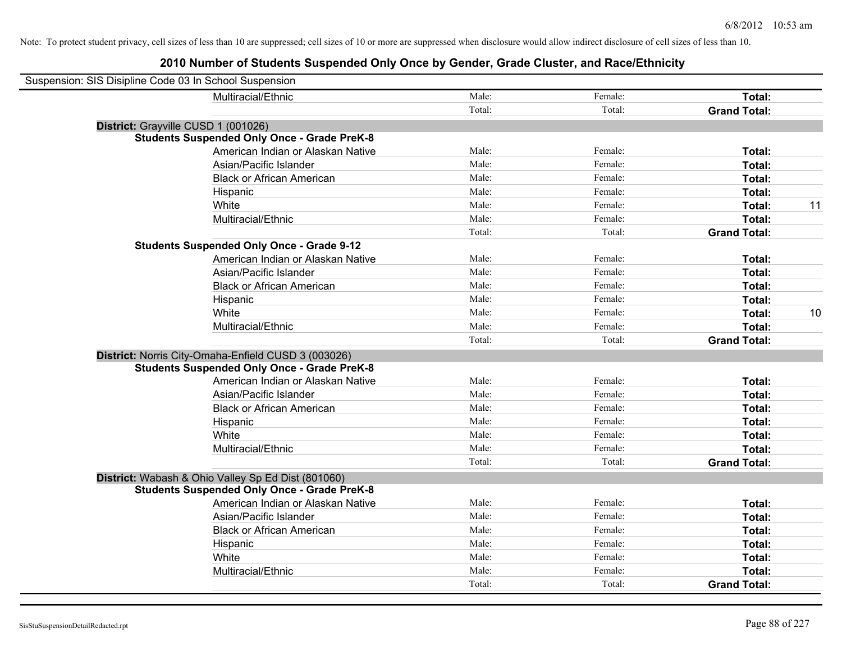| Suspension: SIS Disipline Code 03 In School Suspension |                                                     |        |         |                     |  |
|--------------------------------------------------------|-----------------------------------------------------|--------|---------|---------------------|--|
|                                                        | Multiracial/Ethnic                                  | Male:  | Female: | Total:              |  |
|                                                        |                                                     | Total: | Total:  | <b>Grand Total:</b> |  |
| District: Grayville CUSD 1 (001026)                    |                                                     |        |         |                     |  |
|                                                        | <b>Students Suspended Only Once - Grade PreK-8</b>  |        |         |                     |  |
|                                                        | American Indian or Alaskan Native                   | Male:  | Female: | Total:              |  |
|                                                        | Asian/Pacific Islander                              | Male:  | Female: | Total:              |  |
|                                                        | <b>Black or African American</b>                    | Male:  | Female: | Total:              |  |
|                                                        | Hispanic                                            | Male:  | Female: | Total:              |  |
|                                                        | White                                               | Male:  | Female: | Total:<br>11        |  |
|                                                        | Multiracial/Ethnic                                  | Male:  | Female: | Total:              |  |
|                                                        |                                                     | Total: | Total:  | <b>Grand Total:</b> |  |
|                                                        | <b>Students Suspended Only Once - Grade 9-12</b>    |        |         |                     |  |
|                                                        | American Indian or Alaskan Native                   | Male:  | Female: | Total:              |  |
|                                                        | Asian/Pacific Islander                              | Male:  | Female: | Total:              |  |
|                                                        | <b>Black or African American</b>                    | Male:  | Female: | Total:              |  |
|                                                        | Hispanic                                            | Male:  | Female: | Total:              |  |
|                                                        | White                                               | Male:  | Female: | 10<br>Total:        |  |
|                                                        | Multiracial/Ethnic                                  | Male:  | Female: | Total:              |  |
|                                                        |                                                     | Total: | Total:  | <b>Grand Total:</b> |  |
|                                                        | District: Norris City-Omaha-Enfield CUSD 3 (003026) |        |         |                     |  |
|                                                        | <b>Students Suspended Only Once - Grade PreK-8</b>  |        |         |                     |  |
|                                                        | American Indian or Alaskan Native                   | Male:  | Female: | Total:              |  |
|                                                        | Asian/Pacific Islander                              | Male:  | Female: | Total:              |  |
|                                                        | <b>Black or African American</b>                    | Male:  | Female: | Total:              |  |
|                                                        | Hispanic                                            | Male:  | Female: | Total:              |  |
|                                                        | White                                               | Male:  | Female: | Total:              |  |
|                                                        | Multiracial/Ethnic                                  | Male:  | Female: | Total:              |  |
|                                                        |                                                     | Total: | Total:  | <b>Grand Total:</b> |  |
|                                                        | District: Wabash & Ohio Valley Sp Ed Dist (801060)  |        |         |                     |  |
|                                                        | <b>Students Suspended Only Once - Grade PreK-8</b>  |        |         |                     |  |
|                                                        | American Indian or Alaskan Native                   | Male:  | Female: | Total:              |  |
|                                                        | Asian/Pacific Islander                              | Male:  | Female: | Total:              |  |
|                                                        | <b>Black or African American</b>                    | Male:  | Female: | Total:              |  |
|                                                        | Hispanic                                            | Male:  | Female: | Total:              |  |
|                                                        | White                                               | Male:  | Female: | Total:              |  |
|                                                        | Multiracial/Ethnic                                  | Male:  | Female: | Total:              |  |
|                                                        |                                                     | Total: | Total:  | <b>Grand Total:</b> |  |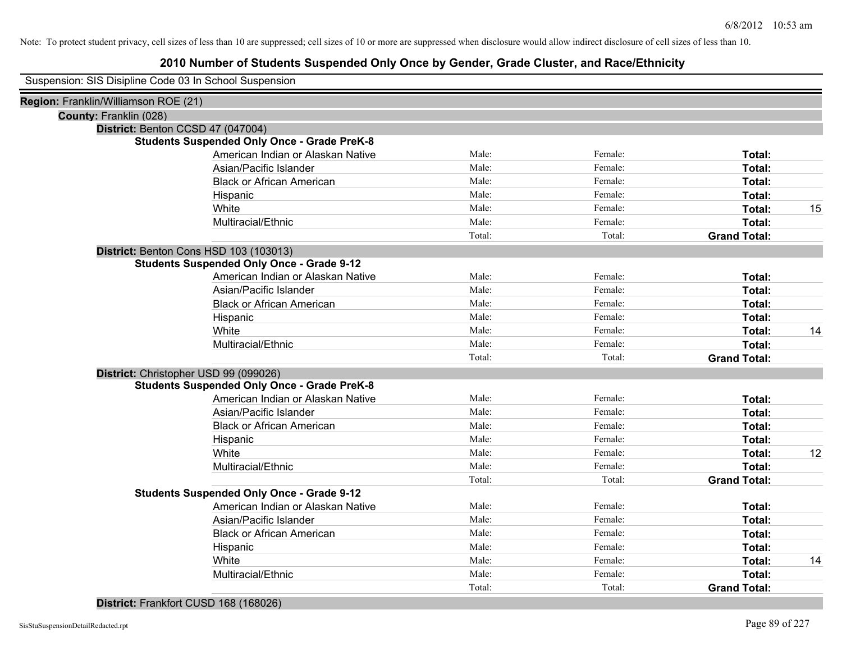| Suspension: SIS Disipline Code 03 In School Suspension |                                                    |        |         |                     |    |
|--------------------------------------------------------|----------------------------------------------------|--------|---------|---------------------|----|
| Region: Franklin/Williamson ROE (21)                   |                                                    |        |         |                     |    |
| County: Franklin (028)                                 |                                                    |        |         |                     |    |
|                                                        | District: Benton CCSD 47 (047004)                  |        |         |                     |    |
|                                                        | <b>Students Suspended Only Once - Grade PreK-8</b> |        |         |                     |    |
|                                                        | American Indian or Alaskan Native                  | Male:  | Female: | Total:              |    |
|                                                        | Asian/Pacific Islander                             | Male:  | Female: | Total:              |    |
|                                                        | <b>Black or African American</b>                   | Male:  | Female: | Total:              |    |
|                                                        | Hispanic                                           | Male:  | Female: | <b>Total:</b>       |    |
|                                                        | White                                              | Male:  | Female: | Total:              | 15 |
|                                                        | Multiracial/Ethnic                                 | Male:  | Female: | Total:              |    |
|                                                        |                                                    | Total: | Total:  | <b>Grand Total:</b> |    |
|                                                        | District: Benton Cons HSD 103 (103013)             |        |         |                     |    |
|                                                        | <b>Students Suspended Only Once - Grade 9-12</b>   |        |         |                     |    |
|                                                        | American Indian or Alaskan Native                  | Male:  | Female: | Total:              |    |
|                                                        | Asian/Pacific Islander                             | Male:  | Female: | Total:              |    |
|                                                        | <b>Black or African American</b>                   | Male:  | Female: | Total:              |    |
|                                                        | Hispanic                                           | Male:  | Female: | Total:              |    |
|                                                        | White                                              | Male:  | Female: | Total:              | 14 |
|                                                        | Multiracial/Ethnic                                 | Male:  | Female: | Total:              |    |
|                                                        |                                                    | Total: | Total:  | <b>Grand Total:</b> |    |
|                                                        | District: Christopher USD 99 (099026)              |        |         |                     |    |
|                                                        | <b>Students Suspended Only Once - Grade PreK-8</b> |        |         |                     |    |
|                                                        | American Indian or Alaskan Native                  | Male:  | Female: | Total:              |    |
|                                                        | Asian/Pacific Islander                             | Male:  | Female: | Total:              |    |
|                                                        | <b>Black or African American</b>                   | Male:  | Female: | Total:              |    |
|                                                        | Hispanic                                           | Male:  | Female: | Total:              |    |
|                                                        | White                                              | Male:  | Female: | Total:              | 12 |
|                                                        | Multiracial/Ethnic                                 | Male:  | Female: | Total:              |    |
|                                                        |                                                    | Total: | Total:  | <b>Grand Total:</b> |    |
|                                                        | <b>Students Suspended Only Once - Grade 9-12</b>   |        |         |                     |    |
|                                                        | American Indian or Alaskan Native                  | Male:  | Female: | Total:              |    |
|                                                        | Asian/Pacific Islander                             | Male:  | Female: | Total:              |    |
|                                                        | <b>Black or African American</b>                   | Male:  | Female: | Total:              |    |
|                                                        | Hispanic                                           | Male:  | Female: | Total:              |    |
|                                                        | White                                              | Male:  | Female: | Total:              | 14 |
|                                                        | Multiracial/Ethnic                                 | Male:  | Female: | Total:              |    |
|                                                        |                                                    | Total: | Total:  | <b>Grand Total:</b> |    |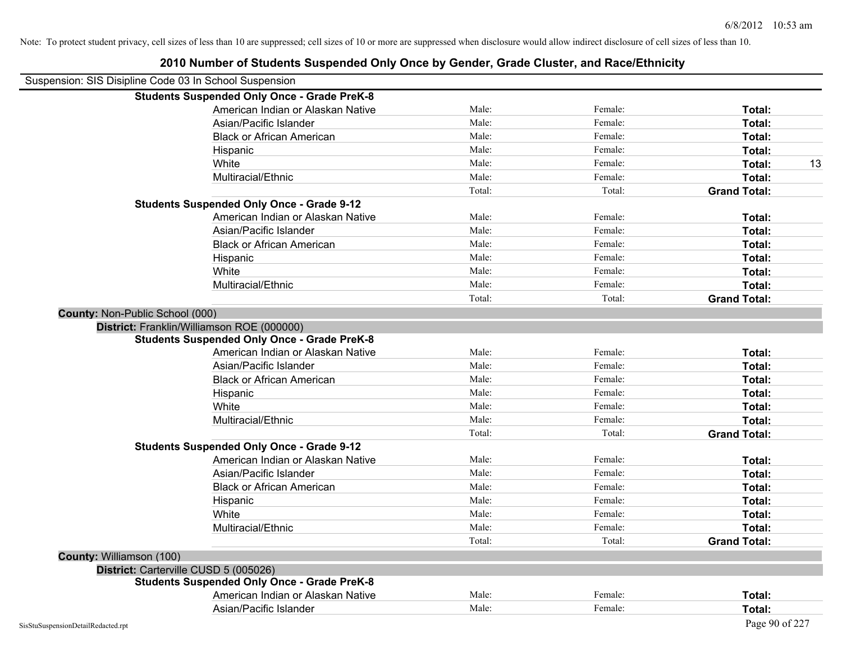| Suspension: SIS Disipline Code 03 In School Suspension |                                                    |        |         |                     |
|--------------------------------------------------------|----------------------------------------------------|--------|---------|---------------------|
|                                                        | <b>Students Suspended Only Once - Grade PreK-8</b> |        |         |                     |
|                                                        | American Indian or Alaskan Native                  | Male:  | Female: | Total:              |
|                                                        | Asian/Pacific Islander                             | Male:  | Female: | Total:              |
|                                                        | <b>Black or African American</b>                   | Male:  | Female: | Total:              |
|                                                        | Hispanic                                           | Male:  | Female: | Total:              |
|                                                        | White                                              | Male:  | Female: | Total:<br>13        |
|                                                        | Multiracial/Ethnic                                 | Male:  | Female: | Total:              |
|                                                        |                                                    | Total: | Total:  | <b>Grand Total:</b> |
|                                                        | <b>Students Suspended Only Once - Grade 9-12</b>   |        |         |                     |
|                                                        | American Indian or Alaskan Native                  | Male:  | Female: | Total:              |
|                                                        | Asian/Pacific Islander                             | Male:  | Female: | Total:              |
|                                                        | <b>Black or African American</b>                   | Male:  | Female: | Total:              |
|                                                        | Hispanic                                           | Male:  | Female: | Total:              |
|                                                        | White                                              | Male:  | Female: | Total:              |
|                                                        | Multiracial/Ethnic                                 | Male:  | Female: | Total:              |
|                                                        |                                                    | Total: | Total:  | <b>Grand Total:</b> |
| County: Non-Public School (000)                        |                                                    |        |         |                     |
| District: Franklin/Williamson ROE (000000)             |                                                    |        |         |                     |
|                                                        | <b>Students Suspended Only Once - Grade PreK-8</b> |        |         |                     |
|                                                        | American Indian or Alaskan Native                  | Male:  | Female: | Total:              |
|                                                        | Asian/Pacific Islander                             | Male:  | Female: | Total:              |
|                                                        | <b>Black or African American</b>                   | Male:  | Female: | Total:              |
|                                                        | Hispanic                                           | Male:  | Female: | Total:              |
|                                                        | White                                              | Male:  | Female: | Total:              |
|                                                        | Multiracial/Ethnic                                 | Male:  | Female: | Total:              |
|                                                        |                                                    | Total: | Total:  | <b>Grand Total:</b> |
|                                                        | <b>Students Suspended Only Once - Grade 9-12</b>   |        |         |                     |
|                                                        | American Indian or Alaskan Native                  | Male:  | Female: | Total:              |
|                                                        | Asian/Pacific Islander                             | Male:  | Female: | Total:              |
|                                                        | <b>Black or African American</b>                   | Male:  | Female: | Total:              |
|                                                        | Hispanic                                           | Male:  | Female: | Total:              |
|                                                        | White                                              | Male:  | Female: | Total:              |
|                                                        | Multiracial/Ethnic                                 | Male:  | Female: | Total:              |
|                                                        |                                                    | Total: | Total:  | <b>Grand Total:</b> |
| County: Williamson (100)                               |                                                    |        |         |                     |
| District: Carterville CUSD 5 (005026)                  |                                                    |        |         |                     |
|                                                        | <b>Students Suspended Only Once - Grade PreK-8</b> |        |         |                     |
|                                                        | American Indian or Alaskan Native                  | Male:  | Female: | Total:              |
|                                                        | Asian/Pacific Islander                             | Male:  | Female: | Total:              |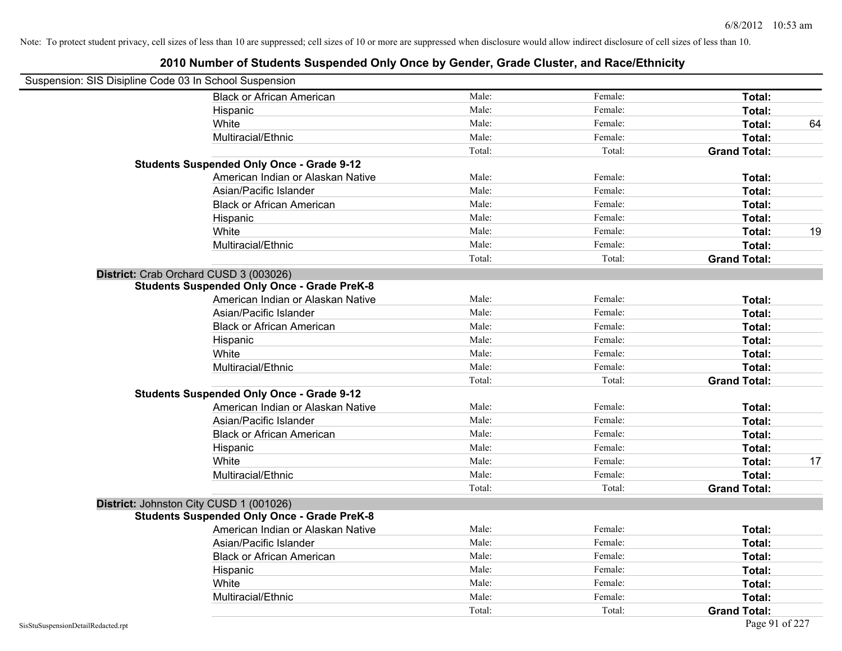| Suspension: SIS Disipline Code 03 In School Suspension |                                                    |        |         |                     |    |
|--------------------------------------------------------|----------------------------------------------------|--------|---------|---------------------|----|
|                                                        | <b>Black or African American</b>                   | Male:  | Female: | Total:              |    |
|                                                        | Hispanic                                           | Male:  | Female: | Total:              |    |
|                                                        | White                                              | Male:  | Female: | Total:              | 64 |
|                                                        | Multiracial/Ethnic                                 | Male:  | Female: | Total:              |    |
|                                                        |                                                    | Total: | Total:  | <b>Grand Total:</b> |    |
|                                                        | <b>Students Suspended Only Once - Grade 9-12</b>   |        |         |                     |    |
|                                                        | American Indian or Alaskan Native                  | Male:  | Female: | Total:              |    |
|                                                        | Asian/Pacific Islander                             | Male:  | Female: | Total:              |    |
|                                                        | <b>Black or African American</b>                   | Male:  | Female: | Total:              |    |
|                                                        | Hispanic                                           | Male:  | Female: | Total:              |    |
|                                                        | White                                              | Male:  | Female: | Total:              | 19 |
|                                                        | Multiracial/Ethnic                                 | Male:  | Female: | Total:              |    |
|                                                        |                                                    | Total: | Total:  | <b>Grand Total:</b> |    |
| District: Crab Orchard CUSD 3 (003026)                 |                                                    |        |         |                     |    |
|                                                        | <b>Students Suspended Only Once - Grade PreK-8</b> |        |         |                     |    |
|                                                        | American Indian or Alaskan Native                  | Male:  | Female: | Total:              |    |
|                                                        | Asian/Pacific Islander                             | Male:  | Female: | Total:              |    |
|                                                        | <b>Black or African American</b>                   | Male:  | Female: | Total:              |    |
|                                                        | Hispanic                                           | Male:  | Female: | Total:              |    |
|                                                        | White                                              | Male:  | Female: | Total:              |    |
|                                                        | Multiracial/Ethnic                                 | Male:  | Female: | Total:              |    |
|                                                        |                                                    | Total: | Total:  | <b>Grand Total:</b> |    |
|                                                        | <b>Students Suspended Only Once - Grade 9-12</b>   |        |         |                     |    |
|                                                        | American Indian or Alaskan Native                  | Male:  | Female: | Total:              |    |
|                                                        | Asian/Pacific Islander                             | Male:  | Female: | Total:              |    |
|                                                        | <b>Black or African American</b>                   | Male:  | Female: | Total:              |    |
|                                                        | Hispanic                                           | Male:  | Female: | Total:              |    |
|                                                        | White                                              | Male:  | Female: | Total:              | 17 |
|                                                        | Multiracial/Ethnic                                 | Male:  | Female: | Total:              |    |
|                                                        |                                                    | Total: | Total:  | <b>Grand Total:</b> |    |
| District: Johnston City CUSD 1 (001026)                |                                                    |        |         |                     |    |
|                                                        | <b>Students Suspended Only Once - Grade PreK-8</b> |        |         |                     |    |
|                                                        | American Indian or Alaskan Native                  | Male:  | Female: | Total:              |    |
|                                                        | Asian/Pacific Islander                             | Male:  | Female: | Total:              |    |
|                                                        | <b>Black or African American</b>                   | Male:  | Female: | Total:              |    |
|                                                        | Hispanic                                           | Male:  | Female: | Total:              |    |
|                                                        | White                                              | Male:  | Female: | Total:              |    |
|                                                        | Multiracial/Ethnic                                 | Male:  | Female: | Total:              |    |
|                                                        |                                                    | Total: | Total:  | <b>Grand Total:</b> |    |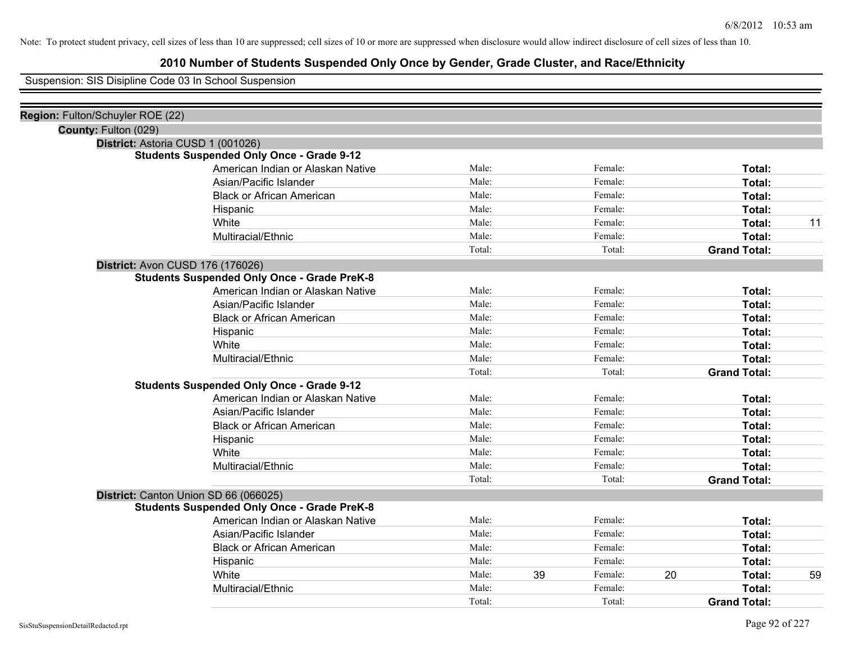## **2010 Number of Students Suspended Only Once by Gender, Grade Cluster, and Race/Ethnicity**

Suspension: SIS Disipline Code 03 In School Suspension

| Male:  |    | Female: |    | Total:              |    |
|--------|----|---------|----|---------------------|----|
| Male:  |    | Female: |    | Total:              |    |
| Male:  |    | Female: |    | Total:              |    |
| Male:  |    | Female: |    | Total:              |    |
| Male:  |    | Female: |    | Total:              | 11 |
| Male:  |    | Female: |    | Total:              |    |
| Total: |    | Total:  |    | <b>Grand Total:</b> |    |
|        |    |         |    |                     |    |
|        |    |         |    |                     |    |
| Male:  |    | Female: |    | Total:              |    |
| Male:  |    | Female: |    | Total:              |    |
| Male:  |    | Female: |    | Total:              |    |
| Male:  |    | Female: |    | Total:              |    |
| Male:  |    | Female: |    | Total:              |    |
| Male:  |    | Female: |    | Total:              |    |
| Total: |    | Total:  |    | <b>Grand Total:</b> |    |
|        |    |         |    |                     |    |
| Male:  |    | Female: |    | Total:              |    |
| Male:  |    | Female: |    | Total:              |    |
| Male:  |    | Female: |    | Total:              |    |
| Male:  |    | Female: |    | Total:              |    |
| Male:  |    | Female: |    | Total:              |    |
| Male:  |    | Female: |    | Total:              |    |
| Total: |    | Total:  |    | <b>Grand Total:</b> |    |
|        |    |         |    |                     |    |
|        |    |         |    |                     |    |
| Male:  |    | Female: |    | Total:              |    |
| Male:  |    | Female: |    | Total:              |    |
| Male:  |    | Female: |    | Total:              |    |
| Male:  |    | Female: |    | Total:              |    |
| Male:  | 39 | Female: | 20 | Total:              | 59 |
| Male:  |    | Female: |    | Total:              |    |
| Total: |    | Total:  |    | <b>Grand Total:</b> |    |
|        |    |         |    |                     |    |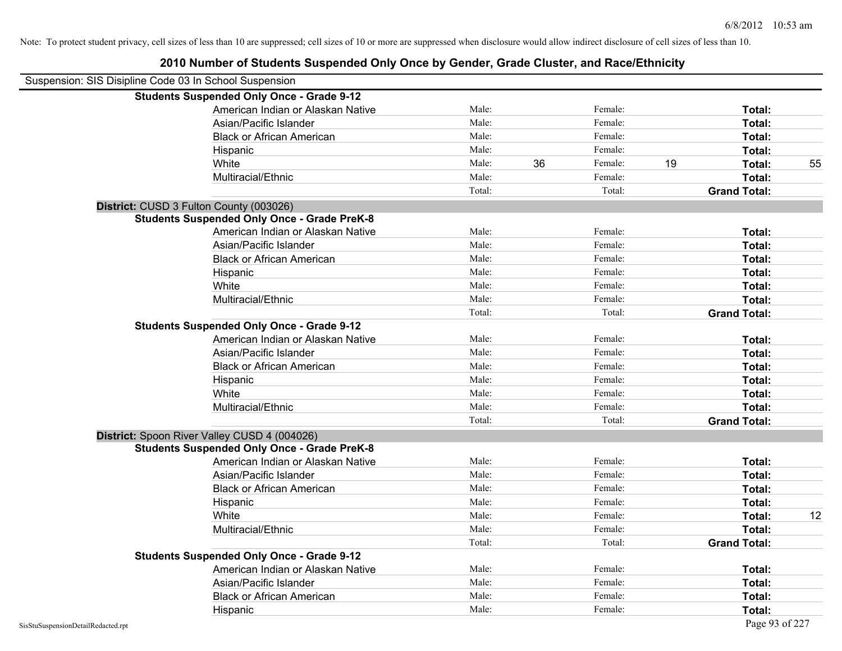| Suspension: SIS Disipline Code 03 In School Suspension |                                                    |        |    |         |    |                     |    |
|--------------------------------------------------------|----------------------------------------------------|--------|----|---------|----|---------------------|----|
|                                                        | <b>Students Suspended Only Once - Grade 9-12</b>   |        |    |         |    |                     |    |
|                                                        | American Indian or Alaskan Native                  | Male:  |    | Female: |    | Total:              |    |
|                                                        | Asian/Pacific Islander                             | Male:  |    | Female: |    | Total:              |    |
|                                                        | <b>Black or African American</b>                   | Male:  |    | Female: |    | Total:              |    |
|                                                        | Hispanic                                           | Male:  |    | Female: |    | Total:              |    |
|                                                        | White                                              | Male:  | 36 | Female: | 19 | Total:              | 55 |
|                                                        | Multiracial/Ethnic                                 | Male:  |    | Female: |    | Total:              |    |
|                                                        |                                                    | Total: |    | Total:  |    | <b>Grand Total:</b> |    |
|                                                        | District: CUSD 3 Fulton County (003026)            |        |    |         |    |                     |    |
|                                                        | <b>Students Suspended Only Once - Grade PreK-8</b> |        |    |         |    |                     |    |
|                                                        | American Indian or Alaskan Native                  | Male:  |    | Female: |    | Total:              |    |
|                                                        | Asian/Pacific Islander                             | Male:  |    | Female: |    | Total:              |    |
|                                                        | <b>Black or African American</b>                   | Male:  |    | Female: |    | Total:              |    |
|                                                        | Hispanic                                           | Male:  |    | Female: |    | Total:              |    |
|                                                        | White                                              | Male:  |    | Female: |    | Total:              |    |
|                                                        | Multiracial/Ethnic                                 | Male:  |    | Female: |    | Total:              |    |
|                                                        |                                                    | Total: |    | Total:  |    | <b>Grand Total:</b> |    |
|                                                        | <b>Students Suspended Only Once - Grade 9-12</b>   |        |    |         |    |                     |    |
|                                                        | American Indian or Alaskan Native                  | Male:  |    | Female: |    | Total:              |    |
|                                                        | Asian/Pacific Islander                             | Male:  |    | Female: |    | Total:              |    |
|                                                        | <b>Black or African American</b>                   | Male:  |    | Female: |    | Total:              |    |
|                                                        | Hispanic                                           | Male:  |    | Female: |    | Total:              |    |
|                                                        | White                                              | Male:  |    | Female: |    | Total:              |    |
|                                                        | Multiracial/Ethnic                                 | Male:  |    | Female: |    | Total:              |    |
|                                                        |                                                    | Total: |    | Total:  |    | <b>Grand Total:</b> |    |
|                                                        | District: Spoon River Valley CUSD 4 (004026)       |        |    |         |    |                     |    |
|                                                        | <b>Students Suspended Only Once - Grade PreK-8</b> |        |    |         |    |                     |    |
|                                                        | American Indian or Alaskan Native                  | Male:  |    | Female: |    | Total:              |    |
|                                                        | Asian/Pacific Islander                             | Male:  |    | Female: |    | Total:              |    |
|                                                        | <b>Black or African American</b>                   | Male:  |    | Female: |    | Total:              |    |
|                                                        | Hispanic                                           | Male:  |    | Female: |    | Total:              |    |
|                                                        | White                                              | Male:  |    | Female: |    | Total:              | 12 |
|                                                        | Multiracial/Ethnic                                 | Male:  |    | Female: |    | Total:              |    |
|                                                        |                                                    | Total: |    | Total:  |    | <b>Grand Total:</b> |    |
|                                                        | <b>Students Suspended Only Once - Grade 9-12</b>   |        |    |         |    |                     |    |
|                                                        | American Indian or Alaskan Native                  | Male:  |    | Female: |    | Total:              |    |
|                                                        | Asian/Pacific Islander                             | Male:  |    | Female: |    | Total:              |    |
|                                                        | <b>Black or African American</b>                   | Male:  |    | Female: |    | Total:              |    |
|                                                        | Hispanic                                           | Male:  |    | Female: |    | Total:              |    |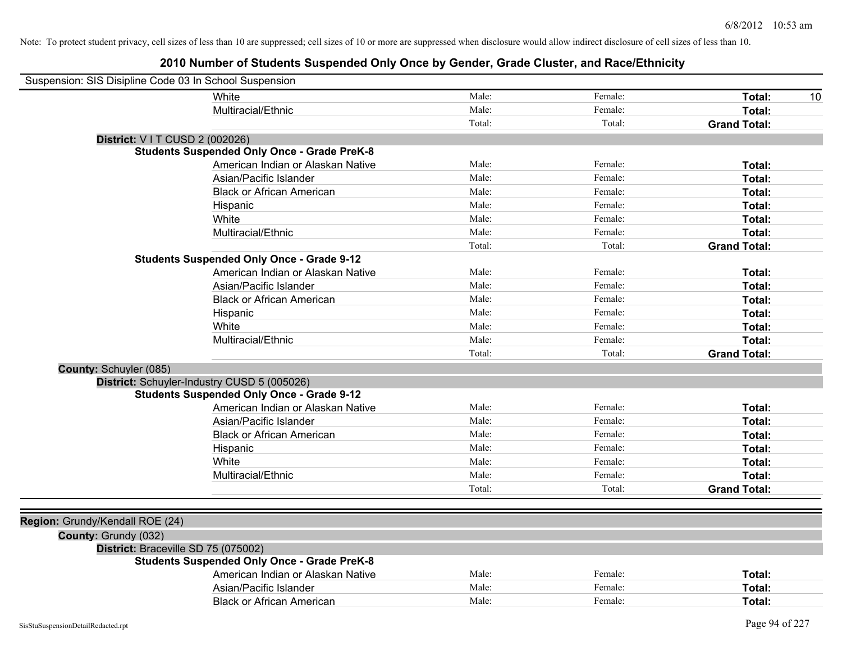| Suspension: SIS Disipline Code 03 In School Suspension |        |         |                     |
|--------------------------------------------------------|--------|---------|---------------------|
| White                                                  | Male:  | Female: | Total:<br>10        |
| Multiracial/Ethnic                                     | Male:  | Female: | Total:              |
|                                                        | Total: | Total:  | <b>Grand Total:</b> |
| District: V I T CUSD 2 (002026)                        |        |         |                     |
| <b>Students Suspended Only Once - Grade PreK-8</b>     |        |         |                     |
| American Indian or Alaskan Native                      | Male:  | Female: | Total:              |
| Asian/Pacific Islander                                 | Male:  | Female: | Total:              |
| <b>Black or African American</b>                       | Male:  | Female: | Total:              |
| Hispanic                                               | Male:  | Female: | Total:              |
| White                                                  | Male:  | Female: | Total:              |
| Multiracial/Ethnic                                     | Male:  | Female: | Total:              |
|                                                        | Total: | Total:  | <b>Grand Total:</b> |
| <b>Students Suspended Only Once - Grade 9-12</b>       |        |         |                     |
| American Indian or Alaskan Native                      | Male:  | Female: | Total:              |
| Asian/Pacific Islander                                 | Male:  | Female: | Total:              |
| <b>Black or African American</b>                       | Male:  | Female: | Total:              |
| Hispanic                                               | Male:  | Female: | Total:              |
| White                                                  | Male:  | Female: | Total:              |
| Multiracial/Ethnic                                     | Male:  | Female: | Total:              |
|                                                        | Total: | Total:  | <b>Grand Total:</b> |
| <b>County: Schuyler (085)</b>                          |        |         |                     |
| District: Schuyler-Industry CUSD 5 (005026)            |        |         |                     |
| <b>Students Suspended Only Once - Grade 9-12</b>       |        |         |                     |
| American Indian or Alaskan Native                      | Male:  | Female: | Total:              |
| Asian/Pacific Islander                                 | Male:  | Female: | Total:              |
| <b>Black or African American</b>                       | Male:  | Female: | Total:              |
| Hispanic                                               | Male:  | Female: | Total:              |
| White                                                  | Male:  | Female: | Total:              |
| Multiracial/Ethnic                                     | Male:  | Female: | Total:              |
|                                                        | Total: | Total:  | <b>Grand Total:</b> |
|                                                        |        |         |                     |
| Region: Grundy/Kendall ROE (24)                        |        |         |                     |
| County: Grundy (032)                                   |        |         |                     |
| District: Braceville SD 75 (075002)                    |        |         |                     |
| <b>Students Suspended Only Once - Grade PreK-8</b>     |        |         |                     |
| American Indian or Alaskan Native                      | Male:  | Female: | Total:              |
| Asian/Pacific Islander                                 | Male:  | Female: | Total:              |
| <b>Black or African American</b>                       | Male:  | Female: | Total:              |
|                                                        |        |         |                     |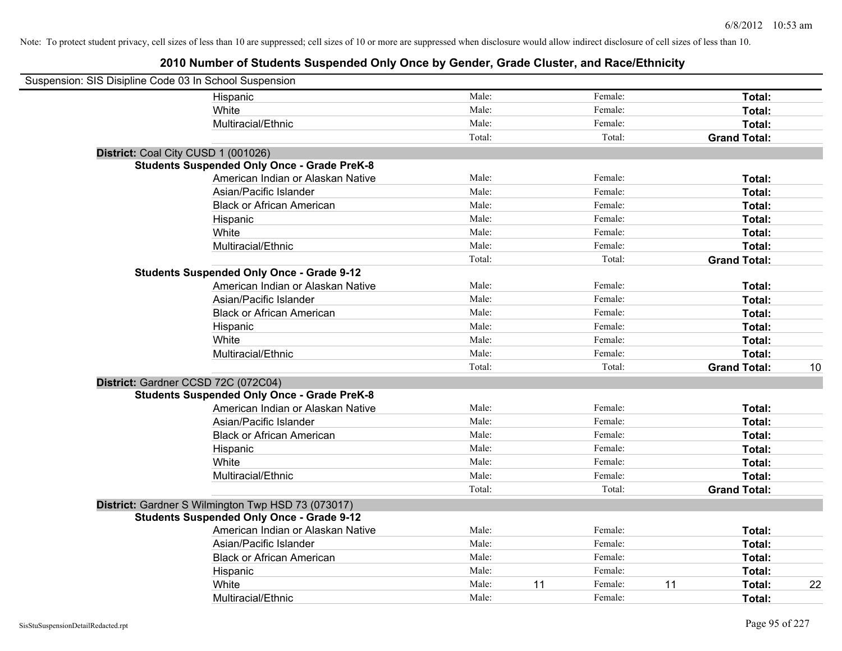| Suspension: SIS Disipline Code 03 In School Suspension |                                                    |        |    |         |                     |                     |    |
|--------------------------------------------------------|----------------------------------------------------|--------|----|---------|---------------------|---------------------|----|
|                                                        | Hispanic                                           | Male:  |    | Female: |                     | Total:              |    |
|                                                        | White                                              | Male:  |    | Female: |                     | Total:              |    |
|                                                        | Multiracial/Ethnic                                 | Male:  |    | Female: |                     | Total:              |    |
|                                                        |                                                    | Total: |    | Total:  | <b>Grand Total:</b> |                     |    |
| District: Coal City CUSD 1 (001026)                    |                                                    |        |    |         |                     |                     |    |
|                                                        | <b>Students Suspended Only Once - Grade PreK-8</b> |        |    |         |                     |                     |    |
|                                                        | American Indian or Alaskan Native                  | Male:  |    | Female: |                     | Total:              |    |
|                                                        | Asian/Pacific Islander                             | Male:  |    | Female: |                     | Total:              |    |
|                                                        | <b>Black or African American</b>                   | Male:  |    | Female: |                     | Total:              |    |
|                                                        | Hispanic                                           | Male:  |    | Female: |                     | Total:              |    |
|                                                        | White                                              | Male:  |    | Female: |                     | Total:              |    |
|                                                        | Multiracial/Ethnic                                 | Male:  |    | Female: |                     | Total:              |    |
|                                                        |                                                    | Total: |    | Total:  |                     | <b>Grand Total:</b> |    |
|                                                        | <b>Students Suspended Only Once - Grade 9-12</b>   |        |    |         |                     |                     |    |
|                                                        | American Indian or Alaskan Native                  | Male:  |    | Female: |                     | Total:              |    |
|                                                        | Asian/Pacific Islander                             | Male:  |    | Female: |                     | Total:              |    |
|                                                        | <b>Black or African American</b>                   | Male:  |    | Female: |                     | Total:              |    |
|                                                        | Hispanic                                           | Male:  |    | Female: |                     | Total:              |    |
|                                                        | White                                              | Male:  |    | Female: |                     | Total:              |    |
|                                                        | Multiracial/Ethnic                                 | Male:  |    | Female: |                     | Total:              |    |
|                                                        |                                                    | Total: |    | Total:  | <b>Grand Total:</b> |                     | 10 |
|                                                        | District: Gardner CCSD 72C (072C04)                |        |    |         |                     |                     |    |
|                                                        | <b>Students Suspended Only Once - Grade PreK-8</b> |        |    |         |                     |                     |    |
|                                                        | American Indian or Alaskan Native                  | Male:  |    | Female: |                     | Total:              |    |
|                                                        | Asian/Pacific Islander                             | Male:  |    | Female: |                     | Total:              |    |
|                                                        | <b>Black or African American</b>                   | Male:  |    | Female: |                     | Total:              |    |
|                                                        | Hispanic                                           | Male:  |    | Female: |                     | Total:              |    |
|                                                        | White                                              | Male:  |    | Female: |                     | Total:              |    |
|                                                        | Multiracial/Ethnic                                 | Male:  |    | Female: |                     | Total:              |    |
|                                                        |                                                    | Total: |    | Total:  | <b>Grand Total:</b> |                     |    |
|                                                        | District: Gardner S Wilmington Twp HSD 73 (073017) |        |    |         |                     |                     |    |
|                                                        | <b>Students Suspended Only Once - Grade 9-12</b>   |        |    |         |                     |                     |    |
|                                                        | American Indian or Alaskan Native                  | Male:  |    | Female: |                     | Total:              |    |
|                                                        | Asian/Pacific Islander                             | Male:  |    | Female: |                     | Total:              |    |
|                                                        | <b>Black or African American</b>                   | Male:  |    | Female: |                     | Total:              |    |
|                                                        | Hispanic                                           | Male:  |    | Female: |                     | Total:              |    |
|                                                        | White                                              | Male:  | 11 | Female: | 11                  | Total:              | 22 |
|                                                        | Multiracial/Ethnic                                 | Male:  |    | Female: |                     | Total:              |    |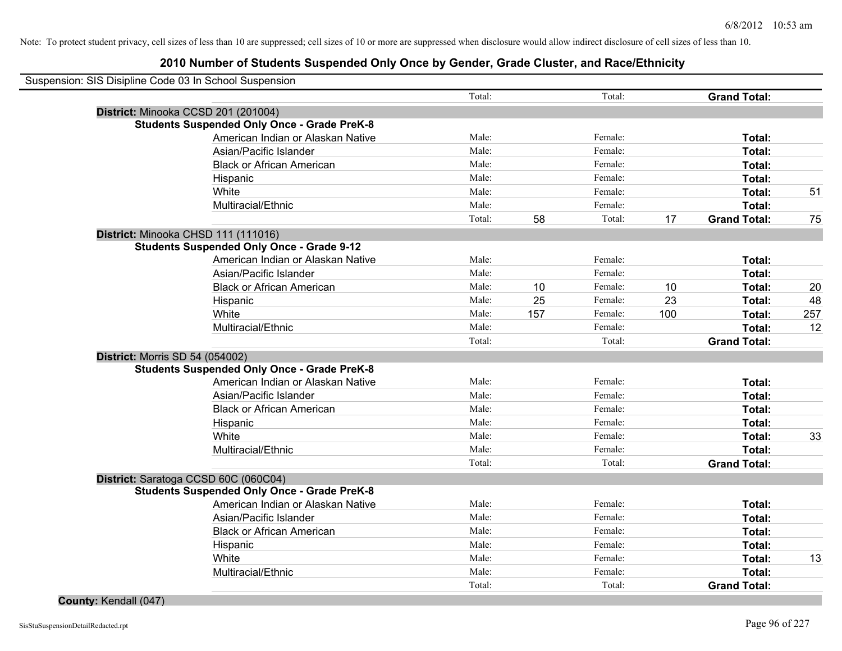| Suspension: SIS Disipline Code 03 In School Suspension                                  |        |     |         |     |                     |     |
|-----------------------------------------------------------------------------------------|--------|-----|---------|-----|---------------------|-----|
|                                                                                         | Total: |     | Total:  |     | <b>Grand Total:</b> |     |
| District: Minooka CCSD 201 (201004)                                                     |        |     |         |     |                     |     |
| <b>Students Suspended Only Once - Grade PreK-8</b>                                      |        |     |         |     |                     |     |
| American Indian or Alaskan Native                                                       | Male:  |     | Female: |     | Total:              |     |
| Asian/Pacific Islander                                                                  | Male:  |     | Female: |     | Total:              |     |
| <b>Black or African American</b>                                                        | Male:  |     | Female: |     | Total:              |     |
| Hispanic                                                                                | Male:  |     | Female: |     | Total:              |     |
| White                                                                                   | Male:  |     | Female: |     | Total:              | 51  |
| Multiracial/Ethnic                                                                      | Male:  |     | Female: |     | Total:              |     |
|                                                                                         | Total: | 58  | Total:  | 17  | <b>Grand Total:</b> | 75  |
| District: Minooka CHSD 111 (111016)<br><b>Students Suspended Only Once - Grade 9-12</b> |        |     |         |     |                     |     |
| American Indian or Alaskan Native                                                       | Male:  |     | Female: |     | Total:              |     |
| Asian/Pacific Islander                                                                  | Male:  |     | Female: |     | Total:              |     |
| <b>Black or African American</b>                                                        | Male:  | 10  | Female: | 10  | Total:              | 20  |
| Hispanic                                                                                | Male:  | 25  | Female: | 23  | Total:              | 48  |
| White                                                                                   | Male:  | 157 | Female: | 100 | Total:              | 257 |
| Multiracial/Ethnic                                                                      | Male:  |     | Female: |     | Total:              | 12  |
|                                                                                         | Total: |     | Total:  |     | <b>Grand Total:</b> |     |
| <b>District: Morris SD 54 (054002)</b>                                                  |        |     |         |     |                     |     |
| <b>Students Suspended Only Once - Grade PreK-8</b>                                      |        |     |         |     |                     |     |
| American Indian or Alaskan Native                                                       | Male:  |     | Female: |     | Total:              |     |
| Asian/Pacific Islander                                                                  | Male:  |     | Female: |     | Total:              |     |
| <b>Black or African American</b>                                                        | Male:  |     | Female: |     | Total:              |     |
| Hispanic                                                                                | Male:  |     | Female: |     | Total:              |     |
| White                                                                                   | Male:  |     | Female: |     | Total:              | 33  |
| Multiracial/Ethnic                                                                      | Male:  |     | Female: |     | Total:              |     |
|                                                                                         | Total: |     | Total:  |     | <b>Grand Total:</b> |     |
| District: Saratoga CCSD 60C (060C04)                                                    |        |     |         |     |                     |     |
| <b>Students Suspended Only Once - Grade PreK-8</b>                                      |        |     |         |     |                     |     |
| American Indian or Alaskan Native                                                       | Male:  |     | Female: |     | Total:              |     |
| Asian/Pacific Islander                                                                  | Male:  |     | Female: |     | Total:              |     |
| <b>Black or African American</b>                                                        | Male:  |     | Female: |     | Total:              |     |
| Hispanic                                                                                | Male:  |     | Female: |     | Total:              |     |
| White                                                                                   | Male:  |     | Female: |     | Total:              | 13  |
| Multiracial/Ethnic                                                                      | Male:  |     | Female: |     | Total:              |     |
|                                                                                         | Total: |     | Total:  |     | <b>Grand Total:</b> |     |
| County: Kendall (047)                                                                   |        |     |         |     |                     |     |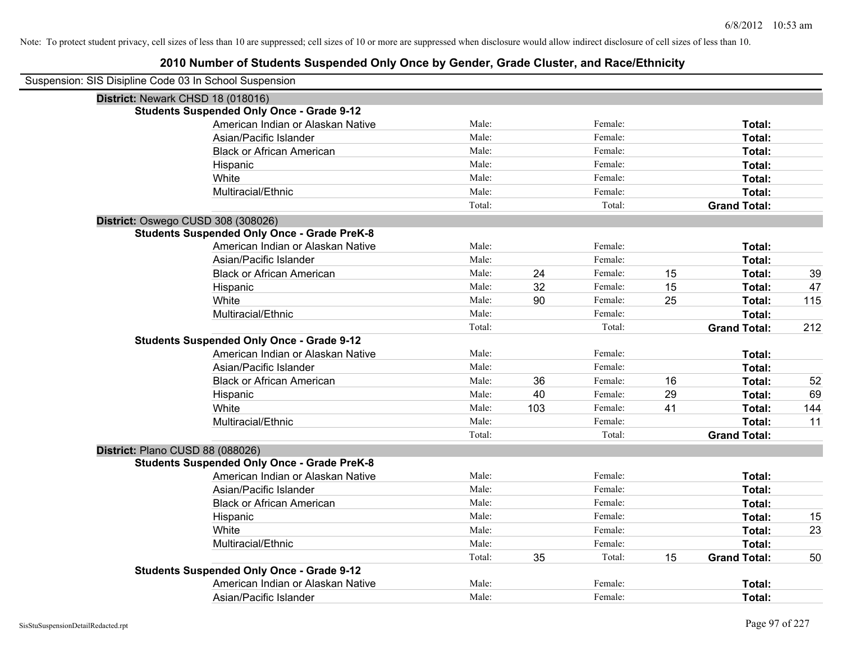| Suspension: SIS Disipline Code 03 In School Suspension |                                                    |        |     |         |    |                     |     |
|--------------------------------------------------------|----------------------------------------------------|--------|-----|---------|----|---------------------|-----|
|                                                        | District: Newark CHSD 18 (018016)                  |        |     |         |    |                     |     |
|                                                        | <b>Students Suspended Only Once - Grade 9-12</b>   |        |     |         |    |                     |     |
|                                                        | American Indian or Alaskan Native                  | Male:  |     | Female: |    | Total:              |     |
|                                                        | Asian/Pacific Islander                             | Male:  |     | Female: |    | Total:              |     |
|                                                        | <b>Black or African American</b>                   | Male:  |     | Female: |    | Total:              |     |
|                                                        | Hispanic                                           | Male:  |     | Female: |    | Total:              |     |
|                                                        | White                                              | Male:  |     | Female: |    | Total:              |     |
|                                                        | Multiracial/Ethnic                                 | Male:  |     | Female: |    | Total:              |     |
|                                                        |                                                    | Total: |     | Total:  |    | <b>Grand Total:</b> |     |
|                                                        | District: Oswego CUSD 308 (308026)                 |        |     |         |    |                     |     |
|                                                        | <b>Students Suspended Only Once - Grade PreK-8</b> |        |     |         |    |                     |     |
|                                                        | American Indian or Alaskan Native                  | Male:  |     | Female: |    | Total:              |     |
|                                                        | Asian/Pacific Islander                             | Male:  |     | Female: |    | Total:              |     |
|                                                        | <b>Black or African American</b>                   | Male:  | 24  | Female: | 15 | Total:              | 39  |
|                                                        | Hispanic                                           | Male:  | 32  | Female: | 15 | Total:              | 47  |
|                                                        | White                                              | Male:  | 90  | Female: | 25 | Total:              | 115 |
|                                                        | Multiracial/Ethnic                                 | Male:  |     | Female: |    | Total:              |     |
|                                                        |                                                    | Total: |     | Total:  |    | <b>Grand Total:</b> | 212 |
|                                                        | <b>Students Suspended Only Once - Grade 9-12</b>   |        |     |         |    |                     |     |
|                                                        | American Indian or Alaskan Native                  | Male:  |     | Female: |    | <b>Total:</b>       |     |
|                                                        | Asian/Pacific Islander                             | Male:  |     | Female: |    | Total:              |     |
|                                                        | <b>Black or African American</b>                   | Male:  | 36  | Female: | 16 | Total:              | 52  |
|                                                        | Hispanic                                           | Male:  | 40  | Female: | 29 | Total:              | 69  |
|                                                        | White                                              | Male:  | 103 | Female: | 41 | Total:              | 144 |
|                                                        | Multiracial/Ethnic                                 | Male:  |     | Female: |    | Total:              | 11  |
|                                                        |                                                    | Total: |     | Total:  |    | <b>Grand Total:</b> |     |
| District: Plano CUSD 88 (088026)                       |                                                    |        |     |         |    |                     |     |
|                                                        | <b>Students Suspended Only Once - Grade PreK-8</b> |        |     |         |    |                     |     |
|                                                        | American Indian or Alaskan Native                  | Male:  |     | Female: |    | Total:              |     |
|                                                        | Asian/Pacific Islander                             | Male:  |     | Female: |    | Total:              |     |
|                                                        | <b>Black or African American</b>                   | Male:  |     | Female: |    | Total:              |     |
|                                                        | Hispanic                                           | Male:  |     | Female: |    | Total:              | 15  |
|                                                        | White                                              | Male:  |     | Female: |    | Total:              | 23  |
|                                                        | Multiracial/Ethnic                                 | Male:  |     | Female: |    | Total:              |     |
|                                                        |                                                    | Total: | 35  | Total:  | 15 | <b>Grand Total:</b> | 50  |
|                                                        | <b>Students Suspended Only Once - Grade 9-12</b>   |        |     |         |    |                     |     |
|                                                        | American Indian or Alaskan Native                  | Male:  |     | Female: |    | <b>Total:</b>       |     |
|                                                        | Asian/Pacific Islander                             | Male:  |     | Female: |    | Total:              |     |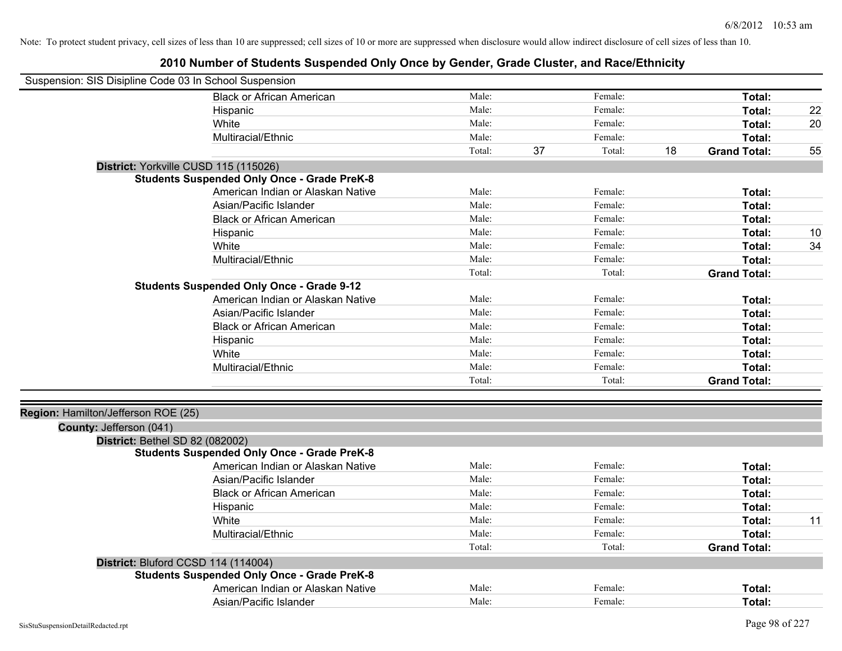| Male:<br>Female:<br>Total:<br><b>Black or African American</b><br>Male:<br>Female:<br>Total:<br>Hispanic<br>Male:<br>Female:<br>White<br>Total:<br>Male:<br>Female:<br>Total:<br>Multiracial/Ethnic | 22<br>20<br>55 |
|-----------------------------------------------------------------------------------------------------------------------------------------------------------------------------------------------------|----------------|
|                                                                                                                                                                                                     |                |
|                                                                                                                                                                                                     |                |
|                                                                                                                                                                                                     |                |
|                                                                                                                                                                                                     |                |
| Total:<br>37<br>Total:<br>18<br><b>Grand Total:</b>                                                                                                                                                 |                |
| District: Yorkville CUSD 115 (115026)                                                                                                                                                               |                |
| <b>Students Suspended Only Once - Grade PreK-8</b>                                                                                                                                                  |                |
| American Indian or Alaskan Native<br>Male:<br>Female:<br>Total:                                                                                                                                     |                |
| Asian/Pacific Islander<br>Male:<br>Female:<br>Total:                                                                                                                                                |                |
| Female:<br><b>Black or African American</b><br>Male:<br>Total:                                                                                                                                      |                |
| Male:<br>Female:<br>Total:<br>Hispanic                                                                                                                                                              | 10             |
| White<br>Male:<br>Female:<br>Total:                                                                                                                                                                 | 34             |
| Multiracial/Ethnic<br>Male:<br>Female:<br>Total:                                                                                                                                                    |                |
| Total:<br>Total:<br><b>Grand Total:</b>                                                                                                                                                             |                |
| <b>Students Suspended Only Once - Grade 9-12</b>                                                                                                                                                    |                |
| American Indian or Alaskan Native<br>Male:<br>Female:<br>Total:                                                                                                                                     |                |
| Asian/Pacific Islander<br>Male:<br>Female:<br>Total:                                                                                                                                                |                |
| Male:<br><b>Black or African American</b><br>Female:<br>Total:                                                                                                                                      |                |
| Male:<br>Female:<br>Total:<br>Hispanic                                                                                                                                                              |                |
| White<br>Male:<br>Female:<br>Total:                                                                                                                                                                 |                |
| Multiracial/Ethnic<br>Male:<br>Female:<br>Total:                                                                                                                                                    |                |
| Total:<br>Total:<br><b>Grand Total:</b>                                                                                                                                                             |                |
| Region: Hamilton/Jefferson ROE (25)                                                                                                                                                                 |                |
| County: Jefferson (041)                                                                                                                                                                             |                |
| District: Bethel SD 82 (082002)                                                                                                                                                                     |                |
| <b>Students Suspended Only Once - Grade PreK-8</b>                                                                                                                                                  |                |
| American Indian or Alaskan Native<br>Male:<br>Female:<br>Total:                                                                                                                                     |                |
| Asian/Pacific Islander<br>Male:<br>Female:<br>Total:                                                                                                                                                |                |
| Male:<br><b>Black or African American</b><br>Female:<br>Total:                                                                                                                                      |                |
| Female:<br>Male:<br>Total:<br>Hispanic                                                                                                                                                              |                |
| White<br>Male:<br>Female:<br>Total:                                                                                                                                                                 | 11             |
| Multiracial/Ethnic<br>Male:<br>Female:<br>Total:                                                                                                                                                    |                |
| Total:<br>Total:<br><b>Grand Total:</b>                                                                                                                                                             |                |
| District: Bluford CCSD 114 (114004)                                                                                                                                                                 |                |
| <b>Students Suspended Only Once - Grade PreK-8</b>                                                                                                                                                  |                |
| Male:<br>American Indian or Alaskan Native<br>Female:<br>Total:                                                                                                                                     |                |
| Male:<br>Female:<br>Asian/Pacific Islander<br>Total:                                                                                                                                                |                |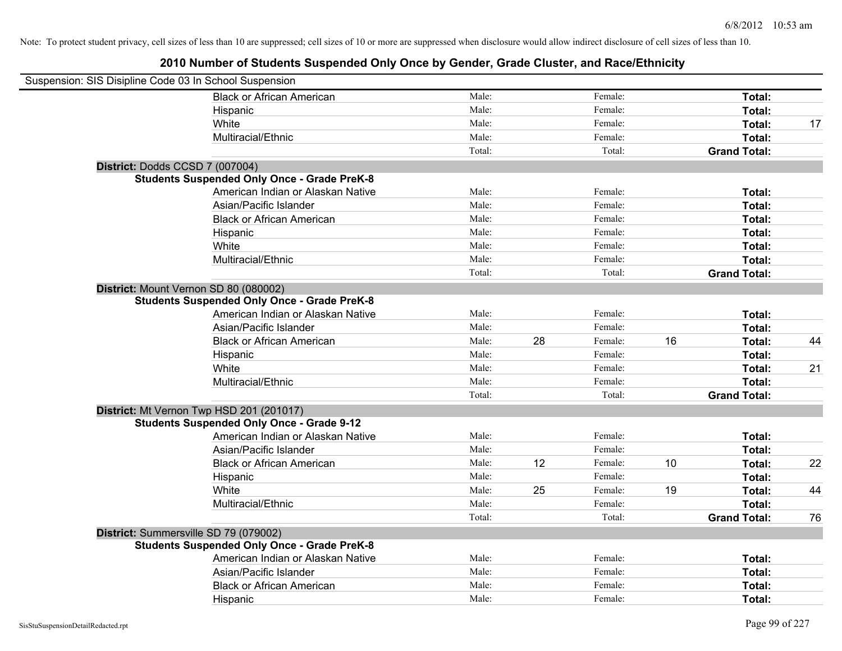| Suspension: SIS Disipline Code 03 In School Suspension |        |    |         |    |                     |    |
|--------------------------------------------------------|--------|----|---------|----|---------------------|----|
| <b>Black or African American</b>                       | Male:  |    | Female: |    | Total:              |    |
| Hispanic                                               | Male:  |    | Female: |    | Total:              |    |
| White                                                  | Male:  |    | Female: |    | Total:              | 17 |
| Multiracial/Ethnic                                     | Male:  |    | Female: |    | Total:              |    |
|                                                        | Total: |    | Total:  |    | <b>Grand Total:</b> |    |
| District: Dodds CCSD 7 (007004)                        |        |    |         |    |                     |    |
| <b>Students Suspended Only Once - Grade PreK-8</b>     |        |    |         |    |                     |    |
| American Indian or Alaskan Native                      | Male:  |    | Female: |    | Total:              |    |
| Asian/Pacific Islander                                 | Male:  |    | Female: |    | Total:              |    |
| <b>Black or African American</b>                       | Male:  |    | Female: |    | Total:              |    |
| Hispanic                                               | Male:  |    | Female: |    | Total:              |    |
| White                                                  | Male:  |    | Female: |    | Total:              |    |
| Multiracial/Ethnic                                     | Male:  |    | Female: |    | Total:              |    |
|                                                        | Total: |    | Total:  |    | <b>Grand Total:</b> |    |
| District: Mount Vernon SD 80 (080002)                  |        |    |         |    |                     |    |
| <b>Students Suspended Only Once - Grade PreK-8</b>     |        |    |         |    |                     |    |
| American Indian or Alaskan Native                      | Male:  |    | Female: |    | Total:              |    |
| Asian/Pacific Islander                                 | Male:  |    | Female: |    | Total:              |    |
| <b>Black or African American</b>                       | Male:  | 28 | Female: | 16 | Total:              | 44 |
| Hispanic                                               | Male:  |    | Female: |    | Total:              |    |
| White                                                  | Male:  |    | Female: |    | Total:              | 21 |
| Multiracial/Ethnic                                     | Male:  |    | Female: |    | Total:              |    |
|                                                        | Total: |    | Total:  |    | <b>Grand Total:</b> |    |
| District: Mt Vernon Twp HSD 201 (201017)               |        |    |         |    |                     |    |
| <b>Students Suspended Only Once - Grade 9-12</b>       |        |    |         |    |                     |    |
| American Indian or Alaskan Native                      | Male:  |    | Female: |    | Total:              |    |
| Asian/Pacific Islander                                 | Male:  |    | Female: |    | Total:              |    |
| <b>Black or African American</b>                       | Male:  | 12 | Female: | 10 | Total:              | 22 |
| Hispanic                                               | Male:  |    | Female: |    | Total:              |    |
| White                                                  | Male:  | 25 | Female: | 19 | Total:              | 44 |
| Multiracial/Ethnic                                     | Male:  |    | Female: |    | Total:              |    |
|                                                        | Total: |    | Total:  |    | <b>Grand Total:</b> | 76 |
| District: Summersville SD 79 (079002)                  |        |    |         |    |                     |    |
| <b>Students Suspended Only Once - Grade PreK-8</b>     |        |    |         |    |                     |    |
| American Indian or Alaskan Native                      | Male:  |    | Female: |    | Total:              |    |
| Asian/Pacific Islander                                 | Male:  |    | Female: |    | Total:              |    |
| <b>Black or African American</b>                       | Male:  |    | Female: |    | Total:              |    |
| Hispanic                                               | Male:  |    | Female: |    | Total:              |    |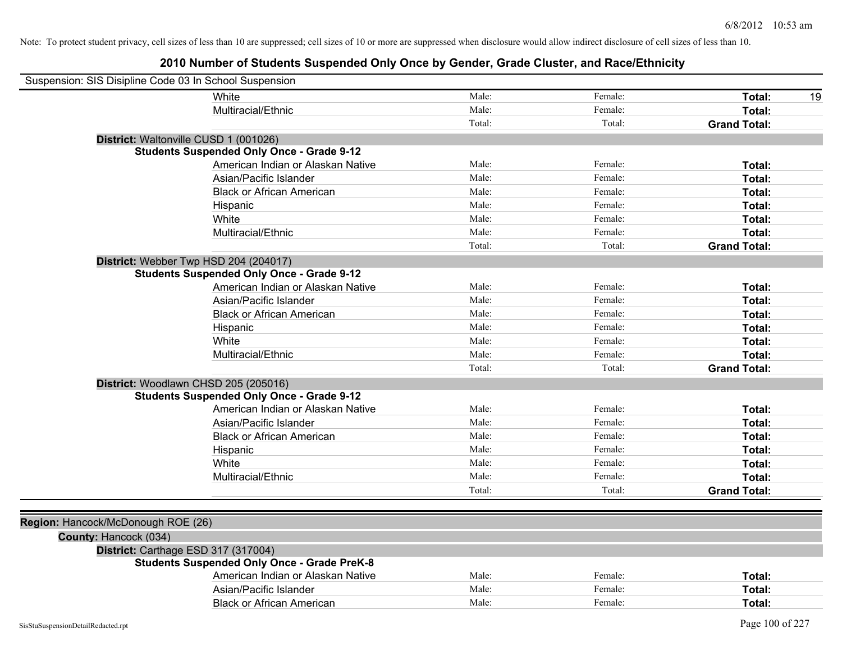| Suspension: SIS Disipline Code 03 In School Suspension |                                                    |        |         |                     |
|--------------------------------------------------------|----------------------------------------------------|--------|---------|---------------------|
|                                                        | White                                              | Male:  | Female: | Total:<br>19        |
|                                                        | Multiracial/Ethnic                                 | Male:  | Female: | Total:              |
|                                                        |                                                    | Total: | Total:  | <b>Grand Total:</b> |
|                                                        | District: Waltonville CUSD 1 (001026)              |        |         |                     |
|                                                        | <b>Students Suspended Only Once - Grade 9-12</b>   |        |         |                     |
|                                                        | American Indian or Alaskan Native                  | Male:  | Female: | Total:              |
|                                                        | Asian/Pacific Islander                             | Male:  | Female: | Total:              |
|                                                        | <b>Black or African American</b>                   | Male:  | Female: | Total:              |
|                                                        | Hispanic                                           | Male:  | Female: | Total:              |
|                                                        | White                                              | Male:  | Female: | Total:              |
|                                                        | Multiracial/Ethnic                                 | Male:  | Female: | Total:              |
|                                                        |                                                    | Total: | Total:  | <b>Grand Total:</b> |
|                                                        | District: Webber Twp HSD 204 (204017)              |        |         |                     |
|                                                        | <b>Students Suspended Only Once - Grade 9-12</b>   |        |         |                     |
|                                                        | American Indian or Alaskan Native                  | Male:  | Female: | Total:              |
|                                                        | Asian/Pacific Islander                             | Male:  | Female: | Total:              |
|                                                        | <b>Black or African American</b>                   | Male:  | Female: | Total:              |
|                                                        | Hispanic                                           | Male:  | Female: | Total:              |
|                                                        | White                                              | Male:  | Female: | Total:              |
|                                                        | Multiracial/Ethnic                                 | Male:  | Female: | Total:              |
|                                                        |                                                    | Total: | Total:  | <b>Grand Total:</b> |
|                                                        | District: Woodlawn CHSD 205 (205016)               |        |         |                     |
|                                                        | <b>Students Suspended Only Once - Grade 9-12</b>   |        |         |                     |
|                                                        | American Indian or Alaskan Native                  | Male:  | Female: | Total:              |
|                                                        | Asian/Pacific Islander                             | Male:  | Female: | Total:              |
|                                                        | <b>Black or African American</b>                   | Male:  | Female: | Total:              |
|                                                        | Hispanic                                           | Male:  | Female: | Total:              |
|                                                        | White                                              | Male:  | Female: | Total:              |
|                                                        | Multiracial/Ethnic                                 | Male:  | Female: | Total:              |
|                                                        |                                                    | Total: | Total:  | <b>Grand Total:</b> |
|                                                        |                                                    |        |         |                     |
| Region: Hancock/McDonough ROE (26)                     |                                                    |        |         |                     |
| County: Hancock (034)                                  |                                                    |        |         |                     |
|                                                        | District: Carthage ESD 317 (317004)                |        |         |                     |
|                                                        | <b>Students Suspended Only Once - Grade PreK-8</b> |        |         |                     |
|                                                        | American Indian or Alaskan Native                  | Male:  | Female: | Total:              |
|                                                        | Asian/Pacific Islander                             | Male:  | Female: | Total:              |
|                                                        | <b>Black or African American</b>                   | Male:  | Female: | Total:              |
|                                                        |                                                    |        |         |                     |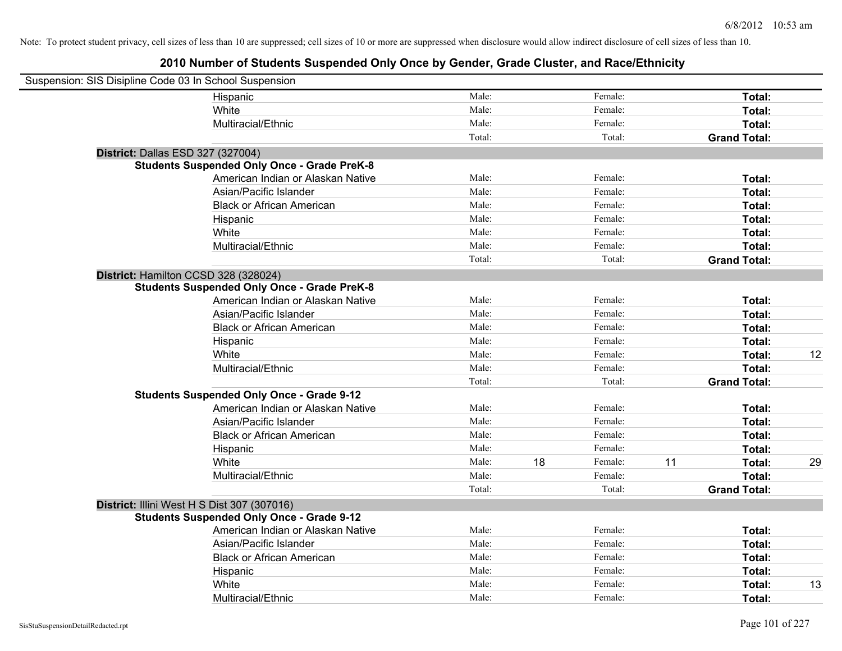| Suspension: SIS Disipline Code 03 In School Suspension |                                                    |        |    |         |    |                     |    |
|--------------------------------------------------------|----------------------------------------------------|--------|----|---------|----|---------------------|----|
|                                                        | Hispanic                                           | Male:  |    | Female: |    | Total:              |    |
|                                                        | White                                              | Male:  |    | Female: |    | Total:              |    |
|                                                        | Multiracial/Ethnic                                 | Male:  |    | Female: |    | Total:              |    |
|                                                        |                                                    | Total: |    | Total:  |    | <b>Grand Total:</b> |    |
| District: Dallas ESD 327 (327004)                      |                                                    |        |    |         |    |                     |    |
|                                                        | <b>Students Suspended Only Once - Grade PreK-8</b> |        |    |         |    |                     |    |
|                                                        | American Indian or Alaskan Native                  | Male:  |    | Female: |    | Total:              |    |
|                                                        | Asian/Pacific Islander                             | Male:  |    | Female: |    | Total:              |    |
|                                                        | <b>Black or African American</b>                   | Male:  |    | Female: |    | Total:              |    |
|                                                        | Hispanic                                           | Male:  |    | Female: |    | Total:              |    |
|                                                        | White                                              | Male:  |    | Female: |    | Total:              |    |
|                                                        | Multiracial/Ethnic                                 | Male:  |    | Female: |    | Total:              |    |
|                                                        |                                                    | Total: |    | Total:  |    | <b>Grand Total:</b> |    |
| District: Hamilton CCSD 328 (328024)                   |                                                    |        |    |         |    |                     |    |
|                                                        | <b>Students Suspended Only Once - Grade PreK-8</b> |        |    |         |    |                     |    |
|                                                        | American Indian or Alaskan Native                  | Male:  |    | Female: |    | Total:              |    |
|                                                        | Asian/Pacific Islander                             | Male:  |    | Female: |    | Total:              |    |
|                                                        | <b>Black or African American</b>                   | Male:  |    | Female: |    | Total:              |    |
|                                                        | Hispanic                                           | Male:  |    | Female: |    | Total:              |    |
|                                                        | White                                              | Male:  |    | Female: |    | Total:              | 12 |
|                                                        | Multiracial/Ethnic                                 | Male:  |    | Female: |    | Total:              |    |
|                                                        |                                                    | Total: |    | Total:  |    | <b>Grand Total:</b> |    |
|                                                        | <b>Students Suspended Only Once - Grade 9-12</b>   |        |    |         |    |                     |    |
|                                                        | American Indian or Alaskan Native                  | Male:  |    | Female: |    | Total:              |    |
|                                                        | Asian/Pacific Islander                             | Male:  |    | Female: |    | Total:              |    |
|                                                        | <b>Black or African American</b>                   | Male:  |    | Female: |    | Total:              |    |
|                                                        | Hispanic                                           | Male:  |    | Female: |    | Total:              |    |
|                                                        | White                                              | Male:  | 18 | Female: | 11 | Total:              | 29 |
|                                                        | Multiracial/Ethnic                                 | Male:  |    | Female: |    | Total:              |    |
|                                                        |                                                    | Total: |    | Total:  |    | <b>Grand Total:</b> |    |
| District: Illini West H S Dist 307 (307016)            |                                                    |        |    |         |    |                     |    |
|                                                        | <b>Students Suspended Only Once - Grade 9-12</b>   |        |    |         |    |                     |    |
|                                                        | American Indian or Alaskan Native                  | Male:  |    | Female: |    | Total:              |    |
|                                                        | Asian/Pacific Islander                             | Male:  |    | Female: |    | Total:              |    |
|                                                        | <b>Black or African American</b>                   | Male:  |    | Female: |    | Total:              |    |
|                                                        | Hispanic                                           | Male:  |    | Female: |    | Total:              |    |
|                                                        | White                                              | Male:  |    | Female: |    | Total:              | 13 |
|                                                        | Multiracial/Ethnic                                 | Male:  |    | Female: |    | Total:              |    |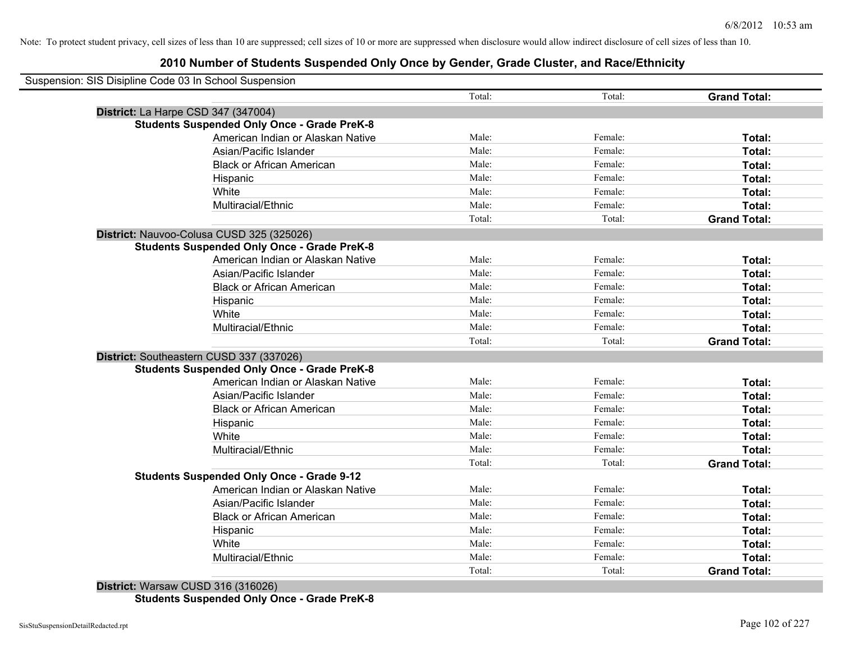| Suspension: SIS Disipline Code 03 In School Suspension |        |         |                     |
|--------------------------------------------------------|--------|---------|---------------------|
|                                                        | Total: | Total:  | <b>Grand Total:</b> |
| District: La Harpe CSD 347 (347004)                    |        |         |                     |
| <b>Students Suspended Only Once - Grade PreK-8</b>     |        |         |                     |
| American Indian or Alaskan Native                      | Male:  | Female: | Total:              |
| Asian/Pacific Islander                                 | Male:  | Female: | Total:              |
| <b>Black or African American</b>                       | Male:  | Female: | Total:              |
| Hispanic                                               | Male:  | Female: | Total:              |
| White                                                  | Male:  | Female: | Total:              |
| Multiracial/Ethnic                                     | Male:  | Female: | Total:              |
|                                                        | Total: | Total:  | <b>Grand Total:</b> |
| District: Nauvoo-Colusa CUSD 325 (325026)              |        |         |                     |
| <b>Students Suspended Only Once - Grade PreK-8</b>     |        |         |                     |
| American Indian or Alaskan Native                      | Male:  | Female: | Total:              |
| Asian/Pacific Islander                                 | Male:  | Female: | Total:              |
| <b>Black or African American</b>                       | Male:  | Female: | Total:              |
| Hispanic                                               | Male:  | Female: | Total:              |
| White                                                  | Male:  | Female: | Total:              |
| Multiracial/Ethnic                                     | Male:  | Female: | Total:              |
|                                                        | Total: | Total:  | <b>Grand Total:</b> |
| District: Southeastern CUSD 337 (337026)               |        |         |                     |
| <b>Students Suspended Only Once - Grade PreK-8</b>     |        |         |                     |
| American Indian or Alaskan Native                      | Male:  | Female: | Total:              |
| Asian/Pacific Islander                                 | Male:  | Female: | Total:              |
| <b>Black or African American</b>                       | Male:  | Female: | Total:              |
| Hispanic                                               | Male:  | Female: | Total:              |
| White                                                  | Male:  | Female: | Total:              |
| Multiracial/Ethnic                                     | Male:  | Female: | Total:              |
|                                                        | Total: | Total:  | <b>Grand Total:</b> |
| <b>Students Suspended Only Once - Grade 9-12</b>       |        |         |                     |
| American Indian or Alaskan Native                      | Male:  | Female: | Total:              |
| Asian/Pacific Islander                                 | Male:  | Female: | Total:              |
| <b>Black or African American</b>                       | Male:  | Female: | Total:              |
| Hispanic                                               | Male:  | Female: | Total:              |
| White                                                  | Male:  | Female: | Total:              |
| Multiracial/Ethnic                                     | Male:  | Female: | Total:              |
|                                                        | Total: | Total:  | <b>Grand Total:</b> |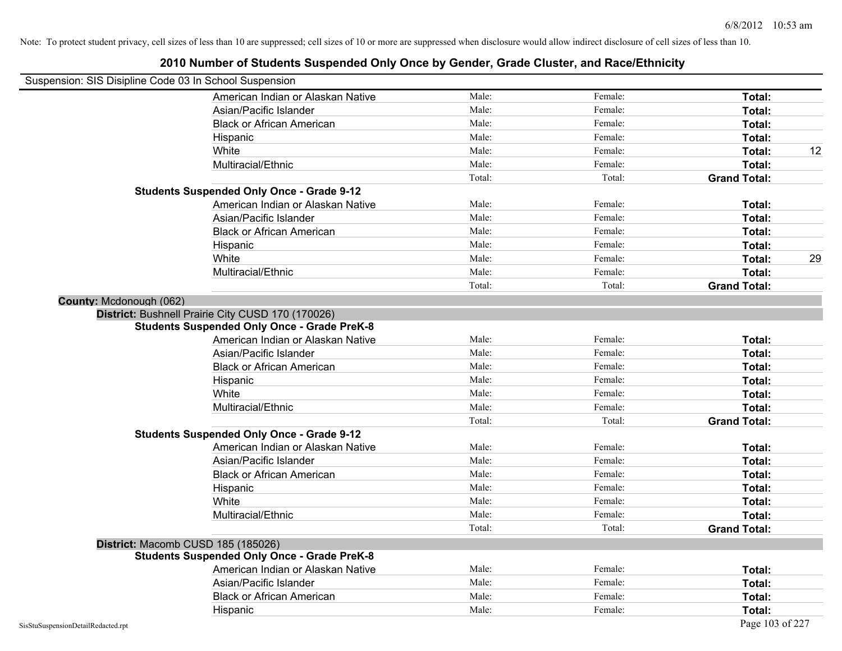| Suspension: SIS Disipline Code 03 In School Suspension |                                                                                                         | Male:  | Female:            |                               |
|--------------------------------------------------------|---------------------------------------------------------------------------------------------------------|--------|--------------------|-------------------------------|
|                                                        | American Indian or Alaskan Native<br>Asian/Pacific Islander                                             | Male:  | Female:            | Total:                        |
|                                                        |                                                                                                         | Male:  | Female:            | Total:                        |
|                                                        | <b>Black or African American</b>                                                                        |        |                    | Total:                        |
|                                                        | Hispanic                                                                                                | Male:  | Female:            | Total:                        |
|                                                        | White                                                                                                   | Male:  | Female:            | Total:                        |
|                                                        | Multiracial/Ethnic                                                                                      | Male:  | Female:            | Total:                        |
|                                                        | <b>Students Suspended Only Once - Grade 9-12</b>                                                        | Total: | Total:             | <b>Grand Total:</b>           |
|                                                        | American Indian or Alaskan Native                                                                       | Male:  | Female:            | Total:                        |
|                                                        | Asian/Pacific Islander                                                                                  | Male:  | Female:            | Total:                        |
|                                                        |                                                                                                         | Male:  | Female:            | Total:                        |
|                                                        | <b>Black or African American</b>                                                                        | Male:  | Female:            |                               |
|                                                        | Hispanic                                                                                                | Male:  | Female:            | Total:                        |
|                                                        | White<br>Multiracial/Ethnic                                                                             | Male:  | Female:            | Total:                        |
|                                                        |                                                                                                         | Total: | Total:             | Total:                        |
|                                                        |                                                                                                         |        |                    | <b>Grand Total:</b>           |
| County: Mcdonough (062)                                |                                                                                                         |        |                    |                               |
|                                                        | District: Bushnell Prairie City CUSD 170 (170026)<br><b>Students Suspended Only Once - Grade PreK-8</b> |        |                    |                               |
|                                                        | American Indian or Alaskan Native                                                                       | Male:  | Female:            | Total:                        |
|                                                        | Asian/Pacific Islander                                                                                  | Male:  | Female:            | Total:                        |
|                                                        | <b>Black or African American</b>                                                                        | Male:  | Female:            | Total:                        |
|                                                        |                                                                                                         | Male:  | Female:            | Total:                        |
|                                                        | Hispanic<br>White                                                                                       | Male:  | Female:            |                               |
|                                                        |                                                                                                         | Male:  | Female:            | Total:                        |
|                                                        | Multiracial/Ethnic                                                                                      | Total: | Total:             | Total:<br><b>Grand Total:</b> |
|                                                        | <b>Students Suspended Only Once - Grade 9-12</b>                                                        |        |                    |                               |
|                                                        | American Indian or Alaskan Native                                                                       | Male:  | Female:            | Total:                        |
|                                                        | Asian/Pacific Islander                                                                                  | Male:  | Female:            | Total:                        |
|                                                        | <b>Black or African American</b>                                                                        | Male:  | Female:            | Total:                        |
|                                                        |                                                                                                         | Male:  | Female:            | Total:                        |
|                                                        | Hispanic<br>White                                                                                       | Male:  | Female:            |                               |
|                                                        |                                                                                                         | Male:  | Female:            | Total:                        |
|                                                        | Multiracial/Ethnic                                                                                      | Total: | Total:             | Total:                        |
|                                                        |                                                                                                         |        |                    | <b>Grand Total:</b>           |
|                                                        | District: Macomb CUSD 185 (185026)<br><b>Students Suspended Only Once - Grade PreK-8</b>                |        |                    |                               |
|                                                        | American Indian or Alaskan Native                                                                       |        |                    |                               |
|                                                        |                                                                                                         | Male:  | Female:            | Total:                        |
|                                                        | Asian/Pacific Islander                                                                                  | Male:  | Female:<br>Female: | Total:                        |
|                                                        | <b>Black or African American</b>                                                                        | Male:  |                    | Total:                        |
|                                                        | Hispanic                                                                                                | Male:  | Female:            | Total:                        |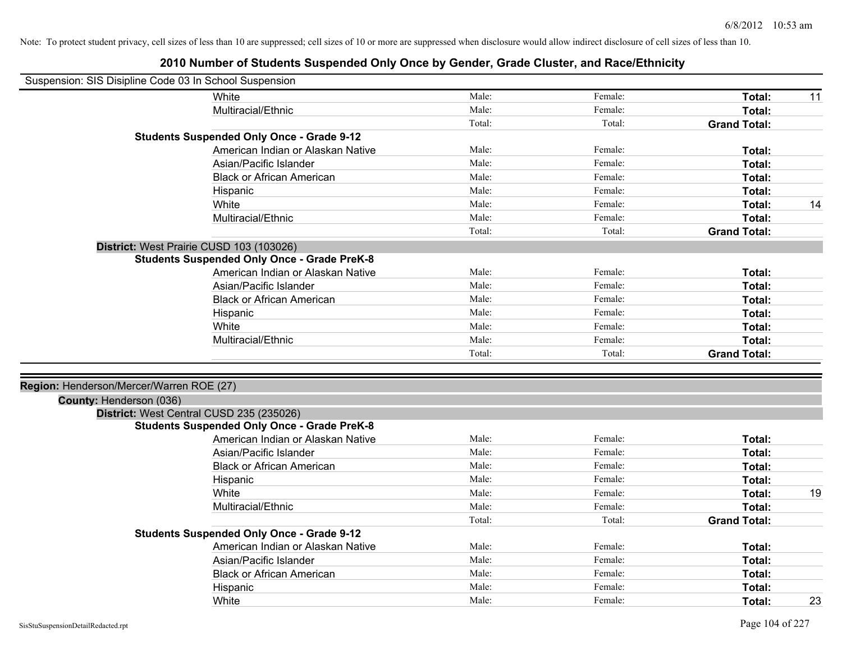| Suspension: SIS Disipline Code 03 In School Suspension |                                                    |        |         |                     |    |
|--------------------------------------------------------|----------------------------------------------------|--------|---------|---------------------|----|
|                                                        | White                                              | Male:  | Female: | Total:              | 11 |
|                                                        | Multiracial/Ethnic                                 | Male:  | Female: | Total:              |    |
|                                                        |                                                    | Total: | Total:  | <b>Grand Total:</b> |    |
|                                                        | <b>Students Suspended Only Once - Grade 9-12</b>   |        |         |                     |    |
|                                                        | American Indian or Alaskan Native                  | Male:  | Female: | Total:              |    |
|                                                        | Asian/Pacific Islander                             | Male:  | Female: | Total:              |    |
|                                                        | <b>Black or African American</b>                   | Male:  | Female: | Total:              |    |
|                                                        | Hispanic                                           | Male:  | Female: | Total:              |    |
|                                                        | White                                              | Male:  | Female: | Total:              | 14 |
|                                                        | Multiracial/Ethnic                                 | Male:  | Female: | Total:              |    |
|                                                        |                                                    | Total: | Total:  | <b>Grand Total:</b> |    |
|                                                        | District: West Prairie CUSD 103 (103026)           |        |         |                     |    |
|                                                        | <b>Students Suspended Only Once - Grade PreK-8</b> |        |         |                     |    |
|                                                        | American Indian or Alaskan Native                  | Male:  | Female: | Total:              |    |
|                                                        | Asian/Pacific Islander                             | Male:  | Female: | Total:              |    |
|                                                        | <b>Black or African American</b>                   | Male:  | Female: | Total:              |    |
|                                                        | Hispanic                                           | Male:  | Female: | Total:              |    |
|                                                        | White                                              | Male:  | Female: | Total:              |    |
|                                                        | Multiracial/Ethnic                                 | Male:  | Female: | Total:              |    |
|                                                        |                                                    | Total: | Total:  | <b>Grand Total:</b> |    |
|                                                        |                                                    |        |         |                     |    |
| Region: Henderson/Mercer/Warren ROE (27)               |                                                    |        |         |                     |    |
| County: Henderson (036)                                |                                                    |        |         |                     |    |
|                                                        | District: West Central CUSD 235 (235026)           |        |         |                     |    |
|                                                        | <b>Students Suspended Only Once - Grade PreK-8</b> |        |         |                     |    |
|                                                        | American Indian or Alaskan Native                  | Male:  | Female: | Total:              |    |
|                                                        | Asian/Pacific Islander                             | Male:  | Female: | Total:              |    |
|                                                        | <b>Black or African American</b>                   | Male:  | Female: | <b>Total:</b>       |    |
|                                                        | Hispanic                                           | Male:  | Female: | Total:              |    |
|                                                        | White                                              | Male:  | Female: | Total:              | 19 |
|                                                        | Multiracial/Ethnic                                 | Male:  | Female: | Total:              |    |
|                                                        |                                                    | Total: | Total:  | <b>Grand Total:</b> |    |
|                                                        | <b>Students Suspended Only Once - Grade 9-12</b>   |        |         |                     |    |
|                                                        | American Indian or Alaskan Native                  | Male:  | Female: | Total:              |    |
|                                                        | Asian/Pacific Islander                             | Male:  | Female: | Total:              |    |
|                                                        | <b>Black or African American</b>                   | Male:  | Female: | <b>Total:</b>       |    |
|                                                        | Hispanic                                           | Male:  | Female: | <b>Total:</b>       |    |
|                                                        | White                                              | Male:  | Female: | Total:              | 23 |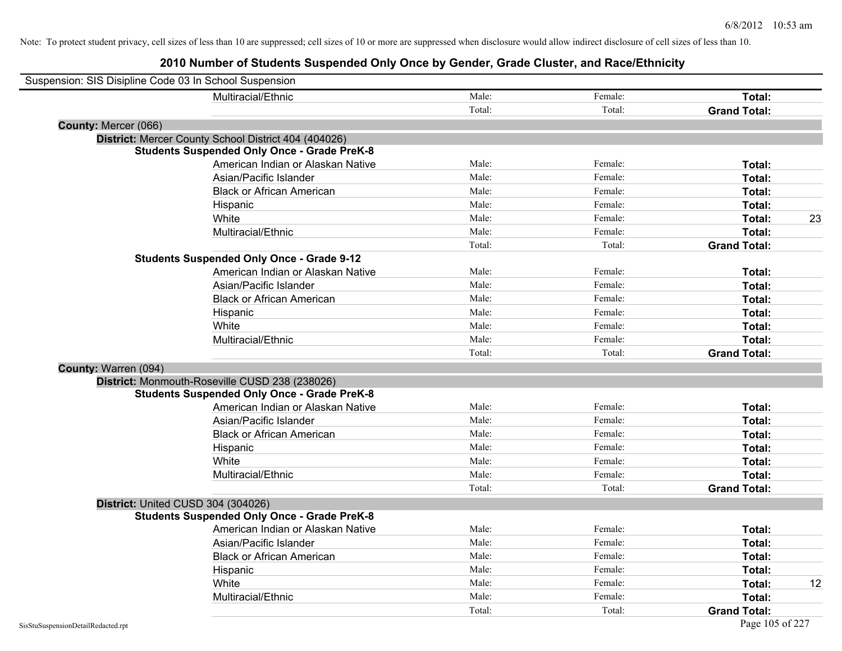|                      | Suspension: SIS Disipline Code 03 In School Suspension |        |         |                     |    |
|----------------------|--------------------------------------------------------|--------|---------|---------------------|----|
|                      | Multiracial/Ethnic                                     | Male:  | Female: | Total:              |    |
|                      |                                                        | Total: | Total:  | <b>Grand Total:</b> |    |
| County: Mercer (066) |                                                        |        |         |                     |    |
|                      | District: Mercer County School District 404 (404026)   |        |         |                     |    |
|                      | <b>Students Suspended Only Once - Grade PreK-8</b>     |        |         |                     |    |
|                      | American Indian or Alaskan Native                      | Male:  | Female: | Total:              |    |
|                      | Asian/Pacific Islander                                 | Male:  | Female: | Total:              |    |
|                      | <b>Black or African American</b>                       | Male:  | Female: | Total:              |    |
|                      | Hispanic                                               | Male:  | Female: | Total:              |    |
|                      | White                                                  | Male:  | Female: | Total:              | 23 |
|                      | Multiracial/Ethnic                                     | Male:  | Female: | Total:              |    |
|                      |                                                        | Total: | Total:  | <b>Grand Total:</b> |    |
|                      | <b>Students Suspended Only Once - Grade 9-12</b>       |        |         |                     |    |
|                      | American Indian or Alaskan Native                      | Male:  | Female: | Total:              |    |
|                      | Asian/Pacific Islander                                 | Male:  | Female: | Total:              |    |
|                      | <b>Black or African American</b>                       | Male:  | Female: | Total:              |    |
|                      | Hispanic                                               | Male:  | Female: | Total:              |    |
|                      | White                                                  | Male:  | Female: | Total:              |    |
|                      | Multiracial/Ethnic                                     | Male:  | Female: | Total:              |    |
|                      |                                                        | Total: | Total:  | <b>Grand Total:</b> |    |
| County: Warren (094) |                                                        |        |         |                     |    |
|                      | District: Monmouth-Roseville CUSD 238 (238026)         |        |         |                     |    |
|                      | <b>Students Suspended Only Once - Grade PreK-8</b>     |        |         |                     |    |
|                      | American Indian or Alaskan Native                      | Male:  | Female: | Total:              |    |
|                      | Asian/Pacific Islander                                 | Male:  | Female: | Total:              |    |
|                      | <b>Black or African American</b>                       | Male:  | Female: | Total:              |    |
|                      | Hispanic                                               | Male:  | Female: | Total:              |    |
|                      | White                                                  | Male:  | Female: | Total:              |    |
|                      | Multiracial/Ethnic                                     | Male:  | Female: | Total:              |    |
|                      |                                                        | Total: | Total:  | <b>Grand Total:</b> |    |
|                      | District: United CUSD 304 (304026)                     |        |         |                     |    |
|                      | <b>Students Suspended Only Once - Grade PreK-8</b>     |        |         |                     |    |
|                      | American Indian or Alaskan Native                      | Male:  | Female: | Total:              |    |
|                      | Asian/Pacific Islander                                 | Male:  | Female: | Total:              |    |
|                      | <b>Black or African American</b>                       | Male:  | Female: | Total:              |    |
|                      | Hispanic                                               | Male:  | Female: | Total:              |    |
|                      | White                                                  | Male:  | Female: | Total:              | 12 |
|                      | Multiracial/Ethnic                                     | Male:  | Female: | Total:              |    |
|                      |                                                        | Total: | Total:  | <b>Grand Total:</b> |    |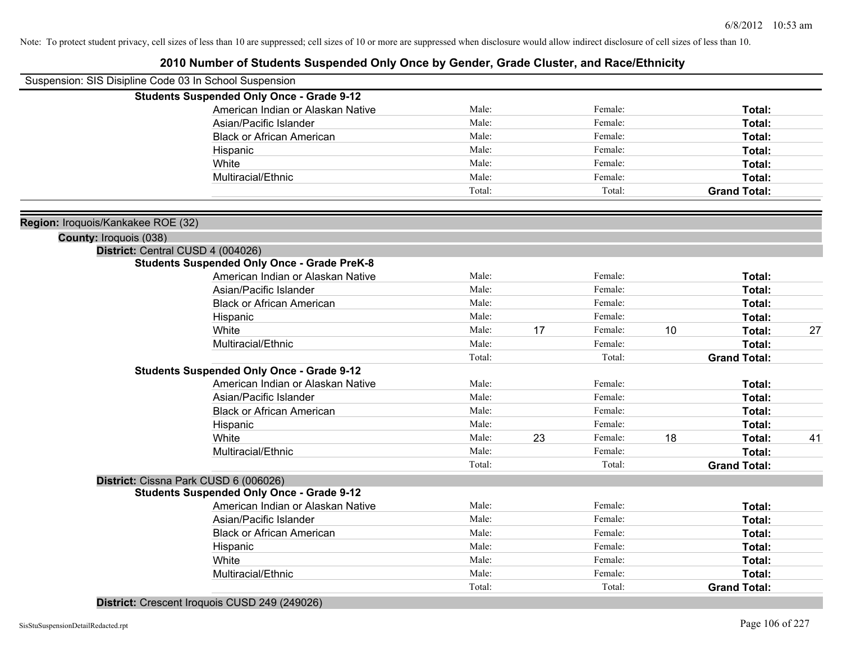| Suspension: SIS Disipline Code 03 In School Suspension |                                                    |        |    |         |    |                     |    |
|--------------------------------------------------------|----------------------------------------------------|--------|----|---------|----|---------------------|----|
|                                                        | <b>Students Suspended Only Once - Grade 9-12</b>   |        |    |         |    |                     |    |
|                                                        | American Indian or Alaskan Native                  | Male:  |    | Female: |    | Total:              |    |
|                                                        | Asian/Pacific Islander                             | Male:  |    | Female: |    | Total:              |    |
|                                                        | <b>Black or African American</b>                   | Male:  |    | Female: |    | Total:              |    |
|                                                        | Hispanic                                           | Male:  |    | Female: |    | Total:              |    |
|                                                        | White                                              | Male:  |    | Female: |    | Total:              |    |
|                                                        | Multiracial/Ethnic                                 | Male:  |    | Female: |    | Total:              |    |
|                                                        |                                                    | Total: |    | Total:  |    | <b>Grand Total:</b> |    |
| Region: Iroquois/Kankakee ROE (32)                     |                                                    |        |    |         |    |                     |    |
| County: Iroquois (038)                                 |                                                    |        |    |         |    |                     |    |
| District: Central CUSD 4 (004026)                      |                                                    |        |    |         |    |                     |    |
|                                                        | <b>Students Suspended Only Once - Grade PreK-8</b> |        |    |         |    |                     |    |
|                                                        | American Indian or Alaskan Native                  | Male:  |    | Female: |    | Total:              |    |
|                                                        | Asian/Pacific Islander                             | Male:  |    | Female: |    | Total:              |    |
|                                                        | <b>Black or African American</b>                   | Male:  |    | Female: |    | Total:              |    |
|                                                        | Hispanic                                           | Male:  |    | Female: |    | Total:              |    |
|                                                        | White                                              | Male:  | 17 | Female: | 10 | Total:              | 27 |
|                                                        | Multiracial/Ethnic                                 | Male:  |    | Female: |    | Total:              |    |
|                                                        |                                                    | Total: |    | Total:  |    | <b>Grand Total:</b> |    |
|                                                        | <b>Students Suspended Only Once - Grade 9-12</b>   |        |    |         |    |                     |    |
|                                                        | American Indian or Alaskan Native                  | Male:  |    | Female: |    | Total:              |    |
|                                                        | Asian/Pacific Islander                             | Male:  |    | Female: |    | Total:              |    |
|                                                        | <b>Black or African American</b>                   | Male:  |    | Female: |    | Total:              |    |
|                                                        | Hispanic                                           | Male:  |    | Female: |    | Total:              |    |
|                                                        | White                                              | Male:  | 23 | Female: | 18 | Total:              | 41 |
|                                                        | Multiracial/Ethnic                                 | Male:  |    | Female: |    | Total:              |    |
|                                                        |                                                    | Total: |    | Total:  |    | <b>Grand Total:</b> |    |
|                                                        | District: Cissna Park CUSD 6 (006026)              |        |    |         |    |                     |    |
|                                                        | <b>Students Suspended Only Once - Grade 9-12</b>   |        |    |         |    |                     |    |
|                                                        | American Indian or Alaskan Native                  | Male:  |    | Female: |    | Total:              |    |
|                                                        | Asian/Pacific Islander                             | Male:  |    | Female: |    | Total:              |    |
|                                                        | <b>Black or African American</b>                   | Male:  |    | Female: |    | Total:              |    |
|                                                        | Hispanic                                           | Male:  |    | Female: |    | Total:              |    |
|                                                        | White                                              | Male:  |    | Female: |    | Total:              |    |
|                                                        | Multiracial/Ethnic                                 | Male:  |    | Female: |    | Total:              |    |
|                                                        |                                                    | Total: |    | Total:  |    | <b>Grand Total:</b> |    |
|                                                        | District: Crescent Iroquois CUSD 249 (249026)      |        |    |         |    |                     |    |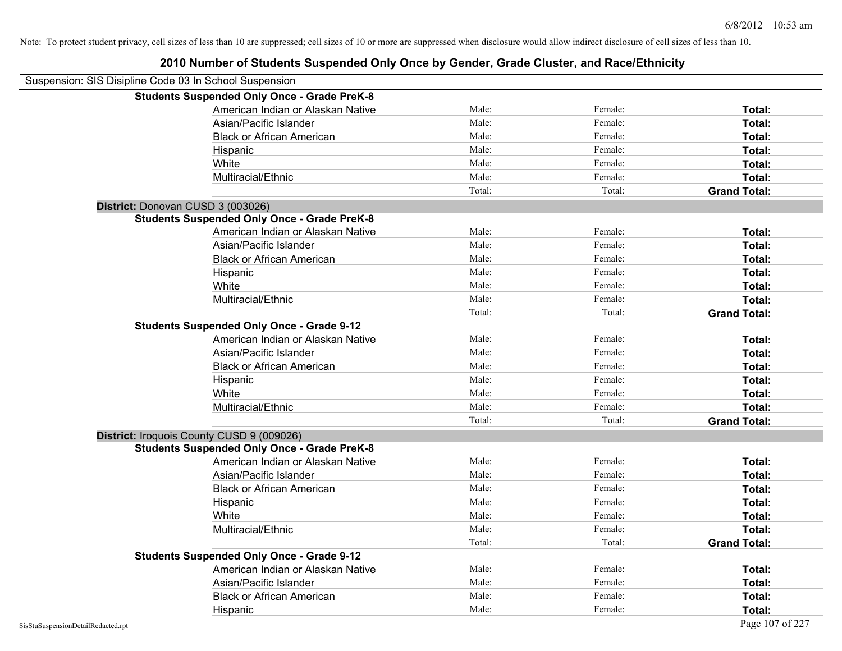| Suspension: SIS Disipline Code 03 In School Suspension |                                                    |        |         |                     |
|--------------------------------------------------------|----------------------------------------------------|--------|---------|---------------------|
|                                                        | <b>Students Suspended Only Once - Grade PreK-8</b> |        |         |                     |
|                                                        | American Indian or Alaskan Native                  | Male:  | Female: | Total:              |
|                                                        | Asian/Pacific Islander                             | Male:  | Female: | Total:              |
|                                                        | <b>Black or African American</b>                   | Male:  | Female: | Total:              |
|                                                        | Hispanic                                           | Male:  | Female: | Total:              |
|                                                        | White                                              | Male:  | Female: | Total:              |
|                                                        | Multiracial/Ethnic                                 | Male:  | Female: | Total:              |
|                                                        |                                                    | Total: | Total:  | <b>Grand Total:</b> |
| District: Donovan CUSD 3 (003026)                      |                                                    |        |         |                     |
|                                                        | <b>Students Suspended Only Once - Grade PreK-8</b> |        |         |                     |
|                                                        | American Indian or Alaskan Native                  | Male:  | Female: | Total:              |
|                                                        | Asian/Pacific Islander                             | Male:  | Female: | Total:              |
|                                                        | <b>Black or African American</b>                   | Male:  | Female: | Total:              |
|                                                        | Hispanic                                           | Male:  | Female: | Total:              |
|                                                        | White                                              | Male:  | Female: | Total:              |
|                                                        | Multiracial/Ethnic                                 | Male:  | Female: | Total:              |
|                                                        |                                                    | Total: | Total:  | <b>Grand Total:</b> |
|                                                        | <b>Students Suspended Only Once - Grade 9-12</b>   |        |         |                     |
|                                                        | American Indian or Alaskan Native                  | Male:  | Female: | Total:              |
|                                                        | Asian/Pacific Islander                             | Male:  | Female: | Total:              |
|                                                        | <b>Black or African American</b>                   | Male:  | Female: | Total:              |
|                                                        | Hispanic                                           | Male:  | Female: | Total:              |
|                                                        | White                                              | Male:  | Female: | Total:              |
|                                                        | Multiracial/Ethnic                                 | Male:  | Female: | Total:              |
|                                                        |                                                    | Total: | Total:  | <b>Grand Total:</b> |
|                                                        | District: Iroquois County CUSD 9 (009026)          |        |         |                     |
|                                                        | <b>Students Suspended Only Once - Grade PreK-8</b> |        |         |                     |
|                                                        | American Indian or Alaskan Native                  | Male:  | Female: | Total:              |
|                                                        | Asian/Pacific Islander                             | Male:  | Female: | Total:              |
|                                                        | <b>Black or African American</b>                   | Male:  | Female: | Total:              |
|                                                        | Hispanic                                           | Male:  | Female: | Total:              |
|                                                        | White                                              | Male:  | Female: | Total:              |
|                                                        | Multiracial/Ethnic                                 | Male:  | Female: | Total:              |
|                                                        |                                                    | Total: | Total:  | <b>Grand Total:</b> |
|                                                        | <b>Students Suspended Only Once - Grade 9-12</b>   |        |         |                     |
|                                                        | American Indian or Alaskan Native                  | Male:  | Female: | Total:              |
|                                                        | Asian/Pacific Islander                             | Male:  | Female: | Total:              |
|                                                        | <b>Black or African American</b>                   | Male:  | Female: | Total:              |
|                                                        | Hispanic                                           | Male:  | Female: | Total:              |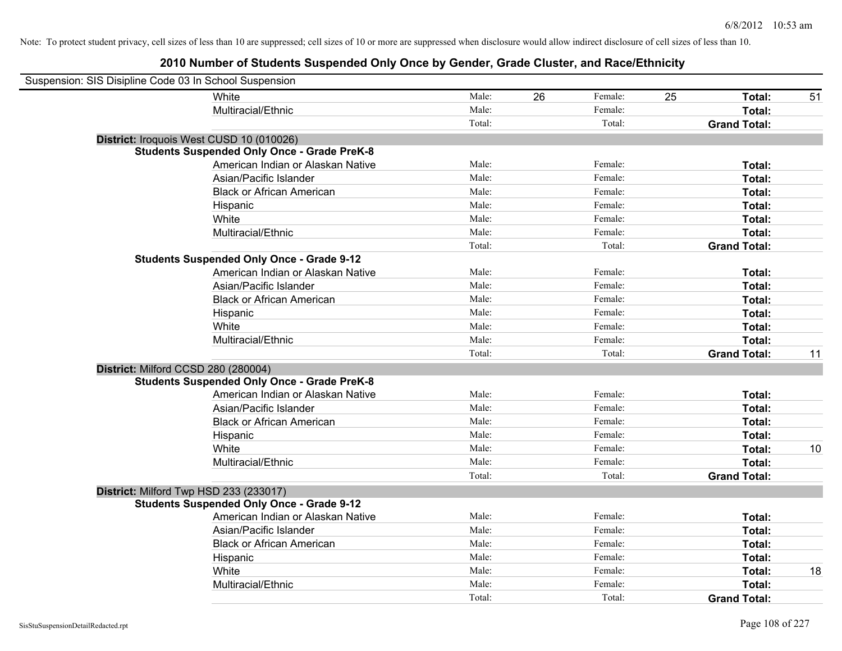| Suspension: SIS Disipline Code 03 In School Suspension |                                                    |        |    |         |    |                     |    |
|--------------------------------------------------------|----------------------------------------------------|--------|----|---------|----|---------------------|----|
|                                                        | White                                              | Male:  | 26 | Female: | 25 | Total:              | 51 |
|                                                        | Multiracial/Ethnic                                 | Male:  |    | Female: |    | Total:              |    |
|                                                        |                                                    | Total: |    | Total:  |    | <b>Grand Total:</b> |    |
| District: Iroquois West CUSD 10 (010026)               |                                                    |        |    |         |    |                     |    |
|                                                        | <b>Students Suspended Only Once - Grade PreK-8</b> |        |    |         |    |                     |    |
|                                                        | American Indian or Alaskan Native                  | Male:  |    | Female: |    | Total:              |    |
|                                                        | Asian/Pacific Islander                             | Male:  |    | Female: |    | Total:              |    |
|                                                        | <b>Black or African American</b>                   | Male:  |    | Female: |    | Total:              |    |
|                                                        | Hispanic                                           | Male:  |    | Female: |    | Total:              |    |
|                                                        | White                                              | Male:  |    | Female: |    | Total:              |    |
|                                                        | Multiracial/Ethnic                                 | Male:  |    | Female: |    | Total:              |    |
|                                                        |                                                    | Total: |    | Total:  |    | <b>Grand Total:</b> |    |
|                                                        | <b>Students Suspended Only Once - Grade 9-12</b>   |        |    |         |    |                     |    |
|                                                        | American Indian or Alaskan Native                  | Male:  |    | Female: |    | Total:              |    |
|                                                        | Asian/Pacific Islander                             | Male:  |    | Female: |    | Total:              |    |
|                                                        | <b>Black or African American</b>                   | Male:  |    | Female: |    | Total:              |    |
|                                                        | Hispanic                                           | Male:  |    | Female: |    | Total:              |    |
|                                                        | White                                              | Male:  |    | Female: |    | Total:              |    |
|                                                        | Multiracial/Ethnic                                 | Male:  |    | Female: |    | Total:              |    |
|                                                        |                                                    | Total: |    | Total:  |    | <b>Grand Total:</b> | 11 |
| District: Milford CCSD 280 (280004)                    |                                                    |        |    |         |    |                     |    |
|                                                        | <b>Students Suspended Only Once - Grade PreK-8</b> |        |    |         |    |                     |    |
|                                                        | American Indian or Alaskan Native                  | Male:  |    | Female: |    | Total:              |    |
|                                                        | Asian/Pacific Islander                             | Male:  |    | Female: |    | Total:              |    |
|                                                        | <b>Black or African American</b>                   | Male:  |    | Female: |    | Total:              |    |
|                                                        | Hispanic                                           | Male:  |    | Female: |    | Total:              |    |
|                                                        | White                                              | Male:  |    | Female: |    | Total:              | 10 |
|                                                        | Multiracial/Ethnic                                 | Male:  |    | Female: |    | Total:              |    |
|                                                        |                                                    | Total: |    | Total:  |    | <b>Grand Total:</b> |    |
| District: Milford Twp HSD 233 (233017)                 |                                                    |        |    |         |    |                     |    |
|                                                        | <b>Students Suspended Only Once - Grade 9-12</b>   |        |    |         |    |                     |    |
|                                                        | American Indian or Alaskan Native                  | Male:  |    | Female: |    | Total:              |    |
|                                                        | Asian/Pacific Islander                             | Male:  |    | Female: |    | Total:              |    |
|                                                        | <b>Black or African American</b>                   | Male:  |    | Female: |    | Total:              |    |
|                                                        | Hispanic                                           | Male:  |    | Female: |    | Total:              |    |
|                                                        | White                                              | Male:  |    | Female: |    | Total:              | 18 |
|                                                        | Multiracial/Ethnic                                 | Male:  |    | Female: |    | Total:              |    |
|                                                        |                                                    | Total: |    | Total:  |    | <b>Grand Total:</b> |    |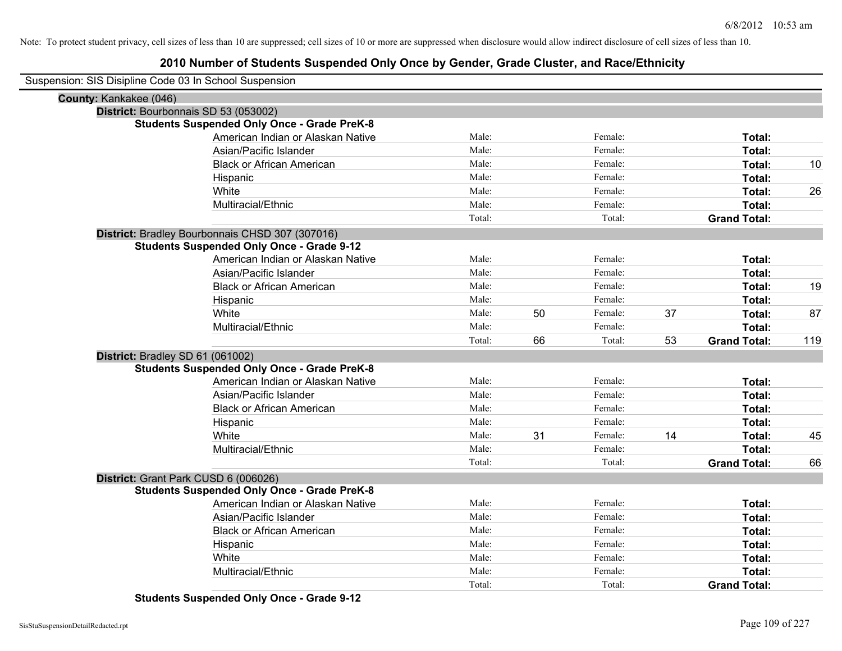## **2010 Number of Students Suspended Only Once by Gender, Grade Cluster, and Race/Ethnicity**

|                        | Suspension: SIS Disipline Code 03 In School Suspension |        |    |         |    |                     |     |
|------------------------|--------------------------------------------------------|--------|----|---------|----|---------------------|-----|
| County: Kankakee (046) |                                                        |        |    |         |    |                     |     |
|                        | District: Bourbonnais SD 53 (053002)                   |        |    |         |    |                     |     |
|                        | <b>Students Suspended Only Once - Grade PreK-8</b>     |        |    |         |    |                     |     |
|                        | American Indian or Alaskan Native                      | Male:  |    | Female: |    | Total:              |     |
|                        | Asian/Pacific Islander                                 | Male:  |    | Female: |    | Total:              |     |
|                        | <b>Black or African American</b>                       | Male:  |    | Female: |    | Total:              | 10  |
|                        | Hispanic                                               | Male:  |    | Female: |    | Total:              |     |
|                        | White                                                  | Male:  |    | Female: |    | Total:              | 26  |
|                        | Multiracial/Ethnic                                     | Male:  |    | Female: |    | Total:              |     |
|                        |                                                        | Total: |    | Total:  |    | <b>Grand Total:</b> |     |
|                        | District: Bradley Bourbonnais CHSD 307 (307016)        |        |    |         |    |                     |     |
|                        | <b>Students Suspended Only Once - Grade 9-12</b>       |        |    |         |    |                     |     |
|                        | American Indian or Alaskan Native                      | Male:  |    | Female: |    | Total:              |     |
|                        | Asian/Pacific Islander                                 | Male:  |    | Female: |    | Total:              |     |
|                        | <b>Black or African American</b>                       | Male:  |    | Female: |    | Total:              | 19  |
|                        | Hispanic                                               | Male:  |    | Female: |    | Total:              |     |
|                        | White                                                  | Male:  | 50 | Female: | 37 | Total:              | 87  |
|                        | Multiracial/Ethnic                                     | Male:  |    | Female: |    | Total:              |     |
|                        |                                                        | Total: | 66 | Total:  | 53 | <b>Grand Total:</b> | 119 |
|                        | District: Bradley SD 61 (061002)                       |        |    |         |    |                     |     |
|                        | <b>Students Suspended Only Once - Grade PreK-8</b>     |        |    |         |    |                     |     |
|                        | American Indian or Alaskan Native                      | Male:  |    | Female: |    | Total:              |     |
|                        | Asian/Pacific Islander                                 | Male:  |    | Female: |    | Total:              |     |
|                        | <b>Black or African American</b>                       | Male:  |    | Female: |    | Total:              |     |
|                        | Hispanic                                               | Male:  |    | Female: |    | Total:              |     |
|                        | White                                                  | Male:  | 31 | Female: | 14 | Total:              | 45  |
|                        | Multiracial/Ethnic                                     | Male:  |    | Female: |    | Total:              |     |
|                        |                                                        | Total: |    | Total:  |    | <b>Grand Total:</b> | 66  |
|                        | District: Grant Park CUSD 6 (006026)                   |        |    |         |    |                     |     |
|                        | <b>Students Suspended Only Once - Grade PreK-8</b>     |        |    |         |    |                     |     |
|                        | American Indian or Alaskan Native                      | Male:  |    | Female: |    | Total:              |     |
|                        | Asian/Pacific Islander                                 | Male:  |    | Female: |    | Total:              |     |
|                        | <b>Black or African American</b>                       | Male:  |    | Female: |    | Total:              |     |
|                        | Hispanic                                               | Male:  |    | Female: |    | Total:              |     |
|                        | White                                                  | Male:  |    | Female: |    | Total:              |     |
|                        | Multiracial/Ethnic                                     | Male:  |    | Female: |    | Total:              |     |
|                        |                                                        | Total: |    | Total:  |    | <b>Grand Total:</b> |     |

**Students Suspended Only Once - Grade 9-12**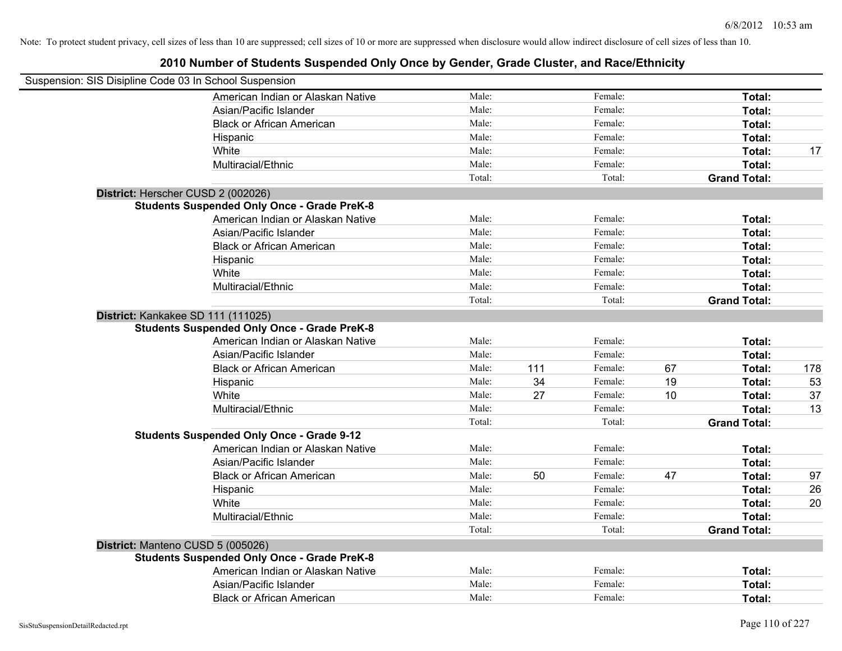| Suspension: SIS Disipline Code 03 In School Suspension |                                                    |                |     |                    |    |                     |          |
|--------------------------------------------------------|----------------------------------------------------|----------------|-----|--------------------|----|---------------------|----------|
|                                                        | American Indian or Alaskan Native                  | Male:          |     | Female:            |    | Total:              |          |
|                                                        | Asian/Pacific Islander                             | Male:          |     | Female:            |    | Total:              |          |
|                                                        | <b>Black or African American</b>                   | Male:          |     | Female:            |    | Total:              |          |
|                                                        | Hispanic                                           | Male:          |     | Female:            |    | Total:              |          |
|                                                        | White                                              | Male:          |     | Female:            |    | Total:              | 17       |
|                                                        | Multiracial/Ethnic                                 | Male:          |     | Female:            |    | Total:              |          |
|                                                        |                                                    | Total:         |     | Total:             |    | <b>Grand Total:</b> |          |
| District: Herscher CUSD 2 (002026)                     |                                                    |                |     |                    |    |                     |          |
|                                                        | <b>Students Suspended Only Once - Grade PreK-8</b> |                |     |                    |    |                     |          |
|                                                        | American Indian or Alaskan Native                  | Male:          |     | Female:            |    | Total:              |          |
|                                                        | Asian/Pacific Islander                             | Male:          |     | Female:            |    | Total:              |          |
|                                                        | <b>Black or African American</b>                   | Male:          |     | Female:            |    | Total:              |          |
|                                                        | Hispanic                                           | Male:          |     | Female:            |    | Total:              |          |
|                                                        | White                                              | Male:          |     | Female:            |    | Total:              |          |
|                                                        | Multiracial/Ethnic                                 | Male:          |     | Female:            |    | Total:              |          |
|                                                        |                                                    | Total:         |     | Total:             |    | <b>Grand Total:</b> |          |
| District: Kankakee SD 111 (111025)                     |                                                    |                |     |                    |    |                     |          |
|                                                        | <b>Students Suspended Only Once - Grade PreK-8</b> |                |     |                    |    |                     |          |
|                                                        | American Indian or Alaskan Native                  | Male:          |     | Female:            |    | Total:              |          |
|                                                        | Asian/Pacific Islander                             | Male:          |     | Female:            |    | Total:              |          |
|                                                        | <b>Black or African American</b>                   | Male:          | 111 | Female:            | 67 | Total:              | 178      |
|                                                        | Hispanic                                           | Male:          | 34  | Female:            | 19 | Total:              | 53       |
|                                                        | White                                              | Male:          | 27  | Female:            | 10 | Total:              | 37       |
|                                                        | Multiracial/Ethnic                                 | Male:          |     | Female:            |    | Total:              | 13       |
|                                                        |                                                    | Total:         |     | Total:             |    | <b>Grand Total:</b> |          |
|                                                        | <b>Students Suspended Only Once - Grade 9-12</b>   |                |     |                    |    |                     |          |
|                                                        | American Indian or Alaskan Native                  | Male:<br>Male: |     | Female:<br>Female: |    | Total:              |          |
|                                                        | Asian/Pacific Islander                             | Male:          | 50  | Female:            | 47 | Total:<br>Total:    |          |
|                                                        | <b>Black or African American</b>                   | Male:          |     | Female:            |    | Total:              | 97       |
|                                                        | Hispanic<br>White                                  | Male:          |     | Female:            |    | Total:              | 26<br>20 |
|                                                        | Multiracial/Ethnic                                 | Male:          |     | Female:            |    | Total:              |          |
|                                                        |                                                    | Total:         |     | Total:             |    | <b>Grand Total:</b> |          |
|                                                        |                                                    |                |     |                    |    |                     |          |
| District: Manteno CUSD 5 (005026)                      | <b>Students Suspended Only Once - Grade PreK-8</b> |                |     |                    |    |                     |          |
|                                                        | American Indian or Alaskan Native                  | Male:          |     | Female:            |    | Total:              |          |
|                                                        | Asian/Pacific Islander                             | Male:          |     | Female:            |    | Total:              |          |
|                                                        | <b>Black or African American</b>                   | Male:          |     | Female:            |    | Total:              |          |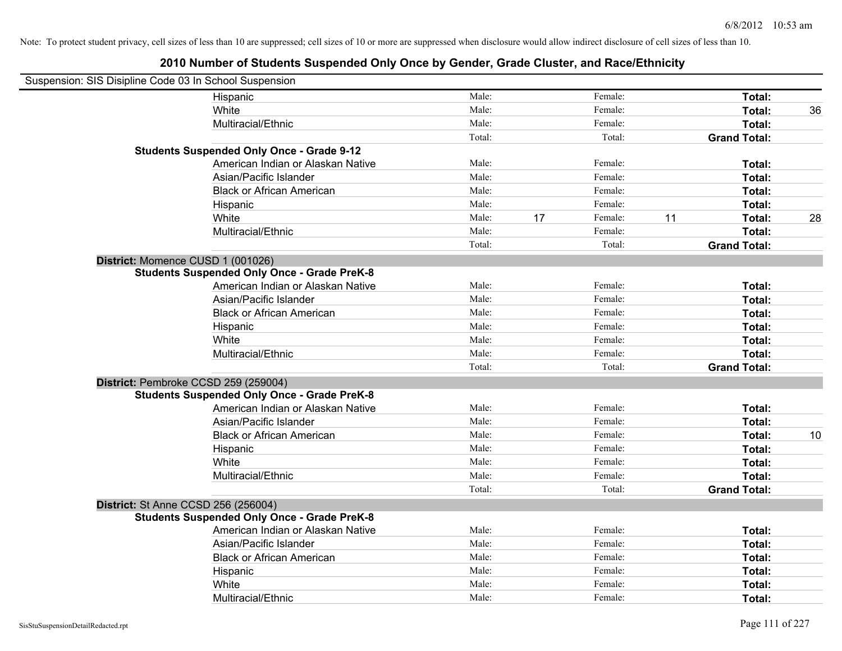| Suspension: SIS Disipline Code 03 In School Suspension |                                                    |        |    |         |                     |              |
|--------------------------------------------------------|----------------------------------------------------|--------|----|---------|---------------------|--------------|
|                                                        | Hispanic                                           | Male:  |    | Female: |                     | Total:       |
|                                                        | White                                              | Male:  |    | Female: |                     | Total:<br>36 |
|                                                        | Multiracial/Ethnic                                 | Male:  |    | Female: |                     | Total:       |
|                                                        |                                                    | Total: |    | Total:  | <b>Grand Total:</b> |              |
|                                                        | <b>Students Suspended Only Once - Grade 9-12</b>   |        |    |         |                     |              |
|                                                        | American Indian or Alaskan Native                  | Male:  |    | Female: |                     | Total:       |
|                                                        | Asian/Pacific Islander                             | Male:  |    | Female: |                     | Total:       |
|                                                        | <b>Black or African American</b>                   | Male:  |    | Female: |                     | Total:       |
|                                                        | Hispanic                                           | Male:  |    | Female: |                     | Total:       |
|                                                        | White                                              | Male:  | 17 | Female: | 11                  | Total:<br>28 |
|                                                        | Multiracial/Ethnic                                 | Male:  |    | Female: |                     | Total:       |
|                                                        |                                                    | Total: |    | Total:  | <b>Grand Total:</b> |              |
| District: Momence CUSD 1 (001026)                      |                                                    |        |    |         |                     |              |
|                                                        | <b>Students Suspended Only Once - Grade PreK-8</b> |        |    |         |                     |              |
|                                                        | American Indian or Alaskan Native                  | Male:  |    | Female: |                     | Total:       |
|                                                        | Asian/Pacific Islander                             | Male:  |    | Female: |                     | Total:       |
|                                                        | <b>Black or African American</b>                   | Male:  |    | Female: |                     | Total:       |
|                                                        | Hispanic                                           | Male:  |    | Female: |                     | Total:       |
|                                                        | White                                              | Male:  |    | Female: |                     | Total:       |
|                                                        | Multiracial/Ethnic                                 | Male:  |    | Female: |                     | Total:       |
|                                                        |                                                    | Total: |    | Total:  | <b>Grand Total:</b> |              |
|                                                        | District: Pembroke CCSD 259 (259004)               |        |    |         |                     |              |
|                                                        | <b>Students Suspended Only Once - Grade PreK-8</b> |        |    |         |                     |              |
|                                                        | American Indian or Alaskan Native                  | Male:  |    | Female: |                     | Total:       |
|                                                        | Asian/Pacific Islander                             | Male:  |    | Female: |                     | Total:       |
|                                                        | <b>Black or African American</b>                   | Male:  |    | Female: |                     | Total:<br>10 |
|                                                        | Hispanic                                           | Male:  |    | Female: |                     | Total:       |
|                                                        | White                                              | Male:  |    | Female: |                     | Total:       |
|                                                        | Multiracial/Ethnic                                 | Male:  |    | Female: |                     | Total:       |
|                                                        |                                                    | Total: |    | Total:  | <b>Grand Total:</b> |              |
| <b>District: St Anne CCSD 256 (256004)</b>             |                                                    |        |    |         |                     |              |
|                                                        | <b>Students Suspended Only Once - Grade PreK-8</b> |        |    |         |                     |              |
|                                                        | American Indian or Alaskan Native                  | Male:  |    | Female: |                     | Total:       |
|                                                        | Asian/Pacific Islander                             | Male:  |    | Female: |                     | Total:       |
|                                                        | <b>Black or African American</b>                   | Male:  |    | Female: |                     | Total:       |
|                                                        | Hispanic                                           | Male:  |    | Female: |                     | Total:       |
|                                                        | White                                              | Male:  |    | Female: |                     | Total:       |
|                                                        | Multiracial/Ethnic                                 | Male:  |    | Female: |                     | Total:       |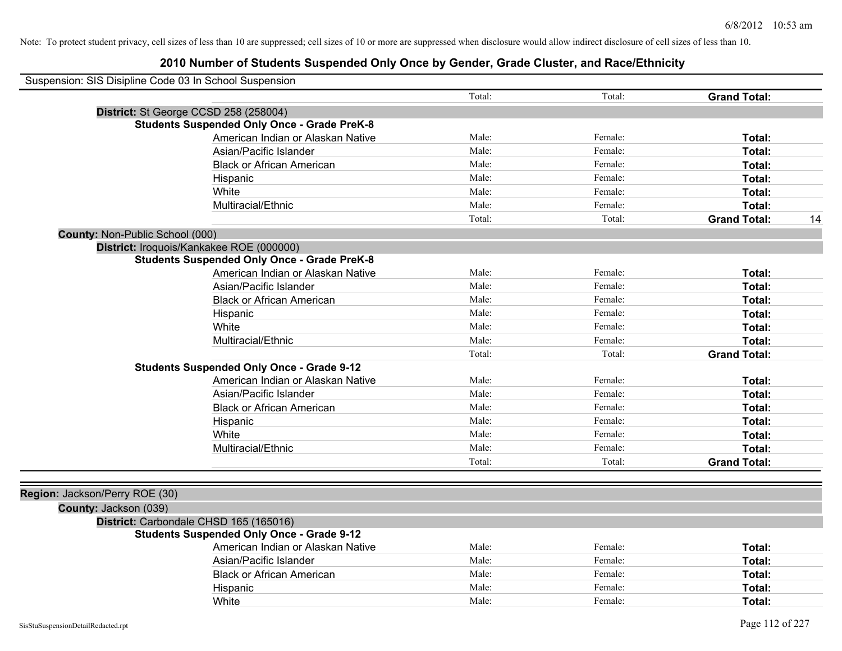| Suspension: SIS Disipline Code 03 In School Suspension |        |         |                     |    |
|--------------------------------------------------------|--------|---------|---------------------|----|
|                                                        | Total: | Total:  | <b>Grand Total:</b> |    |
| District: St George CCSD 258 (258004)                  |        |         |                     |    |
| <b>Students Suspended Only Once - Grade PreK-8</b>     |        |         |                     |    |
| American Indian or Alaskan Native                      | Male:  | Female: | Total:              |    |
| Asian/Pacific Islander                                 | Male:  | Female: | Total:              |    |
| <b>Black or African American</b>                       | Male:  | Female: | Total:              |    |
| Hispanic                                               | Male:  | Female: | Total:              |    |
| White                                                  | Male:  | Female: | Total:              |    |
| Multiracial/Ethnic                                     | Male:  | Female: | Total:              |    |
|                                                        | Total: | Total:  | <b>Grand Total:</b> | 14 |
| County: Non-Public School (000)                        |        |         |                     |    |
| District: Iroquois/Kankakee ROE (000000)               |        |         |                     |    |
| <b>Students Suspended Only Once - Grade PreK-8</b>     |        |         |                     |    |
| American Indian or Alaskan Native                      | Male:  | Female: | Total:              |    |
| Asian/Pacific Islander                                 | Male:  | Female: | Total:              |    |
| <b>Black or African American</b>                       | Male:  | Female: | Total:              |    |
| Hispanic                                               | Male:  | Female: | Total:              |    |
| White                                                  | Male:  | Female: | Total:              |    |
| Multiracial/Ethnic                                     | Male:  | Female: | Total:              |    |
|                                                        | Total: | Total:  | <b>Grand Total:</b> |    |
| <b>Students Suspended Only Once - Grade 9-12</b>       |        |         |                     |    |
| American Indian or Alaskan Native                      | Male:  | Female: | Total:              |    |
| Asian/Pacific Islander                                 | Male:  | Female: | Total:              |    |
| <b>Black or African American</b>                       | Male:  | Female: | Total:              |    |
| Hispanic                                               | Male:  | Female: | Total:              |    |
| White                                                  | Male:  | Female: | Total:              |    |
| Multiracial/Ethnic                                     | Male:  | Female: | Total:              |    |
|                                                        | Total: | Total:  | <b>Grand Total:</b> |    |
|                                                        |        |         |                     |    |
| Region: Jackson/Perry ROE (30)                         |        |         |                     |    |
| County: Jackson (039)                                  |        |         |                     |    |
| District: Carbondale CHSD 165 (165016)                 |        |         |                     |    |
| <b>Students Suspended Only Once - Grade 9-12</b>       |        |         |                     |    |
| American Indian or Alaskan Native                      | Male:  | Female: | Total:              |    |
| Asian/Pacific Islander                                 | Male:  | Female: | Total:              |    |
| <b>Black or African American</b>                       | Male:  | Female: | Total:              |    |
| Hispanic                                               | Male:  | Female: | Total:              |    |
| White                                                  | Male:  | Female: | Total:              |    |
|                                                        |        |         |                     |    |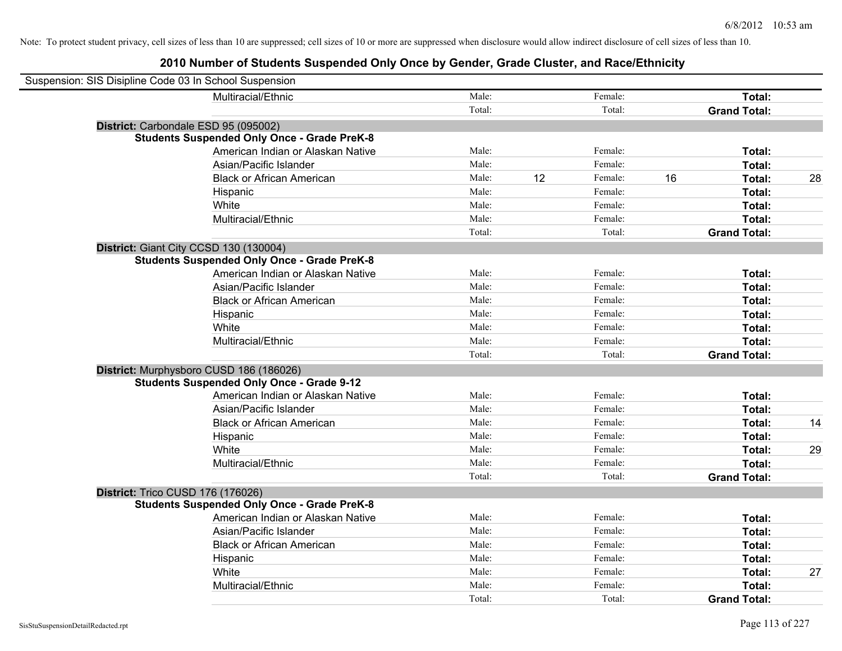| Suspension: SIS Disipline Code 03 In School Suspension |                                                    |        |    |         |    |                     |    |
|--------------------------------------------------------|----------------------------------------------------|--------|----|---------|----|---------------------|----|
|                                                        | Multiracial/Ethnic                                 | Male:  |    | Female: |    | Total:              |    |
|                                                        |                                                    | Total: |    | Total:  |    | <b>Grand Total:</b> |    |
| District: Carbondale ESD 95 (095002)                   |                                                    |        |    |         |    |                     |    |
|                                                        | <b>Students Suspended Only Once - Grade PreK-8</b> |        |    |         |    |                     |    |
|                                                        | American Indian or Alaskan Native                  | Male:  |    | Female: |    | Total:              |    |
|                                                        | Asian/Pacific Islander                             | Male:  |    | Female: |    | Total:              |    |
|                                                        | <b>Black or African American</b>                   | Male:  | 12 | Female: | 16 | Total:              | 28 |
|                                                        | Hispanic                                           | Male:  |    | Female: |    | Total:              |    |
|                                                        | White                                              | Male:  |    | Female: |    | Total:              |    |
|                                                        | Multiracial/Ethnic                                 | Male:  |    | Female: |    | Total:              |    |
|                                                        |                                                    | Total: |    | Total:  |    | <b>Grand Total:</b> |    |
| District: Giant City CCSD 130 (130004)                 |                                                    |        |    |         |    |                     |    |
|                                                        | <b>Students Suspended Only Once - Grade PreK-8</b> |        |    |         |    |                     |    |
|                                                        | American Indian or Alaskan Native                  | Male:  |    | Female: |    | Total:              |    |
|                                                        | Asian/Pacific Islander                             | Male:  |    | Female: |    | Total:              |    |
|                                                        | <b>Black or African American</b>                   | Male:  |    | Female: |    | Total:              |    |
|                                                        | Hispanic                                           | Male:  |    | Female: |    | Total:              |    |
|                                                        | White                                              | Male:  |    | Female: |    | Total:              |    |
|                                                        | Multiracial/Ethnic                                 | Male:  |    | Female: |    | Total:              |    |
|                                                        |                                                    | Total: |    | Total:  |    | <b>Grand Total:</b> |    |
| District: Murphysboro CUSD 186 (186026)                |                                                    |        |    |         |    |                     |    |
|                                                        | <b>Students Suspended Only Once - Grade 9-12</b>   |        |    |         |    |                     |    |
|                                                        | American Indian or Alaskan Native                  | Male:  |    | Female: |    | Total:              |    |
|                                                        | Asian/Pacific Islander                             | Male:  |    | Female: |    | Total:              |    |
|                                                        | <b>Black or African American</b>                   | Male:  |    | Female: |    | Total:              | 14 |
|                                                        | Hispanic                                           | Male:  |    | Female: |    | Total:              |    |
|                                                        | White                                              | Male:  |    | Female: |    | Total:              | 29 |
|                                                        | Multiracial/Ethnic                                 | Male:  |    | Female: |    | Total:              |    |
|                                                        |                                                    | Total: |    | Total:  |    | <b>Grand Total:</b> |    |
| District: Trico CUSD 176 (176026)                      |                                                    |        |    |         |    |                     |    |
|                                                        | <b>Students Suspended Only Once - Grade PreK-8</b> |        |    |         |    |                     |    |
|                                                        | American Indian or Alaskan Native                  | Male:  |    | Female: |    | Total:              |    |
|                                                        | Asian/Pacific Islander                             | Male:  |    | Female: |    | Total:              |    |
|                                                        | <b>Black or African American</b>                   | Male:  |    | Female: |    | Total:              |    |
|                                                        | Hispanic                                           | Male:  |    | Female: |    | Total:              |    |
|                                                        | White                                              | Male:  |    | Female: |    | Total:              | 27 |
|                                                        | Multiracial/Ethnic                                 | Male:  |    | Female: |    | Total:              |    |
|                                                        |                                                    | Total: |    | Total:  |    | <b>Grand Total:</b> |    |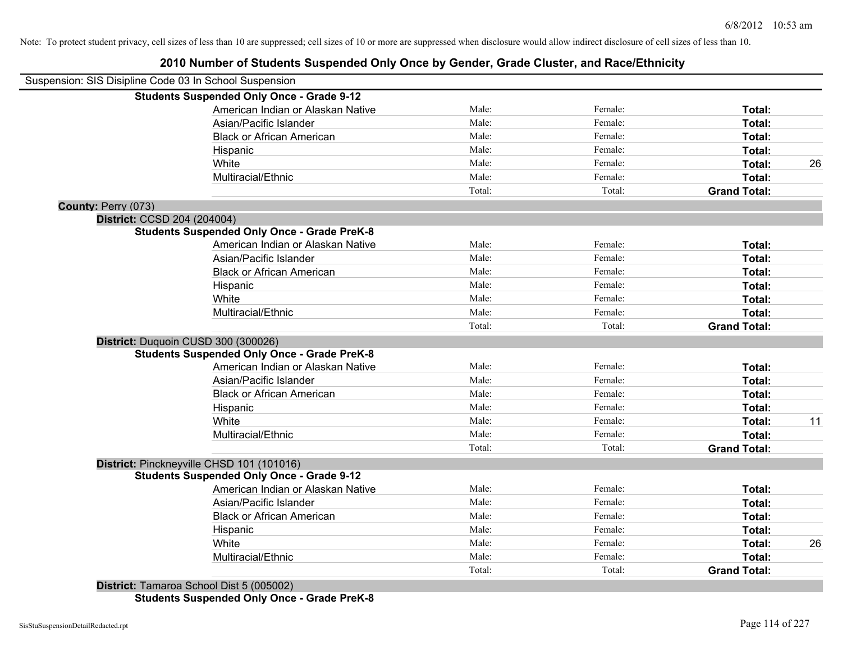# **2010 Number of Students Suspended Only Once by Gender, Grade Cluster, and Race/Ethnicity**

| Suspension: SIS Disipline Code 03 In School Suspension |                                                    |        |         |                     |    |
|--------------------------------------------------------|----------------------------------------------------|--------|---------|---------------------|----|
|                                                        | <b>Students Suspended Only Once - Grade 9-12</b>   |        |         |                     |    |
|                                                        | American Indian or Alaskan Native                  | Male:  | Female: | Total:              |    |
|                                                        | Asian/Pacific Islander                             | Male:  | Female: | Total:              |    |
|                                                        | <b>Black or African American</b>                   | Male:  | Female: | Total:              |    |
|                                                        | Hispanic                                           | Male:  | Female: | Total:              |    |
|                                                        | White                                              | Male:  | Female: | Total:              | 26 |
|                                                        | Multiracial/Ethnic                                 | Male:  | Female: | Total:              |    |
|                                                        |                                                    | Total: | Total:  | <b>Grand Total:</b> |    |
| County: Perry (073)                                    |                                                    |        |         |                     |    |
| District: CCSD 204 (204004)                            |                                                    |        |         |                     |    |
|                                                        | <b>Students Suspended Only Once - Grade PreK-8</b> |        |         |                     |    |
|                                                        | American Indian or Alaskan Native                  | Male:  | Female: | Total:              |    |
|                                                        | Asian/Pacific Islander                             | Male:  | Female: | Total:              |    |
|                                                        | <b>Black or African American</b>                   | Male:  | Female: | Total:              |    |
|                                                        | Hispanic                                           | Male:  | Female: | Total:              |    |
|                                                        | White                                              | Male:  | Female: | Total:              |    |
|                                                        | Multiracial/Ethnic                                 | Male:  | Female: | <b>Total:</b>       |    |
|                                                        |                                                    | Total: | Total:  | <b>Grand Total:</b> |    |
|                                                        | District: Duquoin CUSD 300 (300026)                |        |         |                     |    |
|                                                        | <b>Students Suspended Only Once - Grade PreK-8</b> |        |         |                     |    |
|                                                        | American Indian or Alaskan Native                  | Male:  | Female: | Total:              |    |
|                                                        | Asian/Pacific Islander                             | Male:  | Female: | Total:              |    |
|                                                        | <b>Black or African American</b>                   | Male:  | Female: | Total:              |    |
|                                                        | Hispanic                                           | Male:  | Female: | Total:              |    |
|                                                        | White                                              | Male:  | Female: | Total:              | 11 |
|                                                        | Multiracial/Ethnic                                 | Male:  | Female: | Total:              |    |
|                                                        |                                                    | Total: | Total:  | <b>Grand Total:</b> |    |
|                                                        | District: Pinckneyville CHSD 101 (101016)          |        |         |                     |    |
|                                                        | <b>Students Suspended Only Once - Grade 9-12</b>   |        |         |                     |    |
|                                                        | American Indian or Alaskan Native                  | Male:  | Female: | Total:              |    |
|                                                        | Asian/Pacific Islander                             | Male:  | Female: | Total:              |    |
|                                                        | <b>Black or African American</b>                   | Male:  | Female: | Total:              |    |
|                                                        | Hispanic                                           | Male:  | Female: | Total:              |    |
|                                                        | White                                              | Male:  | Female: | Total:              | 26 |
|                                                        | Multiracial/Ethnic                                 | Male:  | Female: | Total:              |    |
|                                                        |                                                    | Total: | Total:  | <b>Grand Total:</b> |    |
|                                                        | District: Tamarca School Dist 5 (005002)           |        |         |                     |    |

**District:** Tamaroa School Dist 5 (005002) **Students Suspended Only Once - Grade PreK-8**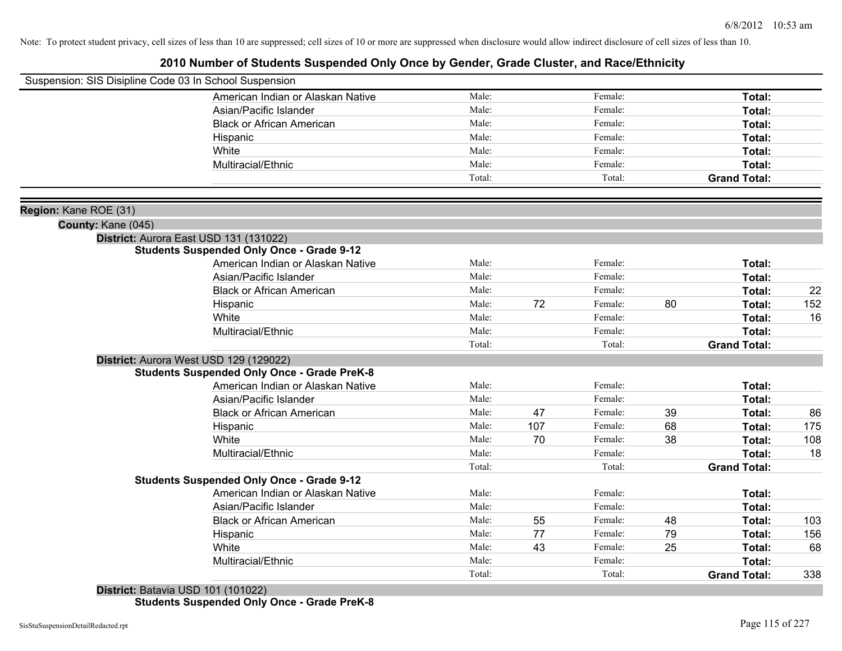## **2010 Number of Students Suspended Only Once by Gender, Grade Cluster, and Race/Ethnicity**

|                       | Suspension: SIS Disipline Code 03 In School Suspension |        |     |         |    |                     |     |
|-----------------------|--------------------------------------------------------|--------|-----|---------|----|---------------------|-----|
|                       | American Indian or Alaskan Native                      | Male:  |     | Female: |    | Total:              |     |
|                       | Asian/Pacific Islander                                 | Male:  |     | Female: |    | Total:              |     |
|                       | <b>Black or African American</b>                       | Male:  |     | Female: |    | Total:              |     |
|                       | Hispanic                                               | Male:  |     | Female: |    | Total:              |     |
|                       | White                                                  | Male:  |     | Female: |    | Total:              |     |
|                       | Multiracial/Ethnic                                     | Male:  |     | Female: |    | Total:              |     |
|                       |                                                        | Total: |     | Total:  |    | <b>Grand Total:</b> |     |
| Region: Kane ROE (31) |                                                        |        |     |         |    |                     |     |
| County: Kane (045)    |                                                        |        |     |         |    |                     |     |
|                       | District: Aurora East USD 131 (131022)                 |        |     |         |    |                     |     |
|                       | <b>Students Suspended Only Once - Grade 9-12</b>       |        |     |         |    |                     |     |
|                       | American Indian or Alaskan Native                      | Male:  |     | Female: |    | Total:              |     |
|                       | Asian/Pacific Islander                                 | Male:  |     | Female: |    | Total:              |     |
|                       | <b>Black or African American</b>                       | Male:  |     | Female: |    | Total:              | 22  |
|                       | Hispanic                                               | Male:  | 72  | Female: | 80 | Total:              | 152 |
|                       | White                                                  | Male:  |     | Female: |    | Total:              | 16  |
|                       | Multiracial/Ethnic                                     | Male:  |     | Female: |    | Total:              |     |
|                       |                                                        | Total: |     | Total:  |    | <b>Grand Total:</b> |     |
|                       | District: Aurora West USD 129 (129022)                 |        |     |         |    |                     |     |
|                       | <b>Students Suspended Only Once - Grade PreK-8</b>     |        |     |         |    |                     |     |
|                       | American Indian or Alaskan Native                      | Male:  |     | Female: |    | Total:              |     |
|                       | Asian/Pacific Islander                                 | Male:  |     | Female: |    | Total:              |     |
|                       | <b>Black or African American</b>                       | Male:  | 47  | Female: | 39 | Total:              | 86  |
|                       | Hispanic                                               | Male:  | 107 | Female: | 68 | Total:              | 175 |
|                       | White                                                  | Male:  | 70  | Female: | 38 | Total:              | 108 |
|                       | Multiracial/Ethnic                                     | Male:  |     | Female: |    | Total:              | 18  |
|                       |                                                        | Total: |     | Total:  |    | <b>Grand Total:</b> |     |
|                       | <b>Students Suspended Only Once - Grade 9-12</b>       |        |     |         |    |                     |     |
|                       | American Indian or Alaskan Native                      | Male:  |     | Female: |    | Total:              |     |
|                       | Asian/Pacific Islander                                 | Male:  |     | Female: |    | Total:              |     |
|                       | <b>Black or African American</b>                       | Male:  | 55  | Female: | 48 | Total:              | 103 |
|                       | Hispanic                                               | Male:  | 77  | Female: | 79 | Total:              | 156 |
|                       | White                                                  | Male:  | 43  | Female: | 25 | Total:              | 68  |
|                       | Multiracial/Ethnic                                     | Male:  |     | Female: |    | Total:              |     |
|                       |                                                        | Total: |     | Total:  |    | <b>Grand Total:</b> | 338 |

**District:** Batavia USD 101 (101022) **Students Suspended Only Once - Grade PreK-8**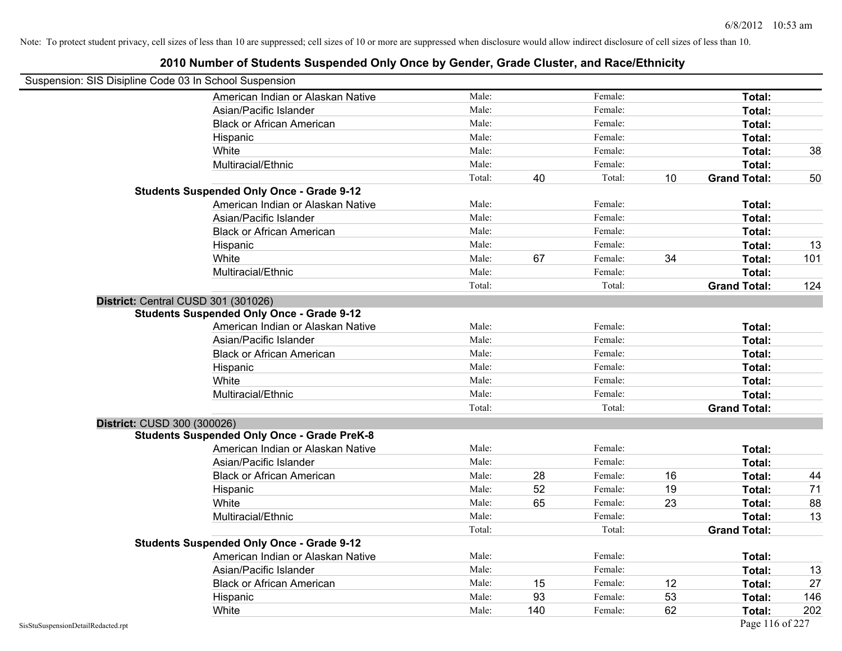| Suspension: SIS Disipline Code 03 In School Suspension |                                                    |        |     |         |    |                     |     |
|--------------------------------------------------------|----------------------------------------------------|--------|-----|---------|----|---------------------|-----|
|                                                        | American Indian or Alaskan Native                  | Male:  |     | Female: |    | Total:              |     |
|                                                        | Asian/Pacific Islander                             | Male:  |     | Female: |    | Total:              |     |
|                                                        | <b>Black or African American</b>                   | Male:  |     | Female: |    | Total:              |     |
|                                                        | Hispanic                                           | Male:  |     | Female: |    | Total:              |     |
|                                                        | White                                              | Male:  |     | Female: |    | Total:              | 38  |
|                                                        | Multiracial/Ethnic                                 | Male:  |     | Female: |    | Total:              |     |
|                                                        |                                                    | Total: | 40  | Total:  | 10 | <b>Grand Total:</b> | 50  |
|                                                        | <b>Students Suspended Only Once - Grade 9-12</b>   |        |     |         |    |                     |     |
|                                                        | American Indian or Alaskan Native                  | Male:  |     | Female: |    | Total:              |     |
|                                                        | Asian/Pacific Islander                             | Male:  |     | Female: |    | Total:              |     |
|                                                        | <b>Black or African American</b>                   | Male:  |     | Female: |    | Total:              |     |
|                                                        | Hispanic                                           | Male:  |     | Female: |    | Total:              | 13  |
|                                                        | White                                              | Male:  | 67  | Female: | 34 | Total:              | 101 |
|                                                        | Multiracial/Ethnic                                 | Male:  |     | Female: |    | Total:              |     |
|                                                        |                                                    | Total: |     | Total:  |    | <b>Grand Total:</b> | 124 |
|                                                        | District: Central CUSD 301 (301026)                |        |     |         |    |                     |     |
|                                                        | <b>Students Suspended Only Once - Grade 9-12</b>   |        |     |         |    |                     |     |
|                                                        | American Indian or Alaskan Native                  | Male:  |     | Female: |    | Total:              |     |
|                                                        | Asian/Pacific Islander                             | Male:  |     | Female: |    | Total:              |     |
|                                                        | <b>Black or African American</b>                   | Male:  |     | Female: |    | Total:              |     |
|                                                        | Hispanic                                           | Male:  |     | Female: |    | Total:              |     |
|                                                        | White                                              | Male:  |     | Female: |    | Total:              |     |
|                                                        | Multiracial/Ethnic                                 | Male:  |     | Female: |    | Total:              |     |
|                                                        |                                                    | Total: |     | Total:  |    | <b>Grand Total:</b> |     |
| District: CUSD 300 (300026)                            |                                                    |        |     |         |    |                     |     |
|                                                        | <b>Students Suspended Only Once - Grade PreK-8</b> |        |     |         |    |                     |     |
|                                                        | American Indian or Alaskan Native                  | Male:  |     | Female: |    | Total:              |     |
|                                                        | Asian/Pacific Islander                             | Male:  |     | Female: |    | Total:              |     |
|                                                        | <b>Black or African American</b>                   | Male:  | 28  | Female: | 16 | Total:              | 44  |
|                                                        | Hispanic                                           | Male:  | 52  | Female: | 19 | Total:              | 71  |
|                                                        | White                                              | Male:  | 65  | Female: | 23 | Total:              | 88  |
|                                                        | Multiracial/Ethnic                                 | Male:  |     | Female: |    | Total:              | 13  |
|                                                        |                                                    | Total: |     | Total:  |    | <b>Grand Total:</b> |     |
|                                                        | <b>Students Suspended Only Once - Grade 9-12</b>   |        |     |         |    |                     |     |
|                                                        | American Indian or Alaskan Native                  | Male:  |     | Female: |    | Total:              |     |
|                                                        | Asian/Pacific Islander                             | Male:  |     | Female: |    | Total:              | 13  |
|                                                        | <b>Black or African American</b>                   | Male:  | 15  | Female: | 12 | Total:              | 27  |
|                                                        | Hispanic                                           | Male:  | 93  | Female: | 53 | Total:              | 146 |
|                                                        | White                                              | Male:  | 140 | Female: | 62 | Total:              | 202 |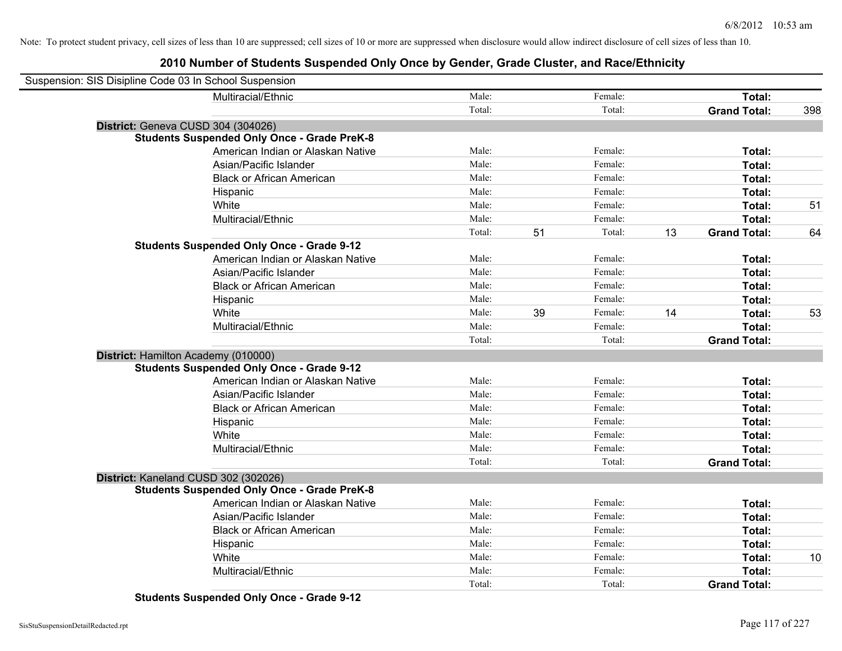## **2010 Number of Students Suspended Only Once by Gender, Grade Cluster, and Race/Ethnicity**

| Suspension: SIS Disipline Code 03 In School Suspension |                                                    |        |    |         |    |                     |     |
|--------------------------------------------------------|----------------------------------------------------|--------|----|---------|----|---------------------|-----|
|                                                        | Multiracial/Ethnic                                 | Male:  |    | Female: |    | Total:              |     |
|                                                        |                                                    | Total: |    | Total:  |    | <b>Grand Total:</b> | 398 |
|                                                        | District: Geneva CUSD 304 (304026)                 |        |    |         |    |                     |     |
|                                                        | <b>Students Suspended Only Once - Grade PreK-8</b> |        |    |         |    |                     |     |
|                                                        | American Indian or Alaskan Native                  | Male:  |    | Female: |    | Total:              |     |
|                                                        | Asian/Pacific Islander                             | Male:  |    | Female: |    | Total:              |     |
|                                                        | <b>Black or African American</b>                   | Male:  |    | Female: |    | Total:              |     |
|                                                        | Hispanic                                           | Male:  |    | Female: |    | Total:              |     |
|                                                        | White                                              | Male:  |    | Female: |    | Total:              | 51  |
|                                                        | Multiracial/Ethnic                                 | Male:  |    | Female: |    | Total:              |     |
|                                                        |                                                    | Total: | 51 | Total:  | 13 | <b>Grand Total:</b> | 64  |
|                                                        | <b>Students Suspended Only Once - Grade 9-12</b>   |        |    |         |    |                     |     |
|                                                        | American Indian or Alaskan Native                  | Male:  |    | Female: |    | Total:              |     |
|                                                        | Asian/Pacific Islander                             | Male:  |    | Female: |    | Total:              |     |
|                                                        | <b>Black or African American</b>                   | Male:  |    | Female: |    | Total:              |     |
|                                                        | Hispanic                                           | Male:  |    | Female: |    | Total:              |     |
|                                                        | White                                              | Male:  | 39 | Female: | 14 | Total:              | 53  |
|                                                        | Multiracial/Ethnic                                 | Male:  |    | Female: |    | Total:              |     |
|                                                        |                                                    | Total: |    | Total:  |    | <b>Grand Total:</b> |     |
|                                                        | District: Hamilton Academy (010000)                |        |    |         |    |                     |     |
|                                                        | <b>Students Suspended Only Once - Grade 9-12</b>   |        |    |         |    |                     |     |
|                                                        | American Indian or Alaskan Native                  | Male:  |    | Female: |    | Total:              |     |
|                                                        | Asian/Pacific Islander                             | Male:  |    | Female: |    | Total:              |     |
|                                                        | <b>Black or African American</b>                   | Male:  |    | Female: |    | Total:              |     |
|                                                        | Hispanic                                           | Male:  |    | Female: |    | Total:              |     |
|                                                        | White                                              | Male:  |    | Female: |    | Total:              |     |
|                                                        | Multiracial/Ethnic                                 | Male:  |    | Female: |    | Total:              |     |
|                                                        |                                                    | Total: |    | Total:  |    | <b>Grand Total:</b> |     |
|                                                        | District: Kaneland CUSD 302 (302026)               |        |    |         |    |                     |     |
|                                                        | <b>Students Suspended Only Once - Grade PreK-8</b> |        |    |         |    |                     |     |
|                                                        | American Indian or Alaskan Native                  | Male:  |    | Female: |    | Total:              |     |
|                                                        | Asian/Pacific Islander                             | Male:  |    | Female: |    | Total:              |     |
|                                                        | <b>Black or African American</b>                   | Male:  |    | Female: |    | Total:              |     |
|                                                        | Hispanic                                           | Male:  |    | Female: |    | Total:              |     |
|                                                        | White                                              | Male:  |    | Female: |    | Total:              | 10  |
|                                                        | Multiracial/Ethnic                                 | Male:  |    | Female: |    | Total:              |     |
|                                                        |                                                    | Total: |    | Total:  |    | <b>Grand Total:</b> |     |

**Students Suspended Only Once - Grade 9-12**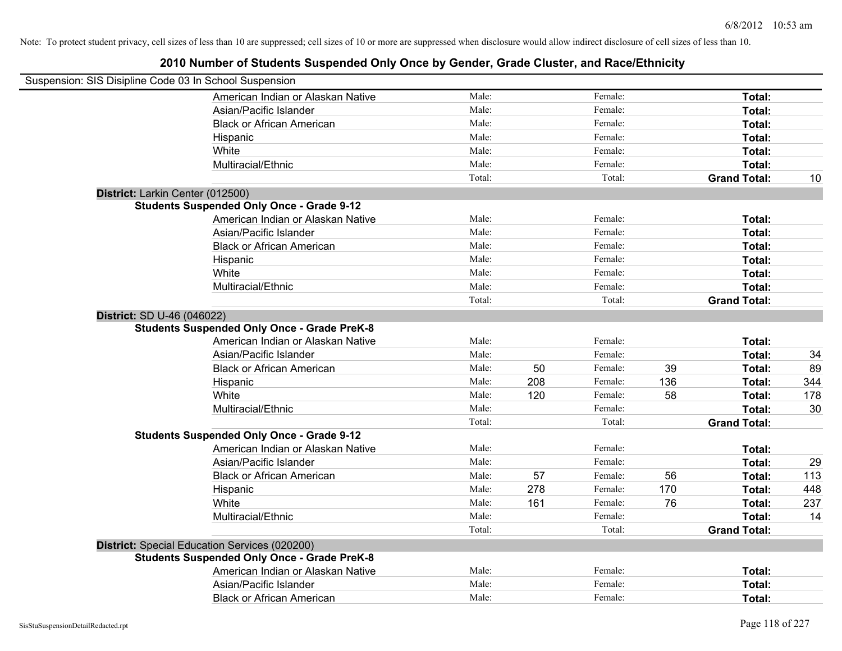| Suspension: SIS Disipline Code 03 In School Suspension |        |     |         |     |                     |     |
|--------------------------------------------------------|--------|-----|---------|-----|---------------------|-----|
| American Indian or Alaskan Native                      | Male:  |     | Female: |     | Total:              |     |
| Asian/Pacific Islander                                 | Male:  |     | Female: |     | Total:              |     |
| <b>Black or African American</b>                       | Male:  |     | Female: |     | Total:              |     |
| Hispanic                                               | Male:  |     | Female: |     | Total:              |     |
| White                                                  | Male:  |     | Female: |     | Total:              |     |
| Multiracial/Ethnic                                     | Male:  |     | Female: |     | Total:              |     |
|                                                        | Total: |     | Total:  |     | <b>Grand Total:</b> | 10  |
| District: Larkin Center (012500)                       |        |     |         |     |                     |     |
| <b>Students Suspended Only Once - Grade 9-12</b>       |        |     |         |     |                     |     |
| American Indian or Alaskan Native                      | Male:  |     | Female: |     | Total:              |     |
| Asian/Pacific Islander                                 | Male:  |     | Female: |     | Total:              |     |
| <b>Black or African American</b>                       | Male:  |     | Female: |     | Total:              |     |
| Hispanic                                               | Male:  |     | Female: |     | Total:              |     |
| White                                                  | Male:  |     | Female: |     | Total:              |     |
| Multiracial/Ethnic                                     | Male:  |     | Female: |     | Total:              |     |
|                                                        | Total: |     | Total:  |     | <b>Grand Total:</b> |     |
| <b>District: SD U-46 (046022)</b>                      |        |     |         |     |                     |     |
| <b>Students Suspended Only Once - Grade PreK-8</b>     |        |     |         |     |                     |     |
| American Indian or Alaskan Native                      | Male:  |     | Female: |     | Total:              |     |
| Asian/Pacific Islander                                 | Male:  |     | Female: |     | Total:              | 34  |
| <b>Black or African American</b>                       | Male:  | 50  | Female: | 39  | Total:              | 89  |
| Hispanic                                               | Male:  | 208 | Female: | 136 | Total:              | 344 |
| White                                                  | Male:  | 120 | Female: | 58  | Total:              | 178 |
| Multiracial/Ethnic                                     | Male:  |     | Female: |     | Total:              | 30  |
|                                                        | Total: |     | Total:  |     | <b>Grand Total:</b> |     |
| <b>Students Suspended Only Once - Grade 9-12</b>       |        |     |         |     |                     |     |
| American Indian or Alaskan Native                      | Male:  |     | Female: |     | Total:              |     |
| Asian/Pacific Islander                                 | Male:  |     | Female: |     | Total:              | 29  |
| <b>Black or African American</b>                       | Male:  | 57  | Female: | 56  | Total:              | 113 |
| Hispanic                                               | Male:  | 278 | Female: | 170 | Total:              | 448 |
| White                                                  | Male:  | 161 | Female: | 76  | Total:              | 237 |
| Multiracial/Ethnic                                     | Male:  |     | Female: |     | Total:              | 14  |
|                                                        | Total: |     | Total:  |     | <b>Grand Total:</b> |     |
| District: Special Education Services (020200)          |        |     |         |     |                     |     |
| <b>Students Suspended Only Once - Grade PreK-8</b>     |        |     |         |     |                     |     |
| American Indian or Alaskan Native                      | Male:  |     | Female: |     | Total:              |     |
| Asian/Pacific Islander                                 | Male:  |     | Female: |     | Total:              |     |
| <b>Black or African American</b>                       | Male:  |     | Female: |     | Total:              |     |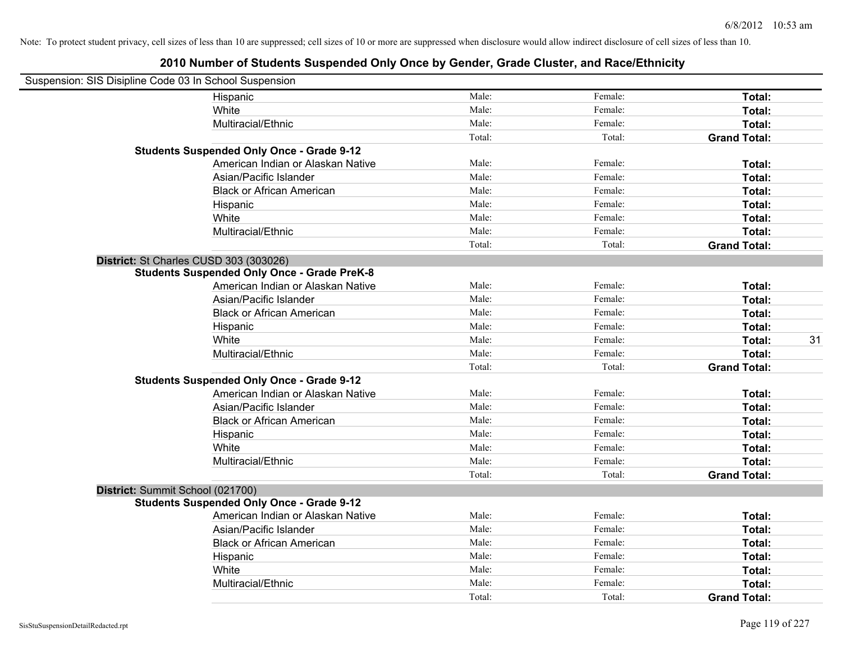| Suspension: SIS Disipline Code 03 In School Suspension |                                                    |        |         |                     |    |
|--------------------------------------------------------|----------------------------------------------------|--------|---------|---------------------|----|
|                                                        | Hispanic                                           | Male:  | Female: | Total:              |    |
|                                                        | White                                              | Male:  | Female: | Total:              |    |
|                                                        | Multiracial/Ethnic                                 | Male:  | Female: | Total:              |    |
|                                                        |                                                    | Total: | Total:  | <b>Grand Total:</b> |    |
|                                                        | <b>Students Suspended Only Once - Grade 9-12</b>   |        |         |                     |    |
|                                                        | American Indian or Alaskan Native                  | Male:  | Female: | Total:              |    |
|                                                        | Asian/Pacific Islander                             | Male:  | Female: | Total:              |    |
|                                                        | <b>Black or African American</b>                   | Male:  | Female: | Total:              |    |
|                                                        | Hispanic                                           | Male:  | Female: | Total:              |    |
|                                                        | White                                              | Male:  | Female: | Total:              |    |
|                                                        | Multiracial/Ethnic                                 | Male:  | Female: | Total:              |    |
|                                                        |                                                    | Total: | Total:  | <b>Grand Total:</b> |    |
|                                                        | District: St Charles CUSD 303 (303026)             |        |         |                     |    |
|                                                        | <b>Students Suspended Only Once - Grade PreK-8</b> |        |         |                     |    |
|                                                        | American Indian or Alaskan Native                  | Male:  | Female: | Total:              |    |
|                                                        | Asian/Pacific Islander                             | Male:  | Female: | Total:              |    |
|                                                        | <b>Black or African American</b>                   | Male:  | Female: | Total:              |    |
|                                                        | Hispanic                                           | Male:  | Female: | Total:              |    |
|                                                        | White                                              | Male:  | Female: | Total:              | 31 |
|                                                        | Multiracial/Ethnic                                 | Male:  | Female: | Total:              |    |
|                                                        |                                                    | Total: | Total:  | <b>Grand Total:</b> |    |
|                                                        | <b>Students Suspended Only Once - Grade 9-12</b>   |        |         |                     |    |
|                                                        | American Indian or Alaskan Native                  | Male:  | Female: | Total:              |    |
|                                                        | Asian/Pacific Islander                             | Male:  | Female: | Total:              |    |
|                                                        | <b>Black or African American</b>                   | Male:  | Female: | Total:              |    |
|                                                        | Hispanic                                           | Male:  | Female: | Total:              |    |
|                                                        | White                                              | Male:  | Female: | Total:              |    |
|                                                        | Multiracial/Ethnic                                 | Male:  | Female: | Total:              |    |
|                                                        |                                                    | Total: | Total:  | <b>Grand Total:</b> |    |
|                                                        | District: Summit School (021700)                   |        |         |                     |    |
|                                                        | <b>Students Suspended Only Once - Grade 9-12</b>   |        |         |                     |    |
|                                                        | American Indian or Alaskan Native                  | Male:  | Female: | Total:              |    |
|                                                        | Asian/Pacific Islander                             | Male:  | Female: | Total:              |    |
|                                                        | <b>Black or African American</b>                   | Male:  | Female: | Total:              |    |
|                                                        | Hispanic                                           | Male:  | Female: | Total:              |    |
|                                                        | White                                              | Male:  | Female: | Total:              |    |
|                                                        | Multiracial/Ethnic                                 | Male:  | Female: | Total:              |    |
|                                                        |                                                    | Total: | Total:  | <b>Grand Total:</b> |    |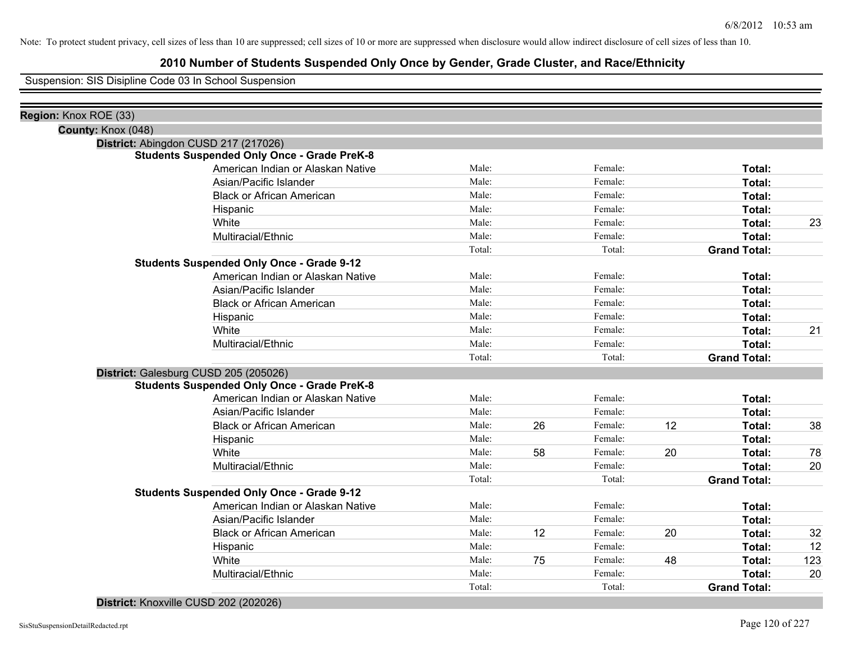## **2010 Number of Students Suspended Only Once by Gender, Grade Cluster, and Race/Ethnicity**

Suspension: SIS Disipline Code 03 In School Suspension

| Region: Knox ROE (33) |                                                    |        |    |         |    |                     |     |
|-----------------------|----------------------------------------------------|--------|----|---------|----|---------------------|-----|
| County: Knox (048)    |                                                    |        |    |         |    |                     |     |
|                       | District: Abingdon CUSD 217 (217026)               |        |    |         |    |                     |     |
|                       | <b>Students Suspended Only Once - Grade PreK-8</b> |        |    |         |    |                     |     |
|                       | American Indian or Alaskan Native                  | Male:  |    | Female: |    | Total:              |     |
|                       | Asian/Pacific Islander                             | Male:  |    | Female: |    | Total:              |     |
|                       | <b>Black or African American</b>                   | Male:  |    | Female: |    | Total:              |     |
|                       | Hispanic                                           | Male:  |    | Female: |    | Total:              |     |
|                       | White                                              | Male:  |    | Female: |    | Total:              | 23  |
|                       | Multiracial/Ethnic                                 | Male:  |    | Female: |    | Total:              |     |
|                       |                                                    | Total: |    | Total:  |    | <b>Grand Total:</b> |     |
|                       | <b>Students Suspended Only Once - Grade 9-12</b>   |        |    |         |    |                     |     |
|                       | American Indian or Alaskan Native                  | Male:  |    | Female: |    | Total:              |     |
|                       | Asian/Pacific Islander                             | Male:  |    | Female: |    | Total:              |     |
|                       | <b>Black or African American</b>                   | Male:  |    | Female: |    | Total:              |     |
|                       | Hispanic                                           | Male:  |    | Female: |    | Total:              |     |
|                       | White                                              | Male:  |    | Female: |    | Total:              | 21  |
|                       | Multiracial/Ethnic                                 | Male:  |    | Female: |    | Total:              |     |
|                       |                                                    | Total: |    | Total:  |    | <b>Grand Total:</b> |     |
|                       | District: Galesburg CUSD 205 (205026)              |        |    |         |    |                     |     |
|                       | <b>Students Suspended Only Once - Grade PreK-8</b> |        |    |         |    |                     |     |
|                       | American Indian or Alaskan Native                  | Male:  |    | Female: |    | <b>Total:</b>       |     |
|                       | Asian/Pacific Islander                             | Male:  |    | Female: |    | <b>Total:</b>       |     |
|                       | <b>Black or African American</b>                   | Male:  | 26 | Female: | 12 | Total:              | 38  |
|                       | Hispanic                                           | Male:  |    | Female: |    | Total:              |     |
|                       | White                                              | Male:  | 58 | Female: | 20 | Total:              | 78  |
|                       | Multiracial/Ethnic                                 | Male:  |    | Female: |    | Total:              | 20  |
|                       |                                                    | Total: |    | Total:  |    | <b>Grand Total:</b> |     |
|                       | <b>Students Suspended Only Once - Grade 9-12</b>   |        |    |         |    |                     |     |
|                       | American Indian or Alaskan Native                  | Male:  |    | Female: |    | Total:              |     |
|                       | Asian/Pacific Islander                             | Male:  |    | Female: |    | Total:              |     |
|                       | <b>Black or African American</b>                   | Male:  | 12 | Female: | 20 | Total:              | 32  |
|                       | Hispanic                                           | Male:  |    | Female: |    | Total:              | 12  |
|                       | White                                              | Male:  | 75 | Female: | 48 | Total:              | 123 |
|                       | Multiracial/Ethnic                                 | Male:  |    | Female: |    | Total:              | 20  |
|                       |                                                    | Total: |    | Total:  |    | <b>Grand Total:</b> |     |

#### **District:** Knoxville CUSD 202 (202026)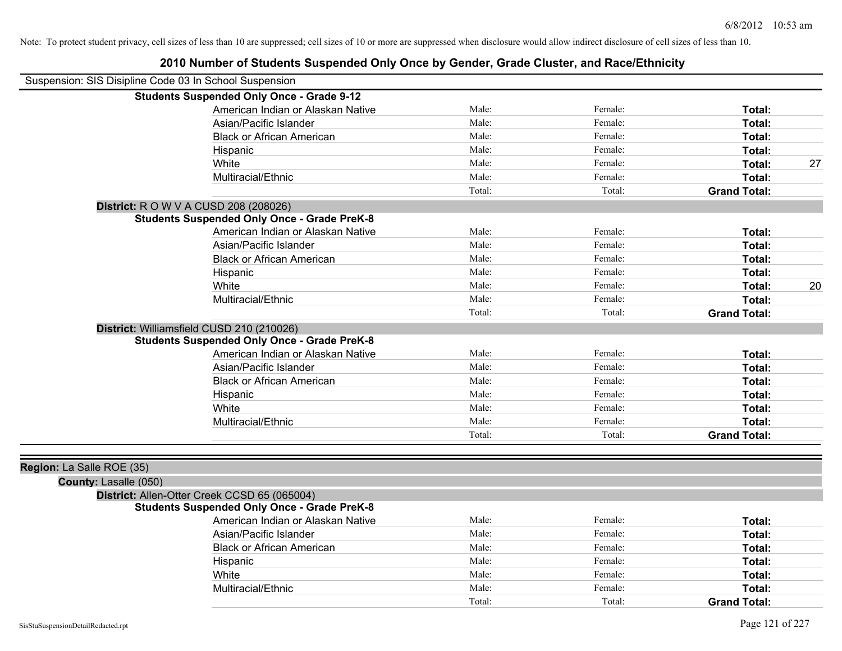|                                                        | zu iu number of Students Suspended Only Once by Gender, Grade Cluster, and Race/Ethnicity |        |         |                     |    |
|--------------------------------------------------------|-------------------------------------------------------------------------------------------|--------|---------|---------------------|----|
| Suspension: SIS Disipline Code 03 In School Suspension |                                                                                           |        |         |                     |    |
|                                                        | <b>Students Suspended Only Once - Grade 9-12</b>                                          |        |         |                     |    |
|                                                        | American Indian or Alaskan Native                                                         | Male:  | Female: | Total:              |    |
|                                                        | Asian/Pacific Islander                                                                    | Male:  | Female: | Total:              |    |
|                                                        | <b>Black or African American</b>                                                          | Male:  | Female: | Total:              |    |
|                                                        | Hispanic                                                                                  | Male:  | Female: | Total:              |    |
|                                                        | White                                                                                     | Male:  | Female: | Total:              | 27 |
|                                                        | Multiracial/Ethnic                                                                        | Male:  | Female: | Total:              |    |
|                                                        |                                                                                           | Total: | Total:  | <b>Grand Total:</b> |    |
|                                                        | <b>District: R O W V A CUSD 208 (208026)</b>                                              |        |         |                     |    |
|                                                        | <b>Students Suspended Only Once - Grade PreK-8</b>                                        |        |         |                     |    |
|                                                        | American Indian or Alaskan Native                                                         | Male:  | Female: | Total:              |    |
|                                                        | Asian/Pacific Islander                                                                    | Male:  | Female: | Total:              |    |
|                                                        | <b>Black or African American</b>                                                          | Male:  | Female: | Total:              |    |
|                                                        | Hispanic                                                                                  | Male:  | Female: | Total:              |    |
|                                                        | White                                                                                     | Male:  | Female: | Total:              | 20 |
|                                                        | Multiracial/Ethnic                                                                        | Male:  | Female: | Total:              |    |
|                                                        |                                                                                           | Total: | Total:  | <b>Grand Total:</b> |    |
|                                                        | District: Williamsfield CUSD 210 (210026)                                                 |        |         |                     |    |
|                                                        | <b>Students Suspended Only Once - Grade PreK-8</b>                                        |        |         |                     |    |
|                                                        | American Indian or Alaskan Native                                                         | Male:  | Female: | Total:              |    |
|                                                        | Asian/Pacific Islander                                                                    | Male:  | Female: | Total:              |    |
|                                                        | <b>Black or African American</b>                                                          | Male:  | Female: | Total:              |    |
|                                                        | Hispanic                                                                                  | Male:  | Female: | Total:              |    |
|                                                        | White                                                                                     | Male:  | Female: | Total:              |    |
|                                                        | Multiracial/Ethnic                                                                        | Male:  | Female: | Total:              |    |
|                                                        |                                                                                           | Total: | Total:  | <b>Grand Total:</b> |    |
|                                                        |                                                                                           |        |         |                     |    |
| Region: La Salle ROE (35)                              |                                                                                           |        |         |                     |    |
| County: Lasalle (050)                                  |                                                                                           |        |         |                     |    |
|                                                        | District: Allen-Otter Creek CCSD 65 (065004)                                              |        |         |                     |    |
|                                                        | <b>Students Suspended Only Once - Grade PreK-8</b>                                        |        |         |                     |    |
|                                                        | American Indian or Alaskan Native                                                         | Male:  | Female: | Total:              |    |
|                                                        | Asian/Pacific Islander                                                                    | Male:  | Female: | Total:              |    |
|                                                        | <b>Black or African American</b>                                                          | Male:  | Female: | Total:              |    |
|                                                        | Hispanic                                                                                  | Male:  | Female: | Total:              |    |
|                                                        | White                                                                                     | Male:  | Female: | Total:              |    |

Multiracial/Ethnic **Total:** Male: Female: **Total:** Female: **Total:** Female: **Total:** Female: **Total:** Female: **Total:** Female: **Total:** Female: **Total:** Female: **Total:** Female: **Total:** Female: **Total: Total: Total:**

Total: Total: **Grand Total:**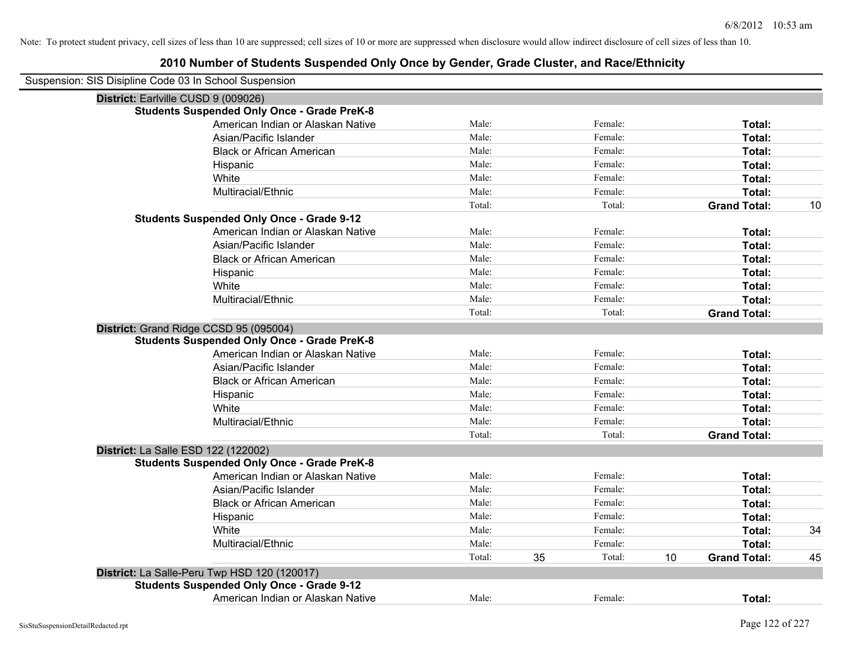|                                     | Suspension: SIS Disipline Code 03 In School Suspension |        |    |         |    |                     |    |
|-------------------------------------|--------------------------------------------------------|--------|----|---------|----|---------------------|----|
| District: Earlville CUSD 9 (009026) |                                                        |        |    |         |    |                     |    |
|                                     | <b>Students Suspended Only Once - Grade PreK-8</b>     |        |    |         |    |                     |    |
|                                     | American Indian or Alaskan Native                      | Male:  |    | Female: |    | Total:              |    |
|                                     | Asian/Pacific Islander                                 | Male:  |    | Female: |    | Total:              |    |
|                                     | <b>Black or African American</b>                       | Male:  |    | Female: |    | Total:              |    |
|                                     | Hispanic                                               | Male:  |    | Female: |    | Total:              |    |
|                                     | White                                                  | Male:  |    | Female: |    | Total:              |    |
|                                     | Multiracial/Ethnic                                     | Male:  |    | Female: |    | Total:              |    |
|                                     |                                                        | Total: |    | Total:  |    | <b>Grand Total:</b> | 10 |
|                                     | <b>Students Suspended Only Once - Grade 9-12</b>       |        |    |         |    |                     |    |
|                                     | American Indian or Alaskan Native                      | Male:  |    | Female: |    | Total:              |    |
|                                     | Asian/Pacific Islander                                 | Male:  |    | Female: |    | Total:              |    |
|                                     | <b>Black or African American</b>                       | Male:  |    | Female: |    | Total:              |    |
|                                     | Hispanic                                               | Male:  |    | Female: |    | Total:              |    |
|                                     | White                                                  | Male:  |    | Female: |    | Total:              |    |
|                                     | Multiracial/Ethnic                                     | Male:  |    | Female: |    | Total:              |    |
|                                     |                                                        | Total: |    | Total:  |    | <b>Grand Total:</b> |    |
|                                     | District: Grand Ridge CCSD 95 (095004)                 |        |    |         |    |                     |    |
|                                     | <b>Students Suspended Only Once - Grade PreK-8</b>     |        |    |         |    |                     |    |
|                                     | American Indian or Alaskan Native                      | Male:  |    | Female: |    | Total:              |    |
|                                     | Asian/Pacific Islander                                 | Male:  |    | Female: |    | Total:              |    |
|                                     | <b>Black or African American</b>                       | Male:  |    | Female: |    | Total:              |    |
|                                     | Hispanic                                               | Male:  |    | Female: |    | Total:              |    |
|                                     | White                                                  | Male:  |    | Female: |    | Total:              |    |
|                                     | Multiracial/Ethnic                                     | Male:  |    | Female: |    | Total:              |    |
|                                     |                                                        | Total: |    | Total:  |    | <b>Grand Total:</b> |    |
| District: La Salle ESD 122 (122002) |                                                        |        |    |         |    |                     |    |
|                                     | <b>Students Suspended Only Once - Grade PreK-8</b>     |        |    |         |    |                     |    |
|                                     | American Indian or Alaskan Native                      | Male:  |    | Female: |    | Total:              |    |
|                                     | Asian/Pacific Islander                                 | Male:  |    | Female: |    | Total:              |    |
|                                     | <b>Black or African American</b>                       | Male:  |    | Female: |    | Total:              |    |
|                                     | Hispanic                                               | Male:  |    | Female: |    | Total:              |    |
|                                     | White                                                  | Male:  |    | Female: |    | Total:              | 34 |
|                                     | Multiracial/Ethnic                                     | Male:  |    | Female: |    | Total:              |    |
|                                     |                                                        | Total: | 35 | Total:  | 10 | <b>Grand Total:</b> | 45 |
|                                     | District: La Salle-Peru Twp HSD 120 (120017)           |        |    |         |    |                     |    |
|                                     | <b>Students Suspended Only Once - Grade 9-12</b>       |        |    |         |    |                     |    |
|                                     | American Indian or Alaskan Native                      | Male:  |    | Female: |    | Total:              |    |
|                                     |                                                        |        |    |         |    |                     |    |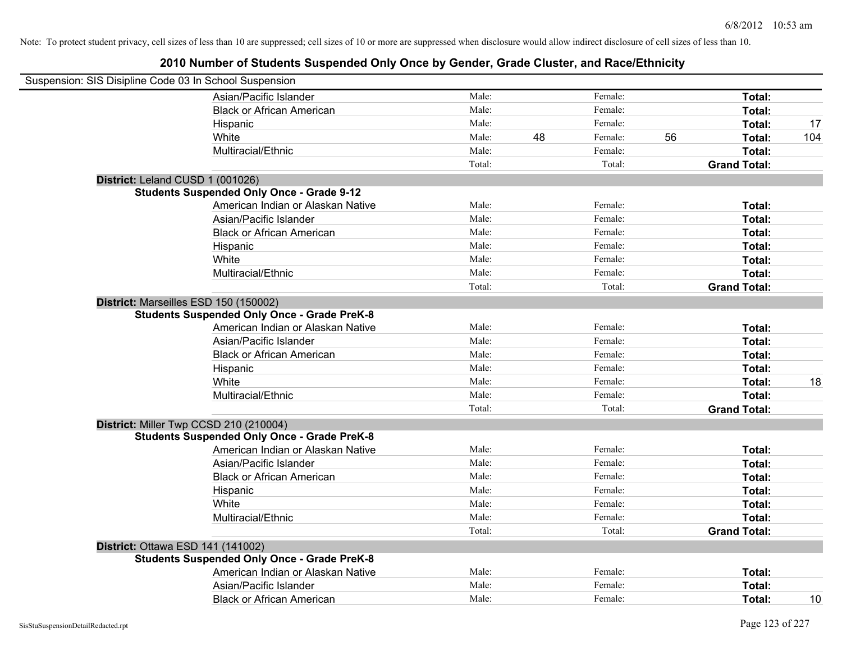| Suspension: SIS Disipline Code 03 In School Suspension |                                                                                                |        |    |         |    |                     |     |
|--------------------------------------------------------|------------------------------------------------------------------------------------------------|--------|----|---------|----|---------------------|-----|
|                                                        | Asian/Pacific Islander                                                                         | Male:  |    | Female: |    | Total:              |     |
|                                                        | <b>Black or African American</b>                                                               | Male:  |    | Female: |    | Total:              |     |
|                                                        | Hispanic                                                                                       | Male:  |    | Female: |    | Total:              | 17  |
|                                                        | White                                                                                          | Male:  | 48 | Female: | 56 | Total:              | 104 |
|                                                        | Multiracial/Ethnic                                                                             | Male:  |    | Female: |    | Total:              |     |
|                                                        |                                                                                                | Total: |    | Total:  |    | <b>Grand Total:</b> |     |
|                                                        | District: Leland CUSD 1 (001026)                                                               |        |    |         |    |                     |     |
|                                                        | <b>Students Suspended Only Once - Grade 9-12</b>                                               |        |    |         |    |                     |     |
|                                                        | American Indian or Alaskan Native                                                              | Male:  |    | Female: |    | Total:              |     |
|                                                        | Asian/Pacific Islander                                                                         | Male:  |    | Female: |    | Total:              |     |
|                                                        | <b>Black or African American</b>                                                               | Male:  |    | Female: |    | Total:              |     |
|                                                        | Hispanic                                                                                       | Male:  |    | Female: |    | Total:              |     |
|                                                        | White                                                                                          | Male:  |    | Female: |    | Total:              |     |
|                                                        | Multiracial/Ethnic                                                                             | Male:  |    | Female: |    | Total:              |     |
|                                                        |                                                                                                | Total: |    | Total:  |    | <b>Grand Total:</b> |     |
|                                                        | District: Marseilles ESD 150 (150002)<br><b>Students Suspended Only Once - Grade PreK-8</b>    |        |    |         |    |                     |     |
|                                                        | American Indian or Alaskan Native                                                              | Male:  |    | Female: |    | Total:              |     |
|                                                        | Asian/Pacific Islander                                                                         | Male:  |    | Female: |    | Total:              |     |
|                                                        | <b>Black or African American</b>                                                               | Male:  |    | Female: |    | Total:              |     |
|                                                        | Hispanic                                                                                       | Male:  |    | Female: |    | Total:              |     |
|                                                        | White                                                                                          | Male:  |    | Female: |    | Total:              | 18  |
|                                                        | Multiracial/Ethnic                                                                             | Male:  |    | Female: |    | Total:              |     |
|                                                        |                                                                                                | Total: |    | Total:  |    | <b>Grand Total:</b> |     |
|                                                        | District: Miller Twp CCSD 210 (210004)                                                         |        |    |         |    |                     |     |
|                                                        | <b>Students Suspended Only Once - Grade PreK-8</b>                                             |        |    |         |    |                     |     |
|                                                        | American Indian or Alaskan Native                                                              | Male:  |    | Female: |    | Total:              |     |
|                                                        | Asian/Pacific Islander                                                                         | Male:  |    | Female: |    | Total:              |     |
|                                                        | <b>Black or African American</b>                                                               | Male:  |    | Female: |    | Total:              |     |
|                                                        | Hispanic                                                                                       | Male:  |    | Female: |    | Total:              |     |
|                                                        | White                                                                                          | Male:  |    | Female: |    | Total:              |     |
|                                                        | Multiracial/Ethnic                                                                             | Male:  |    | Female: |    | Total:              |     |
|                                                        |                                                                                                | Total: |    | Total:  |    | <b>Grand Total:</b> |     |
|                                                        | <b>District: Ottawa ESD 141 (141002)</b><br><b>Students Suspended Only Once - Grade PreK-8</b> |        |    |         |    |                     |     |
|                                                        | American Indian or Alaskan Native                                                              | Male:  |    | Female: |    | Total:              |     |
|                                                        | Asian/Pacific Islander                                                                         | Male:  |    | Female: |    | Total:              |     |
|                                                        | <b>Black or African American</b>                                                               | Male:  |    | Female: |    | Total:              | 10  |
|                                                        |                                                                                                |        |    |         |    |                     |     |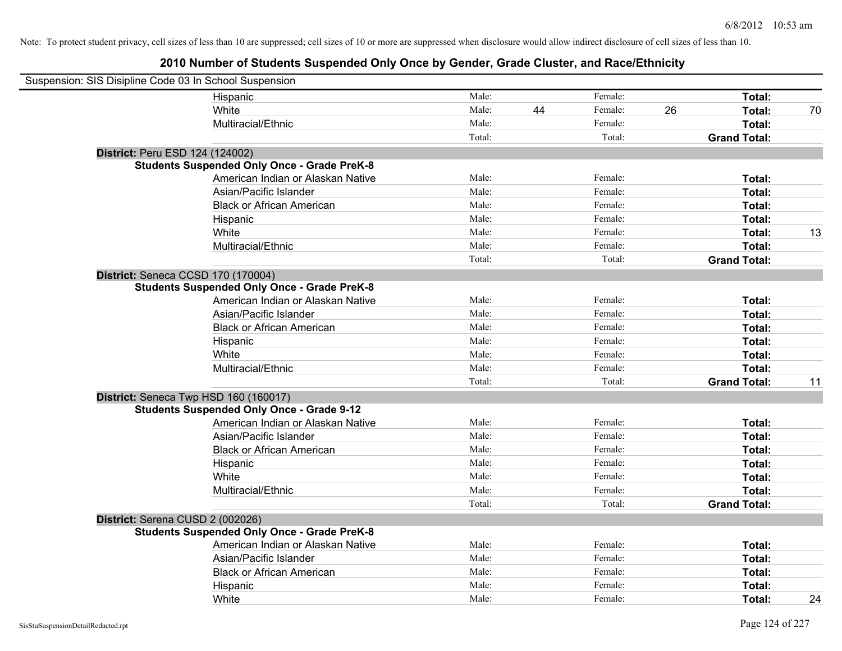| Suspension: SIS Disipline Code 03 In School Suspension |                                                    |        |    |         |    |                     |    |
|--------------------------------------------------------|----------------------------------------------------|--------|----|---------|----|---------------------|----|
|                                                        | Hispanic                                           | Male:  |    | Female: |    | Total:              |    |
|                                                        | White                                              | Male:  | 44 | Female: | 26 | Total:              | 70 |
|                                                        | Multiracial/Ethnic                                 | Male:  |    | Female: |    | Total:              |    |
|                                                        |                                                    | Total: |    | Total:  |    | <b>Grand Total:</b> |    |
| District: Peru ESD 124 (124002)                        |                                                    |        |    |         |    |                     |    |
|                                                        | <b>Students Suspended Only Once - Grade PreK-8</b> |        |    |         |    |                     |    |
|                                                        | American Indian or Alaskan Native                  | Male:  |    | Female: |    | Total:              |    |
|                                                        | Asian/Pacific Islander                             | Male:  |    | Female: |    | Total:              |    |
|                                                        | <b>Black or African American</b>                   | Male:  |    | Female: |    | Total:              |    |
|                                                        | Hispanic                                           | Male:  |    | Female: |    | Total:              |    |
|                                                        | White                                              | Male:  |    | Female: |    | Total:              | 13 |
|                                                        | Multiracial/Ethnic                                 | Male:  |    | Female: |    | Total:              |    |
|                                                        |                                                    | Total: |    | Total:  |    | <b>Grand Total:</b> |    |
| District: Seneca CCSD 170 (170004)                     |                                                    |        |    |         |    |                     |    |
|                                                        | <b>Students Suspended Only Once - Grade PreK-8</b> |        |    |         |    |                     |    |
|                                                        | American Indian or Alaskan Native                  | Male:  |    | Female: |    | Total:              |    |
|                                                        | Asian/Pacific Islander                             | Male:  |    | Female: |    | Total:              |    |
|                                                        | <b>Black or African American</b>                   | Male:  |    | Female: |    | Total:              |    |
|                                                        | Hispanic                                           | Male:  |    | Female: |    | Total:              |    |
|                                                        | White                                              | Male:  |    | Female: |    | Total:              |    |
|                                                        | Multiracial/Ethnic                                 | Male:  |    | Female: |    | Total:              |    |
|                                                        |                                                    | Total: |    | Total:  |    | <b>Grand Total:</b> | 11 |
|                                                        | District: Seneca Twp HSD 160 (160017)              |        |    |         |    |                     |    |
|                                                        | <b>Students Suspended Only Once - Grade 9-12</b>   |        |    |         |    |                     |    |
|                                                        | American Indian or Alaskan Native                  | Male:  |    | Female: |    | Total:              |    |
|                                                        | Asian/Pacific Islander                             | Male:  |    | Female: |    | Total:              |    |
|                                                        | <b>Black or African American</b>                   | Male:  |    | Female: |    | Total:              |    |
|                                                        | Hispanic                                           | Male:  |    | Female: |    | Total:              |    |
|                                                        | White                                              | Male:  |    | Female: |    | Total:              |    |
|                                                        | Multiracial/Ethnic                                 | Male:  |    | Female: |    | Total:              |    |
|                                                        |                                                    | Total: |    | Total:  |    | <b>Grand Total:</b> |    |
| District: Serena CUSD 2 (002026)                       |                                                    |        |    |         |    |                     |    |
|                                                        | <b>Students Suspended Only Once - Grade PreK-8</b> |        |    |         |    |                     |    |
|                                                        | American Indian or Alaskan Native                  | Male:  |    | Female: |    | Total:              |    |
|                                                        | Asian/Pacific Islander                             | Male:  |    | Female: |    | Total:              |    |
|                                                        | <b>Black or African American</b>                   | Male:  |    | Female: |    | Total:              |    |
|                                                        | Hispanic                                           | Male:  |    | Female: |    | Total:              |    |
|                                                        | White                                              | Male:  |    | Female: |    | Total:              | 24 |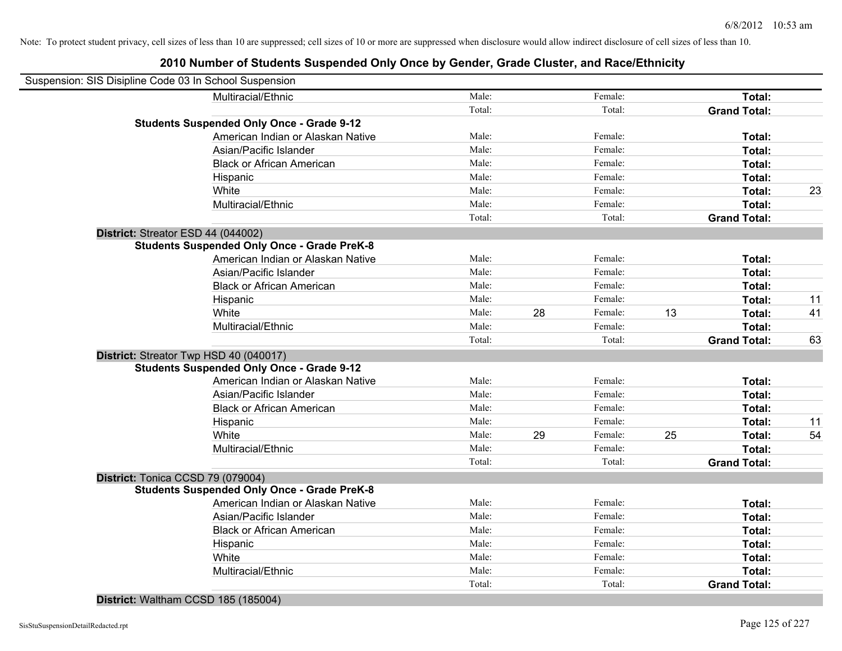## **2010 Number of Students Suspended Only Once by Gender, Grade Cluster, and Race/Ethnicity**

| Suspension: SIS Disipline Code 03 In School Suspension |        |    |         |    |                     |    |
|--------------------------------------------------------|--------|----|---------|----|---------------------|----|
| Multiracial/Ethnic                                     | Male:  |    | Female: |    | Total:              |    |
|                                                        | Total: |    | Total:  |    | <b>Grand Total:</b> |    |
| <b>Students Suspended Only Once - Grade 9-12</b>       |        |    |         |    |                     |    |
| American Indian or Alaskan Native                      | Male:  |    | Female: |    | Total:              |    |
| Asian/Pacific Islander                                 | Male:  |    | Female: |    | Total:              |    |
| <b>Black or African American</b>                       | Male:  |    | Female: |    | Total:              |    |
| Hispanic                                               | Male:  |    | Female: |    | Total:              |    |
| White                                                  | Male:  |    | Female: |    | Total:              | 23 |
| Multiracial/Ethnic                                     | Male:  |    | Female: |    | Total:              |    |
|                                                        | Total: |    | Total:  |    | <b>Grand Total:</b> |    |
| District: Streator ESD 44 (044002)                     |        |    |         |    |                     |    |
| <b>Students Suspended Only Once - Grade PreK-8</b>     |        |    |         |    |                     |    |
| American Indian or Alaskan Native                      | Male:  |    | Female: |    | Total:              |    |
| Asian/Pacific Islander                                 | Male:  |    | Female: |    | Total:              |    |
| <b>Black or African American</b>                       | Male:  |    | Female: |    | Total:              |    |
| Hispanic                                               | Male:  |    | Female: |    | Total:              | 11 |
| White                                                  | Male:  | 28 | Female: | 13 | Total:              | 41 |
| Multiracial/Ethnic                                     | Male:  |    | Female: |    | Total:              |    |
|                                                        | Total: |    | Total:  |    | <b>Grand Total:</b> | 63 |
| District: Streator Twp HSD 40 (040017)                 |        |    |         |    |                     |    |
| <b>Students Suspended Only Once - Grade 9-12</b>       |        |    |         |    |                     |    |
| American Indian or Alaskan Native                      | Male:  |    | Female: |    | Total:              |    |
| Asian/Pacific Islander                                 | Male:  |    | Female: |    | Total:              |    |
| <b>Black or African American</b>                       | Male:  |    | Female: |    | Total:              |    |
| Hispanic                                               | Male:  |    | Female: |    | Total:              | 11 |
| White                                                  | Male:  | 29 | Female: | 25 | Total:              | 54 |
| Multiracial/Ethnic                                     | Male:  |    | Female: |    | Total:              |    |
|                                                        | Total: |    | Total:  |    | <b>Grand Total:</b> |    |
| District: Tonica CCSD 79 (079004)                      |        |    |         |    |                     |    |
| <b>Students Suspended Only Once - Grade PreK-8</b>     |        |    |         |    |                     |    |
| American Indian or Alaskan Native                      | Male:  |    | Female: |    | Total:              |    |
| Asian/Pacific Islander                                 | Male:  |    | Female: |    | Total:              |    |
| <b>Black or African American</b>                       | Male:  |    | Female: |    | Total:              |    |
| Hispanic                                               | Male:  |    | Female: |    | Total:              |    |
| White                                                  | Male:  |    | Female: |    | Total:              |    |
| Multiracial/Ethnic                                     | Male:  |    | Female: |    | Total:              |    |
|                                                        | Total: |    | Total:  |    | <b>Grand Total:</b> |    |
|                                                        |        |    |         |    |                     |    |

#### **District:** Waltham CCSD 185 (185004)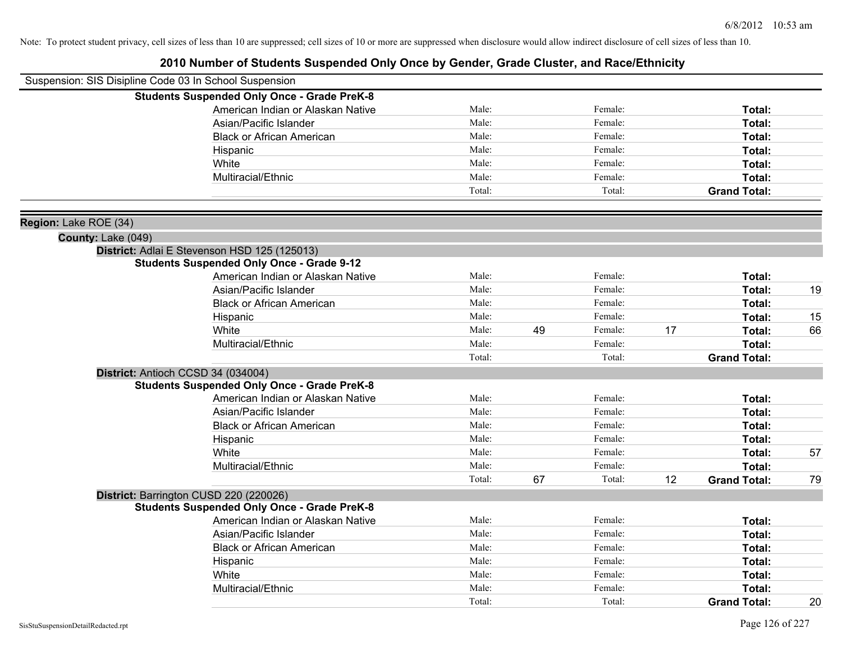|                       | Suspension: SIS Disipline Code 03 In School Suspension |        |    |         |    |                     |    |
|-----------------------|--------------------------------------------------------|--------|----|---------|----|---------------------|----|
|                       | <b>Students Suspended Only Once - Grade PreK-8</b>     |        |    |         |    |                     |    |
|                       | American Indian or Alaskan Native                      | Male:  |    | Female: |    | Total:              |    |
|                       | Asian/Pacific Islander                                 | Male:  |    | Female: |    | Total:              |    |
|                       | <b>Black or African American</b>                       | Male:  |    | Female: |    | Total:              |    |
|                       | Hispanic                                               | Male:  |    | Female: |    | Total:              |    |
|                       | White                                                  | Male:  |    | Female: |    | Total:              |    |
|                       | Multiracial/Ethnic                                     | Male:  |    | Female: |    | Total:              |    |
|                       |                                                        | Total: |    | Total:  |    | <b>Grand Total:</b> |    |
| Region: Lake ROE (34) |                                                        |        |    |         |    |                     |    |
| County: Lake (049)    |                                                        |        |    |         |    |                     |    |
|                       | District: Adlai E Stevenson HSD 125 (125013)           |        |    |         |    |                     |    |
|                       | <b>Students Suspended Only Once - Grade 9-12</b>       |        |    |         |    |                     |    |
|                       | American Indian or Alaskan Native                      | Male:  |    | Female: |    | Total:              |    |
|                       | Asian/Pacific Islander                                 | Male:  |    | Female: |    | Total:              | 19 |
|                       | <b>Black or African American</b>                       | Male:  |    | Female: |    | Total:              |    |
|                       | Hispanic                                               | Male:  |    | Female: |    | Total:              | 15 |
|                       | White                                                  | Male:  | 49 | Female: | 17 | Total:              | 66 |
|                       | Multiracial/Ethnic                                     | Male:  |    | Female: |    | Total:              |    |
|                       |                                                        | Total: |    | Total:  |    | <b>Grand Total:</b> |    |
|                       | District: Antioch CCSD 34 (034004)                     |        |    |         |    |                     |    |
|                       | <b>Students Suspended Only Once - Grade PreK-8</b>     |        |    |         |    |                     |    |
|                       | American Indian or Alaskan Native                      | Male:  |    | Female: |    | Total:              |    |
|                       | Asian/Pacific Islander                                 | Male:  |    | Female: |    | Total:              |    |
|                       | <b>Black or African American</b>                       | Male:  |    | Female: |    | Total:              |    |
|                       | Hispanic                                               | Male:  |    | Female: |    | Total:              |    |
|                       | White                                                  | Male:  |    | Female: |    | Total:              | 57 |
|                       | Multiracial/Ethnic                                     | Male:  |    | Female: |    | Total:              |    |
|                       |                                                        | Total: | 67 | Total:  | 12 | <b>Grand Total:</b> | 79 |
|                       | District: Barrington CUSD 220 (220026)                 |        |    |         |    |                     |    |
|                       | <b>Students Suspended Only Once - Grade PreK-8</b>     |        |    |         |    |                     |    |
|                       | American Indian or Alaskan Native                      | Male:  |    | Female: |    | Total:              |    |
|                       | Asian/Pacific Islander                                 | Male:  |    | Female: |    | Total:              |    |
|                       | <b>Black or African American</b>                       | Male:  |    | Female: |    | Total:              |    |
|                       | Hispanic                                               | Male:  |    | Female: |    | Total:              |    |
|                       | White                                                  | Male:  |    | Female: |    | Total:              |    |
|                       | Multiracial/Ethnic                                     | Male:  |    | Female: |    | <b>Total:</b>       |    |
|                       |                                                        | Total: |    | Total:  |    | <b>Grand Total:</b> | 20 |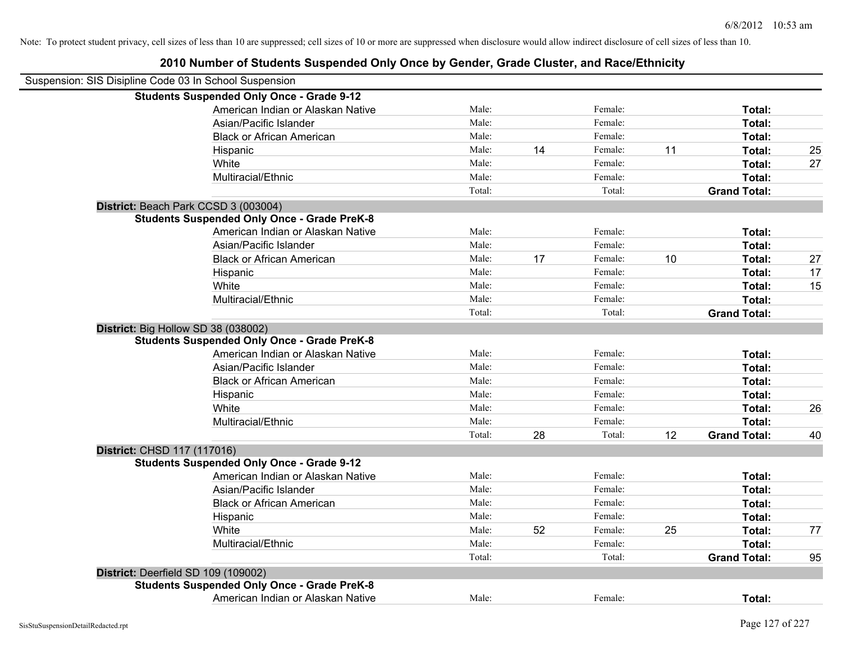| Suspension: SIS Disipline Code 03 In School Suspension |                                                    |        |    |         |    |                     |    |
|--------------------------------------------------------|----------------------------------------------------|--------|----|---------|----|---------------------|----|
|                                                        | <b>Students Suspended Only Once - Grade 9-12</b>   |        |    |         |    |                     |    |
|                                                        | American Indian or Alaskan Native                  | Male:  |    | Female: |    | Total:              |    |
|                                                        | Asian/Pacific Islander                             | Male:  |    | Female: |    | Total:              |    |
|                                                        | <b>Black or African American</b>                   | Male:  |    | Female: |    | Total:              |    |
|                                                        | Hispanic                                           | Male:  | 14 | Female: | 11 | Total:              | 25 |
|                                                        | White                                              | Male:  |    | Female: |    | Total:              | 27 |
|                                                        | Multiracial/Ethnic                                 | Male:  |    | Female: |    | Total:              |    |
|                                                        |                                                    | Total: |    | Total:  |    | <b>Grand Total:</b> |    |
| District: Beach Park CCSD 3 (003004)                   |                                                    |        |    |         |    |                     |    |
|                                                        | <b>Students Suspended Only Once - Grade PreK-8</b> |        |    |         |    |                     |    |
|                                                        | American Indian or Alaskan Native                  | Male:  |    | Female: |    | Total:              |    |
|                                                        | Asian/Pacific Islander                             | Male:  |    | Female: |    | Total:              |    |
|                                                        | <b>Black or African American</b>                   | Male:  | 17 | Female: | 10 | Total:              | 27 |
|                                                        | Hispanic                                           | Male:  |    | Female: |    | Total:              | 17 |
|                                                        | White                                              | Male:  |    | Female: |    | Total:              | 15 |
|                                                        | Multiracial/Ethnic                                 | Male:  |    | Female: |    | Total:              |    |
|                                                        |                                                    | Total: |    | Total:  |    | <b>Grand Total:</b> |    |
| District: Big Hollow SD 38 (038002)                    |                                                    |        |    |         |    |                     |    |
|                                                        | <b>Students Suspended Only Once - Grade PreK-8</b> |        |    |         |    |                     |    |
|                                                        | American Indian or Alaskan Native                  | Male:  |    | Female: |    | Total:              |    |
|                                                        | Asian/Pacific Islander                             | Male:  |    | Female: |    | Total:              |    |
|                                                        | <b>Black or African American</b>                   | Male:  |    | Female: |    | Total:              |    |
|                                                        | Hispanic                                           | Male:  |    | Female: |    | Total:              |    |
|                                                        | White                                              | Male:  |    | Female: |    | Total:              | 26 |
|                                                        | Multiracial/Ethnic                                 | Male:  |    | Female: |    | Total:              |    |
|                                                        |                                                    | Total: | 28 | Total:  | 12 | <b>Grand Total:</b> | 40 |
| District: CHSD 117 (117016)                            |                                                    |        |    |         |    |                     |    |
|                                                        | <b>Students Suspended Only Once - Grade 9-12</b>   |        |    |         |    |                     |    |
|                                                        | American Indian or Alaskan Native                  | Male:  |    | Female: |    | Total:              |    |
|                                                        | Asian/Pacific Islander                             | Male:  |    | Female: |    | Total:              |    |
|                                                        | <b>Black or African American</b>                   | Male:  |    | Female: |    | Total:              |    |
|                                                        | Hispanic                                           | Male:  |    | Female: |    | Total:              |    |
|                                                        | White                                              | Male:  | 52 | Female: | 25 | Total:              | 77 |
|                                                        | Multiracial/Ethnic                                 | Male:  |    | Female: |    | Total:              |    |
|                                                        |                                                    | Total: |    | Total:  |    | <b>Grand Total:</b> | 95 |
| District: Deerfield SD 109 (109002)                    |                                                    |        |    |         |    |                     |    |
|                                                        | <b>Students Suspended Only Once - Grade PreK-8</b> |        |    |         |    |                     |    |
|                                                        | American Indian or Alaskan Native                  | Male:  |    | Female: |    | Total:              |    |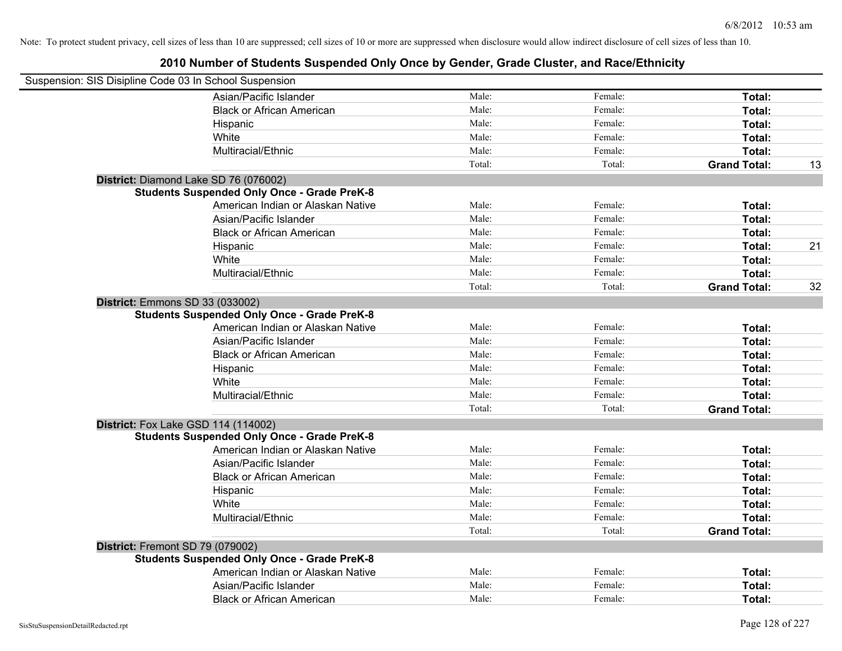| Suspension: SIS Disipline Code 03 In School Suspension |                                                    |        |         |                     |    |
|--------------------------------------------------------|----------------------------------------------------|--------|---------|---------------------|----|
|                                                        | Asian/Pacific Islander                             | Male:  | Female: | Total:              |    |
|                                                        | <b>Black or African American</b>                   | Male:  | Female: | Total:              |    |
|                                                        | Hispanic                                           | Male:  | Female: | Total:              |    |
|                                                        | White                                              | Male:  | Female: | Total:              |    |
|                                                        | Multiracial/Ethnic                                 | Male:  | Female: | Total:              |    |
|                                                        |                                                    | Total: | Total:  | <b>Grand Total:</b> | 13 |
|                                                        | District: Diamond Lake SD 76 (076002)              |        |         |                     |    |
|                                                        | <b>Students Suspended Only Once - Grade PreK-8</b> |        |         |                     |    |
|                                                        | American Indian or Alaskan Native                  | Male:  | Female: | Total:              |    |
|                                                        | Asian/Pacific Islander                             | Male:  | Female: | Total:              |    |
|                                                        | <b>Black or African American</b>                   | Male:  | Female: | Total:              |    |
|                                                        | Hispanic                                           | Male:  | Female: | Total:              | 21 |
|                                                        | White                                              | Male:  | Female: | Total:              |    |
|                                                        | Multiracial/Ethnic                                 | Male:  | Female: | Total:              |    |
|                                                        |                                                    | Total: | Total:  | <b>Grand Total:</b> | 32 |
| District: Emmons SD 33 (033002)                        |                                                    |        |         |                     |    |
|                                                        | <b>Students Suspended Only Once - Grade PreK-8</b> |        |         |                     |    |
|                                                        | American Indian or Alaskan Native                  | Male:  | Female: | Total:              |    |
|                                                        | Asian/Pacific Islander                             | Male:  | Female: | Total:              |    |
|                                                        | <b>Black or African American</b>                   | Male:  | Female: | Total:              |    |
|                                                        | Hispanic                                           | Male:  | Female: | Total:              |    |
|                                                        | White                                              | Male:  | Female: | Total:              |    |
|                                                        | Multiracial/Ethnic                                 | Male:  | Female: | Total:              |    |
|                                                        |                                                    | Total: | Total:  | <b>Grand Total:</b> |    |
|                                                        | <b>District:</b> Fox Lake GSD 114 (114002)         |        |         |                     |    |
|                                                        | <b>Students Suspended Only Once - Grade PreK-8</b> |        |         |                     |    |
|                                                        | American Indian or Alaskan Native                  | Male:  | Female: | Total:              |    |
|                                                        | Asian/Pacific Islander                             | Male:  | Female: | Total:              |    |
|                                                        | <b>Black or African American</b>                   | Male:  | Female: | Total:              |    |
|                                                        | Hispanic                                           | Male:  | Female: | Total:              |    |
|                                                        | White                                              | Male:  | Female: | Total:              |    |
|                                                        | Multiracial/Ethnic                                 | Male:  | Female: | Total:              |    |
|                                                        |                                                    | Total: | Total:  | <b>Grand Total:</b> |    |
| District: Fremont SD 79 (079002)                       |                                                    |        |         |                     |    |
|                                                        | <b>Students Suspended Only Once - Grade PreK-8</b> |        |         |                     |    |
|                                                        | American Indian or Alaskan Native                  | Male:  | Female: | Total:              |    |
|                                                        | Asian/Pacific Islander                             | Male:  | Female: | Total:              |    |
|                                                        | <b>Black or African American</b>                   | Male:  | Female: | Total:              |    |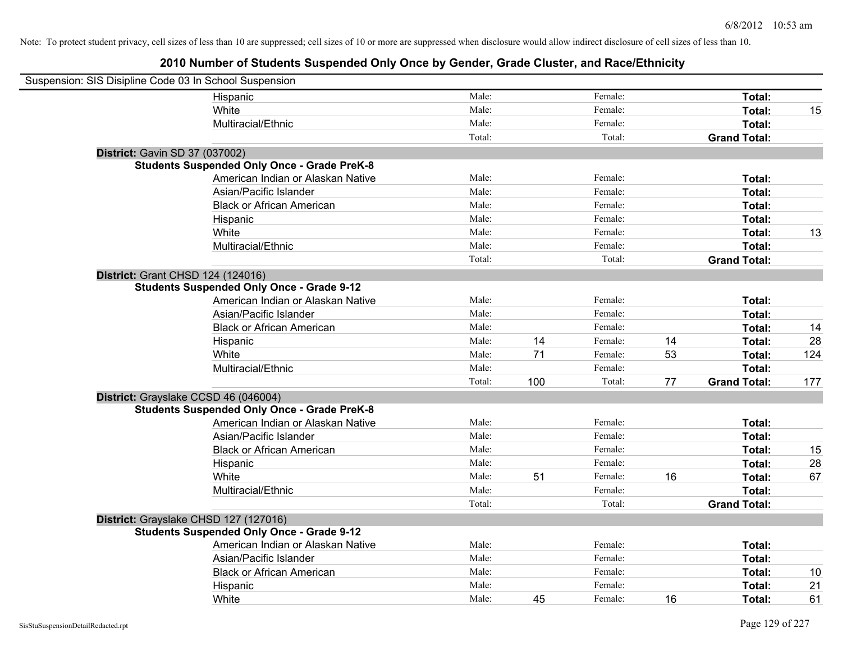| Suspension: SIS Disipline Code 03 In School Suspension |                                                    |        |     |         |    |                     |     |
|--------------------------------------------------------|----------------------------------------------------|--------|-----|---------|----|---------------------|-----|
|                                                        | Hispanic                                           | Male:  |     | Female: |    | Total:              |     |
|                                                        | White                                              | Male:  |     | Female: |    | Total:              | 15  |
|                                                        | Multiracial/Ethnic                                 | Male:  |     | Female: |    | Total:              |     |
|                                                        |                                                    | Total: |     | Total:  |    | <b>Grand Total:</b> |     |
| <b>District: Gavin SD 37 (037002)</b>                  |                                                    |        |     |         |    |                     |     |
|                                                        | <b>Students Suspended Only Once - Grade PreK-8</b> |        |     |         |    |                     |     |
|                                                        | American Indian or Alaskan Native                  | Male:  |     | Female: |    | Total:              |     |
|                                                        | Asian/Pacific Islander                             | Male:  |     | Female: |    | Total:              |     |
|                                                        | <b>Black or African American</b>                   | Male:  |     | Female: |    | Total:              |     |
|                                                        | Hispanic                                           | Male:  |     | Female: |    | Total:              |     |
|                                                        | White                                              | Male:  |     | Female: |    | Total:              | 13  |
|                                                        | Multiracial/Ethnic                                 | Male:  |     | Female: |    | Total:              |     |
|                                                        |                                                    | Total: |     | Total:  |    | <b>Grand Total:</b> |     |
| District: Grant CHSD 124 (124016)                      |                                                    |        |     |         |    |                     |     |
|                                                        | <b>Students Suspended Only Once - Grade 9-12</b>   |        |     |         |    |                     |     |
|                                                        | American Indian or Alaskan Native                  | Male:  |     | Female: |    | Total:              |     |
|                                                        | Asian/Pacific Islander                             | Male:  |     | Female: |    | Total:              |     |
|                                                        | <b>Black or African American</b>                   | Male:  |     | Female: |    | Total:              | 14  |
|                                                        | Hispanic                                           | Male:  | 14  | Female: | 14 | Total:              | 28  |
|                                                        | White                                              | Male:  | 71  | Female: | 53 | Total:              | 124 |
|                                                        | Multiracial/Ethnic                                 | Male:  |     | Female: |    | Total:              |     |
|                                                        |                                                    | Total: | 100 | Total:  | 77 | <b>Grand Total:</b> | 177 |
| District: Grayslake CCSD 46 (046004)                   |                                                    |        |     |         |    |                     |     |
|                                                        | <b>Students Suspended Only Once - Grade PreK-8</b> |        |     |         |    |                     |     |
|                                                        | American Indian or Alaskan Native                  | Male:  |     | Female: |    | Total:              |     |
|                                                        | Asian/Pacific Islander                             | Male:  |     | Female: |    | Total:              |     |
|                                                        | <b>Black or African American</b>                   | Male:  |     | Female: |    | Total:              | 15  |
|                                                        | Hispanic                                           | Male:  |     | Female: |    | Total:              | 28  |
|                                                        | White                                              | Male:  | 51  | Female: | 16 | Total:              | 67  |
|                                                        | Multiracial/Ethnic                                 | Male:  |     | Female: |    | Total:              |     |
|                                                        |                                                    | Total: |     | Total:  |    | <b>Grand Total:</b> |     |
| District: Grayslake CHSD 127 (127016)                  |                                                    |        |     |         |    |                     |     |
|                                                        | <b>Students Suspended Only Once - Grade 9-12</b>   |        |     |         |    |                     |     |
|                                                        | American Indian or Alaskan Native                  | Male:  |     | Female: |    | Total:              |     |
|                                                        | Asian/Pacific Islander                             | Male:  |     | Female: |    | Total:              |     |
|                                                        | <b>Black or African American</b>                   | Male:  |     | Female: |    | Total:              | 10  |
|                                                        | Hispanic                                           | Male:  |     | Female: |    | Total:              | 21  |
|                                                        | White                                              | Male:  | 45  | Female: | 16 | Total:              | 61  |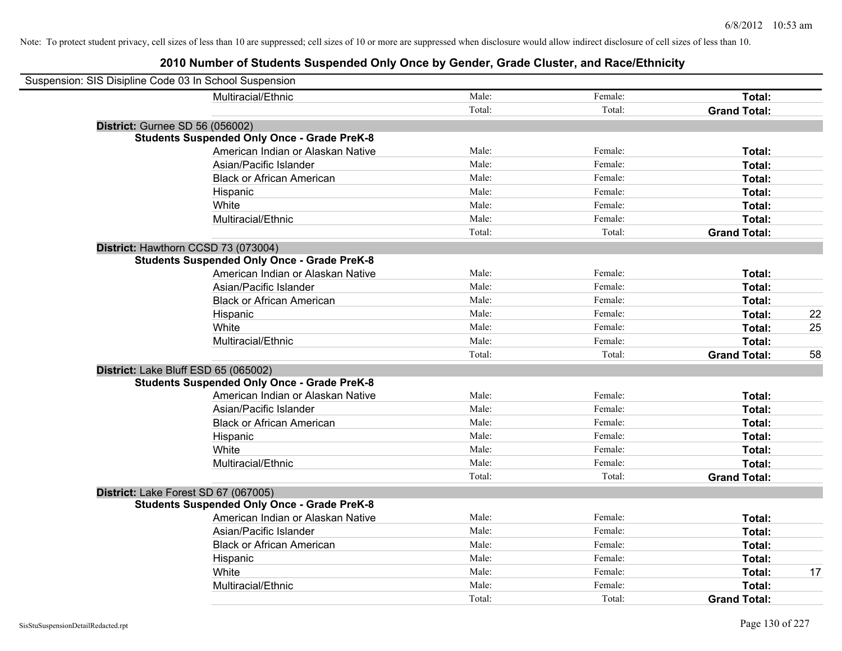| Suspension: SIS Disipline Code 03 In School Suspension |                                                    |        |         |                     |    |
|--------------------------------------------------------|----------------------------------------------------|--------|---------|---------------------|----|
|                                                        | Multiracial/Ethnic                                 | Male:  | Female: | Total:              |    |
|                                                        |                                                    | Total: | Total:  | <b>Grand Total:</b> |    |
| <b>District: Gurnee SD 56 (056002)</b>                 |                                                    |        |         |                     |    |
|                                                        | <b>Students Suspended Only Once - Grade PreK-8</b> |        |         |                     |    |
|                                                        | American Indian or Alaskan Native                  | Male:  | Female: | Total:              |    |
|                                                        | Asian/Pacific Islander                             | Male:  | Female: | Total:              |    |
|                                                        | <b>Black or African American</b>                   | Male:  | Female: | Total:              |    |
|                                                        | Hispanic                                           | Male:  | Female: | Total:              |    |
|                                                        | White                                              | Male:  | Female: | Total:              |    |
|                                                        | Multiracial/Ethnic                                 | Male:  | Female: | Total:              |    |
|                                                        |                                                    | Total: | Total:  | <b>Grand Total:</b> |    |
| District: Hawthorn CCSD 73 (073004)                    |                                                    |        |         |                     |    |
|                                                        | <b>Students Suspended Only Once - Grade PreK-8</b> |        |         |                     |    |
|                                                        | American Indian or Alaskan Native                  | Male:  | Female: | Total:              |    |
|                                                        | Asian/Pacific Islander                             | Male:  | Female: | Total:              |    |
|                                                        | <b>Black or African American</b>                   | Male:  | Female: | Total:              |    |
|                                                        | Hispanic                                           | Male:  | Female: | Total:              | 22 |
|                                                        | White                                              | Male:  | Female: | Total:              | 25 |
|                                                        | Multiracial/Ethnic                                 | Male:  | Female: | Total:              |    |
|                                                        |                                                    | Total: | Total:  | <b>Grand Total:</b> | 58 |
| District: Lake Bluff ESD 65 (065002)                   |                                                    |        |         |                     |    |
|                                                        | <b>Students Suspended Only Once - Grade PreK-8</b> |        |         |                     |    |
|                                                        | American Indian or Alaskan Native                  | Male:  | Female: | Total:              |    |
|                                                        | Asian/Pacific Islander                             | Male:  | Female: | Total:              |    |
|                                                        | <b>Black or African American</b>                   | Male:  | Female: | Total:              |    |
|                                                        | Hispanic                                           | Male:  | Female: | Total:              |    |
|                                                        | White                                              | Male:  | Female: | Total:              |    |
|                                                        | Multiracial/Ethnic                                 | Male:  | Female: | Total:              |    |
|                                                        |                                                    | Total: | Total:  | <b>Grand Total:</b> |    |
| District: Lake Forest SD 67 (067005)                   |                                                    |        |         |                     |    |
|                                                        | <b>Students Suspended Only Once - Grade PreK-8</b> |        |         |                     |    |
|                                                        | American Indian or Alaskan Native                  | Male:  | Female: | Total:              |    |
|                                                        | Asian/Pacific Islander                             | Male:  | Female: | Total:              |    |
|                                                        | <b>Black or African American</b>                   | Male:  | Female: | Total:              |    |
|                                                        | Hispanic                                           | Male:  | Female: | Total:              |    |
|                                                        | White                                              | Male:  | Female: | Total:              | 17 |
|                                                        | Multiracial/Ethnic                                 | Male:  | Female: | Total:              |    |
|                                                        |                                                    | Total: | Total:  | <b>Grand Total:</b> |    |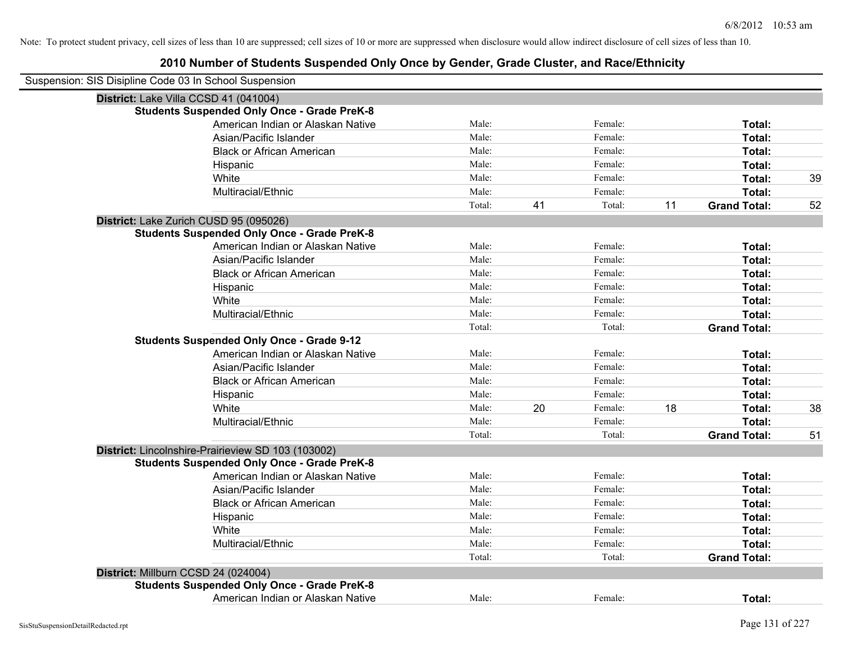| Suspension: SIS Disipline Code 03 In School Suspension |        |    |         |    |                     |    |
|--------------------------------------------------------|--------|----|---------|----|---------------------|----|
| District: Lake Villa CCSD 41 (041004)                  |        |    |         |    |                     |    |
| <b>Students Suspended Only Once - Grade PreK-8</b>     |        |    |         |    |                     |    |
| American Indian or Alaskan Native                      | Male:  |    | Female: |    | Total:              |    |
| Asian/Pacific Islander                                 | Male:  |    | Female: |    | Total:              |    |
| <b>Black or African American</b>                       | Male:  |    | Female: |    | Total:              |    |
| Hispanic                                               | Male:  |    | Female: |    | Total:              |    |
| White                                                  | Male:  |    | Female: |    | Total:              | 39 |
| Multiracial/Ethnic                                     | Male:  |    | Female: |    | Total:              |    |
|                                                        | Total: | 41 | Total:  | 11 | <b>Grand Total:</b> | 52 |
| District: Lake Zurich CUSD 95 (095026)                 |        |    |         |    |                     |    |
| <b>Students Suspended Only Once - Grade PreK-8</b>     |        |    |         |    |                     |    |
| American Indian or Alaskan Native                      | Male:  |    | Female: |    | Total:              |    |
| Asian/Pacific Islander                                 | Male:  |    | Female: |    | Total:              |    |
| <b>Black or African American</b>                       | Male:  |    | Female: |    | Total:              |    |
| Hispanic                                               | Male:  |    | Female: |    | Total:              |    |
| White                                                  | Male:  |    | Female: |    | Total:              |    |
| Multiracial/Ethnic                                     | Male:  |    | Female: |    | Total:              |    |
|                                                        | Total: |    | Total:  |    | <b>Grand Total:</b> |    |
| <b>Students Suspended Only Once - Grade 9-12</b>       |        |    |         |    |                     |    |
| American Indian or Alaskan Native                      | Male:  |    | Female: |    | Total:              |    |
| Asian/Pacific Islander                                 | Male:  |    | Female: |    | Total:              |    |
| <b>Black or African American</b>                       | Male:  |    | Female: |    | Total:              |    |
| Hispanic                                               | Male:  |    | Female: |    | Total:              |    |
| White                                                  | Male:  | 20 | Female: | 18 | Total:              | 38 |
| Multiracial/Ethnic                                     | Male:  |    | Female: |    | Total:              |    |
|                                                        | Total: |    | Total:  |    | <b>Grand Total:</b> | 51 |
| District: Lincolnshire-Prairieview SD 103 (103002)     |        |    |         |    |                     |    |
| <b>Students Suspended Only Once - Grade PreK-8</b>     |        |    |         |    |                     |    |
| American Indian or Alaskan Native                      | Male:  |    | Female: |    | Total:              |    |
| Asian/Pacific Islander                                 | Male:  |    | Female: |    | Total:              |    |
| <b>Black or African American</b>                       | Male:  |    | Female: |    | Total:              |    |
| Hispanic                                               | Male:  |    | Female: |    | Total:              |    |
| White                                                  | Male:  |    | Female: |    | Total:              |    |
| Multiracial/Ethnic                                     | Male:  |    | Female: |    | Total:              |    |
|                                                        | Total: |    | Total:  |    | <b>Grand Total:</b> |    |
| District: Millburn CCSD 24 (024004)                    |        |    |         |    |                     |    |
| <b>Students Suspended Only Once - Grade PreK-8</b>     |        |    |         |    |                     |    |
| American Indian or Alaskan Native                      | Male:  |    | Female: |    | Total:              |    |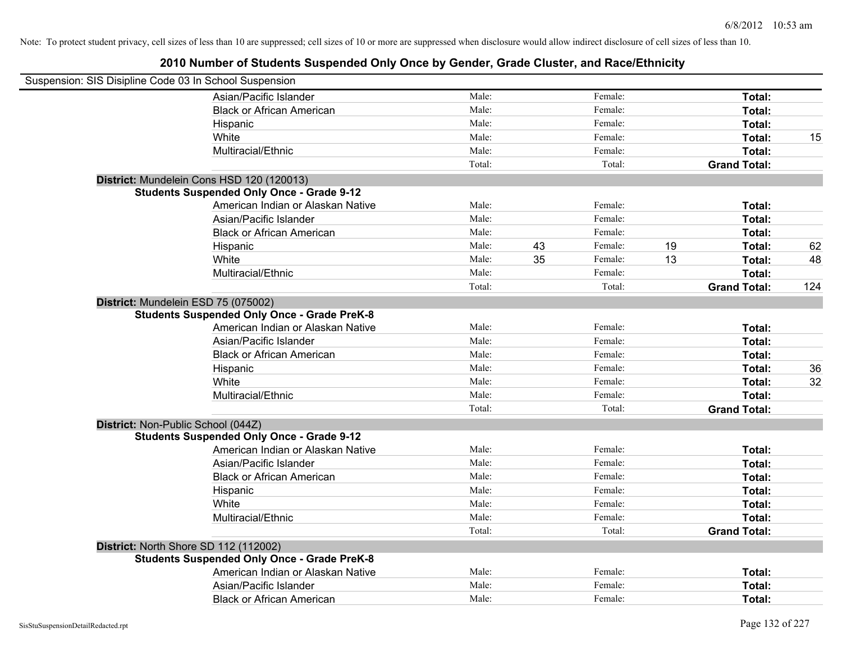| Suspension: SIS Disipline Code 03 In School Suspension |                                                    |        |    |         |    |                     |     |
|--------------------------------------------------------|----------------------------------------------------|--------|----|---------|----|---------------------|-----|
|                                                        | Asian/Pacific Islander                             | Male:  |    | Female: |    | Total:              |     |
|                                                        | <b>Black or African American</b>                   | Male:  |    | Female: |    | Total:              |     |
|                                                        | Hispanic                                           | Male:  |    | Female: |    | Total:              |     |
|                                                        | White                                              | Male:  |    | Female: |    | Total:              | 15  |
|                                                        | Multiracial/Ethnic                                 | Male:  |    | Female: |    | Total:              |     |
|                                                        |                                                    | Total: |    | Total:  |    | <b>Grand Total:</b> |     |
|                                                        | District: Mundelein Cons HSD 120 (120013)          |        |    |         |    |                     |     |
|                                                        | <b>Students Suspended Only Once - Grade 9-12</b>   |        |    |         |    |                     |     |
|                                                        | American Indian or Alaskan Native                  | Male:  |    | Female: |    | Total:              |     |
|                                                        | Asian/Pacific Islander                             | Male:  |    | Female: |    | Total:              |     |
|                                                        | <b>Black or African American</b>                   | Male:  |    | Female: |    | Total:              |     |
|                                                        | Hispanic                                           | Male:  | 43 | Female: | 19 | Total:              | 62  |
|                                                        | White                                              | Male:  | 35 | Female: | 13 | Total:              | 48  |
|                                                        | Multiracial/Ethnic                                 | Male:  |    | Female: |    | Total:              |     |
|                                                        |                                                    | Total: |    | Total:  |    | <b>Grand Total:</b> | 124 |
| District: Mundelein ESD 75 (075002)                    |                                                    |        |    |         |    |                     |     |
|                                                        | <b>Students Suspended Only Once - Grade PreK-8</b> |        |    |         |    |                     |     |
|                                                        | American Indian or Alaskan Native                  | Male:  |    | Female: |    | Total:              |     |
|                                                        | Asian/Pacific Islander                             | Male:  |    | Female: |    | Total:              |     |
|                                                        | <b>Black or African American</b>                   | Male:  |    | Female: |    | Total:              |     |
|                                                        | Hispanic                                           | Male:  |    | Female: |    | Total:              | 36  |
|                                                        | White                                              | Male:  |    | Female: |    | Total:              | 32  |
|                                                        | Multiracial/Ethnic                                 | Male:  |    | Female: |    | Total:              |     |
|                                                        |                                                    | Total: |    | Total:  |    | <b>Grand Total:</b> |     |
| District: Non-Public School (044Z)                     |                                                    |        |    |         |    |                     |     |
|                                                        | <b>Students Suspended Only Once - Grade 9-12</b>   |        |    |         |    |                     |     |
|                                                        | American Indian or Alaskan Native                  | Male:  |    | Female: |    | Total:              |     |
|                                                        | Asian/Pacific Islander                             | Male:  |    | Female: |    | Total:              |     |
|                                                        | <b>Black or African American</b>                   | Male:  |    | Female: |    | Total:              |     |
|                                                        | Hispanic                                           | Male:  |    | Female: |    | Total:              |     |
|                                                        | White                                              | Male:  |    | Female: |    | Total:              |     |
|                                                        | Multiracial/Ethnic                                 | Male:  |    | Female: |    | Total:              |     |
|                                                        |                                                    | Total: |    | Total:  |    | <b>Grand Total:</b> |     |
| District: North Shore SD 112 (112002)                  |                                                    |        |    |         |    |                     |     |
|                                                        | <b>Students Suspended Only Once - Grade PreK-8</b> |        |    |         |    |                     |     |
|                                                        | American Indian or Alaskan Native                  | Male:  |    | Female: |    | Total:              |     |
|                                                        | Asian/Pacific Islander                             | Male:  |    | Female: |    | Total:              |     |
|                                                        | <b>Black or African American</b>                   | Male:  |    | Female: |    | Total:              |     |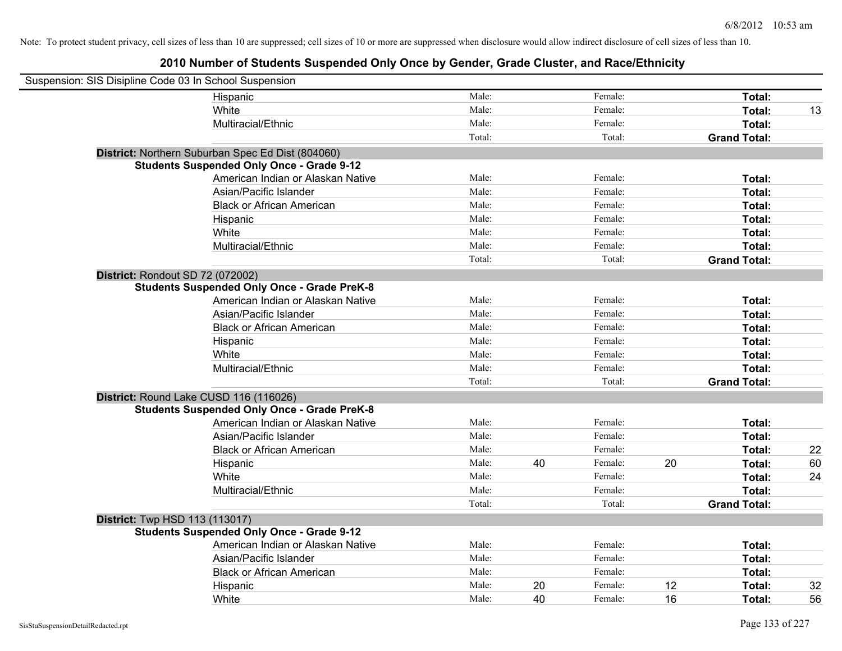| Suspension: SIS Disipline Code 03 In School Suspension |                                                    |        |    |         |    |                     |    |
|--------------------------------------------------------|----------------------------------------------------|--------|----|---------|----|---------------------|----|
|                                                        | Hispanic                                           | Male:  |    | Female: |    | Total:              |    |
|                                                        | White                                              | Male:  |    | Female: |    | Total:              | 13 |
|                                                        | Multiracial/Ethnic                                 | Male:  |    | Female: |    | Total:              |    |
|                                                        |                                                    | Total: |    | Total:  |    | <b>Grand Total:</b> |    |
|                                                        | District: Northern Suburban Spec Ed Dist (804060)  |        |    |         |    |                     |    |
|                                                        | <b>Students Suspended Only Once - Grade 9-12</b>   |        |    |         |    |                     |    |
|                                                        | American Indian or Alaskan Native                  | Male:  |    | Female: |    | Total:              |    |
|                                                        | Asian/Pacific Islander                             | Male:  |    | Female: |    | Total:              |    |
|                                                        | <b>Black or African American</b>                   | Male:  |    | Female: |    | Total:              |    |
|                                                        | Hispanic                                           | Male:  |    | Female: |    | Total:              |    |
|                                                        | White                                              | Male:  |    | Female: |    | Total:              |    |
|                                                        | Multiracial/Ethnic                                 | Male:  |    | Female: |    | Total:              |    |
|                                                        |                                                    | Total: |    | Total:  |    | <b>Grand Total:</b> |    |
| District: Rondout SD 72 (072002)                       |                                                    |        |    |         |    |                     |    |
|                                                        | <b>Students Suspended Only Once - Grade PreK-8</b> |        |    |         |    |                     |    |
|                                                        | American Indian or Alaskan Native                  | Male:  |    | Female: |    | Total:              |    |
|                                                        | Asian/Pacific Islander                             | Male:  |    | Female: |    | Total:              |    |
|                                                        | <b>Black or African American</b>                   | Male:  |    | Female: |    | Total:              |    |
|                                                        | Hispanic                                           | Male:  |    | Female: |    | Total:              |    |
|                                                        | White                                              | Male:  |    | Female: |    | Total:              |    |
|                                                        | Multiracial/Ethnic                                 | Male:  |    | Female: |    | Total:              |    |
|                                                        |                                                    | Total: |    | Total:  |    | <b>Grand Total:</b> |    |
| District: Round Lake CUSD 116 (116026)                 |                                                    |        |    |         |    |                     |    |
|                                                        | <b>Students Suspended Only Once - Grade PreK-8</b> |        |    |         |    |                     |    |
|                                                        | American Indian or Alaskan Native                  | Male:  |    | Female: |    | Total:              |    |
|                                                        | Asian/Pacific Islander                             | Male:  |    | Female: |    | Total:              |    |
|                                                        | <b>Black or African American</b>                   | Male:  |    | Female: |    | Total:              | 22 |
|                                                        | Hispanic                                           | Male:  | 40 | Female: | 20 | Total:              | 60 |
|                                                        | White                                              | Male:  |    | Female: |    | Total:              | 24 |
|                                                        | Multiracial/Ethnic                                 | Male:  |    | Female: |    | Total:              |    |
|                                                        |                                                    | Total: |    | Total:  |    | <b>Grand Total:</b> |    |
| <b>District:</b> Twp HSD 113 (113017)                  |                                                    |        |    |         |    |                     |    |
|                                                        | <b>Students Suspended Only Once - Grade 9-12</b>   |        |    |         |    |                     |    |
|                                                        | American Indian or Alaskan Native                  | Male:  |    | Female: |    | Total:              |    |
|                                                        | Asian/Pacific Islander                             | Male:  |    | Female: |    | Total:              |    |
|                                                        | <b>Black or African American</b>                   | Male:  |    | Female: |    | Total:              |    |
|                                                        | Hispanic                                           | Male:  | 20 | Female: | 12 | Total:              | 32 |
|                                                        | White                                              | Male:  | 40 | Female: | 16 | Total:              | 56 |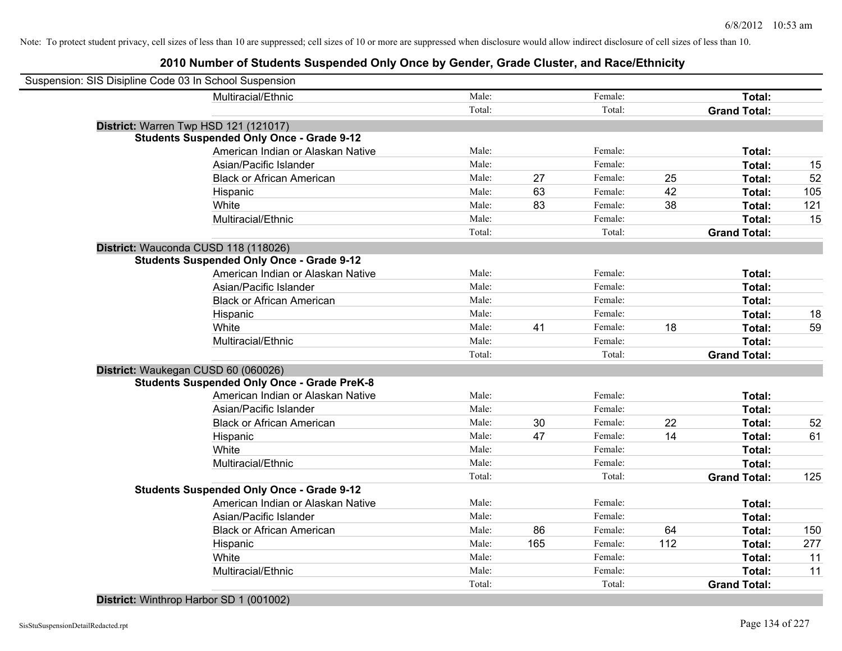| Suspension: SIS Disipline Code 03 In School Suspension |                                                    |        |     |         |     |                     |     |
|--------------------------------------------------------|----------------------------------------------------|--------|-----|---------|-----|---------------------|-----|
|                                                        | Multiracial/Ethnic                                 | Male:  |     | Female: |     | Total:              |     |
|                                                        |                                                    | Total: |     | Total:  |     | <b>Grand Total:</b> |     |
| District: Warren Twp HSD 121 (121017)                  |                                                    |        |     |         |     |                     |     |
|                                                        | <b>Students Suspended Only Once - Grade 9-12</b>   |        |     |         |     |                     |     |
|                                                        | American Indian or Alaskan Native                  | Male:  |     | Female: |     | Total:              |     |
|                                                        | Asian/Pacific Islander                             | Male:  |     | Female: |     | Total:              | 15  |
|                                                        | <b>Black or African American</b>                   | Male:  | 27  | Female: | 25  | Total:              | 52  |
|                                                        | Hispanic                                           | Male:  | 63  | Female: | 42  | Total:              | 105 |
|                                                        | White                                              | Male:  | 83  | Female: | 38  | Total:              | 121 |
|                                                        | Multiracial/Ethnic                                 | Male:  |     | Female: |     | Total:              | 15  |
|                                                        |                                                    | Total: |     | Total:  |     | <b>Grand Total:</b> |     |
| District: Wauconda CUSD 118 (118026)                   |                                                    |        |     |         |     |                     |     |
|                                                        | <b>Students Suspended Only Once - Grade 9-12</b>   |        |     |         |     |                     |     |
|                                                        | American Indian or Alaskan Native                  | Male:  |     | Female: |     | Total:              |     |
|                                                        | Asian/Pacific Islander                             | Male:  |     | Female: |     | Total:              |     |
|                                                        | <b>Black or African American</b>                   | Male:  |     | Female: |     | Total:              |     |
|                                                        | Hispanic                                           | Male:  |     | Female: |     | Total:              | 18  |
|                                                        | White                                              | Male:  | 41  | Female: | 18  | Total:              | 59  |
|                                                        | Multiracial/Ethnic                                 | Male:  |     | Female: |     | Total:              |     |
|                                                        |                                                    | Total: |     | Total:  |     | <b>Grand Total:</b> |     |
| District: Waukegan CUSD 60 (060026)                    |                                                    |        |     |         |     |                     |     |
|                                                        | <b>Students Suspended Only Once - Grade PreK-8</b> |        |     |         |     |                     |     |
|                                                        | American Indian or Alaskan Native                  | Male:  |     | Female: |     | Total:              |     |
|                                                        | Asian/Pacific Islander                             | Male:  |     | Female: |     | Total:              |     |
|                                                        | <b>Black or African American</b>                   | Male:  | 30  | Female: | 22  | Total:              | 52  |
|                                                        | Hispanic                                           | Male:  | 47  | Female: | 14  | Total:              | 61  |
|                                                        | White                                              | Male:  |     | Female: |     | Total:              |     |
|                                                        | Multiracial/Ethnic                                 | Male:  |     | Female: |     | Total:              |     |
|                                                        |                                                    | Total: |     | Total:  |     | <b>Grand Total:</b> | 125 |
|                                                        | <b>Students Suspended Only Once - Grade 9-12</b>   |        |     |         |     |                     |     |
|                                                        | American Indian or Alaskan Native                  | Male:  |     | Female: |     | Total:              |     |
|                                                        | Asian/Pacific Islander                             | Male:  |     | Female: |     | Total:              |     |
|                                                        | <b>Black or African American</b>                   | Male:  | 86  | Female: | 64  | Total:              | 150 |
|                                                        | Hispanic                                           | Male:  | 165 | Female: | 112 | Total:              | 277 |
|                                                        | White                                              | Male:  |     | Female: |     | Total:              | 11  |
|                                                        | Multiracial/Ethnic                                 | Male:  |     | Female: |     | Total:              | 11  |
|                                                        |                                                    | Total: |     | Total:  |     | <b>Grand Total:</b> |     |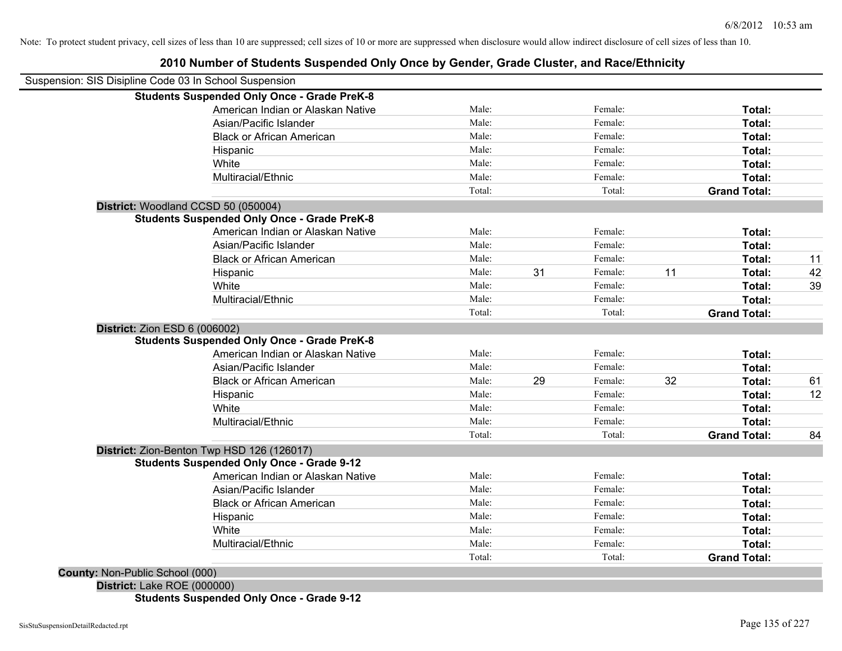|                                 | Suspension: SIS Disipline Code 03 In School Suspension |        |    |         |    |                     |    |
|---------------------------------|--------------------------------------------------------|--------|----|---------|----|---------------------|----|
|                                 | <b>Students Suspended Only Once - Grade PreK-8</b>     |        |    |         |    |                     |    |
|                                 | American Indian or Alaskan Native                      | Male:  |    | Female: |    | Total:              |    |
|                                 | Asian/Pacific Islander                                 | Male:  |    | Female: |    | Total:              |    |
|                                 | <b>Black or African American</b>                       | Male:  |    | Female: |    | Total:              |    |
|                                 | Hispanic                                               | Male:  |    | Female: |    | Total:              |    |
|                                 | White                                                  | Male:  |    | Female: |    | Total:              |    |
|                                 | Multiracial/Ethnic                                     | Male:  |    | Female: |    | Total:              |    |
|                                 |                                                        | Total: |    | Total:  |    | <b>Grand Total:</b> |    |
|                                 | District: Woodland CCSD 50 (050004)                    |        |    |         |    |                     |    |
|                                 | <b>Students Suspended Only Once - Grade PreK-8</b>     |        |    |         |    |                     |    |
|                                 | American Indian or Alaskan Native                      | Male:  |    | Female: |    | Total:              |    |
|                                 | Asian/Pacific Islander                                 | Male:  |    | Female: |    | Total:              |    |
|                                 | <b>Black or African American</b>                       | Male:  |    | Female: |    | Total:              | 11 |
|                                 | Hispanic                                               | Male:  | 31 | Female: | 11 | Total:              | 42 |
|                                 | White                                                  | Male:  |    | Female: |    | Total:              | 39 |
|                                 | Multiracial/Ethnic                                     | Male:  |    | Female: |    | Total:              |    |
|                                 |                                                        | Total: |    | Total:  |    | <b>Grand Total:</b> |    |
| District: Zion ESD 6 (006002)   |                                                        |        |    |         |    |                     |    |
|                                 | <b>Students Suspended Only Once - Grade PreK-8</b>     |        |    |         |    |                     |    |
|                                 | American Indian or Alaskan Native                      | Male:  |    | Female: |    | Total:              |    |
|                                 | Asian/Pacific Islander                                 | Male:  |    | Female: |    | Total:              |    |
|                                 | <b>Black or African American</b>                       | Male:  | 29 | Female: | 32 | Total:              | 61 |
|                                 | Hispanic                                               | Male:  |    | Female: |    | Total:              | 12 |
|                                 | White                                                  | Male:  |    | Female: |    | Total:              |    |
|                                 | Multiracial/Ethnic                                     | Male:  |    | Female: |    | Total:              |    |
|                                 |                                                        | Total: |    | Total:  |    | <b>Grand Total:</b> | 84 |
|                                 | District: Zion-Benton Twp HSD 126 (126017)             |        |    |         |    |                     |    |
|                                 | <b>Students Suspended Only Once - Grade 9-12</b>       |        |    |         |    |                     |    |
|                                 | American Indian or Alaskan Native                      | Male:  |    | Female: |    | Total:              |    |
|                                 | Asian/Pacific Islander                                 | Male:  |    | Female: |    | Total:              |    |
|                                 | <b>Black or African American</b>                       | Male:  |    | Female: |    | Total:              |    |
|                                 | Hispanic                                               | Male:  |    | Female: |    | Total:              |    |
|                                 | White                                                  | Male:  |    | Female: |    | Total:              |    |
|                                 | Multiracial/Ethnic                                     | Male:  |    | Female: |    | Total:              |    |
|                                 |                                                        | Total: |    | Total:  |    | <b>Grand Total:</b> |    |
| County: Non-Public School (000) |                                                        |        |    |         |    |                     |    |
| District: Lake ROE (000000)     |                                                        |        |    |         |    |                     |    |
|                                 | <b>Students Suspended Only Once - Grade 9-12</b>       |        |    |         |    |                     |    |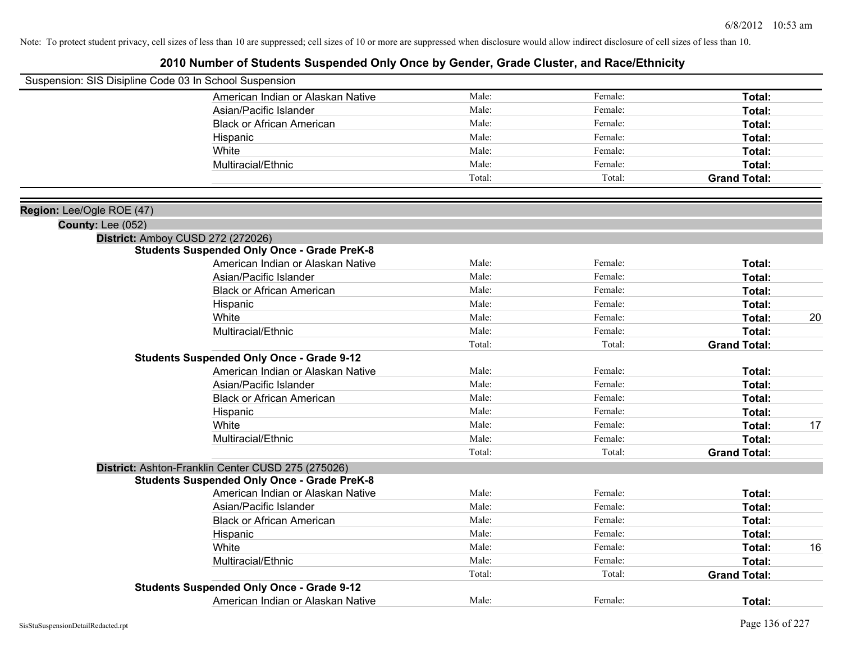|                           | Suspension: SIS Disipline Code 03 In School Suspension |                |                   |                     |    |
|---------------------------|--------------------------------------------------------|----------------|-------------------|---------------------|----|
|                           | American Indian or Alaskan Native                      | Male:          | Female:           | Total:              |    |
|                           | Asian/Pacific Islander                                 | Male:          | Female:           | Total:              |    |
|                           | <b>Black or African American</b>                       | Male:          | Female:           | Total:              |    |
|                           | Hispanic                                               | Male:          | Female:           | Total:              |    |
|                           | White                                                  | Male:          | Female:           | Total:              |    |
|                           | Multiracial/Ethnic                                     | Male:          | Female:           | Total:              |    |
|                           |                                                        | Total:         | Total:            | <b>Grand Total:</b> |    |
|                           |                                                        |                |                   |                     |    |
| Region: Lee/Ogle ROE (47) |                                                        |                |                   |                     |    |
| <b>County: Lee (052)</b>  |                                                        |                |                   |                     |    |
|                           | District: Amboy CUSD 272 (272026)                      |                |                   |                     |    |
|                           | <b>Students Suspended Only Once - Grade PreK-8</b>     |                |                   |                     |    |
|                           | American Indian or Alaskan Native                      | Male:          | Female:           | Total:              |    |
|                           | Asian/Pacific Islander                                 | Male:          | Female:           | Total:              |    |
|                           | <b>Black or African American</b>                       | Male:          | Female:           | Total:              |    |
|                           | Hispanic                                               | Male:          | Female:           | Total:              |    |
|                           | White                                                  | Male:<br>Male: | Female:           | Total:              | 20 |
|                           | Multiracial/Ethnic                                     | Total:         | Female:<br>Total: | Total:              |    |
|                           | <b>Students Suspended Only Once - Grade 9-12</b>       |                |                   | <b>Grand Total:</b> |    |
|                           | American Indian or Alaskan Native                      | Male:          | Female:           | Total:              |    |
|                           | Asian/Pacific Islander                                 | Male:          | Female:           | Total:              |    |
|                           | <b>Black or African American</b>                       | Male:          | Female:           | Total:              |    |
|                           | Hispanic                                               | Male:          | Female:           | Total:              |    |
|                           | White                                                  | Male:          | Female:           | Total:              | 17 |
|                           | Multiracial/Ethnic                                     | Male:          | Female:           | Total:              |    |
|                           |                                                        | Total:         | Total:            | <b>Grand Total:</b> |    |
|                           | District: Ashton-Franklin Center CUSD 275 (275026)     |                |                   |                     |    |
|                           | <b>Students Suspended Only Once - Grade PreK-8</b>     |                |                   |                     |    |
|                           | American Indian or Alaskan Native                      | Male:          | Female:           | Total:              |    |
|                           | Asian/Pacific Islander                                 | Male:          | Female:           | Total:              |    |
|                           | <b>Black or African American</b>                       | Male:          | Female:           | Total:              |    |
|                           | Hispanic                                               | Male:          | Female:           | Total:              |    |
|                           | White                                                  | Male:          | Female:           | Total:              | 16 |
|                           | Multiracial/Ethnic                                     | Male:          | Female:           | Total:              |    |
|                           |                                                        | Total:         | Total:            | <b>Grand Total:</b> |    |
|                           | <b>Students Suspended Only Once - Grade 9-12</b>       |                |                   |                     |    |
|                           | American Indian or Alaskan Native                      | Male:          | Female:           | Total:              |    |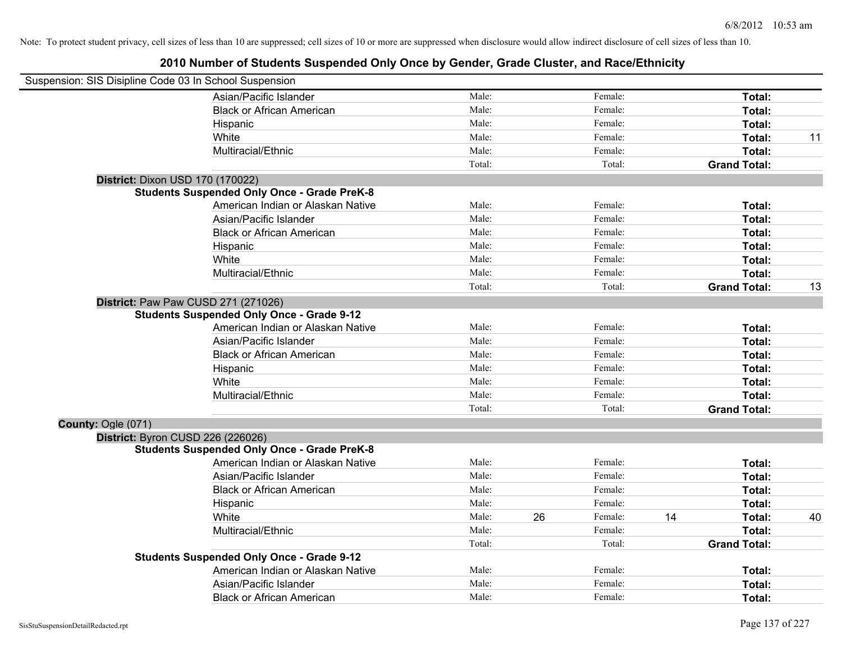|                    | Suspension: SIS Disipline Code 03 In School Suspension |        |    |         |    |                     |    |
|--------------------|--------------------------------------------------------|--------|----|---------|----|---------------------|----|
|                    | Asian/Pacific Islander                                 | Male:  |    | Female: |    | Total:              |    |
|                    | <b>Black or African American</b>                       | Male:  |    | Female: |    | Total:              |    |
|                    | Hispanic                                               | Male:  |    | Female: |    | Total:              |    |
|                    | White                                                  | Male:  |    | Female: |    | Total:              | 11 |
|                    | Multiracial/Ethnic                                     | Male:  |    | Female: |    | <b>Total:</b>       |    |
|                    |                                                        | Total: |    | Total:  |    | <b>Grand Total:</b> |    |
|                    | District: Dixon USD 170 (170022)                       |        |    |         |    |                     |    |
|                    | <b>Students Suspended Only Once - Grade PreK-8</b>     |        |    |         |    |                     |    |
|                    | American Indian or Alaskan Native                      | Male:  |    | Female: |    | Total:              |    |
|                    | Asian/Pacific Islander                                 | Male:  |    | Female: |    | Total:              |    |
|                    | <b>Black or African American</b>                       | Male:  |    | Female: |    | Total:              |    |
|                    | Hispanic                                               | Male:  |    | Female: |    | Total:              |    |
|                    | White                                                  | Male:  |    | Female: |    | Total:              |    |
|                    | Multiracial/Ethnic                                     | Male:  |    | Female: |    | <b>Total:</b>       |    |
|                    |                                                        | Total: |    | Total:  |    | <b>Grand Total:</b> | 13 |
|                    | District: Paw Paw CUSD 271 (271026)                    |        |    |         |    |                     |    |
|                    | <b>Students Suspended Only Once - Grade 9-12</b>       |        |    |         |    |                     |    |
|                    | American Indian or Alaskan Native                      | Male:  |    | Female: |    | Total:              |    |
|                    | Asian/Pacific Islander                                 | Male:  |    | Female: |    | Total:              |    |
|                    | <b>Black or African American</b>                       | Male:  |    | Female: |    | Total:              |    |
|                    | Hispanic                                               | Male:  |    | Female: |    | Total:              |    |
|                    | White                                                  | Male:  |    | Female: |    | Total:              |    |
|                    | Multiracial/Ethnic                                     | Male:  |    | Female: |    | Total:              |    |
|                    |                                                        | Total: |    | Total:  |    | <b>Grand Total:</b> |    |
| County: Ogle (071) |                                                        |        |    |         |    |                     |    |
|                    | District: Byron CUSD 226 (226026)                      |        |    |         |    |                     |    |
|                    | <b>Students Suspended Only Once - Grade PreK-8</b>     |        |    |         |    |                     |    |
|                    | American Indian or Alaskan Native                      | Male:  |    | Female: |    | Total:              |    |
|                    | Asian/Pacific Islander                                 | Male:  |    | Female: |    | Total:              |    |
|                    | <b>Black or African American</b>                       | Male:  |    | Female: |    | Total:              |    |
|                    | Hispanic                                               | Male:  |    | Female: |    | Total:              |    |
|                    | White                                                  | Male:  | 26 | Female: | 14 | Total:              | 40 |
|                    | Multiracial/Ethnic                                     | Male:  |    | Female: |    | Total:              |    |
|                    |                                                        | Total: |    | Total:  |    | <b>Grand Total:</b> |    |
|                    | <b>Students Suspended Only Once - Grade 9-12</b>       |        |    |         |    |                     |    |
|                    | American Indian or Alaskan Native                      | Male:  |    | Female: |    | Total:              |    |
|                    | Asian/Pacific Islander                                 | Male:  |    | Female: |    | Total:              |    |
|                    | <b>Black or African American</b>                       | Male:  |    | Female: |    | Total:              |    |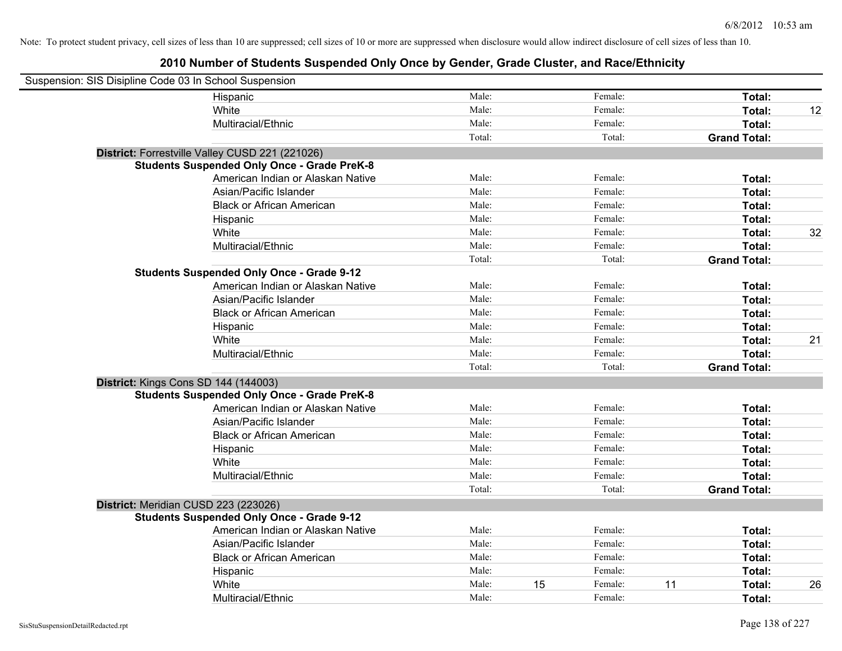| Suspension: SIS Disipline Code 03 In School Suspension |                                                    |        |    |         |    |                     |    |
|--------------------------------------------------------|----------------------------------------------------|--------|----|---------|----|---------------------|----|
|                                                        | Hispanic                                           | Male:  |    | Female: |    | Total:              |    |
|                                                        | White                                              | Male:  |    | Female: |    | Total:              | 12 |
|                                                        | Multiracial/Ethnic                                 | Male:  |    | Female: |    | Total:              |    |
|                                                        |                                                    | Total: |    | Total:  |    | <b>Grand Total:</b> |    |
|                                                        | District: Forrestville Valley CUSD 221 (221026)    |        |    |         |    |                     |    |
|                                                        | <b>Students Suspended Only Once - Grade PreK-8</b> |        |    |         |    |                     |    |
|                                                        | American Indian or Alaskan Native                  | Male:  |    | Female: |    | Total:              |    |
|                                                        | Asian/Pacific Islander                             | Male:  |    | Female: |    | Total:              |    |
|                                                        | <b>Black or African American</b>                   | Male:  |    | Female: |    | Total:              |    |
|                                                        | Hispanic                                           | Male:  |    | Female: |    | Total:              |    |
|                                                        | White                                              | Male:  |    | Female: |    | Total:              | 32 |
|                                                        | Multiracial/Ethnic                                 | Male:  |    | Female: |    | Total:              |    |
|                                                        |                                                    | Total: |    | Total:  |    | <b>Grand Total:</b> |    |
|                                                        | <b>Students Suspended Only Once - Grade 9-12</b>   |        |    |         |    |                     |    |
|                                                        | American Indian or Alaskan Native                  | Male:  |    | Female: |    | Total:              |    |
|                                                        | Asian/Pacific Islander                             | Male:  |    | Female: |    | Total:              |    |
|                                                        | <b>Black or African American</b>                   | Male:  |    | Female: |    | Total:              |    |
|                                                        | Hispanic                                           | Male:  |    | Female: |    | Total:              |    |
|                                                        | White                                              | Male:  |    | Female: |    | Total:              | 21 |
|                                                        | Multiracial/Ethnic                                 | Male:  |    | Female: |    | Total:              |    |
|                                                        |                                                    | Total: |    | Total:  |    | <b>Grand Total:</b> |    |
| District: Kings Cons SD 144 (144003)                   |                                                    |        |    |         |    |                     |    |
|                                                        | <b>Students Suspended Only Once - Grade PreK-8</b> |        |    |         |    |                     |    |
|                                                        | American Indian or Alaskan Native                  | Male:  |    | Female: |    | Total:              |    |
|                                                        | Asian/Pacific Islander                             | Male:  |    | Female: |    | Total:              |    |
|                                                        | <b>Black or African American</b>                   | Male:  |    | Female: |    | Total:              |    |
|                                                        | Hispanic                                           | Male:  |    | Female: |    | Total:              |    |
|                                                        | White                                              | Male:  |    | Female: |    | Total:              |    |
|                                                        | Multiracial/Ethnic                                 | Male:  |    | Female: |    | Total:              |    |
|                                                        |                                                    | Total: |    | Total:  |    | <b>Grand Total:</b> |    |
| District: Meridian CUSD 223 (223026)                   |                                                    |        |    |         |    |                     |    |
|                                                        | <b>Students Suspended Only Once - Grade 9-12</b>   |        |    |         |    |                     |    |
|                                                        | American Indian or Alaskan Native                  | Male:  |    | Female: |    | Total:              |    |
|                                                        | Asian/Pacific Islander                             | Male:  |    | Female: |    | Total:              |    |
|                                                        | <b>Black or African American</b>                   | Male:  |    | Female: |    | Total:              |    |
|                                                        | Hispanic                                           | Male:  |    | Female: |    | Total:              |    |
|                                                        | White                                              | Male:  | 15 | Female: | 11 | Total:              | 26 |
|                                                        | Multiracial/Ethnic                                 | Male:  |    | Female: |    | Total:              |    |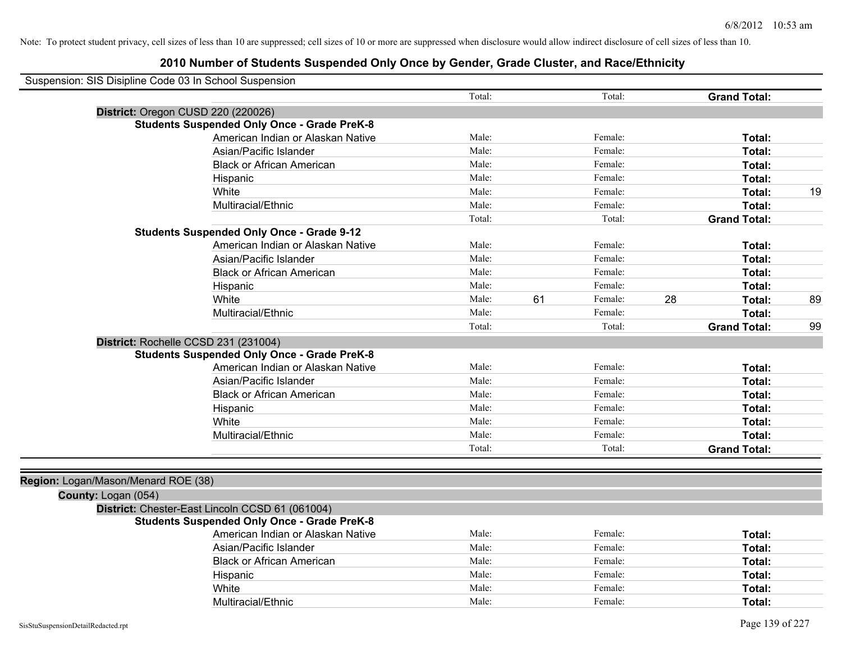| Suspension: SIS Disipline Code 03 In School Suspension |                                                    |        |    |         |    |                     |    |
|--------------------------------------------------------|----------------------------------------------------|--------|----|---------|----|---------------------|----|
|                                                        |                                                    | Total: |    | Total:  |    | <b>Grand Total:</b> |    |
| District: Oregon CUSD 220 (220026)                     |                                                    |        |    |         |    |                     |    |
|                                                        | <b>Students Suspended Only Once - Grade PreK-8</b> |        |    |         |    |                     |    |
|                                                        | American Indian or Alaskan Native                  | Male:  |    | Female: |    | Total:              |    |
|                                                        | Asian/Pacific Islander                             | Male:  |    | Female: |    | Total:              |    |
|                                                        | <b>Black or African American</b>                   | Male:  |    | Female: |    | Total:              |    |
|                                                        | Hispanic                                           | Male:  |    | Female: |    | Total:              |    |
|                                                        | White                                              | Male:  |    | Female: |    | Total:              | 19 |
|                                                        | Multiracial/Ethnic                                 | Male:  |    | Female: |    | Total:              |    |
|                                                        |                                                    | Total: |    | Total:  |    | <b>Grand Total:</b> |    |
|                                                        | <b>Students Suspended Only Once - Grade 9-12</b>   |        |    |         |    |                     |    |
|                                                        | American Indian or Alaskan Native                  | Male:  |    | Female: |    | Total:              |    |
|                                                        | Asian/Pacific Islander                             | Male:  |    | Female: |    | Total:              |    |
|                                                        | <b>Black or African American</b>                   | Male:  |    | Female: |    | Total:              |    |
|                                                        | Hispanic                                           | Male:  |    | Female: |    | Total:              |    |
|                                                        | White                                              | Male:  | 61 | Female: | 28 | Total:              | 89 |
|                                                        | Multiracial/Ethnic                                 | Male:  |    | Female: |    | Total:              |    |
|                                                        |                                                    | Total: |    | Total:  |    | <b>Grand Total:</b> | 99 |
| District: Rochelle CCSD 231 (231004)                   |                                                    |        |    |         |    |                     |    |
|                                                        | <b>Students Suspended Only Once - Grade PreK-8</b> |        |    |         |    |                     |    |
|                                                        | American Indian or Alaskan Native                  | Male:  |    | Female: |    | Total:              |    |
|                                                        | Asian/Pacific Islander                             | Male:  |    | Female: |    | Total:              |    |
|                                                        | <b>Black or African American</b>                   | Male:  |    | Female: |    | Total:              |    |
|                                                        | Hispanic                                           | Male:  |    | Female: |    | Total:              |    |
|                                                        | White                                              | Male:  |    | Female: |    | Total:              |    |
|                                                        | Multiracial/Ethnic                                 | Male:  |    | Female: |    | Total:              |    |
|                                                        |                                                    | Total: |    | Total:  |    | <b>Grand Total:</b> |    |
|                                                        |                                                    |        |    |         |    |                     |    |
| Region: Logan/Mason/Menard ROE (38)                    |                                                    |        |    |         |    |                     |    |
| County: Logan (054)                                    |                                                    |        |    |         |    |                     |    |
|                                                        | District: Chester-East Lincoln CCSD 61 (061004)    |        |    |         |    |                     |    |
|                                                        | <b>Students Suspended Only Once - Grade PreK-8</b> |        |    |         |    |                     |    |
|                                                        | American Indian or Alaskan Native                  | Male:  |    | Female: |    | Total:              |    |
|                                                        | Asian/Pacific Islander                             | Male:  |    | Female: |    | Total:              |    |
|                                                        | <b>Black or African American</b>                   | Male:  |    | Female: |    | Total:              |    |
|                                                        | Hispanic                                           | Male:  |    | Female: |    | Total:              |    |
|                                                        | White                                              | Male:  |    | Female: |    | Total:              |    |
|                                                        | Multiracial/Ethnic                                 | Male:  |    | Female: |    | Total:              |    |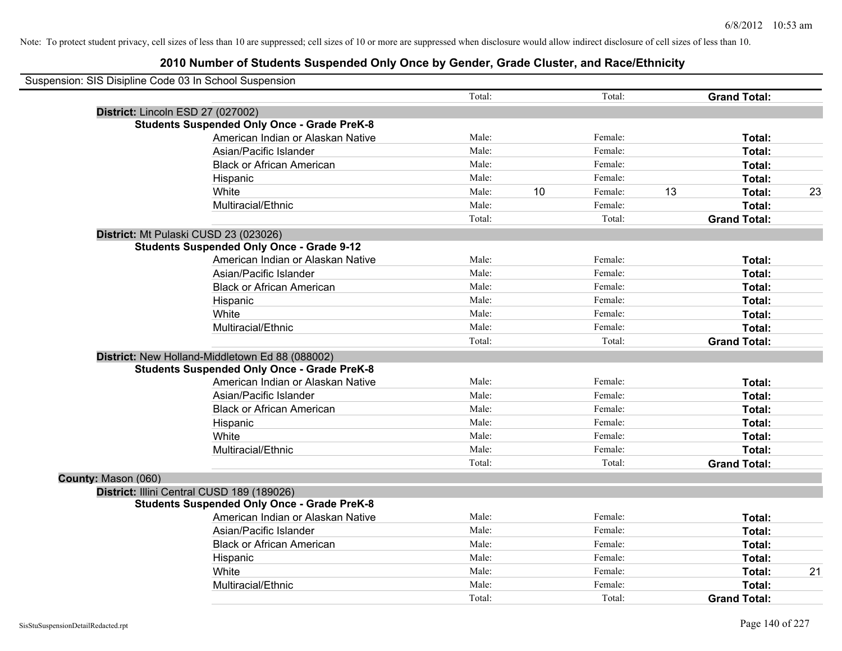| Suspension: SIS Disipline Code 03 In School Suspension |                                                    |        |    |         |    |                     |    |
|--------------------------------------------------------|----------------------------------------------------|--------|----|---------|----|---------------------|----|
|                                                        |                                                    | Total: |    | Total:  |    | <b>Grand Total:</b> |    |
|                                                        | District: Lincoln ESD 27 (027002)                  |        |    |         |    |                     |    |
|                                                        | <b>Students Suspended Only Once - Grade PreK-8</b> |        |    |         |    |                     |    |
|                                                        | American Indian or Alaskan Native                  | Male:  |    | Female: |    | Total:              |    |
|                                                        | Asian/Pacific Islander                             | Male:  |    | Female: |    | Total:              |    |
|                                                        | <b>Black or African American</b>                   | Male:  |    | Female: |    | Total:              |    |
|                                                        | Hispanic                                           | Male:  |    | Female: |    | Total:              |    |
|                                                        | White                                              | Male:  | 10 | Female: | 13 | Total:              | 23 |
|                                                        | Multiracial/Ethnic                                 | Male:  |    | Female: |    | Total:              |    |
|                                                        |                                                    | Total: |    | Total:  |    | <b>Grand Total:</b> |    |
|                                                        | District: Mt Pulaski CUSD 23 (023026)              |        |    |         |    |                     |    |
|                                                        | <b>Students Suspended Only Once - Grade 9-12</b>   |        |    |         |    |                     |    |
|                                                        | American Indian or Alaskan Native                  | Male:  |    | Female: |    | Total:              |    |
|                                                        | Asian/Pacific Islander                             | Male:  |    | Female: |    | Total:              |    |
|                                                        | <b>Black or African American</b>                   | Male:  |    | Female: |    | Total:              |    |
|                                                        | Hispanic                                           | Male:  |    | Female: |    | Total:              |    |
|                                                        | White                                              | Male:  |    | Female: |    | Total:              |    |
|                                                        | Multiracial/Ethnic                                 | Male:  |    | Female: |    | Total:              |    |
|                                                        |                                                    | Total: |    | Total:  |    | <b>Grand Total:</b> |    |
|                                                        | District: New Holland-Middletown Ed 88 (088002)    |        |    |         |    |                     |    |
|                                                        | <b>Students Suspended Only Once - Grade PreK-8</b> |        |    |         |    |                     |    |
|                                                        | American Indian or Alaskan Native                  | Male:  |    | Female: |    | Total:              |    |
|                                                        | Asian/Pacific Islander                             | Male:  |    | Female: |    | Total:              |    |
|                                                        | <b>Black or African American</b>                   | Male:  |    | Female: |    | Total:              |    |
|                                                        | Hispanic                                           | Male:  |    | Female: |    | Total:              |    |
|                                                        | White                                              | Male:  |    | Female: |    | Total:              |    |
|                                                        | Multiracial/Ethnic                                 | Male:  |    | Female: |    | Total:              |    |
|                                                        |                                                    | Total: |    | Total:  |    | <b>Grand Total:</b> |    |
| County: Mason (060)                                    |                                                    |        |    |         |    |                     |    |
|                                                        | District: Illini Central CUSD 189 (189026)         |        |    |         |    |                     |    |
|                                                        | <b>Students Suspended Only Once - Grade PreK-8</b> |        |    |         |    |                     |    |
|                                                        | American Indian or Alaskan Native                  | Male:  |    | Female: |    | Total:              |    |
|                                                        | Asian/Pacific Islander                             | Male:  |    | Female: |    | Total:              |    |
|                                                        | <b>Black or African American</b>                   | Male:  |    | Female: |    | Total:              |    |
|                                                        | Hispanic                                           | Male:  |    | Female: |    | Total:              |    |
|                                                        | White                                              | Male:  |    | Female: |    | Total:              | 21 |
|                                                        | Multiracial/Ethnic                                 | Male:  |    | Female: |    | Total:              |    |
|                                                        |                                                    | Total: |    | Total:  |    | <b>Grand Total:</b> |    |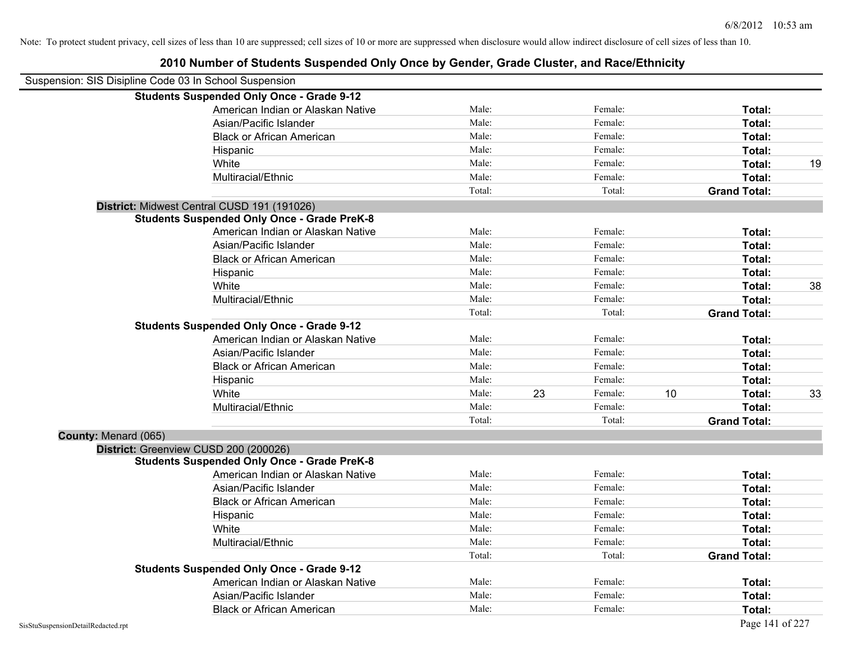| Suspension: SIS Disipline Code 03 In School Suspension |                                                    |        |    |         |    |                     |    |
|--------------------------------------------------------|----------------------------------------------------|--------|----|---------|----|---------------------|----|
|                                                        | <b>Students Suspended Only Once - Grade 9-12</b>   |        |    |         |    |                     |    |
|                                                        | American Indian or Alaskan Native                  | Male:  |    | Female: |    | Total:              |    |
|                                                        | Asian/Pacific Islander                             | Male:  |    | Female: |    | Total:              |    |
|                                                        | <b>Black or African American</b>                   | Male:  |    | Female: |    | Total:              |    |
|                                                        | Hispanic                                           | Male:  |    | Female: |    | Total:              |    |
|                                                        | White                                              | Male:  |    | Female: |    | Total:              | 19 |
|                                                        | Multiracial/Ethnic                                 | Male:  |    | Female: |    | Total:              |    |
|                                                        |                                                    | Total: |    | Total:  |    | <b>Grand Total:</b> |    |
|                                                        | District: Midwest Central CUSD 191 (191026)        |        |    |         |    |                     |    |
|                                                        | <b>Students Suspended Only Once - Grade PreK-8</b> |        |    |         |    |                     |    |
|                                                        | American Indian or Alaskan Native                  | Male:  |    | Female: |    | Total:              |    |
|                                                        | Asian/Pacific Islander                             | Male:  |    | Female: |    | Total:              |    |
|                                                        | <b>Black or African American</b>                   | Male:  |    | Female: |    | Total:              |    |
|                                                        | Hispanic                                           | Male:  |    | Female: |    | Total:              |    |
|                                                        | White                                              | Male:  |    | Female: |    | Total:              | 38 |
|                                                        | Multiracial/Ethnic                                 | Male:  |    | Female: |    | Total:              |    |
|                                                        |                                                    | Total: |    | Total:  |    | <b>Grand Total:</b> |    |
|                                                        | <b>Students Suspended Only Once - Grade 9-12</b>   |        |    |         |    |                     |    |
|                                                        | American Indian or Alaskan Native                  | Male:  |    | Female: |    | Total:              |    |
|                                                        | Asian/Pacific Islander                             | Male:  |    | Female: |    | Total:              |    |
|                                                        | <b>Black or African American</b>                   | Male:  |    | Female: |    | Total:              |    |
|                                                        | Hispanic                                           | Male:  |    | Female: |    | Total:              |    |
|                                                        | White                                              | Male:  | 23 | Female: | 10 | Total:              | 33 |
|                                                        | Multiracial/Ethnic                                 | Male:  |    | Female: |    | Total:              |    |
|                                                        |                                                    | Total: |    | Total:  |    | <b>Grand Total:</b> |    |
| County: Menard (065)                                   |                                                    |        |    |         |    |                     |    |
|                                                        | District: Greenview CUSD 200 (200026)              |        |    |         |    |                     |    |
|                                                        | <b>Students Suspended Only Once - Grade PreK-8</b> |        |    |         |    |                     |    |
|                                                        | American Indian or Alaskan Native                  | Male:  |    | Female: |    | Total:              |    |
|                                                        | Asian/Pacific Islander                             | Male:  |    | Female: |    | Total:              |    |
|                                                        | <b>Black or African American</b>                   | Male:  |    | Female: |    | Total:              |    |
|                                                        | Hispanic                                           | Male:  |    | Female: |    | Total:              |    |
|                                                        | White                                              | Male:  |    | Female: |    | Total:              |    |
|                                                        | Multiracial/Ethnic                                 | Male:  |    | Female: |    | Total:              |    |
|                                                        |                                                    | Total: |    | Total:  |    | <b>Grand Total:</b> |    |
|                                                        | <b>Students Suspended Only Once - Grade 9-12</b>   |        |    |         |    |                     |    |
|                                                        | American Indian or Alaskan Native                  | Male:  |    | Female: |    | Total:              |    |
|                                                        | Asian/Pacific Islander                             | Male:  |    | Female: |    | Total:              |    |
|                                                        | <b>Black or African American</b>                   | Male:  |    | Female: |    | Total:              |    |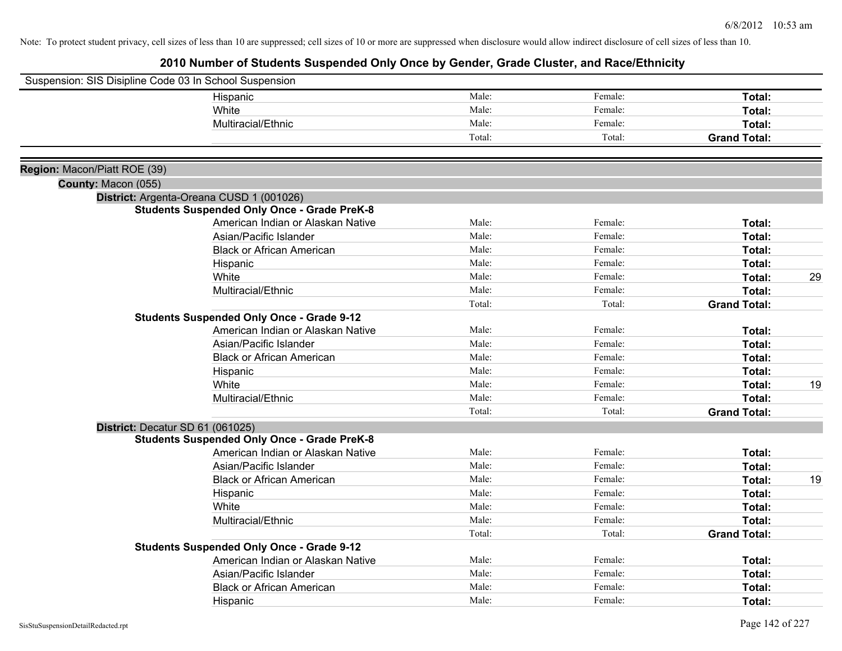| Suspension: SIS Disipline Code 03 In School Suspension |                                                    |        |         |                     |    |
|--------------------------------------------------------|----------------------------------------------------|--------|---------|---------------------|----|
|                                                        | Hispanic                                           | Male:  | Female: | Total:              |    |
|                                                        | White                                              | Male:  | Female: | Total:              |    |
|                                                        | Multiracial/Ethnic                                 | Male:  | Female: | Total:              |    |
|                                                        |                                                    | Total: | Total:  | <b>Grand Total:</b> |    |
|                                                        |                                                    |        |         |                     |    |
| Region: Macon/Piatt ROE (39)                           |                                                    |        |         |                     |    |
| County: Macon (055)                                    |                                                    |        |         |                     |    |
|                                                        | District: Argenta-Oreana CUSD 1 (001026)           |        |         |                     |    |
|                                                        | <b>Students Suspended Only Once - Grade PreK-8</b> |        |         |                     |    |
|                                                        | American Indian or Alaskan Native                  | Male:  | Female: | Total:              |    |
|                                                        | Asian/Pacific Islander                             | Male:  | Female: | Total:              |    |
|                                                        | <b>Black or African American</b>                   | Male:  | Female: | Total:              |    |
|                                                        | Hispanic                                           | Male:  | Female: | Total:              |    |
|                                                        | White                                              | Male:  | Female: | Total:              | 29 |
|                                                        | Multiracial/Ethnic                                 | Male:  | Female: | Total:              |    |
|                                                        |                                                    | Total: | Total:  | <b>Grand Total:</b> |    |
|                                                        | <b>Students Suspended Only Once - Grade 9-12</b>   |        |         |                     |    |
|                                                        | American Indian or Alaskan Native                  | Male:  | Female: | Total:              |    |
|                                                        | Asian/Pacific Islander                             | Male:  | Female: | Total:              |    |
|                                                        | <b>Black or African American</b>                   | Male:  | Female: | Total:              |    |
|                                                        | Hispanic                                           | Male:  | Female: | Total:              |    |
|                                                        | White                                              | Male:  | Female: | Total:              | 19 |
|                                                        | Multiracial/Ethnic                                 | Male:  | Female: | Total:              |    |
|                                                        |                                                    | Total: | Total:  | <b>Grand Total:</b> |    |
|                                                        | District: Decatur SD 61 (061025)                   |        |         |                     |    |
|                                                        | <b>Students Suspended Only Once - Grade PreK-8</b> |        |         |                     |    |
|                                                        | American Indian or Alaskan Native                  | Male:  | Female: | Total:              |    |
|                                                        | Asian/Pacific Islander                             | Male:  | Female: | Total:              |    |
|                                                        | <b>Black or African American</b>                   | Male:  | Female: | Total:              | 19 |
|                                                        | Hispanic                                           | Male:  | Female: | Total:              |    |
|                                                        | White                                              | Male:  | Female: | Total:              |    |
|                                                        | Multiracial/Ethnic                                 | Male:  | Female: | Total:              |    |
|                                                        |                                                    | Total: | Total:  | <b>Grand Total:</b> |    |
|                                                        | <b>Students Suspended Only Once - Grade 9-12</b>   |        |         |                     |    |
|                                                        | American Indian or Alaskan Native                  | Male:  | Female: | Total:              |    |
|                                                        | Asian/Pacific Islander                             | Male:  | Female: | Total:              |    |
|                                                        | <b>Black or African American</b>                   | Male:  | Female: | Total:              |    |
|                                                        | Hispanic                                           | Male:  | Female: | Total:              |    |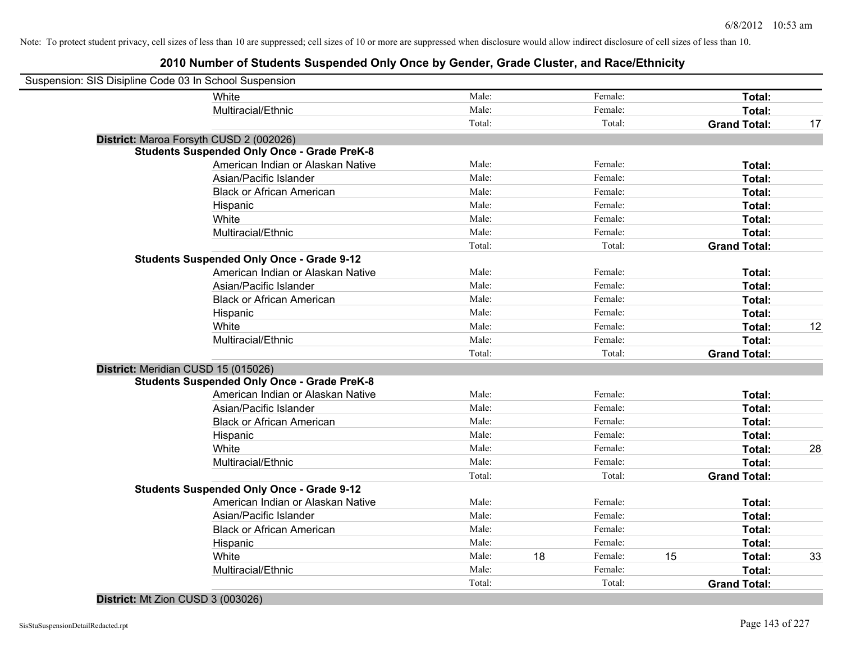## **2010 Number of Students Suspended Only Once by Gender, Grade Cluster, and Race/Ethnicity**

| Suspension: SIS Disipline Code 03 In School Suspension |                                                    |        |    |         |    |                     |    |
|--------------------------------------------------------|----------------------------------------------------|--------|----|---------|----|---------------------|----|
|                                                        | White                                              | Male:  |    | Female: |    | Total:              |    |
|                                                        | Multiracial/Ethnic                                 | Male:  |    | Female: |    | Total:              |    |
|                                                        |                                                    | Total: |    | Total:  |    | <b>Grand Total:</b> | 17 |
|                                                        | District: Maroa Forsyth CUSD 2 (002026)            |        |    |         |    |                     |    |
|                                                        | <b>Students Suspended Only Once - Grade PreK-8</b> |        |    |         |    |                     |    |
|                                                        | American Indian or Alaskan Native                  | Male:  |    | Female: |    | Total:              |    |
|                                                        | Asian/Pacific Islander                             | Male:  |    | Female: |    | Total:              |    |
|                                                        | <b>Black or African American</b>                   | Male:  |    | Female: |    | Total:              |    |
|                                                        | Hispanic                                           | Male:  |    | Female: |    | Total:              |    |
|                                                        | White                                              | Male:  |    | Female: |    | Total:              |    |
|                                                        | Multiracial/Ethnic                                 | Male:  |    | Female: |    | Total:              |    |
|                                                        |                                                    | Total: |    | Total:  |    | <b>Grand Total:</b> |    |
|                                                        | <b>Students Suspended Only Once - Grade 9-12</b>   |        |    |         |    |                     |    |
|                                                        | American Indian or Alaskan Native                  | Male:  |    | Female: |    | Total:              |    |
|                                                        | Asian/Pacific Islander                             | Male:  |    | Female: |    | Total:              |    |
|                                                        | <b>Black or African American</b>                   | Male:  |    | Female: |    | Total:              |    |
|                                                        | Hispanic                                           | Male:  |    | Female: |    | Total:              |    |
|                                                        | White                                              | Male:  |    | Female: |    | Total:              | 12 |
|                                                        | Multiracial/Ethnic                                 | Male:  |    | Female: |    | Total:              |    |
|                                                        |                                                    | Total: |    | Total:  |    | <b>Grand Total:</b> |    |
| District: Meridian CUSD 15 (015026)                    |                                                    |        |    |         |    |                     |    |
|                                                        | <b>Students Suspended Only Once - Grade PreK-8</b> |        |    |         |    |                     |    |
|                                                        | American Indian or Alaskan Native                  | Male:  |    | Female: |    | Total:              |    |
|                                                        | Asian/Pacific Islander                             | Male:  |    | Female: |    | Total:              |    |
|                                                        | <b>Black or African American</b>                   | Male:  |    | Female: |    | Total:              |    |
|                                                        | Hispanic                                           | Male:  |    | Female: |    | Total:              |    |
|                                                        | White                                              | Male:  |    | Female: |    | Total:              | 28 |
|                                                        | Multiracial/Ethnic                                 | Male:  |    | Female: |    | Total:              |    |
|                                                        |                                                    | Total: |    | Total:  |    | <b>Grand Total:</b> |    |
|                                                        | <b>Students Suspended Only Once - Grade 9-12</b>   |        |    |         |    |                     |    |
|                                                        | American Indian or Alaskan Native                  | Male:  |    | Female: |    | Total:              |    |
|                                                        | Asian/Pacific Islander                             | Male:  |    | Female: |    | Total:              |    |
|                                                        | <b>Black or African American</b>                   | Male:  |    | Female: |    | Total:              |    |
|                                                        | Hispanic                                           | Male:  |    | Female: |    | Total:              |    |
|                                                        | White                                              | Male:  | 18 | Female: | 15 | Total:              | 33 |
|                                                        | Multiracial/Ethnic                                 | Male:  |    | Female: |    | Total:              |    |
|                                                        |                                                    | Total: |    | Total:  |    | <b>Grand Total:</b> |    |
|                                                        |                                                    |        |    |         |    |                     |    |

## **District:** Mt Zion CUSD 3 (003026)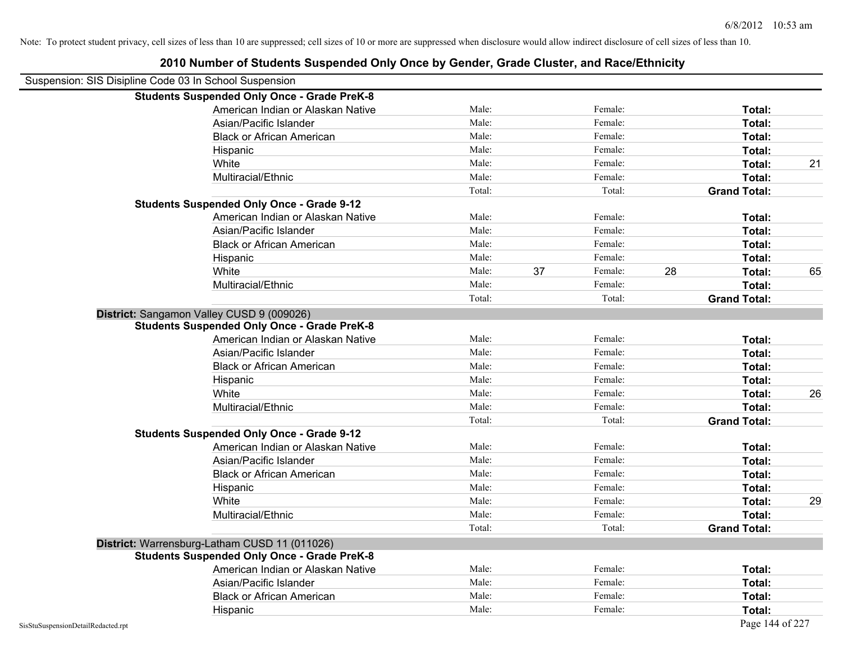|                                    | 2010 Number of Students Suspended Only Once by Gender, Grade Cluster, and Race/Ethnicity |        |    |         |    |                     |    |
|------------------------------------|------------------------------------------------------------------------------------------|--------|----|---------|----|---------------------|----|
|                                    | Suspension: SIS Disipline Code 03 In School Suspension                                   |        |    |         |    |                     |    |
|                                    | <b>Students Suspended Only Once - Grade PreK-8</b>                                       |        |    |         |    |                     |    |
|                                    | American Indian or Alaskan Native                                                        | Male:  |    | Female: |    | Total:              |    |
|                                    | Asian/Pacific Islander                                                                   | Male:  |    | Female: |    | Total:              |    |
|                                    | <b>Black or African American</b>                                                         | Male:  |    | Female: |    | Total:              |    |
|                                    | Hispanic                                                                                 | Male:  |    | Female: |    | Total:              |    |
|                                    | White                                                                                    | Male:  |    | Female: |    | Total:              | 21 |
|                                    | Multiracial/Ethnic                                                                       | Male:  |    | Female: |    | Total:              |    |
|                                    |                                                                                          | Total: |    | Total:  |    | <b>Grand Total:</b> |    |
|                                    | <b>Students Suspended Only Once - Grade 9-12</b>                                         |        |    |         |    |                     |    |
|                                    | American Indian or Alaskan Native                                                        | Male:  |    | Female: |    | Total:              |    |
|                                    | Asian/Pacific Islander                                                                   | Male:  |    | Female: |    | Total:              |    |
|                                    | <b>Black or African American</b>                                                         | Male:  |    | Female: |    | Total:              |    |
|                                    | Hispanic                                                                                 | Male:  |    | Female: |    | Total:              |    |
|                                    | White                                                                                    | Male:  | 37 | Female: | 28 | Total:              | 65 |
|                                    | Multiracial/Ethnic                                                                       | Male:  |    | Female: |    | Total:              |    |
|                                    |                                                                                          | Total: |    | Total:  |    | <b>Grand Total:</b> |    |
|                                    | District: Sangamon Valley CUSD 9 (009026)                                                |        |    |         |    |                     |    |
|                                    | <b>Students Suspended Only Once - Grade PreK-8</b>                                       |        |    |         |    |                     |    |
|                                    | American Indian or Alaskan Native                                                        | Male:  |    | Female: |    | Total:              |    |
|                                    | Asian/Pacific Islander                                                                   | Male:  |    | Female: |    | Total:              |    |
|                                    | <b>Black or African American</b>                                                         | Male:  |    | Female: |    | Total:              |    |
|                                    | Hispanic                                                                                 | Male:  |    | Female: |    | Total:              |    |
|                                    | White                                                                                    | Male:  |    | Female: |    | Total:              | 26 |
|                                    | Multiracial/Ethnic                                                                       | Male:  |    | Female: |    | Total:              |    |
|                                    |                                                                                          | Total: |    | Total:  |    | <b>Grand Total:</b> |    |
|                                    | <b>Students Suspended Only Once - Grade 9-12</b>                                         |        |    |         |    |                     |    |
|                                    | American Indian or Alaskan Native                                                        | Male:  |    | Female: |    | Total:              |    |
|                                    | Asian/Pacific Islander                                                                   | Male:  |    | Female: |    | Total:              |    |
|                                    | <b>Black or African American</b>                                                         | Male:  |    | Female: |    | Total:              |    |
|                                    | Hispanic                                                                                 | Male:  |    | Female: |    | Total:              |    |
|                                    | White                                                                                    | Male:  |    | Female: |    | Total:              | 29 |
|                                    | Multiracial/Ethnic                                                                       | Male:  |    | Female: |    | Total:              |    |
|                                    |                                                                                          | Total: |    | Total:  |    | <b>Grand Total:</b> |    |
|                                    | District: Warrensburg-Latham CUSD 11 (011026)                                            |        |    |         |    |                     |    |
|                                    | <b>Students Suspended Only Once - Grade PreK-8</b>                                       |        |    |         |    |                     |    |
|                                    | American Indian or Alaskan Native                                                        | Male:  |    | Female: |    | Total:              |    |
|                                    | Asian/Pacific Islander                                                                   | Male:  |    | Female: |    | Total:              |    |
|                                    | <b>Black or African American</b>                                                         | Male:  |    | Female: |    | Total:              |    |
|                                    | Hispanic                                                                                 | Male:  |    | Female: |    | Total:              |    |
| SisStuSuspensionDetailRedacted.rpt |                                                                                          |        |    |         |    | Page 144 of 227     |    |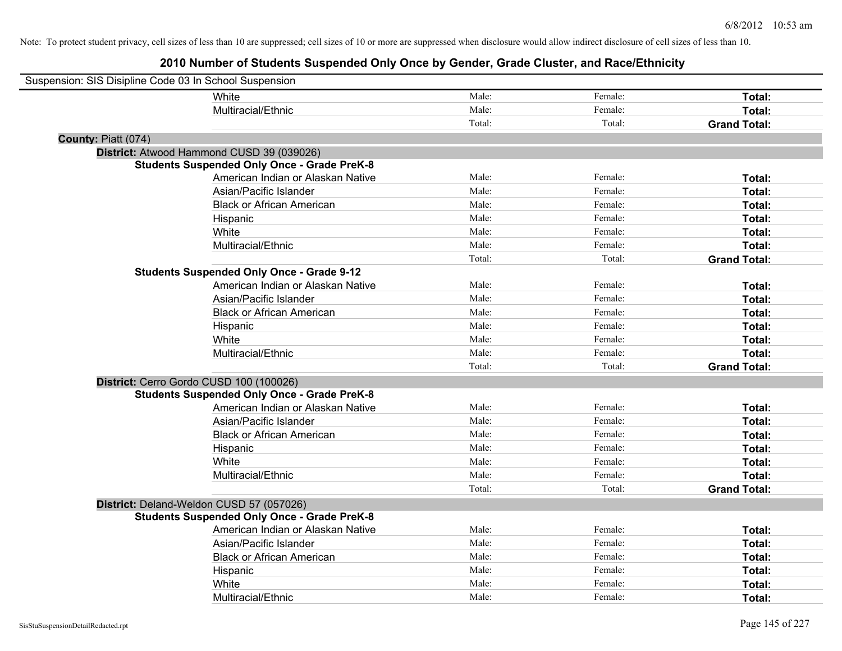| Suspension: SIS Disipline Code 03 In School Suspension |                                                    |        |         |                     |
|--------------------------------------------------------|----------------------------------------------------|--------|---------|---------------------|
|                                                        | White                                              | Male:  | Female: | Total:              |
|                                                        | Multiracial/Ethnic                                 | Male:  | Female: | Total:              |
|                                                        |                                                    | Total: | Total:  | <b>Grand Total:</b> |
| County: Piatt (074)                                    |                                                    |        |         |                     |
|                                                        | District: Atwood Hammond CUSD 39 (039026)          |        |         |                     |
|                                                        | <b>Students Suspended Only Once - Grade PreK-8</b> |        |         |                     |
|                                                        | American Indian or Alaskan Native                  | Male:  | Female: | Total:              |
|                                                        | Asian/Pacific Islander                             | Male:  | Female: | Total:              |
|                                                        | <b>Black or African American</b>                   | Male:  | Female: | Total:              |
|                                                        | Hispanic                                           | Male:  | Female: | Total:              |
|                                                        | White                                              | Male:  | Female: | Total:              |
|                                                        | Multiracial/Ethnic                                 | Male:  | Female: | Total:              |
|                                                        |                                                    | Total: | Total:  | <b>Grand Total:</b> |
|                                                        | <b>Students Suspended Only Once - Grade 9-12</b>   |        |         |                     |
|                                                        | American Indian or Alaskan Native                  | Male:  | Female: | Total:              |
|                                                        | Asian/Pacific Islander                             | Male:  | Female: | Total:              |
|                                                        | <b>Black or African American</b>                   | Male:  | Female: | Total:              |
|                                                        | Hispanic                                           | Male:  | Female: | Total:              |
|                                                        | White                                              | Male:  | Female: | Total:              |
|                                                        | Multiracial/Ethnic                                 | Male:  | Female: | <b>Total:</b>       |
|                                                        |                                                    | Total: | Total:  | <b>Grand Total:</b> |
| District: Cerro Gordo CUSD 100 (100026)                |                                                    |        |         |                     |
|                                                        | <b>Students Suspended Only Once - Grade PreK-8</b> |        |         |                     |
|                                                        | American Indian or Alaskan Native                  | Male:  | Female: | Total:              |
|                                                        | Asian/Pacific Islander                             | Male:  | Female: | Total:              |
|                                                        | <b>Black or African American</b>                   | Male:  | Female: | Total:              |
|                                                        | Hispanic                                           | Male:  | Female: | Total:              |
|                                                        | White                                              | Male:  | Female: | Total:              |
|                                                        | Multiracial/Ethnic                                 | Male:  | Female: | Total:              |
|                                                        |                                                    | Total: | Total:  | <b>Grand Total:</b> |
|                                                        | District: Deland-Weldon CUSD 57 (057026)           |        |         |                     |
|                                                        | <b>Students Suspended Only Once - Grade PreK-8</b> |        |         |                     |
|                                                        | American Indian or Alaskan Native                  | Male:  | Female: | Total:              |
|                                                        | Asian/Pacific Islander                             | Male:  | Female: | Total:              |
|                                                        | <b>Black or African American</b>                   | Male:  | Female: | Total:              |
|                                                        | Hispanic                                           | Male:  | Female: | Total:              |
|                                                        | White                                              | Male:  | Female: | Total:              |
|                                                        | Multiracial/Ethnic                                 | Male:  | Female: | Total:              |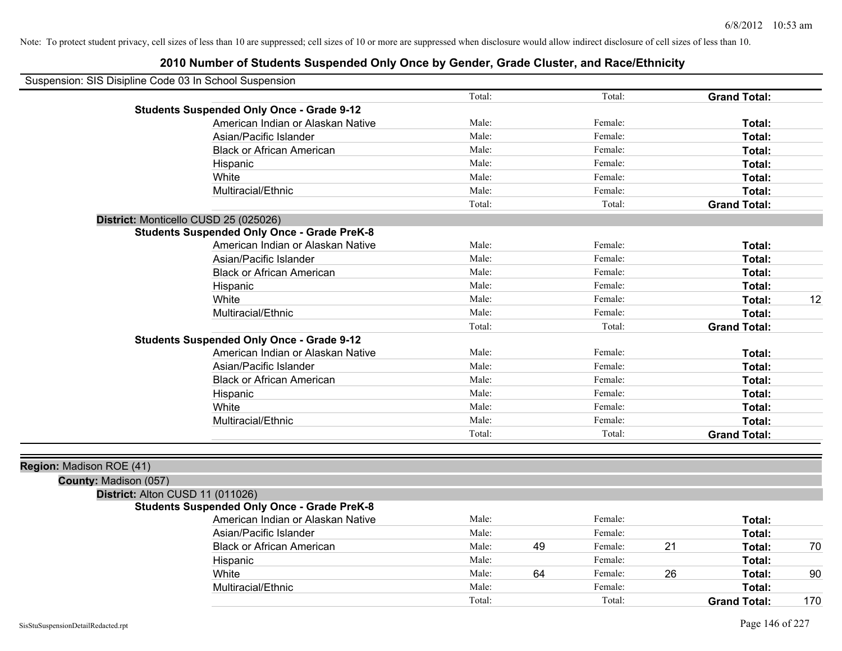|                          | Suspension: SIS Disipline Code 03 In School Suspension |        |    |         |    |                     |     |
|--------------------------|--------------------------------------------------------|--------|----|---------|----|---------------------|-----|
|                          |                                                        | Total: |    | Total:  |    | <b>Grand Total:</b> |     |
|                          | <b>Students Suspended Only Once - Grade 9-12</b>       |        |    |         |    |                     |     |
|                          | American Indian or Alaskan Native                      | Male:  |    | Female: |    | Total:              |     |
|                          | Asian/Pacific Islander                                 | Male:  |    | Female: |    | Total:              |     |
|                          | <b>Black or African American</b>                       | Male:  |    | Female: |    | Total:              |     |
|                          | Hispanic                                               | Male:  |    | Female: |    | Total:              |     |
|                          | White                                                  | Male:  |    | Female: |    | Total:              |     |
|                          | Multiracial/Ethnic                                     | Male:  |    | Female: |    | Total:              |     |
|                          |                                                        | Total: |    | Total:  |    | <b>Grand Total:</b> |     |
|                          | District: Monticello CUSD 25 (025026)                  |        |    |         |    |                     |     |
|                          | <b>Students Suspended Only Once - Grade PreK-8</b>     |        |    |         |    |                     |     |
|                          | American Indian or Alaskan Native                      | Male:  |    | Female: |    | Total:              |     |
|                          | Asian/Pacific Islander                                 | Male:  |    | Female: |    | Total:              |     |
|                          | <b>Black or African American</b>                       | Male:  |    | Female: |    | Total:              |     |
|                          | Hispanic                                               | Male:  |    | Female: |    | Total:              |     |
|                          | White                                                  | Male:  |    | Female: |    | Total:              | 12  |
|                          | Multiracial/Ethnic                                     | Male:  |    | Female: |    | Total:              |     |
|                          |                                                        | Total: |    | Total:  |    | <b>Grand Total:</b> |     |
|                          | <b>Students Suspended Only Once - Grade 9-12</b>       |        |    |         |    |                     |     |
|                          | American Indian or Alaskan Native                      | Male:  |    | Female: |    | Total:              |     |
|                          | Asian/Pacific Islander                                 | Male:  |    | Female: |    | Total:              |     |
|                          | <b>Black or African American</b>                       | Male:  |    | Female: |    | Total:              |     |
|                          | Hispanic                                               | Male:  |    | Female: |    | Total:              |     |
|                          | White                                                  | Male:  |    | Female: |    | Total:              |     |
|                          | Multiracial/Ethnic                                     | Male:  |    | Female: |    | Total:              |     |
|                          |                                                        | Total: |    | Total:  |    | <b>Grand Total:</b> |     |
|                          |                                                        |        |    |         |    |                     |     |
| Region: Madison ROE (41) |                                                        |        |    |         |    |                     |     |
| County: Madison (057)    |                                                        |        |    |         |    |                     |     |
|                          | District: Alton CUSD 11 (011026)                       |        |    |         |    |                     |     |
|                          | <b>Students Suspended Only Once - Grade PreK-8</b>     |        |    |         |    |                     |     |
|                          | American Indian or Alaskan Native                      | Male:  |    | Female: |    | Total:              |     |
|                          | Asian/Pacific Islander                                 | Male:  |    | Female: |    | Total:              |     |
|                          | <b>Black or African American</b>                       | Male:  | 49 | Female: | 21 | Total:              | 70  |
|                          | Hispanic                                               | Male:  |    | Female: |    | Total:              |     |
|                          | White                                                  | Male:  | 64 | Female: | 26 | Total:              | 90  |
|                          | Multiracial/Ethnic                                     | Male:  |    | Female: |    | Total:              |     |
|                          |                                                        | Total: |    | Total:  |    | <b>Grand Total:</b> | 170 |
|                          |                                                        |        |    |         |    |                     |     |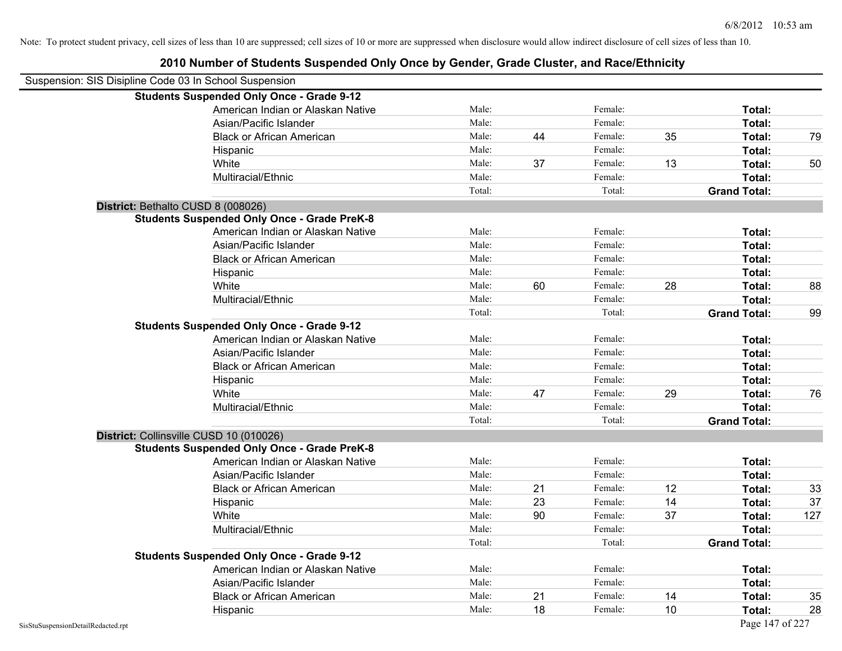| Suspension: SIS Disipline Code 03 In School Suspension |        |    |         |    |                     |     |
|--------------------------------------------------------|--------|----|---------|----|---------------------|-----|
| <b>Students Suspended Only Once - Grade 9-12</b>       |        |    |         |    |                     |     |
| American Indian or Alaskan Native                      | Male:  |    | Female: |    | Total:              |     |
| Asian/Pacific Islander                                 | Male:  |    | Female: |    | Total:              |     |
| <b>Black or African American</b>                       | Male:  | 44 | Female: | 35 | Total:              | 79  |
| Hispanic                                               | Male:  |    | Female: |    | Total:              |     |
| White                                                  | Male:  | 37 | Female: | 13 | Total:              | 50  |
| Multiracial/Ethnic                                     | Male:  |    | Female: |    | Total:              |     |
|                                                        | Total: |    | Total:  |    | <b>Grand Total:</b> |     |
| District: Bethalto CUSD 8 (008026)                     |        |    |         |    |                     |     |
| <b>Students Suspended Only Once - Grade PreK-8</b>     |        |    |         |    |                     |     |
| American Indian or Alaskan Native                      | Male:  |    | Female: |    | Total:              |     |
| Asian/Pacific Islander                                 | Male:  |    | Female: |    | Total:              |     |
| <b>Black or African American</b>                       | Male:  |    | Female: |    | Total:              |     |
| Hispanic                                               | Male:  |    | Female: |    | Total:              |     |
| White                                                  | Male:  | 60 | Female: | 28 | Total:              | 88  |
| Multiracial/Ethnic                                     | Male:  |    | Female: |    | Total:              |     |
|                                                        | Total: |    | Total:  |    | <b>Grand Total:</b> | 99  |
| <b>Students Suspended Only Once - Grade 9-12</b>       |        |    |         |    |                     |     |
| American Indian or Alaskan Native                      | Male:  |    | Female: |    | Total:              |     |
| Asian/Pacific Islander                                 | Male:  |    | Female: |    | Total:              |     |
| <b>Black or African American</b>                       | Male:  |    | Female: |    | Total:              |     |
| Hispanic                                               | Male:  |    | Female: |    | Total:              |     |
| White                                                  | Male:  | 47 | Female: | 29 | Total:              | 76  |
| Multiracial/Ethnic                                     | Male:  |    | Female: |    | Total:              |     |
|                                                        | Total: |    | Total:  |    | <b>Grand Total:</b> |     |
| District: Collinsville CUSD 10 (010026)                |        |    |         |    |                     |     |
| <b>Students Suspended Only Once - Grade PreK-8</b>     |        |    |         |    |                     |     |
| American Indian or Alaskan Native                      | Male:  |    | Female: |    | Total:              |     |
| Asian/Pacific Islander                                 | Male:  |    | Female: |    | Total:              |     |
| <b>Black or African American</b>                       | Male:  | 21 | Female: | 12 | <b>Total:</b>       | 33  |
| Hispanic                                               | Male:  | 23 | Female: | 14 | Total:              | 37  |
| White                                                  | Male:  | 90 | Female: | 37 | Total:              | 127 |
| Multiracial/Ethnic                                     | Male:  |    | Female: |    | Total:              |     |
|                                                        | Total: |    | Total:  |    | <b>Grand Total:</b> |     |
| <b>Students Suspended Only Once - Grade 9-12</b>       |        |    |         |    |                     |     |
| American Indian or Alaskan Native                      | Male:  |    | Female: |    | Total:              |     |
| Asian/Pacific Islander                                 | Male:  |    | Female: |    | Total:              |     |
| <b>Black or African American</b>                       | Male:  | 21 | Female: | 14 | Total:              | 35  |
| Hispanic                                               | Male:  | 18 | Female: | 10 | Total:              | 28  |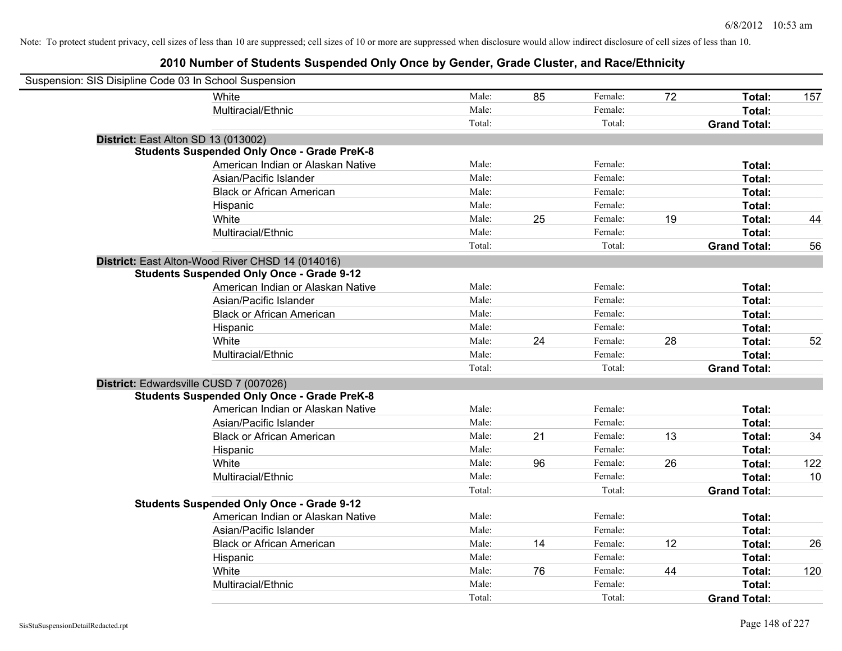| Suspension: SIS Disipline Code 03 In School Suspension |                                                    |        |    |         |    |                     |     |
|--------------------------------------------------------|----------------------------------------------------|--------|----|---------|----|---------------------|-----|
|                                                        | White                                              | Male:  | 85 | Female: | 72 | Total:              | 157 |
|                                                        | Multiracial/Ethnic                                 | Male:  |    | Female: |    | Total:              |     |
|                                                        |                                                    | Total: |    | Total:  |    | <b>Grand Total:</b> |     |
| District: East Alton SD 13 (013002)                    |                                                    |        |    |         |    |                     |     |
|                                                        | <b>Students Suspended Only Once - Grade PreK-8</b> |        |    |         |    |                     |     |
|                                                        | American Indian or Alaskan Native                  | Male:  |    | Female: |    | Total:              |     |
|                                                        | Asian/Pacific Islander                             | Male:  |    | Female: |    | Total:              |     |
|                                                        | <b>Black or African American</b>                   | Male:  |    | Female: |    | Total:              |     |
|                                                        | Hispanic                                           | Male:  |    | Female: |    | Total:              |     |
|                                                        | White                                              | Male:  | 25 | Female: | 19 | Total:              | 44  |
|                                                        | Multiracial/Ethnic                                 | Male:  |    | Female: |    | Total:              |     |
|                                                        |                                                    | Total: |    | Total:  |    | <b>Grand Total:</b> | 56  |
|                                                        | District: East Alton-Wood River CHSD 14 (014016)   |        |    |         |    |                     |     |
|                                                        | <b>Students Suspended Only Once - Grade 9-12</b>   |        |    |         |    |                     |     |
|                                                        | American Indian or Alaskan Native                  | Male:  |    | Female: |    | Total:              |     |
|                                                        | Asian/Pacific Islander                             | Male:  |    | Female: |    | Total:              |     |
|                                                        | <b>Black or African American</b>                   | Male:  |    | Female: |    | Total:              |     |
|                                                        | Hispanic                                           | Male:  |    | Female: |    | Total:              |     |
|                                                        | White                                              | Male:  | 24 | Female: | 28 | Total:              | 52  |
|                                                        | Multiracial/Ethnic                                 | Male:  |    | Female: |    | Total:              |     |
|                                                        |                                                    | Total: |    | Total:  |    | <b>Grand Total:</b> |     |
| District: Edwardsville CUSD 7 (007026)                 |                                                    |        |    |         |    |                     |     |
|                                                        | <b>Students Suspended Only Once - Grade PreK-8</b> |        |    |         |    |                     |     |
|                                                        | American Indian or Alaskan Native                  | Male:  |    | Female: |    | Total:              |     |
|                                                        | Asian/Pacific Islander                             | Male:  |    | Female: |    | Total:              |     |
|                                                        | <b>Black or African American</b>                   | Male:  | 21 | Female: | 13 | Total:              | 34  |
|                                                        | Hispanic                                           | Male:  |    | Female: |    | Total:              |     |
|                                                        | White                                              | Male:  | 96 | Female: | 26 | Total:              | 122 |
|                                                        | Multiracial/Ethnic                                 | Male:  |    | Female: |    | Total:              | 10  |
|                                                        |                                                    | Total: |    | Total:  |    | <b>Grand Total:</b> |     |
|                                                        | <b>Students Suspended Only Once - Grade 9-12</b>   |        |    |         |    |                     |     |
|                                                        | American Indian or Alaskan Native                  | Male:  |    | Female: |    | Total:              |     |
|                                                        | Asian/Pacific Islander                             | Male:  |    | Female: |    | Total:              |     |
|                                                        | <b>Black or African American</b>                   | Male:  | 14 | Female: | 12 | Total:              | 26  |
|                                                        | Hispanic                                           | Male:  |    | Female: |    | Total:              |     |
|                                                        | White                                              | Male:  | 76 | Female: | 44 | Total:              | 120 |
|                                                        | Multiracial/Ethnic                                 | Male:  |    | Female: |    | Total:              |     |
|                                                        |                                                    | Total: |    | Total:  |    | <b>Grand Total:</b> |     |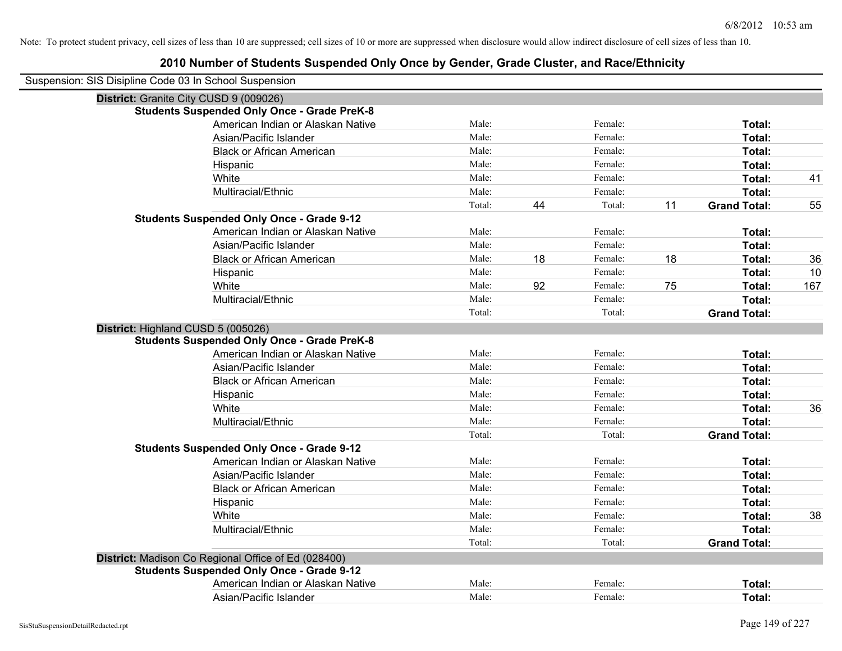| Suspension: SIS Disipline Code 03 In School Suspension |        |    |         |    |                     |     |
|--------------------------------------------------------|--------|----|---------|----|---------------------|-----|
| District: Granite City CUSD 9 (009026)                 |        |    |         |    |                     |     |
| <b>Students Suspended Only Once - Grade PreK-8</b>     |        |    |         |    |                     |     |
| American Indian or Alaskan Native                      | Male:  |    | Female: |    | Total:              |     |
| Asian/Pacific Islander                                 | Male:  |    | Female: |    | Total:              |     |
| <b>Black or African American</b>                       | Male:  |    | Female: |    | Total:              |     |
| Hispanic                                               | Male:  |    | Female: |    | Total:              |     |
| White                                                  | Male:  |    | Female: |    | Total:              | 41  |
| Multiracial/Ethnic                                     | Male:  |    | Female: |    | Total:              |     |
|                                                        | Total: | 44 | Total:  | 11 | <b>Grand Total:</b> | 55  |
| <b>Students Suspended Only Once - Grade 9-12</b>       |        |    |         |    |                     |     |
| American Indian or Alaskan Native                      | Male:  |    | Female: |    | Total:              |     |
| Asian/Pacific Islander                                 | Male:  |    | Female: |    | Total:              |     |
| <b>Black or African American</b>                       | Male:  | 18 | Female: | 18 | Total:              | 36  |
| Hispanic                                               | Male:  |    | Female: |    | Total:              | 10  |
| White                                                  | Male:  | 92 | Female: | 75 | Total:              | 167 |
| Multiracial/Ethnic                                     | Male:  |    | Female: |    | Total:              |     |
|                                                        | Total: |    | Total:  |    | <b>Grand Total:</b> |     |
| District: Highland CUSD 5 (005026)                     |        |    |         |    |                     |     |
| <b>Students Suspended Only Once - Grade PreK-8</b>     |        |    |         |    |                     |     |
| American Indian or Alaskan Native                      | Male:  |    | Female: |    | Total:              |     |
| Asian/Pacific Islander                                 | Male:  |    | Female: |    | Total:              |     |
| <b>Black or African American</b>                       | Male:  |    | Female: |    | Total:              |     |
| Hispanic                                               | Male:  |    | Female: |    | Total:              |     |
| White                                                  | Male:  |    | Female: |    | Total:              | 36  |
| Multiracial/Ethnic                                     | Male:  |    | Female: |    | Total:              |     |
|                                                        | Total: |    | Total:  |    | <b>Grand Total:</b> |     |
| <b>Students Suspended Only Once - Grade 9-12</b>       |        |    |         |    |                     |     |
| American Indian or Alaskan Native                      | Male:  |    | Female: |    | Total:              |     |
| Asian/Pacific Islander                                 | Male:  |    | Female: |    | Total:              |     |
| <b>Black or African American</b>                       | Male:  |    | Female: |    | Total:              |     |
| Hispanic                                               | Male:  |    | Female: |    | Total:              |     |
| White                                                  | Male:  |    | Female: |    | Total:              | 38  |
| Multiracial/Ethnic                                     | Male:  |    | Female: |    | Total:              |     |
|                                                        | Total: |    | Total:  |    | <b>Grand Total:</b> |     |
| District: Madison Co Regional Office of Ed (028400)    |        |    |         |    |                     |     |
| <b>Students Suspended Only Once - Grade 9-12</b>       |        |    |         |    |                     |     |
| American Indian or Alaskan Native                      | Male:  |    | Female: |    | Total:              |     |
| Asian/Pacific Islander                                 | Male:  |    | Female: |    | Total:              |     |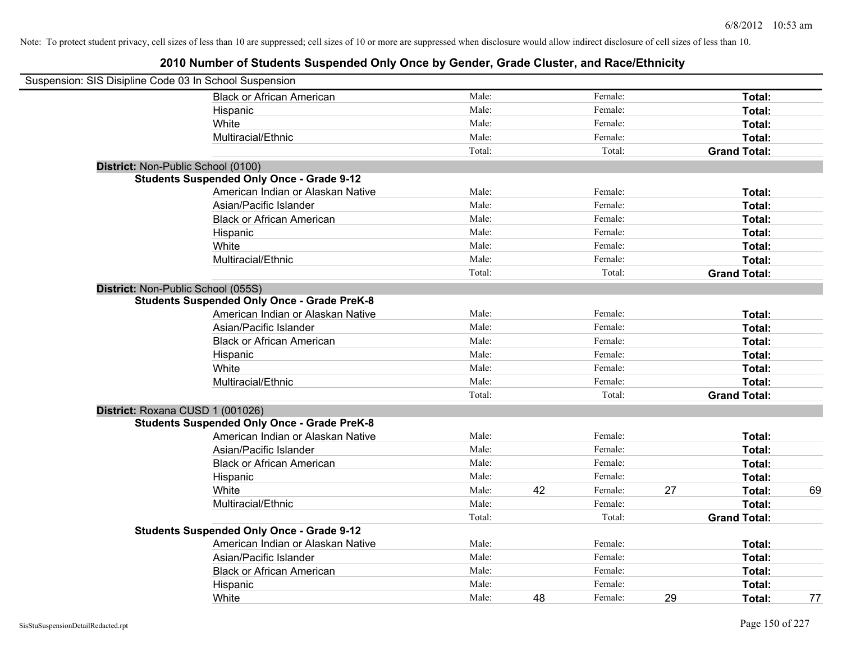| Suspension: SIS Disipline Code 03 In School Suspension |                                                    |        |    |         |    |                     |    |
|--------------------------------------------------------|----------------------------------------------------|--------|----|---------|----|---------------------|----|
|                                                        | <b>Black or African American</b>                   | Male:  |    | Female: |    | Total:              |    |
|                                                        | Hispanic                                           | Male:  |    | Female: |    | Total:              |    |
|                                                        | White                                              | Male:  |    | Female: |    | Total:              |    |
|                                                        | Multiracial/Ethnic                                 | Male:  |    | Female: |    | Total:              |    |
|                                                        |                                                    | Total: |    | Total:  |    | <b>Grand Total:</b> |    |
| District: Non-Public School (0100)                     |                                                    |        |    |         |    |                     |    |
|                                                        | <b>Students Suspended Only Once - Grade 9-12</b>   |        |    |         |    |                     |    |
|                                                        | American Indian or Alaskan Native                  | Male:  |    | Female: |    | Total:              |    |
|                                                        | Asian/Pacific Islander                             | Male:  |    | Female: |    | Total:              |    |
|                                                        | <b>Black or African American</b>                   | Male:  |    | Female: |    | Total:              |    |
|                                                        | Hispanic                                           | Male:  |    | Female: |    | Total:              |    |
|                                                        | White                                              | Male:  |    | Female: |    | Total:              |    |
|                                                        | Multiracial/Ethnic                                 | Male:  |    | Female: |    | Total:              |    |
|                                                        |                                                    | Total: |    | Total:  |    | <b>Grand Total:</b> |    |
| District: Non-Public School (055S)                     |                                                    |        |    |         |    |                     |    |
|                                                        | <b>Students Suspended Only Once - Grade PreK-8</b> |        |    |         |    |                     |    |
|                                                        | American Indian or Alaskan Native                  | Male:  |    | Female: |    | Total:              |    |
|                                                        | Asian/Pacific Islander                             | Male:  |    | Female: |    | Total:              |    |
|                                                        | <b>Black or African American</b>                   | Male:  |    | Female: |    | Total:              |    |
|                                                        | Hispanic                                           | Male:  |    | Female: |    | Total:              |    |
|                                                        | White                                              | Male:  |    | Female: |    | Total:              |    |
|                                                        | Multiracial/Ethnic                                 | Male:  |    | Female: |    | Total:              |    |
|                                                        |                                                    | Total: |    | Total:  |    | <b>Grand Total:</b> |    |
| District: Roxana CUSD 1 (001026)                       |                                                    |        |    |         |    |                     |    |
|                                                        | <b>Students Suspended Only Once - Grade PreK-8</b> |        |    |         |    |                     |    |
|                                                        | American Indian or Alaskan Native                  | Male:  |    | Female: |    | Total:              |    |
|                                                        | Asian/Pacific Islander                             | Male:  |    | Female: |    | Total:              |    |
|                                                        | <b>Black or African American</b>                   | Male:  |    | Female: |    | Total:              |    |
|                                                        | Hispanic                                           | Male:  |    | Female: |    | Total:              |    |
|                                                        | White                                              | Male:  | 42 | Female: | 27 | Total:              | 69 |
|                                                        | Multiracial/Ethnic                                 | Male:  |    | Female: |    | Total:              |    |
|                                                        |                                                    | Total: |    | Total:  |    | <b>Grand Total:</b> |    |
|                                                        | <b>Students Suspended Only Once - Grade 9-12</b>   |        |    |         |    |                     |    |
|                                                        | American Indian or Alaskan Native                  | Male:  |    | Female: |    | Total:              |    |
|                                                        | Asian/Pacific Islander                             | Male:  |    | Female: |    | Total:              |    |
|                                                        | <b>Black or African American</b>                   | Male:  |    | Female: |    | Total:              |    |
|                                                        | Hispanic                                           | Male:  |    | Female: |    | Total:              |    |
|                                                        | White                                              | Male:  | 48 | Female: | 29 | Total:              | 77 |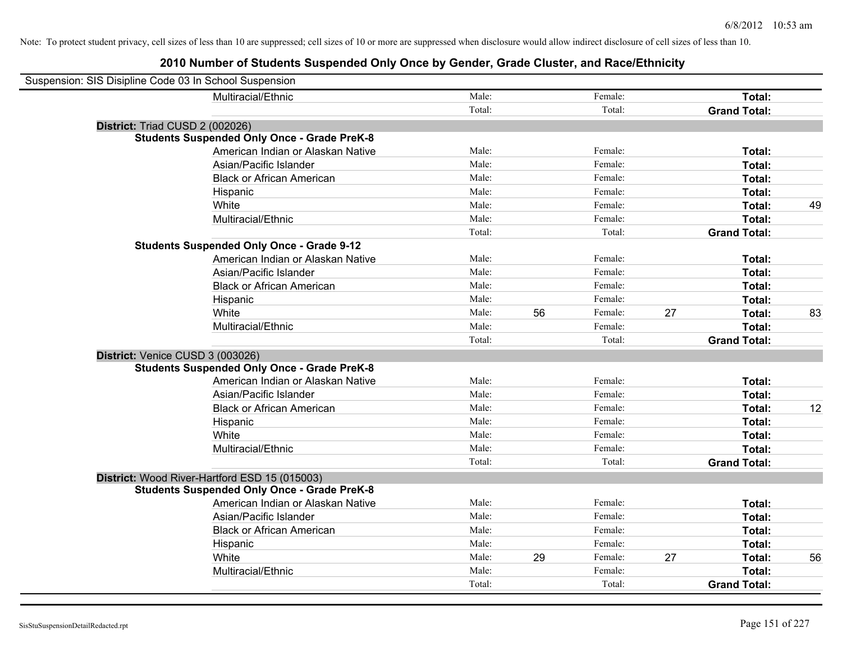| Suspension: SIS Disipline Code 03 In School Suspension |                                                    |                 |    |                   |    |                               |    |
|--------------------------------------------------------|----------------------------------------------------|-----------------|----|-------------------|----|-------------------------------|----|
|                                                        | Multiracial/Ethnic                                 | Male:           |    | Female:           |    | Total:                        |    |
|                                                        |                                                    | Total:          |    | Total:            |    | <b>Grand Total:</b>           |    |
| District: Triad CUSD 2 (002026)                        |                                                    |                 |    |                   |    |                               |    |
|                                                        | <b>Students Suspended Only Once - Grade PreK-8</b> |                 |    |                   |    |                               |    |
|                                                        | American Indian or Alaskan Native                  | Male:           |    | Female:           |    | Total:                        |    |
|                                                        | Asian/Pacific Islander                             | Male:           |    | Female:           |    | Total:                        |    |
|                                                        | <b>Black or African American</b>                   | Male:           |    | Female:           |    | Total:                        |    |
|                                                        | Hispanic                                           | Male:           |    | Female:           |    | Total:                        |    |
|                                                        | White                                              | Male:           |    | Female:           |    | Total:                        | 49 |
|                                                        | Multiracial/Ethnic                                 | Male:           |    | Female:           |    | Total:                        |    |
|                                                        |                                                    | Total:          |    | Total:            |    | <b>Grand Total:</b>           |    |
|                                                        | <b>Students Suspended Only Once - Grade 9-12</b>   |                 |    |                   |    |                               |    |
|                                                        | American Indian or Alaskan Native                  | Male:           |    | Female:           |    | Total:                        |    |
|                                                        | Asian/Pacific Islander                             | Male:           |    | Female:           |    | Total:                        |    |
|                                                        | <b>Black or African American</b>                   | Male:           |    | Female:           |    | Total:                        |    |
|                                                        | Hispanic                                           | Male:           |    | Female:           |    | Total:                        |    |
|                                                        | White                                              | Male:           | 56 | Female:           | 27 | Total:                        | 83 |
|                                                        | Multiracial/Ethnic                                 | Male:           |    | Female:           |    | Total:                        |    |
|                                                        |                                                    |                 |    |                   |    |                               |    |
|                                                        |                                                    | Total:          |    | Total:            |    | <b>Grand Total:</b>           |    |
| District: Venice CUSD 3 (003026)                       |                                                    |                 |    |                   |    |                               |    |
|                                                        | <b>Students Suspended Only Once - Grade PreK-8</b> |                 |    |                   |    |                               |    |
|                                                        | American Indian or Alaskan Native                  | Male:           |    | Female:           |    | Total:                        |    |
|                                                        | Asian/Pacific Islander                             | Male:           |    | Female:           |    | Total:                        |    |
|                                                        | <b>Black or African American</b>                   | Male:           |    | Female:           |    | Total:                        | 12 |
|                                                        | Hispanic                                           | Male:           |    | Female:           |    | Total:                        |    |
|                                                        | White                                              | Male:           |    | Female:           |    | Total:                        |    |
|                                                        | Multiracial/Ethnic                                 | Male:           |    | Female:           |    | Total:                        |    |
|                                                        |                                                    | Total:          |    | Total:            |    | <b>Grand Total:</b>           |    |
|                                                        | District: Wood River-Hartford ESD 15 (015003)      |                 |    |                   |    |                               |    |
|                                                        | <b>Students Suspended Only Once - Grade PreK-8</b> |                 |    |                   |    |                               |    |
|                                                        | American Indian or Alaskan Native                  | Male:           |    | Female:           |    | Total:                        |    |
|                                                        | Asian/Pacific Islander                             | Male:           |    | Female:           |    | Total:                        |    |
|                                                        | <b>Black or African American</b>                   | Male:           |    | Female:           |    | Total:                        |    |
|                                                        | Hispanic                                           | Male:           |    | Female:           |    | Total:                        |    |
|                                                        | White                                              | Male:           | 29 | Female:           | 27 | Total:                        | 56 |
|                                                        | Multiracial/Ethnic                                 | Male:<br>Total: |    | Female:<br>Total: |    | Total:<br><b>Grand Total:</b> |    |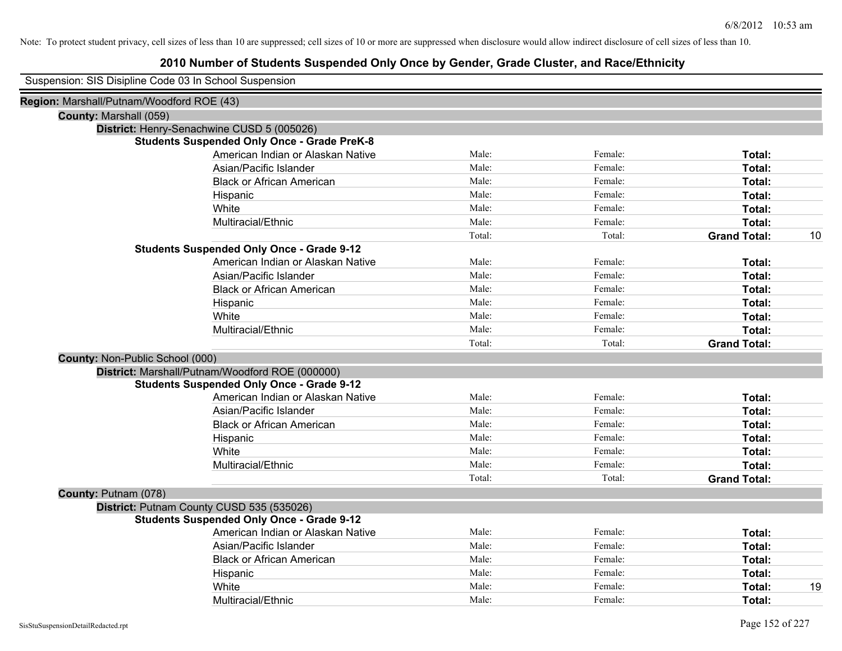| Suspension: SIS Disipline Code 03 In School Suspension |
|--------------------------------------------------------|
|--------------------------------------------------------|

| Region: Marshall/Putnam/Woodford ROE (43)          |        |         |                     |    |
|----------------------------------------------------|--------|---------|---------------------|----|
| County: Marshall (059)                             |        |         |                     |    |
| District: Henry-Senachwine CUSD 5 (005026)         |        |         |                     |    |
| <b>Students Suspended Only Once - Grade PreK-8</b> |        |         |                     |    |
| American Indian or Alaskan Native                  | Male:  | Female: | Total:              |    |
| Asian/Pacific Islander                             | Male:  | Female: | Total:              |    |
| <b>Black or African American</b>                   | Male:  | Female: | Total:              |    |
| Hispanic                                           | Male:  | Female: | Total:              |    |
| White                                              | Male:  | Female: | Total:              |    |
| Multiracial/Ethnic                                 | Male:  | Female: | Total:              |    |
|                                                    | Total: | Total:  | <b>Grand Total:</b> | 10 |
| <b>Students Suspended Only Once - Grade 9-12</b>   |        |         |                     |    |
| American Indian or Alaskan Native                  | Male:  | Female: | Total:              |    |
| Asian/Pacific Islander                             | Male:  | Female: | Total:              |    |
| <b>Black or African American</b>                   | Male:  | Female: | Total:              |    |
| Hispanic                                           | Male:  | Female: | Total:              |    |
| White                                              | Male:  | Female: | Total:              |    |
| Multiracial/Ethnic                                 | Male:  | Female: | Total:              |    |
|                                                    | Total: | Total:  | <b>Grand Total:</b> |    |
| County: Non-Public School (000)                    |        |         |                     |    |
| District: Marshall/Putnam/Woodford ROE (000000)    |        |         |                     |    |
| <b>Students Suspended Only Once - Grade 9-12</b>   |        |         |                     |    |
| American Indian or Alaskan Native                  | Male:  | Female: | Total:              |    |
| Asian/Pacific Islander                             | Male:  | Female: | Total:              |    |
| <b>Black or African American</b>                   | Male:  | Female: | Total:              |    |
| Hispanic                                           | Male:  | Female: | Total:              |    |
| White                                              | Male:  | Female: | Total:              |    |
| Multiracial/Ethnic                                 | Male:  | Female: | Total:              |    |
|                                                    | Total: | Total:  | <b>Grand Total:</b> |    |
| County: Putnam (078)                               |        |         |                     |    |
| District: Putnam County CUSD 535 (535026)          |        |         |                     |    |
| <b>Students Suspended Only Once - Grade 9-12</b>   |        |         |                     |    |
| American Indian or Alaskan Native                  | Male:  | Female: | Total:              |    |
| Asian/Pacific Islander                             | Male:  | Female: | Total:              |    |
| <b>Black or African American</b>                   | Male:  | Female: | Total:              |    |
| Hispanic                                           | Male:  | Female: | Total:              |    |
| White                                              | Male:  | Female: | Total:              | 19 |
| Multiracial/Ethnic                                 | Male:  | Female: | Total:              |    |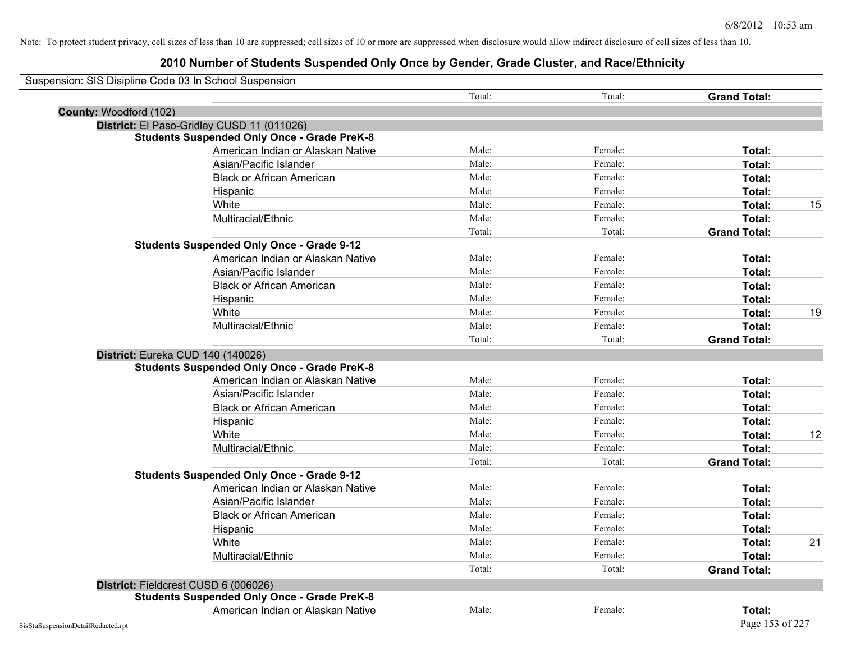| Suspension: SIS Disipline Code 03 In School Suspension |                                                    |        |         |                     |    |
|--------------------------------------------------------|----------------------------------------------------|--------|---------|---------------------|----|
|                                                        |                                                    | Total: | Total:  | <b>Grand Total:</b> |    |
| County: Woodford (102)                                 |                                                    |        |         |                     |    |
|                                                        | District: El Paso-Gridley CUSD 11 (011026)         |        |         |                     |    |
|                                                        | <b>Students Suspended Only Once - Grade PreK-8</b> |        |         |                     |    |
|                                                        | American Indian or Alaskan Native                  | Male:  | Female: | Total:              |    |
|                                                        | Asian/Pacific Islander                             | Male:  | Female: | Total:              |    |
|                                                        | <b>Black or African American</b>                   | Male:  | Female: | Total:              |    |
|                                                        | Hispanic                                           | Male:  | Female: | Total:              |    |
|                                                        | White                                              | Male:  | Female: | Total:              | 15 |
|                                                        | Multiracial/Ethnic                                 | Male:  | Female: | Total:              |    |
|                                                        |                                                    | Total: | Total:  | <b>Grand Total:</b> |    |
|                                                        | <b>Students Suspended Only Once - Grade 9-12</b>   |        |         |                     |    |
|                                                        | American Indian or Alaskan Native                  | Male:  | Female: | Total:              |    |
|                                                        | Asian/Pacific Islander                             | Male:  | Female: | Total:              |    |
|                                                        | <b>Black or African American</b>                   | Male:  | Female: | Total:              |    |
|                                                        | Hispanic                                           | Male:  | Female: | Total:              |    |
|                                                        | White                                              | Male:  | Female: | Total:              | 19 |
|                                                        | Multiracial/Ethnic                                 | Male:  | Female: | Total:              |    |
|                                                        |                                                    | Total: | Total:  | <b>Grand Total:</b> |    |
| District: Eureka CUD 140 (140026)                      |                                                    |        |         |                     |    |
|                                                        | <b>Students Suspended Only Once - Grade PreK-8</b> |        |         |                     |    |
|                                                        | American Indian or Alaskan Native                  | Male:  | Female: | Total:              |    |
|                                                        | Asian/Pacific Islander                             | Male:  | Female: | Total:              |    |
|                                                        | <b>Black or African American</b>                   | Male:  | Female: | Total:              |    |
|                                                        | Hispanic                                           | Male:  | Female: | Total:              |    |
|                                                        | White                                              | Male:  | Female: | Total:              | 12 |
|                                                        | Multiracial/Ethnic                                 | Male:  | Female: | Total:              |    |
|                                                        |                                                    | Total: | Total:  | <b>Grand Total:</b> |    |
|                                                        | <b>Students Suspended Only Once - Grade 9-12</b>   |        |         |                     |    |
|                                                        | American Indian or Alaskan Native                  | Male:  | Female: | Total:              |    |
|                                                        | Asian/Pacific Islander                             | Male:  | Female: | Total:              |    |
|                                                        | <b>Black or African American</b>                   | Male:  | Female: | Total:              |    |
|                                                        | Hispanic                                           | Male:  | Female: | Total:              |    |
|                                                        | White                                              | Male:  | Female: | Total:              | 21 |
|                                                        | Multiracial/Ethnic                                 | Male:  | Female: | Total:              |    |
|                                                        |                                                    | Total: | Total:  | <b>Grand Total:</b> |    |
| District: Fieldcrest CUSD 6 (006026)                   |                                                    |        |         |                     |    |
|                                                        | <b>Students Suspended Only Once - Grade PreK-8</b> |        |         |                     |    |
|                                                        | American Indian or Alaskan Native                  | Male:  | Female: | Total:              |    |
| SisStuSuspensionDetailRedacted.rpt                     |                                                    |        |         | Page 153 of 227     |    |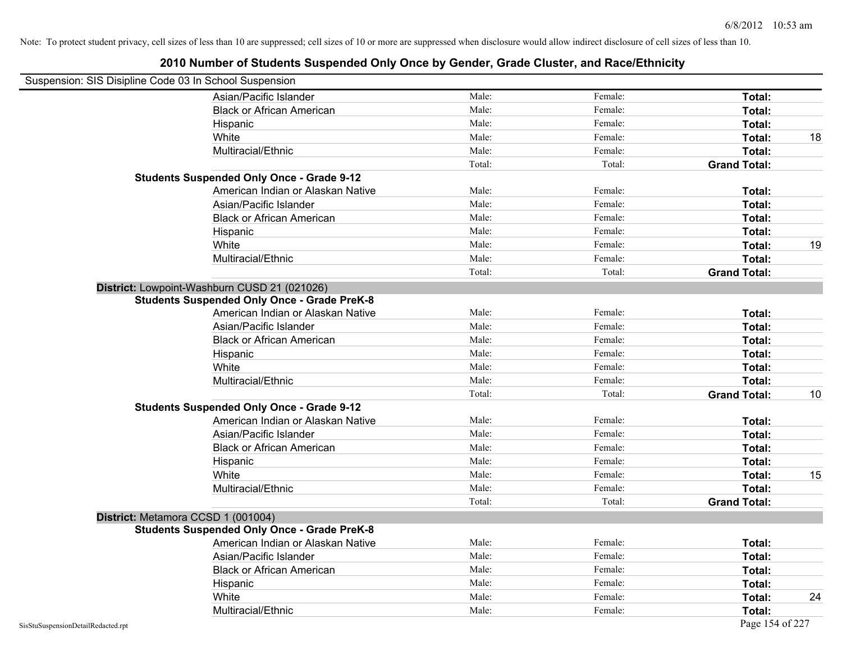| Suspension: SIS Disipline Code 03 In School Suspension |                                                    |        |         |                     |    |
|--------------------------------------------------------|----------------------------------------------------|--------|---------|---------------------|----|
|                                                        | Asian/Pacific Islander                             | Male:  | Female: | Total:              |    |
|                                                        | <b>Black or African American</b>                   | Male:  | Female: | Total:              |    |
|                                                        | Hispanic                                           | Male:  | Female: | Total:              |    |
|                                                        | White                                              | Male:  | Female: | Total:              | 18 |
|                                                        | Multiracial/Ethnic                                 | Male:  | Female: | Total:              |    |
|                                                        |                                                    | Total: | Total:  | <b>Grand Total:</b> |    |
|                                                        | <b>Students Suspended Only Once - Grade 9-12</b>   |        |         |                     |    |
|                                                        | American Indian or Alaskan Native                  | Male:  | Female: | Total:              |    |
|                                                        | Asian/Pacific Islander                             | Male:  | Female: | Total:              |    |
|                                                        | <b>Black or African American</b>                   | Male:  | Female: | Total:              |    |
|                                                        | Hispanic                                           | Male:  | Female: | Total:              |    |
|                                                        | White                                              | Male:  | Female: | Total:              | 19 |
|                                                        | Multiracial/Ethnic                                 | Male:  | Female: | Total:              |    |
|                                                        |                                                    | Total: | Total:  | <b>Grand Total:</b> |    |
|                                                        | District: Lowpoint-Washburn CUSD 21 (021026)       |        |         |                     |    |
|                                                        | <b>Students Suspended Only Once - Grade PreK-8</b> |        |         |                     |    |
|                                                        | American Indian or Alaskan Native                  | Male:  | Female: | Total:              |    |
|                                                        | Asian/Pacific Islander                             | Male:  | Female: | Total:              |    |
|                                                        | <b>Black or African American</b>                   | Male:  | Female: | Total:              |    |
|                                                        | Hispanic                                           | Male:  | Female: | Total:              |    |
|                                                        | White                                              | Male:  | Female: | Total:              |    |
|                                                        | Multiracial/Ethnic                                 | Male:  | Female: | Total:              |    |
|                                                        |                                                    | Total: | Total:  | <b>Grand Total:</b> | 10 |
|                                                        | <b>Students Suspended Only Once - Grade 9-12</b>   |        |         |                     |    |
|                                                        | American Indian or Alaskan Native                  | Male:  | Female: | Total:              |    |
|                                                        | Asian/Pacific Islander                             | Male:  | Female: | Total:              |    |
|                                                        | <b>Black or African American</b>                   | Male:  | Female: | Total:              |    |
|                                                        | Hispanic                                           | Male:  | Female: | Total:              |    |
|                                                        | White                                              | Male:  | Female: | Total:              | 15 |
|                                                        | Multiracial/Ethnic                                 | Male:  | Female: | Total:              |    |
|                                                        |                                                    | Total: | Total:  | <b>Grand Total:</b> |    |
|                                                        | District: Metamora CCSD 1 (001004)                 |        |         |                     |    |
|                                                        | <b>Students Suspended Only Once - Grade PreK-8</b> |        |         |                     |    |
|                                                        | American Indian or Alaskan Native                  | Male:  | Female: | Total:              |    |
|                                                        | Asian/Pacific Islander                             | Male:  | Female: | Total:              |    |
|                                                        | <b>Black or African American</b>                   | Male:  | Female: | Total:              |    |
|                                                        | Hispanic                                           | Male:  | Female: | Total:              |    |
|                                                        | White                                              | Male:  | Female: | Total:              | 24 |
|                                                        | Multiracial/Ethnic                                 | Male:  | Female: | Total:              |    |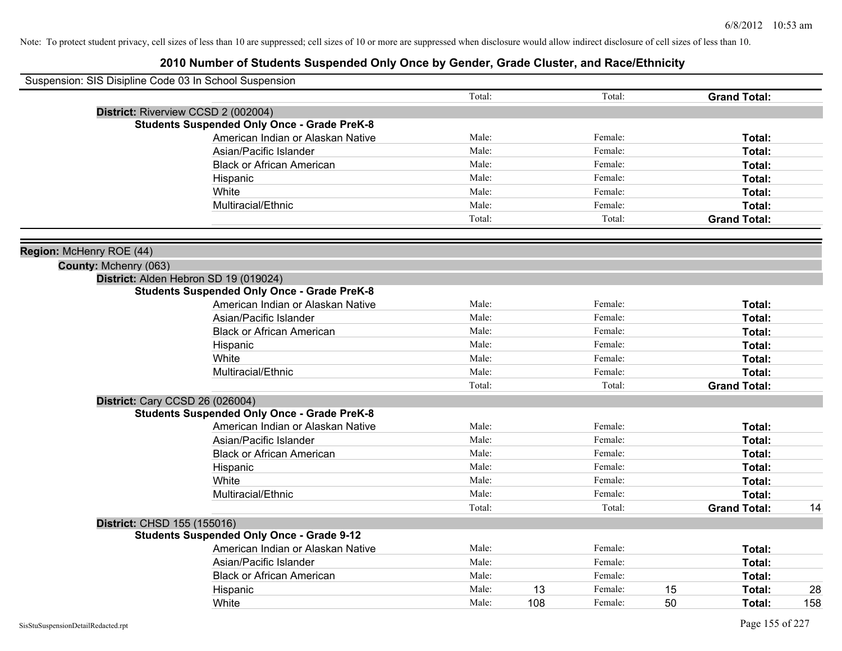| Suspension: SIS Disipline Code 03 In School Suspension |        |     |         |    |                     |     |
|--------------------------------------------------------|--------|-----|---------|----|---------------------|-----|
|                                                        | Total: |     | Total:  |    | <b>Grand Total:</b> |     |
| District: Riverview CCSD 2 (002004)                    |        |     |         |    |                     |     |
| <b>Students Suspended Only Once - Grade PreK-8</b>     |        |     |         |    |                     |     |
| American Indian or Alaskan Native                      | Male:  |     | Female: |    | Total:              |     |
| Asian/Pacific Islander                                 | Male:  |     | Female: |    | Total:              |     |
| <b>Black or African American</b>                       | Male:  |     | Female: |    | Total:              |     |
| Hispanic                                               | Male:  |     | Female: |    | Total:              |     |
| White                                                  | Male:  |     | Female: |    | Total:              |     |
| Multiracial/Ethnic                                     | Male:  |     | Female: |    | Total:              |     |
|                                                        | Total: |     | Total:  |    | <b>Grand Total:</b> |     |
| Region: McHenry ROE (44)                               |        |     |         |    |                     |     |
| County: Mchenry (063)                                  |        |     |         |    |                     |     |
| District: Alden Hebron SD 19 (019024)                  |        |     |         |    |                     |     |
| <b>Students Suspended Only Once - Grade PreK-8</b>     |        |     |         |    |                     |     |
| American Indian or Alaskan Native                      | Male:  |     | Female: |    | Total:              |     |
| Asian/Pacific Islander                                 | Male:  |     | Female: |    | Total:              |     |
| <b>Black or African American</b>                       | Male:  |     | Female: |    | Total:              |     |
| Hispanic                                               | Male:  |     | Female: |    | Total:              |     |
| White                                                  | Male:  |     | Female: |    | Total:              |     |
| Multiracial/Ethnic                                     | Male:  |     | Female: |    | Total:              |     |
|                                                        | Total: |     | Total:  |    | <b>Grand Total:</b> |     |
| <b>District: Cary CCSD 26 (026004)</b>                 |        |     |         |    |                     |     |
| <b>Students Suspended Only Once - Grade PreK-8</b>     |        |     |         |    |                     |     |
| American Indian or Alaskan Native                      | Male:  |     | Female: |    | Total:              |     |
| Asian/Pacific Islander                                 | Male:  |     | Female: |    | Total:              |     |
| <b>Black or African American</b>                       | Male:  |     | Female: |    | Total:              |     |
| Hispanic                                               | Male:  |     | Female: |    | Total:              |     |
| White                                                  | Male:  |     | Female: |    | Total:              |     |
| Multiracial/Ethnic                                     | Male:  |     | Female: |    | Total:              |     |
|                                                        | Total: |     | Total:  |    | <b>Grand Total:</b> | 14  |
| District: CHSD 155 (155016)                            |        |     |         |    |                     |     |
| <b>Students Suspended Only Once - Grade 9-12</b>       |        |     |         |    |                     |     |
| American Indian or Alaskan Native                      | Male:  |     | Female: |    | Total:              |     |
| Asian/Pacific Islander                                 | Male:  |     | Female: |    | Total:              |     |
| <b>Black or African American</b>                       | Male:  |     | Female: |    | Total:              |     |
| Hispanic                                               | Male:  | 13  | Female: | 15 | <b>Total:</b>       | 28  |
| White                                                  | Male:  | 108 | Female: | 50 | Total:              | 158 |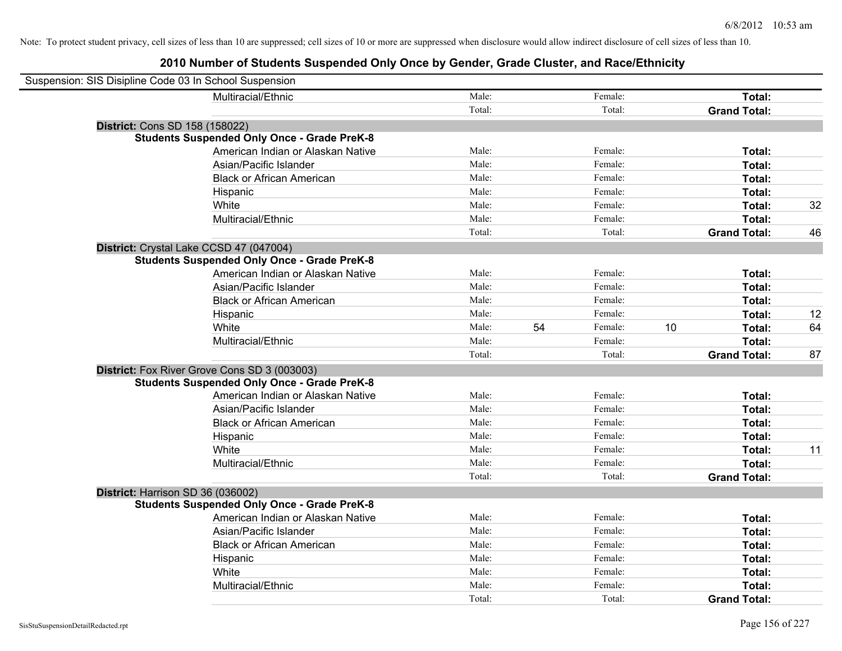| Suspension: SIS Disipline Code 03 In School Suspension |                                                    |        |    |         |    |                     |    |
|--------------------------------------------------------|----------------------------------------------------|--------|----|---------|----|---------------------|----|
|                                                        | Multiracial/Ethnic                                 | Male:  |    | Female: |    | Total:              |    |
|                                                        |                                                    | Total: |    | Total:  |    | <b>Grand Total:</b> |    |
| District: Cons SD 158 (158022)                         |                                                    |        |    |         |    |                     |    |
|                                                        | <b>Students Suspended Only Once - Grade PreK-8</b> |        |    |         |    |                     |    |
|                                                        | American Indian or Alaskan Native                  | Male:  |    | Female: |    | Total:              |    |
|                                                        | Asian/Pacific Islander                             | Male:  |    | Female: |    | Total:              |    |
|                                                        | <b>Black or African American</b>                   | Male:  |    | Female: |    | Total:              |    |
|                                                        | Hispanic                                           | Male:  |    | Female: |    | Total:              |    |
|                                                        | White                                              | Male:  |    | Female: |    | Total:              | 32 |
|                                                        | Multiracial/Ethnic                                 | Male:  |    | Female: |    | Total:              |    |
|                                                        |                                                    | Total: |    | Total:  |    | <b>Grand Total:</b> | 46 |
| District: Crystal Lake CCSD 47 (047004)                |                                                    |        |    |         |    |                     |    |
|                                                        | <b>Students Suspended Only Once - Grade PreK-8</b> |        |    |         |    |                     |    |
|                                                        | American Indian or Alaskan Native                  | Male:  |    | Female: |    | Total:              |    |
|                                                        | Asian/Pacific Islander                             | Male:  |    | Female: |    | Total:              |    |
|                                                        | <b>Black or African American</b>                   | Male:  |    | Female: |    | Total:              |    |
|                                                        | Hispanic                                           | Male:  |    | Female: |    | Total:              | 12 |
|                                                        | White                                              | Male:  | 54 | Female: | 10 | Total:              | 64 |
|                                                        | Multiracial/Ethnic                                 | Male:  |    | Female: |    | Total:              |    |
|                                                        |                                                    | Total: |    | Total:  |    | <b>Grand Total:</b> | 87 |
|                                                        | District: Fox River Grove Cons SD 3 (003003)       |        |    |         |    |                     |    |
|                                                        | <b>Students Suspended Only Once - Grade PreK-8</b> |        |    |         |    |                     |    |
|                                                        | American Indian or Alaskan Native                  | Male:  |    | Female: |    | Total:              |    |
|                                                        | Asian/Pacific Islander                             | Male:  |    | Female: |    | Total:              |    |
|                                                        | <b>Black or African American</b>                   | Male:  |    | Female: |    | Total:              |    |
|                                                        | Hispanic                                           | Male:  |    | Female: |    | Total:              |    |
|                                                        | White                                              | Male:  |    | Female: |    | Total:              | 11 |
|                                                        | Multiracial/Ethnic                                 | Male:  |    | Female: |    | Total:              |    |
|                                                        |                                                    | Total: |    | Total:  |    | <b>Grand Total:</b> |    |
| District: Harrison SD 36 (036002)                      |                                                    |        |    |         |    |                     |    |
|                                                        | <b>Students Suspended Only Once - Grade PreK-8</b> |        |    |         |    |                     |    |
|                                                        | American Indian or Alaskan Native                  | Male:  |    | Female: |    | Total:              |    |
|                                                        | Asian/Pacific Islander                             | Male:  |    | Female: |    | Total:              |    |
|                                                        | <b>Black or African American</b>                   | Male:  |    | Female: |    | Total:              |    |
|                                                        | Hispanic                                           | Male:  |    | Female: |    | Total:              |    |
|                                                        | White                                              | Male:  |    | Female: |    | Total:              |    |
|                                                        | Multiracial/Ethnic                                 | Male:  |    | Female: |    | Total:              |    |
|                                                        |                                                    | Total: |    | Total:  |    | <b>Grand Total:</b> |    |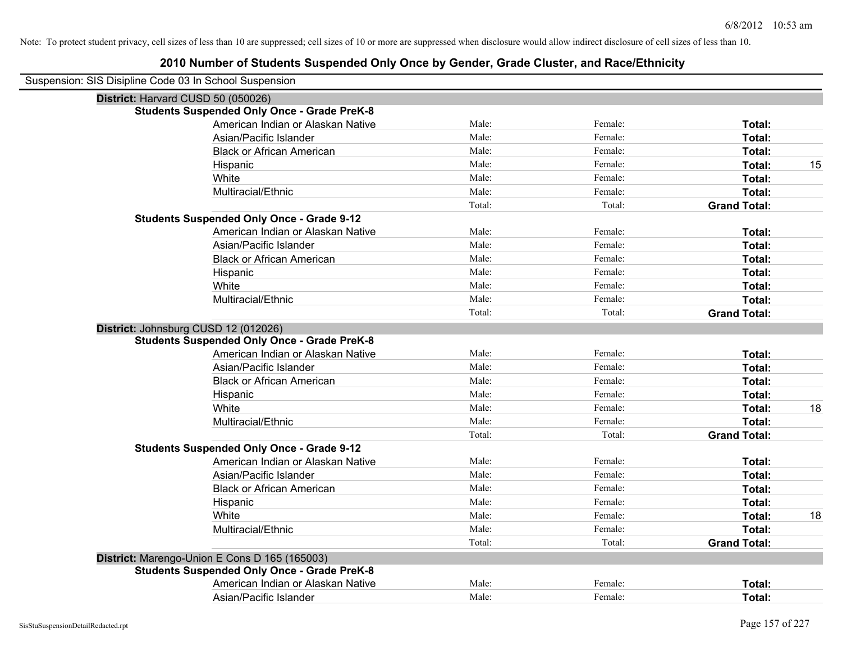| Suspension: SIS Disipline Code 03 In School Suspension |        |         |                     |    |
|--------------------------------------------------------|--------|---------|---------------------|----|
| District: Harvard CUSD 50 (050026)                     |        |         |                     |    |
| <b>Students Suspended Only Once - Grade PreK-8</b>     |        |         |                     |    |
| American Indian or Alaskan Native                      | Male:  | Female: | Total:              |    |
| Asian/Pacific Islander                                 | Male:  | Female: | Total:              |    |
| <b>Black or African American</b>                       | Male:  | Female: | Total:              |    |
| Hispanic                                               | Male:  | Female: | Total:              | 15 |
| White                                                  | Male:  | Female: | Total:              |    |
| Multiracial/Ethnic                                     | Male:  | Female: | Total:              |    |
|                                                        | Total: | Total:  | <b>Grand Total:</b> |    |
| <b>Students Suspended Only Once - Grade 9-12</b>       |        |         |                     |    |
| American Indian or Alaskan Native                      | Male:  | Female: | Total:              |    |
| Asian/Pacific Islander                                 | Male:  | Female: | Total:              |    |
| <b>Black or African American</b>                       | Male:  | Female: | Total:              |    |
| Hispanic                                               | Male:  | Female: | Total:              |    |
| White                                                  | Male:  | Female: | Total:              |    |
| Multiracial/Ethnic                                     | Male:  | Female: | Total:              |    |
|                                                        | Total: | Total:  | <b>Grand Total:</b> |    |
| District: Johnsburg CUSD 12 (012026)                   |        |         |                     |    |
| <b>Students Suspended Only Once - Grade PreK-8</b>     |        |         |                     |    |
| American Indian or Alaskan Native                      | Male:  | Female: | Total:              |    |
| Asian/Pacific Islander                                 | Male:  | Female: | Total:              |    |
| <b>Black or African American</b>                       | Male:  | Female: | Total:              |    |
| Hispanic                                               | Male:  | Female: | Total:              |    |
| White                                                  | Male:  | Female: | Total:              | 18 |
| Multiracial/Ethnic                                     | Male:  | Female: | Total:              |    |
|                                                        | Total: | Total:  | <b>Grand Total:</b> |    |
| <b>Students Suspended Only Once - Grade 9-12</b>       |        |         |                     |    |
| American Indian or Alaskan Native                      | Male:  | Female: | Total:              |    |
| Asian/Pacific Islander                                 | Male:  | Female: | Total:              |    |
| <b>Black or African American</b>                       | Male:  | Female: | Total:              |    |
| Hispanic                                               | Male:  | Female: | Total:              |    |
| White                                                  | Male:  | Female: | Total:              | 18 |
| Multiracial/Ethnic                                     | Male:  | Female: | Total:              |    |
|                                                        | Total: | Total:  | <b>Grand Total:</b> |    |
| District: Marengo-Union E Cons D 165 (165003)          |        |         |                     |    |
| <b>Students Suspended Only Once - Grade PreK-8</b>     |        |         |                     |    |
| American Indian or Alaskan Native                      | Male:  | Female: | Total:              |    |
| Asian/Pacific Islander                                 | Male:  | Female: | Total:              |    |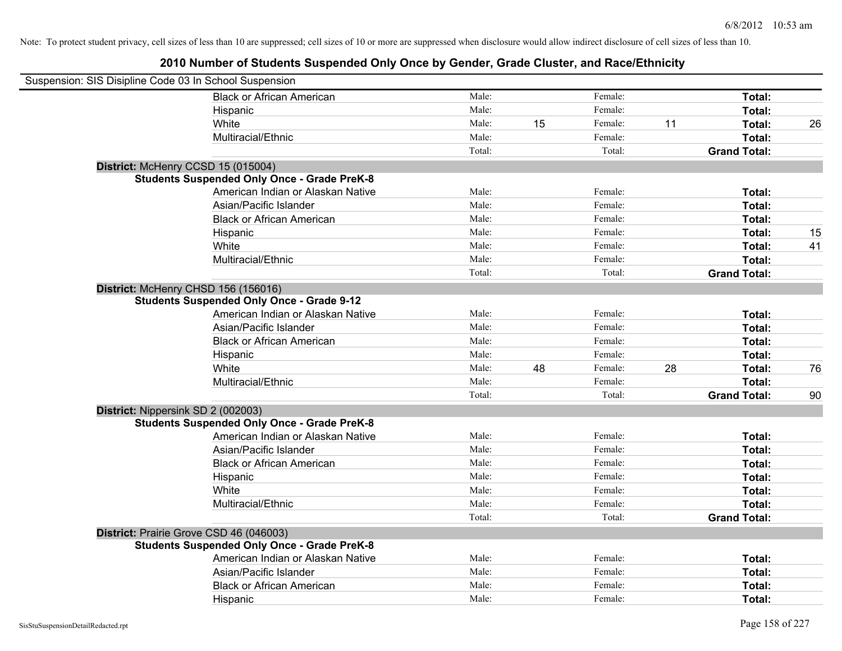| Suspension: SIS Disipline Code 03 In School Suspension |        |    |         |    |                     |    |
|--------------------------------------------------------|--------|----|---------|----|---------------------|----|
| <b>Black or African American</b>                       | Male:  |    | Female: |    | Total:              |    |
| Hispanic                                               | Male:  |    | Female: |    | Total:              |    |
| White                                                  | Male:  | 15 | Female: | 11 | Total:              | 26 |
| Multiracial/Ethnic                                     | Male:  |    | Female: |    | Total:              |    |
|                                                        | Total: |    | Total:  |    | <b>Grand Total:</b> |    |
| District: McHenry CCSD 15 (015004)                     |        |    |         |    |                     |    |
| <b>Students Suspended Only Once - Grade PreK-8</b>     |        |    |         |    |                     |    |
| American Indian or Alaskan Native                      | Male:  |    | Female: |    | Total:              |    |
| Asian/Pacific Islander                                 | Male:  |    | Female: |    | Total:              |    |
| <b>Black or African American</b>                       | Male:  |    | Female: |    | Total:              |    |
| Hispanic                                               | Male:  |    | Female: |    | Total:              | 15 |
| White                                                  | Male:  |    | Female: |    | Total:              | 41 |
| Multiracial/Ethnic                                     | Male:  |    | Female: |    | Total:              |    |
|                                                        | Total: |    | Total:  |    | <b>Grand Total:</b> |    |
| District: McHenry CHSD 156 (156016)                    |        |    |         |    |                     |    |
| <b>Students Suspended Only Once - Grade 9-12</b>       |        |    |         |    |                     |    |
| American Indian or Alaskan Native                      | Male:  |    | Female: |    | Total:              |    |
| Asian/Pacific Islander                                 | Male:  |    | Female: |    | Total:              |    |
| <b>Black or African American</b>                       | Male:  |    | Female: |    | Total:              |    |
| Hispanic                                               | Male:  |    | Female: |    | Total:              |    |
| White                                                  | Male:  | 48 | Female: | 28 | Total:              | 76 |
| Multiracial/Ethnic                                     | Male:  |    | Female: |    | Total:              |    |
|                                                        | Total: |    | Total:  |    | <b>Grand Total:</b> | 90 |
| District: Nippersink SD 2 (002003)                     |        |    |         |    |                     |    |
| <b>Students Suspended Only Once - Grade PreK-8</b>     |        |    |         |    |                     |    |
| American Indian or Alaskan Native                      | Male:  |    | Female: |    | Total:              |    |
| Asian/Pacific Islander                                 | Male:  |    | Female: |    | Total:              |    |
| <b>Black or African American</b>                       | Male:  |    | Female: |    | Total:              |    |
| Hispanic                                               | Male:  |    | Female: |    | Total:              |    |
| White                                                  | Male:  |    | Female: |    | Total:              |    |
| Multiracial/Ethnic                                     | Male:  |    | Female: |    | Total:              |    |
|                                                        | Total: |    | Total:  |    | <b>Grand Total:</b> |    |
| District: Prairie Grove CSD 46 (046003)                |        |    |         |    |                     |    |
| <b>Students Suspended Only Once - Grade PreK-8</b>     |        |    |         |    |                     |    |
| American Indian or Alaskan Native                      | Male:  |    | Female: |    | Total:              |    |
| Asian/Pacific Islander                                 | Male:  |    | Female: |    | Total:              |    |
| <b>Black or African American</b>                       | Male:  |    | Female: |    | Total:              |    |
| Hispanic                                               | Male:  |    | Female: |    | Total:              |    |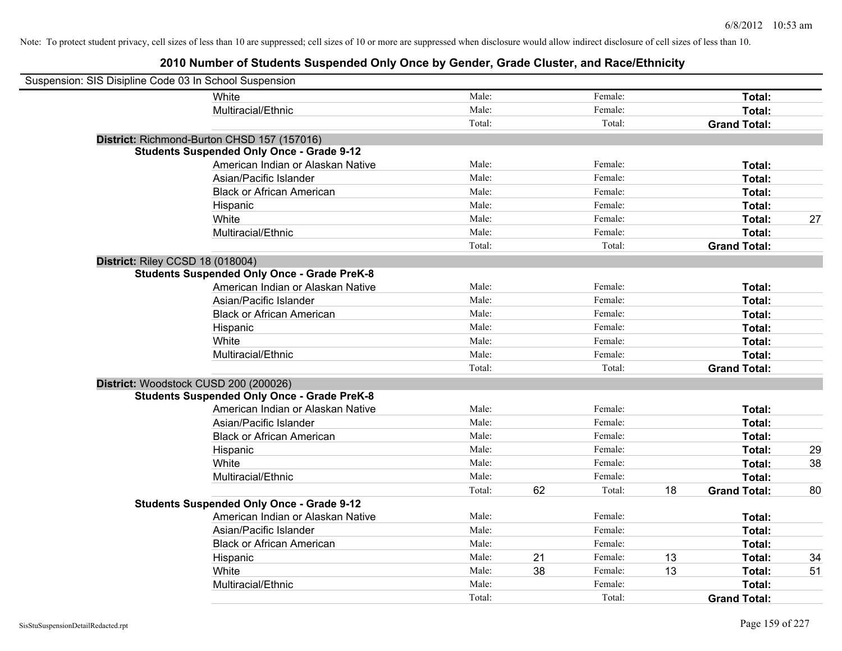| Suspension: SIS Disipline Code 03 In School Suspension |                                                    |        |    |         |    |                     |    |
|--------------------------------------------------------|----------------------------------------------------|--------|----|---------|----|---------------------|----|
|                                                        | White                                              | Male:  |    | Female: |    | Total:              |    |
|                                                        | Multiracial/Ethnic                                 | Male:  |    | Female: |    | Total:              |    |
|                                                        |                                                    | Total: |    | Total:  |    | <b>Grand Total:</b> |    |
|                                                        | District: Richmond-Burton CHSD 157 (157016)        |        |    |         |    |                     |    |
|                                                        | <b>Students Suspended Only Once - Grade 9-12</b>   |        |    |         |    |                     |    |
|                                                        | American Indian or Alaskan Native                  | Male:  |    | Female: |    | Total:              |    |
|                                                        | Asian/Pacific Islander                             | Male:  |    | Female: |    | Total:              |    |
|                                                        | <b>Black or African American</b>                   | Male:  |    | Female: |    | Total:              |    |
|                                                        | Hispanic                                           | Male:  |    | Female: |    | Total:              |    |
|                                                        | White                                              | Male:  |    | Female: |    | Total:              | 27 |
|                                                        | Multiracial/Ethnic                                 | Male:  |    | Female: |    | Total:              |    |
|                                                        |                                                    | Total: |    | Total:  |    | <b>Grand Total:</b> |    |
| District: Riley CCSD 18 (018004)                       |                                                    |        |    |         |    |                     |    |
|                                                        | <b>Students Suspended Only Once - Grade PreK-8</b> |        |    |         |    |                     |    |
|                                                        | American Indian or Alaskan Native                  | Male:  |    | Female: |    | Total:              |    |
|                                                        | Asian/Pacific Islander                             | Male:  |    | Female: |    | Total:              |    |
|                                                        | <b>Black or African American</b>                   | Male:  |    | Female: |    | Total:              |    |
|                                                        | Hispanic                                           | Male:  |    | Female: |    | Total:              |    |
|                                                        | White                                              | Male:  |    | Female: |    | Total:              |    |
|                                                        | Multiracial/Ethnic                                 | Male:  |    | Female: |    | Total:              |    |
|                                                        |                                                    | Total: |    | Total:  |    | <b>Grand Total:</b> |    |
| District: Woodstock CUSD 200 (200026)                  |                                                    |        |    |         |    |                     |    |
|                                                        | <b>Students Suspended Only Once - Grade PreK-8</b> |        |    |         |    |                     |    |
|                                                        | American Indian or Alaskan Native                  | Male:  |    | Female: |    | Total:              |    |
|                                                        | Asian/Pacific Islander                             | Male:  |    | Female: |    | Total:              |    |
|                                                        | <b>Black or African American</b>                   | Male:  |    | Female: |    | Total:              |    |
|                                                        | Hispanic                                           | Male:  |    | Female: |    | Total:              | 29 |
|                                                        | White                                              | Male:  |    | Female: |    | Total:              | 38 |
|                                                        | Multiracial/Ethnic                                 | Male:  |    | Female: |    | Total:              |    |
|                                                        |                                                    | Total: | 62 | Total:  | 18 | <b>Grand Total:</b> | 80 |
|                                                        | <b>Students Suspended Only Once - Grade 9-12</b>   |        |    |         |    |                     |    |
|                                                        | American Indian or Alaskan Native                  | Male:  |    | Female: |    | Total:              |    |
|                                                        | Asian/Pacific Islander                             | Male:  |    | Female: |    | Total:              |    |
|                                                        | <b>Black or African American</b>                   | Male:  |    | Female: |    | Total:              |    |
|                                                        | Hispanic                                           | Male:  | 21 | Female: | 13 | Total:              | 34 |
|                                                        | White                                              | Male:  | 38 | Female: | 13 | Total:              | 51 |
|                                                        | Multiracial/Ethnic                                 | Male:  |    | Female: |    | Total:              |    |
|                                                        |                                                    | Total: |    | Total:  |    | <b>Grand Total:</b> |    |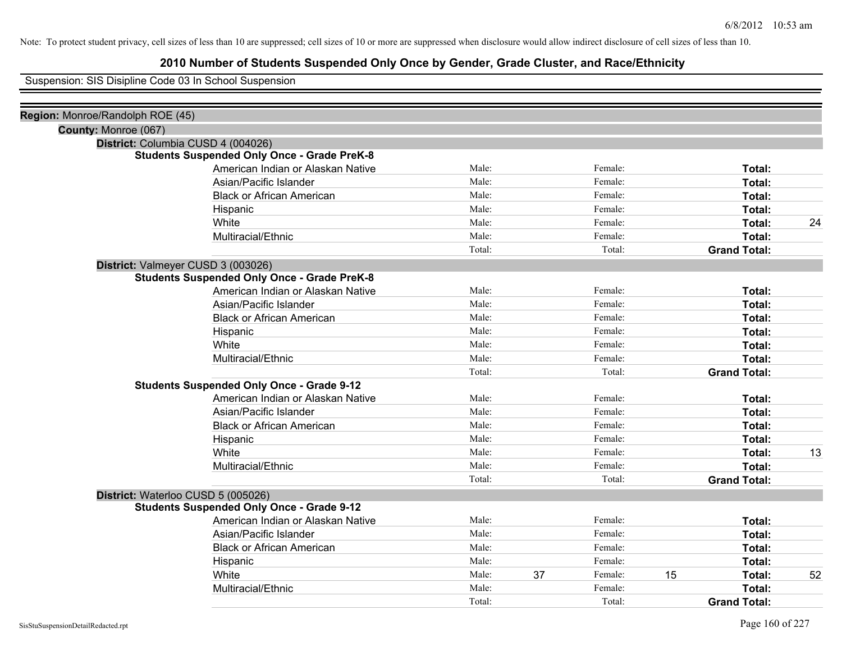# **2010 Number of Students Suspended Only Once by Gender, Grade Cluster, and Race/Ethnicity**

Suspension: SIS Disipline Code 03 In School Suspension

| Region: Monroe/Randolph ROE (45) |                                                    |        |               |                     |    |
|----------------------------------|----------------------------------------------------|--------|---------------|---------------------|----|
| County: Monroe (067)             |                                                    |        |               |                     |    |
|                                  | District: Columbia CUSD 4 (004026)                 |        |               |                     |    |
|                                  | <b>Students Suspended Only Once - Grade PreK-8</b> |        |               |                     |    |
|                                  | American Indian or Alaskan Native                  | Male:  | Female:       | Total:              |    |
|                                  | Asian/Pacific Islander                             | Male:  | Female:       | Total:              |    |
|                                  | <b>Black or African American</b>                   | Male:  | Female:       | Total:              |    |
|                                  | Hispanic                                           | Male:  | Female:       | Total:              |    |
|                                  | White                                              | Male:  | Female:       | Total:              | 24 |
|                                  | Multiracial/Ethnic                                 | Male:  | Female:       | Total:              |    |
|                                  |                                                    | Total: | Total:        | <b>Grand Total:</b> |    |
|                                  | District: Valmeyer CUSD 3 (003026)                 |        |               |                     |    |
|                                  | <b>Students Suspended Only Once - Grade PreK-8</b> |        |               |                     |    |
|                                  | American Indian or Alaskan Native                  | Male:  | Female:       | Total:              |    |
|                                  | Asian/Pacific Islander                             | Male:  | Female:       | Total:              |    |
|                                  | <b>Black or African American</b>                   | Male:  | Female:       | Total:              |    |
|                                  | Hispanic                                           | Male:  | Female:       | Total:              |    |
|                                  | White                                              | Male:  | Female:       | Total:              |    |
|                                  | Multiracial/Ethnic                                 | Male:  | Female:       | Total:              |    |
|                                  |                                                    | Total: | Total:        | <b>Grand Total:</b> |    |
|                                  | <b>Students Suspended Only Once - Grade 9-12</b>   |        |               |                     |    |
|                                  | American Indian or Alaskan Native                  | Male:  | Female:       | Total:              |    |
|                                  | Asian/Pacific Islander                             | Male:  | Female:       | Total:              |    |
|                                  | <b>Black or African American</b>                   | Male:  | Female:       | Total:              |    |
|                                  | Hispanic                                           | Male:  | Female:       | Total:              |    |
|                                  | White                                              | Male:  | Female:       | Total:              | 13 |
|                                  | Multiracial/Ethnic                                 | Male:  | Female:       | Total:              |    |
|                                  |                                                    | Total: | Total:        | <b>Grand Total:</b> |    |
|                                  | District: Waterloo CUSD 5 (005026)                 |        |               |                     |    |
|                                  | <b>Students Suspended Only Once - Grade 9-12</b>   |        |               |                     |    |
|                                  | American Indian or Alaskan Native                  | Male:  | Female:       | Total:              |    |
|                                  | Asian/Pacific Islander                             | Male:  | Female:       | Total:              |    |
|                                  | <b>Black or African American</b>                   | Male:  | Female:       | Total:              |    |
|                                  | Hispanic                                           | Male:  | Female:       | Total:              |    |
|                                  | White                                              | Male:  | 37<br>Female: | 15<br>Total:        | 52 |
|                                  | Multiracial/Ethnic                                 | Male:  | Female:       | Total:              |    |
|                                  |                                                    | Total: | Total:        | <b>Grand Total:</b> |    |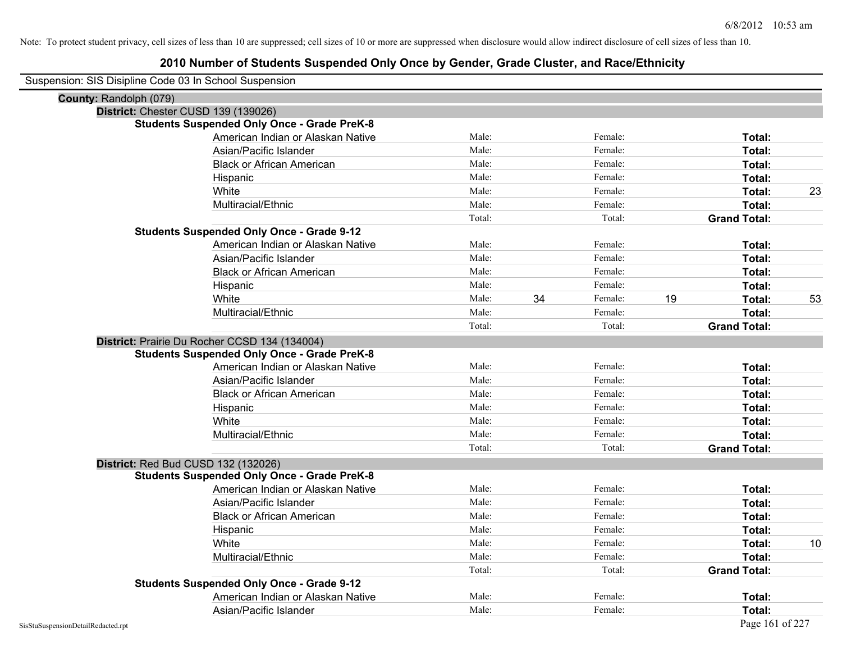| Suspension: SIS Disipline Code 03 In School Suspension |                                                    |        |               |                     |    |
|--------------------------------------------------------|----------------------------------------------------|--------|---------------|---------------------|----|
| County: Randolph (079)                                 |                                                    |        |               |                     |    |
| District: Chester CUSD 139 (139026)                    |                                                    |        |               |                     |    |
|                                                        | <b>Students Suspended Only Once - Grade PreK-8</b> |        |               |                     |    |
|                                                        | American Indian or Alaskan Native                  | Male:  | Female:       | Total:              |    |
|                                                        | Asian/Pacific Islander                             | Male:  | Female:       | Total:              |    |
|                                                        | <b>Black or African American</b>                   | Male:  | Female:       | Total:              |    |
|                                                        | Hispanic                                           | Male:  | Female:       | Total:              |    |
|                                                        | White                                              | Male:  | Female:       | Total:              | 23 |
|                                                        | Multiracial/Ethnic                                 | Male:  | Female:       | Total:              |    |
|                                                        |                                                    | Total: | Total:        | <b>Grand Total:</b> |    |
|                                                        | <b>Students Suspended Only Once - Grade 9-12</b>   |        |               |                     |    |
|                                                        | American Indian or Alaskan Native                  | Male:  | Female:       | Total:              |    |
|                                                        | Asian/Pacific Islander                             | Male:  | Female:       | Total:              |    |
|                                                        | <b>Black or African American</b>                   | Male:  | Female:       | Total:              |    |
|                                                        | Hispanic                                           | Male:  | Female:       | Total:              |    |
|                                                        | White                                              | Male:  | 34<br>Female: | 19<br>Total:        | 53 |
|                                                        | Multiracial/Ethnic                                 | Male:  | Female:       | Total:              |    |
|                                                        |                                                    | Total: | Total:        | <b>Grand Total:</b> |    |
|                                                        | District: Prairie Du Rocher CCSD 134 (134004)      |        |               |                     |    |
|                                                        | <b>Students Suspended Only Once - Grade PreK-8</b> |        |               |                     |    |
|                                                        | American Indian or Alaskan Native                  | Male:  | Female:       | Total:              |    |
|                                                        | Asian/Pacific Islander                             | Male:  | Female:       | Total:              |    |
|                                                        | <b>Black or African American</b>                   | Male:  | Female:       | Total:              |    |
|                                                        | Hispanic                                           | Male:  | Female:       | Total:              |    |
|                                                        | White                                              | Male:  | Female:       | Total:              |    |
|                                                        | Multiracial/Ethnic                                 | Male:  | Female:       | Total:              |    |
|                                                        |                                                    | Total: | Total:        | <b>Grand Total:</b> |    |
| District: Red Bud CUSD 132 (132026)                    |                                                    |        |               |                     |    |
|                                                        | <b>Students Suspended Only Once - Grade PreK-8</b> |        |               |                     |    |
|                                                        | American Indian or Alaskan Native                  | Male:  | Female:       | Total:              |    |
|                                                        | Asian/Pacific Islander                             | Male:  | Female:       | Total:              |    |
|                                                        | <b>Black or African American</b>                   | Male:  | Female:       | Total:              |    |
|                                                        | Hispanic                                           | Male:  | Female:       | Total:              |    |
|                                                        | White                                              | Male:  | Female:       | Total:              | 10 |
|                                                        | Multiracial/Ethnic                                 | Male:  | Female:       | Total:              |    |
|                                                        |                                                    | Total: | Total:        | <b>Grand Total:</b> |    |
|                                                        | <b>Students Suspended Only Once - Grade 9-12</b>   |        |               |                     |    |
|                                                        | American Indian or Alaskan Native                  | Male:  | Female:       | Total:              |    |
|                                                        | Asian/Pacific Islander                             | Male:  | Female:       | Total:              |    |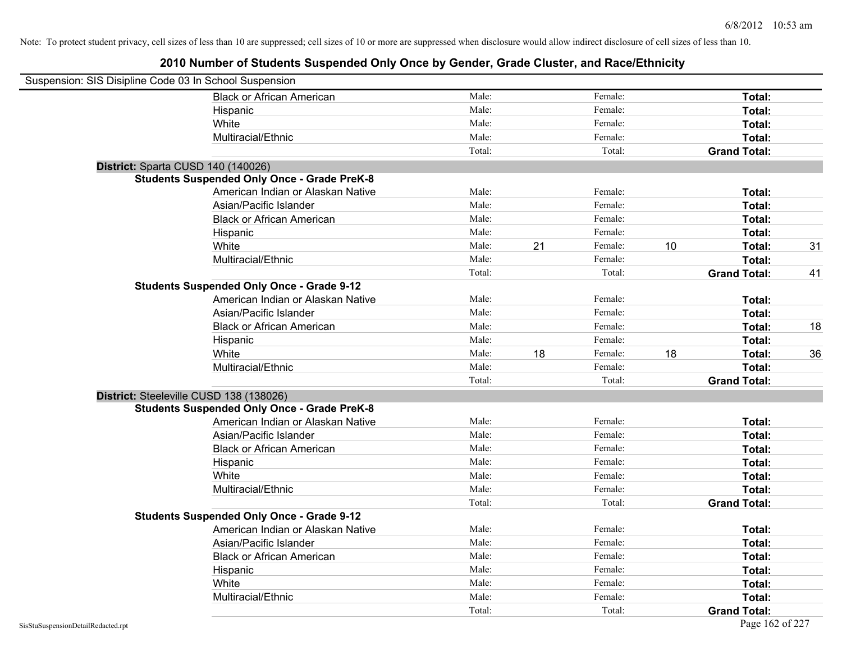| Suspension: SIS Disipline Code 03 In School Suspension |                                                    |        |    |         |    |                     |    |
|--------------------------------------------------------|----------------------------------------------------|--------|----|---------|----|---------------------|----|
|                                                        | <b>Black or African American</b>                   | Male:  |    | Female: |    | Total:              |    |
|                                                        | Hispanic                                           | Male:  |    | Female: |    | Total:              |    |
|                                                        | White                                              | Male:  |    | Female: |    | Total:              |    |
|                                                        | Multiracial/Ethnic                                 | Male:  |    | Female: |    | Total:              |    |
|                                                        |                                                    | Total: |    | Total:  |    | <b>Grand Total:</b> |    |
| District: Sparta CUSD 140 (140026)                     |                                                    |        |    |         |    |                     |    |
|                                                        | <b>Students Suspended Only Once - Grade PreK-8</b> |        |    |         |    |                     |    |
|                                                        | American Indian or Alaskan Native                  | Male:  |    | Female: |    | Total:              |    |
|                                                        | Asian/Pacific Islander                             | Male:  |    | Female: |    | Total:              |    |
|                                                        | <b>Black or African American</b>                   | Male:  |    | Female: |    | Total:              |    |
|                                                        | Hispanic                                           | Male:  |    | Female: |    | Total:              |    |
|                                                        | White                                              | Male:  | 21 | Female: | 10 | Total:              | 31 |
|                                                        | Multiracial/Ethnic                                 | Male:  |    | Female: |    | Total:              |    |
|                                                        |                                                    | Total: |    | Total:  |    | <b>Grand Total:</b> | 41 |
|                                                        | <b>Students Suspended Only Once - Grade 9-12</b>   |        |    |         |    |                     |    |
|                                                        | American Indian or Alaskan Native                  | Male:  |    | Female: |    | Total:              |    |
|                                                        | Asian/Pacific Islander                             | Male:  |    | Female: |    | Total:              |    |
|                                                        | <b>Black or African American</b>                   | Male:  |    | Female: |    | Total:              | 18 |
|                                                        | Hispanic                                           | Male:  |    | Female: |    | Total:              |    |
|                                                        | White                                              | Male:  | 18 | Female: | 18 | Total:              | 36 |
|                                                        | Multiracial/Ethnic                                 | Male:  |    | Female: |    | Total:              |    |
|                                                        |                                                    | Total: |    | Total:  |    | <b>Grand Total:</b> |    |
| District: Steeleville CUSD 138 (138026)                |                                                    |        |    |         |    |                     |    |
|                                                        | <b>Students Suspended Only Once - Grade PreK-8</b> |        |    |         |    |                     |    |
|                                                        | American Indian or Alaskan Native                  | Male:  |    | Female: |    | Total:              |    |
|                                                        | Asian/Pacific Islander                             | Male:  |    | Female: |    | Total:              |    |
|                                                        | <b>Black or African American</b>                   | Male:  |    | Female: |    | Total:              |    |
|                                                        | Hispanic                                           | Male:  |    | Female: |    | Total:              |    |
|                                                        | White                                              | Male:  |    | Female: |    | Total:              |    |
|                                                        | Multiracial/Ethnic                                 | Male:  |    | Female: |    | Total:              |    |
|                                                        |                                                    | Total: |    | Total:  |    | <b>Grand Total:</b> |    |
|                                                        | <b>Students Suspended Only Once - Grade 9-12</b>   |        |    |         |    |                     |    |
|                                                        | American Indian or Alaskan Native                  | Male:  |    | Female: |    | Total:              |    |
|                                                        | Asian/Pacific Islander                             | Male:  |    | Female: |    | Total:              |    |
|                                                        | <b>Black or African American</b>                   | Male:  |    | Female: |    | Total:              |    |
|                                                        | Hispanic                                           | Male:  |    | Female: |    | Total:              |    |
|                                                        | White                                              | Male:  |    | Female: |    | Total:              |    |
|                                                        | Multiracial/Ethnic                                 | Male:  |    | Female: |    | Total:              |    |
|                                                        |                                                    | Total: |    | Total:  |    | <b>Grand Total:</b> |    |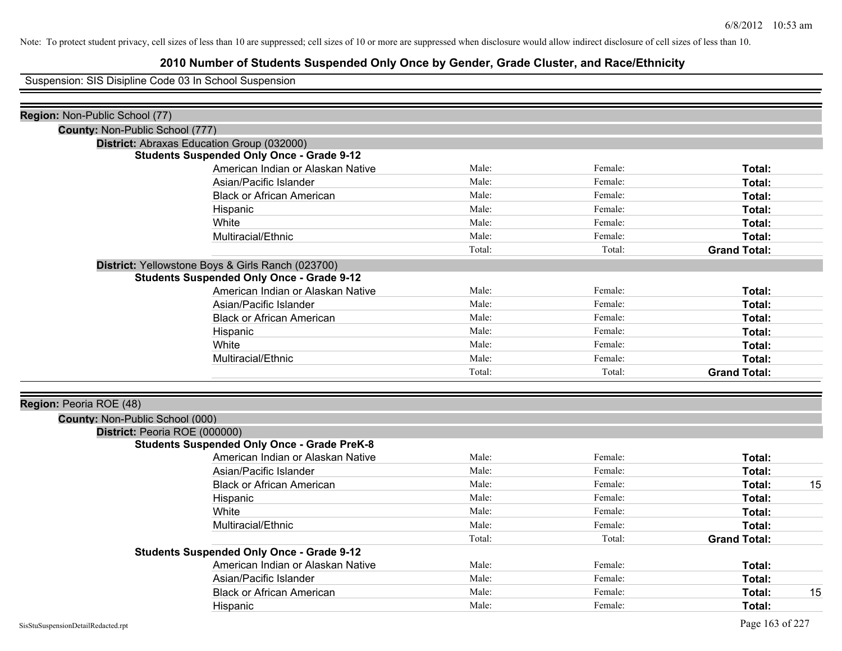# **2010 Number of Students Suspended Only Once by Gender, Grade Cluster, and Race/Ethnicity**

Suspension: SIS Disipline Code 03 In School Suspension

| Region: Non-Public School (77)  |                                                    |        |         |                     |    |
|---------------------------------|----------------------------------------------------|--------|---------|---------------------|----|
| County: Non-Public School (777) |                                                    |        |         |                     |    |
|                                 | District: Abraxas Education Group (032000)         |        |         |                     |    |
|                                 | <b>Students Suspended Only Once - Grade 9-12</b>   |        |         |                     |    |
|                                 | American Indian or Alaskan Native                  | Male:  | Female: | Total:              |    |
|                                 | Asian/Pacific Islander                             | Male:  | Female: | Total:              |    |
|                                 | <b>Black or African American</b>                   | Male:  | Female: | Total:              |    |
|                                 | Hispanic                                           | Male:  | Female: | Total:              |    |
|                                 | White                                              | Male:  | Female: | Total:              |    |
|                                 | Multiracial/Ethnic                                 | Male:  | Female: | Total:              |    |
|                                 |                                                    | Total: | Total:  | <b>Grand Total:</b> |    |
|                                 | District: Yellowstone Boys & Girls Ranch (023700)  |        |         |                     |    |
|                                 | <b>Students Suspended Only Once - Grade 9-12</b>   |        |         |                     |    |
|                                 | American Indian or Alaskan Native                  | Male:  | Female: | Total:              |    |
|                                 | Asian/Pacific Islander                             | Male:  | Female: | Total:              |    |
|                                 | <b>Black or African American</b>                   | Male:  | Female: | Total:              |    |
|                                 | Hispanic                                           | Male:  | Female: | Total:              |    |
|                                 | White                                              | Male:  | Female: | Total:              |    |
|                                 | Multiracial/Ethnic                                 | Male:  | Female: | Total:              |    |
|                                 |                                                    | Total: | Total:  | <b>Grand Total:</b> |    |
|                                 |                                                    |        |         |                     |    |
| Region: Peoria ROE (48)         |                                                    |        |         |                     |    |
| County: Non-Public School (000) |                                                    |        |         |                     |    |
|                                 | District: Peoria ROE (000000)                      |        |         |                     |    |
|                                 | <b>Students Suspended Only Once - Grade PreK-8</b> |        |         |                     |    |
|                                 | American Indian or Alaskan Native                  | Male:  | Female: | Total:              |    |
|                                 | Asian/Pacific Islander                             | Male:  | Female: | Total:              |    |
|                                 | <b>Black or African American</b>                   | Male:  | Female: | Total:              | 15 |
|                                 | Hispanic                                           | Male:  | Female: | Total:              |    |
|                                 | White                                              | Male:  | Female: | Total:              |    |
|                                 | Multiracial/Ethnic                                 | Male:  | Female: | Total:              |    |
|                                 |                                                    | Total: | Total:  | <b>Grand Total:</b> |    |
|                                 | <b>Students Suspended Only Once - Grade 9-12</b>   |        |         |                     |    |
|                                 | American Indian or Alaskan Native                  | Male:  | Female: | Total:              |    |
|                                 | Asian/Pacific Islander                             | Male:  | Female: | Total:              |    |
|                                 | <b>Black or African American</b>                   | Male:  | Female: | Total:              | 15 |
|                                 | Hispanic                                           | Male:  | Female: | Total:              |    |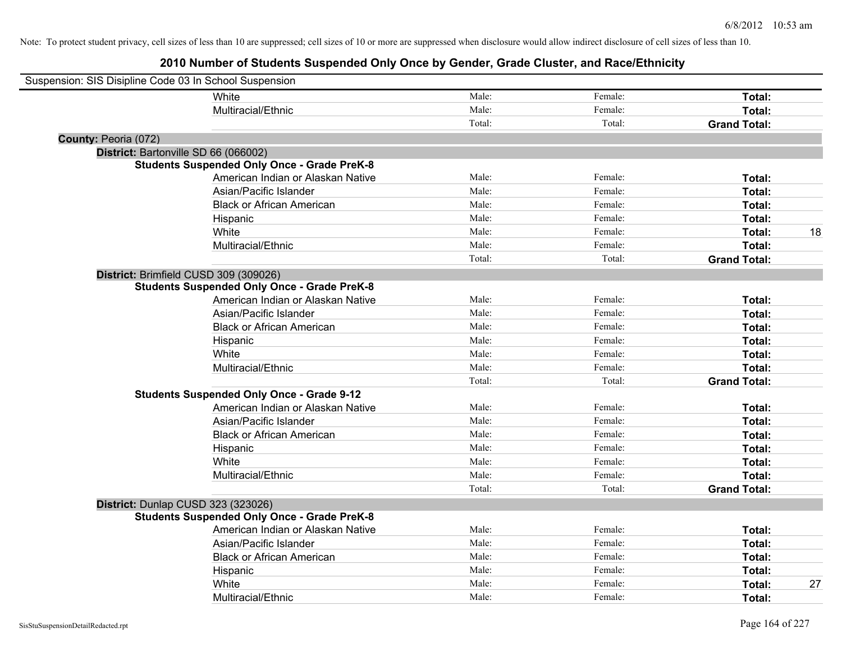| Suspension: SIS Disipline Code 03 In School Suspension |                                                    |        |         |                     |
|--------------------------------------------------------|----------------------------------------------------|--------|---------|---------------------|
|                                                        | White                                              | Male:  | Female: | Total:              |
|                                                        | Multiracial/Ethnic                                 | Male:  | Female: | Total:              |
|                                                        |                                                    | Total: | Total:  | <b>Grand Total:</b> |
| County: Peoria (072)                                   |                                                    |        |         |                     |
|                                                        | District: Bartonville SD 66 (066002)               |        |         |                     |
|                                                        | <b>Students Suspended Only Once - Grade PreK-8</b> |        |         |                     |
|                                                        | American Indian or Alaskan Native                  | Male:  | Female: | Total:              |
|                                                        | Asian/Pacific Islander                             | Male:  | Female: | Total:              |
|                                                        | <b>Black or African American</b>                   | Male:  | Female: | Total:              |
|                                                        | Hispanic                                           | Male:  | Female: | Total:              |
|                                                        | White                                              | Male:  | Female: | 18<br>Total:        |
|                                                        | Multiracial/Ethnic                                 | Male:  | Female: | Total:              |
|                                                        |                                                    | Total: | Total:  | <b>Grand Total:</b> |
|                                                        | District: Brimfield CUSD 309 (309026)              |        |         |                     |
|                                                        | <b>Students Suspended Only Once - Grade PreK-8</b> |        |         |                     |
|                                                        | American Indian or Alaskan Native                  | Male:  | Female: | Total:              |
|                                                        | Asian/Pacific Islander                             | Male:  | Female: | Total:              |
|                                                        | <b>Black or African American</b>                   | Male:  | Female: | Total:              |
|                                                        | Hispanic                                           | Male:  | Female: | Total:              |
|                                                        | White                                              | Male:  | Female: | Total:              |
|                                                        | Multiracial/Ethnic                                 | Male:  | Female: | Total:              |
|                                                        |                                                    | Total: | Total:  | <b>Grand Total:</b> |
|                                                        | <b>Students Suspended Only Once - Grade 9-12</b>   |        |         |                     |
|                                                        | American Indian or Alaskan Native                  | Male:  | Female: | Total:              |
|                                                        | Asian/Pacific Islander                             | Male:  | Female: | Total:              |
|                                                        | <b>Black or African American</b>                   | Male:  | Female: | Total:              |
|                                                        | Hispanic                                           | Male:  | Female: | Total:              |
|                                                        | White                                              | Male:  | Female: | Total:              |
|                                                        | Multiracial/Ethnic                                 | Male:  | Female: | Total:              |
|                                                        |                                                    | Total: | Total:  | <b>Grand Total:</b> |
|                                                        | District: Dunlap CUSD 323 (323026)                 |        |         |                     |
|                                                        | <b>Students Suspended Only Once - Grade PreK-8</b> |        |         |                     |
|                                                        | American Indian or Alaskan Native                  | Male:  | Female: | Total:              |
|                                                        | Asian/Pacific Islander                             | Male:  | Female: | Total:              |
|                                                        | <b>Black or African American</b>                   | Male:  | Female: | Total:              |
|                                                        | Hispanic                                           | Male:  | Female: | Total:              |
|                                                        | White                                              | Male:  | Female: | 27<br>Total:        |
|                                                        | Multiracial/Ethnic                                 | Male:  | Female: | Total:              |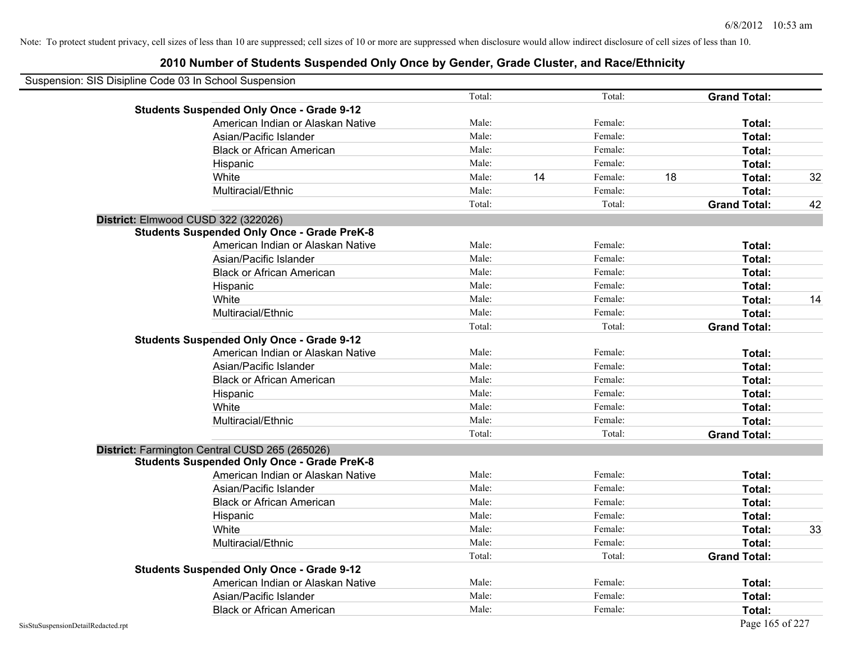| Suspension: SIS Disipline Code 03 In School Suspension |                                                    |        |    |         |    |                     |    |
|--------------------------------------------------------|----------------------------------------------------|--------|----|---------|----|---------------------|----|
|                                                        |                                                    | Total: |    | Total:  |    | <b>Grand Total:</b> |    |
|                                                        | <b>Students Suspended Only Once - Grade 9-12</b>   |        |    |         |    |                     |    |
|                                                        | American Indian or Alaskan Native                  | Male:  |    | Female: |    | Total:              |    |
|                                                        | Asian/Pacific Islander                             | Male:  |    | Female: |    | Total:              |    |
|                                                        | <b>Black or African American</b>                   | Male:  |    | Female: |    | Total:              |    |
|                                                        | Hispanic                                           | Male:  |    | Female: |    | Total:              |    |
|                                                        | White                                              | Male:  | 14 | Female: | 18 | Total:              | 32 |
|                                                        | Multiracial/Ethnic                                 | Male:  |    | Female: |    | Total:              |    |
|                                                        |                                                    | Total: |    | Total:  |    | <b>Grand Total:</b> | 42 |
|                                                        | District: Elmwood CUSD 322 (322026)                |        |    |         |    |                     |    |
|                                                        | <b>Students Suspended Only Once - Grade PreK-8</b> |        |    |         |    |                     |    |
|                                                        | American Indian or Alaskan Native                  | Male:  |    | Female: |    | Total:              |    |
|                                                        | Asian/Pacific Islander                             | Male:  |    | Female: |    | Total:              |    |
|                                                        | <b>Black or African American</b>                   | Male:  |    | Female: |    | Total:              |    |
|                                                        | Hispanic                                           | Male:  |    | Female: |    | Total:              |    |
|                                                        | White                                              | Male:  |    | Female: |    | Total:              | 14 |
|                                                        | Multiracial/Ethnic                                 | Male:  |    | Female: |    | Total:              |    |
|                                                        |                                                    | Total: |    | Total:  |    | <b>Grand Total:</b> |    |
|                                                        | <b>Students Suspended Only Once - Grade 9-12</b>   |        |    |         |    |                     |    |
|                                                        | American Indian or Alaskan Native                  | Male:  |    | Female: |    | Total:              |    |
|                                                        | Asian/Pacific Islander                             | Male:  |    | Female: |    | Total:              |    |
|                                                        | <b>Black or African American</b>                   | Male:  |    | Female: |    | Total:              |    |
|                                                        | Hispanic                                           | Male:  |    | Female: |    | Total:              |    |
|                                                        | White                                              | Male:  |    | Female: |    | Total:              |    |
|                                                        | Multiracial/Ethnic                                 | Male:  |    | Female: |    | Total:              |    |
|                                                        |                                                    | Total: |    | Total:  |    | <b>Grand Total:</b> |    |
|                                                        | District: Farmington Central CUSD 265 (265026)     |        |    |         |    |                     |    |
|                                                        | <b>Students Suspended Only Once - Grade PreK-8</b> |        |    |         |    |                     |    |
|                                                        | American Indian or Alaskan Native                  | Male:  |    | Female: |    | Total:              |    |
|                                                        | Asian/Pacific Islander                             | Male:  |    | Female: |    | Total:              |    |
|                                                        | <b>Black or African American</b>                   | Male:  |    | Female: |    | Total:              |    |
|                                                        | Hispanic                                           | Male:  |    | Female: |    | Total:              |    |
|                                                        | White                                              | Male:  |    | Female: |    | Total:              | 33 |
|                                                        | Multiracial/Ethnic                                 | Male:  |    | Female: |    | Total:              |    |
|                                                        |                                                    | Total: |    | Total:  |    | <b>Grand Total:</b> |    |
|                                                        | <b>Students Suspended Only Once - Grade 9-12</b>   |        |    |         |    |                     |    |
|                                                        | American Indian or Alaskan Native                  | Male:  |    | Female: |    | Total:              |    |
|                                                        | Asian/Pacific Islander                             | Male:  |    | Female: |    | Total:              |    |
|                                                        | <b>Black or African American</b>                   | Male:  |    | Female: |    | Total:              |    |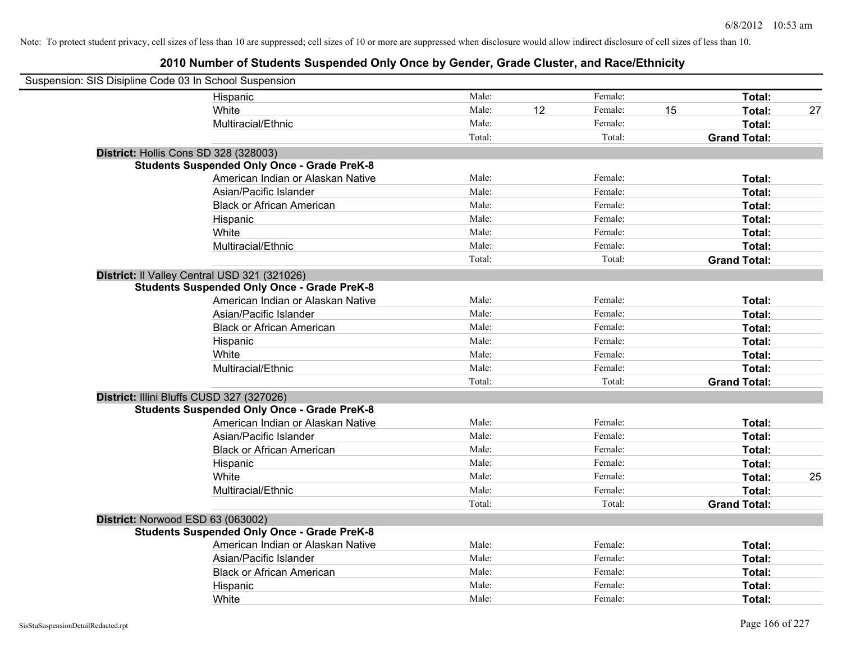| Suspension: SIS Disipline Code 03 In School Suspension |                                                    |        |    |         |    |                     |    |
|--------------------------------------------------------|----------------------------------------------------|--------|----|---------|----|---------------------|----|
|                                                        | Hispanic                                           | Male:  |    | Female: |    | Total:              |    |
|                                                        | White                                              | Male:  | 12 | Female: | 15 | Total:              | 27 |
|                                                        | Multiracial/Ethnic                                 | Male:  |    | Female: |    | Total:              |    |
|                                                        |                                                    | Total: |    | Total:  |    | <b>Grand Total:</b> |    |
| District: Hollis Cons SD 328 (328003)                  |                                                    |        |    |         |    |                     |    |
|                                                        | <b>Students Suspended Only Once - Grade PreK-8</b> |        |    |         |    |                     |    |
|                                                        | American Indian or Alaskan Native                  | Male:  |    | Female: |    | Total:              |    |
|                                                        | Asian/Pacific Islander                             | Male:  |    | Female: |    | Total:              |    |
|                                                        | <b>Black or African American</b>                   | Male:  |    | Female: |    | Total:              |    |
|                                                        | Hispanic                                           | Male:  |    | Female: |    | Total:              |    |
|                                                        | White                                              | Male:  |    | Female: |    | Total:              |    |
|                                                        | Multiracial/Ethnic                                 | Male:  |    | Female: |    | Total:              |    |
|                                                        |                                                    | Total: |    | Total:  |    | <b>Grand Total:</b> |    |
|                                                        | District: Il Valley Central USD 321 (321026)       |        |    |         |    |                     |    |
|                                                        | <b>Students Suspended Only Once - Grade PreK-8</b> |        |    |         |    |                     |    |
|                                                        | American Indian or Alaskan Native                  | Male:  |    | Female: |    | Total:              |    |
|                                                        | Asian/Pacific Islander                             | Male:  |    | Female: |    | Total:              |    |
|                                                        | <b>Black or African American</b>                   | Male:  |    | Female: |    | Total:              |    |
|                                                        | Hispanic                                           | Male:  |    | Female: |    | Total:              |    |
|                                                        | White                                              | Male:  |    | Female: |    | Total:              |    |
|                                                        | Multiracial/Ethnic                                 | Male:  |    | Female: |    | Total:              |    |
|                                                        |                                                    | Total: |    | Total:  |    | <b>Grand Total:</b> |    |
|                                                        | District: Illini Bluffs CUSD 327 (327026)          |        |    |         |    |                     |    |
|                                                        | <b>Students Suspended Only Once - Grade PreK-8</b> |        |    |         |    |                     |    |
|                                                        | American Indian or Alaskan Native                  | Male:  |    | Female: |    | Total:              |    |
|                                                        | Asian/Pacific Islander                             | Male:  |    | Female: |    | Total:              |    |
|                                                        | <b>Black or African American</b>                   | Male:  |    | Female: |    | Total:              |    |
|                                                        | Hispanic                                           | Male:  |    | Female: |    | Total:              |    |
|                                                        | White                                              | Male:  |    | Female: |    | Total:              | 25 |
|                                                        | Multiracial/Ethnic                                 | Male:  |    | Female: |    | Total:              |    |
|                                                        |                                                    | Total: |    | Total:  |    | <b>Grand Total:</b> |    |
| District: Norwood ESD 63 (063002)                      |                                                    |        |    |         |    |                     |    |
|                                                        | <b>Students Suspended Only Once - Grade PreK-8</b> |        |    |         |    |                     |    |
|                                                        | American Indian or Alaskan Native                  | Male:  |    | Female: |    | Total:              |    |
|                                                        | Asian/Pacific Islander                             | Male:  |    | Female: |    | Total:              |    |
|                                                        | <b>Black or African American</b>                   | Male:  |    | Female: |    | Total:              |    |
|                                                        | Hispanic                                           | Male:  |    | Female: |    | Total:              |    |
|                                                        | White                                              | Male:  |    | Female: |    | Total:              |    |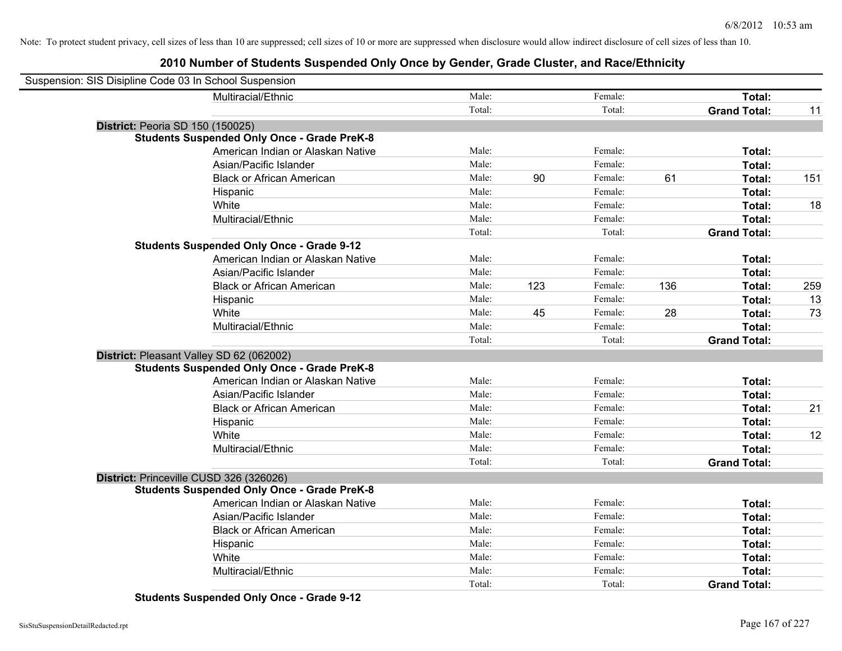# **2010 Number of Students Suspended Only Once by Gender, Grade Cluster, and Race/Ethnicity**

| Suspension: SIS Disipline Code 03 In School Suspension |                                                    |        |     |         |     |                     |     |
|--------------------------------------------------------|----------------------------------------------------|--------|-----|---------|-----|---------------------|-----|
|                                                        | Multiracial/Ethnic                                 | Male:  |     | Female: |     | Total:              |     |
|                                                        |                                                    | Total: |     | Total:  |     | <b>Grand Total:</b> | 11  |
| <b>District: Peoria SD 150 (150025)</b>                |                                                    |        |     |         |     |                     |     |
|                                                        | <b>Students Suspended Only Once - Grade PreK-8</b> |        |     |         |     |                     |     |
|                                                        | American Indian or Alaskan Native                  | Male:  |     | Female: |     | Total:              |     |
|                                                        | Asian/Pacific Islander                             | Male:  |     | Female: |     | Total:              |     |
|                                                        | <b>Black or African American</b>                   | Male:  | 90  | Female: | 61  | Total:              | 151 |
|                                                        | Hispanic                                           | Male:  |     | Female: |     | Total:              |     |
|                                                        | White                                              | Male:  |     | Female: |     | Total:              | 18  |
|                                                        | Multiracial/Ethnic                                 | Male:  |     | Female: |     | Total:              |     |
|                                                        |                                                    | Total: |     | Total:  |     | <b>Grand Total:</b> |     |
|                                                        | <b>Students Suspended Only Once - Grade 9-12</b>   |        |     |         |     |                     |     |
|                                                        | American Indian or Alaskan Native                  | Male:  |     | Female: |     | Total:              |     |
|                                                        | Asian/Pacific Islander                             | Male:  |     | Female: |     | Total:              |     |
|                                                        | <b>Black or African American</b>                   | Male:  | 123 | Female: | 136 | Total:              | 259 |
|                                                        | Hispanic                                           | Male:  |     | Female: |     | Total:              | 13  |
|                                                        | White                                              | Male:  | 45  | Female: | 28  | Total:              | 73  |
|                                                        | Multiracial/Ethnic                                 | Male:  |     | Female: |     | Total:              |     |
|                                                        |                                                    | Total: |     | Total:  |     | <b>Grand Total:</b> |     |
| District: Pleasant Valley SD 62 (062002)               |                                                    |        |     |         |     |                     |     |
|                                                        | <b>Students Suspended Only Once - Grade PreK-8</b> |        |     |         |     |                     |     |
|                                                        | American Indian or Alaskan Native                  | Male:  |     | Female: |     | Total:              |     |
|                                                        | Asian/Pacific Islander                             | Male:  |     | Female: |     | Total:              |     |
|                                                        | <b>Black or African American</b>                   | Male:  |     | Female: |     | Total:              | 21  |
|                                                        | Hispanic                                           | Male:  |     | Female: |     | Total:              |     |
|                                                        | White                                              | Male:  |     | Female: |     | Total:              | 12  |
|                                                        | Multiracial/Ethnic                                 | Male:  |     | Female: |     | Total:              |     |
|                                                        |                                                    | Total: |     | Total:  |     | <b>Grand Total:</b> |     |
| District: Princeville CUSD 326 (326026)                |                                                    |        |     |         |     |                     |     |
|                                                        | <b>Students Suspended Only Once - Grade PreK-8</b> |        |     |         |     |                     |     |
|                                                        | American Indian or Alaskan Native                  | Male:  |     | Female: |     | Total:              |     |
|                                                        | Asian/Pacific Islander                             | Male:  |     | Female: |     | Total:              |     |
|                                                        | <b>Black or African American</b>                   | Male:  |     | Female: |     | Total:              |     |
|                                                        | Hispanic                                           | Male:  |     | Female: |     | Total:              |     |
|                                                        | White                                              | Male:  |     | Female: |     | Total:              |     |
|                                                        | Multiracial/Ethnic                                 | Male:  |     | Female: |     | Total:              |     |
|                                                        |                                                    | Total: |     | Total:  |     | <b>Grand Total:</b> |     |

**Students Suspended Only Once - Grade 9-12**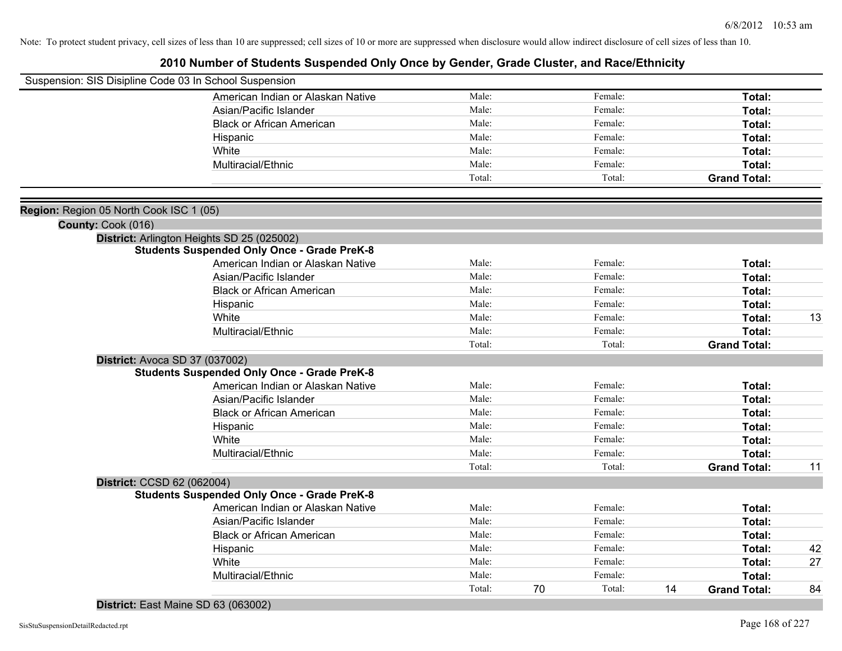# **2010 Number of Students Suspended Only Once by Gender, Grade Cluster, and Race/Ethnicity**

|                                         | Suspension: SIS Disipline Code 03 In School Suspension |        |              |    |                     |    |
|-----------------------------------------|--------------------------------------------------------|--------|--------------|----|---------------------|----|
|                                         | American Indian or Alaskan Native                      | Male:  | Female:      |    | Total:              |    |
|                                         | Asian/Pacific Islander                                 | Male:  | Female:      |    | Total:              |    |
|                                         | <b>Black or African American</b>                       | Male:  | Female:      |    | Total:              |    |
|                                         | Hispanic                                               | Male:  | Female:      |    | Total:              |    |
|                                         | White                                                  | Male:  | Female:      |    | Total:              |    |
|                                         | Multiracial/Ethnic                                     | Male:  | Female:      |    | Total:              |    |
|                                         |                                                        | Total: | Total:       |    | <b>Grand Total:</b> |    |
|                                         |                                                        |        |              |    |                     |    |
| Region: Region 05 North Cook ISC 1 (05) |                                                        |        |              |    |                     |    |
| County: Cook (016)                      |                                                        |        |              |    |                     |    |
|                                         | District: Arlington Heights SD 25 (025002)             |        |              |    |                     |    |
|                                         | <b>Students Suspended Only Once - Grade PreK-8</b>     |        |              |    |                     |    |
|                                         | American Indian or Alaskan Native                      | Male:  | Female:      |    | Total:              |    |
|                                         | Asian/Pacific Islander                                 | Male:  | Female:      |    | Total:              |    |
|                                         | <b>Black or African American</b>                       | Male:  | Female:      |    | Total:              |    |
|                                         | Hispanic                                               | Male:  | Female:      |    | Total:              |    |
|                                         | White                                                  | Male:  | Female:      |    | Total:              | 13 |
|                                         | Multiracial/Ethnic                                     | Male:  | Female:      |    | Total:              |    |
|                                         |                                                        | Total: | Total:       |    | <b>Grand Total:</b> |    |
|                                         | District: Avoca SD 37 (037002)                         |        |              |    |                     |    |
|                                         | <b>Students Suspended Only Once - Grade PreK-8</b>     |        |              |    |                     |    |
|                                         | American Indian or Alaskan Native                      | Male:  | Female:      |    | Total:              |    |
|                                         | Asian/Pacific Islander                                 | Male:  | Female:      |    | Total:              |    |
|                                         | <b>Black or African American</b>                       | Male:  | Female:      |    | Total:              |    |
|                                         | Hispanic                                               | Male:  | Female:      |    | Total:              |    |
|                                         | White                                                  | Male:  | Female:      |    | Total:              |    |
|                                         | Multiracial/Ethnic                                     | Male:  | Female:      |    | Total:              |    |
|                                         |                                                        | Total: | Total:       |    | <b>Grand Total:</b> | 11 |
|                                         | District: CCSD 62 (062004)                             |        |              |    |                     |    |
|                                         | <b>Students Suspended Only Once - Grade PreK-8</b>     |        |              |    |                     |    |
|                                         | American Indian or Alaskan Native                      | Male:  | Female:      |    | Total:              |    |
|                                         | Asian/Pacific Islander                                 | Male:  | Female:      |    | Total:              |    |
|                                         | <b>Black or African American</b>                       | Male:  | Female:      |    | Total:              |    |
|                                         | Hispanic                                               | Male:  | Female:      |    | Total:              | 42 |
|                                         | White                                                  | Male:  | Female:      |    | Total:              | 27 |
|                                         | Multiracial/Ethnic                                     | Male:  | Female:      |    | Total:              |    |
|                                         |                                                        | Total: | 70<br>Total: | 14 | <b>Grand Total:</b> | 84 |
|                                         |                                                        |        |              |    |                     |    |

## **District:** East Maine SD 63 (063002)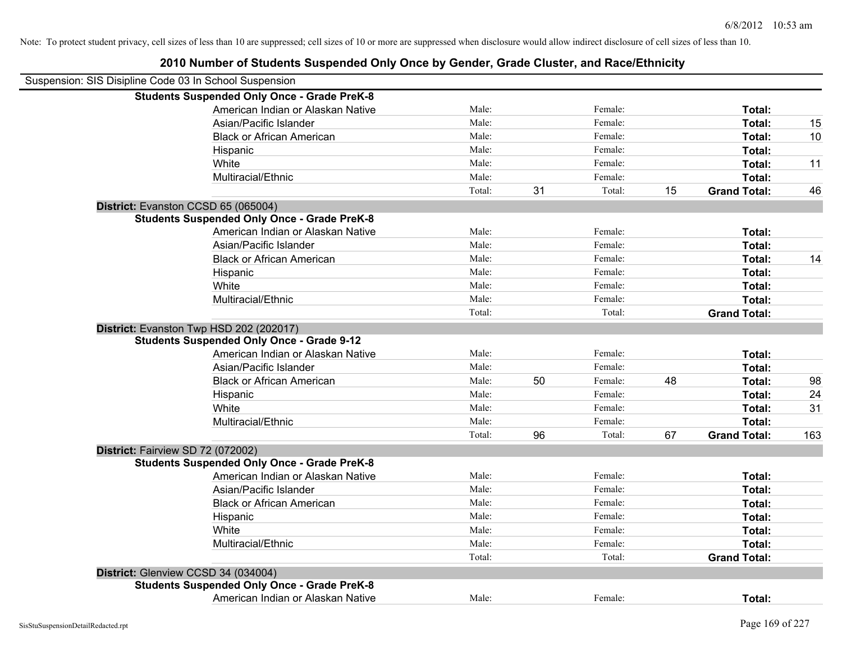| Suspension: SIS Disipline Code 03 In School Suspension |                                                    |        |    |         |    |                     |     |
|--------------------------------------------------------|----------------------------------------------------|--------|----|---------|----|---------------------|-----|
|                                                        | <b>Students Suspended Only Once - Grade PreK-8</b> |        |    |         |    |                     |     |
|                                                        | American Indian or Alaskan Native                  | Male:  |    | Female: |    | Total:              |     |
|                                                        | Asian/Pacific Islander                             | Male:  |    | Female: |    | Total:              | 15  |
|                                                        | <b>Black or African American</b>                   | Male:  |    | Female: |    | Total:              | 10  |
|                                                        | Hispanic                                           | Male:  |    | Female: |    | Total:              |     |
|                                                        | White                                              | Male:  |    | Female: |    | Total:              | 11  |
|                                                        | Multiracial/Ethnic                                 | Male:  |    | Female: |    | Total:              |     |
|                                                        |                                                    | Total: | 31 | Total:  | 15 | <b>Grand Total:</b> | 46  |
| District: Evanston CCSD 65 (065004)                    |                                                    |        |    |         |    |                     |     |
|                                                        | <b>Students Suspended Only Once - Grade PreK-8</b> |        |    |         |    |                     |     |
|                                                        | American Indian or Alaskan Native                  | Male:  |    | Female: |    | Total:              |     |
|                                                        | Asian/Pacific Islander                             | Male:  |    | Female: |    | Total:              |     |
|                                                        | <b>Black or African American</b>                   | Male:  |    | Female: |    | Total:              | 14  |
|                                                        | Hispanic                                           | Male:  |    | Female: |    | Total:              |     |
|                                                        | White                                              | Male:  |    | Female: |    | Total:              |     |
|                                                        | Multiracial/Ethnic                                 | Male:  |    | Female: |    | Total:              |     |
|                                                        |                                                    | Total: |    | Total:  |    | <b>Grand Total:</b> |     |
|                                                        | District: Evanston Twp HSD 202 (202017)            |        |    |         |    |                     |     |
|                                                        | <b>Students Suspended Only Once - Grade 9-12</b>   |        |    |         |    |                     |     |
|                                                        | American Indian or Alaskan Native                  | Male:  |    | Female: |    | Total:              |     |
|                                                        | Asian/Pacific Islander                             | Male:  |    | Female: |    | Total:              |     |
|                                                        | <b>Black or African American</b>                   | Male:  | 50 | Female: | 48 | Total:              | 98  |
|                                                        | Hispanic                                           | Male:  |    | Female: |    | Total:              | 24  |
|                                                        | White                                              | Male:  |    | Female: |    | Total:              | 31  |
|                                                        | Multiracial/Ethnic                                 | Male:  |    | Female: |    | Total:              |     |
|                                                        |                                                    | Total: | 96 | Total:  | 67 | <b>Grand Total:</b> | 163 |
| District: Fairview SD 72 (072002)                      |                                                    |        |    |         |    |                     |     |
|                                                        | <b>Students Suspended Only Once - Grade PreK-8</b> |        |    |         |    |                     |     |
|                                                        | American Indian or Alaskan Native                  | Male:  |    | Female: |    | Total:              |     |
|                                                        | Asian/Pacific Islander                             | Male:  |    | Female: |    | Total:              |     |
|                                                        | <b>Black or African American</b>                   | Male:  |    | Female: |    | Total:              |     |
|                                                        | Hispanic                                           | Male:  |    | Female: |    | Total:              |     |
|                                                        | White                                              | Male:  |    | Female: |    | Total:              |     |
|                                                        | Multiracial/Ethnic                                 | Male:  |    | Female: |    | Total:              |     |
|                                                        |                                                    | Total: |    | Total:  |    | <b>Grand Total:</b> |     |
| District: Glenview CCSD 34 (034004)                    |                                                    |        |    |         |    |                     |     |
|                                                        | <b>Students Suspended Only Once - Grade PreK-8</b> |        |    |         |    |                     |     |
|                                                        | American Indian or Alaskan Native                  | Male:  |    | Female: |    | Total:              |     |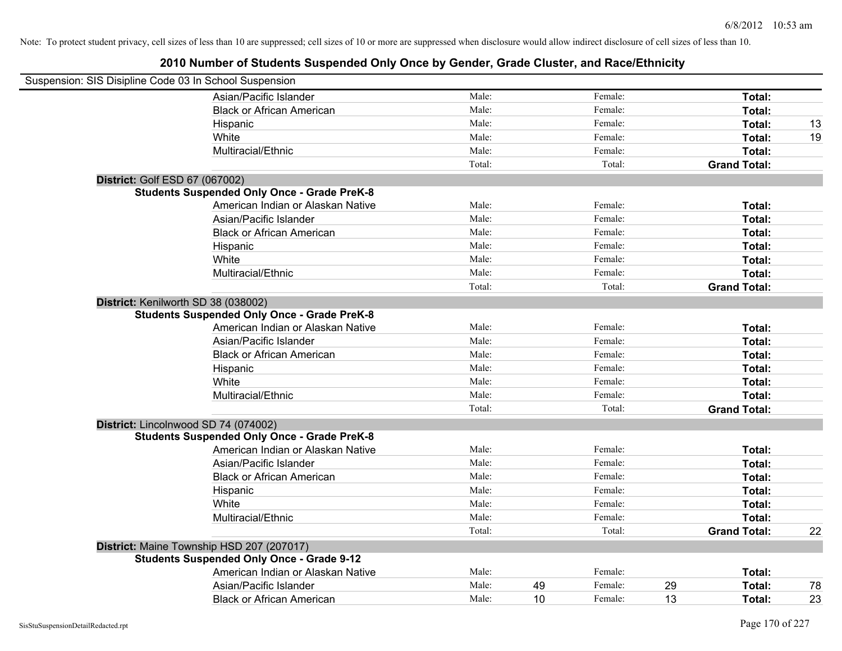| Suspension: SIS Disipline Code 03 In School Suspension |                                                    |        |    |         |    |                     |    |
|--------------------------------------------------------|----------------------------------------------------|--------|----|---------|----|---------------------|----|
|                                                        | Asian/Pacific Islander                             | Male:  |    | Female: |    | Total:              |    |
|                                                        | <b>Black or African American</b>                   | Male:  |    | Female: |    | Total:              |    |
|                                                        | Hispanic                                           | Male:  |    | Female: |    | Total:              | 13 |
|                                                        | White                                              | Male:  |    | Female: |    | Total:              | 19 |
|                                                        | Multiracial/Ethnic                                 | Male:  |    | Female: |    | Total:              |    |
|                                                        |                                                    | Total: |    | Total:  |    | <b>Grand Total:</b> |    |
| <b>District: Golf ESD 67 (067002)</b>                  |                                                    |        |    |         |    |                     |    |
|                                                        | <b>Students Suspended Only Once - Grade PreK-8</b> |        |    |         |    |                     |    |
|                                                        | American Indian or Alaskan Native                  | Male:  |    | Female: |    | Total:              |    |
|                                                        | Asian/Pacific Islander                             | Male:  |    | Female: |    | Total:              |    |
|                                                        | <b>Black or African American</b>                   | Male:  |    | Female: |    | Total:              |    |
|                                                        | Hispanic                                           | Male:  |    | Female: |    | Total:              |    |
|                                                        | White                                              | Male:  |    | Female: |    | Total:              |    |
|                                                        | Multiracial/Ethnic                                 | Male:  |    | Female: |    | Total:              |    |
|                                                        |                                                    | Total: |    | Total:  |    | <b>Grand Total:</b> |    |
| District: Kenilworth SD 38 (038002)                    |                                                    |        |    |         |    |                     |    |
|                                                        | <b>Students Suspended Only Once - Grade PreK-8</b> |        |    |         |    |                     |    |
|                                                        | American Indian or Alaskan Native                  | Male:  |    | Female: |    | Total:              |    |
|                                                        | Asian/Pacific Islander                             | Male:  |    | Female: |    | Total:              |    |
|                                                        | <b>Black or African American</b>                   | Male:  |    | Female: |    | Total:              |    |
|                                                        | Hispanic                                           | Male:  |    | Female: |    | Total:              |    |
|                                                        | White                                              | Male:  |    | Female: |    | Total:              |    |
|                                                        | Multiracial/Ethnic                                 | Male:  |    | Female: |    | Total:              |    |
|                                                        |                                                    | Total: |    | Total:  |    | <b>Grand Total:</b> |    |
| District: Lincolnwood SD 74 (074002)                   |                                                    |        |    |         |    |                     |    |
|                                                        | <b>Students Suspended Only Once - Grade PreK-8</b> |        |    |         |    |                     |    |
|                                                        | American Indian or Alaskan Native                  | Male:  |    | Female: |    | Total:              |    |
|                                                        | Asian/Pacific Islander                             | Male:  |    | Female: |    | Total:              |    |
|                                                        | <b>Black or African American</b>                   | Male:  |    | Female: |    | Total:              |    |
|                                                        | Hispanic                                           | Male:  |    | Female: |    | Total:              |    |
|                                                        | White                                              | Male:  |    | Female: |    | Total:              |    |
|                                                        | Multiracial/Ethnic                                 | Male:  |    | Female: |    | Total:              |    |
|                                                        |                                                    | Total: |    | Total:  |    | <b>Grand Total:</b> | 22 |
|                                                        | District: Maine Township HSD 207 (207017)          |        |    |         |    |                     |    |
|                                                        | <b>Students Suspended Only Once - Grade 9-12</b>   |        |    |         |    |                     |    |
|                                                        | American Indian or Alaskan Native                  | Male:  |    | Female: |    | Total:              |    |
|                                                        | Asian/Pacific Islander                             | Male:  | 49 | Female: | 29 | <b>Total:</b>       | 78 |
|                                                        | <b>Black or African American</b>                   | Male:  | 10 | Female: | 13 | Total:              | 23 |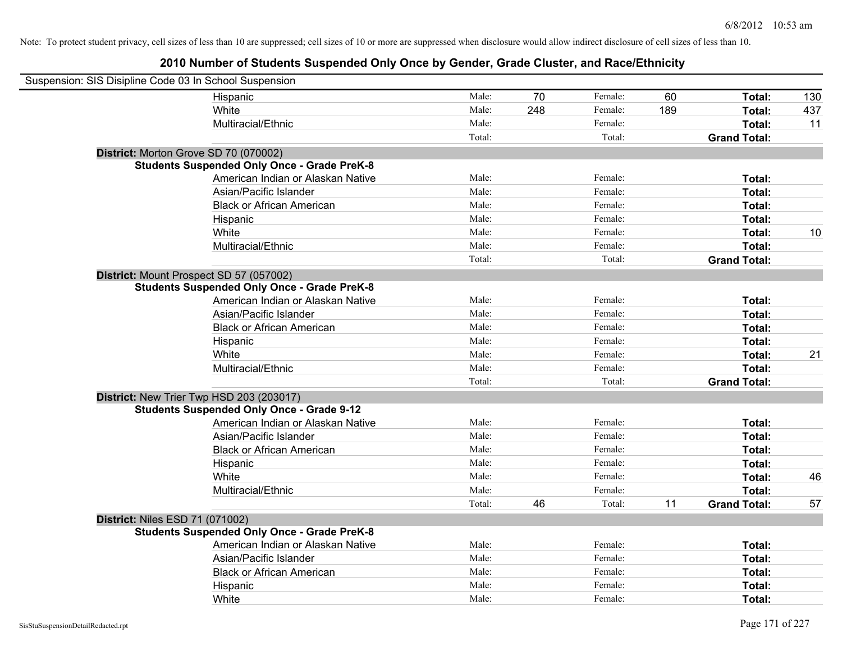| Suspension: SIS Disipline Code 03 In School Suspension |                                                    |        |     |         |     |                     |     |
|--------------------------------------------------------|----------------------------------------------------|--------|-----|---------|-----|---------------------|-----|
|                                                        | Hispanic                                           | Male:  | 70  | Female: | 60  | Total:              | 130 |
|                                                        | White                                              | Male:  | 248 | Female: | 189 | Total:              | 437 |
|                                                        | Multiracial/Ethnic                                 | Male:  |     | Female: |     | Total:              | 11  |
|                                                        |                                                    | Total: |     | Total:  |     | <b>Grand Total:</b> |     |
| District: Morton Grove SD 70 (070002)                  |                                                    |        |     |         |     |                     |     |
|                                                        | <b>Students Suspended Only Once - Grade PreK-8</b> |        |     |         |     |                     |     |
|                                                        | American Indian or Alaskan Native                  | Male:  |     | Female: |     | Total:              |     |
|                                                        | Asian/Pacific Islander                             | Male:  |     | Female: |     | Total:              |     |
|                                                        | <b>Black or African American</b>                   | Male:  |     | Female: |     | Total:              |     |
|                                                        | Hispanic                                           | Male:  |     | Female: |     | Total:              |     |
|                                                        | White                                              | Male:  |     | Female: |     | Total:              | 10  |
|                                                        | Multiracial/Ethnic                                 | Male:  |     | Female: |     | Total:              |     |
|                                                        |                                                    | Total: |     | Total:  |     | <b>Grand Total:</b> |     |
| District: Mount Prospect SD 57 (057002)                |                                                    |        |     |         |     |                     |     |
|                                                        | <b>Students Suspended Only Once - Grade PreK-8</b> |        |     |         |     |                     |     |
|                                                        | American Indian or Alaskan Native                  | Male:  |     | Female: |     | Total:              |     |
|                                                        | Asian/Pacific Islander                             | Male:  |     | Female: |     | Total:              |     |
|                                                        | <b>Black or African American</b>                   | Male:  |     | Female: |     | Total:              |     |
|                                                        | Hispanic                                           | Male:  |     | Female: |     | Total:              |     |
|                                                        | White                                              | Male:  |     | Female: |     | Total:              | 21  |
|                                                        | Multiracial/Ethnic                                 | Male:  |     | Female: |     | Total:              |     |
|                                                        |                                                    | Total: |     | Total:  |     | <b>Grand Total:</b> |     |
| District: New Trier Twp HSD 203 (203017)               |                                                    |        |     |         |     |                     |     |
|                                                        | <b>Students Suspended Only Once - Grade 9-12</b>   |        |     |         |     |                     |     |
|                                                        | American Indian or Alaskan Native                  | Male:  |     | Female: |     | Total:              |     |
|                                                        | Asian/Pacific Islander                             | Male:  |     | Female: |     | Total:              |     |
|                                                        | <b>Black or African American</b>                   | Male:  |     | Female: |     | Total:              |     |
|                                                        | Hispanic                                           | Male:  |     | Female: |     | Total:              |     |
|                                                        | White                                              | Male:  |     | Female: |     | Total:              | 46  |
|                                                        | Multiracial/Ethnic                                 | Male:  |     | Female: |     | Total:              |     |
|                                                        |                                                    | Total: | 46  | Total:  | 11  | <b>Grand Total:</b> | 57  |
| <b>District: Niles ESD 71 (071002)</b>                 |                                                    |        |     |         |     |                     |     |
|                                                        | <b>Students Suspended Only Once - Grade PreK-8</b> |        |     |         |     |                     |     |
|                                                        | American Indian or Alaskan Native                  | Male:  |     | Female: |     | Total:              |     |
|                                                        | Asian/Pacific Islander                             | Male:  |     | Female: |     | Total:              |     |
|                                                        | <b>Black or African American</b>                   | Male:  |     | Female: |     | Total:              |     |
|                                                        | Hispanic                                           | Male:  |     | Female: |     | Total:              |     |
|                                                        | White                                              | Male:  |     | Female: |     | Total:              |     |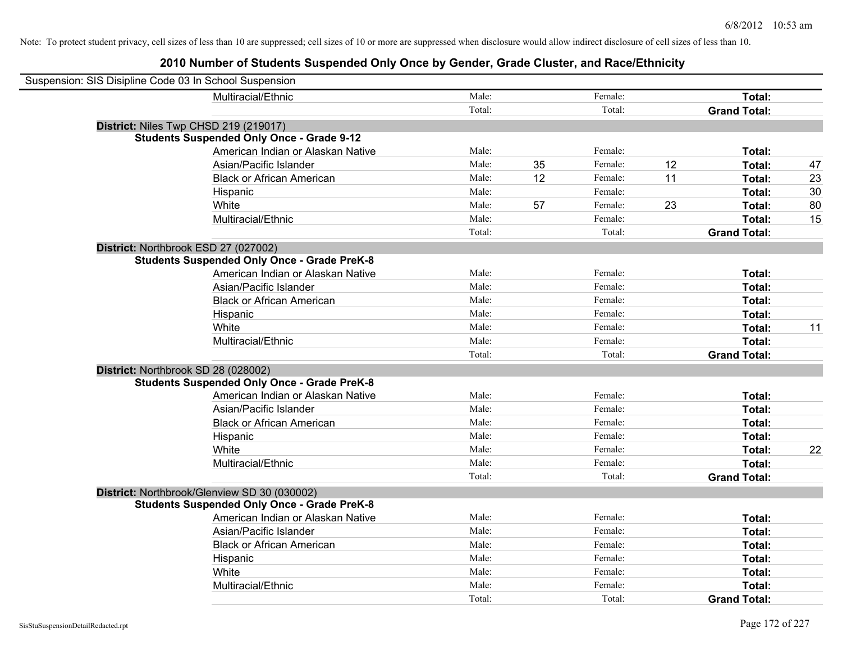| Suspension: SIS Disipline Code 03 In School Suspension |                                                    |        |    |         |    |                     |    |
|--------------------------------------------------------|----------------------------------------------------|--------|----|---------|----|---------------------|----|
|                                                        | Multiracial/Ethnic                                 | Male:  |    | Female: |    | Total:              |    |
|                                                        |                                                    | Total: |    | Total:  |    | <b>Grand Total:</b> |    |
| District: Niles Twp CHSD 219 (219017)                  |                                                    |        |    |         |    |                     |    |
|                                                        | <b>Students Suspended Only Once - Grade 9-12</b>   |        |    |         |    |                     |    |
|                                                        | American Indian or Alaskan Native                  | Male:  |    | Female: |    | Total:              |    |
|                                                        | Asian/Pacific Islander                             | Male:  | 35 | Female: | 12 | Total:              | 47 |
|                                                        | <b>Black or African American</b>                   | Male:  | 12 | Female: | 11 | Total:              | 23 |
|                                                        | Hispanic                                           | Male:  |    | Female: |    | Total:              | 30 |
|                                                        | White                                              | Male:  | 57 | Female: | 23 | Total:              | 80 |
|                                                        | Multiracial/Ethnic                                 | Male:  |    | Female: |    | Total:              | 15 |
|                                                        |                                                    | Total: |    | Total:  |    | <b>Grand Total:</b> |    |
| District: Northbrook ESD 27 (027002)                   |                                                    |        |    |         |    |                     |    |
|                                                        | <b>Students Suspended Only Once - Grade PreK-8</b> |        |    |         |    |                     |    |
|                                                        | American Indian or Alaskan Native                  | Male:  |    | Female: |    | Total:              |    |
|                                                        | Asian/Pacific Islander                             | Male:  |    | Female: |    | Total:              |    |
|                                                        | <b>Black or African American</b>                   | Male:  |    | Female: |    | Total:              |    |
|                                                        | Hispanic                                           | Male:  |    | Female: |    | Total:              |    |
|                                                        | White                                              | Male:  |    | Female: |    | Total:              | 11 |
|                                                        | Multiracial/Ethnic                                 | Male:  |    | Female: |    | Total:              |    |
|                                                        |                                                    | Total: |    | Total:  |    | <b>Grand Total:</b> |    |
| District: Northbrook SD 28 (028002)                    |                                                    |        |    |         |    |                     |    |
|                                                        | <b>Students Suspended Only Once - Grade PreK-8</b> |        |    |         |    |                     |    |
|                                                        | American Indian or Alaskan Native                  | Male:  |    | Female: |    | Total:              |    |
|                                                        | Asian/Pacific Islander                             | Male:  |    | Female: |    | Total:              |    |
|                                                        | <b>Black or African American</b>                   | Male:  |    | Female: |    | Total:              |    |
|                                                        | Hispanic                                           | Male:  |    | Female: |    | Total:              |    |
|                                                        | White                                              | Male:  |    | Female: |    | Total:              | 22 |
|                                                        | Multiracial/Ethnic                                 | Male:  |    | Female: |    | Total:              |    |
|                                                        |                                                    | Total: |    | Total:  |    | <b>Grand Total:</b> |    |
|                                                        | District: Northbrook/Glenview SD 30 (030002)       |        |    |         |    |                     |    |
|                                                        | <b>Students Suspended Only Once - Grade PreK-8</b> |        |    |         |    |                     |    |
|                                                        | American Indian or Alaskan Native                  | Male:  |    | Female: |    | Total:              |    |
|                                                        | Asian/Pacific Islander                             | Male:  |    | Female: |    | Total:              |    |
|                                                        | <b>Black or African American</b>                   | Male:  |    | Female: |    | Total:              |    |
|                                                        | Hispanic                                           | Male:  |    | Female: |    | Total:              |    |
|                                                        | White                                              | Male:  |    | Female: |    | Total:              |    |
|                                                        | Multiracial/Ethnic                                 | Male:  |    | Female: |    | Total:              |    |
|                                                        |                                                    | Total: |    | Total:  |    | <b>Grand Total:</b> |    |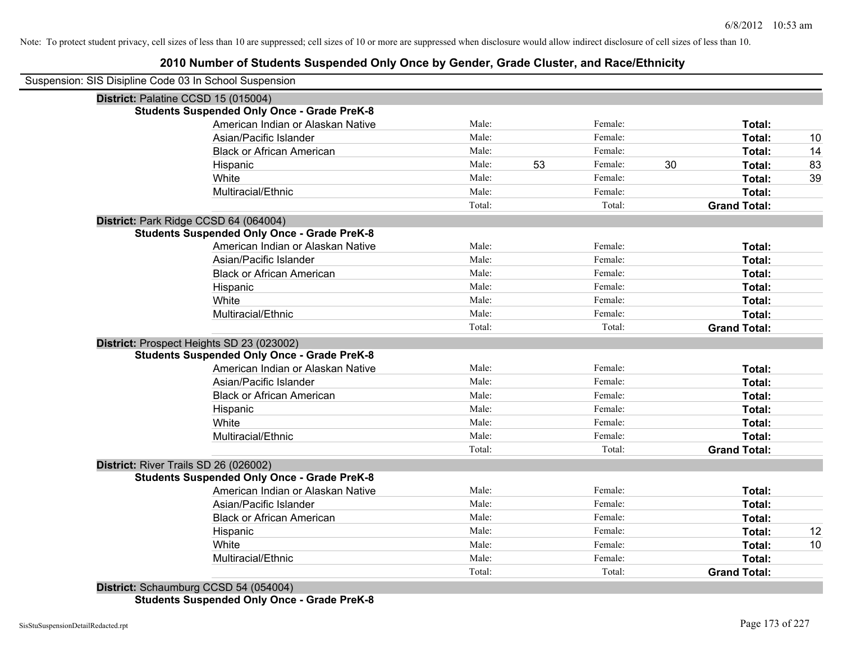# **2010 Number of Students Suspended Only Once by Gender, Grade Cluster, and Race/Ethnicity**

| Suspension: SIS Disipline Code 03 In School Suspension |        |    |         |    |                     |    |
|--------------------------------------------------------|--------|----|---------|----|---------------------|----|
| District: Palatine CCSD 15 (015004)                    |        |    |         |    |                     |    |
| <b>Students Suspended Only Once - Grade PreK-8</b>     |        |    |         |    |                     |    |
| American Indian or Alaskan Native                      | Male:  |    | Female: |    | Total:              |    |
| Asian/Pacific Islander                                 | Male:  |    | Female: |    | Total:              | 10 |
| <b>Black or African American</b>                       | Male:  |    | Female: |    | Total:              | 14 |
| Hispanic                                               | Male:  | 53 | Female: | 30 | Total:              | 83 |
| White                                                  | Male:  |    | Female: |    | Total:              | 39 |
| Multiracial/Ethnic                                     | Male:  |    | Female: |    | Total:              |    |
|                                                        | Total: |    | Total:  |    | <b>Grand Total:</b> |    |
| District: Park Ridge CCSD 64 (064004)                  |        |    |         |    |                     |    |
| <b>Students Suspended Only Once - Grade PreK-8</b>     |        |    |         |    |                     |    |
| American Indian or Alaskan Native                      | Male:  |    | Female: |    | Total:              |    |
| Asian/Pacific Islander                                 | Male:  |    | Female: |    | Total:              |    |
| <b>Black or African American</b>                       | Male:  |    | Female: |    | <b>Total:</b>       |    |
| Hispanic                                               | Male:  |    | Female: |    | Total:              |    |
| White                                                  | Male:  |    | Female: |    | Total:              |    |
| Multiracial/Ethnic                                     | Male:  |    | Female: |    | Total:              |    |
|                                                        | Total: |    | Total:  |    | <b>Grand Total:</b> |    |
| District: Prospect Heights SD 23 (023002)              |        |    |         |    |                     |    |
| <b>Students Suspended Only Once - Grade PreK-8</b>     |        |    |         |    |                     |    |
| American Indian or Alaskan Native                      | Male:  |    | Female: |    | Total:              |    |
| Asian/Pacific Islander                                 | Male:  |    | Female: |    | Total:              |    |
| <b>Black or African American</b>                       | Male:  |    | Female: |    | Total:              |    |
| Hispanic                                               | Male:  |    | Female: |    | Total:              |    |
| White                                                  | Male:  |    | Female: |    | Total:              |    |
| Multiracial/Ethnic                                     | Male:  |    | Female: |    | Total:              |    |
|                                                        | Total: |    | Total:  |    | <b>Grand Total:</b> |    |
| District: River Trails SD 26 (026002)                  |        |    |         |    |                     |    |
| <b>Students Suspended Only Once - Grade PreK-8</b>     |        |    |         |    |                     |    |
| American Indian or Alaskan Native                      | Male:  |    | Female: |    | Total:              |    |
| Asian/Pacific Islander                                 | Male:  |    | Female: |    | Total:              |    |
| <b>Black or African American</b>                       | Male:  |    | Female: |    | Total:              |    |
| Hispanic                                               | Male:  |    | Female: |    | Total:              | 12 |
| White                                                  | Male:  |    | Female: |    | Total:              | 10 |
| Multiracial/Ethnic                                     | Male:  |    | Female: |    | Total:              |    |
|                                                        | Total: |    | Total:  |    | <b>Grand Total:</b> |    |
| District: Schaumburg CCSD 54 (054004)                  |        |    |         |    |                     |    |

**Students Suspended Only Once - Grade PreK-8**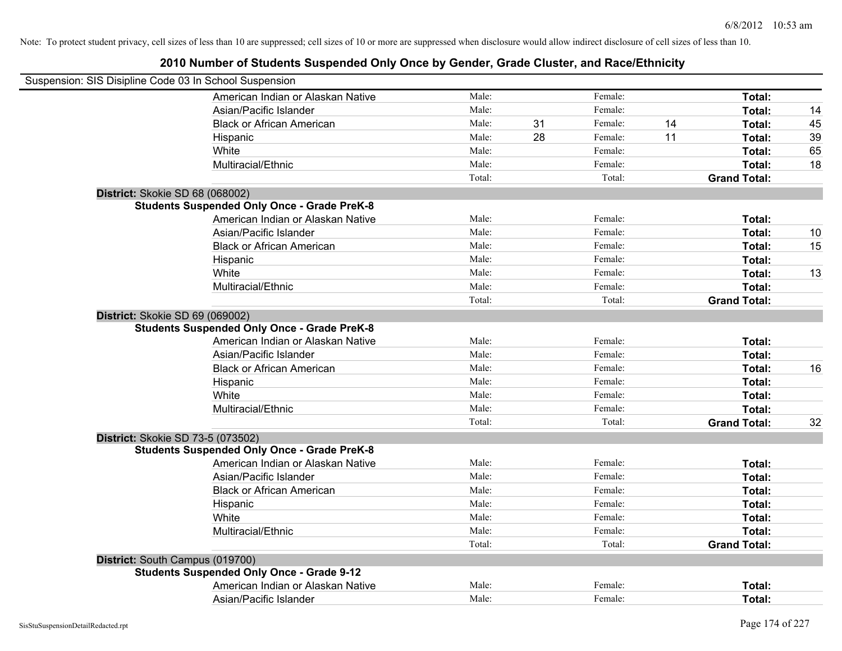| Suspension: SIS Disipline Code 03 In School Suspension |        |    |         |    |                     |    |
|--------------------------------------------------------|--------|----|---------|----|---------------------|----|
| American Indian or Alaskan Native                      | Male:  |    | Female: |    | Total:              |    |
| Asian/Pacific Islander                                 | Male:  |    | Female: |    | Total:              | 14 |
| <b>Black or African American</b>                       | Male:  | 31 | Female: | 14 | Total:              | 45 |
| Hispanic                                               | Male:  | 28 | Female: | 11 | Total:              | 39 |
| White                                                  | Male:  |    | Female: |    | Total:              | 65 |
| Multiracial/Ethnic                                     | Male:  |    | Female: |    | Total:              | 18 |
|                                                        | Total: |    | Total:  |    | <b>Grand Total:</b> |    |
| District: Skokie SD 68 (068002)                        |        |    |         |    |                     |    |
| <b>Students Suspended Only Once - Grade PreK-8</b>     |        |    |         |    |                     |    |
| American Indian or Alaskan Native                      | Male:  |    | Female: |    | Total:              |    |
| Asian/Pacific Islander                                 | Male:  |    | Female: |    | Total:              | 10 |
| <b>Black or African American</b>                       | Male:  |    | Female: |    | Total:              | 15 |
| Hispanic                                               | Male:  |    | Female: |    | Total:              |    |
| White                                                  | Male:  |    | Female: |    | Total:              | 13 |
| Multiracial/Ethnic                                     | Male:  |    | Female: |    | Total:              |    |
|                                                        | Total: |    | Total:  |    | <b>Grand Total:</b> |    |
| District: Skokie SD 69 (069002)                        |        |    |         |    |                     |    |
| <b>Students Suspended Only Once - Grade PreK-8</b>     |        |    |         |    |                     |    |
| American Indian or Alaskan Native                      | Male:  |    | Female: |    | Total:              |    |
| Asian/Pacific Islander                                 | Male:  |    | Female: |    | Total:              |    |
| <b>Black or African American</b>                       | Male:  |    | Female: |    | Total:              | 16 |
| Hispanic                                               | Male:  |    | Female: |    | Total:              |    |
| White                                                  | Male:  |    | Female: |    | Total:              |    |
| Multiracial/Ethnic                                     | Male:  |    | Female: |    | Total:              |    |
|                                                        | Total: |    | Total:  |    | <b>Grand Total:</b> | 32 |
| District: Skokie SD 73-5 (073502)                      |        |    |         |    |                     |    |
| <b>Students Suspended Only Once - Grade PreK-8</b>     |        |    |         |    |                     |    |
| American Indian or Alaskan Native                      | Male:  |    | Female: |    | Total:              |    |
| Asian/Pacific Islander                                 | Male:  |    | Female: |    | Total:              |    |
| <b>Black or African American</b>                       | Male:  |    | Female: |    | Total:              |    |
| Hispanic                                               | Male:  |    | Female: |    | Total:              |    |
| White                                                  | Male:  |    | Female: |    | Total:              |    |
| Multiracial/Ethnic                                     | Male:  |    | Female: |    | Total:              |    |
|                                                        | Total: |    | Total:  |    | <b>Grand Total:</b> |    |
| District: South Campus (019700)                        |        |    |         |    |                     |    |
| <b>Students Suspended Only Once - Grade 9-12</b>       |        |    |         |    |                     |    |
| American Indian or Alaskan Native                      | Male:  |    | Female: |    | <b>Total:</b>       |    |
| Asian/Pacific Islander                                 | Male:  |    | Female: |    | Total:              |    |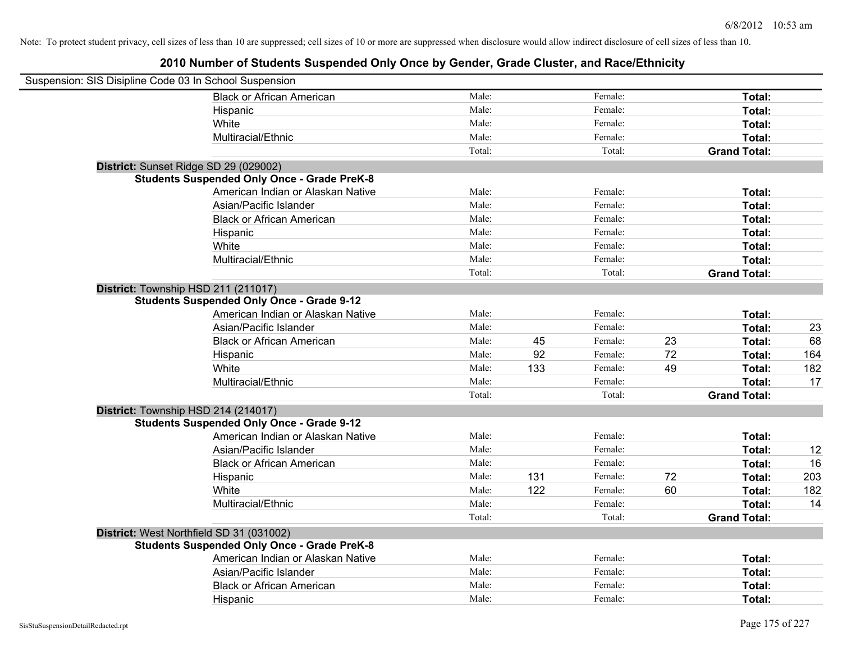| Suspension: SIS Disipline Code 03 In School Suspension |        |     |         |    |                     |     |
|--------------------------------------------------------|--------|-----|---------|----|---------------------|-----|
| <b>Black or African American</b>                       | Male:  |     | Female: |    | Total:              |     |
| Hispanic                                               | Male:  |     | Female: |    | Total:              |     |
| White                                                  | Male:  |     | Female: |    | Total:              |     |
| Multiracial/Ethnic                                     | Male:  |     | Female: |    | Total:              |     |
|                                                        | Total: |     | Total:  |    | <b>Grand Total:</b> |     |
| District: Sunset Ridge SD 29 (029002)                  |        |     |         |    |                     |     |
| <b>Students Suspended Only Once - Grade PreK-8</b>     |        |     |         |    |                     |     |
| American Indian or Alaskan Native                      | Male:  |     | Female: |    | Total:              |     |
| Asian/Pacific Islander                                 | Male:  |     | Female: |    | Total:              |     |
| <b>Black or African American</b>                       | Male:  |     | Female: |    | Total:              |     |
| Hispanic                                               | Male:  |     | Female: |    | Total:              |     |
| White                                                  | Male:  |     | Female: |    | Total:              |     |
| Multiracial/Ethnic                                     | Male:  |     | Female: |    | Total:              |     |
|                                                        | Total: |     | Total:  |    | <b>Grand Total:</b> |     |
| District: Township HSD 211 (211017)                    |        |     |         |    |                     |     |
| <b>Students Suspended Only Once - Grade 9-12</b>       |        |     |         |    |                     |     |
| American Indian or Alaskan Native                      | Male:  |     | Female: |    | Total:              |     |
| Asian/Pacific Islander                                 | Male:  |     | Female: |    | Total:              | 23  |
| <b>Black or African American</b>                       | Male:  | 45  | Female: | 23 | Total:              | 68  |
| Hispanic                                               | Male:  | 92  | Female: | 72 | Total:              | 164 |
| White                                                  | Male:  | 133 | Female: | 49 | Total:              | 182 |
| Multiracial/Ethnic                                     | Male:  |     | Female: |    | Total:              | 17  |
|                                                        | Total: |     | Total:  |    | <b>Grand Total:</b> |     |
| District: Township HSD 214 (214017)                    |        |     |         |    |                     |     |
| <b>Students Suspended Only Once - Grade 9-12</b>       |        |     |         |    |                     |     |
| American Indian or Alaskan Native                      | Male:  |     | Female: |    | Total:              |     |
| Asian/Pacific Islander                                 | Male:  |     | Female: |    | Total:              | 12  |
| <b>Black or African American</b>                       | Male:  |     | Female: |    | Total:              | 16  |
| Hispanic                                               | Male:  | 131 | Female: | 72 | Total:              | 203 |
| White                                                  | Male:  | 122 | Female: | 60 | Total:              | 182 |
| Multiracial/Ethnic                                     | Male:  |     | Female: |    | Total:              | 14  |
|                                                        | Total: |     | Total:  |    | <b>Grand Total:</b> |     |
| District: West Northfield SD 31 (031002)               |        |     |         |    |                     |     |
| <b>Students Suspended Only Once - Grade PreK-8</b>     |        |     |         |    |                     |     |
| American Indian or Alaskan Native                      | Male:  |     | Female: |    | Total:              |     |
| Asian/Pacific Islander                                 | Male:  |     | Female: |    | Total:              |     |
| <b>Black or African American</b>                       | Male:  |     | Female: |    | Total:              |     |
| Hispanic                                               | Male:  |     | Female: |    | Total:              |     |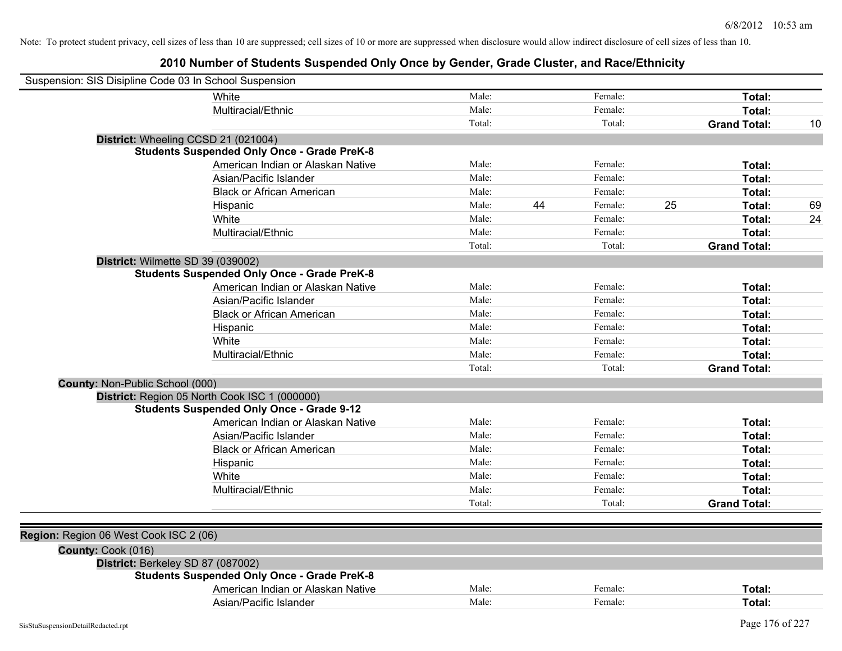| White<br>Male:<br>Female:<br>Total:<br>Male:<br>Female:<br>Total:<br>Multiracial/Ethnic<br>Total:<br>Total:<br><b>Grand Total:</b><br>10<br>District: Wheeling CCSD 21 (021004)<br><b>Students Suspended Only Once - Grade PreK-8</b><br>American Indian or Alaskan Native<br>Male:<br>Female:<br>Total:<br>Asian/Pacific Islander<br>Male:<br>Female:<br>Total:<br>Male:<br>Female:<br><b>Black or African American</b><br>Total:<br>44<br>25<br>Male:<br>Female:<br>Total:<br>69<br>Hispanic<br>Male:<br>Female:<br>White<br>Total:<br>24<br>Multiracial/Ethnic<br>Male:<br>Female:<br>Total:<br>Total:<br>Total:<br><b>Grand Total:</b><br>District: Wilmette SD 39 (039002) |
|---------------------------------------------------------------------------------------------------------------------------------------------------------------------------------------------------------------------------------------------------------------------------------------------------------------------------------------------------------------------------------------------------------------------------------------------------------------------------------------------------------------------------------------------------------------------------------------------------------------------------------------------------------------------------------|
|                                                                                                                                                                                                                                                                                                                                                                                                                                                                                                                                                                                                                                                                                 |
|                                                                                                                                                                                                                                                                                                                                                                                                                                                                                                                                                                                                                                                                                 |
|                                                                                                                                                                                                                                                                                                                                                                                                                                                                                                                                                                                                                                                                                 |
|                                                                                                                                                                                                                                                                                                                                                                                                                                                                                                                                                                                                                                                                                 |
|                                                                                                                                                                                                                                                                                                                                                                                                                                                                                                                                                                                                                                                                                 |
|                                                                                                                                                                                                                                                                                                                                                                                                                                                                                                                                                                                                                                                                                 |
|                                                                                                                                                                                                                                                                                                                                                                                                                                                                                                                                                                                                                                                                                 |
|                                                                                                                                                                                                                                                                                                                                                                                                                                                                                                                                                                                                                                                                                 |
|                                                                                                                                                                                                                                                                                                                                                                                                                                                                                                                                                                                                                                                                                 |
|                                                                                                                                                                                                                                                                                                                                                                                                                                                                                                                                                                                                                                                                                 |
|                                                                                                                                                                                                                                                                                                                                                                                                                                                                                                                                                                                                                                                                                 |
|                                                                                                                                                                                                                                                                                                                                                                                                                                                                                                                                                                                                                                                                                 |
|                                                                                                                                                                                                                                                                                                                                                                                                                                                                                                                                                                                                                                                                                 |
| <b>Students Suspended Only Once - Grade PreK-8</b>                                                                                                                                                                                                                                                                                                                                                                                                                                                                                                                                                                                                                              |
| American Indian or Alaskan Native<br>Male:<br>Female:<br>Total:                                                                                                                                                                                                                                                                                                                                                                                                                                                                                                                                                                                                                 |
| Male:<br>Female:<br>Asian/Pacific Islander<br>Total:                                                                                                                                                                                                                                                                                                                                                                                                                                                                                                                                                                                                                            |
| Male:<br>Female:<br>Total:<br><b>Black or African American</b>                                                                                                                                                                                                                                                                                                                                                                                                                                                                                                                                                                                                                  |
| Male:<br>Female:<br>Total:<br>Hispanic                                                                                                                                                                                                                                                                                                                                                                                                                                                                                                                                                                                                                                          |
| Male:<br>Female:<br>Total:<br>White                                                                                                                                                                                                                                                                                                                                                                                                                                                                                                                                                                                                                                             |
| Male:<br>Female:<br>Total:<br>Multiracial/Ethnic                                                                                                                                                                                                                                                                                                                                                                                                                                                                                                                                                                                                                                |
| Total:<br>Total:<br><b>Grand Total:</b>                                                                                                                                                                                                                                                                                                                                                                                                                                                                                                                                                                                                                                         |
| County: Non-Public School (000)                                                                                                                                                                                                                                                                                                                                                                                                                                                                                                                                                                                                                                                 |
| District: Region 05 North Cook ISC 1 (000000)                                                                                                                                                                                                                                                                                                                                                                                                                                                                                                                                                                                                                                   |
| <b>Students Suspended Only Once - Grade 9-12</b>                                                                                                                                                                                                                                                                                                                                                                                                                                                                                                                                                                                                                                |
| Male:<br>Female:<br>American Indian or Alaskan Native<br>Total:                                                                                                                                                                                                                                                                                                                                                                                                                                                                                                                                                                                                                 |
| Male:<br>Female:<br>Asian/Pacific Islander<br>Total:                                                                                                                                                                                                                                                                                                                                                                                                                                                                                                                                                                                                                            |
| Male:<br>Female:<br><b>Black or African American</b><br>Total:                                                                                                                                                                                                                                                                                                                                                                                                                                                                                                                                                                                                                  |
| Male:<br>Female:<br>Total:<br>Hispanic                                                                                                                                                                                                                                                                                                                                                                                                                                                                                                                                                                                                                                          |
| Male:<br>Female:<br>White<br>Total:                                                                                                                                                                                                                                                                                                                                                                                                                                                                                                                                                                                                                                             |
| Male:<br>Female:<br>Total:<br>Multiracial/Ethnic                                                                                                                                                                                                                                                                                                                                                                                                                                                                                                                                                                                                                                |
| Total:<br>Total:<br><b>Grand Total:</b>                                                                                                                                                                                                                                                                                                                                                                                                                                                                                                                                                                                                                                         |
|                                                                                                                                                                                                                                                                                                                                                                                                                                                                                                                                                                                                                                                                                 |
| Region: Region 06 West Cook ISC 2 (06)                                                                                                                                                                                                                                                                                                                                                                                                                                                                                                                                                                                                                                          |
| County: Cook (016)                                                                                                                                                                                                                                                                                                                                                                                                                                                                                                                                                                                                                                                              |
| District: Berkeley SD 87 (087002)                                                                                                                                                                                                                                                                                                                                                                                                                                                                                                                                                                                                                                               |
| <b>Students Suspended Only Once - Grade PreK-8</b>                                                                                                                                                                                                                                                                                                                                                                                                                                                                                                                                                                                                                              |
| American Indian or Alaskan Native<br>Male:<br>Female:<br>Total:                                                                                                                                                                                                                                                                                                                                                                                                                                                                                                                                                                                                                 |
| Asian/Pacific Islander<br>Male:<br>Female:<br>Total:                                                                                                                                                                                                                                                                                                                                                                                                                                                                                                                                                                                                                            |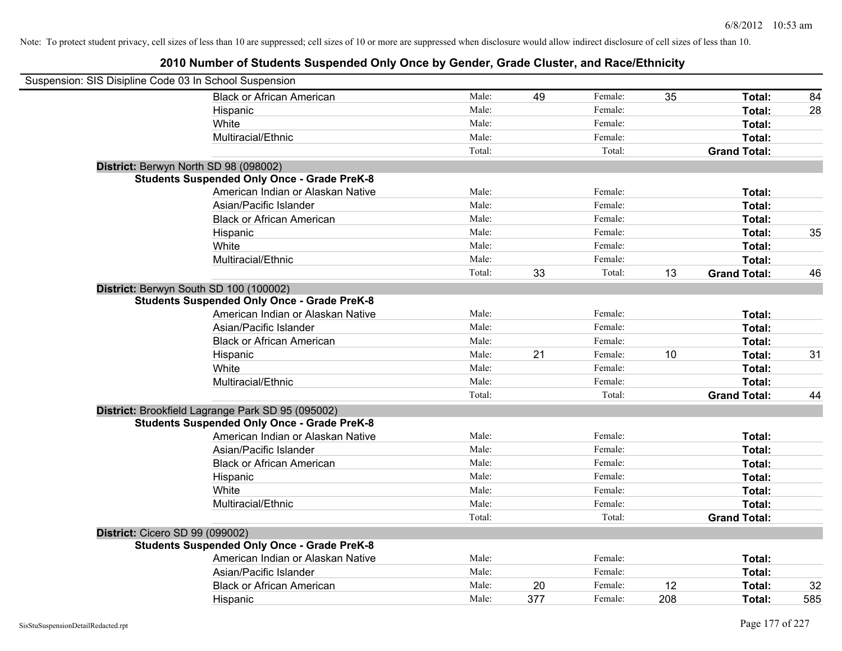| Suspension: SIS Disipline Code 03 In School Suspension |        |     |         |     |                     |     |
|--------------------------------------------------------|--------|-----|---------|-----|---------------------|-----|
| <b>Black or African American</b>                       | Male:  | 49  | Female: | 35  | Total:              | 84  |
| Hispanic                                               | Male:  |     | Female: |     | Total:              | 28  |
| White                                                  | Male:  |     | Female: |     | Total:              |     |
| Multiracial/Ethnic                                     | Male:  |     | Female: |     | Total:              |     |
|                                                        | Total: |     | Total:  |     | <b>Grand Total:</b> |     |
| District: Berwyn North SD 98 (098002)                  |        |     |         |     |                     |     |
| <b>Students Suspended Only Once - Grade PreK-8</b>     |        |     |         |     |                     |     |
| American Indian or Alaskan Native                      | Male:  |     | Female: |     | Total:              |     |
| Asian/Pacific Islander                                 | Male:  |     | Female: |     | Total:              |     |
| <b>Black or African American</b>                       | Male:  |     | Female: |     | Total:              |     |
| Hispanic                                               | Male:  |     | Female: |     | Total:              | 35  |
| White                                                  | Male:  |     | Female: |     | Total:              |     |
| Multiracial/Ethnic                                     | Male:  |     | Female: |     | Total:              |     |
|                                                        | Total: | 33  | Total:  | 13  | <b>Grand Total:</b> | 46  |
| District: Berwyn South SD 100 (100002)                 |        |     |         |     |                     |     |
| <b>Students Suspended Only Once - Grade PreK-8</b>     |        |     |         |     |                     |     |
| American Indian or Alaskan Native                      | Male:  |     | Female: |     | Total:              |     |
| Asian/Pacific Islander                                 | Male:  |     | Female: |     | Total:              |     |
| <b>Black or African American</b>                       | Male:  |     | Female: |     | Total:              |     |
| Hispanic                                               | Male:  | 21  | Female: | 10  | Total:              | 31  |
| White                                                  | Male:  |     | Female: |     | Total:              |     |
| Multiracial/Ethnic                                     | Male:  |     | Female: |     | Total:              |     |
|                                                        | Total: |     | Total:  |     | <b>Grand Total:</b> | 44  |
| District: Brookfield Lagrange Park SD 95 (095002)      |        |     |         |     |                     |     |
| <b>Students Suspended Only Once - Grade PreK-8</b>     |        |     |         |     |                     |     |
| American Indian or Alaskan Native                      | Male:  |     | Female: |     | Total:              |     |
| Asian/Pacific Islander                                 | Male:  |     | Female: |     | Total:              |     |
| <b>Black or African American</b>                       | Male:  |     | Female: |     | Total:              |     |
| Hispanic                                               | Male:  |     | Female: |     | Total:              |     |
| White                                                  | Male:  |     | Female: |     | Total:              |     |
| Multiracial/Ethnic                                     | Male:  |     | Female: |     | Total:              |     |
|                                                        | Total: |     | Total:  |     | <b>Grand Total:</b> |     |
| District: Cicero SD 99 (099002)                        |        |     |         |     |                     |     |
| <b>Students Suspended Only Once - Grade PreK-8</b>     |        |     |         |     |                     |     |
| American Indian or Alaskan Native                      | Male:  |     | Female: |     | Total:              |     |
| Asian/Pacific Islander                                 | Male:  |     | Female: |     | Total:              |     |
| <b>Black or African American</b>                       | Male:  | 20  | Female: | 12  | Total:              | 32  |
| Hispanic                                               | Male:  | 377 | Female: | 208 | Total:              | 585 |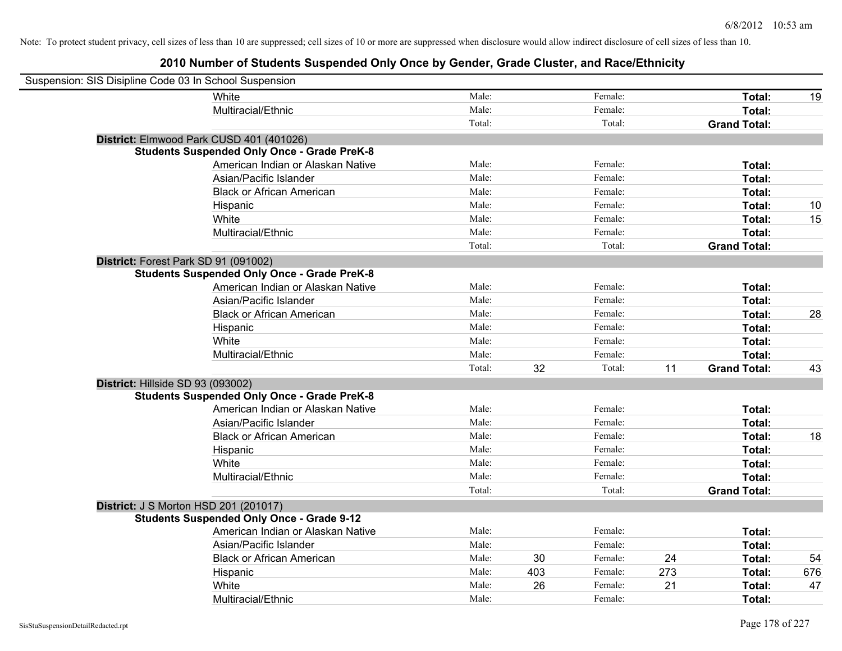| Suspension: SIS Disipline Code 03 In School Suspension |                                                    |        |     |         |     |                     |     |
|--------------------------------------------------------|----------------------------------------------------|--------|-----|---------|-----|---------------------|-----|
|                                                        | White                                              | Male:  |     | Female: |     | Total:              | 19  |
|                                                        | Multiracial/Ethnic                                 | Male:  |     | Female: |     | Total:              |     |
|                                                        |                                                    | Total: |     | Total:  |     | <b>Grand Total:</b> |     |
|                                                        | District: Elmwood Park CUSD 401 (401026)           |        |     |         |     |                     |     |
|                                                        | <b>Students Suspended Only Once - Grade PreK-8</b> |        |     |         |     |                     |     |
|                                                        | American Indian or Alaskan Native                  | Male:  |     | Female: |     | Total:              |     |
|                                                        | Asian/Pacific Islander                             | Male:  |     | Female: |     | Total:              |     |
|                                                        | <b>Black or African American</b>                   | Male:  |     | Female: |     | Total:              |     |
|                                                        | Hispanic                                           | Male:  |     | Female: |     | Total:              | 10  |
|                                                        | White                                              | Male:  |     | Female: |     | Total:              | 15  |
|                                                        | Multiracial/Ethnic                                 | Male:  |     | Female: |     | Total:              |     |
|                                                        |                                                    | Total: |     | Total:  |     | <b>Grand Total:</b> |     |
| District: Forest Park SD 91 (091002)                   |                                                    |        |     |         |     |                     |     |
|                                                        | <b>Students Suspended Only Once - Grade PreK-8</b> |        |     |         |     |                     |     |
|                                                        | American Indian or Alaskan Native                  | Male:  |     | Female: |     | Total:              |     |
|                                                        | Asian/Pacific Islander                             | Male:  |     | Female: |     | Total:              |     |
|                                                        | <b>Black or African American</b>                   | Male:  |     | Female: |     | Total:              | 28  |
|                                                        | Hispanic                                           | Male:  |     | Female: |     | Total:              |     |
|                                                        | White                                              | Male:  |     | Female: |     | Total:              |     |
|                                                        | Multiracial/Ethnic                                 | Male:  |     | Female: |     | Total:              |     |
|                                                        |                                                    | Total: | 32  | Total:  | 11  | <b>Grand Total:</b> | 43  |
| District: Hillside SD 93 (093002)                      |                                                    |        |     |         |     |                     |     |
|                                                        | <b>Students Suspended Only Once - Grade PreK-8</b> |        |     |         |     |                     |     |
|                                                        | American Indian or Alaskan Native                  | Male:  |     | Female: |     | Total:              |     |
|                                                        | Asian/Pacific Islander                             | Male:  |     | Female: |     | Total:              |     |
|                                                        | <b>Black or African American</b>                   | Male:  |     | Female: |     | Total:              | 18  |
|                                                        | Hispanic                                           | Male:  |     | Female: |     | Total:              |     |
|                                                        | White                                              | Male:  |     | Female: |     | Total:              |     |
|                                                        | Multiracial/Ethnic                                 | Male:  |     | Female: |     | Total:              |     |
|                                                        |                                                    | Total: |     | Total:  |     | <b>Grand Total:</b> |     |
| <b>District: J S Morton HSD 201 (201017)</b>           |                                                    |        |     |         |     |                     |     |
|                                                        | <b>Students Suspended Only Once - Grade 9-12</b>   |        |     |         |     |                     |     |
|                                                        | American Indian or Alaskan Native                  | Male:  |     | Female: |     | Total:              |     |
|                                                        | Asian/Pacific Islander                             | Male:  |     | Female: |     | Total:              |     |
|                                                        | <b>Black or African American</b>                   | Male:  | 30  | Female: | 24  | <b>Total:</b>       | 54  |
|                                                        | Hispanic                                           | Male:  | 403 | Female: | 273 | Total:              | 676 |
|                                                        | White                                              | Male:  | 26  | Female: | 21  | Total:              | 47  |
|                                                        | Multiracial/Ethnic                                 | Male:  |     | Female: |     | Total:              |     |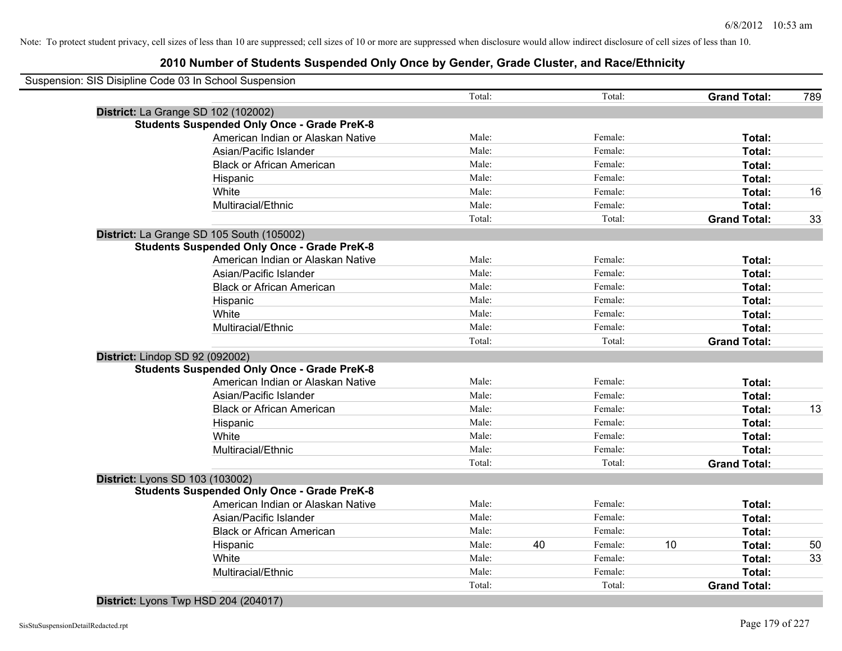|                                     | Suspension: SIS Disipline Code 03 In School Suspension |        |    |         |    |                     |     |
|-------------------------------------|--------------------------------------------------------|--------|----|---------|----|---------------------|-----|
|                                     |                                                        | Total: |    | Total:  |    | <b>Grand Total:</b> | 789 |
| District: La Grange SD 102 (102002) |                                                        |        |    |         |    |                     |     |
|                                     | <b>Students Suspended Only Once - Grade PreK-8</b>     |        |    |         |    |                     |     |
|                                     | American Indian or Alaskan Native                      | Male:  |    | Female: |    | Total:              |     |
|                                     | Asian/Pacific Islander                                 | Male:  |    | Female: |    | Total:              |     |
|                                     | <b>Black or African American</b>                       | Male:  |    | Female: |    | Total:              |     |
|                                     | Hispanic                                               | Male:  |    | Female: |    | Total:              |     |
|                                     | White                                                  | Male:  |    | Female: |    | Total:              | 16  |
|                                     | Multiracial/Ethnic                                     | Male:  |    | Female: |    | Total:              |     |
|                                     |                                                        | Total: |    | Total:  |    | <b>Grand Total:</b> | 33  |
|                                     | District: La Grange SD 105 South (105002)              |        |    |         |    |                     |     |
|                                     | <b>Students Suspended Only Once - Grade PreK-8</b>     |        |    |         |    |                     |     |
|                                     | American Indian or Alaskan Native                      | Male:  |    | Female: |    | Total:              |     |
|                                     | Asian/Pacific Islander                                 | Male:  |    | Female: |    | Total:              |     |
|                                     | <b>Black or African American</b>                       | Male:  |    | Female: |    | Total:              |     |
|                                     | Hispanic                                               | Male:  |    | Female: |    | Total:              |     |
|                                     | White                                                  | Male:  |    | Female: |    | Total:              |     |
|                                     | Multiracial/Ethnic                                     | Male:  |    | Female: |    | Total:              |     |
|                                     |                                                        | Total: |    | Total:  |    | <b>Grand Total:</b> |     |
| District: Lindop SD 92 (092002)     |                                                        |        |    |         |    |                     |     |
|                                     | <b>Students Suspended Only Once - Grade PreK-8</b>     |        |    |         |    |                     |     |
|                                     | American Indian or Alaskan Native                      | Male:  |    | Female: |    | Total:              |     |
|                                     | Asian/Pacific Islander                                 | Male:  |    | Female: |    | Total:              |     |
|                                     | <b>Black or African American</b>                       | Male:  |    | Female: |    | Total:              | 13  |
|                                     | Hispanic                                               | Male:  |    | Female: |    | Total:              |     |
|                                     | White                                                  | Male:  |    | Female: |    | Total:              |     |
|                                     | Multiracial/Ethnic                                     | Male:  |    | Female: |    | Total:              |     |
|                                     |                                                        | Total: |    | Total:  |    | <b>Grand Total:</b> |     |
| District: Lyons SD 103 (103002)     |                                                        |        |    |         |    |                     |     |
|                                     | <b>Students Suspended Only Once - Grade PreK-8</b>     |        |    |         |    |                     |     |
|                                     | American Indian or Alaskan Native                      | Male:  |    | Female: |    | Total:              |     |
|                                     | Asian/Pacific Islander                                 | Male:  |    | Female: |    | Total:              |     |
|                                     | <b>Black or African American</b>                       | Male:  |    | Female: |    | Total:              |     |
|                                     | Hispanic                                               | Male:  | 40 | Female: | 10 | Total:              | 50  |
|                                     | White                                                  | Male:  |    | Female: |    | Total:              | 33  |
|                                     | Multiracial/Ethnic                                     | Male:  |    | Female: |    | Total:              |     |
|                                     |                                                        | Total: |    | Total:  |    | <b>Grand Total:</b> |     |
|                                     |                                                        |        |    |         |    |                     |     |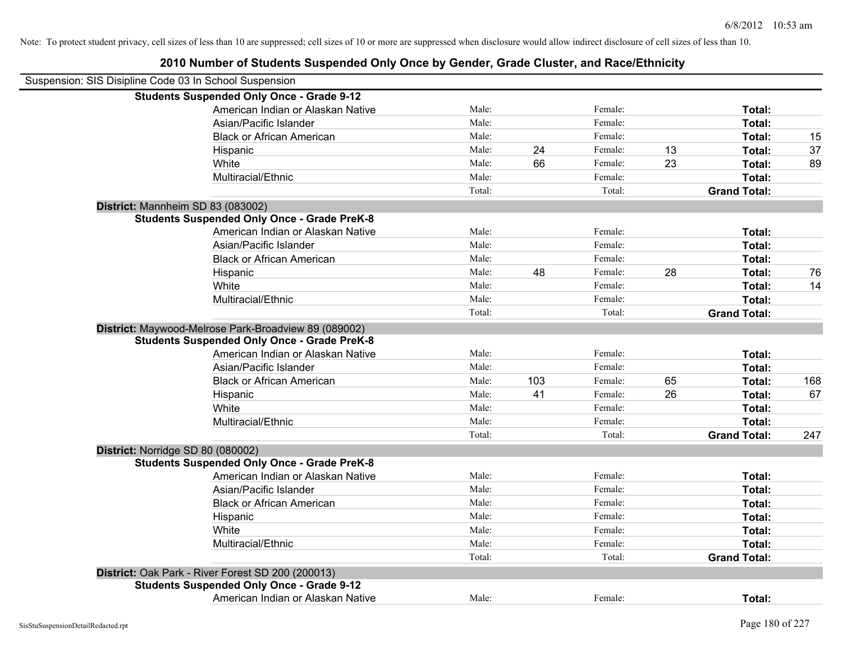| Suspension: SIS Disipline Code 03 In School Suspension |                                                      |        |     |         |    |                     |     |
|--------------------------------------------------------|------------------------------------------------------|--------|-----|---------|----|---------------------|-----|
|                                                        | <b>Students Suspended Only Once - Grade 9-12</b>     |        |     |         |    |                     |     |
|                                                        | American Indian or Alaskan Native                    | Male:  |     | Female: |    | Total:              |     |
|                                                        | Asian/Pacific Islander                               | Male:  |     | Female: |    | Total:              |     |
|                                                        | <b>Black or African American</b>                     | Male:  |     | Female: |    | Total:              | 15  |
|                                                        | Hispanic                                             | Male:  | 24  | Female: | 13 | Total:              | 37  |
|                                                        | White                                                | Male:  | 66  | Female: | 23 | Total:              | 89  |
|                                                        | Multiracial/Ethnic                                   | Male:  |     | Female: |    | Total:              |     |
|                                                        |                                                      | Total: |     | Total:  |    | <b>Grand Total:</b> |     |
|                                                        | District: Mannheim SD 83 (083002)                    |        |     |         |    |                     |     |
|                                                        | <b>Students Suspended Only Once - Grade PreK-8</b>   |        |     |         |    |                     |     |
|                                                        | American Indian or Alaskan Native                    | Male:  |     | Female: |    | Total:              |     |
|                                                        | Asian/Pacific Islander                               | Male:  |     | Female: |    | Total:              |     |
|                                                        | <b>Black or African American</b>                     | Male:  |     | Female: |    | Total:              |     |
|                                                        | Hispanic                                             | Male:  | 48  | Female: | 28 | Total:              | 76  |
|                                                        | White                                                | Male:  |     | Female: |    | Total:              | 14  |
|                                                        | Multiracial/Ethnic                                   | Male:  |     | Female: |    | Total:              |     |
|                                                        |                                                      | Total: |     | Total:  |    | <b>Grand Total:</b> |     |
|                                                        | District: Maywood-Melrose Park-Broadview 89 (089002) |        |     |         |    |                     |     |
|                                                        | <b>Students Suspended Only Once - Grade PreK-8</b>   |        |     |         |    |                     |     |
|                                                        | American Indian or Alaskan Native                    | Male:  |     | Female: |    | Total:              |     |
|                                                        | Asian/Pacific Islander                               | Male:  |     | Female: |    | Total:              |     |
|                                                        | <b>Black or African American</b>                     | Male:  | 103 | Female: | 65 | Total:              | 168 |
|                                                        | Hispanic                                             | Male:  | 41  | Female: | 26 | Total:              | 67  |
|                                                        | White                                                | Male:  |     | Female: |    | Total:              |     |
|                                                        | Multiracial/Ethnic                                   | Male:  |     | Female: |    | Total:              |     |
|                                                        |                                                      | Total: |     | Total:  |    | <b>Grand Total:</b> | 247 |
| District: Norridge SD 80 (080002)                      |                                                      |        |     |         |    |                     |     |
|                                                        | <b>Students Suspended Only Once - Grade PreK-8</b>   |        |     |         |    |                     |     |
|                                                        | American Indian or Alaskan Native                    | Male:  |     | Female: |    | Total:              |     |
|                                                        | Asian/Pacific Islander                               | Male:  |     | Female: |    | Total:              |     |
|                                                        | <b>Black or African American</b>                     | Male:  |     | Female: |    | Total:              |     |
|                                                        | Hispanic                                             | Male:  |     | Female: |    | Total:              |     |
|                                                        | White                                                | Male:  |     | Female: |    | Total:              |     |
|                                                        | Multiracial/Ethnic                                   | Male:  |     | Female: |    | Total:              |     |
|                                                        |                                                      | Total: |     | Total:  |    | <b>Grand Total:</b> |     |
|                                                        | District: Oak Park - River Forest SD 200 (200013)    |        |     |         |    |                     |     |
|                                                        | <b>Students Suspended Only Once - Grade 9-12</b>     |        |     |         |    |                     |     |
|                                                        | American Indian or Alaskan Native                    | Male:  |     | Female: |    | Total:              |     |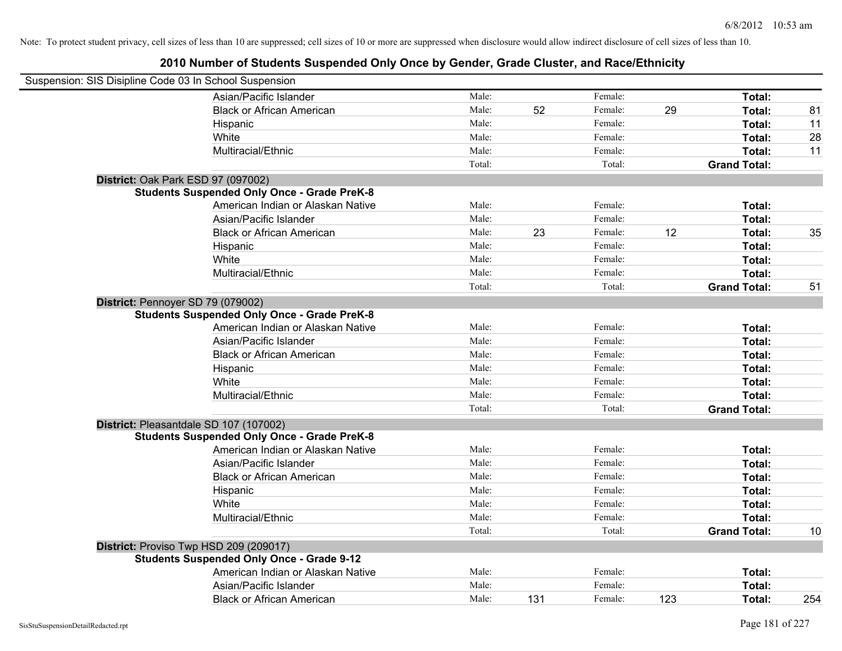| Suspension: SIS Disipline Code 03 In School Suspension |                                                    |        |     |         |     |                     |     |
|--------------------------------------------------------|----------------------------------------------------|--------|-----|---------|-----|---------------------|-----|
|                                                        | Asian/Pacific Islander                             | Male:  |     | Female: |     | Total:              |     |
|                                                        | <b>Black or African American</b>                   | Male:  | 52  | Female: | 29  | Total:              | 81  |
|                                                        | Hispanic                                           | Male:  |     | Female: |     | Total:              | 11  |
|                                                        | White                                              | Male:  |     | Female: |     | Total:              | 28  |
|                                                        | Multiracial/Ethnic                                 | Male:  |     | Female: |     | Total:              | 11  |
|                                                        |                                                    | Total: |     | Total:  |     | <b>Grand Total:</b> |     |
|                                                        | District: Oak Park ESD 97 (097002)                 |        |     |         |     |                     |     |
|                                                        | <b>Students Suspended Only Once - Grade PreK-8</b> |        |     |         |     |                     |     |
|                                                        | American Indian or Alaskan Native                  | Male:  |     | Female: |     | Total:              |     |
|                                                        | Asian/Pacific Islander                             | Male:  |     | Female: |     | Total:              |     |
|                                                        | <b>Black or African American</b>                   | Male:  | 23  | Female: | 12  | Total:              | 35  |
|                                                        | Hispanic                                           | Male:  |     | Female: |     | Total:              |     |
|                                                        | White                                              | Male:  |     | Female: |     | Total:              |     |
|                                                        | Multiracial/Ethnic                                 | Male:  |     | Female: |     | Total:              |     |
|                                                        |                                                    | Total: |     | Total:  |     | <b>Grand Total:</b> | 51  |
|                                                        | District: Pennoyer SD 79 (079002)                  |        |     |         |     |                     |     |
|                                                        | <b>Students Suspended Only Once - Grade PreK-8</b> |        |     |         |     |                     |     |
|                                                        | American Indian or Alaskan Native                  | Male:  |     | Female: |     | Total:              |     |
|                                                        | Asian/Pacific Islander                             | Male:  |     | Female: |     | Total:              |     |
|                                                        | <b>Black or African American</b>                   | Male:  |     | Female: |     | Total:              |     |
|                                                        | Hispanic                                           | Male:  |     | Female: |     | Total:              |     |
|                                                        | White                                              | Male:  |     | Female: |     | Total:              |     |
|                                                        | Multiracial/Ethnic                                 | Male:  |     | Female: |     | Total:              |     |
|                                                        |                                                    | Total: |     | Total:  |     | <b>Grand Total:</b> |     |
|                                                        | District: Pleasantdale SD 107 (107002)             |        |     |         |     |                     |     |
|                                                        | <b>Students Suspended Only Once - Grade PreK-8</b> |        |     |         |     |                     |     |
|                                                        | American Indian or Alaskan Native                  | Male:  |     | Female: |     | Total:              |     |
|                                                        | Asian/Pacific Islander                             | Male:  |     | Female: |     | Total:              |     |
|                                                        | <b>Black or African American</b>                   | Male:  |     | Female: |     | Total:              |     |
|                                                        | Hispanic                                           | Male:  |     | Female: |     | Total:              |     |
|                                                        | White                                              | Male:  |     | Female: |     | Total:              |     |
|                                                        | Multiracial/Ethnic                                 | Male:  |     | Female: |     | Total:              |     |
|                                                        |                                                    | Total: |     | Total:  |     | <b>Grand Total:</b> | 10  |
|                                                        | District: Proviso Twp HSD 209 (209017)             |        |     |         |     |                     |     |
|                                                        | <b>Students Suspended Only Once - Grade 9-12</b>   |        |     |         |     |                     |     |
|                                                        | American Indian or Alaskan Native                  | Male:  |     | Female: |     | Total:              |     |
|                                                        | Asian/Pacific Islander                             | Male:  |     | Female: |     | Total:              |     |
|                                                        | <b>Black or African American</b>                   | Male:  | 131 | Female: | 123 | Total:              | 254 |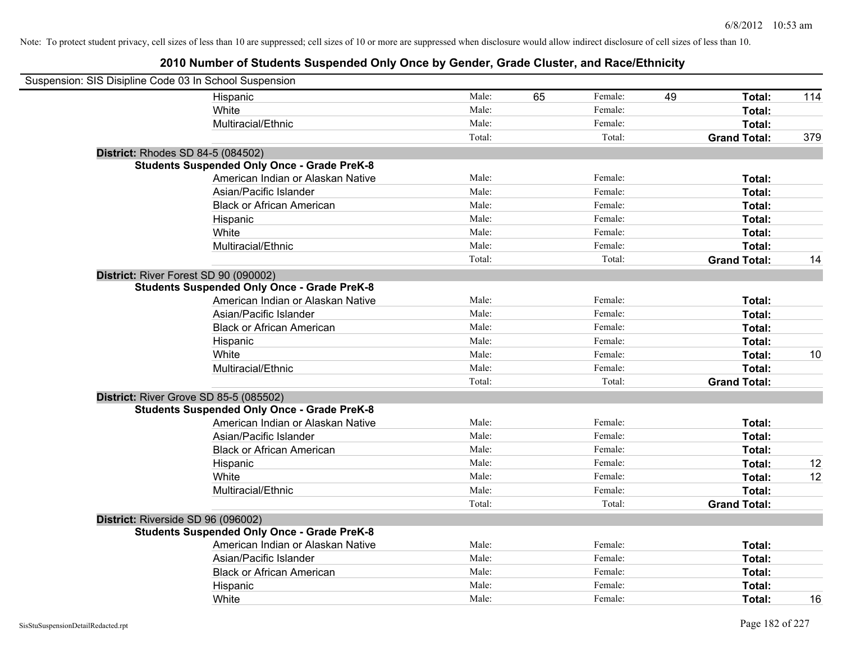| Suspension: SIS Disipline Code 03 In School Suspension |                                                    |        |    |         |    |                     |     |
|--------------------------------------------------------|----------------------------------------------------|--------|----|---------|----|---------------------|-----|
|                                                        | Hispanic                                           | Male:  | 65 | Female: | 49 | Total:              | 114 |
|                                                        | White                                              | Male:  |    | Female: |    | Total:              |     |
|                                                        | Multiracial/Ethnic                                 | Male:  |    | Female: |    | Total:              |     |
|                                                        |                                                    | Total: |    | Total:  |    | <b>Grand Total:</b> | 379 |
| <b>District: Rhodes SD 84-5 (084502)</b>               |                                                    |        |    |         |    |                     |     |
|                                                        | <b>Students Suspended Only Once - Grade PreK-8</b> |        |    |         |    |                     |     |
|                                                        | American Indian or Alaskan Native                  | Male:  |    | Female: |    | Total:              |     |
|                                                        | Asian/Pacific Islander                             | Male:  |    | Female: |    | Total:              |     |
|                                                        | <b>Black or African American</b>                   | Male:  |    | Female: |    | Total:              |     |
|                                                        | Hispanic                                           | Male:  |    | Female: |    | Total:              |     |
|                                                        | White                                              | Male:  |    | Female: |    | Total:              |     |
|                                                        | Multiracial/Ethnic                                 | Male:  |    | Female: |    | Total:              |     |
|                                                        |                                                    | Total: |    | Total:  |    | <b>Grand Total:</b> | 14  |
| District: River Forest SD 90 (090002)                  |                                                    |        |    |         |    |                     |     |
|                                                        | <b>Students Suspended Only Once - Grade PreK-8</b> |        |    |         |    |                     |     |
|                                                        | American Indian or Alaskan Native                  | Male:  |    | Female: |    | Total:              |     |
|                                                        | Asian/Pacific Islander                             | Male:  |    | Female: |    | Total:              |     |
|                                                        | <b>Black or African American</b>                   | Male:  |    | Female: |    | Total:              |     |
|                                                        | Hispanic                                           | Male:  |    | Female: |    | Total:              |     |
|                                                        | White                                              | Male:  |    | Female: |    | Total:              | 10  |
|                                                        | Multiracial/Ethnic                                 | Male:  |    | Female: |    | Total:              |     |
|                                                        |                                                    | Total: |    | Total:  |    | <b>Grand Total:</b> |     |
| District: River Grove SD 85-5 (085502)                 |                                                    |        |    |         |    |                     |     |
|                                                        | <b>Students Suspended Only Once - Grade PreK-8</b> |        |    |         |    |                     |     |
|                                                        | American Indian or Alaskan Native                  | Male:  |    | Female: |    | Total:              |     |
|                                                        | Asian/Pacific Islander                             | Male:  |    | Female: |    | Total:              |     |
|                                                        | <b>Black or African American</b>                   | Male:  |    | Female: |    | Total:              |     |
|                                                        | Hispanic                                           | Male:  |    | Female: |    | Total:              | 12  |
|                                                        | White                                              | Male:  |    | Female: |    | Total:              | 12  |
|                                                        | Multiracial/Ethnic                                 | Male:  |    | Female: |    | Total:              |     |
|                                                        |                                                    | Total: |    | Total:  |    | <b>Grand Total:</b> |     |
| District: Riverside SD 96 (096002)                     |                                                    |        |    |         |    |                     |     |
|                                                        | <b>Students Suspended Only Once - Grade PreK-8</b> |        |    |         |    |                     |     |
|                                                        | American Indian or Alaskan Native                  | Male:  |    | Female: |    | Total:              |     |
|                                                        | Asian/Pacific Islander                             | Male:  |    | Female: |    | Total:              |     |
|                                                        | <b>Black or African American</b>                   | Male:  |    | Female: |    | Total:              |     |
|                                                        | Hispanic                                           | Male:  |    | Female: |    | Total:              |     |
|                                                        | White                                              | Male:  |    | Female: |    | Total:              | 16  |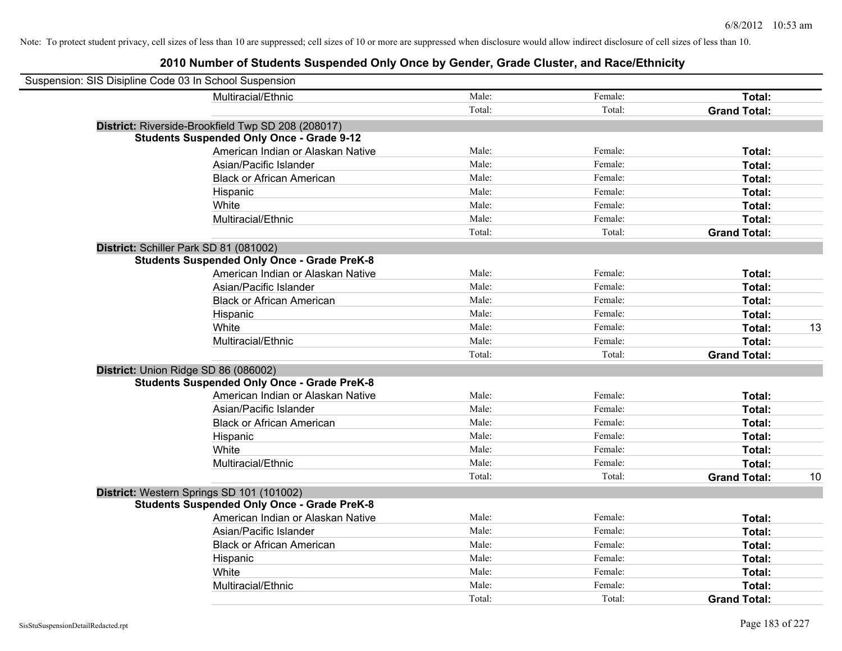| Suspension: SIS Disipline Code 03 In School Suspension |                                                    |        |         |                     |    |
|--------------------------------------------------------|----------------------------------------------------|--------|---------|---------------------|----|
|                                                        | Multiracial/Ethnic                                 | Male:  | Female: | Total:              |    |
|                                                        |                                                    | Total: | Total:  | <b>Grand Total:</b> |    |
|                                                        | District: Riverside-Brookfield Twp SD 208 (208017) |        |         |                     |    |
|                                                        | <b>Students Suspended Only Once - Grade 9-12</b>   |        |         |                     |    |
|                                                        | American Indian or Alaskan Native                  | Male:  | Female: | Total:              |    |
|                                                        | Asian/Pacific Islander                             | Male:  | Female: | Total:              |    |
|                                                        | <b>Black or African American</b>                   | Male:  | Female: | Total:              |    |
|                                                        | Hispanic                                           | Male:  | Female: | Total:              |    |
|                                                        | White                                              | Male:  | Female: | Total:              |    |
|                                                        | Multiracial/Ethnic                                 | Male:  | Female: | Total:              |    |
|                                                        |                                                    | Total: | Total:  | <b>Grand Total:</b> |    |
| District: Schiller Park SD 81 (081002)                 |                                                    |        |         |                     |    |
|                                                        | <b>Students Suspended Only Once - Grade PreK-8</b> |        |         |                     |    |
|                                                        | American Indian or Alaskan Native                  | Male:  | Female: | Total:              |    |
|                                                        | Asian/Pacific Islander                             | Male:  | Female: | Total:              |    |
|                                                        | <b>Black or African American</b>                   | Male:  | Female: | Total:              |    |
|                                                        | Hispanic                                           | Male:  | Female: | Total:              |    |
|                                                        | White                                              | Male:  | Female: | Total:              | 13 |
|                                                        | Multiracial/Ethnic                                 | Male:  | Female: | Total:              |    |
|                                                        |                                                    | Total: | Total:  | <b>Grand Total:</b> |    |
| District: Union Ridge SD 86 (086002)                   |                                                    |        |         |                     |    |
|                                                        | <b>Students Suspended Only Once - Grade PreK-8</b> |        |         |                     |    |
|                                                        | American Indian or Alaskan Native                  | Male:  | Female: | Total:              |    |
|                                                        | Asian/Pacific Islander                             | Male:  | Female: | Total:              |    |
|                                                        | <b>Black or African American</b>                   | Male:  | Female: | Total:              |    |
|                                                        | Hispanic                                           | Male:  | Female: | Total:              |    |
|                                                        | White                                              | Male:  | Female: | Total:              |    |
|                                                        | Multiracial/Ethnic                                 | Male:  | Female: | Total:              |    |
|                                                        |                                                    | Total: | Total:  | <b>Grand Total:</b> | 10 |
| District: Western Springs SD 101 (101002)              |                                                    |        |         |                     |    |
|                                                        | <b>Students Suspended Only Once - Grade PreK-8</b> |        |         |                     |    |
|                                                        | American Indian or Alaskan Native                  | Male:  | Female: | Total:              |    |
|                                                        | Asian/Pacific Islander                             | Male:  | Female: | Total:              |    |
|                                                        | <b>Black or African American</b>                   | Male:  | Female: | Total:              |    |
|                                                        | Hispanic                                           | Male:  | Female: | Total:              |    |
|                                                        | White                                              | Male:  | Female: | Total:              |    |
|                                                        | Multiracial/Ethnic                                 | Male:  | Female: | Total:              |    |
|                                                        |                                                    | Total: | Total:  | <b>Grand Total:</b> |    |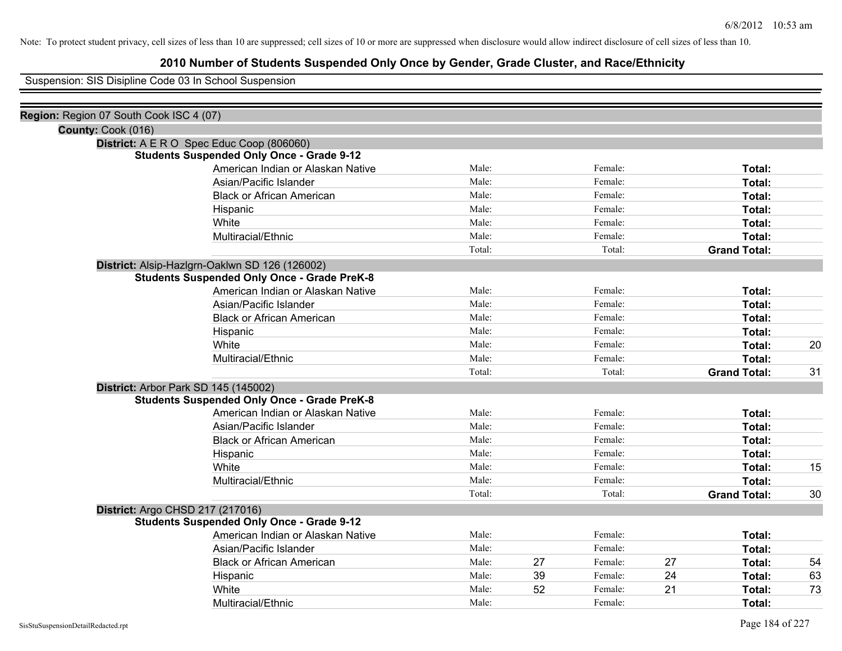## **2010 Number of Students Suspended Only Once by Gender, Grade Cluster, and Race/Ethnicity**

Suspension: SIS Disipline Code 03 In School Suspension

| Region: Region 07 South Cook ISC 4 (07) |                                                    |        |    |         |    |                     |    |
|-----------------------------------------|----------------------------------------------------|--------|----|---------|----|---------------------|----|
| County: Cook (016)                      |                                                    |        |    |         |    |                     |    |
|                                         | District: A E R O Spec Educ Coop (806060)          |        |    |         |    |                     |    |
|                                         | <b>Students Suspended Only Once - Grade 9-12</b>   |        |    |         |    |                     |    |
|                                         | American Indian or Alaskan Native                  | Male:  |    | Female: |    | Total:              |    |
|                                         | Asian/Pacific Islander                             | Male:  |    | Female: |    | Total:              |    |
|                                         | <b>Black or African American</b>                   | Male:  |    | Female: |    | Total:              |    |
|                                         | Hispanic                                           | Male:  |    | Female: |    | Total:              |    |
|                                         | White                                              | Male:  |    | Female: |    | Total:              |    |
|                                         | Multiracial/Ethnic                                 | Male:  |    | Female: |    | Total:              |    |
|                                         |                                                    | Total: |    | Total:  |    | <b>Grand Total:</b> |    |
|                                         | District: Alsip-Hazlgrn-Oaklwn SD 126 (126002)     |        |    |         |    |                     |    |
|                                         | <b>Students Suspended Only Once - Grade PreK-8</b> |        |    |         |    |                     |    |
|                                         | American Indian or Alaskan Native                  | Male:  |    | Female: |    | Total:              |    |
|                                         | Asian/Pacific Islander                             | Male:  |    | Female: |    | Total:              |    |
|                                         | <b>Black or African American</b>                   | Male:  |    | Female: |    | Total:              |    |
|                                         | Hispanic                                           | Male:  |    | Female: |    | Total:              |    |
|                                         | White                                              | Male:  |    | Female: |    | Total:              | 20 |
|                                         | Multiracial/Ethnic                                 | Male:  |    | Female: |    | Total:              |    |
|                                         |                                                    | Total: |    | Total:  |    | <b>Grand Total:</b> | 31 |
|                                         | District: Arbor Park SD 145 (145002)               |        |    |         |    |                     |    |
|                                         | <b>Students Suspended Only Once - Grade PreK-8</b> |        |    |         |    |                     |    |
|                                         | American Indian or Alaskan Native                  | Male:  |    | Female: |    | Total:              |    |
|                                         | Asian/Pacific Islander                             | Male:  |    | Female: |    | Total:              |    |
|                                         | <b>Black or African American</b>                   | Male:  |    | Female: |    | Total:              |    |
|                                         | Hispanic                                           | Male:  |    | Female: |    | Total:              |    |
|                                         | White                                              | Male:  |    | Female: |    | Total:              | 15 |
|                                         | Multiracial/Ethnic                                 | Male:  |    | Female: |    | Total:              |    |
|                                         |                                                    | Total: |    | Total:  |    | <b>Grand Total:</b> | 30 |
|                                         | District: Argo CHSD 217 (217016)                   |        |    |         |    |                     |    |
|                                         | <b>Students Suspended Only Once - Grade 9-12</b>   |        |    |         |    |                     |    |
|                                         | American Indian or Alaskan Native                  | Male:  |    | Female: |    | Total:              |    |
|                                         | Asian/Pacific Islander                             | Male:  |    | Female: |    | Total:              |    |
|                                         | <b>Black or African American</b>                   | Male:  | 27 | Female: | 27 | Total:              | 54 |
|                                         | Hispanic                                           | Male:  | 39 | Female: | 24 | Total:              | 63 |
|                                         | White                                              | Male:  | 52 | Female: | 21 | Total:              | 73 |
|                                         | Multiracial/Ethnic                                 | Male:  |    | Female: |    | Total:              |    |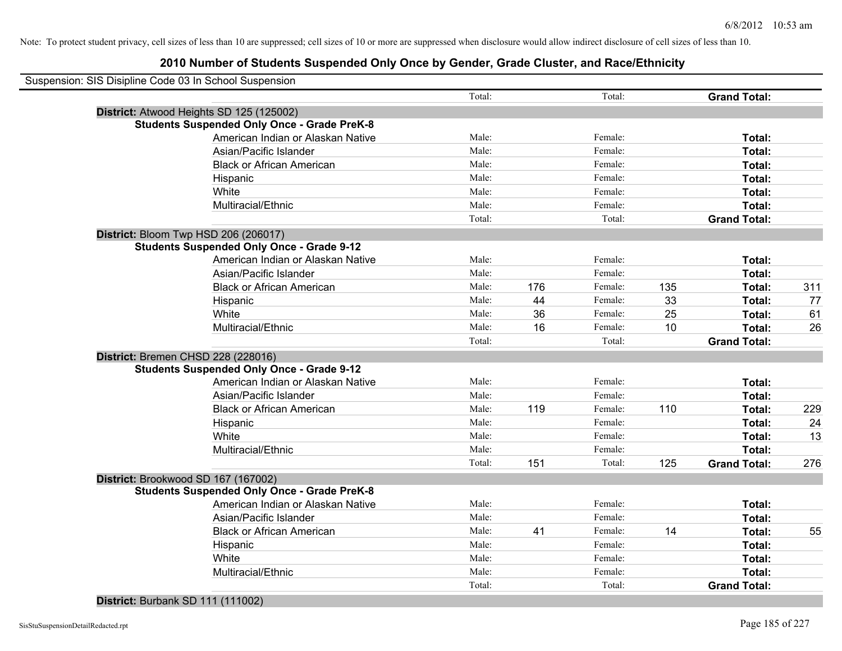## **2010 Number of Students Suspended Only Once by Gender, Grade Cluster, and Race/Ethnicity**

| Suspension: SIS Disipline Code 03 In School Suspension |        |     |         |     |                     |     |
|--------------------------------------------------------|--------|-----|---------|-----|---------------------|-----|
|                                                        | Total: |     | Total:  |     | <b>Grand Total:</b> |     |
| District: Atwood Heights SD 125 (125002)               |        |     |         |     |                     |     |
| <b>Students Suspended Only Once - Grade PreK-8</b>     |        |     |         |     |                     |     |
| American Indian or Alaskan Native                      | Male:  |     | Female: |     | Total:              |     |
| Asian/Pacific Islander                                 | Male:  |     | Female: |     | Total:              |     |
| <b>Black or African American</b>                       | Male:  |     | Female: |     | Total:              |     |
| Hispanic                                               | Male:  |     | Female: |     | Total:              |     |
| White                                                  | Male:  |     | Female: |     | Total:              |     |
| Multiracial/Ethnic                                     | Male:  |     | Female: |     | Total:              |     |
|                                                        | Total: |     | Total:  |     | <b>Grand Total:</b> |     |
| District: Bloom Twp HSD 206 (206017)                   |        |     |         |     |                     |     |
| <b>Students Suspended Only Once - Grade 9-12</b>       |        |     |         |     |                     |     |
| American Indian or Alaskan Native                      | Male:  |     | Female: |     | Total:              |     |
| Asian/Pacific Islander                                 | Male:  |     | Female: |     | Total:              |     |
| <b>Black or African American</b>                       | Male:  | 176 | Female: | 135 | Total:              | 311 |
| Hispanic                                               | Male:  | 44  | Female: | 33  | Total:              | 77  |
| White                                                  | Male:  | 36  | Female: | 25  | Total:              | 61  |
| Multiracial/Ethnic                                     | Male:  | 16  | Female: | 10  | Total:              | 26  |
|                                                        | Total: |     | Total:  |     | <b>Grand Total:</b> |     |
| District: Bremen CHSD 228 (228016)                     |        |     |         |     |                     |     |
| <b>Students Suspended Only Once - Grade 9-12</b>       |        |     |         |     |                     |     |
| American Indian or Alaskan Native                      | Male:  |     | Female: |     | Total:              |     |
| Asian/Pacific Islander                                 | Male:  |     | Female: |     | Total:              |     |
| <b>Black or African American</b>                       | Male:  | 119 | Female: | 110 | Total:              | 229 |
| Hispanic                                               | Male:  |     | Female: |     | Total:              | 24  |
| White                                                  | Male:  |     | Female: |     | Total:              | 13  |
| Multiracial/Ethnic                                     | Male:  |     | Female: |     | Total:              |     |
|                                                        | Total: | 151 | Total:  | 125 | <b>Grand Total:</b> | 276 |
| District: Brookwood SD 167 (167002)                    |        |     |         |     |                     |     |
| <b>Students Suspended Only Once - Grade PreK-8</b>     |        |     |         |     |                     |     |
| American Indian or Alaskan Native                      | Male:  |     | Female: |     | Total:              |     |
| Asian/Pacific Islander                                 | Male:  |     | Female: |     | Total:              |     |
| <b>Black or African American</b>                       | Male:  | 41  | Female: | 14  | Total:              | 55  |
| Hispanic                                               | Male:  |     | Female: |     | Total:              |     |
| White                                                  | Male:  |     | Female: |     | Total:              |     |
| Multiracial/Ethnic                                     | Male:  |     | Female: |     | Total:              |     |
|                                                        | Total: |     | Total:  |     | <b>Grand Total:</b> |     |
|                                                        |        |     |         |     |                     |     |

## **District:** Burbank SD 111 (111002)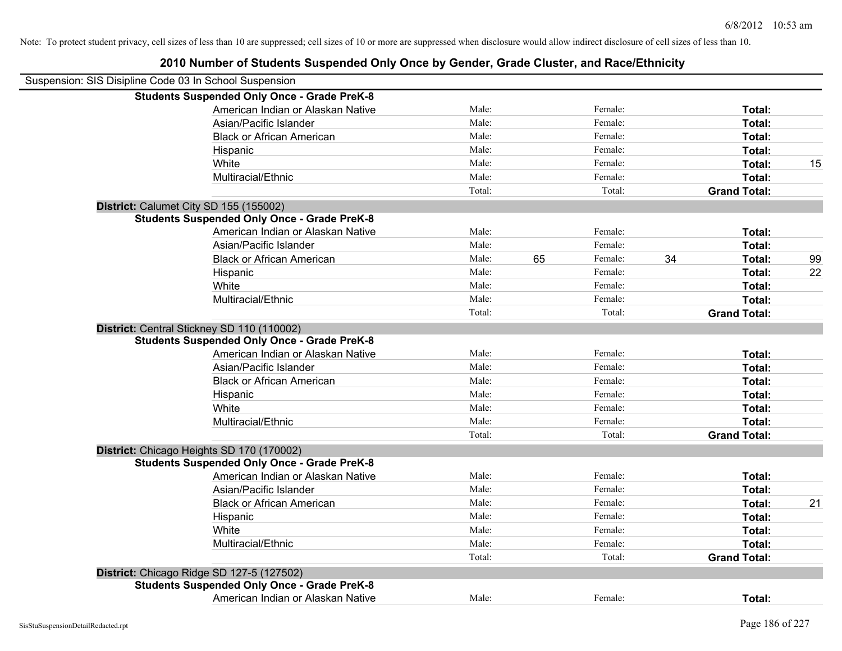| Suspension: SIS Disipline Code 03 In School Suspension |                                                    |        |    |         |    |                     |    |
|--------------------------------------------------------|----------------------------------------------------|--------|----|---------|----|---------------------|----|
|                                                        | <b>Students Suspended Only Once - Grade PreK-8</b> |        |    |         |    |                     |    |
|                                                        | American Indian or Alaskan Native                  | Male:  |    | Female: |    | Total:              |    |
|                                                        | Asian/Pacific Islander                             | Male:  |    | Female: |    | Total:              |    |
|                                                        | <b>Black or African American</b>                   | Male:  |    | Female: |    | Total:              |    |
|                                                        | Hispanic                                           | Male:  |    | Female: |    | Total:              |    |
|                                                        | White                                              | Male:  |    | Female: |    | Total:              | 15 |
|                                                        | Multiracial/Ethnic                                 | Male:  |    | Female: |    | Total:              |    |
|                                                        |                                                    | Total: |    | Total:  |    | <b>Grand Total:</b> |    |
| District: Calumet City SD 155 (155002)                 |                                                    |        |    |         |    |                     |    |
|                                                        | <b>Students Suspended Only Once - Grade PreK-8</b> |        |    |         |    |                     |    |
|                                                        | American Indian or Alaskan Native                  | Male:  |    | Female: |    | Total:              |    |
|                                                        | Asian/Pacific Islander                             | Male:  |    | Female: |    | Total:              |    |
|                                                        | <b>Black or African American</b>                   | Male:  | 65 | Female: | 34 | Total:              | 99 |
|                                                        | Hispanic                                           | Male:  |    | Female: |    | Total:              | 22 |
|                                                        | White                                              | Male:  |    | Female: |    | Total:              |    |
|                                                        | Multiracial/Ethnic                                 | Male:  |    | Female: |    | Total:              |    |
|                                                        |                                                    | Total: |    | Total:  |    | <b>Grand Total:</b> |    |
| District: Central Stickney SD 110 (110002)             |                                                    |        |    |         |    |                     |    |
|                                                        | <b>Students Suspended Only Once - Grade PreK-8</b> |        |    |         |    |                     |    |
|                                                        | American Indian or Alaskan Native                  | Male:  |    | Female: |    | Total:              |    |
|                                                        | Asian/Pacific Islander                             | Male:  |    | Female: |    | Total:              |    |
|                                                        | <b>Black or African American</b>                   | Male:  |    | Female: |    | Total:              |    |
|                                                        | Hispanic                                           | Male:  |    | Female: |    | Total:              |    |
|                                                        | White                                              | Male:  |    | Female: |    | Total:              |    |
|                                                        | Multiracial/Ethnic                                 | Male:  |    | Female: |    | Total:              |    |
|                                                        |                                                    | Total: |    | Total:  |    | <b>Grand Total:</b> |    |
| District: Chicago Heights SD 170 (170002)              |                                                    |        |    |         |    |                     |    |
|                                                        | <b>Students Suspended Only Once - Grade PreK-8</b> |        |    |         |    |                     |    |
|                                                        | American Indian or Alaskan Native                  | Male:  |    | Female: |    | Total:              |    |
|                                                        | Asian/Pacific Islander                             | Male:  |    | Female: |    | Total:              |    |
|                                                        | <b>Black or African American</b>                   | Male:  |    | Female: |    | Total:              | 21 |
|                                                        | Hispanic                                           | Male:  |    | Female: |    | Total:              |    |
|                                                        | White                                              | Male:  |    | Female: |    | Total:              |    |
|                                                        | Multiracial/Ethnic                                 | Male:  |    | Female: |    | Total:              |    |
|                                                        |                                                    | Total: |    | Total:  |    | <b>Grand Total:</b> |    |
| District: Chicago Ridge SD 127-5 (127502)              |                                                    |        |    |         |    |                     |    |
|                                                        | <b>Students Suspended Only Once - Grade PreK-8</b> |        |    |         |    |                     |    |
|                                                        | American Indian or Alaskan Native                  | Male:  |    | Female: |    | Total:              |    |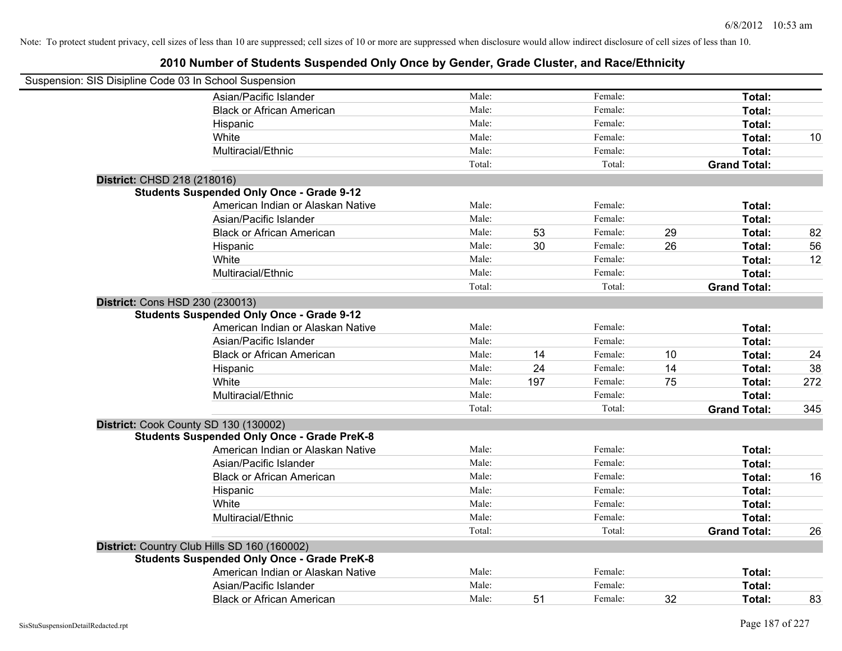| Suspension: SIS Disipline Code 03 In School Suspension |                                                                                                    |        |     |         |    |                     |     |
|--------------------------------------------------------|----------------------------------------------------------------------------------------------------|--------|-----|---------|----|---------------------|-----|
|                                                        | Asian/Pacific Islander                                                                             | Male:  |     | Female: |    | Total:              |     |
|                                                        | <b>Black or African American</b>                                                                   | Male:  |     | Female: |    | Total:              |     |
|                                                        | Hispanic                                                                                           | Male:  |     | Female: |    | Total:              |     |
|                                                        | White                                                                                              | Male:  |     | Female: |    | Total:              | 10  |
|                                                        | Multiracial/Ethnic                                                                                 | Male:  |     | Female: |    | Total:              |     |
|                                                        |                                                                                                    | Total: |     | Total:  |    | <b>Grand Total:</b> |     |
| District: CHSD 218 (218016)                            |                                                                                                    |        |     |         |    |                     |     |
|                                                        | <b>Students Suspended Only Once - Grade 9-12</b>                                                   |        |     |         |    |                     |     |
|                                                        | American Indian or Alaskan Native                                                                  | Male:  |     | Female: |    | Total:              |     |
|                                                        | Asian/Pacific Islander                                                                             | Male:  |     | Female: |    | Total:              |     |
|                                                        | <b>Black or African American</b>                                                                   | Male:  | 53  | Female: | 29 | Total:              | 82  |
|                                                        | Hispanic                                                                                           | Male:  | 30  | Female: | 26 | Total:              | 56  |
|                                                        | White                                                                                              | Male:  |     | Female: |    | Total:              | 12  |
|                                                        | Multiracial/Ethnic                                                                                 | Male:  |     | Female: |    | Total:              |     |
|                                                        |                                                                                                    | Total: |     | Total:  |    | <b>Grand Total:</b> |     |
| District: Cons HSD 230 (230013)                        |                                                                                                    |        |     |         |    |                     |     |
|                                                        | <b>Students Suspended Only Once - Grade 9-12</b>                                                   |        |     |         |    |                     |     |
|                                                        | American Indian or Alaskan Native                                                                  | Male:  |     | Female: |    | Total:              |     |
|                                                        | Asian/Pacific Islander                                                                             | Male:  |     | Female: |    | Total:              |     |
|                                                        | <b>Black or African American</b>                                                                   | Male:  | 14  | Female: | 10 | Total:              | 24  |
|                                                        | Hispanic                                                                                           | Male:  | 24  | Female: | 14 | Total:              | 38  |
|                                                        | White                                                                                              | Male:  | 197 | Female: | 75 | Total:              | 272 |
|                                                        | Multiracial/Ethnic                                                                                 | Male:  |     | Female: |    | Total:              |     |
|                                                        |                                                                                                    | Total: |     | Total:  |    | <b>Grand Total:</b> | 345 |
| District: Cook County SD 130 (130002)                  |                                                                                                    |        |     |         |    |                     |     |
|                                                        | <b>Students Suspended Only Once - Grade PreK-8</b>                                                 |        |     |         |    |                     |     |
|                                                        | American Indian or Alaskan Native                                                                  | Male:  |     | Female: |    | Total:              |     |
|                                                        | Asian/Pacific Islander                                                                             | Male:  |     | Female: |    | Total:              |     |
|                                                        | <b>Black or African American</b>                                                                   | Male:  |     | Female: |    | Total:              | 16  |
|                                                        | Hispanic                                                                                           | Male:  |     | Female: |    | Total:              |     |
|                                                        | White                                                                                              | Male:  |     | Female: |    | Total:              |     |
|                                                        | Multiracial/Ethnic                                                                                 | Male:  |     | Female: |    | Total:              |     |
|                                                        |                                                                                                    | Total: |     | Total:  |    | <b>Grand Total:</b> | 26  |
|                                                        | District: Country Club Hills SD 160 (160002)<br><b>Students Suspended Only Once - Grade PreK-8</b> |        |     |         |    |                     |     |
|                                                        | American Indian or Alaskan Native                                                                  | Male:  |     | Female: |    | Total:              |     |
|                                                        | Asian/Pacific Islander                                                                             | Male:  |     | Female: |    | Total:              |     |
|                                                        | <b>Black or African American</b>                                                                   | Male:  | 51  | Female: | 32 | Total:              | 83  |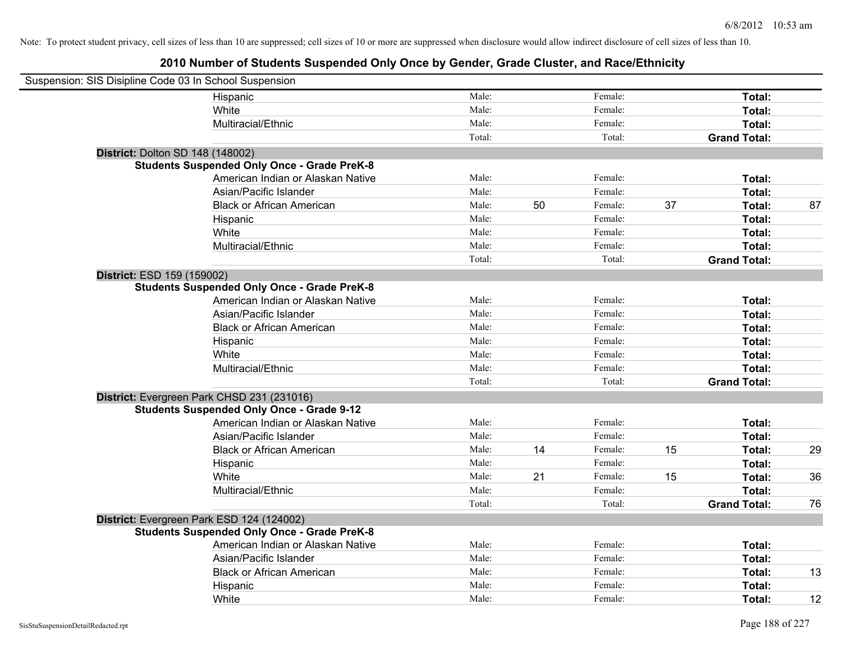| Suspension: SIS Disipline Code 03 In School Suspension |                                                    |        |    |         |    |                     |    |
|--------------------------------------------------------|----------------------------------------------------|--------|----|---------|----|---------------------|----|
|                                                        | Hispanic                                           | Male:  |    | Female: |    | Total:              |    |
|                                                        | White                                              | Male:  |    | Female: |    | Total:              |    |
|                                                        | Multiracial/Ethnic                                 | Male:  |    | Female: |    | Total:              |    |
|                                                        |                                                    | Total: |    | Total:  |    | <b>Grand Total:</b> |    |
| <b>District: Dolton SD 148 (148002)</b>                |                                                    |        |    |         |    |                     |    |
|                                                        | <b>Students Suspended Only Once - Grade PreK-8</b> |        |    |         |    |                     |    |
|                                                        | American Indian or Alaskan Native                  | Male:  |    | Female: |    | Total:              |    |
|                                                        | Asian/Pacific Islander                             | Male:  |    | Female: |    | Total:              |    |
|                                                        | <b>Black or African American</b>                   | Male:  | 50 | Female: | 37 | Total:              | 87 |
|                                                        | Hispanic                                           | Male:  |    | Female: |    | Total:              |    |
|                                                        | White                                              | Male:  |    | Female: |    | Total:              |    |
|                                                        | Multiracial/Ethnic                                 | Male:  |    | Female: |    | Total:              |    |
|                                                        |                                                    | Total: |    | Total:  |    | <b>Grand Total:</b> |    |
| District: ESD 159 (159002)                             |                                                    |        |    |         |    |                     |    |
|                                                        | <b>Students Suspended Only Once - Grade PreK-8</b> |        |    |         |    |                     |    |
|                                                        | American Indian or Alaskan Native                  | Male:  |    | Female: |    | Total:              |    |
|                                                        | Asian/Pacific Islander                             | Male:  |    | Female: |    | Total:              |    |
|                                                        | <b>Black or African American</b>                   | Male:  |    | Female: |    | Total:              |    |
|                                                        | Hispanic                                           | Male:  |    | Female: |    | Total:              |    |
|                                                        | White                                              | Male:  |    | Female: |    | Total:              |    |
|                                                        | Multiracial/Ethnic                                 | Male:  |    | Female: |    | Total:              |    |
|                                                        |                                                    | Total: |    | Total:  |    | <b>Grand Total:</b> |    |
|                                                        | District: Evergreen Park CHSD 231 (231016)         |        |    |         |    |                     |    |
|                                                        | <b>Students Suspended Only Once - Grade 9-12</b>   |        |    |         |    |                     |    |
|                                                        | American Indian or Alaskan Native                  | Male:  |    | Female: |    | Total:              |    |
|                                                        | Asian/Pacific Islander                             | Male:  |    | Female: |    | Total:              |    |
|                                                        | <b>Black or African American</b>                   | Male:  | 14 | Female: | 15 | Total:              | 29 |
|                                                        | Hispanic                                           | Male:  |    | Female: |    | Total:              |    |
|                                                        | White                                              | Male:  | 21 | Female: | 15 | Total:              | 36 |
|                                                        | Multiracial/Ethnic                                 | Male:  |    | Female: |    | Total:              |    |
|                                                        |                                                    | Total: |    | Total:  |    | <b>Grand Total:</b> | 76 |
|                                                        | District: Evergreen Park ESD 124 (124002)          |        |    |         |    |                     |    |
|                                                        | <b>Students Suspended Only Once - Grade PreK-8</b> |        |    |         |    |                     |    |
|                                                        | American Indian or Alaskan Native                  | Male:  |    | Female: |    | Total:              |    |
|                                                        | Asian/Pacific Islander                             | Male:  |    | Female: |    | Total:              |    |
|                                                        | <b>Black or African American</b>                   | Male:  |    | Female: |    | Total:              | 13 |
|                                                        | Hispanic                                           | Male:  |    | Female: |    | Total:              |    |
|                                                        | White                                              | Male:  |    | Female: |    | Total:              | 12 |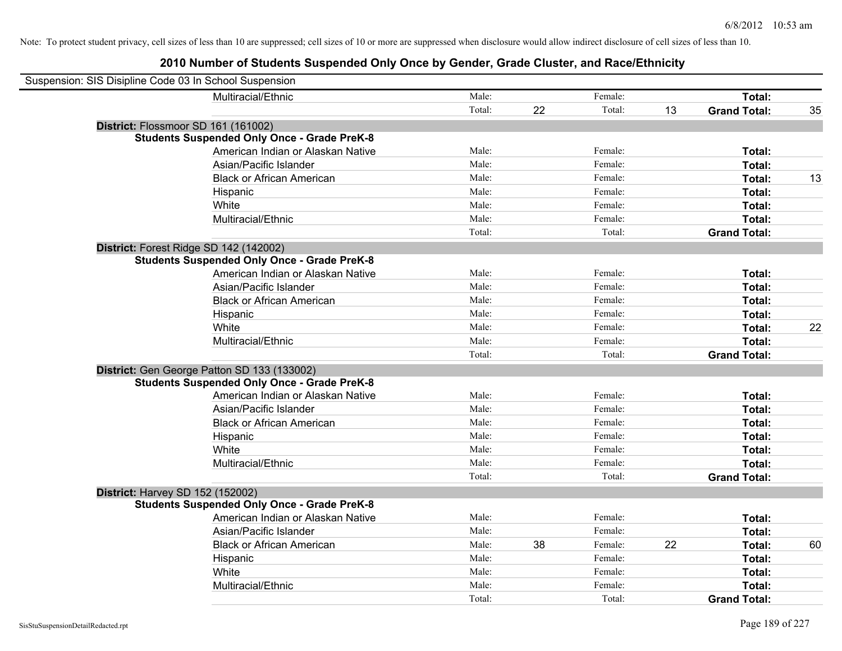| Suspension: SIS Disipline Code 03 In School Suspension |                                                    |        |    |         |    |                     |    |
|--------------------------------------------------------|----------------------------------------------------|--------|----|---------|----|---------------------|----|
|                                                        | Multiracial/Ethnic                                 | Male:  |    | Female: |    | Total:              |    |
|                                                        |                                                    | Total: | 22 | Total:  | 13 | <b>Grand Total:</b> | 35 |
| District: Flossmoor SD 161 (161002)                    |                                                    |        |    |         |    |                     |    |
|                                                        | <b>Students Suspended Only Once - Grade PreK-8</b> |        |    |         |    |                     |    |
|                                                        | American Indian or Alaskan Native                  | Male:  |    | Female: |    | Total:              |    |
|                                                        | Asian/Pacific Islander                             | Male:  |    | Female: |    | Total:              |    |
|                                                        | <b>Black or African American</b>                   | Male:  |    | Female: |    | Total:              | 13 |
|                                                        | Hispanic                                           | Male:  |    | Female: |    | Total:              |    |
|                                                        | White                                              | Male:  |    | Female: |    | Total:              |    |
|                                                        | Multiracial/Ethnic                                 | Male:  |    | Female: |    | Total:              |    |
|                                                        |                                                    | Total: |    | Total:  |    | <b>Grand Total:</b> |    |
| District: Forest Ridge SD 142 (142002)                 |                                                    |        |    |         |    |                     |    |
|                                                        | <b>Students Suspended Only Once - Grade PreK-8</b> |        |    |         |    |                     |    |
|                                                        | American Indian or Alaskan Native                  | Male:  |    | Female: |    | Total:              |    |
|                                                        | Asian/Pacific Islander                             | Male:  |    | Female: |    | Total:              |    |
|                                                        | <b>Black or African American</b>                   | Male:  |    | Female: |    | Total:              |    |
|                                                        | Hispanic                                           | Male:  |    | Female: |    | Total:              |    |
|                                                        | White                                              | Male:  |    | Female: |    | Total:              | 22 |
|                                                        | Multiracial/Ethnic                                 | Male:  |    | Female: |    | Total:              |    |
|                                                        |                                                    | Total: |    | Total:  |    | <b>Grand Total:</b> |    |
|                                                        | District: Gen George Patton SD 133 (133002)        |        |    |         |    |                     |    |
|                                                        | <b>Students Suspended Only Once - Grade PreK-8</b> |        |    |         |    |                     |    |
|                                                        | American Indian or Alaskan Native                  | Male:  |    | Female: |    | Total:              |    |
|                                                        | Asian/Pacific Islander                             | Male:  |    | Female: |    | Total:              |    |
|                                                        | <b>Black or African American</b>                   | Male:  |    | Female: |    | Total:              |    |
|                                                        | Hispanic                                           | Male:  |    | Female: |    | Total:              |    |
|                                                        | White                                              | Male:  |    | Female: |    | Total:              |    |
|                                                        | Multiracial/Ethnic                                 | Male:  |    | Female: |    | Total:              |    |
|                                                        |                                                    | Total: |    | Total:  |    | <b>Grand Total:</b> |    |
| District: Harvey SD 152 (152002)                       |                                                    |        |    |         |    |                     |    |
|                                                        | <b>Students Suspended Only Once - Grade PreK-8</b> |        |    |         |    |                     |    |
|                                                        | American Indian or Alaskan Native                  | Male:  |    | Female: |    | Total:              |    |
|                                                        | Asian/Pacific Islander                             | Male:  |    | Female: |    | Total:              |    |
|                                                        | <b>Black or African American</b>                   | Male:  | 38 | Female: | 22 | Total:              | 60 |
|                                                        | Hispanic                                           | Male:  |    | Female: |    | Total:              |    |
|                                                        | White                                              | Male:  |    | Female: |    | Total:              |    |
|                                                        | Multiracial/Ethnic                                 | Male:  |    | Female: |    | Total:              |    |
|                                                        |                                                    | Total: |    | Total:  |    | <b>Grand Total:</b> |    |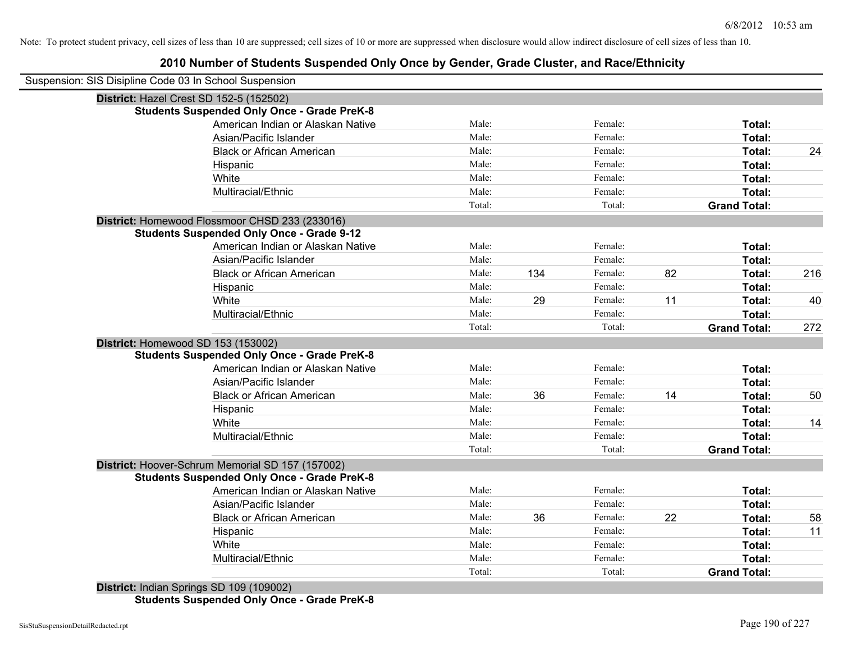## **2010 Number of Students Suspended Only Once by Gender, Grade Cluster, and Race/Ethnicity**

| Suspension: SIS Disipline Code 03 In School Suspension |        |     |         |    |                     |     |
|--------------------------------------------------------|--------|-----|---------|----|---------------------|-----|
| District: Hazel Crest SD 152-5 (152502)                |        |     |         |    |                     |     |
| <b>Students Suspended Only Once - Grade PreK-8</b>     |        |     |         |    |                     |     |
| American Indian or Alaskan Native                      | Male:  |     | Female: |    | Total:              |     |
| Asian/Pacific Islander                                 | Male:  |     | Female: |    | Total:              |     |
| <b>Black or African American</b>                       | Male:  |     | Female: |    | Total:              | 24  |
| Hispanic                                               | Male:  |     | Female: |    | Total:              |     |
| White                                                  | Male:  |     | Female: |    | Total:              |     |
| Multiracial/Ethnic                                     | Male:  |     | Female: |    | Total:              |     |
|                                                        | Total: |     | Total:  |    | <b>Grand Total:</b> |     |
| District: Homewood Flossmoor CHSD 233 (233016)         |        |     |         |    |                     |     |
| <b>Students Suspended Only Once - Grade 9-12</b>       |        |     |         |    |                     |     |
| American Indian or Alaskan Native                      | Male:  |     | Female: |    | Total:              |     |
| Asian/Pacific Islander                                 | Male:  |     | Female: |    | Total:              |     |
| <b>Black or African American</b>                       | Male:  | 134 | Female: | 82 | Total:              | 216 |
| Hispanic                                               | Male:  |     | Female: |    | Total:              |     |
| White                                                  | Male:  | 29  | Female: | 11 | Total:              | 40  |
| Multiracial/Ethnic                                     | Male:  |     | Female: |    | Total:              |     |
|                                                        | Total: |     | Total:  |    | <b>Grand Total:</b> | 272 |
| District: Homewood SD 153 (153002)                     |        |     |         |    |                     |     |
| <b>Students Suspended Only Once - Grade PreK-8</b>     |        |     |         |    |                     |     |
| American Indian or Alaskan Native                      | Male:  |     | Female: |    | Total:              |     |
| Asian/Pacific Islander                                 | Male:  |     | Female: |    | Total:              |     |
| <b>Black or African American</b>                       | Male:  | 36  | Female: | 14 | Total:              | 50  |
| Hispanic                                               | Male:  |     | Female: |    | Total:              |     |
| White                                                  | Male:  |     | Female: |    | Total:              | 14  |
| Multiracial/Ethnic                                     | Male:  |     | Female: |    | Total:              |     |
|                                                        | Total: |     | Total:  |    | <b>Grand Total:</b> |     |
| District: Hoover-Schrum Memorial SD 157 (157002)       |        |     |         |    |                     |     |
| <b>Students Suspended Only Once - Grade PreK-8</b>     |        |     |         |    |                     |     |
| American Indian or Alaskan Native                      | Male:  |     | Female: |    | Total:              |     |
| Asian/Pacific Islander                                 | Male:  |     | Female: |    | Total:              |     |
| <b>Black or African American</b>                       | Male:  | 36  | Female: | 22 | Total:              | 58  |
| Hispanic                                               | Male:  |     | Female: |    | Total:              | 11  |
| White                                                  | Male:  |     | Female: |    | Total:              |     |
| Multiracial/Ethnic                                     | Male:  |     | Female: |    | Total:              |     |
|                                                        | Total: |     | Total:  |    | <b>Grand Total:</b> |     |

**District:** Indian Springs SD 109 (109002) **Students Suspended Only Once - Grade PreK-8**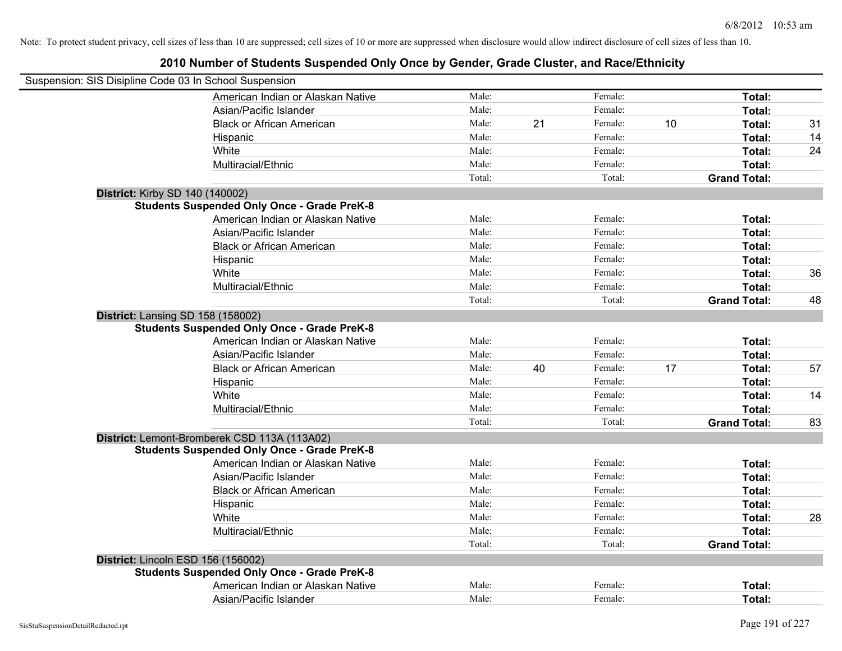| Suspension: SIS Disipline Code 03 In School Suspension                                   |                 |    |                   |    |                               |    |
|------------------------------------------------------------------------------------------|-----------------|----|-------------------|----|-------------------------------|----|
| American Indian or Alaskan Native                                                        | Male:           |    | Female:           |    | Total:                        |    |
| Asian/Pacific Islander                                                                   | Male:           |    | Female:           |    | Total:                        |    |
| <b>Black or African American</b>                                                         | Male:           | 21 | Female:           | 10 | Total:                        | 31 |
| Hispanic                                                                                 | Male:           |    | Female:           |    | Total:                        | 14 |
| White                                                                                    | Male:           |    | Female:           |    | Total:                        | 24 |
| Multiracial/Ethnic                                                                       | Male:           |    | Female:           |    | Total:                        |    |
|                                                                                          | Total:          |    | Total:            |    | <b>Grand Total:</b>           |    |
| <b>District: Kirby SD 140 (140002)</b>                                                   |                 |    |                   |    |                               |    |
| <b>Students Suspended Only Once - Grade PreK-8</b>                                       |                 |    |                   |    |                               |    |
| American Indian or Alaskan Native                                                        | Male:           |    | Female:           |    | Total:                        |    |
| Asian/Pacific Islander                                                                   | Male:           |    | Female:           |    | Total:                        |    |
| <b>Black or African American</b>                                                         | Male:           |    | Female:           |    | Total:                        |    |
| Hispanic                                                                                 | Male:           |    | Female:           |    | Total:                        |    |
| White                                                                                    | Male:           |    | Female:           |    | Total:                        | 36 |
| Multiracial/Ethnic                                                                       | Male:           |    | Female:           |    | Total:                        |    |
|                                                                                          | Total:          |    | Total:            |    | <b>Grand Total:</b>           | 48 |
| District: Lansing SD 158 (158002)<br><b>Students Suspended Only Once - Grade PreK-8</b>  |                 |    |                   |    |                               |    |
|                                                                                          | Male:           |    | Female:           |    |                               |    |
| American Indian or Alaskan Native                                                        | Male:           |    | Female:           |    | Total:<br>Total:              |    |
| Asian/Pacific Islander                                                                   | Male:           |    | Female:           |    |                               |    |
| <b>Black or African American</b>                                                         | Male:           | 40 | Female:           | 17 | Total:                        | 57 |
| Hispanic                                                                                 |                 |    | Female:           |    | Total:                        |    |
| White                                                                                    | Male:           |    |                   |    | Total:                        | 14 |
| Multiracial/Ethnic                                                                       | Male:<br>Total: |    | Female:<br>Total: |    | Total:<br><b>Grand Total:</b> |    |
|                                                                                          |                 |    |                   |    |                               | 83 |
| District: Lemont-Bromberek CSD 113A (113A02)                                             |                 |    |                   |    |                               |    |
| <b>Students Suspended Only Once - Grade PreK-8</b><br>American Indian or Alaskan Native  | Male:           |    | Female:           |    | Total:                        |    |
| Asian/Pacific Islander                                                                   | Male:           |    | Female:           |    | Total:                        |    |
| <b>Black or African American</b>                                                         | Male:           |    | Female:           |    | Total:                        |    |
|                                                                                          | Male:           |    | Female:           |    | Total:                        |    |
| Hispanic<br>White                                                                        | Male:           |    | Female:           |    |                               | 28 |
| Multiracial/Ethnic                                                                       | Male:           |    | Female:           |    | Total:                        |    |
|                                                                                          | Total:          |    | Total:            |    | Total:                        |    |
|                                                                                          |                 |    |                   |    | <b>Grand Total:</b>           |    |
| District: Lincoln ESD 156 (156002)<br><b>Students Suspended Only Once - Grade PreK-8</b> |                 |    |                   |    |                               |    |
| American Indian or Alaskan Native                                                        | Male:           |    | Female:           |    | Total:                        |    |
|                                                                                          | Male:           |    | Female:           |    |                               |    |
| Asian/Pacific Islander                                                                   |                 |    |                   |    | Total:                        |    |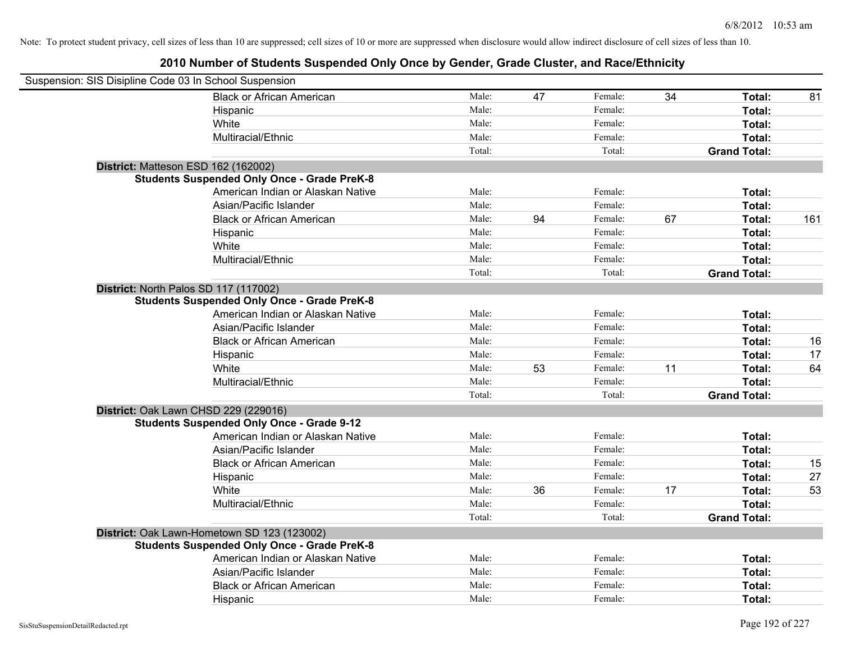| Suspension: SIS Disipline Code 03 In School Suspension |        |    |         |    |                     |     |
|--------------------------------------------------------|--------|----|---------|----|---------------------|-----|
| <b>Black or African American</b>                       | Male:  | 47 | Female: | 34 | Total:              | 81  |
| Hispanic                                               | Male:  |    | Female: |    | Total:              |     |
| White                                                  | Male:  |    | Female: |    | Total:              |     |
| Multiracial/Ethnic                                     | Male:  |    | Female: |    | Total:              |     |
|                                                        | Total: |    | Total:  |    | <b>Grand Total:</b> |     |
| District: Matteson ESD 162 (162002)                    |        |    |         |    |                     |     |
| <b>Students Suspended Only Once - Grade PreK-8</b>     |        |    |         |    |                     |     |
| American Indian or Alaskan Native                      | Male:  |    | Female: |    | Total:              |     |
| Asian/Pacific Islander                                 | Male:  |    | Female: |    | Total:              |     |
| <b>Black or African American</b>                       | Male:  | 94 | Female: | 67 | Total:              | 161 |
| Hispanic                                               | Male:  |    | Female: |    | Total:              |     |
| White                                                  | Male:  |    | Female: |    | Total:              |     |
| Multiracial/Ethnic                                     | Male:  |    | Female: |    | Total:              |     |
|                                                        | Total: |    | Total:  |    | <b>Grand Total:</b> |     |
| District: North Palos SD 117 (117002)                  |        |    |         |    |                     |     |
| <b>Students Suspended Only Once - Grade PreK-8</b>     |        |    |         |    |                     |     |
| American Indian or Alaskan Native                      | Male:  |    | Female: |    | Total:              |     |
| Asian/Pacific Islander                                 | Male:  |    | Female: |    | Total:              |     |
| <b>Black or African American</b>                       | Male:  |    | Female: |    | Total:              | 16  |
| Hispanic                                               | Male:  |    | Female: |    | Total:              | 17  |
| White                                                  | Male:  | 53 | Female: | 11 | Total:              | 64  |
| Multiracial/Ethnic                                     | Male:  |    | Female: |    | Total:              |     |
|                                                        | Total: |    | Total:  |    | <b>Grand Total:</b> |     |
| District: Oak Lawn CHSD 229 (229016)                   |        |    |         |    |                     |     |
| <b>Students Suspended Only Once - Grade 9-12</b>       |        |    |         |    |                     |     |
| American Indian or Alaskan Native                      | Male:  |    | Female: |    | Total:              |     |
| Asian/Pacific Islander                                 | Male:  |    | Female: |    | Total:              |     |
| <b>Black or African American</b>                       | Male:  |    | Female: |    | Total:              | 15  |
| Hispanic                                               | Male:  |    | Female: |    | Total:              | 27  |
| White                                                  | Male:  | 36 | Female: | 17 | Total:              | 53  |
| Multiracial/Ethnic                                     | Male:  |    | Female: |    | Total:              |     |
|                                                        | Total: |    | Total:  |    | <b>Grand Total:</b> |     |
| District: Oak Lawn-Hometown SD 123 (123002)            |        |    |         |    |                     |     |
| <b>Students Suspended Only Once - Grade PreK-8</b>     |        |    |         |    |                     |     |
| American Indian or Alaskan Native                      | Male:  |    | Female: |    | Total:              |     |
| Asian/Pacific Islander                                 | Male:  |    | Female: |    | Total:              |     |
| <b>Black or African American</b>                       | Male:  |    | Female: |    | Total:              |     |
| Hispanic                                               | Male:  |    | Female: |    | Total:              |     |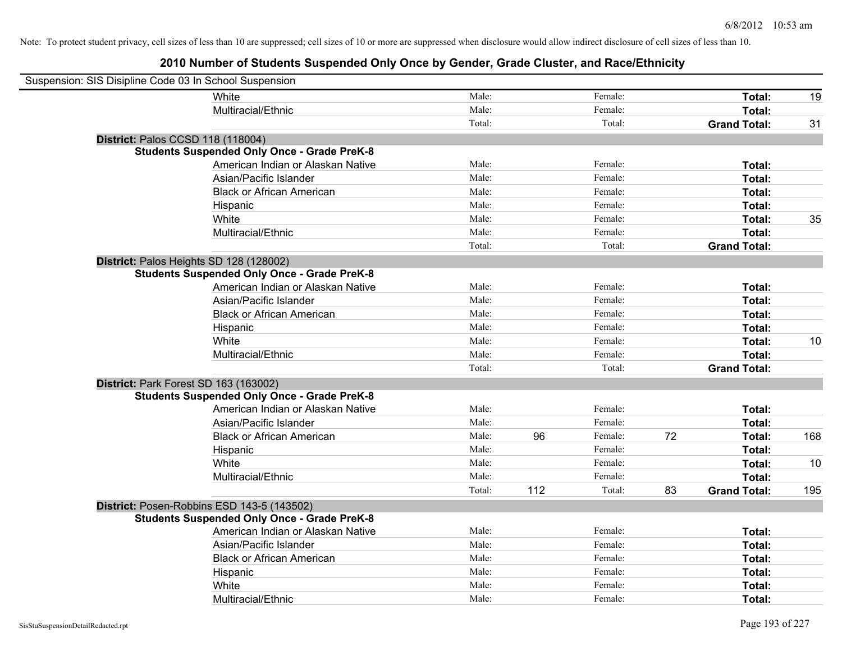| Suspension: SIS Disipline Code 03 In School Suspension |                                                    |        |     |         |    |                     |     |
|--------------------------------------------------------|----------------------------------------------------|--------|-----|---------|----|---------------------|-----|
|                                                        | White                                              | Male:  |     | Female: |    | Total:              | 19  |
|                                                        | Multiracial/Ethnic                                 | Male:  |     | Female: |    | Total:              |     |
|                                                        |                                                    | Total: |     | Total:  |    | <b>Grand Total:</b> | 31  |
| District: Palos CCSD 118 (118004)                      |                                                    |        |     |         |    |                     |     |
|                                                        | <b>Students Suspended Only Once - Grade PreK-8</b> |        |     |         |    |                     |     |
|                                                        | American Indian or Alaskan Native                  | Male:  |     | Female: |    | Total:              |     |
|                                                        | Asian/Pacific Islander                             | Male:  |     | Female: |    | Total:              |     |
|                                                        | <b>Black or African American</b>                   | Male:  |     | Female: |    | Total:              |     |
|                                                        | Hispanic                                           | Male:  |     | Female: |    | Total:              |     |
|                                                        | White                                              | Male:  |     | Female: |    | Total:              | 35  |
|                                                        | Multiracial/Ethnic                                 | Male:  |     | Female: |    | Total:              |     |
|                                                        |                                                    | Total: |     | Total:  |    | <b>Grand Total:</b> |     |
| District: Palos Heights SD 128 (128002)                |                                                    |        |     |         |    |                     |     |
|                                                        | <b>Students Suspended Only Once - Grade PreK-8</b> |        |     |         |    |                     |     |
|                                                        | American Indian or Alaskan Native                  | Male:  |     | Female: |    | Total:              |     |
|                                                        | Asian/Pacific Islander                             | Male:  |     | Female: |    | Total:              |     |
|                                                        | <b>Black or African American</b>                   | Male:  |     | Female: |    | Total:              |     |
|                                                        | Hispanic                                           | Male:  |     | Female: |    | Total:              |     |
|                                                        | White                                              | Male:  |     | Female: |    | Total:              | 10  |
|                                                        | Multiracial/Ethnic                                 | Male:  |     | Female: |    | Total:              |     |
|                                                        |                                                    | Total: |     | Total:  |    | <b>Grand Total:</b> |     |
| District: Park Forest SD 163 (163002)                  |                                                    |        |     |         |    |                     |     |
|                                                        | <b>Students Suspended Only Once - Grade PreK-8</b> |        |     |         |    |                     |     |
|                                                        | American Indian or Alaskan Native                  | Male:  |     | Female: |    | Total:              |     |
|                                                        | Asian/Pacific Islander                             | Male:  |     | Female: |    | Total:              |     |
|                                                        | <b>Black or African American</b>                   | Male:  | 96  | Female: | 72 | Total:              | 168 |
|                                                        | Hispanic                                           | Male:  |     | Female: |    | Total:              |     |
|                                                        | White                                              | Male:  |     | Female: |    | Total:              | 10  |
|                                                        | Multiracial/Ethnic                                 | Male:  |     | Female: |    | Total:              |     |
|                                                        |                                                    | Total: | 112 | Total:  | 83 | <b>Grand Total:</b> | 195 |
|                                                        | District: Posen-Robbins ESD 143-5 (143502)         |        |     |         |    |                     |     |
|                                                        | <b>Students Suspended Only Once - Grade PreK-8</b> |        |     |         |    |                     |     |
|                                                        | American Indian or Alaskan Native                  | Male:  |     | Female: |    | Total:              |     |
|                                                        | Asian/Pacific Islander                             | Male:  |     | Female: |    | Total:              |     |
|                                                        | <b>Black or African American</b>                   | Male:  |     | Female: |    | Total:              |     |
|                                                        | Hispanic                                           | Male:  |     | Female: |    | Total:              |     |
|                                                        | White                                              | Male:  |     | Female: |    | Total:              |     |
|                                                        | Multiracial/Ethnic                                 | Male:  |     | Female: |    | Total:              |     |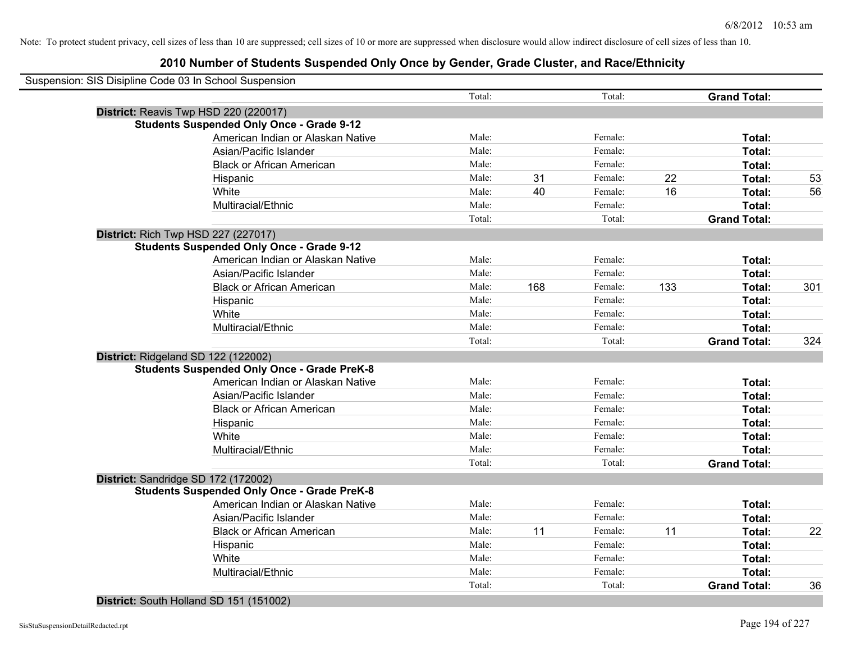## **2010 Number of Students Suspended Only Once by Gender, Grade Cluster, and Race/Ethnicity**

| Suspension: SIS Disipline Code 03 In School Suspension |        |     |         |     |                     |     |
|--------------------------------------------------------|--------|-----|---------|-----|---------------------|-----|
|                                                        | Total: |     | Total:  |     | <b>Grand Total:</b> |     |
| District: Reavis Twp HSD 220 (220017)                  |        |     |         |     |                     |     |
| <b>Students Suspended Only Once - Grade 9-12</b>       |        |     |         |     |                     |     |
| American Indian or Alaskan Native                      | Male:  |     | Female: |     | Total:              |     |
| Asian/Pacific Islander                                 | Male:  |     | Female: |     | Total:              |     |
| <b>Black or African American</b>                       | Male:  |     | Female: |     | Total:              |     |
| Hispanic                                               | Male:  | 31  | Female: | 22  | Total:              | 53  |
| White                                                  | Male:  | 40  | Female: | 16  | Total:              | 56  |
| Multiracial/Ethnic                                     | Male:  |     | Female: |     | Total:              |     |
|                                                        | Total: |     | Total:  |     | <b>Grand Total:</b> |     |
| <b>District: Rich Twp HSD 227 (227017)</b>             |        |     |         |     |                     |     |
| <b>Students Suspended Only Once - Grade 9-12</b>       |        |     |         |     |                     |     |
| American Indian or Alaskan Native                      | Male:  |     | Female: |     | Total:              |     |
| Asian/Pacific Islander                                 | Male:  |     | Female: |     | Total:              |     |
| <b>Black or African American</b>                       | Male:  | 168 | Female: | 133 | Total:              | 301 |
| Hispanic                                               | Male:  |     | Female: |     | Total:              |     |
| White                                                  | Male:  |     | Female: |     | Total:              |     |
| Multiracial/Ethnic                                     | Male:  |     | Female: |     | Total:              |     |
|                                                        | Total: |     | Total:  |     | <b>Grand Total:</b> | 324 |
| District: Ridgeland SD 122 (122002)                    |        |     |         |     |                     |     |
| <b>Students Suspended Only Once - Grade PreK-8</b>     |        |     |         |     |                     |     |
| American Indian or Alaskan Native                      | Male:  |     | Female: |     | Total:              |     |
| Asian/Pacific Islander                                 | Male:  |     | Female: |     | Total:              |     |
| <b>Black or African American</b>                       | Male:  |     | Female: |     | Total:              |     |
| Hispanic                                               | Male:  |     | Female: |     | Total:              |     |
| White                                                  | Male:  |     | Female: |     | Total:              |     |
| Multiracial/Ethnic                                     | Male:  |     | Female: |     | Total:              |     |
|                                                        | Total: |     | Total:  |     | <b>Grand Total:</b> |     |
| District: Sandridge SD 172 (172002)                    |        |     |         |     |                     |     |
| <b>Students Suspended Only Once - Grade PreK-8</b>     |        |     |         |     |                     |     |
| American Indian or Alaskan Native                      | Male:  |     | Female: |     | Total:              |     |
| Asian/Pacific Islander                                 | Male:  |     | Female: |     | Total:              |     |
| <b>Black or African American</b>                       | Male:  | 11  | Female: | 11  | Total:              | 22  |
| Hispanic                                               | Male:  |     | Female: |     | Total:              |     |
| White                                                  | Male:  |     | Female: |     | Total:              |     |
| Multiracial/Ethnic                                     | Male:  |     | Female: |     | Total:              |     |
|                                                        | Total: |     | Total:  |     | <b>Grand Total:</b> | 36  |
|                                                        |        |     |         |     |                     |     |

#### **District:** South Holland SD 151 (151002)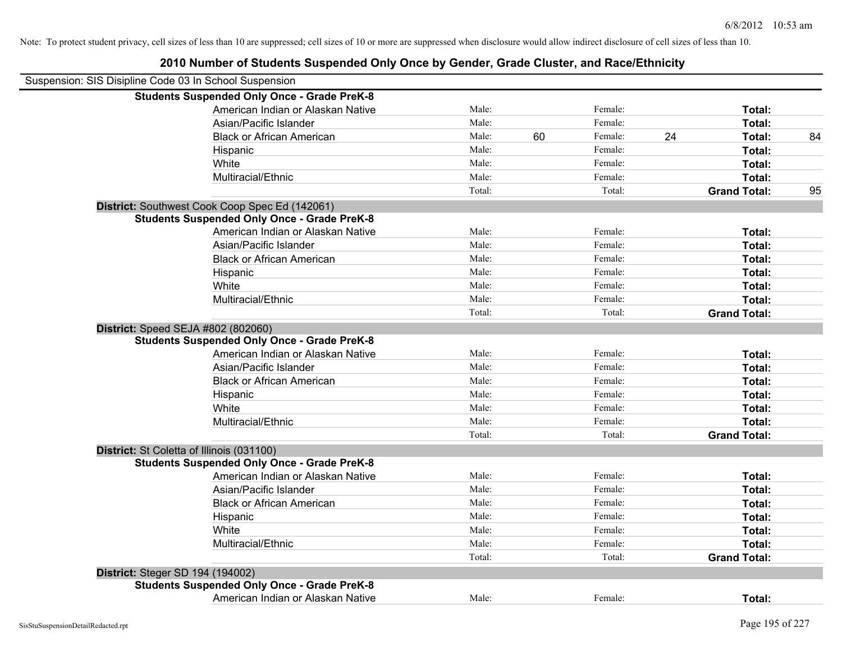| 2010 Number of Students Suspended Only Once by Gender, Grade Cluster, and Race/Ethnicity |  |
|------------------------------------------------------------------------------------------|--|
|------------------------------------------------------------------------------------------|--|

| Suspension: SIS Disipline Code 03 In School Suspension |        |    |         |    |                     |    |
|--------------------------------------------------------|--------|----|---------|----|---------------------|----|
| <b>Students Suspended Only Once - Grade PreK-8</b>     |        |    |         |    |                     |    |
| American Indian or Alaskan Native                      | Male:  |    | Female: |    | Total:              |    |
| Asian/Pacific Islander                                 | Male:  |    | Female: |    | Total:              |    |
| <b>Black or African American</b>                       | Male:  | 60 | Female: | 24 | Total:              | 84 |
| Hispanic                                               | Male:  |    | Female: |    | Total:              |    |
| White                                                  | Male:  |    | Female: |    | Total:              |    |
| Multiracial/Ethnic                                     | Male:  |    | Female: |    | Total:              |    |
|                                                        | Total: |    | Total:  |    | <b>Grand Total:</b> | 95 |
| District: Southwest Cook Coop Spec Ed (142061)         |        |    |         |    |                     |    |
| <b>Students Suspended Only Once - Grade PreK-8</b>     |        |    |         |    |                     |    |
| American Indian or Alaskan Native                      | Male:  |    | Female: |    | Total:              |    |
| Asian/Pacific Islander                                 | Male:  |    | Female: |    | Total:              |    |
| <b>Black or African American</b>                       | Male:  |    | Female: |    | Total:              |    |
| Hispanic                                               | Male:  |    | Female: |    | Total:              |    |
| White                                                  | Male:  |    | Female: |    | Total:              |    |
| Multiracial/Ethnic                                     | Male:  |    | Female: |    | Total:              |    |
|                                                        | Total: |    | Total:  |    | <b>Grand Total:</b> |    |
| District: Speed SEJA #802 (802060)                     |        |    |         |    |                     |    |
| <b>Students Suspended Only Once - Grade PreK-8</b>     |        |    |         |    |                     |    |
| American Indian or Alaskan Native                      | Male:  |    | Female: |    | Total:              |    |
| Asian/Pacific Islander                                 | Male:  |    | Female: |    | Total:              |    |
| <b>Black or African American</b>                       | Male:  |    | Female: |    | Total:              |    |
| Hispanic                                               | Male:  |    | Female: |    | Total:              |    |
| White                                                  | Male:  |    | Female: |    | Total:              |    |
| Multiracial/Ethnic                                     | Male:  |    | Female: |    | Total:              |    |
|                                                        | Total: |    | Total:  |    | <b>Grand Total:</b> |    |
| District: St Coletta of Illinois (031100)              |        |    |         |    |                     |    |
| <b>Students Suspended Only Once - Grade PreK-8</b>     |        |    |         |    |                     |    |
| American Indian or Alaskan Native                      | Male:  |    | Female: |    | Total:              |    |
| Asian/Pacific Islander                                 | Male:  |    | Female: |    | Total:              |    |
| <b>Black or African American</b>                       | Male:  |    | Female: |    | Total:              |    |
| Hispanic                                               | Male:  |    | Female: |    | Total:              |    |
| White                                                  | Male:  |    | Female: |    | Total:              |    |
| Multiracial/Ethnic                                     | Male:  |    | Female: |    | Total:              |    |
|                                                        | Total: |    | Total:  |    | <b>Grand Total:</b> |    |
| <b>District: Steger SD 194 (194002)</b>                |        |    |         |    |                     |    |
| <b>Students Suspended Only Once - Grade PreK-8</b>     |        |    |         |    |                     |    |
| American Indian or Alaskan Native                      | Male:  |    | Female: |    | Total:              |    |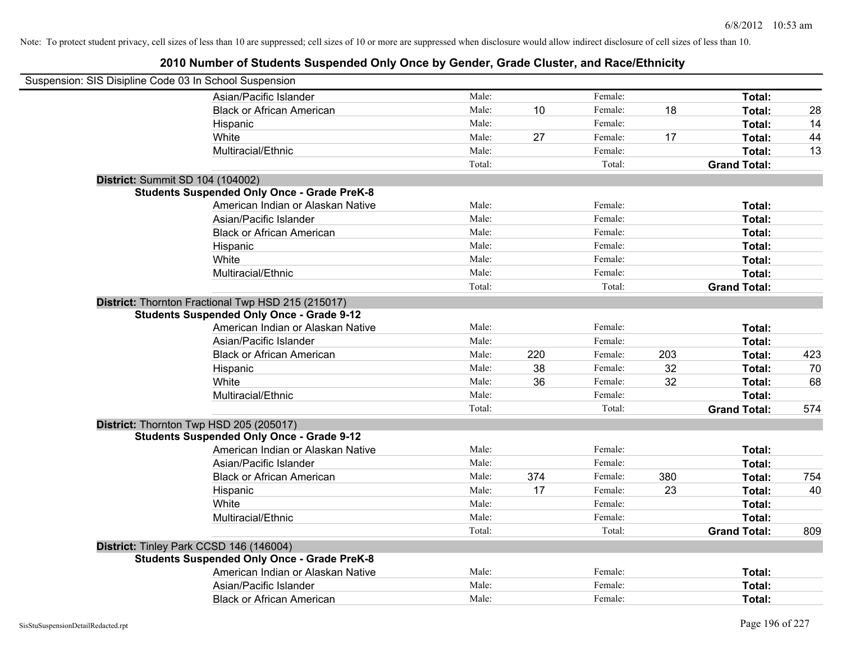| Suspension: SIS Disipline Code 03 In School Suspension |                                                                                                        |        |     |         |     |                     |     |
|--------------------------------------------------------|--------------------------------------------------------------------------------------------------------|--------|-----|---------|-----|---------------------|-----|
|                                                        | Asian/Pacific Islander                                                                                 | Male:  |     | Female: |     | Total:              |     |
|                                                        | <b>Black or African American</b>                                                                       | Male:  | 10  | Female: | 18  | Total:              | 28  |
|                                                        | Hispanic                                                                                               | Male:  |     | Female: |     | Total:              | 14  |
|                                                        | White                                                                                                  | Male:  | 27  | Female: | 17  | Total:              | 44  |
|                                                        | Multiracial/Ethnic                                                                                     | Male:  |     | Female: |     | Total:              | 13  |
|                                                        |                                                                                                        | Total: |     | Total:  |     | <b>Grand Total:</b> |     |
| District: Summit SD 104 (104002)                       |                                                                                                        |        |     |         |     |                     |     |
|                                                        | <b>Students Suspended Only Once - Grade PreK-8</b>                                                     |        |     |         |     |                     |     |
|                                                        | American Indian or Alaskan Native                                                                      | Male:  |     | Female: |     | Total:              |     |
|                                                        | Asian/Pacific Islander                                                                                 | Male:  |     | Female: |     | Total:              |     |
|                                                        | <b>Black or African American</b>                                                                       | Male:  |     | Female: |     | Total:              |     |
|                                                        | Hispanic                                                                                               | Male:  |     | Female: |     | Total:              |     |
|                                                        | White                                                                                                  | Male:  |     | Female: |     | Total:              |     |
|                                                        | Multiracial/Ethnic                                                                                     | Male:  |     | Female: |     | Total:              |     |
|                                                        |                                                                                                        | Total: |     | Total:  |     | <b>Grand Total:</b> |     |
|                                                        | District: Thornton Fractional Twp HSD 215 (215017)<br><b>Students Suspended Only Once - Grade 9-12</b> |        |     |         |     |                     |     |
|                                                        | American Indian or Alaskan Native                                                                      | Male:  |     | Female: |     | Total:              |     |
|                                                        | Asian/Pacific Islander                                                                                 | Male:  |     | Female: |     | Total:              |     |
|                                                        | <b>Black or African American</b>                                                                       | Male:  | 220 | Female: | 203 | Total:              | 423 |
|                                                        | Hispanic                                                                                               | Male:  | 38  | Female: | 32  | Total:              | 70  |
|                                                        | White                                                                                                  | Male:  | 36  | Female: | 32  | Total:              | 68  |
|                                                        | Multiracial/Ethnic                                                                                     | Male:  |     | Female: |     | Total:              |     |
|                                                        |                                                                                                        | Total: |     | Total:  |     | <b>Grand Total:</b> | 574 |
|                                                        | District: Thornton Twp HSD 205 (205017)                                                                |        |     |         |     |                     |     |
|                                                        | <b>Students Suspended Only Once - Grade 9-12</b>                                                       |        |     |         |     |                     |     |
|                                                        | American Indian or Alaskan Native                                                                      | Male:  |     | Female: |     | Total:              |     |
|                                                        | Asian/Pacific Islander                                                                                 | Male:  |     | Female: |     | Total:              |     |
|                                                        | <b>Black or African American</b>                                                                       | Male:  | 374 | Female: | 380 | Total:              | 754 |
|                                                        | Hispanic                                                                                               | Male:  | 17  | Female: | 23  | Total:              | 40  |
|                                                        | White                                                                                                  | Male:  |     | Female: |     | Total:              |     |
|                                                        | Multiracial/Ethnic                                                                                     | Male:  |     | Female: |     | Total:              |     |
|                                                        |                                                                                                        | Total: |     | Total:  |     | <b>Grand Total:</b> | 809 |
|                                                        | District: Tinley Park CCSD 146 (146004)<br><b>Students Suspended Only Once - Grade PreK-8</b>          |        |     |         |     |                     |     |
|                                                        | American Indian or Alaskan Native                                                                      | Male:  |     | Female: |     | Total:              |     |
|                                                        | Asian/Pacific Islander                                                                                 | Male:  |     | Female: |     | Total:              |     |
|                                                        | <b>Black or African American</b>                                                                       | Male:  |     | Female: |     | Total:              |     |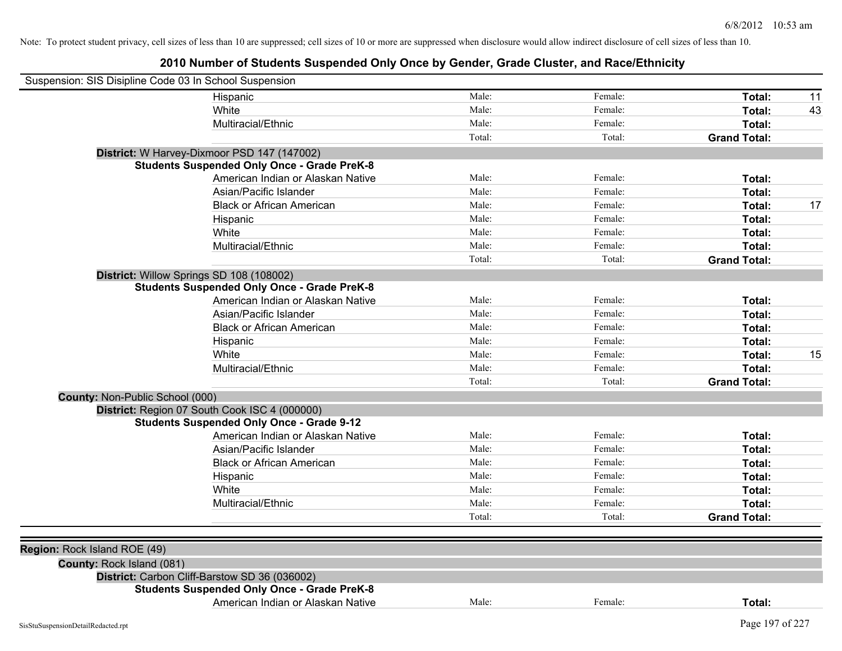| Suspension: SIS Disipline Code 03 In School Suspension |                                                    |        |         |                     |    |
|--------------------------------------------------------|----------------------------------------------------|--------|---------|---------------------|----|
|                                                        | Hispanic                                           | Male:  | Female: | Total:              | 11 |
|                                                        | White                                              | Male:  | Female: | Total:              | 43 |
|                                                        | Multiracial/Ethnic                                 | Male:  | Female: | Total:              |    |
|                                                        |                                                    | Total: | Total:  | <b>Grand Total:</b> |    |
|                                                        | District: W Harvey-Dixmoor PSD 147 (147002)        |        |         |                     |    |
|                                                        | <b>Students Suspended Only Once - Grade PreK-8</b> |        |         |                     |    |
|                                                        | American Indian or Alaskan Native                  | Male:  | Female: | Total:              |    |
|                                                        | Asian/Pacific Islander                             | Male:  | Female: | Total:              |    |
|                                                        | <b>Black or African American</b>                   | Male:  | Female: | Total:              | 17 |
|                                                        | Hispanic                                           | Male:  | Female: | Total:              |    |
|                                                        | White                                              | Male:  | Female: | Total:              |    |
|                                                        | Multiracial/Ethnic                                 | Male:  | Female: | Total:              |    |
|                                                        |                                                    | Total: | Total:  | <b>Grand Total:</b> |    |
|                                                        | District: Willow Springs SD 108 (108002)           |        |         |                     |    |
|                                                        | <b>Students Suspended Only Once - Grade PreK-8</b> |        |         |                     |    |
|                                                        | American Indian or Alaskan Native                  | Male:  | Female: | Total:              |    |
|                                                        | Asian/Pacific Islander                             | Male:  | Female: | Total:              |    |
|                                                        | <b>Black or African American</b>                   | Male:  | Female: | Total:              |    |
|                                                        | Hispanic                                           | Male:  | Female: | Total:              |    |
|                                                        | White                                              | Male:  | Female: | Total:              | 15 |
|                                                        | Multiracial/Ethnic                                 | Male:  | Female: | Total:              |    |
|                                                        |                                                    | Total: | Total:  | <b>Grand Total:</b> |    |
| County: Non-Public School (000)                        |                                                    |        |         |                     |    |
|                                                        | District: Region 07 South Cook ISC 4 (000000)      |        |         |                     |    |
|                                                        | <b>Students Suspended Only Once - Grade 9-12</b>   |        |         |                     |    |
|                                                        | American Indian or Alaskan Native                  | Male:  | Female: | Total:              |    |
|                                                        | Asian/Pacific Islander                             | Male:  | Female: | Total:              |    |
|                                                        | <b>Black or African American</b>                   | Male:  | Female: | Total:              |    |
|                                                        | Hispanic                                           | Male:  | Female: | Total:              |    |
|                                                        | White                                              | Male:  | Female: | Total:              |    |
|                                                        | Multiracial/Ethnic                                 | Male:  | Female: | Total:              |    |
|                                                        |                                                    | Total: | Total:  | <b>Grand Total:</b> |    |
|                                                        |                                                    |        |         |                     |    |
| Region: Rock Island ROE (49)                           |                                                    |        |         |                     |    |
| County: Rock Island (081)                              |                                                    |        |         |                     |    |
|                                                        | District: Carbon Cliff-Barstow SD 36 (036002)      |        |         |                     |    |
|                                                        | <b>Students Suspended Only Once - Grade PreK-8</b> |        |         |                     |    |
|                                                        | American Indian or Alaskan Native                  | Male:  | Female: | Total:              |    |
|                                                        |                                                    |        |         |                     |    |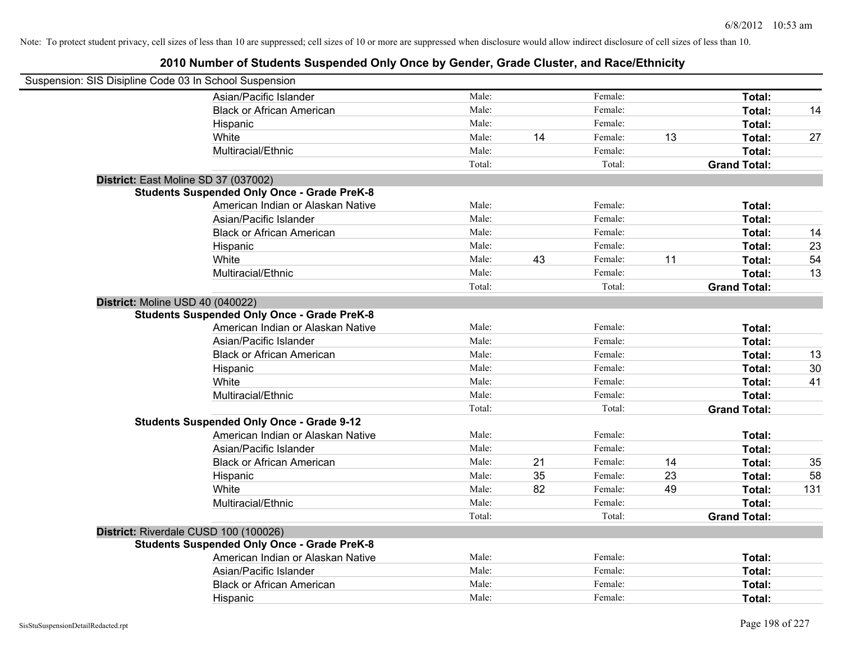| Suspension: SIS Disipline Code 03 In School Suspension |                                                    |        |    |         |    |                     |     |
|--------------------------------------------------------|----------------------------------------------------|--------|----|---------|----|---------------------|-----|
|                                                        | Asian/Pacific Islander                             | Male:  |    | Female: |    | Total:              |     |
|                                                        | <b>Black or African American</b>                   | Male:  |    | Female: |    | Total:              | 14  |
|                                                        | Hispanic                                           | Male:  |    | Female: |    | Total:              |     |
|                                                        | White                                              | Male:  | 14 | Female: | 13 | Total:              | 27  |
|                                                        | Multiracial/Ethnic                                 | Male:  |    | Female: |    | Total:              |     |
|                                                        |                                                    | Total: |    | Total:  |    | <b>Grand Total:</b> |     |
| District: East Moline SD 37 (037002)                   |                                                    |        |    |         |    |                     |     |
|                                                        | <b>Students Suspended Only Once - Grade PreK-8</b> |        |    |         |    |                     |     |
|                                                        | American Indian or Alaskan Native                  | Male:  |    | Female: |    | Total:              |     |
|                                                        | Asian/Pacific Islander                             | Male:  |    | Female: |    | Total:              |     |
|                                                        | <b>Black or African American</b>                   | Male:  |    | Female: |    | Total:              | 14  |
|                                                        | Hispanic                                           | Male:  |    | Female: |    | Total:              | 23  |
|                                                        | White                                              | Male:  | 43 | Female: | 11 | Total:              | 54  |
|                                                        | Multiracial/Ethnic                                 | Male:  |    | Female: |    | Total:              | 13  |
|                                                        |                                                    | Total: |    | Total:  |    | <b>Grand Total:</b> |     |
| District: Moline USD 40 (040022)                       |                                                    |        |    |         |    |                     |     |
|                                                        | <b>Students Suspended Only Once - Grade PreK-8</b> |        |    |         |    |                     |     |
|                                                        | American Indian or Alaskan Native                  | Male:  |    | Female: |    | Total:              |     |
|                                                        | Asian/Pacific Islander                             | Male:  |    | Female: |    | Total:              |     |
|                                                        | <b>Black or African American</b>                   | Male:  |    | Female: |    | Total:              | 13  |
|                                                        | Hispanic                                           | Male:  |    | Female: |    | Total:              | 30  |
|                                                        | White                                              | Male:  |    | Female: |    | Total:              | 41  |
|                                                        | Multiracial/Ethnic                                 | Male:  |    | Female: |    | Total:              |     |
|                                                        |                                                    | Total: |    | Total:  |    | <b>Grand Total:</b> |     |
|                                                        | <b>Students Suspended Only Once - Grade 9-12</b>   |        |    |         |    |                     |     |
|                                                        | American Indian or Alaskan Native                  | Male:  |    | Female: |    | Total:              |     |
|                                                        | Asian/Pacific Islander                             | Male:  |    | Female: |    | Total:              |     |
|                                                        | <b>Black or African American</b>                   | Male:  | 21 | Female: | 14 | Total:              | 35  |
|                                                        | Hispanic                                           | Male:  | 35 | Female: | 23 | Total:              | 58  |
|                                                        | White                                              | Male:  | 82 | Female: | 49 | Total:              | 131 |
|                                                        | Multiracial/Ethnic                                 | Male:  |    | Female: |    | Total:              |     |
|                                                        |                                                    | Total: |    | Total:  |    | <b>Grand Total:</b> |     |
| District: Riverdale CUSD 100 (100026)                  |                                                    |        |    |         |    |                     |     |
|                                                        | <b>Students Suspended Only Once - Grade PreK-8</b> |        |    |         |    |                     |     |
|                                                        | American Indian or Alaskan Native                  | Male:  |    | Female: |    | Total:              |     |
|                                                        | Asian/Pacific Islander                             | Male:  |    | Female: |    | Total:              |     |
|                                                        | <b>Black or African American</b>                   | Male:  |    | Female: |    | Total:              |     |
|                                                        | Hispanic                                           | Male:  |    | Female: |    | Total:              |     |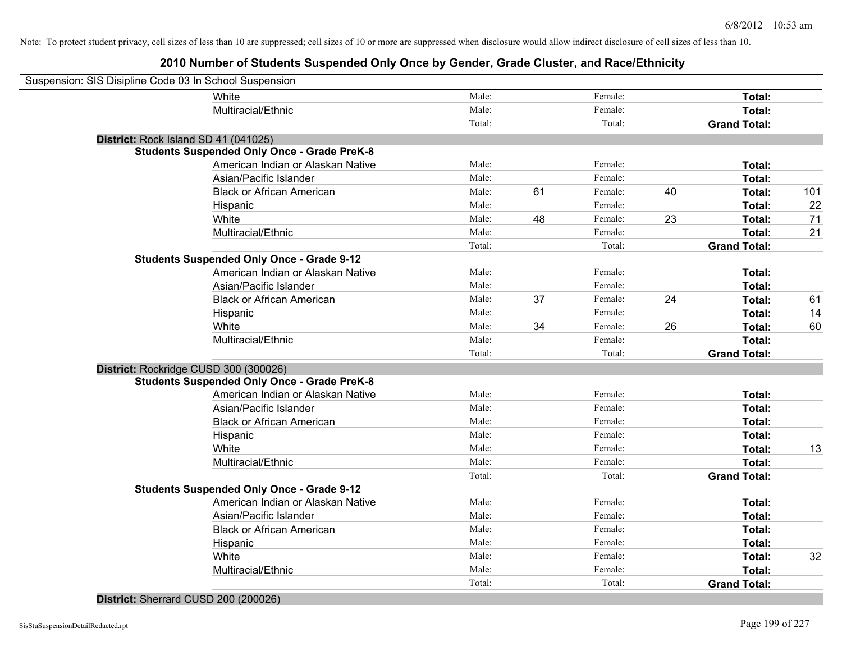## **2010 Number of Students Suspended Only Once by Gender, Grade Cluster, and Race/Ethnicity**

| Suspension: SIS Disipline Code 03 In School Suspension |                                                    |        |    |         |    |                     |       |
|--------------------------------------------------------|----------------------------------------------------|--------|----|---------|----|---------------------|-------|
|                                                        | White                                              | Male:  |    | Female: |    | Total:              |       |
|                                                        | Multiracial/Ethnic                                 | Male:  |    | Female: |    | Total:              |       |
|                                                        |                                                    | Total: |    | Total:  |    | <b>Grand Total:</b> |       |
|                                                        | District: Rock Island SD 41 (041025)               |        |    |         |    |                     |       |
|                                                        | <b>Students Suspended Only Once - Grade PreK-8</b> |        |    |         |    |                     |       |
|                                                        | American Indian or Alaskan Native                  | Male:  |    | Female: |    | Total:              |       |
|                                                        | Asian/Pacific Islander                             | Male:  |    | Female: |    | Total:              |       |
|                                                        | <b>Black or African American</b>                   | Male:  | 61 | Female: | 40 | Total:              | $101$ |
|                                                        | Hispanic                                           | Male:  |    | Female: |    | Total:              | 22    |
|                                                        | White                                              | Male:  | 48 | Female: | 23 | Total:              | 71    |
|                                                        | Multiracial/Ethnic                                 | Male:  |    | Female: |    | Total:              | 21    |
|                                                        |                                                    | Total: |    | Total:  |    | <b>Grand Total:</b> |       |
|                                                        | <b>Students Suspended Only Once - Grade 9-12</b>   |        |    |         |    |                     |       |
|                                                        | American Indian or Alaskan Native                  | Male:  |    | Female: |    | Total:              |       |
|                                                        | Asian/Pacific Islander                             | Male:  |    | Female: |    | Total:              |       |
|                                                        | <b>Black or African American</b>                   | Male:  | 37 | Female: | 24 | Total:              | 61    |
|                                                        | Hispanic                                           | Male:  |    | Female: |    | Total:              | 14    |
|                                                        | White                                              | Male:  | 34 | Female: | 26 | Total:              | 60    |
|                                                        | Multiracial/Ethnic                                 | Male:  |    | Female: |    | Total:              |       |
|                                                        |                                                    | Total: |    | Total:  |    | <b>Grand Total:</b> |       |
|                                                        | District: Rockridge CUSD 300 (300026)              |        |    |         |    |                     |       |
|                                                        | <b>Students Suspended Only Once - Grade PreK-8</b> |        |    |         |    |                     |       |
|                                                        | American Indian or Alaskan Native                  | Male:  |    | Female: |    | Total:              |       |
|                                                        | Asian/Pacific Islander                             | Male:  |    | Female: |    | Total:              |       |
|                                                        | <b>Black or African American</b>                   | Male:  |    | Female: |    | Total:              |       |
|                                                        | Hispanic                                           | Male:  |    | Female: |    | Total:              |       |
|                                                        | White                                              | Male:  |    | Female: |    | Total:              | 13    |
|                                                        | Multiracial/Ethnic                                 | Male:  |    | Female: |    | Total:              |       |
|                                                        |                                                    | Total: |    | Total:  |    | <b>Grand Total:</b> |       |
|                                                        | <b>Students Suspended Only Once - Grade 9-12</b>   |        |    |         |    |                     |       |
|                                                        | American Indian or Alaskan Native                  | Male:  |    | Female: |    | Total:              |       |
|                                                        | Asian/Pacific Islander                             | Male:  |    | Female: |    | Total:              |       |
|                                                        | <b>Black or African American</b>                   | Male:  |    | Female: |    | Total:              |       |
|                                                        | Hispanic                                           | Male:  |    | Female: |    | Total:              |       |
|                                                        | White                                              | Male:  |    | Female: |    | Total:              | 32    |
|                                                        | Multiracial/Ethnic                                 | Male:  |    | Female: |    | Total:              |       |
|                                                        |                                                    | Total: |    | Total:  |    | <b>Grand Total:</b> |       |
|                                                        |                                                    |        |    |         |    |                     |       |

#### **District:** Sherrard CUSD 200 (200026)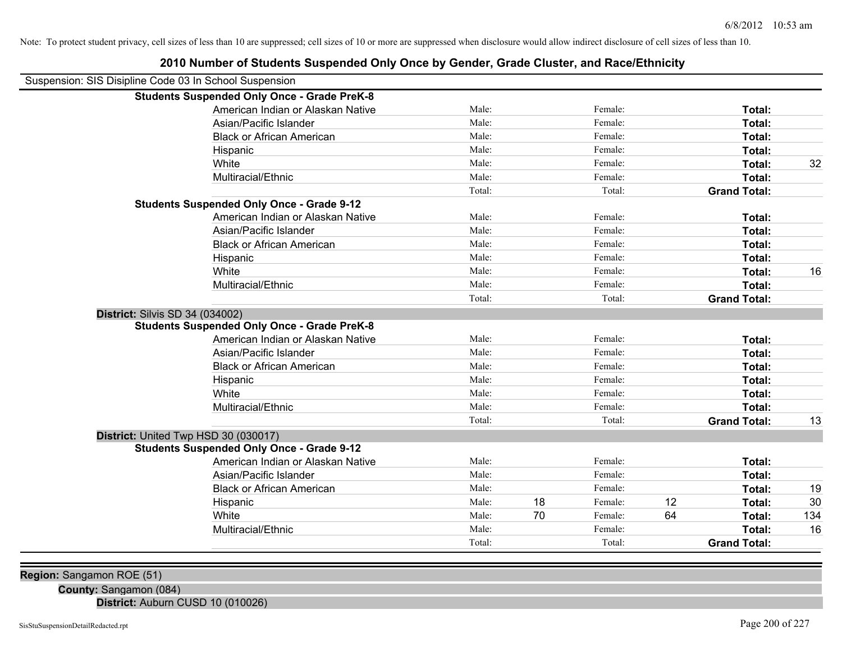| Suspension: SIS Disipline Code 03 In School Suspension |                                                    |        |    |         |    |                     |     |
|--------------------------------------------------------|----------------------------------------------------|--------|----|---------|----|---------------------|-----|
|                                                        | <b>Students Suspended Only Once - Grade PreK-8</b> |        |    |         |    |                     |     |
|                                                        | American Indian or Alaskan Native                  | Male:  |    | Female: |    | Total:              |     |
|                                                        | Asian/Pacific Islander                             | Male:  |    | Female: |    | Total:              |     |
|                                                        | <b>Black or African American</b>                   | Male:  |    | Female: |    | <b>Total:</b>       |     |
|                                                        | Hispanic                                           | Male:  |    | Female: |    | Total:              |     |
|                                                        | White                                              | Male:  |    | Female: |    | Total:              | 32  |
|                                                        | Multiracial/Ethnic                                 | Male:  |    | Female: |    | Total:              |     |
|                                                        |                                                    | Total: |    | Total:  |    | <b>Grand Total:</b> |     |
|                                                        | <b>Students Suspended Only Once - Grade 9-12</b>   |        |    |         |    |                     |     |
|                                                        | American Indian or Alaskan Native                  | Male:  |    | Female: |    | Total:              |     |
|                                                        | Asian/Pacific Islander                             | Male:  |    | Female: |    | Total:              |     |
|                                                        | <b>Black or African American</b>                   | Male:  |    | Female: |    | Total:              |     |
|                                                        | Hispanic                                           | Male:  |    | Female: |    | Total:              |     |
|                                                        | White                                              | Male:  |    | Female: |    | Total:              | 16  |
|                                                        | Multiracial/Ethnic                                 | Male:  |    | Female: |    | Total:              |     |
|                                                        |                                                    | Total: |    | Total:  |    | <b>Grand Total:</b> |     |
| <b>District: Silvis SD 34 (034002)</b>                 |                                                    |        |    |         |    |                     |     |
|                                                        | <b>Students Suspended Only Once - Grade PreK-8</b> |        |    |         |    |                     |     |
|                                                        | American Indian or Alaskan Native                  | Male:  |    | Female: |    | Total:              |     |
|                                                        | Asian/Pacific Islander                             | Male:  |    | Female: |    | Total:              |     |
|                                                        | <b>Black or African American</b>                   | Male:  |    | Female: |    | Total:              |     |
|                                                        | Hispanic                                           | Male:  |    | Female: |    | Total:              |     |
|                                                        | White                                              | Male:  |    | Female: |    | Total:              |     |
|                                                        | Multiracial/Ethnic                                 | Male:  |    | Female: |    | Total:              |     |
|                                                        |                                                    | Total: |    | Total:  |    | <b>Grand Total:</b> | 13  |
| District: United Twp HSD 30 (030017)                   |                                                    |        |    |         |    |                     |     |
|                                                        | <b>Students Suspended Only Once - Grade 9-12</b>   |        |    |         |    |                     |     |
|                                                        | American Indian or Alaskan Native                  | Male:  |    | Female: |    | Total:              |     |
|                                                        | Asian/Pacific Islander                             | Male:  |    | Female: |    | Total:              |     |
|                                                        | <b>Black or African American</b>                   | Male:  |    | Female: |    | Total:              | 19  |
|                                                        | Hispanic                                           | Male:  | 18 | Female: | 12 | Total:              | 30  |
|                                                        | White                                              | Male:  | 70 | Female: | 64 | Total:              | 134 |
|                                                        | Multiracial/Ethnic                                 | Male:  |    | Female: |    | Total:              | 16  |
|                                                        |                                                    | Total: |    | Total:  |    | <b>Grand Total:</b> |     |
|                                                        |                                                    |        |    |         |    |                     |     |

**2010 Number of Students Suspended Only Once by Gender, Grade Cluster, and Race/Ethnicity**

**Region:** Sangamon ROE (51)

**County:** Sangamon (084)

**District:** Auburn CUSD 10 (010026)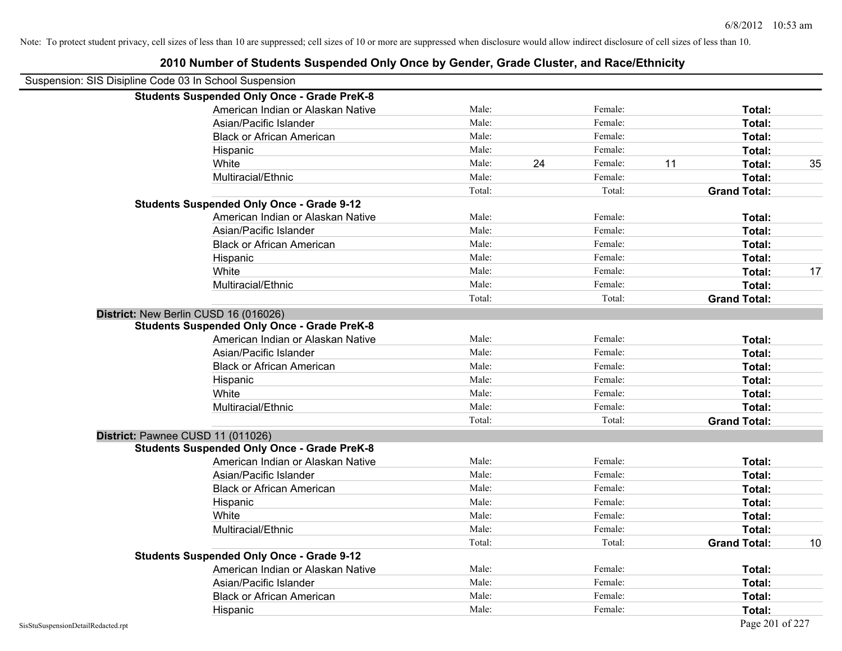| Suspension: SIS Disipline Code 03 In School Suspension |                                                    |        |    |         |    |                     |    |
|--------------------------------------------------------|----------------------------------------------------|--------|----|---------|----|---------------------|----|
|                                                        | <b>Students Suspended Only Once - Grade PreK-8</b> |        |    |         |    |                     |    |
|                                                        | American Indian or Alaskan Native                  | Male:  |    | Female: |    | Total:              |    |
|                                                        | Asian/Pacific Islander                             | Male:  |    | Female: |    | Total:              |    |
|                                                        | <b>Black or African American</b>                   | Male:  |    | Female: |    | Total:              |    |
|                                                        | Hispanic                                           | Male:  |    | Female: |    | Total:              |    |
|                                                        | White                                              | Male:  | 24 | Female: | 11 | Total:              | 35 |
|                                                        | Multiracial/Ethnic                                 | Male:  |    | Female: |    | Total:              |    |
|                                                        |                                                    | Total: |    | Total:  |    | <b>Grand Total:</b> |    |
|                                                        | <b>Students Suspended Only Once - Grade 9-12</b>   |        |    |         |    |                     |    |
|                                                        | American Indian or Alaskan Native                  | Male:  |    | Female: |    | Total:              |    |
|                                                        | Asian/Pacific Islander                             | Male:  |    | Female: |    | Total:              |    |
|                                                        | <b>Black or African American</b>                   | Male:  |    | Female: |    | Total:              |    |
|                                                        | Hispanic                                           | Male:  |    | Female: |    | Total:              |    |
|                                                        | White                                              | Male:  |    | Female: |    | Total:              | 17 |
|                                                        | Multiracial/Ethnic                                 | Male:  |    | Female: |    | Total:              |    |
|                                                        |                                                    | Total: |    | Total:  |    | <b>Grand Total:</b> |    |
|                                                        | District: New Berlin CUSD 16 (016026)              |        |    |         |    |                     |    |
|                                                        | <b>Students Suspended Only Once - Grade PreK-8</b> |        |    |         |    |                     |    |
|                                                        | American Indian or Alaskan Native                  | Male:  |    | Female: |    | Total:              |    |
|                                                        | Asian/Pacific Islander                             | Male:  |    | Female: |    | Total:              |    |
|                                                        | <b>Black or African American</b>                   | Male:  |    | Female: |    | Total:              |    |
|                                                        | Hispanic                                           | Male:  |    | Female: |    | Total:              |    |
|                                                        | White                                              | Male:  |    | Female: |    | Total:              |    |
|                                                        | Multiracial/Ethnic                                 | Male:  |    | Female: |    | Total:              |    |
|                                                        |                                                    | Total: |    | Total:  |    | <b>Grand Total:</b> |    |
|                                                        | District: Pawnee CUSD 11 (011026)                  |        |    |         |    |                     |    |
|                                                        | <b>Students Suspended Only Once - Grade PreK-8</b> |        |    |         |    |                     |    |
|                                                        | American Indian or Alaskan Native                  | Male:  |    | Female: |    | Total:              |    |
|                                                        | Asian/Pacific Islander                             | Male:  |    | Female: |    | Total:              |    |
|                                                        | <b>Black or African American</b>                   | Male:  |    | Female: |    | Total:              |    |
|                                                        | Hispanic                                           | Male:  |    | Female: |    | Total:              |    |
|                                                        | White                                              | Male:  |    | Female: |    | Total:              |    |
|                                                        | Multiracial/Ethnic                                 | Male:  |    | Female: |    | Total:              |    |
|                                                        |                                                    | Total: |    | Total:  |    | <b>Grand Total:</b> | 10 |
|                                                        | <b>Students Suspended Only Once - Grade 9-12</b>   |        |    |         |    |                     |    |
|                                                        | American Indian or Alaskan Native                  | Male:  |    | Female: |    | Total:              |    |
|                                                        | Asian/Pacific Islander                             | Male:  |    | Female: |    | Total:              |    |
|                                                        | <b>Black or African American</b>                   | Male:  |    | Female: |    | Total:              |    |
|                                                        | Hispanic                                           | Male:  |    | Female: |    | Total:              |    |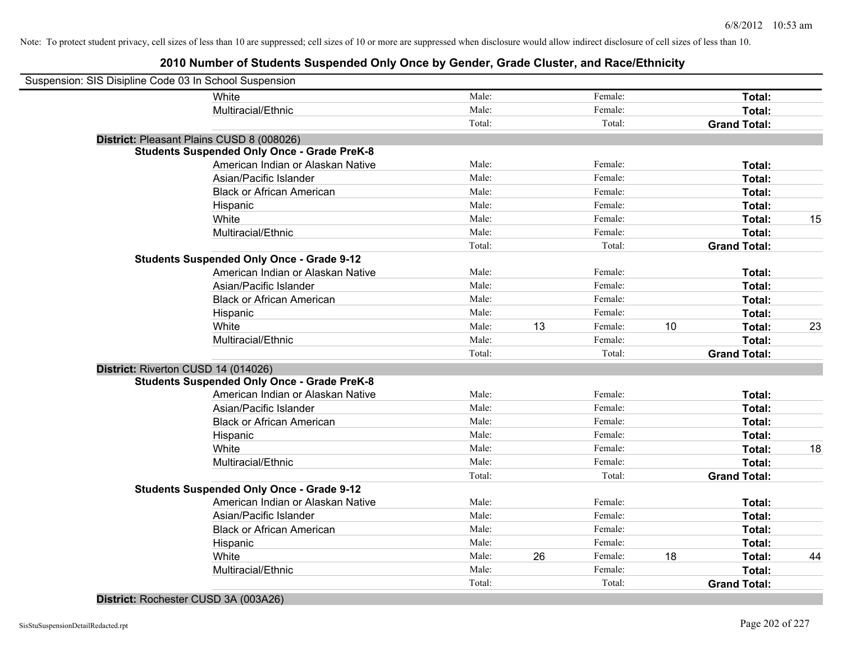| Suspension: SIS Disipline Code 03 In School Suspension |        |    |         |    |                     |    |
|--------------------------------------------------------|--------|----|---------|----|---------------------|----|
| White                                                  | Male:  |    | Female: |    | Total:              |    |
| Multiracial/Ethnic                                     | Male:  |    | Female: |    | Total:              |    |
|                                                        | Total: |    | Total:  |    | <b>Grand Total:</b> |    |
| District: Pleasant Plains CUSD 8 (008026)              |        |    |         |    |                     |    |
| <b>Students Suspended Only Once - Grade PreK-8</b>     |        |    |         |    |                     |    |
| American Indian or Alaskan Native                      | Male:  |    | Female: |    | Total:              |    |
| Asian/Pacific Islander                                 | Male:  |    | Female: |    | Total:              |    |
| <b>Black or African American</b>                       | Male:  |    | Female: |    | Total:              |    |
| Hispanic                                               | Male:  |    | Female: |    | Total:              |    |
| White                                                  | Male:  |    | Female: |    | Total:              | 15 |
| Multiracial/Ethnic                                     | Male:  |    | Female: |    | Total:              |    |
|                                                        | Total: |    | Total:  |    | <b>Grand Total:</b> |    |
| <b>Students Suspended Only Once - Grade 9-12</b>       |        |    |         |    |                     |    |
| American Indian or Alaskan Native                      | Male:  |    | Female: |    | Total:              |    |
| Asian/Pacific Islander                                 | Male:  |    | Female: |    | Total:              |    |
| <b>Black or African American</b>                       | Male:  |    | Female: |    | Total:              |    |
| Hispanic                                               | Male:  |    | Female: |    | Total:              |    |
| White                                                  | Male:  | 13 | Female: | 10 | Total:              | 23 |
| Multiracial/Ethnic                                     | Male:  |    | Female: |    | Total:              |    |
|                                                        | Total: |    | Total:  |    | <b>Grand Total:</b> |    |
| District: Riverton CUSD 14 (014026)                    |        |    |         |    |                     |    |
| <b>Students Suspended Only Once - Grade PreK-8</b>     |        |    |         |    |                     |    |
| American Indian or Alaskan Native                      | Male:  |    | Female: |    | Total:              |    |
| Asian/Pacific Islander                                 | Male:  |    | Female: |    | Total:              |    |
| <b>Black or African American</b>                       | Male:  |    | Female: |    | Total:              |    |
| Hispanic                                               | Male:  |    | Female: |    | Total:              |    |
| White                                                  | Male:  |    | Female: |    | Total:              | 18 |
| Multiracial/Ethnic                                     | Male:  |    | Female: |    | Total:              |    |
|                                                        | Total: |    | Total:  |    | <b>Grand Total:</b> |    |
| <b>Students Suspended Only Once - Grade 9-12</b>       |        |    |         |    |                     |    |
| American Indian or Alaskan Native                      | Male:  |    | Female: |    | Total:              |    |
| Asian/Pacific Islander                                 | Male:  |    | Female: |    | Total:              |    |
| <b>Black or African American</b>                       | Male:  |    | Female: |    | Total:              |    |
| Hispanic                                               | Male:  |    | Female: |    | Total:              |    |
| White                                                  | Male:  | 26 | Female: | 18 | Total:              | 44 |
| Multiracial/Ethnic                                     | Male:  |    | Female: |    | Total:              |    |
|                                                        | Total: |    | Total:  |    | <b>Grand Total:</b> |    |
|                                                        |        |    |         |    |                     |    |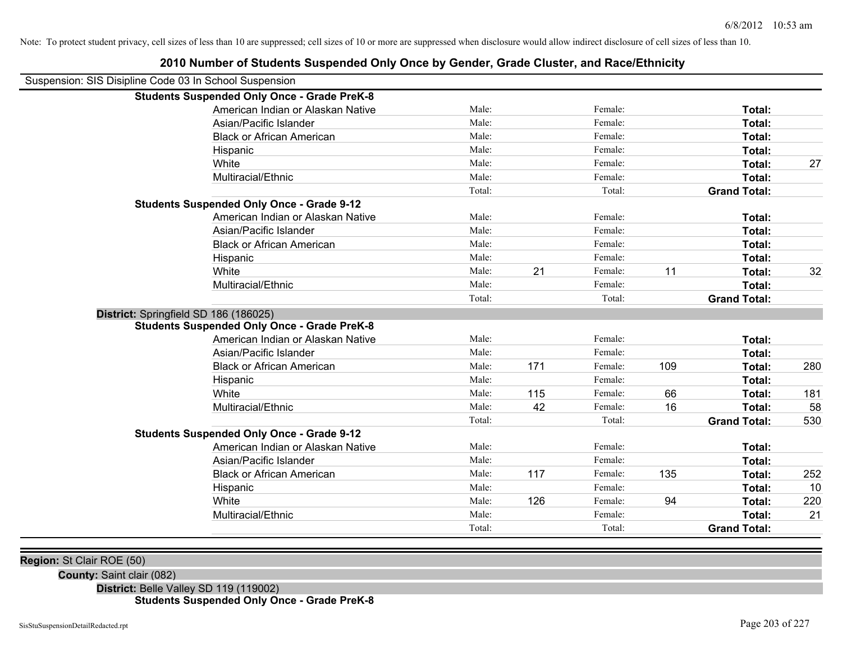| <b>Students Suspended Only Once - Grade PreK-8</b><br>American Indian or Alaskan Native<br>Male:<br>Female:<br>Total:<br>Male:<br>Female:<br>Asian/Pacific Islander<br>Total:<br>Male:<br>Female:<br><b>Black or African American</b><br>Total:<br>Male:<br>Female:<br>Total:<br>Hispanic<br>Male:<br>Female:<br>White<br>Total:<br>Male:<br>Female:<br>Multiracial/Ethnic<br>Total:<br>Total:<br>Total:<br><b>Grand Total:</b><br><b>Students Suspended Only Once - Grade 9-12</b><br>American Indian or Alaskan Native<br>Male:<br>Female:<br>Total:<br>Male:<br>Female:<br>Asian/Pacific Islander<br>Total:<br>Male:<br>Female:<br>Total:<br><b>Black or African American</b><br>Male:<br>Female:<br>Total:<br>Hispanic<br>21<br>Male:<br>Female:<br>11<br>White<br>Total:<br>Male:<br>Female:<br>Total:<br>Multiracial/Ethnic<br>Total:<br>Total:<br><b>Grand Total:</b><br>District: Springfield SD 186 (186025)<br><b>Students Suspended Only Once - Grade PreK-8</b><br>American Indian or Alaskan Native<br>Male:<br>Female:<br>Total:<br>Asian/Pacific Islander<br>Male:<br>Female:<br>Total:<br>171<br>Female:<br>109<br><b>Black or African American</b><br>Male:<br>Total:<br>Female:<br>Male:<br>Total:<br>Hispanic<br>115<br>66<br>White<br>Male:<br>Female:<br>Total:<br>Multiracial/Ethnic<br>Male:<br>42<br>Female:<br>16<br>Total:<br>Total:<br>Total:<br><b>Grand Total:</b><br><b>Students Suspended Only Once - Grade 9-12</b><br>American Indian or Alaskan Native<br>Male:<br>Female:<br>Total:<br>Male:<br>Female:<br>Asian/Pacific Islander<br>Total:<br>117<br>135<br>Female:<br><b>Black or African American</b><br>Male:<br>Total:<br>Female:<br>Male:<br>Total:<br>Hispanic<br>126<br>94<br>White<br>Male:<br>Female:<br>Total:<br>Multiracial/Ethnic<br>Male:<br>Female:<br>Total:<br>Total:<br>Total:<br><b>Grand Total:</b> | Suspension: SIS Disipline Code 03 In School Suspension |  |  |  |     |
|-------------------------------------------------------------------------------------------------------------------------------------------------------------------------------------------------------------------------------------------------------------------------------------------------------------------------------------------------------------------------------------------------------------------------------------------------------------------------------------------------------------------------------------------------------------------------------------------------------------------------------------------------------------------------------------------------------------------------------------------------------------------------------------------------------------------------------------------------------------------------------------------------------------------------------------------------------------------------------------------------------------------------------------------------------------------------------------------------------------------------------------------------------------------------------------------------------------------------------------------------------------------------------------------------------------------------------------------------------------------------------------------------------------------------------------------------------------------------------------------------------------------------------------------------------------------------------------------------------------------------------------------------------------------------------------------------------------------------------------------------------------------------------------------------------------------------------------------------------------|--------------------------------------------------------|--|--|--|-----|
|                                                                                                                                                                                                                                                                                                                                                                                                                                                                                                                                                                                                                                                                                                                                                                                                                                                                                                                                                                                                                                                                                                                                                                                                                                                                                                                                                                                                                                                                                                                                                                                                                                                                                                                                                                                                                                                             |                                                        |  |  |  |     |
|                                                                                                                                                                                                                                                                                                                                                                                                                                                                                                                                                                                                                                                                                                                                                                                                                                                                                                                                                                                                                                                                                                                                                                                                                                                                                                                                                                                                                                                                                                                                                                                                                                                                                                                                                                                                                                                             |                                                        |  |  |  |     |
|                                                                                                                                                                                                                                                                                                                                                                                                                                                                                                                                                                                                                                                                                                                                                                                                                                                                                                                                                                                                                                                                                                                                                                                                                                                                                                                                                                                                                                                                                                                                                                                                                                                                                                                                                                                                                                                             |                                                        |  |  |  |     |
|                                                                                                                                                                                                                                                                                                                                                                                                                                                                                                                                                                                                                                                                                                                                                                                                                                                                                                                                                                                                                                                                                                                                                                                                                                                                                                                                                                                                                                                                                                                                                                                                                                                                                                                                                                                                                                                             |                                                        |  |  |  |     |
|                                                                                                                                                                                                                                                                                                                                                                                                                                                                                                                                                                                                                                                                                                                                                                                                                                                                                                                                                                                                                                                                                                                                                                                                                                                                                                                                                                                                                                                                                                                                                                                                                                                                                                                                                                                                                                                             |                                                        |  |  |  |     |
|                                                                                                                                                                                                                                                                                                                                                                                                                                                                                                                                                                                                                                                                                                                                                                                                                                                                                                                                                                                                                                                                                                                                                                                                                                                                                                                                                                                                                                                                                                                                                                                                                                                                                                                                                                                                                                                             |                                                        |  |  |  | 27  |
|                                                                                                                                                                                                                                                                                                                                                                                                                                                                                                                                                                                                                                                                                                                                                                                                                                                                                                                                                                                                                                                                                                                                                                                                                                                                                                                                                                                                                                                                                                                                                                                                                                                                                                                                                                                                                                                             |                                                        |  |  |  |     |
|                                                                                                                                                                                                                                                                                                                                                                                                                                                                                                                                                                                                                                                                                                                                                                                                                                                                                                                                                                                                                                                                                                                                                                                                                                                                                                                                                                                                                                                                                                                                                                                                                                                                                                                                                                                                                                                             |                                                        |  |  |  |     |
|                                                                                                                                                                                                                                                                                                                                                                                                                                                                                                                                                                                                                                                                                                                                                                                                                                                                                                                                                                                                                                                                                                                                                                                                                                                                                                                                                                                                                                                                                                                                                                                                                                                                                                                                                                                                                                                             |                                                        |  |  |  |     |
|                                                                                                                                                                                                                                                                                                                                                                                                                                                                                                                                                                                                                                                                                                                                                                                                                                                                                                                                                                                                                                                                                                                                                                                                                                                                                                                                                                                                                                                                                                                                                                                                                                                                                                                                                                                                                                                             |                                                        |  |  |  |     |
|                                                                                                                                                                                                                                                                                                                                                                                                                                                                                                                                                                                                                                                                                                                                                                                                                                                                                                                                                                                                                                                                                                                                                                                                                                                                                                                                                                                                                                                                                                                                                                                                                                                                                                                                                                                                                                                             |                                                        |  |  |  |     |
|                                                                                                                                                                                                                                                                                                                                                                                                                                                                                                                                                                                                                                                                                                                                                                                                                                                                                                                                                                                                                                                                                                                                                                                                                                                                                                                                                                                                                                                                                                                                                                                                                                                                                                                                                                                                                                                             |                                                        |  |  |  |     |
|                                                                                                                                                                                                                                                                                                                                                                                                                                                                                                                                                                                                                                                                                                                                                                                                                                                                                                                                                                                                                                                                                                                                                                                                                                                                                                                                                                                                                                                                                                                                                                                                                                                                                                                                                                                                                                                             |                                                        |  |  |  |     |
|                                                                                                                                                                                                                                                                                                                                                                                                                                                                                                                                                                                                                                                                                                                                                                                                                                                                                                                                                                                                                                                                                                                                                                                                                                                                                                                                                                                                                                                                                                                                                                                                                                                                                                                                                                                                                                                             |                                                        |  |  |  | 32  |
|                                                                                                                                                                                                                                                                                                                                                                                                                                                                                                                                                                                                                                                                                                                                                                                                                                                                                                                                                                                                                                                                                                                                                                                                                                                                                                                                                                                                                                                                                                                                                                                                                                                                                                                                                                                                                                                             |                                                        |  |  |  |     |
|                                                                                                                                                                                                                                                                                                                                                                                                                                                                                                                                                                                                                                                                                                                                                                                                                                                                                                                                                                                                                                                                                                                                                                                                                                                                                                                                                                                                                                                                                                                                                                                                                                                                                                                                                                                                                                                             |                                                        |  |  |  |     |
|                                                                                                                                                                                                                                                                                                                                                                                                                                                                                                                                                                                                                                                                                                                                                                                                                                                                                                                                                                                                                                                                                                                                                                                                                                                                                                                                                                                                                                                                                                                                                                                                                                                                                                                                                                                                                                                             |                                                        |  |  |  |     |
|                                                                                                                                                                                                                                                                                                                                                                                                                                                                                                                                                                                                                                                                                                                                                                                                                                                                                                                                                                                                                                                                                                                                                                                                                                                                                                                                                                                                                                                                                                                                                                                                                                                                                                                                                                                                                                                             |                                                        |  |  |  |     |
|                                                                                                                                                                                                                                                                                                                                                                                                                                                                                                                                                                                                                                                                                                                                                                                                                                                                                                                                                                                                                                                                                                                                                                                                                                                                                                                                                                                                                                                                                                                                                                                                                                                                                                                                                                                                                                                             |                                                        |  |  |  |     |
|                                                                                                                                                                                                                                                                                                                                                                                                                                                                                                                                                                                                                                                                                                                                                                                                                                                                                                                                                                                                                                                                                                                                                                                                                                                                                                                                                                                                                                                                                                                                                                                                                                                                                                                                                                                                                                                             |                                                        |  |  |  |     |
|                                                                                                                                                                                                                                                                                                                                                                                                                                                                                                                                                                                                                                                                                                                                                                                                                                                                                                                                                                                                                                                                                                                                                                                                                                                                                                                                                                                                                                                                                                                                                                                                                                                                                                                                                                                                                                                             |                                                        |  |  |  | 280 |
|                                                                                                                                                                                                                                                                                                                                                                                                                                                                                                                                                                                                                                                                                                                                                                                                                                                                                                                                                                                                                                                                                                                                                                                                                                                                                                                                                                                                                                                                                                                                                                                                                                                                                                                                                                                                                                                             |                                                        |  |  |  |     |
|                                                                                                                                                                                                                                                                                                                                                                                                                                                                                                                                                                                                                                                                                                                                                                                                                                                                                                                                                                                                                                                                                                                                                                                                                                                                                                                                                                                                                                                                                                                                                                                                                                                                                                                                                                                                                                                             |                                                        |  |  |  | 181 |
|                                                                                                                                                                                                                                                                                                                                                                                                                                                                                                                                                                                                                                                                                                                                                                                                                                                                                                                                                                                                                                                                                                                                                                                                                                                                                                                                                                                                                                                                                                                                                                                                                                                                                                                                                                                                                                                             |                                                        |  |  |  | 58  |
|                                                                                                                                                                                                                                                                                                                                                                                                                                                                                                                                                                                                                                                                                                                                                                                                                                                                                                                                                                                                                                                                                                                                                                                                                                                                                                                                                                                                                                                                                                                                                                                                                                                                                                                                                                                                                                                             |                                                        |  |  |  | 530 |
|                                                                                                                                                                                                                                                                                                                                                                                                                                                                                                                                                                                                                                                                                                                                                                                                                                                                                                                                                                                                                                                                                                                                                                                                                                                                                                                                                                                                                                                                                                                                                                                                                                                                                                                                                                                                                                                             |                                                        |  |  |  |     |
|                                                                                                                                                                                                                                                                                                                                                                                                                                                                                                                                                                                                                                                                                                                                                                                                                                                                                                                                                                                                                                                                                                                                                                                                                                                                                                                                                                                                                                                                                                                                                                                                                                                                                                                                                                                                                                                             |                                                        |  |  |  |     |
|                                                                                                                                                                                                                                                                                                                                                                                                                                                                                                                                                                                                                                                                                                                                                                                                                                                                                                                                                                                                                                                                                                                                                                                                                                                                                                                                                                                                                                                                                                                                                                                                                                                                                                                                                                                                                                                             |                                                        |  |  |  |     |
|                                                                                                                                                                                                                                                                                                                                                                                                                                                                                                                                                                                                                                                                                                                                                                                                                                                                                                                                                                                                                                                                                                                                                                                                                                                                                                                                                                                                                                                                                                                                                                                                                                                                                                                                                                                                                                                             |                                                        |  |  |  | 252 |
|                                                                                                                                                                                                                                                                                                                                                                                                                                                                                                                                                                                                                                                                                                                                                                                                                                                                                                                                                                                                                                                                                                                                                                                                                                                                                                                                                                                                                                                                                                                                                                                                                                                                                                                                                                                                                                                             |                                                        |  |  |  | 10  |
|                                                                                                                                                                                                                                                                                                                                                                                                                                                                                                                                                                                                                                                                                                                                                                                                                                                                                                                                                                                                                                                                                                                                                                                                                                                                                                                                                                                                                                                                                                                                                                                                                                                                                                                                                                                                                                                             |                                                        |  |  |  | 220 |
|                                                                                                                                                                                                                                                                                                                                                                                                                                                                                                                                                                                                                                                                                                                                                                                                                                                                                                                                                                                                                                                                                                                                                                                                                                                                                                                                                                                                                                                                                                                                                                                                                                                                                                                                                                                                                                                             |                                                        |  |  |  | 21  |
|                                                                                                                                                                                                                                                                                                                                                                                                                                                                                                                                                                                                                                                                                                                                                                                                                                                                                                                                                                                                                                                                                                                                                                                                                                                                                                                                                                                                                                                                                                                                                                                                                                                                                                                                                                                                                                                             |                                                        |  |  |  |     |

**2010 Number of Students Suspended Only Once by Gender, Grade Cluster, and Race/Ethnicity**

**Region:** St Clair ROE (50)

**County:** Saint clair (082)

**District:** Belle Valley SD 119 (119002)

# **Students Suspended Only Once - Grade PreK-8**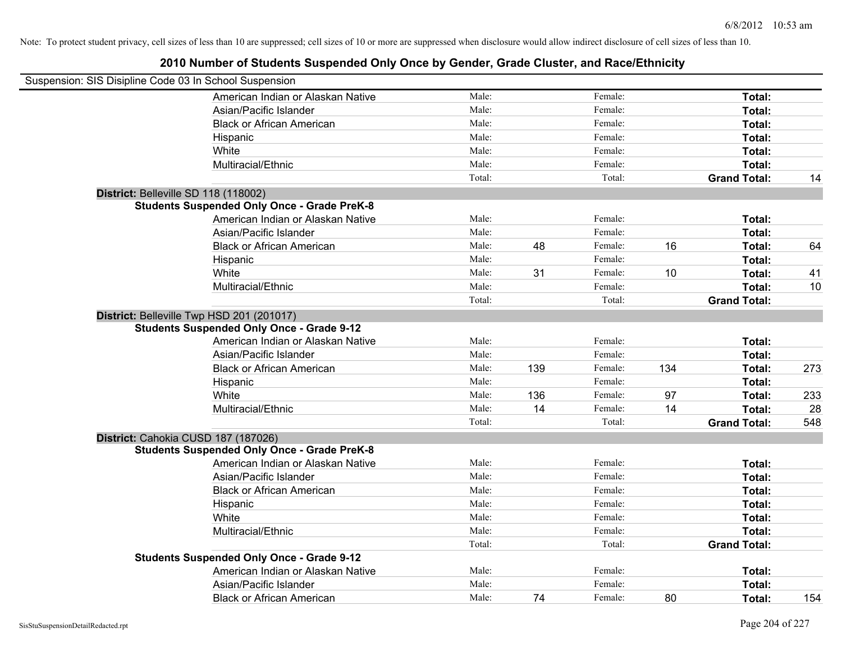| Suspension: SIS Disipline Code 03 In School Suspension |        |     |         |     |                     |     |
|--------------------------------------------------------|--------|-----|---------|-----|---------------------|-----|
| American Indian or Alaskan Native                      | Male:  |     | Female: |     | Total:              |     |
| Asian/Pacific Islander                                 | Male:  |     | Female: |     | Total:              |     |
| <b>Black or African American</b>                       | Male:  |     | Female: |     | Total:              |     |
| Hispanic                                               | Male:  |     | Female: |     | Total:              |     |
| White                                                  | Male:  |     | Female: |     | Total:              |     |
| Multiracial/Ethnic                                     | Male:  |     | Female: |     | Total:              |     |
|                                                        | Total: |     | Total:  |     | <b>Grand Total:</b> | 14  |
| District: Belleville SD 118 (118002)                   |        |     |         |     |                     |     |
| <b>Students Suspended Only Once - Grade PreK-8</b>     |        |     |         |     |                     |     |
| American Indian or Alaskan Native                      | Male:  |     | Female: |     | Total:              |     |
| Asian/Pacific Islander                                 | Male:  |     | Female: |     | Total:              |     |
| <b>Black or African American</b>                       | Male:  | 48  | Female: | 16  | Total:              | 64  |
| Hispanic                                               | Male:  |     | Female: |     | Total:              |     |
| White                                                  | Male:  | 31  | Female: | 10  | Total:              | 41  |
| Multiracial/Ethnic                                     | Male:  |     | Female: |     | Total:              | 10  |
|                                                        | Total: |     | Total:  |     | <b>Grand Total:</b> |     |
| District: Belleville Twp HSD 201 (201017)              |        |     |         |     |                     |     |
| <b>Students Suspended Only Once - Grade 9-12</b>       |        |     |         |     |                     |     |
| American Indian or Alaskan Native                      | Male:  |     | Female: |     | Total:              |     |
| Asian/Pacific Islander                                 | Male:  |     | Female: |     | Total:              |     |
| <b>Black or African American</b>                       | Male:  | 139 | Female: | 134 | Total:              | 273 |
| Hispanic                                               | Male:  |     | Female: |     | Total:              |     |
| White                                                  | Male:  | 136 | Female: | 97  | Total:              | 233 |
| Multiracial/Ethnic                                     | Male:  | 14  | Female: | 14  | Total:              | 28  |
|                                                        | Total: |     | Total:  |     | <b>Grand Total:</b> | 548 |
| District: Cahokia CUSD 187 (187026)                    |        |     |         |     |                     |     |
| <b>Students Suspended Only Once - Grade PreK-8</b>     |        |     |         |     |                     |     |
| American Indian or Alaskan Native                      | Male:  |     | Female: |     | Total:              |     |
| Asian/Pacific Islander                                 | Male:  |     | Female: |     | Total:              |     |
| <b>Black or African American</b>                       | Male:  |     | Female: |     | Total:              |     |
| Hispanic                                               | Male:  |     | Female: |     | Total:              |     |
| White                                                  | Male:  |     | Female: |     | Total:              |     |
| Multiracial/Ethnic                                     | Male:  |     | Female: |     | Total:              |     |
|                                                        | Total: |     | Total:  |     | <b>Grand Total:</b> |     |
| <b>Students Suspended Only Once - Grade 9-12</b>       |        |     |         |     |                     |     |
| American Indian or Alaskan Native                      | Male:  |     | Female: |     | Total:              |     |
| Asian/Pacific Islander                                 | Male:  |     | Female: |     | Total:              |     |
| <b>Black or African American</b>                       | Male:  | 74  | Female: | 80  | Total:              | 154 |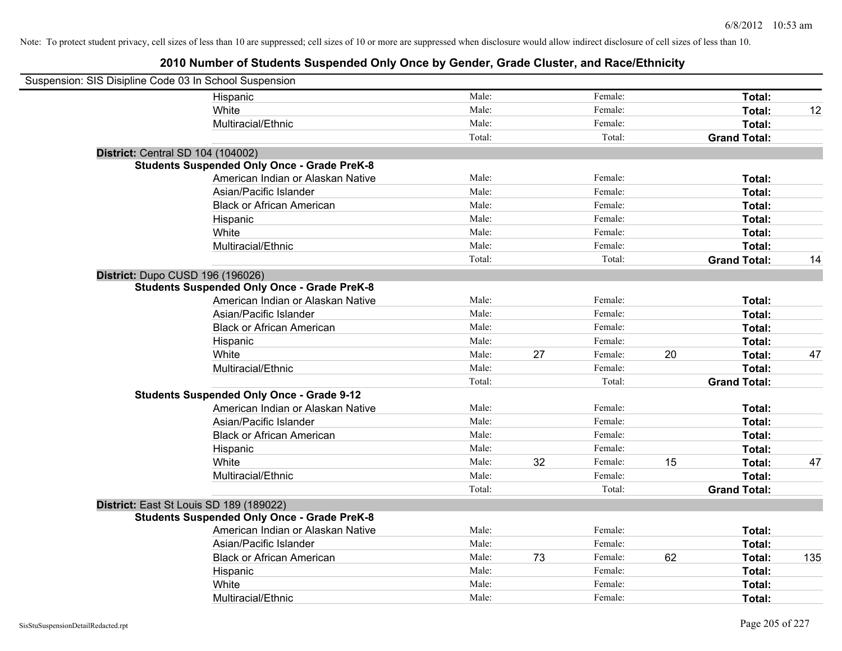| Suspension: SIS Disipline Code 03 In School Suspension |                                                    |        |    |         |    |                     |     |
|--------------------------------------------------------|----------------------------------------------------|--------|----|---------|----|---------------------|-----|
|                                                        | Hispanic                                           | Male:  |    | Female: |    | Total:              |     |
|                                                        | White                                              | Male:  |    | Female: |    | Total:              | 12  |
|                                                        | Multiracial/Ethnic                                 | Male:  |    | Female: |    | Total:              |     |
|                                                        |                                                    | Total: |    | Total:  |    | <b>Grand Total:</b> |     |
| District: Central SD 104 (104002)                      |                                                    |        |    |         |    |                     |     |
|                                                        | <b>Students Suspended Only Once - Grade PreK-8</b> |        |    |         |    |                     |     |
|                                                        | American Indian or Alaskan Native                  | Male:  |    | Female: |    | Total:              |     |
|                                                        | Asian/Pacific Islander                             | Male:  |    | Female: |    | Total:              |     |
|                                                        | <b>Black or African American</b>                   | Male:  |    | Female: |    | Total:              |     |
|                                                        | Hispanic                                           | Male:  |    | Female: |    | Total:              |     |
|                                                        | White                                              | Male:  |    | Female: |    | Total:              |     |
|                                                        | Multiracial/Ethnic                                 | Male:  |    | Female: |    | Total:              |     |
|                                                        |                                                    | Total: |    | Total:  |    | <b>Grand Total:</b> | 14  |
| District: Dupo CUSD 196 (196026)                       |                                                    |        |    |         |    |                     |     |
|                                                        | <b>Students Suspended Only Once - Grade PreK-8</b> |        |    |         |    |                     |     |
|                                                        | American Indian or Alaskan Native                  | Male:  |    | Female: |    | Total:              |     |
|                                                        | Asian/Pacific Islander                             | Male:  |    | Female: |    | Total:              |     |
|                                                        | <b>Black or African American</b>                   | Male:  |    | Female: |    | Total:              |     |
|                                                        | Hispanic                                           | Male:  |    | Female: |    | Total:              |     |
|                                                        | White                                              | Male:  | 27 | Female: | 20 | Total:              | 47  |
|                                                        | Multiracial/Ethnic                                 | Male:  |    | Female: |    | Total:              |     |
|                                                        |                                                    | Total: |    | Total:  |    | <b>Grand Total:</b> |     |
|                                                        | <b>Students Suspended Only Once - Grade 9-12</b>   |        |    |         |    |                     |     |
|                                                        | American Indian or Alaskan Native                  | Male:  |    | Female: |    | Total:              |     |
|                                                        | Asian/Pacific Islander                             | Male:  |    | Female: |    | Total:              |     |
|                                                        | <b>Black or African American</b>                   | Male:  |    | Female: |    | Total:              |     |
|                                                        | Hispanic                                           | Male:  |    | Female: |    | Total:              |     |
|                                                        | White                                              | Male:  | 32 | Female: | 15 | Total:              | 47  |
|                                                        | Multiracial/Ethnic                                 | Male:  |    | Female: |    | Total:              |     |
|                                                        |                                                    | Total: |    | Total:  |    | <b>Grand Total:</b> |     |
| District: East St Louis SD 189 (189022)                |                                                    |        |    |         |    |                     |     |
|                                                        | <b>Students Suspended Only Once - Grade PreK-8</b> |        |    |         |    |                     |     |
|                                                        | American Indian or Alaskan Native                  | Male:  |    | Female: |    | Total:              |     |
|                                                        | Asian/Pacific Islander                             | Male:  |    | Female: |    | Total:              |     |
|                                                        | <b>Black or African American</b>                   | Male:  | 73 | Female: | 62 | Total:              | 135 |
|                                                        | Hispanic                                           | Male:  |    | Female: |    | Total:              |     |
|                                                        | White                                              | Male:  |    | Female: |    | Total:              |     |
|                                                        | Multiracial/Ethnic                                 | Male:  |    | Female: |    | Total:              |     |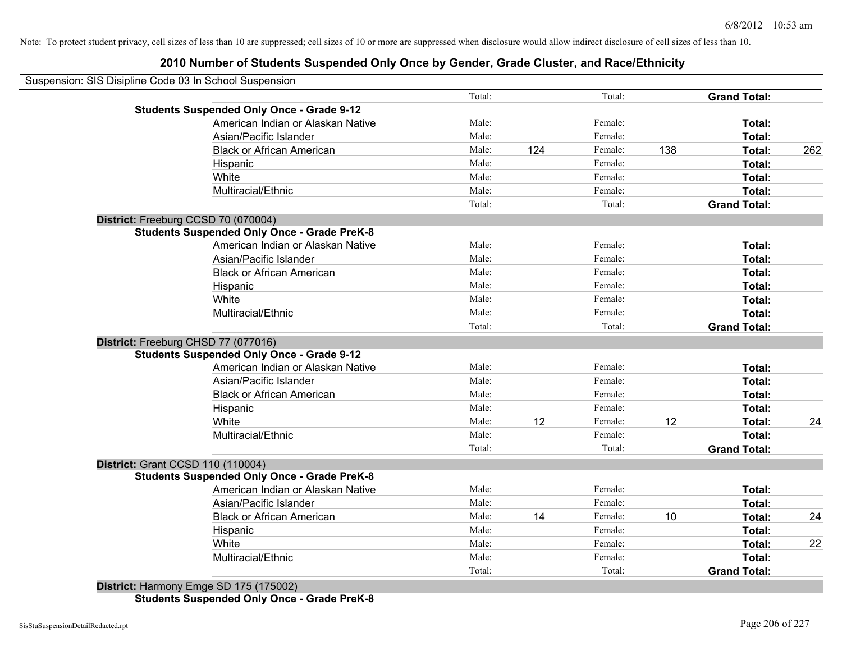## **2010 Number of Students Suspended Only Once by Gender, Grade Cluster, and Race/Ethnicity**

| Suspension: SIS Disipline Code 03 In School Suspension |        |     |         |     |                     |     |
|--------------------------------------------------------|--------|-----|---------|-----|---------------------|-----|
|                                                        | Total: |     | Total:  |     | <b>Grand Total:</b> |     |
| <b>Students Suspended Only Once - Grade 9-12</b>       |        |     |         |     |                     |     |
| American Indian or Alaskan Native                      | Male:  |     | Female: |     | Total:              |     |
| Asian/Pacific Islander                                 | Male:  |     | Female: |     | Total:              |     |
| <b>Black or African American</b>                       | Male:  | 124 | Female: | 138 | Total:              | 262 |
| Hispanic                                               | Male:  |     | Female: |     | Total:              |     |
| White                                                  | Male:  |     | Female: |     | Total:              |     |
| Multiracial/Ethnic                                     | Male:  |     | Female: |     | Total:              |     |
|                                                        | Total: |     | Total:  |     | <b>Grand Total:</b> |     |
| District: Freeburg CCSD 70 (070004)                    |        |     |         |     |                     |     |
| <b>Students Suspended Only Once - Grade PreK-8</b>     |        |     |         |     |                     |     |
| American Indian or Alaskan Native                      | Male:  |     | Female: |     | Total:              |     |
| Asian/Pacific Islander                                 | Male:  |     | Female: |     | Total:              |     |
| <b>Black or African American</b>                       | Male:  |     | Female: |     | Total:              |     |
| Hispanic                                               | Male:  |     | Female: |     | Total:              |     |
| White                                                  | Male:  |     | Female: |     | Total:              |     |
| Multiracial/Ethnic                                     | Male:  |     | Female: |     | Total:              |     |
|                                                        | Total: |     | Total:  |     | <b>Grand Total:</b> |     |
| District: Freeburg CHSD 77 (077016)                    |        |     |         |     |                     |     |
| <b>Students Suspended Only Once - Grade 9-12</b>       |        |     |         |     |                     |     |
| American Indian or Alaskan Native                      | Male:  |     | Female: |     | Total:              |     |
| Asian/Pacific Islander                                 | Male:  |     | Female: |     | Total:              |     |
| <b>Black or African American</b>                       | Male:  |     | Female: |     | Total:              |     |
| Hispanic                                               | Male:  |     | Female: |     | Total:              |     |
| White                                                  | Male:  | 12  | Female: | 12  | Total:              | 24  |
| Multiracial/Ethnic                                     | Male:  |     | Female: |     | Total:              |     |
|                                                        | Total: |     | Total:  |     | <b>Grand Total:</b> |     |
| <b>District: Grant CCSD 110 (110004)</b>               |        |     |         |     |                     |     |
| <b>Students Suspended Only Once - Grade PreK-8</b>     |        |     |         |     |                     |     |
| American Indian or Alaskan Native                      | Male:  |     | Female: |     | Total:              |     |
| Asian/Pacific Islander                                 | Male:  |     | Female: |     | Total:              |     |
| <b>Black or African American</b>                       | Male:  | 14  | Female: | 10  | Total:              | 24  |
| Hispanic                                               | Male:  |     | Female: |     | Total:              |     |
| White                                                  | Male:  |     | Female: |     | Total:              | 22  |
| Multiracial/Ethnic                                     | Male:  |     | Female: |     | Total:              |     |
|                                                        | Total: |     | Total:  |     | <b>Grand Total:</b> |     |
| District: Harmony Emge SD 175 (175002)                 |        |     |         |     |                     |     |

**Students Suspended Only Once - Grade PreK-8**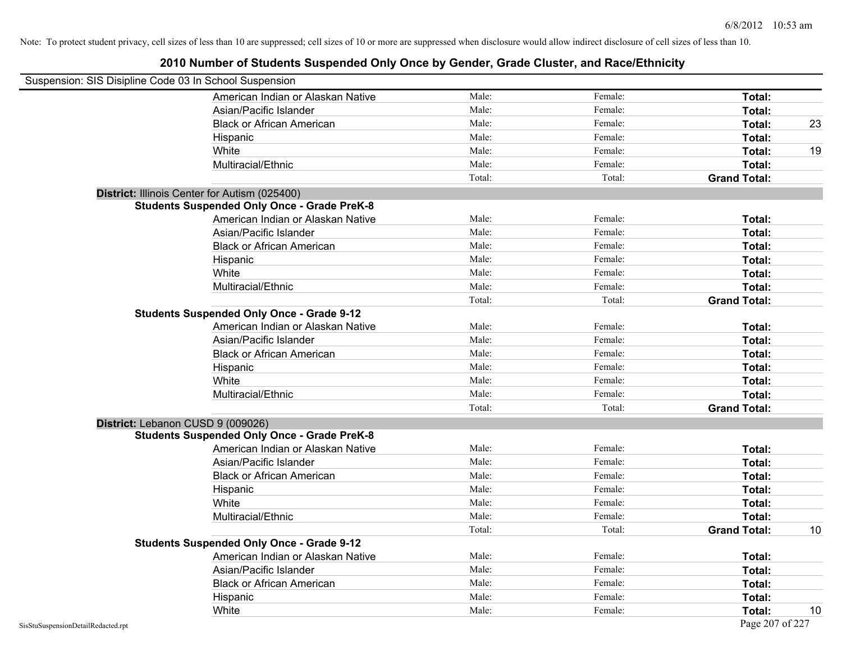| Suspension: SIS Disipline Code 03 In School Suspension |                                                    |        |         |                     |    |
|--------------------------------------------------------|----------------------------------------------------|--------|---------|---------------------|----|
|                                                        | American Indian or Alaskan Native                  | Male:  | Female: | Total:              |    |
|                                                        | Asian/Pacific Islander                             | Male:  | Female: | Total:              |    |
|                                                        | <b>Black or African American</b>                   | Male:  | Female: | Total:              | 23 |
|                                                        | Hispanic                                           | Male:  | Female: | Total:              |    |
|                                                        | White                                              | Male:  | Female: | Total:              | 19 |
|                                                        | Multiracial/Ethnic                                 | Male:  | Female: | Total:              |    |
|                                                        |                                                    | Total: | Total:  | <b>Grand Total:</b> |    |
|                                                        | District: Illinois Center for Autism (025400)      |        |         |                     |    |
|                                                        | <b>Students Suspended Only Once - Grade PreK-8</b> |        |         |                     |    |
|                                                        | American Indian or Alaskan Native                  | Male:  | Female: | Total:              |    |
|                                                        | Asian/Pacific Islander                             | Male:  | Female: | Total:              |    |
|                                                        | <b>Black or African American</b>                   | Male:  | Female: | Total:              |    |
|                                                        | Hispanic                                           | Male:  | Female: | Total:              |    |
|                                                        | White                                              | Male:  | Female: | Total:              |    |
|                                                        | Multiracial/Ethnic                                 | Male:  | Female: | Total:              |    |
|                                                        |                                                    | Total: | Total:  | <b>Grand Total:</b> |    |
|                                                        | <b>Students Suspended Only Once - Grade 9-12</b>   |        |         |                     |    |
|                                                        | American Indian or Alaskan Native                  | Male:  | Female: | Total:              |    |
|                                                        | Asian/Pacific Islander                             | Male:  | Female: | Total:              |    |
|                                                        | <b>Black or African American</b>                   | Male:  | Female: | Total:              |    |
|                                                        | Hispanic                                           | Male:  | Female: | Total:              |    |
|                                                        | White                                              | Male:  | Female: | Total:              |    |
|                                                        | Multiracial/Ethnic                                 | Male:  | Female: | Total:              |    |
|                                                        |                                                    | Total: | Total:  | <b>Grand Total:</b> |    |
| District: Lebanon CUSD 9 (009026)                      |                                                    |        |         |                     |    |
|                                                        | <b>Students Suspended Only Once - Grade PreK-8</b> |        |         |                     |    |
|                                                        | American Indian or Alaskan Native                  | Male:  | Female: | Total:              |    |
|                                                        | Asian/Pacific Islander                             | Male:  | Female: | Total:              |    |
|                                                        | <b>Black or African American</b>                   | Male:  | Female: | Total:              |    |
|                                                        | Hispanic                                           | Male:  | Female: | Total:              |    |
|                                                        | White                                              | Male:  | Female: | Total:              |    |
|                                                        | Multiracial/Ethnic                                 | Male:  | Female: | Total:              |    |
|                                                        |                                                    | Total: | Total:  | <b>Grand Total:</b> | 10 |
|                                                        | <b>Students Suspended Only Once - Grade 9-12</b>   |        |         |                     |    |
|                                                        | American Indian or Alaskan Native                  | Male:  | Female: | Total:              |    |
|                                                        | Asian/Pacific Islander                             | Male:  | Female: | Total:              |    |
|                                                        | <b>Black or African American</b>                   | Male:  | Female: | Total:              |    |
|                                                        | Hispanic                                           | Male:  | Female: | <b>Total:</b>       |    |
|                                                        | White                                              | Male:  | Female: | Total:              | 10 |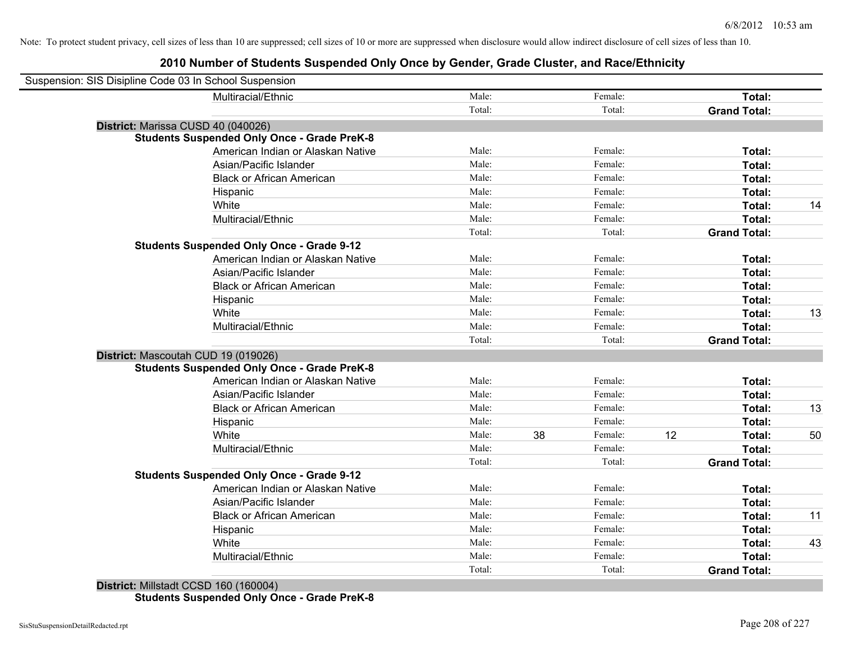| Suspension: SIS Disipline Code 03 In School Suspension |                                                    |        |    |         |                     |               |    |
|--------------------------------------------------------|----------------------------------------------------|--------|----|---------|---------------------|---------------|----|
|                                                        | Multiracial/Ethnic                                 | Male:  |    | Female: |                     | Total:        |    |
|                                                        |                                                    | Total: |    | Total:  | <b>Grand Total:</b> |               |    |
| District: Marissa CUSD 40 (040026)                     |                                                    |        |    |         |                     |               |    |
|                                                        | <b>Students Suspended Only Once - Grade PreK-8</b> |        |    |         |                     |               |    |
|                                                        | American Indian or Alaskan Native                  | Male:  |    | Female: |                     | Total:        |    |
|                                                        | Asian/Pacific Islander                             | Male:  |    | Female: |                     | Total:        |    |
|                                                        | <b>Black or African American</b>                   | Male:  |    | Female: |                     | Total:        |    |
|                                                        | Hispanic                                           | Male:  |    | Female: |                     | Total:        |    |
|                                                        | White                                              | Male:  |    | Female: |                     | Total:        | 14 |
|                                                        | Multiracial/Ethnic                                 | Male:  |    | Female: |                     | Total:        |    |
|                                                        |                                                    | Total: |    | Total:  | <b>Grand Total:</b> |               |    |
|                                                        | <b>Students Suspended Only Once - Grade 9-12</b>   |        |    |         |                     |               |    |
|                                                        | American Indian or Alaskan Native                  | Male:  |    | Female: |                     | Total:        |    |
|                                                        | Asian/Pacific Islander                             | Male:  |    | Female: |                     | Total:        |    |
|                                                        | <b>Black or African American</b>                   | Male:  |    | Female: |                     | Total:        |    |
|                                                        | Hispanic                                           | Male:  |    | Female: |                     | Total:        |    |
|                                                        | White                                              | Male:  |    | Female: |                     | <b>Total:</b> | 13 |
|                                                        | Multiracial/Ethnic                                 | Male:  |    | Female: |                     | <b>Total:</b> |    |
|                                                        |                                                    | Total: |    | Total:  | <b>Grand Total:</b> |               |    |
| District: Mascoutah CUD 19 (019026)                    |                                                    |        |    |         |                     |               |    |
|                                                        | <b>Students Suspended Only Once - Grade PreK-8</b> |        |    |         |                     |               |    |
|                                                        | American Indian or Alaskan Native                  | Male:  |    | Female: |                     | Total:        |    |
|                                                        | Asian/Pacific Islander                             | Male:  |    | Female: |                     | Total:        |    |
|                                                        | <b>Black or African American</b>                   | Male:  |    | Female: |                     | Total:        | 13 |
|                                                        | Hispanic                                           | Male:  |    | Female: |                     | Total:        |    |
|                                                        | White                                              | Male:  | 38 | Female: | 12                  | Total:        | 50 |
|                                                        | Multiracial/Ethnic                                 | Male:  |    | Female: |                     | <b>Total:</b> |    |
|                                                        |                                                    | Total: |    | Total:  | <b>Grand Total:</b> |               |    |
|                                                        | <b>Students Suspended Only Once - Grade 9-12</b>   |        |    |         |                     |               |    |
|                                                        | American Indian or Alaskan Native                  | Male:  |    | Female: |                     | Total:        |    |
|                                                        | Asian/Pacific Islander                             | Male:  |    | Female: |                     | Total:        |    |
|                                                        | <b>Black or African American</b>                   | Male:  |    | Female: |                     | Total:        | 11 |
|                                                        | Hispanic                                           | Male:  |    | Female: |                     | Total:        |    |
|                                                        | White                                              | Male:  |    | Female: |                     | Total:        | 43 |
|                                                        | Multiracial/Ethnic                                 | Male:  |    | Female: |                     | <b>Total:</b> |    |
|                                                        |                                                    | Total: |    | Total:  | <b>Grand Total:</b> |               |    |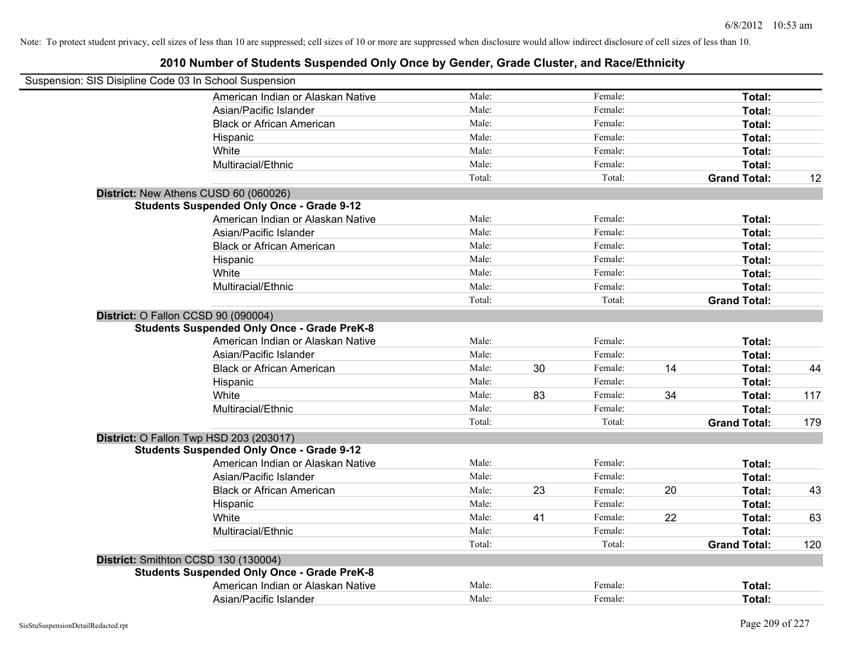| Suspension: SIS Disipline Code 03 In School Suspension                                    |        |    |         |    |                     |     |
|-------------------------------------------------------------------------------------------|--------|----|---------|----|---------------------|-----|
| American Indian or Alaskan Native                                                         | Male:  |    | Female: |    | Total:              |     |
| Asian/Pacific Islander                                                                    | Male:  |    | Female: |    | Total:              |     |
| <b>Black or African American</b>                                                          | Male:  |    | Female: |    | Total:              |     |
| Hispanic                                                                                  | Male:  |    | Female: |    | Total:              |     |
| White                                                                                     | Male:  |    | Female: |    | Total:              |     |
| Multiracial/Ethnic                                                                        | Male:  |    | Female: |    | Total:              |     |
|                                                                                           | Total: |    | Total:  |    | <b>Grand Total:</b> | 12  |
| District: New Athens CUSD 60 (060026)                                                     |        |    |         |    |                     |     |
| <b>Students Suspended Only Once - Grade 9-12</b>                                          |        |    |         |    |                     |     |
| American Indian or Alaskan Native                                                         | Male:  |    | Female: |    | Total:              |     |
| Asian/Pacific Islander                                                                    | Male:  |    | Female: |    | Total:              |     |
| <b>Black or African American</b>                                                          | Male:  |    | Female: |    | Total:              |     |
| Hispanic                                                                                  | Male:  |    | Female: |    | Total:              |     |
| White                                                                                     | Male:  |    | Female: |    | Total:              |     |
| Multiracial/Ethnic                                                                        | Male:  |    | Female: |    | Total:              |     |
|                                                                                           | Total: |    | Total:  |    | <b>Grand Total:</b> |     |
| District: O Fallon CCSD 90 (090004)<br><b>Students Suspended Only Once - Grade PreK-8</b> |        |    |         |    |                     |     |
| American Indian or Alaskan Native                                                         | Male:  |    | Female: |    | Total:              |     |
| Asian/Pacific Islander                                                                    | Male:  |    | Female: |    | Total:              |     |
| <b>Black or African American</b>                                                          | Male:  | 30 | Female: | 14 | Total:              | 44  |
| Hispanic                                                                                  | Male:  |    | Female: |    | Total:              |     |
| White                                                                                     | Male:  | 83 | Female: | 34 | Total:              | 117 |
| Multiracial/Ethnic                                                                        | Male:  |    | Female: |    | Total:              |     |
|                                                                                           | Total: |    | Total:  |    | <b>Grand Total:</b> | 179 |
| District: O Fallon Twp HSD 203 (203017)                                                   |        |    |         |    |                     |     |
| <b>Students Suspended Only Once - Grade 9-12</b>                                          |        |    |         |    |                     |     |
| American Indian or Alaskan Native                                                         | Male:  |    | Female: |    | Total:              |     |
| Asian/Pacific Islander                                                                    | Male:  |    | Female: |    | Total:              |     |
| <b>Black or African American</b>                                                          | Male:  | 23 | Female: | 20 | Total:              | 43  |
| Hispanic                                                                                  | Male:  |    | Female: |    | Total:              |     |
| White                                                                                     | Male:  | 41 | Female: | 22 | Total:              | 63  |
| Multiracial/Ethnic                                                                        | Male:  |    | Female: |    | <b>Total:</b>       |     |
|                                                                                           | Total: |    | Total:  |    | <b>Grand Total:</b> | 120 |
| District: Smithton CCSD 130 (130004)                                                      |        |    |         |    |                     |     |
| <b>Students Suspended Only Once - Grade PreK-8</b>                                        |        |    |         |    |                     |     |
| American Indian or Alaskan Native                                                         | Male:  |    | Female: |    | <b>Total:</b>       |     |
| Asian/Pacific Islander                                                                    | Male:  |    | Female: |    | Total:              |     |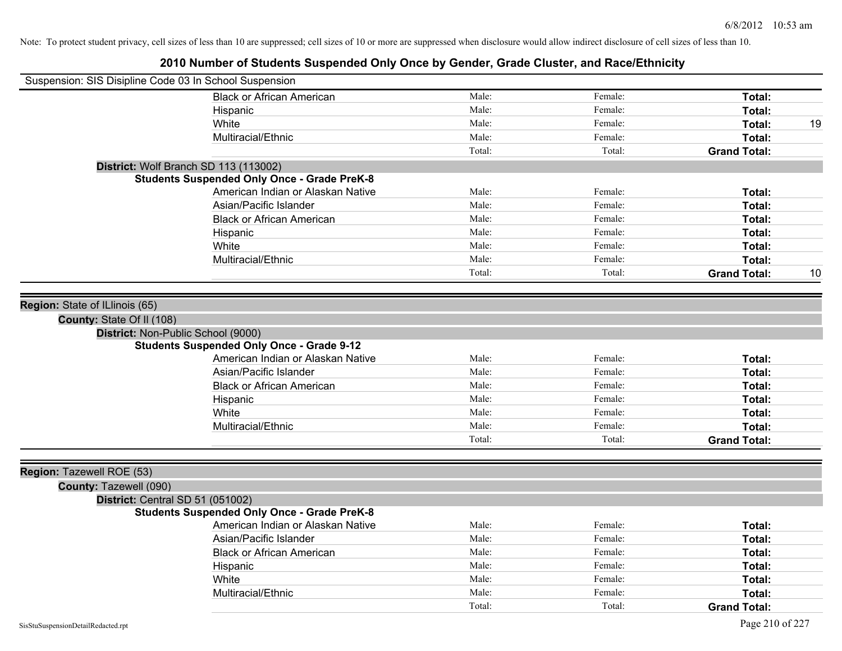| Suspension: SIS Disipline Code 03 In School Suspension |                                                    |        |         |                     |    |
|--------------------------------------------------------|----------------------------------------------------|--------|---------|---------------------|----|
|                                                        | <b>Black or African American</b>                   | Male:  | Female: | Total:              |    |
|                                                        | Hispanic                                           | Male:  | Female: | Total:              |    |
|                                                        | White                                              | Male:  | Female: | Total:              | 19 |
|                                                        | Multiracial/Ethnic                                 | Male:  | Female: | Total:              |    |
|                                                        |                                                    | Total: | Total:  | <b>Grand Total:</b> |    |
| District: Wolf Branch SD 113 (113002)                  |                                                    |        |         |                     |    |
|                                                        | <b>Students Suspended Only Once - Grade PreK-8</b> |        |         |                     |    |
|                                                        | American Indian or Alaskan Native                  | Male:  | Female: | Total:              |    |
|                                                        | Asian/Pacific Islander                             | Male:  | Female: | Total:              |    |
|                                                        | <b>Black or African American</b>                   | Male:  | Female: | Total:              |    |
|                                                        | Hispanic                                           | Male:  | Female: | <b>Total:</b>       |    |
|                                                        | White                                              | Male:  | Female: | Total:              |    |
|                                                        | Multiracial/Ethnic                                 | Male:  | Female: | <b>Total:</b>       |    |
|                                                        |                                                    | Total: | Total:  | <b>Grand Total:</b> | 10 |
|                                                        |                                                    |        |         |                     |    |
| Region: State of ILlinois (65)                         |                                                    |        |         |                     |    |
| County: State Of II (108)                              |                                                    |        |         |                     |    |
| District: Non-Public School (9000)                     |                                                    |        |         |                     |    |
|                                                        | <b>Students Suspended Only Once - Grade 9-12</b>   |        |         |                     |    |
|                                                        | American Indian or Alaskan Native                  | Male:  | Female: | Total:              |    |
|                                                        | Asian/Pacific Islander                             | Male:  | Female: | Total:              |    |
|                                                        | <b>Black or African American</b>                   | Male:  | Female: | <b>Total:</b>       |    |
|                                                        | Hispanic                                           | Male:  | Female: | Total:              |    |
|                                                        | White                                              | Male:  | Female: | <b>Total:</b>       |    |
|                                                        | Multiracial/Ethnic                                 | Male:  | Female: | Total:              |    |
|                                                        |                                                    | Total: | Total:  | <b>Grand Total:</b> |    |
|                                                        |                                                    |        |         |                     |    |
| Region: Tazewell ROE (53)                              |                                                    |        |         |                     |    |
| County: Tazewell (090)                                 |                                                    |        |         |                     |    |
| District: Central SD 51 (051002)                       |                                                    |        |         |                     |    |
|                                                        | <b>Students Suspended Only Once - Grade PreK-8</b> |        |         |                     |    |
|                                                        | American Indian or Alaskan Native                  | Male:  | Female: | Total:              |    |
|                                                        | Asian/Pacific Islander                             | Male:  | Female: | Total:              |    |
|                                                        | <b>Black or African American</b>                   | Male:  | Female: | Total:              |    |
|                                                        | Hispanic                                           | Male:  | Female: | Total:              |    |
|                                                        | White                                              | Male:  | Female: | <b>Total:</b>       |    |
|                                                        | Multiracial/Ethnic                                 | Male:  | Female: | <b>Total:</b>       |    |
|                                                        |                                                    | Total: | Total:  | <b>Grand Total:</b> |    |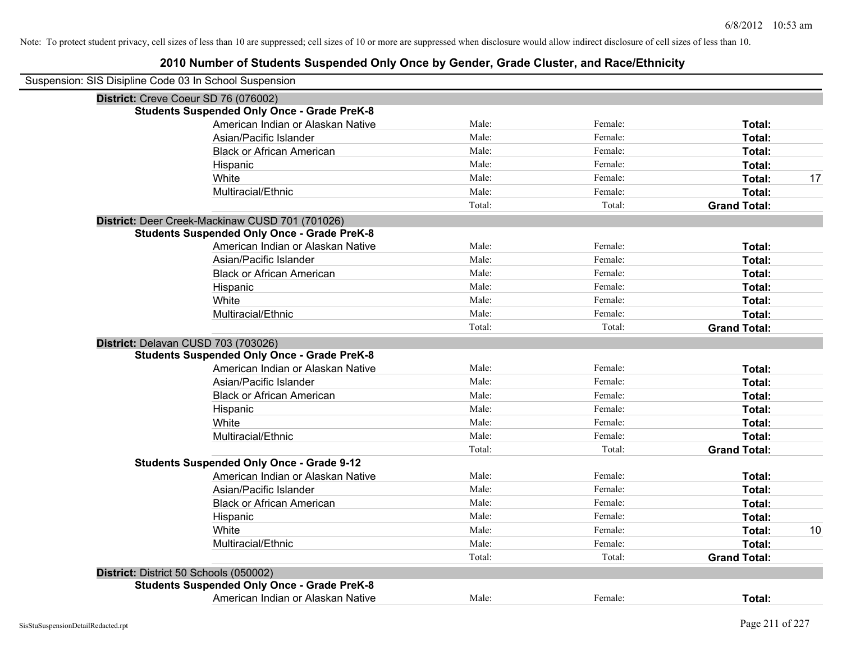| Suspension: SIS Disipline Code 03 In School Suspension |        |         |                     |    |
|--------------------------------------------------------|--------|---------|---------------------|----|
| District: Creve Coeur SD 76 (076002)                   |        |         |                     |    |
| <b>Students Suspended Only Once - Grade PreK-8</b>     |        |         |                     |    |
| American Indian or Alaskan Native                      | Male:  | Female: | Total:              |    |
| Asian/Pacific Islander                                 | Male:  | Female: | Total:              |    |
| <b>Black or African American</b>                       | Male:  | Female: | Total:              |    |
| Hispanic                                               | Male:  | Female: | Total:              |    |
| White                                                  | Male:  | Female: | Total:              | 17 |
| Multiracial/Ethnic                                     | Male:  | Female: | Total:              |    |
|                                                        | Total: | Total:  | <b>Grand Total:</b> |    |
| District: Deer Creek-Mackinaw CUSD 701 (701026)        |        |         |                     |    |
| <b>Students Suspended Only Once - Grade PreK-8</b>     |        |         |                     |    |
| American Indian or Alaskan Native                      | Male:  | Female: | Total:              |    |
| Asian/Pacific Islander                                 | Male:  | Female: | Total:              |    |
| <b>Black or African American</b>                       | Male:  | Female: | Total:              |    |
| Hispanic                                               | Male:  | Female: | Total:              |    |
| White                                                  | Male:  | Female: | Total:              |    |
| Multiracial/Ethnic                                     | Male:  | Female: | Total:              |    |
|                                                        | Total: | Total:  | <b>Grand Total:</b> |    |
| District: Delavan CUSD 703 (703026)                    |        |         |                     |    |
| <b>Students Suspended Only Once - Grade PreK-8</b>     |        |         |                     |    |
| American Indian or Alaskan Native                      | Male:  | Female: | Total:              |    |
| Asian/Pacific Islander                                 | Male:  | Female: | Total:              |    |
| <b>Black or African American</b>                       | Male:  | Female: | Total:              |    |
| Hispanic                                               | Male:  | Female: | Total:              |    |
| White                                                  | Male:  | Female: | Total:              |    |
| Multiracial/Ethnic                                     | Male:  | Female: | Total:              |    |
|                                                        | Total: | Total:  | <b>Grand Total:</b> |    |
| <b>Students Suspended Only Once - Grade 9-12</b>       |        |         |                     |    |
| American Indian or Alaskan Native                      | Male:  | Female: | Total:              |    |
| Asian/Pacific Islander                                 | Male:  | Female: | Total:              |    |
| <b>Black or African American</b>                       | Male:  | Female: | Total:              |    |
| Hispanic                                               | Male:  | Female: | Total:              |    |
| White                                                  | Male:  | Female: | Total:              | 10 |
| Multiracial/Ethnic                                     | Male:  | Female: | Total:              |    |
|                                                        | Total: | Total:  | <b>Grand Total:</b> |    |
| District: District 50 Schools (050002)                 |        |         |                     |    |
| <b>Students Suspended Only Once - Grade PreK-8</b>     |        |         |                     |    |
| American Indian or Alaskan Native                      | Male:  | Female: | Total:              |    |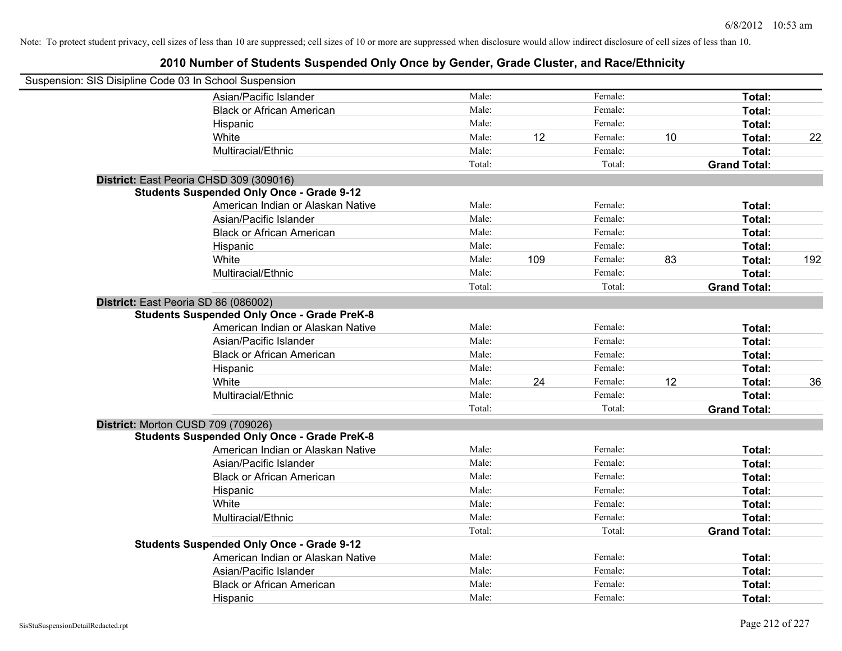| Suspension: SIS Disipline Code 03 In School Suspension |                                                    |        |     |         |    |                     |     |
|--------------------------------------------------------|----------------------------------------------------|--------|-----|---------|----|---------------------|-----|
|                                                        | Asian/Pacific Islander                             | Male:  |     | Female: |    | Total:              |     |
|                                                        | <b>Black or African American</b>                   | Male:  |     | Female: |    | Total:              |     |
|                                                        | Hispanic                                           | Male:  |     | Female: |    | Total:              |     |
|                                                        | White                                              | Male:  | 12  | Female: | 10 | Total:              | 22  |
|                                                        | Multiracial/Ethnic                                 | Male:  |     | Female: |    | Total:              |     |
|                                                        |                                                    | Total: |     | Total:  |    | <b>Grand Total:</b> |     |
|                                                        | District: East Peoria CHSD 309 (309016)            |        |     |         |    |                     |     |
|                                                        | <b>Students Suspended Only Once - Grade 9-12</b>   |        |     |         |    |                     |     |
|                                                        | American Indian or Alaskan Native                  | Male:  |     | Female: |    | Total:              |     |
|                                                        | Asian/Pacific Islander                             | Male:  |     | Female: |    | Total:              |     |
|                                                        | <b>Black or African American</b>                   | Male:  |     | Female: |    | Total:              |     |
|                                                        | Hispanic                                           | Male:  |     | Female: |    | Total:              |     |
|                                                        | White                                              | Male:  | 109 | Female: | 83 | Total:              | 192 |
|                                                        | Multiracial/Ethnic                                 | Male:  |     | Female: |    | Total:              |     |
|                                                        |                                                    | Total: |     | Total:  |    | <b>Grand Total:</b> |     |
| District: East Peoria SD 86 (086002)                   |                                                    |        |     |         |    |                     |     |
|                                                        | <b>Students Suspended Only Once - Grade PreK-8</b> |        |     |         |    |                     |     |
|                                                        | American Indian or Alaskan Native                  | Male:  |     | Female: |    | Total:              |     |
|                                                        | Asian/Pacific Islander                             | Male:  |     | Female: |    | Total:              |     |
|                                                        | <b>Black or African American</b>                   | Male:  |     | Female: |    | Total:              |     |
|                                                        | Hispanic                                           | Male:  |     | Female: |    | Total:              |     |
|                                                        | White                                              | Male:  | 24  | Female: | 12 | Total:              | 36  |
|                                                        | Multiracial/Ethnic                                 | Male:  |     | Female: |    | Total:              |     |
|                                                        |                                                    | Total: |     | Total:  |    | <b>Grand Total:</b> |     |
| District: Morton CUSD 709 (709026)                     |                                                    |        |     |         |    |                     |     |
|                                                        | <b>Students Suspended Only Once - Grade PreK-8</b> |        |     |         |    |                     |     |
|                                                        | American Indian or Alaskan Native                  | Male:  |     | Female: |    | Total:              |     |
|                                                        | Asian/Pacific Islander                             | Male:  |     | Female: |    | Total:              |     |
|                                                        | <b>Black or African American</b>                   | Male:  |     | Female: |    | Total:              |     |
|                                                        | Hispanic                                           | Male:  |     | Female: |    | Total:              |     |
|                                                        | White                                              | Male:  |     | Female: |    | Total:              |     |
|                                                        | Multiracial/Ethnic                                 | Male:  |     | Female: |    | Total:              |     |
|                                                        |                                                    | Total: |     | Total:  |    | <b>Grand Total:</b> |     |
|                                                        | <b>Students Suspended Only Once - Grade 9-12</b>   |        |     |         |    |                     |     |
|                                                        | American Indian or Alaskan Native                  | Male:  |     | Female: |    | Total:              |     |
|                                                        | Asian/Pacific Islander                             | Male:  |     | Female: |    | Total:              |     |
|                                                        | <b>Black or African American</b>                   | Male:  |     | Female: |    | <b>Total:</b>       |     |
|                                                        | Hispanic                                           | Male:  |     | Female: |    | Total:              |     |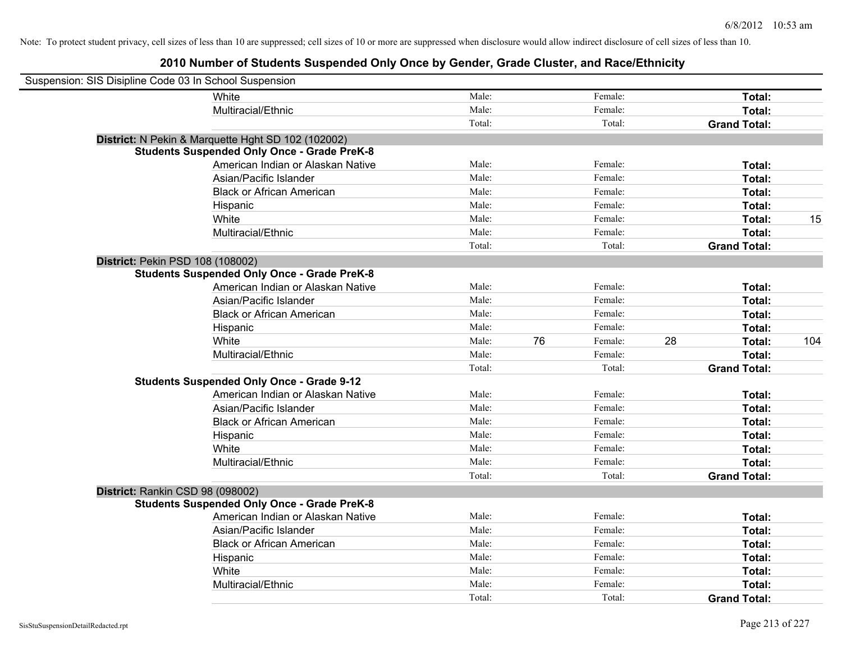| Suspension: SIS Disipline Code 03 In School Suspension |                                                    |        |    |         |    |                     |     |
|--------------------------------------------------------|----------------------------------------------------|--------|----|---------|----|---------------------|-----|
|                                                        | White                                              | Male:  |    | Female: |    | Total:              |     |
|                                                        | Multiracial/Ethnic                                 | Male:  |    | Female: |    | Total:              |     |
|                                                        |                                                    | Total: |    | Total:  |    | <b>Grand Total:</b> |     |
|                                                        | District: N Pekin & Marquette Hght SD 102 (102002) |        |    |         |    |                     |     |
|                                                        | <b>Students Suspended Only Once - Grade PreK-8</b> |        |    |         |    |                     |     |
|                                                        | American Indian or Alaskan Native                  | Male:  |    | Female: |    | Total:              |     |
|                                                        | Asian/Pacific Islander                             | Male:  |    | Female: |    | Total:              |     |
|                                                        | <b>Black or African American</b>                   | Male:  |    | Female: |    | Total:              |     |
|                                                        | Hispanic                                           | Male:  |    | Female: |    | Total:              |     |
|                                                        | White                                              | Male:  |    | Female: |    | Total:              | 15  |
|                                                        | Multiracial/Ethnic                                 | Male:  |    | Female: |    | Total:              |     |
|                                                        |                                                    | Total: |    | Total:  |    | <b>Grand Total:</b> |     |
| District: Pekin PSD 108 (108002)                       |                                                    |        |    |         |    |                     |     |
|                                                        | <b>Students Suspended Only Once - Grade PreK-8</b> |        |    |         |    |                     |     |
|                                                        | American Indian or Alaskan Native                  | Male:  |    | Female: |    | Total:              |     |
|                                                        | Asian/Pacific Islander                             | Male:  |    | Female: |    | Total:              |     |
|                                                        | <b>Black or African American</b>                   | Male:  |    | Female: |    | Total:              |     |
|                                                        | Hispanic                                           | Male:  |    | Female: |    | Total:              |     |
|                                                        | White                                              | Male:  | 76 | Female: | 28 | Total:              | 104 |
|                                                        | Multiracial/Ethnic                                 | Male:  |    | Female: |    | Total:              |     |
|                                                        |                                                    | Total: |    | Total:  |    | <b>Grand Total:</b> |     |
|                                                        | <b>Students Suspended Only Once - Grade 9-12</b>   |        |    |         |    |                     |     |
|                                                        | American Indian or Alaskan Native                  | Male:  |    | Female: |    | Total:              |     |
|                                                        | Asian/Pacific Islander                             | Male:  |    | Female: |    | Total:              |     |
|                                                        | <b>Black or African American</b>                   | Male:  |    | Female: |    | Total:              |     |
|                                                        | Hispanic                                           | Male:  |    | Female: |    | Total:              |     |
|                                                        | White                                              | Male:  |    | Female: |    | Total:              |     |
|                                                        | Multiracial/Ethnic                                 | Male:  |    | Female: |    | Total:              |     |
|                                                        |                                                    | Total: |    | Total:  |    | <b>Grand Total:</b> |     |
| District: Rankin CSD 98 (098002)                       |                                                    |        |    |         |    |                     |     |
|                                                        | <b>Students Suspended Only Once - Grade PreK-8</b> |        |    |         |    |                     |     |
|                                                        | American Indian or Alaskan Native                  | Male:  |    | Female: |    | Total:              |     |
|                                                        | Asian/Pacific Islander                             | Male:  |    | Female: |    | Total:              |     |
|                                                        | <b>Black or African American</b>                   | Male:  |    | Female: |    | Total:              |     |
|                                                        | Hispanic                                           | Male:  |    | Female: |    | Total:              |     |
|                                                        | White                                              | Male:  |    | Female: |    | Total:              |     |
|                                                        | Multiracial/Ethnic                                 | Male:  |    | Female: |    | Total:              |     |
|                                                        |                                                    | Total: |    | Total:  |    | <b>Grand Total:</b> |     |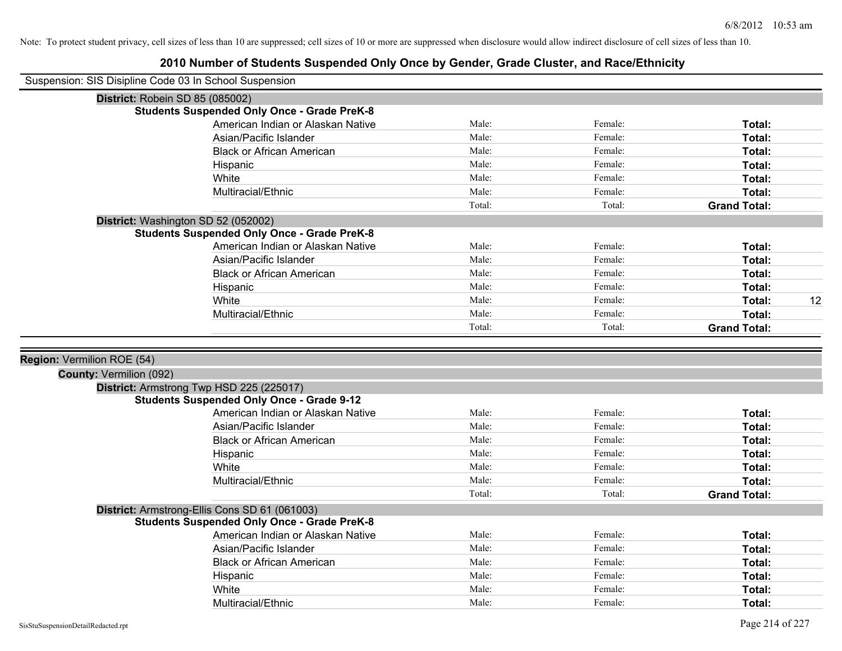| Suspension: SIS Disipline Code 03 In School Suspension |                                                    |        |         |                     |
|--------------------------------------------------------|----------------------------------------------------|--------|---------|---------------------|
|                                                        | District: Robein SD 85 (085002)                    |        |         |                     |
|                                                        | <b>Students Suspended Only Once - Grade PreK-8</b> |        |         |                     |
|                                                        | American Indian or Alaskan Native                  | Male:  | Female: | Total:              |
|                                                        | Asian/Pacific Islander                             | Male:  | Female: | Total:              |
|                                                        | <b>Black or African American</b>                   | Male:  | Female: | Total:              |
|                                                        | Hispanic                                           | Male:  | Female: | Total:              |
|                                                        | White                                              | Male:  | Female: | Total:              |
|                                                        | Multiracial/Ethnic                                 | Male:  | Female: | Total:              |
|                                                        |                                                    | Total: | Total:  | <b>Grand Total:</b> |
|                                                        | District: Washington SD 52 (052002)                |        |         |                     |
|                                                        | <b>Students Suspended Only Once - Grade PreK-8</b> |        |         |                     |
|                                                        | American Indian or Alaskan Native                  | Male:  | Female: | Total:              |
|                                                        | Asian/Pacific Islander                             | Male:  | Female: | Total:              |
|                                                        | <b>Black or African American</b>                   | Male:  | Female: | Total:              |
|                                                        | Hispanic                                           | Male:  | Female: | Total:              |
|                                                        | White                                              | Male:  | Female: | Total:<br>12        |
|                                                        | Multiracial/Ethnic                                 | Male:  | Female: | Total:              |
|                                                        |                                                    | Total: | Total:  | <b>Grand Total:</b> |
| Region: Vermilion ROE (54)                             |                                                    |        |         |                     |
| <b>County: Vermilion (092)</b>                         |                                                    |        |         |                     |
|                                                        | District: Armstrong Twp HSD 225 (225017)           |        |         |                     |
|                                                        | <b>Students Suspended Only Once - Grade 9-12</b>   |        |         |                     |
|                                                        | American Indian or Alaskan Native                  | Male:  | Female: | Total:              |
|                                                        | Asian/Pacific Islander                             | Male:  | Female: | Total:              |
|                                                        | <b>Black or African American</b>                   | Male:  | Female: | Total:              |
|                                                        | Hispanic                                           | Male:  | Female: | Total:              |
|                                                        | White                                              | Male:  | Female: | Total:              |
|                                                        | Multiracial/Ethnic                                 | Male:  | Female: | Total:              |
|                                                        |                                                    | Total: | Total:  | <b>Grand Total:</b> |
|                                                        | District: Armstrong-Ellis Cons SD 61 (061003)      |        |         |                     |
|                                                        | <b>Students Suspended Only Once - Grade PreK-8</b> |        |         |                     |
|                                                        | American Indian or Alaskan Native                  | Male:  | Female: | Total:              |
|                                                        | Asian/Pacific Islander                             | Male:  | Female: | Total:              |
|                                                        | <b>Black or African American</b>                   | Male:  | Female: | Total:              |
|                                                        | Hispanic                                           | Male:  | Female: | Total:              |
|                                                        | White                                              | Male:  | Female: | Total:              |
|                                                        | Multiracial/Ethnic                                 | Male:  | Female: | Total:              |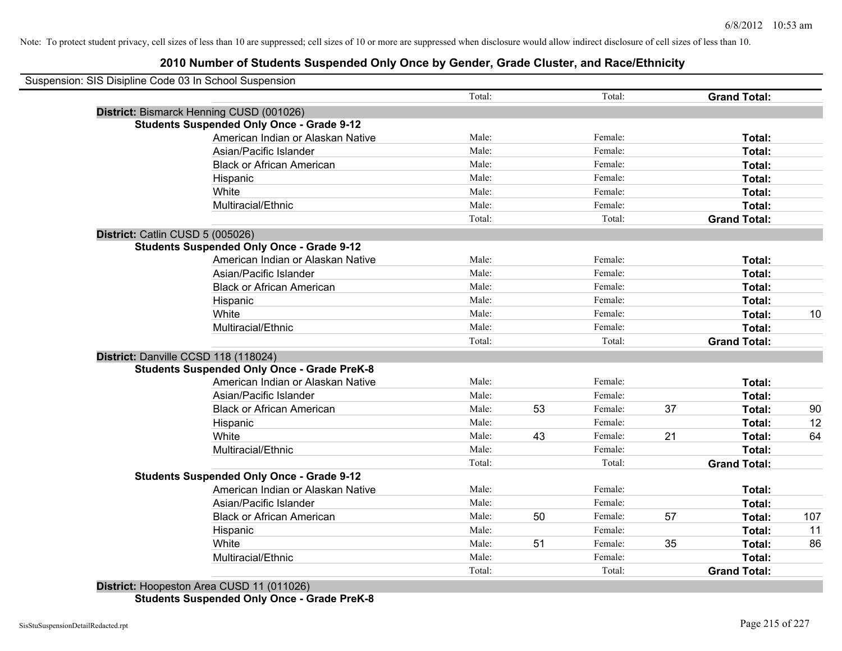|                                  | Suspension: SIS Disipline Code 03 In School Suspension |        |    |         |    |                     |     |
|----------------------------------|--------------------------------------------------------|--------|----|---------|----|---------------------|-----|
|                                  |                                                        | Total: |    | Total:  |    | <b>Grand Total:</b> |     |
|                                  | District: Bismarck Henning CUSD (001026)               |        |    |         |    |                     |     |
|                                  | <b>Students Suspended Only Once - Grade 9-12</b>       |        |    |         |    |                     |     |
|                                  | American Indian or Alaskan Native                      | Male:  |    | Female: |    | Total:              |     |
|                                  | Asian/Pacific Islander                                 | Male:  |    | Female: |    | Total:              |     |
|                                  | <b>Black or African American</b>                       | Male:  |    | Female: |    | Total:              |     |
|                                  | Hispanic                                               | Male:  |    | Female: |    | Total:              |     |
|                                  | White                                                  | Male:  |    | Female: |    | Total:              |     |
|                                  | Multiracial/Ethnic                                     | Male:  |    | Female: |    | Total:              |     |
|                                  |                                                        | Total: |    | Total:  |    | <b>Grand Total:</b> |     |
| District: Catlin CUSD 5 (005026) |                                                        |        |    |         |    |                     |     |
|                                  | <b>Students Suspended Only Once - Grade 9-12</b>       |        |    |         |    |                     |     |
|                                  | American Indian or Alaskan Native                      | Male:  |    | Female: |    | Total:              |     |
|                                  | Asian/Pacific Islander                                 | Male:  |    | Female: |    | Total:              |     |
|                                  | <b>Black or African American</b>                       | Male:  |    | Female: |    | Total:              |     |
|                                  | Hispanic                                               | Male:  |    | Female: |    | Total:              |     |
|                                  | White                                                  | Male:  |    | Female: |    | Total:              | 10  |
|                                  | Multiracial/Ethnic                                     | Male:  |    | Female: |    | Total:              |     |
|                                  |                                                        | Total: |    | Total:  |    | <b>Grand Total:</b> |     |
|                                  | District: Danville CCSD 118 (118024)                   |        |    |         |    |                     |     |
|                                  | <b>Students Suspended Only Once - Grade PreK-8</b>     |        |    |         |    |                     |     |
|                                  | American Indian or Alaskan Native                      | Male:  |    | Female: |    | Total:              |     |
|                                  | Asian/Pacific Islander                                 | Male:  |    | Female: |    | Total:              |     |
|                                  | <b>Black or African American</b>                       | Male:  | 53 | Female: | 37 | Total:              | 90  |
|                                  | Hispanic                                               | Male:  |    | Female: |    | Total:              | 12  |
|                                  | White                                                  | Male:  | 43 | Female: | 21 | Total:              | 64  |
|                                  | Multiracial/Ethnic                                     | Male:  |    | Female: |    | Total:              |     |
|                                  |                                                        | Total: |    | Total:  |    | <b>Grand Total:</b> |     |
|                                  | <b>Students Suspended Only Once - Grade 9-12</b>       |        |    |         |    |                     |     |
|                                  | American Indian or Alaskan Native                      | Male:  |    | Female: |    | Total:              |     |
|                                  | Asian/Pacific Islander                                 | Male:  |    | Female: |    | Total:              |     |
|                                  | <b>Black or African American</b>                       | Male:  | 50 | Female: | 57 | Total:              | 107 |
|                                  | Hispanic                                               | Male:  |    | Female: |    | Total:              | 11  |
|                                  | White                                                  | Male:  | 51 | Female: | 35 | Total:              | 86  |
|                                  | Multiracial/Ethnic                                     | Male:  |    | Female: |    | Total:              |     |
|                                  |                                                        | Total: |    | Total:  |    | <b>Grand Total:</b> |     |
|                                  |                                                        |        |    |         |    |                     |     |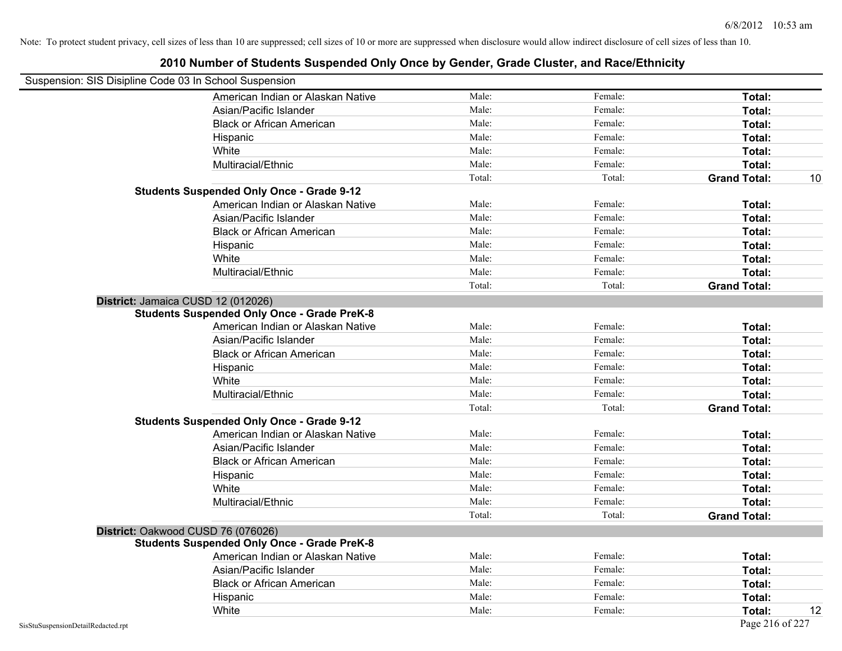| Suspension: SIS Disipline Code 03 In School Suspension |                                                    |        |         |                     |    |
|--------------------------------------------------------|----------------------------------------------------|--------|---------|---------------------|----|
|                                                        | American Indian or Alaskan Native                  | Male:  | Female: | Total:              |    |
|                                                        | Asian/Pacific Islander                             | Male:  | Female: | Total:              |    |
|                                                        | <b>Black or African American</b>                   | Male:  | Female: | Total:              |    |
|                                                        | Hispanic                                           | Male:  | Female: | Total:              |    |
|                                                        | White                                              | Male:  | Female: | Total:              |    |
|                                                        | Multiracial/Ethnic                                 | Male:  | Female: | Total:              |    |
|                                                        |                                                    | Total: | Total:  | <b>Grand Total:</b> | 10 |
|                                                        | <b>Students Suspended Only Once - Grade 9-12</b>   |        |         |                     |    |
|                                                        | American Indian or Alaskan Native                  | Male:  | Female: | Total:              |    |
|                                                        | Asian/Pacific Islander                             | Male:  | Female: | Total:              |    |
|                                                        | <b>Black or African American</b>                   | Male:  | Female: | Total:              |    |
|                                                        | Hispanic                                           | Male:  | Female: | Total:              |    |
|                                                        | White                                              | Male:  | Female: | Total:              |    |
|                                                        | Multiracial/Ethnic                                 | Male:  | Female: | Total:              |    |
|                                                        |                                                    | Total: | Total:  | <b>Grand Total:</b> |    |
|                                                        | District: Jamaica CUSD 12 (012026)                 |        |         |                     |    |
|                                                        | <b>Students Suspended Only Once - Grade PreK-8</b> |        |         |                     |    |
|                                                        | American Indian or Alaskan Native                  | Male:  | Female: | Total:              |    |
|                                                        | Asian/Pacific Islander                             | Male:  | Female: | Total:              |    |
|                                                        | <b>Black or African American</b>                   | Male:  | Female: | Total:              |    |
|                                                        | Hispanic                                           | Male:  | Female: | Total:              |    |
|                                                        | White                                              | Male:  | Female: | Total:              |    |
|                                                        | Multiracial/Ethnic                                 | Male:  | Female: | Total:              |    |
|                                                        |                                                    | Total: | Total:  | <b>Grand Total:</b> |    |
|                                                        | <b>Students Suspended Only Once - Grade 9-12</b>   |        |         |                     |    |
|                                                        | American Indian or Alaskan Native                  | Male:  | Female: | Total:              |    |
|                                                        | Asian/Pacific Islander                             | Male:  | Female: | Total:              |    |
|                                                        | <b>Black or African American</b>                   | Male:  | Female: | Total:              |    |
|                                                        | Hispanic                                           | Male:  | Female: | Total:              |    |
|                                                        | White                                              | Male:  | Female: | Total:              |    |
|                                                        | Multiracial/Ethnic                                 | Male:  | Female: | Total:              |    |
|                                                        |                                                    | Total: | Total:  | <b>Grand Total:</b> |    |
|                                                        | District: Oakwood CUSD 76 (076026)                 |        |         |                     |    |
|                                                        | <b>Students Suspended Only Once - Grade PreK-8</b> |        |         |                     |    |
|                                                        | American Indian or Alaskan Native                  | Male:  | Female: | Total:              |    |
|                                                        | Asian/Pacific Islander                             | Male:  | Female: | Total:              |    |
|                                                        | <b>Black or African American</b>                   | Male:  | Female: | Total:              |    |
|                                                        | Hispanic                                           | Male:  | Female: | Total:              |    |
|                                                        | White                                              | Male:  | Female: | Total:              | 12 |
| SisStuSuspensionDetailRedacted.rpt                     |                                                    |        |         | Page 216 of 227     |    |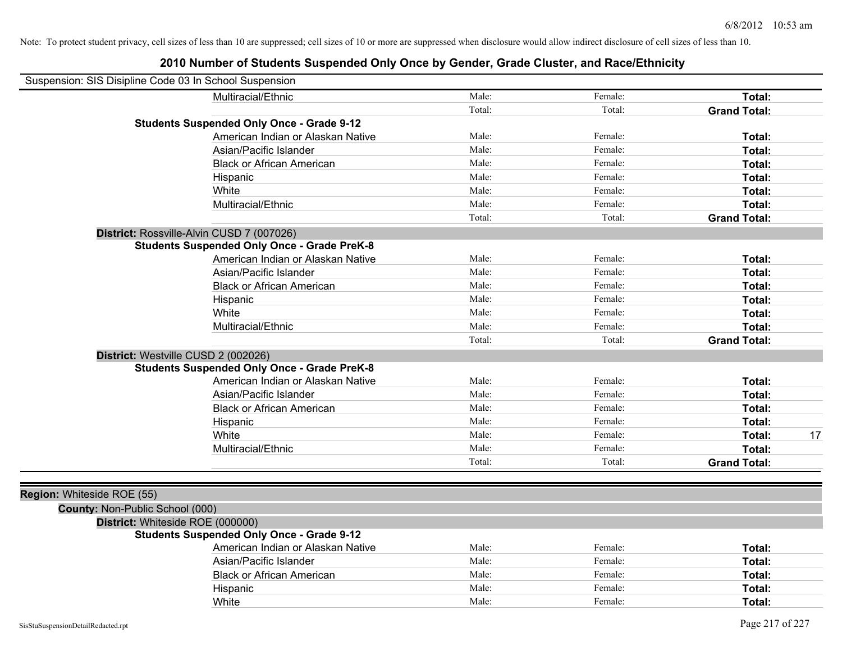| Suspension: SIS Disipline Code 03 In School Suspension |                                   |        |         |                     |    |
|--------------------------------------------------------|-----------------------------------|--------|---------|---------------------|----|
| Multiracial/Ethnic                                     |                                   | Male:  | Female: | Total:              |    |
|                                                        |                                   | Total: | Total:  | <b>Grand Total:</b> |    |
| <b>Students Suspended Only Once - Grade 9-12</b>       |                                   |        |         |                     |    |
|                                                        | American Indian or Alaskan Native | Male:  | Female: | Total:              |    |
| Asian/Pacific Islander                                 |                                   | Male:  | Female: | Total:              |    |
| <b>Black or African American</b>                       |                                   | Male:  | Female: | Total:              |    |
| Hispanic                                               |                                   | Male:  | Female: | Total:              |    |
| White                                                  |                                   | Male:  | Female: | Total:              |    |
| Multiracial/Ethnic                                     |                                   | Male:  | Female: | Total:              |    |
|                                                        |                                   | Total: | Total:  | <b>Grand Total:</b> |    |
| District: Rossville-Alvin CUSD 7 (007026)              |                                   |        |         |                     |    |
| <b>Students Suspended Only Once - Grade PreK-8</b>     |                                   |        |         |                     |    |
|                                                        | American Indian or Alaskan Native | Male:  | Female: | Total:              |    |
| Asian/Pacific Islander                                 |                                   | Male:  | Female: | Total:              |    |
| <b>Black or African American</b>                       |                                   | Male:  | Female: | Total:              |    |
| Hispanic                                               |                                   | Male:  | Female: | Total:              |    |
| White                                                  |                                   | Male:  | Female: | Total:              |    |
| Multiracial/Ethnic                                     |                                   | Male:  | Female: | Total:              |    |
|                                                        |                                   | Total: | Total:  | <b>Grand Total:</b> |    |
| District: Westville CUSD 2 (002026)                    |                                   |        |         |                     |    |
| <b>Students Suspended Only Once - Grade PreK-8</b>     |                                   |        |         |                     |    |
|                                                        | American Indian or Alaskan Native | Male:  | Female: | Total:              |    |
| Asian/Pacific Islander                                 |                                   | Male:  | Female: | Total:              |    |
| <b>Black or African American</b>                       |                                   | Male:  | Female: | Total:              |    |
| Hispanic                                               |                                   | Male:  | Female: | Total:              |    |
| White                                                  |                                   | Male:  | Female: | Total:              | 17 |
| Multiracial/Ethnic                                     |                                   | Male:  | Female: | Total:              |    |
|                                                        |                                   | Total: | Total:  | <b>Grand Total:</b> |    |
|                                                        |                                   |        |         |                     |    |
| Region: Whiteside ROE (55)                             |                                   |        |         |                     |    |
| County: Non-Public School (000)                        |                                   |        |         |                     |    |
| District: Whiteside ROE (000000)                       |                                   |        |         |                     |    |
| <b>Students Suspended Only Once - Grade 9-12</b>       |                                   |        |         |                     |    |
|                                                        | American Indian or Alaskan Native | Male:  | Female: | Total:              |    |
| Asian/Pacific Islander                                 |                                   | Male:  | Female: | Total:              |    |
| <b>Black or African American</b>                       |                                   | Male:  | Female: | Total:              |    |
| Hispanic                                               |                                   | Male:  | Female: | Total:              |    |
| White                                                  |                                   | Male:  | Female: | Total:              |    |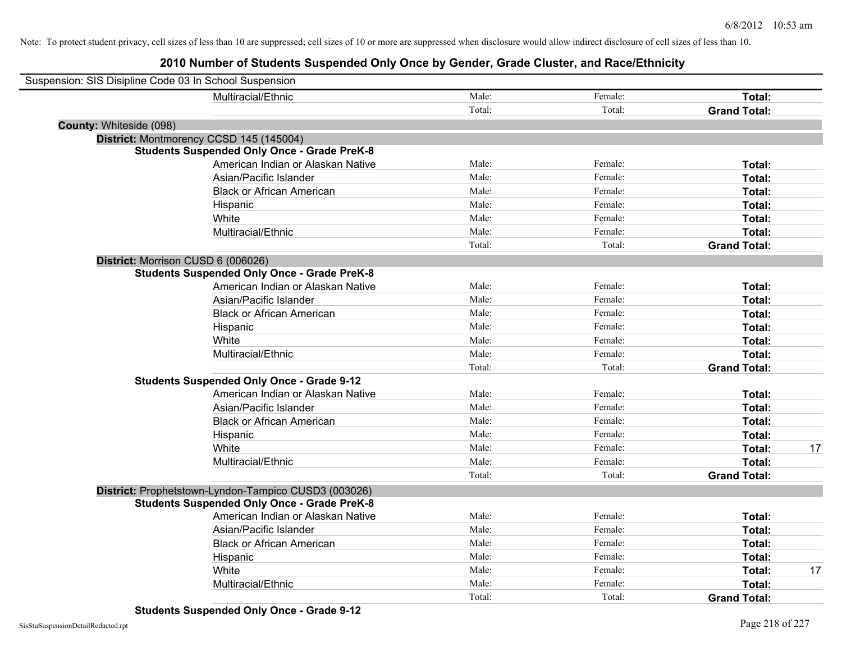| Suspension: SIS Disipline Code 03 In School Suspension |                                                      |        |         |                     |    |
|--------------------------------------------------------|------------------------------------------------------|--------|---------|---------------------|----|
|                                                        | Multiracial/Ethnic                                   | Male:  | Female: | Total:              |    |
|                                                        |                                                      | Total: | Total:  | <b>Grand Total:</b> |    |
| <b>County: Whiteside (098)</b>                         |                                                      |        |         |                     |    |
|                                                        | District: Montmorency CCSD 145 (145004)              |        |         |                     |    |
|                                                        | <b>Students Suspended Only Once - Grade PreK-8</b>   |        |         |                     |    |
|                                                        | American Indian or Alaskan Native                    | Male:  | Female: | Total:              |    |
|                                                        | Asian/Pacific Islander                               | Male:  | Female: | Total:              |    |
|                                                        | <b>Black or African American</b>                     | Male:  | Female: | Total:              |    |
|                                                        | Hispanic                                             | Male:  | Female: | Total:              |    |
|                                                        | White                                                | Male:  | Female: | Total:              |    |
|                                                        | Multiracial/Ethnic                                   | Male:  | Female: | Total:              |    |
|                                                        |                                                      | Total: | Total:  | <b>Grand Total:</b> |    |
| District: Morrison CUSD 6 (006026)                     |                                                      |        |         |                     |    |
|                                                        | <b>Students Suspended Only Once - Grade PreK-8</b>   |        |         |                     |    |
|                                                        | American Indian or Alaskan Native                    | Male:  | Female: | Total:              |    |
|                                                        | Asian/Pacific Islander                               | Male:  | Female: | Total:              |    |
|                                                        | <b>Black or African American</b>                     | Male:  | Female: | Total:              |    |
|                                                        | Hispanic                                             | Male:  | Female: | Total:              |    |
|                                                        | White                                                | Male:  | Female: | Total:              |    |
|                                                        | Multiracial/Ethnic                                   | Male:  | Female: | Total:              |    |
|                                                        |                                                      | Total: | Total:  | <b>Grand Total:</b> |    |
|                                                        | <b>Students Suspended Only Once - Grade 9-12</b>     |        |         |                     |    |
|                                                        | American Indian or Alaskan Native                    | Male:  | Female: | Total:              |    |
|                                                        | Asian/Pacific Islander                               | Male:  | Female: | Total:              |    |
|                                                        | <b>Black or African American</b>                     | Male:  | Female: | Total:              |    |
|                                                        | Hispanic                                             | Male:  | Female: | Total:              |    |
|                                                        | White                                                | Male:  | Female: | Total:              | 17 |
|                                                        | Multiracial/Ethnic                                   | Male:  | Female: | Total:              |    |
|                                                        |                                                      | Total: | Total:  | <b>Grand Total:</b> |    |
|                                                        | District: Prophetstown-Lyndon-Tampico CUSD3 (003026) |        |         |                     |    |
|                                                        | <b>Students Suspended Only Once - Grade PreK-8</b>   |        |         |                     |    |
|                                                        | American Indian or Alaskan Native                    | Male:  | Female: | Total:              |    |
|                                                        | Asian/Pacific Islander                               | Male:  | Female: | Total:              |    |
|                                                        | <b>Black or African American</b>                     | Male:  | Female: | Total:              |    |
|                                                        | Hispanic                                             | Male:  | Female: | Total:              |    |
|                                                        | White                                                | Male:  | Female: | Total:              | 17 |
|                                                        | Multiracial/Ethnic                                   | Male:  | Female: | Total:              |    |
|                                                        |                                                      | Total: | Total:  | <b>Grand Total:</b> |    |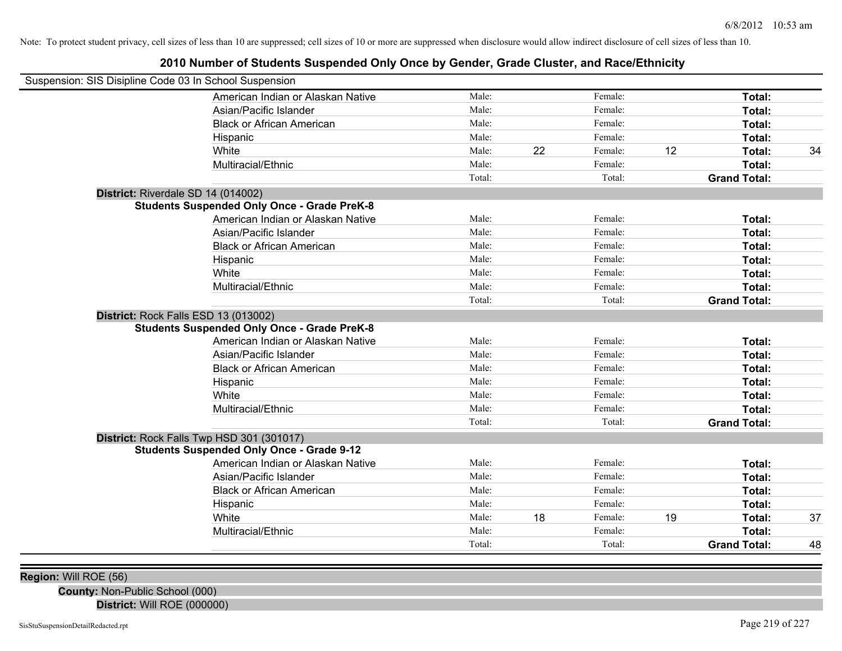## **2010 Number of Students Suspended Only Once by Gender, Grade Cluster, and Race/Ethnicity**

| Suspension: SIS Disipline Code 03 In School Suspension |                                                    |        |    |         |    |                     |    |
|--------------------------------------------------------|----------------------------------------------------|--------|----|---------|----|---------------------|----|
|                                                        | American Indian or Alaskan Native                  | Male:  |    | Female: |    | Total:              |    |
|                                                        | Asian/Pacific Islander                             | Male:  |    | Female: |    | Total:              |    |
|                                                        | <b>Black or African American</b>                   | Male:  |    | Female: |    | Total:              |    |
|                                                        | Hispanic                                           | Male:  |    | Female: |    | Total:              |    |
|                                                        | White                                              | Male:  | 22 | Female: | 12 | Total:              | 34 |
|                                                        | Multiracial/Ethnic                                 | Male:  |    | Female: |    | Total:              |    |
|                                                        |                                                    | Total: |    | Total:  |    | <b>Grand Total:</b> |    |
| District: Riverdale SD 14 (014002)                     |                                                    |        |    |         |    |                     |    |
|                                                        | <b>Students Suspended Only Once - Grade PreK-8</b> |        |    |         |    |                     |    |
|                                                        | American Indian or Alaskan Native                  | Male:  |    | Female: |    | Total:              |    |
|                                                        | Asian/Pacific Islander                             | Male:  |    | Female: |    | Total:              |    |
|                                                        | <b>Black or African American</b>                   | Male:  |    | Female: |    | Total:              |    |
|                                                        | Hispanic                                           | Male:  |    | Female: |    | Total:              |    |
|                                                        | White                                              | Male:  |    | Female: |    | Total:              |    |
|                                                        | Multiracial/Ethnic                                 | Male:  |    | Female: |    | Total:              |    |
|                                                        |                                                    | Total: |    | Total:  |    | <b>Grand Total:</b> |    |
| District: Rock Falls ESD 13 (013002)                   |                                                    |        |    |         |    |                     |    |
|                                                        | <b>Students Suspended Only Once - Grade PreK-8</b> |        |    |         |    |                     |    |
|                                                        | American Indian or Alaskan Native                  | Male:  |    | Female: |    | Total:              |    |
|                                                        | Asian/Pacific Islander                             | Male:  |    | Female: |    | Total:              |    |
|                                                        | <b>Black or African American</b>                   | Male:  |    | Female: |    | Total:              |    |
|                                                        | Hispanic                                           | Male:  |    | Female: |    | Total:              |    |
|                                                        | White                                              | Male:  |    | Female: |    | Total:              |    |
|                                                        | Multiracial/Ethnic                                 | Male:  |    | Female: |    | Total:              |    |
|                                                        |                                                    | Total: |    | Total:  |    | <b>Grand Total:</b> |    |
|                                                        | District: Rock Falls Twp HSD 301 (301017)          |        |    |         |    |                     |    |
|                                                        | <b>Students Suspended Only Once - Grade 9-12</b>   |        |    |         |    |                     |    |
|                                                        | American Indian or Alaskan Native                  | Male:  |    | Female: |    | Total:              |    |
|                                                        | Asian/Pacific Islander                             | Male:  |    | Female: |    | Total:              |    |
|                                                        | <b>Black or African American</b>                   | Male:  |    | Female: |    | Total:              |    |
|                                                        | Hispanic                                           | Male:  |    | Female: |    | Total:              |    |
|                                                        | White                                              | Male:  | 18 | Female: | 19 | Total:              | 37 |
|                                                        | Multiracial/Ethnic                                 | Male:  |    | Female: |    | Total:              |    |
|                                                        |                                                    | Total: |    | Total:  |    | <b>Grand Total:</b> | 48 |
|                                                        |                                                    |        |    |         |    |                     |    |

**Region:** Will ROE (56)

**County:** Non-Public School (000) **District:** Will ROE (000000)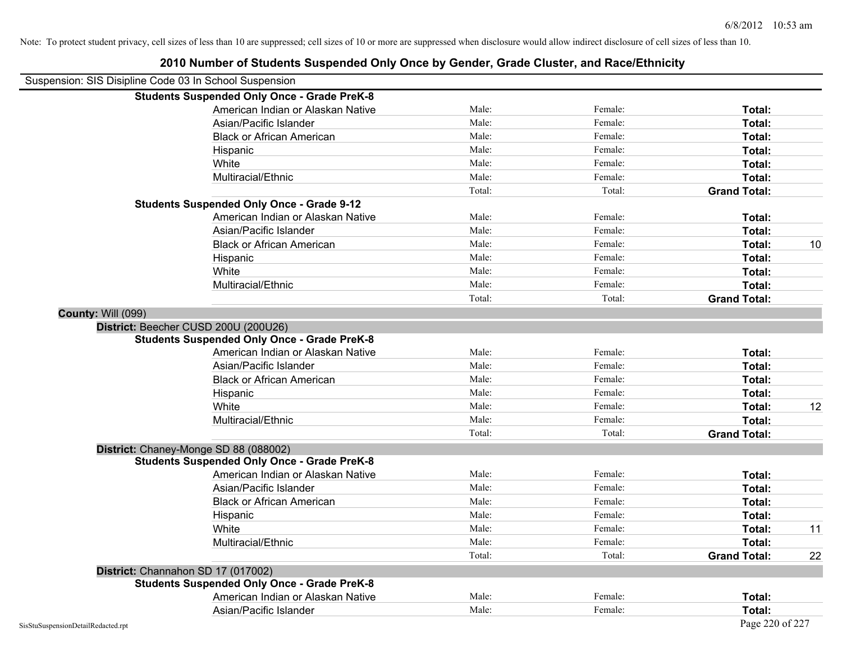| Suspension: SIS Disipline Code 03 In School Suspension |                                                    |        |         |                     |    |
|--------------------------------------------------------|----------------------------------------------------|--------|---------|---------------------|----|
|                                                        | <b>Students Suspended Only Once - Grade PreK-8</b> |        |         |                     |    |
|                                                        | American Indian or Alaskan Native                  | Male:  | Female: | Total:              |    |
|                                                        | Asian/Pacific Islander                             | Male:  | Female: | Total:              |    |
|                                                        | <b>Black or African American</b>                   | Male:  | Female: | Total:              |    |
|                                                        | Hispanic                                           | Male:  | Female: | Total:              |    |
|                                                        | White                                              | Male:  | Female: | Total:              |    |
|                                                        | Multiracial/Ethnic                                 | Male:  | Female: | Total:              |    |
|                                                        |                                                    | Total: | Total:  | <b>Grand Total:</b> |    |
|                                                        | <b>Students Suspended Only Once - Grade 9-12</b>   |        |         |                     |    |
|                                                        | American Indian or Alaskan Native                  | Male:  | Female: | Total:              |    |
|                                                        | Asian/Pacific Islander                             | Male:  | Female: | Total:              |    |
|                                                        | <b>Black or African American</b>                   | Male:  | Female: | Total:              | 10 |
|                                                        | Hispanic                                           | Male:  | Female: | Total:              |    |
|                                                        | White                                              | Male:  | Female: | Total:              |    |
|                                                        | Multiracial/Ethnic                                 | Male:  | Female: | Total:              |    |
|                                                        |                                                    | Total: | Total:  | <b>Grand Total:</b> |    |
| County: Will (099)                                     |                                                    |        |         |                     |    |
|                                                        | District: Beecher CUSD 200U (200U26)               |        |         |                     |    |
|                                                        | <b>Students Suspended Only Once - Grade PreK-8</b> |        |         |                     |    |
|                                                        | American Indian or Alaskan Native                  | Male:  | Female: | Total:              |    |
|                                                        | Asian/Pacific Islander                             | Male:  | Female: | Total:              |    |
|                                                        | <b>Black or African American</b>                   | Male:  | Female: | Total:              |    |
|                                                        | Hispanic                                           | Male:  | Female: | Total:              |    |
|                                                        | White                                              | Male:  | Female: | Total:              | 12 |
|                                                        | Multiracial/Ethnic                                 | Male:  | Female: | Total:              |    |
|                                                        |                                                    | Total: | Total:  | <b>Grand Total:</b> |    |
|                                                        | District: Chaney-Monge SD 88 (088002)              |        |         |                     |    |
|                                                        | <b>Students Suspended Only Once - Grade PreK-8</b> |        |         |                     |    |
|                                                        | American Indian or Alaskan Native                  | Male:  | Female: | Total:              |    |
|                                                        | Asian/Pacific Islander                             | Male:  | Female: | Total:              |    |
|                                                        | <b>Black or African American</b>                   | Male:  | Female: | Total:              |    |
|                                                        | Hispanic                                           | Male:  | Female: | Total:              |    |
|                                                        | White                                              | Male:  | Female: | Total:              | 11 |
|                                                        | Multiracial/Ethnic                                 | Male:  | Female: | Total:              |    |
|                                                        |                                                    | Total: | Total:  | <b>Grand Total:</b> | 22 |
|                                                        | District: Channahon SD 17 (017002)                 |        |         |                     |    |
|                                                        | <b>Students Suspended Only Once - Grade PreK-8</b> |        |         |                     |    |
|                                                        | American Indian or Alaskan Native                  | Male:  | Female: | Total:              |    |
|                                                        | Asian/Pacific Islander                             | Male:  | Female: | Total:              |    |
| SisStuSuspensionDetailRedacted.rpt                     |                                                    |        |         | Page 220 of 227     |    |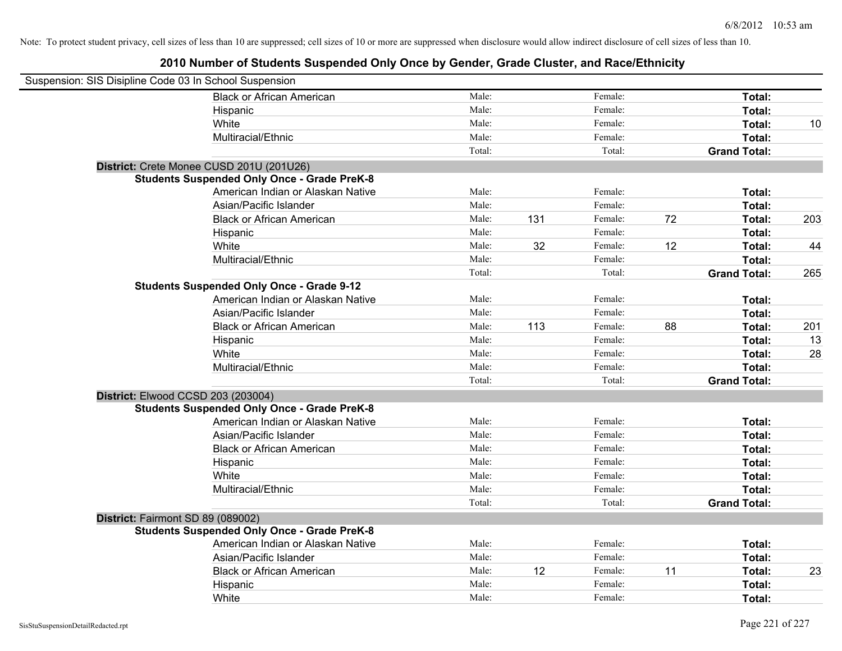| Suspension: SIS Disipline Code 03 In School Suspension |                                                    |        |     |         |    |                     |     |
|--------------------------------------------------------|----------------------------------------------------|--------|-----|---------|----|---------------------|-----|
|                                                        | <b>Black or African American</b>                   | Male:  |     | Female: |    | Total:              |     |
|                                                        | Hispanic                                           | Male:  |     | Female: |    | Total:              |     |
|                                                        | White                                              | Male:  |     | Female: |    | Total:              | 10  |
|                                                        | Multiracial/Ethnic                                 | Male:  |     | Female: |    | Total:              |     |
|                                                        |                                                    | Total: |     | Total:  |    | <b>Grand Total:</b> |     |
|                                                        | District: Crete Monee CUSD 201U (201U26)           |        |     |         |    |                     |     |
|                                                        | <b>Students Suspended Only Once - Grade PreK-8</b> |        |     |         |    |                     |     |
|                                                        | American Indian or Alaskan Native                  | Male:  |     | Female: |    | Total:              |     |
|                                                        | Asian/Pacific Islander                             | Male:  |     | Female: |    | Total:              |     |
|                                                        | <b>Black or African American</b>                   | Male:  | 131 | Female: | 72 | Total:              | 203 |
|                                                        | Hispanic                                           | Male:  |     | Female: |    | Total:              |     |
|                                                        | White                                              | Male:  | 32  | Female: | 12 | Total:              | 44  |
|                                                        | Multiracial/Ethnic                                 | Male:  |     | Female: |    | Total:              |     |
|                                                        |                                                    | Total: |     | Total:  |    | <b>Grand Total:</b> | 265 |
|                                                        | <b>Students Suspended Only Once - Grade 9-12</b>   |        |     |         |    |                     |     |
|                                                        | American Indian or Alaskan Native                  | Male:  |     | Female: |    | Total:              |     |
|                                                        | Asian/Pacific Islander                             | Male:  |     | Female: |    | Total:              |     |
|                                                        | <b>Black or African American</b>                   | Male:  | 113 | Female: | 88 | Total:              | 201 |
|                                                        | Hispanic                                           | Male:  |     | Female: |    | Total:              | 13  |
|                                                        | White                                              | Male:  |     | Female: |    | Total:              | 28  |
|                                                        | Multiracial/Ethnic                                 | Male:  |     | Female: |    | Total:              |     |
|                                                        |                                                    | Total: |     | Total:  |    | <b>Grand Total:</b> |     |
| District: Elwood CCSD 203 (203004)                     |                                                    |        |     |         |    |                     |     |
|                                                        | <b>Students Suspended Only Once - Grade PreK-8</b> |        |     |         |    |                     |     |
|                                                        | American Indian or Alaskan Native                  | Male:  |     | Female: |    | Total:              |     |
|                                                        | Asian/Pacific Islander                             | Male:  |     | Female: |    | Total:              |     |
|                                                        | <b>Black or African American</b>                   | Male:  |     | Female: |    | Total:              |     |
|                                                        | Hispanic                                           | Male:  |     | Female: |    | Total:              |     |
|                                                        | White                                              | Male:  |     | Female: |    | Total:              |     |
|                                                        | Multiracial/Ethnic                                 | Male:  |     | Female: |    | Total:              |     |
|                                                        |                                                    | Total: |     | Total:  |    | <b>Grand Total:</b> |     |
| District: Fairmont SD 89 (089002)                      |                                                    |        |     |         |    |                     |     |
|                                                        | <b>Students Suspended Only Once - Grade PreK-8</b> |        |     |         |    |                     |     |
|                                                        | American Indian or Alaskan Native                  | Male:  |     | Female: |    | Total:              |     |
|                                                        | Asian/Pacific Islander                             | Male:  |     | Female: |    | Total:              |     |
|                                                        | <b>Black or African American</b>                   | Male:  | 12  | Female: | 11 | Total:              | 23  |
|                                                        | Hispanic                                           | Male:  |     | Female: |    | Total:              |     |
|                                                        | White                                              | Male:  |     | Female: |    | Total:              |     |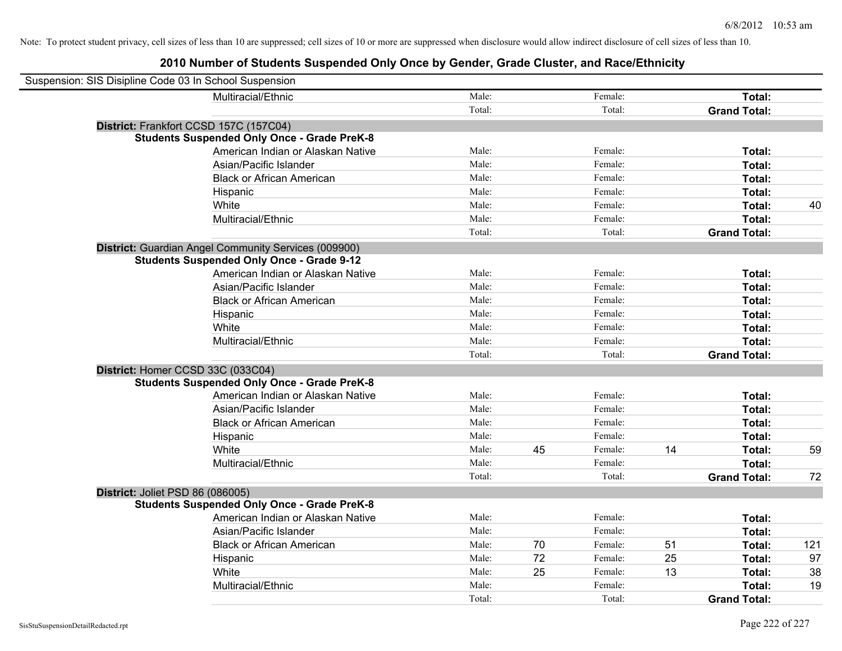| Suspension: SIS Disipline Code 03 In School Suspension |                                                      |        |    |         |    |                     |     |
|--------------------------------------------------------|------------------------------------------------------|--------|----|---------|----|---------------------|-----|
|                                                        | Multiracial/Ethnic                                   | Male:  |    | Female: |    | Total:              |     |
|                                                        |                                                      | Total: |    | Total:  |    | <b>Grand Total:</b> |     |
| District: Frankfort CCSD 157C (157C04)                 |                                                      |        |    |         |    |                     |     |
|                                                        | <b>Students Suspended Only Once - Grade PreK-8</b>   |        |    |         |    |                     |     |
|                                                        | American Indian or Alaskan Native                    | Male:  |    | Female: |    | Total:              |     |
|                                                        | Asian/Pacific Islander                               | Male:  |    | Female: |    | Total:              |     |
|                                                        | <b>Black or African American</b>                     | Male:  |    | Female: |    | Total:              |     |
|                                                        | Hispanic                                             | Male:  |    | Female: |    | Total:              |     |
|                                                        | White                                                | Male:  |    | Female: |    | Total:              | 40  |
|                                                        | Multiracial/Ethnic                                   | Male:  |    | Female: |    | Total:              |     |
|                                                        |                                                      | Total: |    | Total:  |    | <b>Grand Total:</b> |     |
|                                                        | District: Guardian Angel Community Services (009900) |        |    |         |    |                     |     |
|                                                        | <b>Students Suspended Only Once - Grade 9-12</b>     |        |    |         |    |                     |     |
|                                                        | American Indian or Alaskan Native                    | Male:  |    | Female: |    | Total:              |     |
|                                                        | Asian/Pacific Islander                               | Male:  |    | Female: |    | Total:              |     |
|                                                        | <b>Black or African American</b>                     | Male:  |    | Female: |    | Total:              |     |
|                                                        | Hispanic                                             | Male:  |    | Female: |    | Total:              |     |
|                                                        | White                                                | Male:  |    | Female: |    | Total:              |     |
|                                                        | Multiracial/Ethnic                                   | Male:  |    | Female: |    | Total:              |     |
|                                                        |                                                      | Total: |    | Total:  |    | <b>Grand Total:</b> |     |
| District: Homer CCSD 33C (033C04)                      |                                                      |        |    |         |    |                     |     |
|                                                        | <b>Students Suspended Only Once - Grade PreK-8</b>   |        |    |         |    |                     |     |
|                                                        | American Indian or Alaskan Native                    | Male:  |    | Female: |    | Total:              |     |
|                                                        | Asian/Pacific Islander                               | Male:  |    | Female: |    | Total:              |     |
|                                                        | <b>Black or African American</b>                     | Male:  |    | Female: |    | Total:              |     |
|                                                        | Hispanic                                             | Male:  |    | Female: |    | Total:              |     |
|                                                        | White                                                | Male:  | 45 | Female: | 14 | Total:              | 59  |
|                                                        | Multiracial/Ethnic                                   | Male:  |    | Female: |    | Total:              |     |
|                                                        |                                                      | Total: |    | Total:  |    | <b>Grand Total:</b> | 72  |
| District: Joliet PSD 86 (086005)                       |                                                      |        |    |         |    |                     |     |
|                                                        | <b>Students Suspended Only Once - Grade PreK-8</b>   |        |    |         |    |                     |     |
|                                                        | American Indian or Alaskan Native                    | Male:  |    | Female: |    | Total:              |     |
|                                                        | Asian/Pacific Islander                               | Male:  |    | Female: |    | Total:              |     |
|                                                        | <b>Black or African American</b>                     | Male:  | 70 | Female: | 51 | Total:              | 121 |
|                                                        | Hispanic                                             | Male:  | 72 | Female: | 25 | Total:              | 97  |
|                                                        | White                                                | Male:  | 25 | Female: | 13 | Total:              | 38  |
|                                                        | Multiracial/Ethnic                                   | Male:  |    | Female: |    | Total:              | 19  |
|                                                        |                                                      | Total: |    | Total:  |    | <b>Grand Total:</b> |     |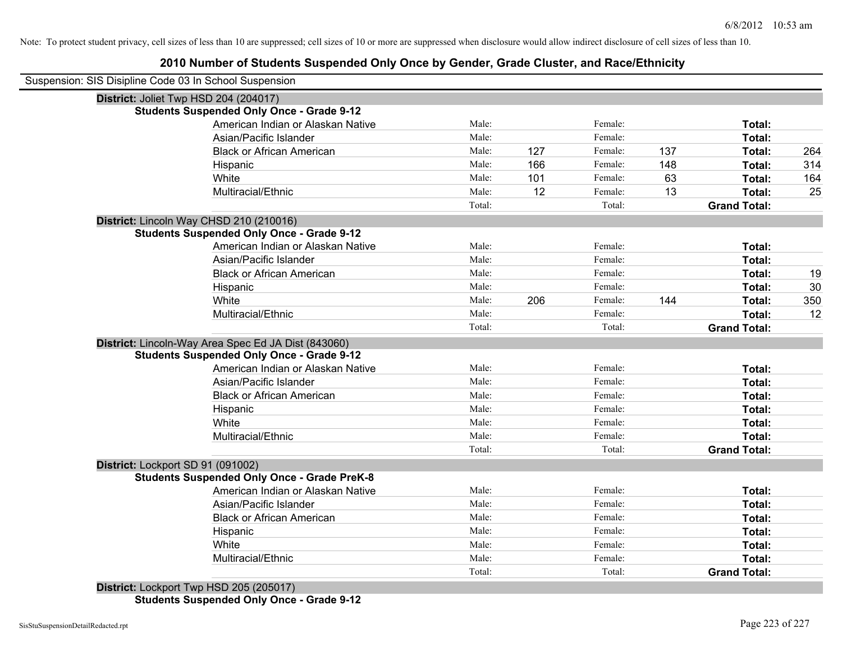## **2010 Number of Students Suspended Only Once by Gender, Grade Cluster, and Race/Ethnicity**

| Suspension: SIS Disipline Code 03 In School Suspension |        |     |         |     |                     |     |
|--------------------------------------------------------|--------|-----|---------|-----|---------------------|-----|
| District: Joliet Twp HSD 204 (204017)                  |        |     |         |     |                     |     |
| <b>Students Suspended Only Once - Grade 9-12</b>       |        |     |         |     |                     |     |
| American Indian or Alaskan Native                      | Male:  |     | Female: |     | Total:              |     |
| Asian/Pacific Islander                                 | Male:  |     | Female: |     | Total:              |     |
| <b>Black or African American</b>                       | Male:  | 127 | Female: | 137 | Total:              | 264 |
| Hispanic                                               | Male:  | 166 | Female: | 148 | Total:              | 314 |
| White                                                  | Male:  | 101 | Female: | 63  | Total:              | 164 |
| Multiracial/Ethnic                                     | Male:  | 12  | Female: | 13  | Total:              | 25  |
|                                                        | Total: |     | Total:  |     | <b>Grand Total:</b> |     |
| District: Lincoln Way CHSD 210 (210016)                |        |     |         |     |                     |     |
| <b>Students Suspended Only Once - Grade 9-12</b>       |        |     |         |     |                     |     |
| American Indian or Alaskan Native                      | Male:  |     | Female: |     | Total:              |     |
| Asian/Pacific Islander                                 | Male:  |     | Female: |     | Total:              |     |
| <b>Black or African American</b>                       | Male:  |     | Female: |     | Total:              | 19  |
| Hispanic                                               | Male:  |     | Female: |     | Total:              | 30  |
| White                                                  | Male:  | 206 | Female: | 144 | Total:              | 350 |
| Multiracial/Ethnic                                     | Male:  |     | Female: |     | Total:              | 12  |
|                                                        | Total: |     | Total:  |     | <b>Grand Total:</b> |     |
| District: Lincoln-Way Area Spec Ed JA Dist (843060)    |        |     |         |     |                     |     |
| <b>Students Suspended Only Once - Grade 9-12</b>       |        |     |         |     |                     |     |
| American Indian or Alaskan Native                      | Male:  |     | Female: |     | Total:              |     |
| Asian/Pacific Islander                                 | Male:  |     | Female: |     | Total:              |     |
| <b>Black or African American</b>                       | Male:  |     | Female: |     | Total:              |     |
| Hispanic                                               | Male:  |     | Female: |     | Total:              |     |
| White                                                  | Male:  |     | Female: |     | Total:              |     |
| Multiracial/Ethnic                                     | Male:  |     | Female: |     | Total:              |     |
|                                                        | Total: |     | Total:  |     | <b>Grand Total:</b> |     |
| District: Lockport SD 91 (091002)                      |        |     |         |     |                     |     |
| <b>Students Suspended Only Once - Grade PreK-8</b>     |        |     |         |     |                     |     |
| American Indian or Alaskan Native                      | Male:  |     | Female: |     | Total:              |     |
| Asian/Pacific Islander                                 | Male:  |     | Female: |     | Total:              |     |
| <b>Black or African American</b>                       | Male:  |     | Female: |     | Total:              |     |
| Hispanic                                               | Male:  |     | Female: |     | Total:              |     |
| White                                                  | Male:  |     | Female: |     | Total:              |     |
| Multiracial/Ethnic                                     | Male:  |     | Female: |     | Total:              |     |
|                                                        | Total: |     | Total:  |     | <b>Grand Total:</b> |     |
| $Dichtint 1$ colored Tup HCD 205 (205017)              |        |     |         |     |                     |     |

**District:** Lockport Twp HSD 205 (205017) **Students Suspended Only Once - Grade 9-12**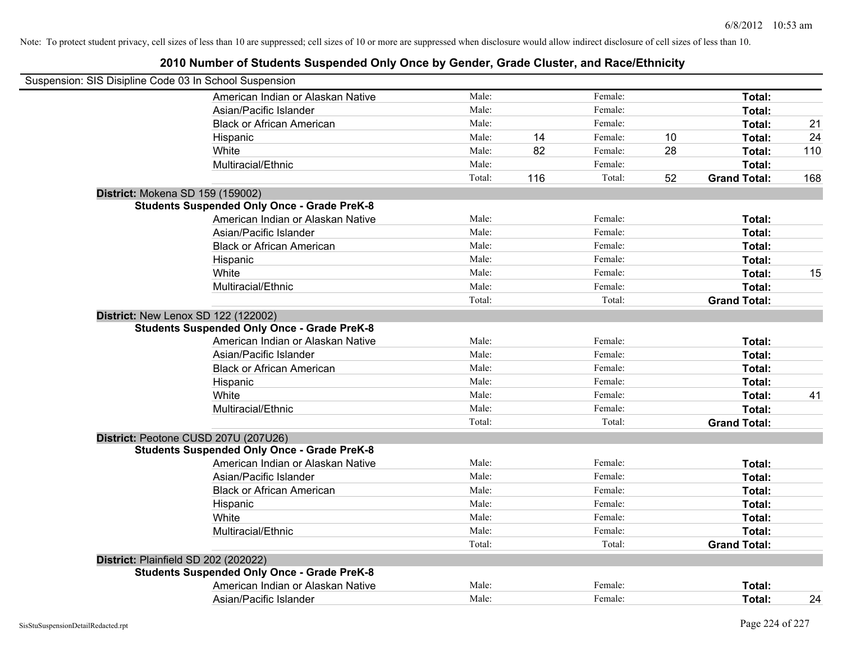| Suspension: SIS Disipline Code 03 In School Suspension                                     |        |     |         |    |                               |     |
|--------------------------------------------------------------------------------------------|--------|-----|---------|----|-------------------------------|-----|
| American Indian or Alaskan Native                                                          | Male:  |     | Female: |    | Total:                        |     |
| Asian/Pacific Islander                                                                     | Male:  |     | Female: |    | Total:                        |     |
| <b>Black or African American</b>                                                           | Male:  |     | Female: |    | Total:                        | 21  |
| Hispanic                                                                                   | Male:  | 14  | Female: | 10 | Total:                        | 24  |
| White                                                                                      | Male:  | 82  | Female: | 28 | Total:                        | 110 |
| Multiracial/Ethnic                                                                         | Male:  |     | Female: |    | Total:                        |     |
|                                                                                            | Total: | 116 | Total:  | 52 | <b>Grand Total:</b>           | 168 |
| District: Mokena SD 159 (159002)                                                           |        |     |         |    |                               |     |
| <b>Students Suspended Only Once - Grade PreK-8</b>                                         |        |     |         |    |                               |     |
| American Indian or Alaskan Native                                                          | Male:  |     | Female: |    | Total:                        |     |
| Asian/Pacific Islander                                                                     | Male:  |     | Female: |    | Total:                        |     |
| <b>Black or African American</b>                                                           | Male:  |     | Female: |    | Total:                        |     |
| Hispanic                                                                                   | Male:  |     | Female: |    | Total:                        |     |
| White                                                                                      | Male:  |     | Female: |    | Total:                        | 15  |
| Multiracial/Ethnic                                                                         | Male:  |     | Female: |    | Total:                        |     |
|                                                                                            | Total: |     | Total:  |    | <b>Grand Total:</b>           |     |
| District: New Lenox SD 122 (122002)                                                        |        |     |         |    |                               |     |
| <b>Students Suspended Only Once - Grade PreK-8</b>                                         |        |     |         |    |                               |     |
| American Indian or Alaskan Native                                                          | Male:  |     | Female: |    | Total:                        |     |
| Asian/Pacific Islander                                                                     | Male:  |     | Female: |    | Total:                        |     |
| <b>Black or African American</b>                                                           | Male:  |     | Female: |    | Total:                        |     |
| Hispanic                                                                                   | Male:  |     | Female: |    | Total:                        |     |
| White                                                                                      | Male:  |     | Female: |    | Total:                        | 41  |
| Multiracial/Ethnic                                                                         | Male:  |     | Female: |    | Total:                        |     |
|                                                                                            | Total: |     | Total:  |    | <b>Grand Total:</b>           |     |
| District: Peotone CUSD 207U (207U26)                                                       |        |     |         |    |                               |     |
| <b>Students Suspended Only Once - Grade PreK-8</b><br>American Indian or Alaskan Native    | Male:  |     | Female: |    | Total:                        |     |
| Asian/Pacific Islander                                                                     | Male:  |     | Female: |    |                               |     |
|                                                                                            | Male:  |     | Female: |    | Total:                        |     |
| <b>Black or African American</b>                                                           | Male:  |     | Female: |    | Total:                        |     |
| Hispanic<br>White                                                                          | Male:  |     | Female: |    | Total:                        |     |
| Multiracial/Ethnic                                                                         | Male:  |     | Female: |    | Total:                        |     |
|                                                                                            | Total: |     | Total:  |    | Total:<br><b>Grand Total:</b> |     |
|                                                                                            |        |     |         |    |                               |     |
| District: Plainfield SD 202 (202022)<br><b>Students Suspended Only Once - Grade PreK-8</b> |        |     |         |    |                               |     |
| American Indian or Alaskan Native                                                          | Male:  |     | Female: |    | <b>Total:</b>                 |     |
|                                                                                            | Male:  |     | Female: |    |                               |     |
| Asian/Pacific Islander                                                                     |        |     |         |    | Total:                        | 24  |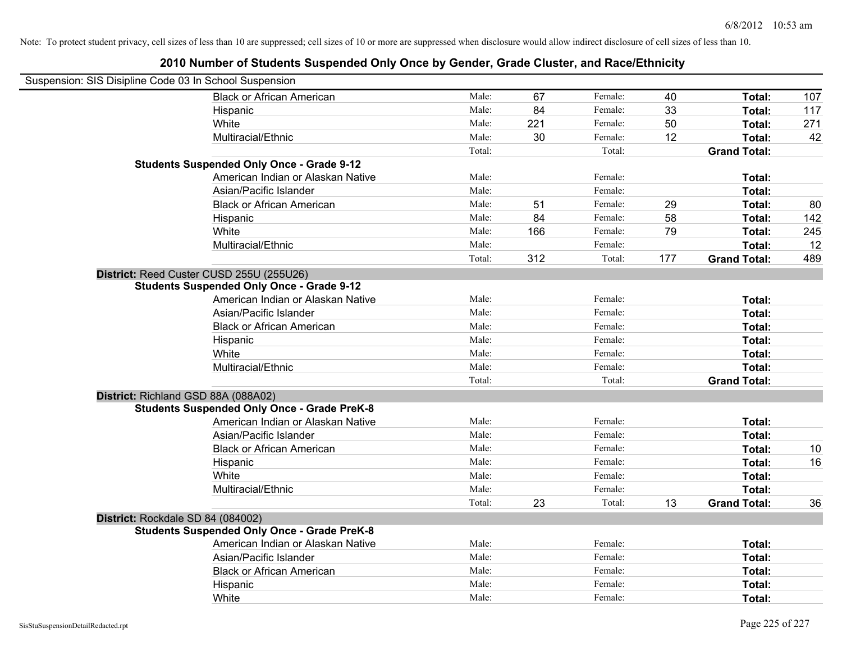| Suspension: SIS Disipline Code 03 In School Suspension |                                                    |        |     |         |     |                     |     |
|--------------------------------------------------------|----------------------------------------------------|--------|-----|---------|-----|---------------------|-----|
|                                                        | <b>Black or African American</b>                   | Male:  | 67  | Female: | 40  | Total:              | 107 |
|                                                        | Hispanic                                           | Male:  | 84  | Female: | 33  | Total:              | 117 |
|                                                        | White                                              | Male:  | 221 | Female: | 50  | Total:              | 271 |
|                                                        | Multiracial/Ethnic                                 | Male:  | 30  | Female: | 12  | Total:              | 42  |
|                                                        |                                                    | Total: |     | Total:  |     | <b>Grand Total:</b> |     |
|                                                        | <b>Students Suspended Only Once - Grade 9-12</b>   |        |     |         |     |                     |     |
|                                                        | American Indian or Alaskan Native                  | Male:  |     | Female: |     | Total:              |     |
|                                                        | Asian/Pacific Islander                             | Male:  |     | Female: |     | Total:              |     |
|                                                        | <b>Black or African American</b>                   | Male:  | 51  | Female: | 29  | Total:              | 80  |
|                                                        | Hispanic                                           | Male:  | 84  | Female: | 58  | Total:              | 142 |
|                                                        | White                                              | Male:  | 166 | Female: | 79  | Total:              | 245 |
|                                                        | Multiracial/Ethnic                                 | Male:  |     | Female: |     | Total:              | 12  |
|                                                        |                                                    | Total: | 312 | Total:  | 177 | <b>Grand Total:</b> | 489 |
|                                                        | District: Reed Custer CUSD 255U (255U26)           |        |     |         |     |                     |     |
|                                                        | <b>Students Suspended Only Once - Grade 9-12</b>   |        |     |         |     |                     |     |
|                                                        | American Indian or Alaskan Native                  | Male:  |     | Female: |     | Total:              |     |
|                                                        | Asian/Pacific Islander                             | Male:  |     | Female: |     | Total:              |     |
|                                                        | <b>Black or African American</b>                   | Male:  |     | Female: |     | Total:              |     |
|                                                        | Hispanic                                           | Male:  |     | Female: |     | Total:              |     |
|                                                        | White                                              | Male:  |     | Female: |     | Total:              |     |
|                                                        | Multiracial/Ethnic                                 | Male:  |     | Female: |     | Total:              |     |
|                                                        |                                                    | Total: |     | Total:  |     | <b>Grand Total:</b> |     |
| District: Richland GSD 88A (088A02)                    |                                                    |        |     |         |     |                     |     |
|                                                        | <b>Students Suspended Only Once - Grade PreK-8</b> |        |     |         |     |                     |     |
|                                                        | American Indian or Alaskan Native                  | Male:  |     | Female: |     | Total:              |     |
|                                                        | Asian/Pacific Islander                             | Male:  |     | Female: |     | Total:              |     |
|                                                        | <b>Black or African American</b>                   | Male:  |     | Female: |     | Total:              | 10  |
|                                                        | Hispanic                                           | Male:  |     | Female: |     | Total:              | 16  |
|                                                        | White                                              | Male:  |     | Female: |     | Total:              |     |
|                                                        | Multiracial/Ethnic                                 | Male:  |     | Female: |     | Total:              |     |
|                                                        |                                                    | Total: | 23  | Total:  | 13  | <b>Grand Total:</b> | 36  |
| District: Rockdale SD 84 (084002)                      |                                                    |        |     |         |     |                     |     |
|                                                        | <b>Students Suspended Only Once - Grade PreK-8</b> |        |     |         |     |                     |     |
|                                                        | American Indian or Alaskan Native                  | Male:  |     | Female: |     | Total:              |     |
|                                                        | Asian/Pacific Islander                             | Male:  |     | Female: |     | Total:              |     |
|                                                        | <b>Black or African American</b>                   | Male:  |     | Female: |     | Total:              |     |
|                                                        | Hispanic                                           | Male:  |     | Female: |     | Total:              |     |
|                                                        | White                                              | Male:  |     | Female: |     | Total:              |     |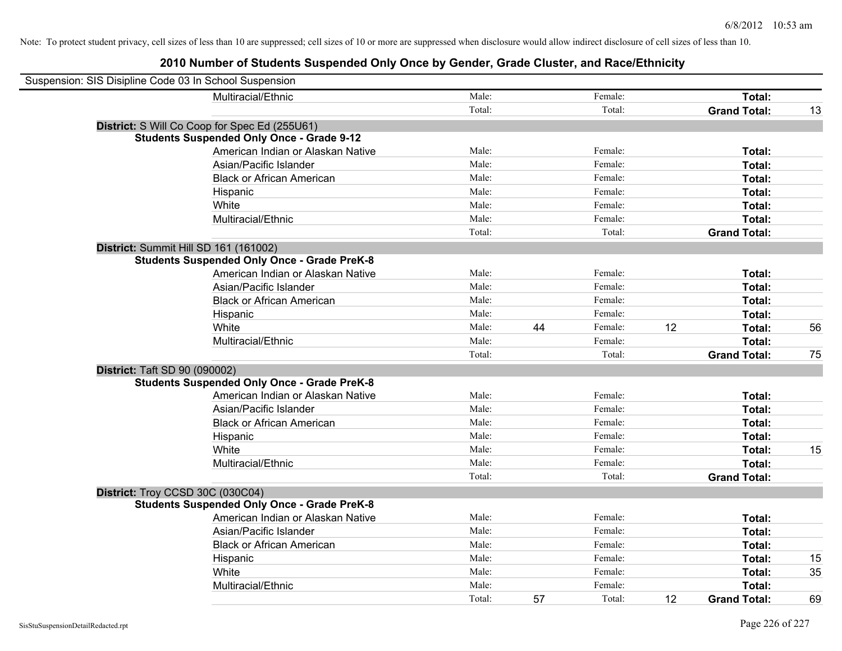| Suspension: SIS Disipline Code 03 In School Suspension |                                                    |        |    |         |    |                     |    |
|--------------------------------------------------------|----------------------------------------------------|--------|----|---------|----|---------------------|----|
|                                                        | Multiracial/Ethnic                                 | Male:  |    | Female: |    | Total:              |    |
|                                                        |                                                    | Total: |    | Total:  |    | <b>Grand Total:</b> | 13 |
|                                                        | District: S Will Co Coop for Spec Ed (255U61)      |        |    |         |    |                     |    |
|                                                        | <b>Students Suspended Only Once - Grade 9-12</b>   |        |    |         |    |                     |    |
|                                                        | American Indian or Alaskan Native                  | Male:  |    | Female: |    | Total:              |    |
|                                                        | Asian/Pacific Islander                             | Male:  |    | Female: |    | Total:              |    |
|                                                        | <b>Black or African American</b>                   | Male:  |    | Female: |    | Total:              |    |
|                                                        | Hispanic                                           | Male:  |    | Female: |    | Total:              |    |
|                                                        | White                                              | Male:  |    | Female: |    | Total:              |    |
|                                                        | Multiracial/Ethnic                                 | Male:  |    | Female: |    | Total:              |    |
|                                                        |                                                    | Total: |    | Total:  |    | <b>Grand Total:</b> |    |
| District: Summit Hill SD 161 (161002)                  |                                                    |        |    |         |    |                     |    |
|                                                        | <b>Students Suspended Only Once - Grade PreK-8</b> |        |    |         |    |                     |    |
|                                                        | American Indian or Alaskan Native                  | Male:  |    | Female: |    | Total:              |    |
|                                                        | Asian/Pacific Islander                             | Male:  |    | Female: |    | Total:              |    |
|                                                        | <b>Black or African American</b>                   | Male:  |    | Female: |    | Total:              |    |
|                                                        | Hispanic                                           | Male:  |    | Female: |    | Total:              |    |
|                                                        | White                                              | Male:  | 44 | Female: | 12 | Total:              | 56 |
|                                                        | Multiracial/Ethnic                                 | Male:  |    | Female: |    | Total:              |    |
|                                                        |                                                    | Total: |    | Total:  |    | <b>Grand Total:</b> | 75 |
| <b>District: Taft SD 90 (090002)</b>                   |                                                    |        |    |         |    |                     |    |
|                                                        | <b>Students Suspended Only Once - Grade PreK-8</b> |        |    |         |    |                     |    |
|                                                        | American Indian or Alaskan Native                  | Male:  |    | Female: |    | Total:              |    |
|                                                        | Asian/Pacific Islander                             | Male:  |    | Female: |    | Total:              |    |
|                                                        | <b>Black or African American</b>                   | Male:  |    | Female: |    | Total:              |    |
|                                                        | Hispanic                                           | Male:  |    | Female: |    | Total:              |    |
|                                                        | White                                              | Male:  |    | Female: |    | Total:              | 15 |
|                                                        | Multiracial/Ethnic                                 | Male:  |    | Female: |    | Total:              |    |
|                                                        |                                                    | Total: |    | Total:  |    | <b>Grand Total:</b> |    |
| District: Troy CCSD 30C (030C04)                       |                                                    |        |    |         |    |                     |    |
|                                                        | <b>Students Suspended Only Once - Grade PreK-8</b> |        |    |         |    |                     |    |
|                                                        | American Indian or Alaskan Native                  | Male:  |    | Female: |    | Total:              |    |
|                                                        | Asian/Pacific Islander                             | Male:  |    | Female: |    | Total:              |    |
|                                                        | <b>Black or African American</b>                   | Male:  |    | Female: |    | Total:              |    |
|                                                        | Hispanic                                           | Male:  |    | Female: |    | Total:              | 15 |
|                                                        | White                                              | Male:  |    | Female: |    | Total:              | 35 |
|                                                        | Multiracial/Ethnic                                 | Male:  |    | Female: |    | Total:              |    |
|                                                        |                                                    | Total: | 57 | Total:  | 12 | <b>Grand Total:</b> | 69 |